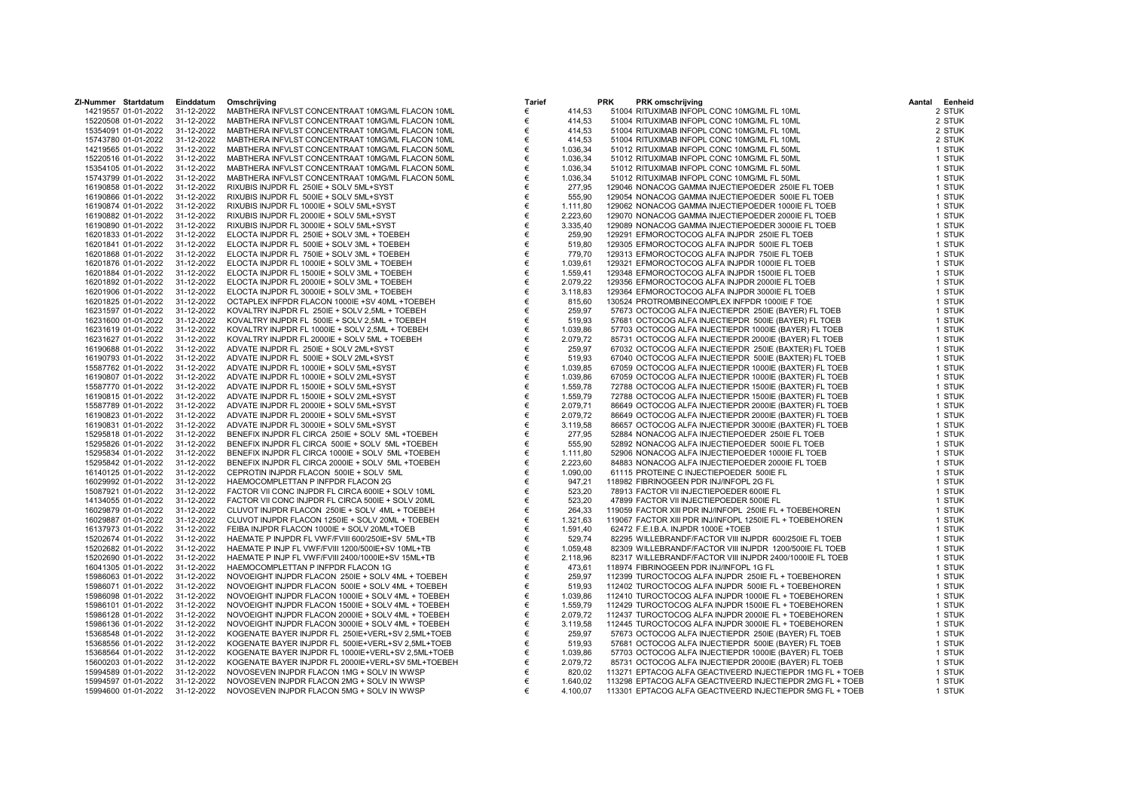| 14219557 01-01-2022<br>31-12-2022<br>MABTHERA INFVLST CONCENTRAAT 10MG/ML FLACON 10ML<br>€<br>51004 RITUXIMAB INFOPL CONC 10MG/ML FL 10ML<br>2 STUK<br>414,53<br>15220508 01-01-2022<br>31-12-2022<br>MABTHERA INFVLST CONCENTRAAT 10MG/ML FLACON 10ML<br>€<br>414,53<br>51004 RITUXIMAB INFOPL CONC 10MG/ML FL 10ML<br>2 STUK<br>31-12-2022<br>MABTHERA INFVLST CONCENTRAAT 10MG/ML FLACON 10ML<br>414,53<br>51004 RITUXIMAB INFOPL CONC 10MG/ML FL 10ML<br>2 STUK<br>15354091 01-01-2022<br>€<br>31-12-2022<br>MABTHERA INFVLST CONCENTRAAT 10MG/ML FLACON 10ML<br>15743780 01-01-2022<br>€<br>414,53<br>51004 RITUXIMAB INFOPL CONC 10MG/ML FL 10ML<br>2 STUK<br>31-12-2022<br>€<br>1.036,34<br>51012 RITUXIMAB INFOPL CONC 10MG/ML FL 50ML<br>14219565 01-01-2022<br>MABTHERA INFVLST CONCENTRAAT 10MG/ML FLACON 50ML<br>1 STUK<br>31-12-2022<br>MABTHERA INFVLST CONCENTRAAT 10MG/ML FLACON 50ML<br>1.036,34<br>51012 RITUXIMAB INFOPL CONC 10MG/ML FL 50ML<br>1 STUK<br>15220516 01-01-2022<br>€<br>31-12-2022<br>MABTHERA INFVLST CONCENTRAAT 10MG/ML FLACON 50ML<br>€<br>1.036,34<br>51012 RITUXIMAB INFOPL CONC 10MG/ML FL 50ML<br>1 STUK<br>15354105 01-01-2022<br>€<br>1.036,34<br>31-12-2022<br>MABTHERA INFVLST CONCENTRAAT 10MG/ML FLACON 50ML<br>51012 RITUXIMAB INFOPL CONC 10MG/ML FL 50ML<br>1 STUK<br>15743799 01-01-2022<br>31-12-2022<br>277,95<br>16190858 01-01-2022<br>RIXUBIS INJPDR FL 250IE + SOLV 5ML+SYST<br>129046 NONACOG GAMMA INJECTIEPOEDER 250IE FL TOEB<br>1 STUK<br>€<br>31-12-2022<br>16190866 01-01-2022<br>RIXUBIS INJPDR FL 500IE + SOLV 5ML+SYST<br>€<br>555,90<br>129054 NONACOG GAMMA INJECTIEPOEDER 500IE FL TOEB<br>1 STUK<br>€<br>16190874 01-01-2022<br>31-12-2022<br>RIXUBIS INJPDR FL 1000IE + SOLV 5ML+SYST<br>1.111,80<br>129062 NONACOG GAMMA INJECTIEPOEDER 1000IE FL TOEB<br>1 STUK<br>2.223,60<br>31-12-2022<br>RIXUBIS INJPDR FL 2000IE + SOLV 5ML+SYST<br>€<br>129070 NONACOG GAMMA INJECTIEPOEDER 2000IE FL TOEB<br>1 STUK<br>16190882 01-01-2022<br>€<br>3.335,40<br>16190890 01-01-2022<br>31-12-2022<br>RIXUBIS INJPDR FL 3000IE + SOLV 5ML+SYST<br>129089 NONACOG GAMMA INJECTIEPOEDER 3000IE FL TOEB<br>1 STUK<br>259,90<br>16201833 01-01-2022<br>31-12-2022<br>ELOCTA INJPDR FL 250IE + SOLV 3ML + TOEBEH<br>€<br>129291 EFMOROCTOCOG ALFA INJPDR 250IE FL TOEB<br>1 STUK<br>31-12-2022<br>ELOCTA INJPDR FL 500IE + SOLV 3ML + TOEBEH<br>€<br>519,80<br>129305 EFMOROCTOCOG ALFA INJPDR 500IE FL TOEB<br>1 STUK<br>16201841 01-01-2022<br>€<br>31-12-2022<br>ELOCTA INJPDR FL 750IE + SOLV 3ML + TOEBEH<br>779,70<br>129313 EFMOROCTOCOG ALFA INJPDR 750IE FL TOEB<br>16201868 01-01-2022<br>1 STUK<br>31-12-2022<br>ELOCTA INJPDR FL 1000IE + SOLV 3ML + TOEBEH<br>€<br>1.039,61<br>129321 EFMOROCTOCOG ALFA INJPDR 1000IE FL TOEB<br>1 STUK<br>16201876 01-01-2022<br>31-12-2022<br>ELOCTA INJPDR FL 1500IE + SOLV 3ML + TOEBEH<br>€<br>1.559,41<br>129348 EFMOROCTOCOG ALFA INJPDR 1500IE FL TOEB<br>1 STUK<br>16201884 01-01-2022<br>€<br>2.079,22<br>16201892 01-01-2022<br>31-12-2022<br>ELOCTA INJPDR FL 2000IE + SOLV 3ML + TOEBEH<br>129356 EFMOROCTOCOG ALFA INJPDR 2000IE FL TOEB<br>1 STUK<br>31-12-2022<br>16201906 01-01-2022<br>ELOCTA INJPDR FL 3000IE + SOLV 3ML + TOEBEH<br>€<br>3.118,83<br>129364 EFMOROCTOCOG ALFA INJPDR 3000IE FL TOEB<br>1 STUK<br>31-12-2022<br>€<br>815,60<br>16201825 01-01-2022<br>OCTAPLEX INFPDR FLACON 1000IE +SV 40ML +TOEBEH<br>130524 PROTROMBINECOMPLEX INFPDR 1000IE F TOE<br>1 STUK<br>31-12-2022<br>€<br>259,97<br>16231597 01-01-2022<br>KOVALTRY INJPDR FL 250IE + SOLV 2,5ML + TOEBEH<br>57673 OCTOCOG ALFA INJECTIEPDR 250IE (BAYER) FL TOEB<br>1 STUK<br>€<br>16231600 01-01-2022<br>31-12-2022<br>KOVALTRY INJPDR FL 500IE + SOLV 2,5ML + TOEBEH<br>519,93<br>57681 OCTOCOG ALFA INJECTIEPDR 500IE (BAYER) FL TOEB<br>1 STUK<br>$\in$<br>1.039,86<br>31-12-2022<br>KOVALTRY INJPDR FL 1000IE + SOLV 2,5ML + TOEBEH<br>57703 OCTOCOG ALFA INJECTIEPDR 1000IE (BAYER) FL TOEB<br>1 STUK<br>16231619 01-01-2022<br>31-12-2022<br>2.079,72<br>16231627 01-01-2022<br>KOVALTRY INJPDR FL 2000IE + SOLV 5ML + TOEBEH<br>€<br>85731 OCTOCOG ALFA INJECTIEPDR 2000IE (BAYER) FL TOEB<br>1 STUK<br>16190688 01-01-2022<br>31-12-2022<br>ADVATE INJPDR FL 250IE + SOLV 2ML+SYST<br>€<br>259,97<br>67032 OCTOCOG ALFA INJECTIEPDR 250IE (BAXTER) FL TOEB<br>1 STUK<br>€<br>31-12-2022<br>16190793 01-01-2022<br>ADVATE INJPDR FL 500IE + SOLV 2ML+SYST<br>519,93<br>67040 OCTOCOG ALFA INJECTIEPDR 500IE (BAXTER) FL TOEB<br>1 STUK<br>€<br>31-12-2022<br>ADVATE INJPDR FL 1000IE + SOLV 5ML+SYST<br>1.039,85<br>67059 OCTOCOG ALFA INJECTIEPDR 1000IE (BAXTER) FL TOEB<br>1 STUK<br>15587762 01-01-2022<br>16190807 01-01-2022<br>31-12-2022<br>ADVATE INJPDR FL 1000IE + SOLV 2ML+SYST<br>€<br>1.039,86<br>67059 OCTOCOG ALFA INJECTIEPDR 1000IE (BAXTER) FL TOEB<br>1 STUK<br>31-12-2022<br>ADVATE INJPDR FL 1500IE + SOLV 5ML+SYST<br>€<br>1.559,78<br>72788 OCTOCOG ALFA INJECTIEPDR 1500IE (BAXTER) FL TOEB<br>15587770 01-01-2022<br>1 STUK<br>31-12-2022<br>€<br>1.559,79<br>16190815 01-01-2022<br>ADVATE INJPDR FL 1500IE + SOLV 2ML+SYST<br>72788 OCTOCOG ALFA INJECTIEPDR 1500IE (BAXTER) FL TOEB<br>1 STUK<br>€<br>2.079,71<br>15587789 01-01-2022<br>31-12-2022<br>ADVATE INJPDR FL 2000IE + SOLV 5ML+SYST<br>86649 OCTOCOG ALFA INJECTIEPDR 2000IE (BAXTER) FL TOEB<br>1 STUK<br>31-12-2022<br>ADVATE INJPDR FL 2000IE + SOLV 5ML+SYST<br>2.079,72<br>86649 OCTOCOG ALFA INJECTIEPDR 2000IE (BAXTER) FL TOEB<br>1 STUK<br>16190823 01-01-2022<br>€<br>16190831 01-01-2022<br>31-12-2022<br>ADVATE INJPDR FL 3000IE + SOLV 5ML+SYST<br>€<br>3.119,58<br>86657 OCTOCOG ALFA INJECTIEPDR 3000IE (BAXTER) FL TOEB<br>1 STUK<br>€<br>277,95<br>31-12-2022<br>BENEFIX INJPDR FL CIRCA 250IE + SOLV 5ML + TOEBEH<br>52884 NONACOG ALFA INJECTIEPOEDER 250IE FL TOEB<br>1 STUK<br>15295818 01-01-2022<br>31-12-2022<br>15295826 01-01-2022<br>BENEFIX INJPDR FL CIRCA 500IE + SOLV 5ML +TOEBEH<br>€<br>555,90<br>52892 NONACOG ALFA INJECTIEPOEDER 500IE FL TOEB<br>1 STUK<br>31-12-2022<br>€<br>15295834 01-01-2022<br>BENEFIX INJPDR FL CIRCA 1000IE + SOLV 5ML +TOEBEH<br>1.111,80<br>52906 NONACOG ALFA INJECTIEPOEDER 1000IE FL TOEB<br>1 STUK<br>€<br>15295842 01-01-2022<br>31-12-2022<br>BENEFIX INJPDR FL CIRCA 2000IE + SOLV 5ML +TOEBEH<br>2.223,60<br>84883 NONACOG ALFA INJECTIEPOEDER 2000IE FL TOEB<br>1 STUK<br>31-12-2022<br>CEPROTIN INJPDR FLACON 500IE + SOLV 5ML<br>1.090,00<br>61115 PROTEINE C INJECTIEPOEDER 500IE FL<br>1 STUK<br>16140125 01-01-2022<br>€<br>€<br>16029992 01-01-2022<br>31-12-2022<br>HAEMOCOMPLETTAN P INFPDR FLACON 2G<br>947,21<br>118982 FIBRINOGEEN PDR INJ/INFOPL 2G FL<br>1 STUK<br>15087921 01-01-2022<br>31-12-2022<br>FACTOR VII CONC INJPDR FL CIRCA 600IE + SOLV 10ML<br>523,20<br>78913 FACTOR VII INJECTIEPOEDER 600IE FL<br>1 STUK<br>€<br>14134055 01-01-2022<br>31-12-2022<br>FACTOR VII CONC INJPDR FL CIRCA 500IE + SOLV 20ML<br>€<br>523,20<br>47899 FACTOR VII INJECTIEPOEDER 500IE FL<br>1 STUK<br>€<br>16029879 01-01-2022<br>31-12-2022<br>CLUVOT INJPDR FLACON 250IE + SOLV 4ML + TOEBEH<br>264,33<br>119059 FACTOR XIII PDR INJ/INFOPL 250IE FL + TOEBEHOREN<br>1 STUK<br>31-12-2022<br>CLUVOT INJPDR FLACON 1250IE + SOLV 20ML + TOEBEH<br>€<br>1.321,63<br>119067 FACTOR XIII PDR INJ/INFOPL 1250IE FL + TOEBEHOREN<br>1 STUK<br>16029887 01-01-2022<br>31-12-2022<br>1.591,40<br>16137973 01-01-2022<br>FEIBA INJPDR FLACON 1000IE + SOLV 20ML+TOEB<br>€<br>62472 F.E.I.B.A. INJPDR 1000E +TOEB<br>1 STUK<br>€<br>15202674 01-01-2022<br>31-12-2022<br>HAEMATE P INJPDR FL VWF/FVIII 600/250IE+SV 5ML+TB<br>529,74<br>82295 WILLEBRANDF/FACTOR VIII INJPDR 600/250IE FL TOEB<br>1 STUK<br>31-12-2022<br>15202682 01-01-2022<br>HAEMATE P INJP FL VWF/FVIII 1200/500IE+SV 10ML+TB<br>€<br>1.059,48<br>82309 WILLEBRANDF/FACTOR VIII INJPDR 1200/500IE FL TOEB<br>1 STUK<br>15202690 01-01-2022<br>31-12-2022<br>HAEMATE P INJP FL VWF/FVIII 2400/1000IE+SV 15ML+TB<br>€<br>2.118,96<br>82317 WILLEBRANDF/FACTOR VIII INJPDR 2400/1000IE FL TOEB<br>1 STUK<br>16041305 01-01-2022<br>31-12-2022<br>HAEMOCOMPLETTAN P INFPDR FLACON 1G<br>473,61<br>118974 FIBRINOGEEN PDR INJ/INFOPL 1G FL<br>1 STUK<br>€<br>15986063 01-01-2022<br>31-12-2022<br>NOVOEIGHT INJPDR FLACON 250IE + SOLV 4ML + TOEBEH<br>€<br>259,97<br>112399 TUROCTOCOG ALFA INJPDR 250IE FL + TOEBEHOREN<br>1 STUK<br>31-12-2022<br>NOVOEIGHT INJPDR FLACON 500IE + SOLV 4ML + TOEBEH<br>€<br>519,93<br>112402 TUROCTOCOG ALFA INJPDR 500IE FL + TOEBEHOREN<br>15986071 01-01-2022<br>1 STUK<br>15986098 01-01-2022<br>31-12-2022<br>NOVOEIGHT INJPDR FLACON 1000IE + SOLV 4ML + TOEBEH<br>1.039,86<br>112410 TUROCTOCOG ALFA INJPDR 1000IE FL + TOEBEHOREN<br>€<br>1 STUK<br>31-12-2022<br>NOVOEIGHT INJPDR FLACON 1500IE + SOLV 4ML + TOEBEH<br>€<br>1.559,79<br>112429 TUROCTOCOG ALFA INJPDR 1500IE FL + TOEBEHOREN<br>1 STUK<br>15986101 01-01-2022<br>€<br>31-12-2022<br>2.079,72<br>15986128 01-01-2022<br>NOVOEIGHT INJPDR FLACON 2000IE + SOLV 4ML + TOEBEH<br>112437 TUROCTOCOG ALFA INJPDR 2000IE FL + TOEBEHOREN<br>1 STUK<br>31-12-2022<br>NOVOEIGHT INJPDR FLACON 3000IE + SOLV 4ML + TOEBEH<br>3.119,58<br>15986136 01-01-2022<br>€<br>112445 TUROCTOCOG ALFA INJPDR 3000IE FL + TOEBEHOREN<br>1 STUK<br>31-12-2022<br>KOGENATE BAYER INJPDR FL 250IE+VERL+SV 2,5ML+TOEB<br>€<br>259,97<br>57673 OCTOCOG ALFA INJECTIEPDR 250IE (BAYER) FL TOEB<br>1 STUK<br>15368548 01-01-2022<br>31-12-2022<br>KOGENATE BAYER INJPDR FL 500IE+VERL+SV 2,5ML+TOEB<br>519,93<br>57681 OCTOCOG ALFA INJECTIEPDR 500IE (BAYER) FL TOEB<br>15368556 01-01-2022<br>€<br>1 STUK<br>15368564 01-01-2022<br>31-12-2022<br>KOGENATE BAYER INJPDR FL 1000IE+VERL+SV 2,5ML+TOEB<br>€<br>1.039,86<br>57703 OCTOCOG ALFA INJECTIEPDR 1000IE (BAYER) FL TOEB<br>1 STUK<br>31-12-2022<br>KOGENATE BAYER INJPDR FL 2000IE+VERL+SV 5ML+TOEBEH<br>2.079,72<br>85731 OCTOCOG ALFA INJECTIEPDR 2000IE (BAYER) FL TOEB<br>1 STUK<br>15600203 01-01-2022<br>31-12-2022<br>820,02<br>113271 EPTACOG ALFA GEACTIVEERD INJECTIEPDR 1MG FL + TOEB<br>15994589 01-01-2022<br>NOVOSEVEN INJPDR FLACON 1MG + SOLV IN WWSP<br>1 STUK<br>€<br>15994597 01-01-2022<br>31-12-2022<br>NOVOSEVEN INJPDR FLACON 2MG + SOLV IN WWSP<br>€<br>1.640,02<br>113298 EPTACOG ALFA GEACTIVEERD INJECTIEPDR 2MG FL + TOEB<br>1 STUK<br>€<br>113301 EPTACOG ALFA GEACTIVEERD INJECTIEPDR 5MG FL + TOEB<br>31-12-2022<br>NOVOSEVEN INJPDR FLACON 5MG + SOLV IN WWSP<br>4.100,07<br>15994600 01-01-2022<br>1 STUK | ZI-Nummer Startdatum | Einddatum | Omschriiving | <b>Tarief</b> | <b>PRK</b> | <b>PRK</b> omschrijving | Aantal | Eenheid |
|-------------------------------------------------------------------------------------------------------------------------------------------------------------------------------------------------------------------------------------------------------------------------------------------------------------------------------------------------------------------------------------------------------------------------------------------------------------------------------------------------------------------------------------------------------------------------------------------------------------------------------------------------------------------------------------------------------------------------------------------------------------------------------------------------------------------------------------------------------------------------------------------------------------------------------------------------------------------------------------------------------------------------------------------------------------------------------------------------------------------------------------------------------------------------------------------------------------------------------------------------------------------------------------------------------------------------------------------------------------------------------------------------------------------------------------------------------------------------------------------------------------------------------------------------------------------------------------------------------------------------------------------------------------------------------------------------------------------------------------------------------------------------------------------------------------------------------------------------------------------------------------------------------------------------------------------------------------------------------------------------------------------------------------------------------------------------------------------------------------------------------------------------------------------------------------------------------------------------------------------------------------------------------------------------------------------------------------------------------------------------------------------------------------------------------------------------------------------------------------------------------------------------------------------------------------------------------------------------------------------------------------------------------------------------------------------------------------------------------------------------------------------------------------------------------------------------------------------------------------------------------------------------------------------------------------------------------------------------------------------------------------------------------------------------------------------------------------------------------------------------------------------------------------------------------------------------------------------------------------------------------------------------------------------------------------------------------------------------------------------------------------------------------------------------------------------------------------------------------------------------------------------------------------------------------------------------------------------------------------------------------------------------------------------------------------------------------------------------------------------------------------------------------------------------------------------------------------------------------------------------------------------------------------------------------------------------------------------------------------------------------------------------------------------------------------------------------------------------------------------------------------------------------------------------------------------------------------------------------------------------------------------------------------------------------------------------------------------------------------------------------------------------------------------------------------------------------------------------------------------------------------------------------------------------------------------------------------------------------------------------------------------------------------------------------------------------------------------------------------------------------------------------------------------------------------------------------------------------------------------------------------------------------------------------------------------------------------------------------------------------------------------------------------------------------------------------------------------------------------------------------------------------------------------------------------------------------------------------------------------------------------------------------------------------------------------------------------------------------------------------------------------------------------------------------------------------------------------------------------------------------------------------------------------------------------------------------------------------------------------------------------------------------------------------------------------------------------------------------------------------------------------------------------------------------------------------------------------------------------------------------------------------------------------------------------------------------------------------------------------------------------------------------------------------------------------------------------------------------------------------------------------------------------------------------------------------------------------------------------------------------------------------------------------------------------------------------------------------------------------------------------------------------------------------------------------------------------------------------------------------------------------------------------------------------------------------------------------------------------------------------------------------------------------------------------------------------------------------------------------------------------------------------------------------------------------------------------------------------------------------------------------------------------------------------------------------------------------------------------------------------------------------------------------------------------------------------------------------------------------------------------------------------------------------------------------------------------------------------------------------------------------------------------------------------------------------------------------------------------------------------------------------------------------------------------------------------------------------------------------------------------------------------------------------------------------------------------------------------------------------------------------------------------------------------------------------------------------------------------------------------------------------------------------------------------------------------------------------------------------------------------------------------------------------------------------------------------------------------------------------------------------------------------------------------------------------------------------------------------------------------------------------------------------------------------------------------------------------------------------------------------------------------------------------------------------------------------------------------------------------------------------------------------------------------------------------------------------------------------------------------------------------------------------------------------------------------------------------------------------------------------------------------------------------------------------------------------------------------------------------------------------------------------------------------------------------------------------------------------------------------------------------------------------------------------------------------------------------------------------------------------------------------------------------------------------------------------------------------------------------------------------------------------------------------------------------------------------------------------------------------------------------------------------------------------------------------------------------------------------------------------------------------------------------------------------------------------------------------------------------------------------------------------------------------------------------------------------------------------------------------------------------------------------------------------------------------------------------------------------------------------------------------------------------------------------------------------------------------------------------------------------------------------------------------------------------------------------------------------------------------------------------------------------------------------------------------------------------------------------------------------------------------------------------------------------------------------------------------------------------------------------------------------------------------------------------------------------------------------------------------------------------------------------------------------------------------------------------------------------------------------------------------------------------------------------------------------------------------------------------------------|----------------------|-----------|--------------|---------------|------------|-------------------------|--------|---------|
|                                                                                                                                                                                                                                                                                                                                                                                                                                                                                                                                                                                                                                                                                                                                                                                                                                                                                                                                                                                                                                                                                                                                                                                                                                                                                                                                                                                                                                                                                                                                                                                                                                                                                                                                                                                                                                                                                                                                                                                                                                                                                                                                                                                                                                                                                                                                                                                                                                                                                                                                                                                                                                                                                                                                                                                                                                                                                                                                                                                                                                                                                                                                                                                                                                                                                                                                                                                                                                                                                                                                                                                                                                                                                                                                                                                                                                                                                                                                                                                                                                                                                                                                                                                                                                                                                                                                                                                                                                                                                                                                                                                                                                                                                                                                                                                                                                                                                                                                                                                                                                                                                                                                                                                                                                                                                                                                                                                                                                                                                                                                                                                                                                                                                                                                                                                                                                                                                                                                                                                                                                                                                                                                                                                                                                                                                                                                                                                                                                                                                                                                                                                                                                                                                                                                                                                                                                                                                                                                                                                                                                                                                                                                                                                                                                                                                                                                                                                                                                                                                                                                                                                                                                                                                                                                                                                                                                                                                                                                                                                                                                                                                                                                                                                                                                                                                                                                                                                                                                                                                                                                                                                                                                                                                                                                                                                                                                                                                                                                                                                                                                                                                                                                                                                                                                                                                                                                                                                                                                                                                                                                                                                                                                                                                                                                                                                                                                                                                                                                                                                                                                                                                                                                                                                                                                                                                                                                                                                                                                                                                                                                                                                                                                     |                      |           |              |               |            |                         |        |         |
|                                                                                                                                                                                                                                                                                                                                                                                                                                                                                                                                                                                                                                                                                                                                                                                                                                                                                                                                                                                                                                                                                                                                                                                                                                                                                                                                                                                                                                                                                                                                                                                                                                                                                                                                                                                                                                                                                                                                                                                                                                                                                                                                                                                                                                                                                                                                                                                                                                                                                                                                                                                                                                                                                                                                                                                                                                                                                                                                                                                                                                                                                                                                                                                                                                                                                                                                                                                                                                                                                                                                                                                                                                                                                                                                                                                                                                                                                                                                                                                                                                                                                                                                                                                                                                                                                                                                                                                                                                                                                                                                                                                                                                                                                                                                                                                                                                                                                                                                                                                                                                                                                                                                                                                                                                                                                                                                                                                                                                                                                                                                                                                                                                                                                                                                                                                                                                                                                                                                                                                                                                                                                                                                                                                                                                                                                                                                                                                                                                                                                                                                                                                                                                                                                                                                                                                                                                                                                                                                                                                                                                                                                                                                                                                                                                                                                                                                                                                                                                                                                                                                                                                                                                                                                                                                                                                                                                                                                                                                                                                                                                                                                                                                                                                                                                                                                                                                                                                                                                                                                                                                                                                                                                                                                                                                                                                                                                                                                                                                                                                                                                                                                                                                                                                                                                                                                                                                                                                                                                                                                                                                                                                                                                                                                                                                                                                                                                                                                                                                                                                                                                                                                                                                                                                                                                                                                                                                                                                                                                                                                                                                                                                                                                     |                      |           |              |               |            |                         |        |         |
|                                                                                                                                                                                                                                                                                                                                                                                                                                                                                                                                                                                                                                                                                                                                                                                                                                                                                                                                                                                                                                                                                                                                                                                                                                                                                                                                                                                                                                                                                                                                                                                                                                                                                                                                                                                                                                                                                                                                                                                                                                                                                                                                                                                                                                                                                                                                                                                                                                                                                                                                                                                                                                                                                                                                                                                                                                                                                                                                                                                                                                                                                                                                                                                                                                                                                                                                                                                                                                                                                                                                                                                                                                                                                                                                                                                                                                                                                                                                                                                                                                                                                                                                                                                                                                                                                                                                                                                                                                                                                                                                                                                                                                                                                                                                                                                                                                                                                                                                                                                                                                                                                                                                                                                                                                                                                                                                                                                                                                                                                                                                                                                                                                                                                                                                                                                                                                                                                                                                                                                                                                                                                                                                                                                                                                                                                                                                                                                                                                                                                                                                                                                                                                                                                                                                                                                                                                                                                                                                                                                                                                                                                                                                                                                                                                                                                                                                                                                                                                                                                                                                                                                                                                                                                                                                                                                                                                                                                                                                                                                                                                                                                                                                                                                                                                                                                                                                                                                                                                                                                                                                                                                                                                                                                                                                                                                                                                                                                                                                                                                                                                                                                                                                                                                                                                                                                                                                                                                                                                                                                                                                                                                                                                                                                                                                                                                                                                                                                                                                                                                                                                                                                                                                                                                                                                                                                                                                                                                                                                                                                                                                                                                                                                     |                      |           |              |               |            |                         |        |         |
|                                                                                                                                                                                                                                                                                                                                                                                                                                                                                                                                                                                                                                                                                                                                                                                                                                                                                                                                                                                                                                                                                                                                                                                                                                                                                                                                                                                                                                                                                                                                                                                                                                                                                                                                                                                                                                                                                                                                                                                                                                                                                                                                                                                                                                                                                                                                                                                                                                                                                                                                                                                                                                                                                                                                                                                                                                                                                                                                                                                                                                                                                                                                                                                                                                                                                                                                                                                                                                                                                                                                                                                                                                                                                                                                                                                                                                                                                                                                                                                                                                                                                                                                                                                                                                                                                                                                                                                                                                                                                                                                                                                                                                                                                                                                                                                                                                                                                                                                                                                                                                                                                                                                                                                                                                                                                                                                                                                                                                                                                                                                                                                                                                                                                                                                                                                                                                                                                                                                                                                                                                                                                                                                                                                                                                                                                                                                                                                                                                                                                                                                                                                                                                                                                                                                                                                                                                                                                                                                                                                                                                                                                                                                                                                                                                                                                                                                                                                                                                                                                                                                                                                                                                                                                                                                                                                                                                                                                                                                                                                                                                                                                                                                                                                                                                                                                                                                                                                                                                                                                                                                                                                                                                                                                                                                                                                                                                                                                                                                                                                                                                                                                                                                                                                                                                                                                                                                                                                                                                                                                                                                                                                                                                                                                                                                                                                                                                                                                                                                                                                                                                                                                                                                                                                                                                                                                                                                                                                                                                                                                                                                                                                                                                     |                      |           |              |               |            |                         |        |         |
|                                                                                                                                                                                                                                                                                                                                                                                                                                                                                                                                                                                                                                                                                                                                                                                                                                                                                                                                                                                                                                                                                                                                                                                                                                                                                                                                                                                                                                                                                                                                                                                                                                                                                                                                                                                                                                                                                                                                                                                                                                                                                                                                                                                                                                                                                                                                                                                                                                                                                                                                                                                                                                                                                                                                                                                                                                                                                                                                                                                                                                                                                                                                                                                                                                                                                                                                                                                                                                                                                                                                                                                                                                                                                                                                                                                                                                                                                                                                                                                                                                                                                                                                                                                                                                                                                                                                                                                                                                                                                                                                                                                                                                                                                                                                                                                                                                                                                                                                                                                                                                                                                                                                                                                                                                                                                                                                                                                                                                                                                                                                                                                                                                                                                                                                                                                                                                                                                                                                                                                                                                                                                                                                                                                                                                                                                                                                                                                                                                                                                                                                                                                                                                                                                                                                                                                                                                                                                                                                                                                                                                                                                                                                                                                                                                                                                                                                                                                                                                                                                                                                                                                                                                                                                                                                                                                                                                                                                                                                                                                                                                                                                                                                                                                                                                                                                                                                                                                                                                                                                                                                                                                                                                                                                                                                                                                                                                                                                                                                                                                                                                                                                                                                                                                                                                                                                                                                                                                                                                                                                                                                                                                                                                                                                                                                                                                                                                                                                                                                                                                                                                                                                                                                                                                                                                                                                                                                                                                                                                                                                                                                                                                                                                     |                      |           |              |               |            |                         |        |         |
|                                                                                                                                                                                                                                                                                                                                                                                                                                                                                                                                                                                                                                                                                                                                                                                                                                                                                                                                                                                                                                                                                                                                                                                                                                                                                                                                                                                                                                                                                                                                                                                                                                                                                                                                                                                                                                                                                                                                                                                                                                                                                                                                                                                                                                                                                                                                                                                                                                                                                                                                                                                                                                                                                                                                                                                                                                                                                                                                                                                                                                                                                                                                                                                                                                                                                                                                                                                                                                                                                                                                                                                                                                                                                                                                                                                                                                                                                                                                                                                                                                                                                                                                                                                                                                                                                                                                                                                                                                                                                                                                                                                                                                                                                                                                                                                                                                                                                                                                                                                                                                                                                                                                                                                                                                                                                                                                                                                                                                                                                                                                                                                                                                                                                                                                                                                                                                                                                                                                                                                                                                                                                                                                                                                                                                                                                                                                                                                                                                                                                                                                                                                                                                                                                                                                                                                                                                                                                                                                                                                                                                                                                                                                                                                                                                                                                                                                                                                                                                                                                                                                                                                                                                                                                                                                                                                                                                                                                                                                                                                                                                                                                                                                                                                                                                                                                                                                                                                                                                                                                                                                                                                                                                                                                                                                                                                                                                                                                                                                                                                                                                                                                                                                                                                                                                                                                                                                                                                                                                                                                                                                                                                                                                                                                                                                                                                                                                                                                                                                                                                                                                                                                                                                                                                                                                                                                                                                                                                                                                                                                                                                                                                                                                     |                      |           |              |               |            |                         |        |         |
|                                                                                                                                                                                                                                                                                                                                                                                                                                                                                                                                                                                                                                                                                                                                                                                                                                                                                                                                                                                                                                                                                                                                                                                                                                                                                                                                                                                                                                                                                                                                                                                                                                                                                                                                                                                                                                                                                                                                                                                                                                                                                                                                                                                                                                                                                                                                                                                                                                                                                                                                                                                                                                                                                                                                                                                                                                                                                                                                                                                                                                                                                                                                                                                                                                                                                                                                                                                                                                                                                                                                                                                                                                                                                                                                                                                                                                                                                                                                                                                                                                                                                                                                                                                                                                                                                                                                                                                                                                                                                                                                                                                                                                                                                                                                                                                                                                                                                                                                                                                                                                                                                                                                                                                                                                                                                                                                                                                                                                                                                                                                                                                                                                                                                                                                                                                                                                                                                                                                                                                                                                                                                                                                                                                                                                                                                                                                                                                                                                                                                                                                                                                                                                                                                                                                                                                                                                                                                                                                                                                                                                                                                                                                                                                                                                                                                                                                                                                                                                                                                                                                                                                                                                                                                                                                                                                                                                                                                                                                                                                                                                                                                                                                                                                                                                                                                                                                                                                                                                                                                                                                                                                                                                                                                                                                                                                                                                                                                                                                                                                                                                                                                                                                                                                                                                                                                                                                                                                                                                                                                                                                                                                                                                                                                                                                                                                                                                                                                                                                                                                                                                                                                                                                                                                                                                                                                                                                                                                                                                                                                                                                                                                                                                     |                      |           |              |               |            |                         |        |         |
|                                                                                                                                                                                                                                                                                                                                                                                                                                                                                                                                                                                                                                                                                                                                                                                                                                                                                                                                                                                                                                                                                                                                                                                                                                                                                                                                                                                                                                                                                                                                                                                                                                                                                                                                                                                                                                                                                                                                                                                                                                                                                                                                                                                                                                                                                                                                                                                                                                                                                                                                                                                                                                                                                                                                                                                                                                                                                                                                                                                                                                                                                                                                                                                                                                                                                                                                                                                                                                                                                                                                                                                                                                                                                                                                                                                                                                                                                                                                                                                                                                                                                                                                                                                                                                                                                                                                                                                                                                                                                                                                                                                                                                                                                                                                                                                                                                                                                                                                                                                                                                                                                                                                                                                                                                                                                                                                                                                                                                                                                                                                                                                                                                                                                                                                                                                                                                                                                                                                                                                                                                                                                                                                                                                                                                                                                                                                                                                                                                                                                                                                                                                                                                                                                                                                                                                                                                                                                                                                                                                                                                                                                                                                                                                                                                                                                                                                                                                                                                                                                                                                                                                                                                                                                                                                                                                                                                                                                                                                                                                                                                                                                                                                                                                                                                                                                                                                                                                                                                                                                                                                                                                                                                                                                                                                                                                                                                                                                                                                                                                                                                                                                                                                                                                                                                                                                                                                                                                                                                                                                                                                                                                                                                                                                                                                                                                                                                                                                                                                                                                                                                                                                                                                                                                                                                                                                                                                                                                                                                                                                                                                                                                                                                     |                      |           |              |               |            |                         |        |         |
|                                                                                                                                                                                                                                                                                                                                                                                                                                                                                                                                                                                                                                                                                                                                                                                                                                                                                                                                                                                                                                                                                                                                                                                                                                                                                                                                                                                                                                                                                                                                                                                                                                                                                                                                                                                                                                                                                                                                                                                                                                                                                                                                                                                                                                                                                                                                                                                                                                                                                                                                                                                                                                                                                                                                                                                                                                                                                                                                                                                                                                                                                                                                                                                                                                                                                                                                                                                                                                                                                                                                                                                                                                                                                                                                                                                                                                                                                                                                                                                                                                                                                                                                                                                                                                                                                                                                                                                                                                                                                                                                                                                                                                                                                                                                                                                                                                                                                                                                                                                                                                                                                                                                                                                                                                                                                                                                                                                                                                                                                                                                                                                                                                                                                                                                                                                                                                                                                                                                                                                                                                                                                                                                                                                                                                                                                                                                                                                                                                                                                                                                                                                                                                                                                                                                                                                                                                                                                                                                                                                                                                                                                                                                                                                                                                                                                                                                                                                                                                                                                                                                                                                                                                                                                                                                                                                                                                                                                                                                                                                                                                                                                                                                                                                                                                                                                                                                                                                                                                                                                                                                                                                                                                                                                                                                                                                                                                                                                                                                                                                                                                                                                                                                                                                                                                                                                                                                                                                                                                                                                                                                                                                                                                                                                                                                                                                                                                                                                                                                                                                                                                                                                                                                                                                                                                                                                                                                                                                                                                                                                                                                                                                                                                     |                      |           |              |               |            |                         |        |         |
|                                                                                                                                                                                                                                                                                                                                                                                                                                                                                                                                                                                                                                                                                                                                                                                                                                                                                                                                                                                                                                                                                                                                                                                                                                                                                                                                                                                                                                                                                                                                                                                                                                                                                                                                                                                                                                                                                                                                                                                                                                                                                                                                                                                                                                                                                                                                                                                                                                                                                                                                                                                                                                                                                                                                                                                                                                                                                                                                                                                                                                                                                                                                                                                                                                                                                                                                                                                                                                                                                                                                                                                                                                                                                                                                                                                                                                                                                                                                                                                                                                                                                                                                                                                                                                                                                                                                                                                                                                                                                                                                                                                                                                                                                                                                                                                                                                                                                                                                                                                                                                                                                                                                                                                                                                                                                                                                                                                                                                                                                                                                                                                                                                                                                                                                                                                                                                                                                                                                                                                                                                                                                                                                                                                                                                                                                                                                                                                                                                                                                                                                                                                                                                                                                                                                                                                                                                                                                                                                                                                                                                                                                                                                                                                                                                                                                                                                                                                                                                                                                                                                                                                                                                                                                                                                                                                                                                                                                                                                                                                                                                                                                                                                                                                                                                                                                                                                                                                                                                                                                                                                                                                                                                                                                                                                                                                                                                                                                                                                                                                                                                                                                                                                                                                                                                                                                                                                                                                                                                                                                                                                                                                                                                                                                                                                                                                                                                                                                                                                                                                                                                                                                                                                                                                                                                                                                                                                                                                                                                                                                                                                                                                                                                     |                      |           |              |               |            |                         |        |         |
|                                                                                                                                                                                                                                                                                                                                                                                                                                                                                                                                                                                                                                                                                                                                                                                                                                                                                                                                                                                                                                                                                                                                                                                                                                                                                                                                                                                                                                                                                                                                                                                                                                                                                                                                                                                                                                                                                                                                                                                                                                                                                                                                                                                                                                                                                                                                                                                                                                                                                                                                                                                                                                                                                                                                                                                                                                                                                                                                                                                                                                                                                                                                                                                                                                                                                                                                                                                                                                                                                                                                                                                                                                                                                                                                                                                                                                                                                                                                                                                                                                                                                                                                                                                                                                                                                                                                                                                                                                                                                                                                                                                                                                                                                                                                                                                                                                                                                                                                                                                                                                                                                                                                                                                                                                                                                                                                                                                                                                                                                                                                                                                                                                                                                                                                                                                                                                                                                                                                                                                                                                                                                                                                                                                                                                                                                                                                                                                                                                                                                                                                                                                                                                                                                                                                                                                                                                                                                                                                                                                                                                                                                                                                                                                                                                                                                                                                                                                                                                                                                                                                                                                                                                                                                                                                                                                                                                                                                                                                                                                                                                                                                                                                                                                                                                                                                                                                                                                                                                                                                                                                                                                                                                                                                                                                                                                                                                                                                                                                                                                                                                                                                                                                                                                                                                                                                                                                                                                                                                                                                                                                                                                                                                                                                                                                                                                                                                                                                                                                                                                                                                                                                                                                                                                                                                                                                                                                                                                                                                                                                                                                                                                                                                     |                      |           |              |               |            |                         |        |         |
|                                                                                                                                                                                                                                                                                                                                                                                                                                                                                                                                                                                                                                                                                                                                                                                                                                                                                                                                                                                                                                                                                                                                                                                                                                                                                                                                                                                                                                                                                                                                                                                                                                                                                                                                                                                                                                                                                                                                                                                                                                                                                                                                                                                                                                                                                                                                                                                                                                                                                                                                                                                                                                                                                                                                                                                                                                                                                                                                                                                                                                                                                                                                                                                                                                                                                                                                                                                                                                                                                                                                                                                                                                                                                                                                                                                                                                                                                                                                                                                                                                                                                                                                                                                                                                                                                                                                                                                                                                                                                                                                                                                                                                                                                                                                                                                                                                                                                                                                                                                                                                                                                                                                                                                                                                                                                                                                                                                                                                                                                                                                                                                                                                                                                                                                                                                                                                                                                                                                                                                                                                                                                                                                                                                                                                                                                                                                                                                                                                                                                                                                                                                                                                                                                                                                                                                                                                                                                                                                                                                                                                                                                                                                                                                                                                                                                                                                                                                                                                                                                                                                                                                                                                                                                                                                                                                                                                                                                                                                                                                                                                                                                                                                                                                                                                                                                                                                                                                                                                                                                                                                                                                                                                                                                                                                                                                                                                                                                                                                                                                                                                                                                                                                                                                                                                                                                                                                                                                                                                                                                                                                                                                                                                                                                                                                                                                                                                                                                                                                                                                                                                                                                                                                                                                                                                                                                                                                                                                                                                                                                                                                                                                                                                     |                      |           |              |               |            |                         |        |         |
|                                                                                                                                                                                                                                                                                                                                                                                                                                                                                                                                                                                                                                                                                                                                                                                                                                                                                                                                                                                                                                                                                                                                                                                                                                                                                                                                                                                                                                                                                                                                                                                                                                                                                                                                                                                                                                                                                                                                                                                                                                                                                                                                                                                                                                                                                                                                                                                                                                                                                                                                                                                                                                                                                                                                                                                                                                                                                                                                                                                                                                                                                                                                                                                                                                                                                                                                                                                                                                                                                                                                                                                                                                                                                                                                                                                                                                                                                                                                                                                                                                                                                                                                                                                                                                                                                                                                                                                                                                                                                                                                                                                                                                                                                                                                                                                                                                                                                                                                                                                                                                                                                                                                                                                                                                                                                                                                                                                                                                                                                                                                                                                                                                                                                                                                                                                                                                                                                                                                                                                                                                                                                                                                                                                                                                                                                                                                                                                                                                                                                                                                                                                                                                                                                                                                                                                                                                                                                                                                                                                                                                                                                                                                                                                                                                                                                                                                                                                                                                                                                                                                                                                                                                                                                                                                                                                                                                                                                                                                                                                                                                                                                                                                                                                                                                                                                                                                                                                                                                                                                                                                                                                                                                                                                                                                                                                                                                                                                                                                                                                                                                                                                                                                                                                                                                                                                                                                                                                                                                                                                                                                                                                                                                                                                                                                                                                                                                                                                                                                                                                                                                                                                                                                                                                                                                                                                                                                                                                                                                                                                                                                                                                                                                     |                      |           |              |               |            |                         |        |         |
|                                                                                                                                                                                                                                                                                                                                                                                                                                                                                                                                                                                                                                                                                                                                                                                                                                                                                                                                                                                                                                                                                                                                                                                                                                                                                                                                                                                                                                                                                                                                                                                                                                                                                                                                                                                                                                                                                                                                                                                                                                                                                                                                                                                                                                                                                                                                                                                                                                                                                                                                                                                                                                                                                                                                                                                                                                                                                                                                                                                                                                                                                                                                                                                                                                                                                                                                                                                                                                                                                                                                                                                                                                                                                                                                                                                                                                                                                                                                                                                                                                                                                                                                                                                                                                                                                                                                                                                                                                                                                                                                                                                                                                                                                                                                                                                                                                                                                                                                                                                                                                                                                                                                                                                                                                                                                                                                                                                                                                                                                                                                                                                                                                                                                                                                                                                                                                                                                                                                                                                                                                                                                                                                                                                                                                                                                                                                                                                                                                                                                                                                                                                                                                                                                                                                                                                                                                                                                                                                                                                                                                                                                                                                                                                                                                                                                                                                                                                                                                                                                                                                                                                                                                                                                                                                                                                                                                                                                                                                                                                                                                                                                                                                                                                                                                                                                                                                                                                                                                                                                                                                                                                                                                                                                                                                                                                                                                                                                                                                                                                                                                                                                                                                                                                                                                                                                                                                                                                                                                                                                                                                                                                                                                                                                                                                                                                                                                                                                                                                                                                                                                                                                                                                                                                                                                                                                                                                                                                                                                                                                                                                                                                                                                     |                      |           |              |               |            |                         |        |         |
|                                                                                                                                                                                                                                                                                                                                                                                                                                                                                                                                                                                                                                                                                                                                                                                                                                                                                                                                                                                                                                                                                                                                                                                                                                                                                                                                                                                                                                                                                                                                                                                                                                                                                                                                                                                                                                                                                                                                                                                                                                                                                                                                                                                                                                                                                                                                                                                                                                                                                                                                                                                                                                                                                                                                                                                                                                                                                                                                                                                                                                                                                                                                                                                                                                                                                                                                                                                                                                                                                                                                                                                                                                                                                                                                                                                                                                                                                                                                                                                                                                                                                                                                                                                                                                                                                                                                                                                                                                                                                                                                                                                                                                                                                                                                                                                                                                                                                                                                                                                                                                                                                                                                                                                                                                                                                                                                                                                                                                                                                                                                                                                                                                                                                                                                                                                                                                                                                                                                                                                                                                                                                                                                                                                                                                                                                                                                                                                                                                                                                                                                                                                                                                                                                                                                                                                                                                                                                                                                                                                                                                                                                                                                                                                                                                                                                                                                                                                                                                                                                                                                                                                                                                                                                                                                                                                                                                                                                                                                                                                                                                                                                                                                                                                                                                                                                                                                                                                                                                                                                                                                                                                                                                                                                                                                                                                                                                                                                                                                                                                                                                                                                                                                                                                                                                                                                                                                                                                                                                                                                                                                                                                                                                                                                                                                                                                                                                                                                                                                                                                                                                                                                                                                                                                                                                                                                                                                                                                                                                                                                                                                                                                                                                     |                      |           |              |               |            |                         |        |         |
|                                                                                                                                                                                                                                                                                                                                                                                                                                                                                                                                                                                                                                                                                                                                                                                                                                                                                                                                                                                                                                                                                                                                                                                                                                                                                                                                                                                                                                                                                                                                                                                                                                                                                                                                                                                                                                                                                                                                                                                                                                                                                                                                                                                                                                                                                                                                                                                                                                                                                                                                                                                                                                                                                                                                                                                                                                                                                                                                                                                                                                                                                                                                                                                                                                                                                                                                                                                                                                                                                                                                                                                                                                                                                                                                                                                                                                                                                                                                                                                                                                                                                                                                                                                                                                                                                                                                                                                                                                                                                                                                                                                                                                                                                                                                                                                                                                                                                                                                                                                                                                                                                                                                                                                                                                                                                                                                                                                                                                                                                                                                                                                                                                                                                                                                                                                                                                                                                                                                                                                                                                                                                                                                                                                                                                                                                                                                                                                                                                                                                                                                                                                                                                                                                                                                                                                                                                                                                                                                                                                                                                                                                                                                                                                                                                                                                                                                                                                                                                                                                                                                                                                                                                                                                                                                                                                                                                                                                                                                                                                                                                                                                                                                                                                                                                                                                                                                                                                                                                                                                                                                                                                                                                                                                                                                                                                                                                                                                                                                                                                                                                                                                                                                                                                                                                                                                                                                                                                                                                                                                                                                                                                                                                                                                                                                                                                                                                                                                                                                                                                                                                                                                                                                                                                                                                                                                                                                                                                                                                                                                                                                                                                                                                     |                      |           |              |               |            |                         |        |         |
|                                                                                                                                                                                                                                                                                                                                                                                                                                                                                                                                                                                                                                                                                                                                                                                                                                                                                                                                                                                                                                                                                                                                                                                                                                                                                                                                                                                                                                                                                                                                                                                                                                                                                                                                                                                                                                                                                                                                                                                                                                                                                                                                                                                                                                                                                                                                                                                                                                                                                                                                                                                                                                                                                                                                                                                                                                                                                                                                                                                                                                                                                                                                                                                                                                                                                                                                                                                                                                                                                                                                                                                                                                                                                                                                                                                                                                                                                                                                                                                                                                                                                                                                                                                                                                                                                                                                                                                                                                                                                                                                                                                                                                                                                                                                                                                                                                                                                                                                                                                                                                                                                                                                                                                                                                                                                                                                                                                                                                                                                                                                                                                                                                                                                                                                                                                                                                                                                                                                                                                                                                                                                                                                                                                                                                                                                                                                                                                                                                                                                                                                                                                                                                                                                                                                                                                                                                                                                                                                                                                                                                                                                                                                                                                                                                                                                                                                                                                                                                                                                                                                                                                                                                                                                                                                                                                                                                                                                                                                                                                                                                                                                                                                                                                                                                                                                                                                                                                                                                                                                                                                                                                                                                                                                                                                                                                                                                                                                                                                                                                                                                                                                                                                                                                                                                                                                                                                                                                                                                                                                                                                                                                                                                                                                                                                                                                                                                                                                                                                                                                                                                                                                                                                                                                                                                                                                                                                                                                                                                                                                                                                                                                                                                     |                      |           |              |               |            |                         |        |         |
|                                                                                                                                                                                                                                                                                                                                                                                                                                                                                                                                                                                                                                                                                                                                                                                                                                                                                                                                                                                                                                                                                                                                                                                                                                                                                                                                                                                                                                                                                                                                                                                                                                                                                                                                                                                                                                                                                                                                                                                                                                                                                                                                                                                                                                                                                                                                                                                                                                                                                                                                                                                                                                                                                                                                                                                                                                                                                                                                                                                                                                                                                                                                                                                                                                                                                                                                                                                                                                                                                                                                                                                                                                                                                                                                                                                                                                                                                                                                                                                                                                                                                                                                                                                                                                                                                                                                                                                                                                                                                                                                                                                                                                                                                                                                                                                                                                                                                                                                                                                                                                                                                                                                                                                                                                                                                                                                                                                                                                                                                                                                                                                                                                                                                                                                                                                                                                                                                                                                                                                                                                                                                                                                                                                                                                                                                                                                                                                                                                                                                                                                                                                                                                                                                                                                                                                                                                                                                                                                                                                                                                                                                                                                                                                                                                                                                                                                                                                                                                                                                                                                                                                                                                                                                                                                                                                                                                                                                                                                                                                                                                                                                                                                                                                                                                                                                                                                                                                                                                                                                                                                                                                                                                                                                                                                                                                                                                                                                                                                                                                                                                                                                                                                                                                                                                                                                                                                                                                                                                                                                                                                                                                                                                                                                                                                                                                                                                                                                                                                                                                                                                                                                                                                                                                                                                                                                                                                                                                                                                                                                                                                                                                                                                     |                      |           |              |               |            |                         |        |         |
|                                                                                                                                                                                                                                                                                                                                                                                                                                                                                                                                                                                                                                                                                                                                                                                                                                                                                                                                                                                                                                                                                                                                                                                                                                                                                                                                                                                                                                                                                                                                                                                                                                                                                                                                                                                                                                                                                                                                                                                                                                                                                                                                                                                                                                                                                                                                                                                                                                                                                                                                                                                                                                                                                                                                                                                                                                                                                                                                                                                                                                                                                                                                                                                                                                                                                                                                                                                                                                                                                                                                                                                                                                                                                                                                                                                                                                                                                                                                                                                                                                                                                                                                                                                                                                                                                                                                                                                                                                                                                                                                                                                                                                                                                                                                                                                                                                                                                                                                                                                                                                                                                                                                                                                                                                                                                                                                                                                                                                                                                                                                                                                                                                                                                                                                                                                                                                                                                                                                                                                                                                                                                                                                                                                                                                                                                                                                                                                                                                                                                                                                                                                                                                                                                                                                                                                                                                                                                                                                                                                                                                                                                                                                                                                                                                                                                                                                                                                                                                                                                                                                                                                                                                                                                                                                                                                                                                                                                                                                                                                                                                                                                                                                                                                                                                                                                                                                                                                                                                                                                                                                                                                                                                                                                                                                                                                                                                                                                                                                                                                                                                                                                                                                                                                                                                                                                                                                                                                                                                                                                                                                                                                                                                                                                                                                                                                                                                                                                                                                                                                                                                                                                                                                                                                                                                                                                                                                                                                                                                                                                                                                                                                                                                     |                      |           |              |               |            |                         |        |         |
|                                                                                                                                                                                                                                                                                                                                                                                                                                                                                                                                                                                                                                                                                                                                                                                                                                                                                                                                                                                                                                                                                                                                                                                                                                                                                                                                                                                                                                                                                                                                                                                                                                                                                                                                                                                                                                                                                                                                                                                                                                                                                                                                                                                                                                                                                                                                                                                                                                                                                                                                                                                                                                                                                                                                                                                                                                                                                                                                                                                                                                                                                                                                                                                                                                                                                                                                                                                                                                                                                                                                                                                                                                                                                                                                                                                                                                                                                                                                                                                                                                                                                                                                                                                                                                                                                                                                                                                                                                                                                                                                                                                                                                                                                                                                                                                                                                                                                                                                                                                                                                                                                                                                                                                                                                                                                                                                                                                                                                                                                                                                                                                                                                                                                                                                                                                                                                                                                                                                                                                                                                                                                                                                                                                                                                                                                                                                                                                                                                                                                                                                                                                                                                                                                                                                                                                                                                                                                                                                                                                                                                                                                                                                                                                                                                                                                                                                                                                                                                                                                                                                                                                                                                                                                                                                                                                                                                                                                                                                                                                                                                                                                                                                                                                                                                                                                                                                                                                                                                                                                                                                                                                                                                                                                                                                                                                                                                                                                                                                                                                                                                                                                                                                                                                                                                                                                                                                                                                                                                                                                                                                                                                                                                                                                                                                                                                                                                                                                                                                                                                                                                                                                                                                                                                                                                                                                                                                                                                                                                                                                                                                                                                                                                     |                      |           |              |               |            |                         |        |         |
|                                                                                                                                                                                                                                                                                                                                                                                                                                                                                                                                                                                                                                                                                                                                                                                                                                                                                                                                                                                                                                                                                                                                                                                                                                                                                                                                                                                                                                                                                                                                                                                                                                                                                                                                                                                                                                                                                                                                                                                                                                                                                                                                                                                                                                                                                                                                                                                                                                                                                                                                                                                                                                                                                                                                                                                                                                                                                                                                                                                                                                                                                                                                                                                                                                                                                                                                                                                                                                                                                                                                                                                                                                                                                                                                                                                                                                                                                                                                                                                                                                                                                                                                                                                                                                                                                                                                                                                                                                                                                                                                                                                                                                                                                                                                                                                                                                                                                                                                                                                                                                                                                                                                                                                                                                                                                                                                                                                                                                                                                                                                                                                                                                                                                                                                                                                                                                                                                                                                                                                                                                                                                                                                                                                                                                                                                                                                                                                                                                                                                                                                                                                                                                                                                                                                                                                                                                                                                                                                                                                                                                                                                                                                                                                                                                                                                                                                                                                                                                                                                                                                                                                                                                                                                                                                                                                                                                                                                                                                                                                                                                                                                                                                                                                                                                                                                                                                                                                                                                                                                                                                                                                                                                                                                                                                                                                                                                                                                                                                                                                                                                                                                                                                                                                                                                                                                                                                                                                                                                                                                                                                                                                                                                                                                                                                                                                                                                                                                                                                                                                                                                                                                                                                                                                                                                                                                                                                                                                                                                                                                                                                                                                                                                     |                      |           |              |               |            |                         |        |         |
|                                                                                                                                                                                                                                                                                                                                                                                                                                                                                                                                                                                                                                                                                                                                                                                                                                                                                                                                                                                                                                                                                                                                                                                                                                                                                                                                                                                                                                                                                                                                                                                                                                                                                                                                                                                                                                                                                                                                                                                                                                                                                                                                                                                                                                                                                                                                                                                                                                                                                                                                                                                                                                                                                                                                                                                                                                                                                                                                                                                                                                                                                                                                                                                                                                                                                                                                                                                                                                                                                                                                                                                                                                                                                                                                                                                                                                                                                                                                                                                                                                                                                                                                                                                                                                                                                                                                                                                                                                                                                                                                                                                                                                                                                                                                                                                                                                                                                                                                                                                                                                                                                                                                                                                                                                                                                                                                                                                                                                                                                                                                                                                                                                                                                                                                                                                                                                                                                                                                                                                                                                                                                                                                                                                                                                                                                                                                                                                                                                                                                                                                                                                                                                                                                                                                                                                                                                                                                                                                                                                                                                                                                                                                                                                                                                                                                                                                                                                                                                                                                                                                                                                                                                                                                                                                                                                                                                                                                                                                                                                                                                                                                                                                                                                                                                                                                                                                                                                                                                                                                                                                                                                                                                                                                                                                                                                                                                                                                                                                                                                                                                                                                                                                                                                                                                                                                                                                                                                                                                                                                                                                                                                                                                                                                                                                                                                                                                                                                                                                                                                                                                                                                                                                                                                                                                                                                                                                                                                                                                                                                                                                                                                                                                     |                      |           |              |               |            |                         |        |         |
|                                                                                                                                                                                                                                                                                                                                                                                                                                                                                                                                                                                                                                                                                                                                                                                                                                                                                                                                                                                                                                                                                                                                                                                                                                                                                                                                                                                                                                                                                                                                                                                                                                                                                                                                                                                                                                                                                                                                                                                                                                                                                                                                                                                                                                                                                                                                                                                                                                                                                                                                                                                                                                                                                                                                                                                                                                                                                                                                                                                                                                                                                                                                                                                                                                                                                                                                                                                                                                                                                                                                                                                                                                                                                                                                                                                                                                                                                                                                                                                                                                                                                                                                                                                                                                                                                                                                                                                                                                                                                                                                                                                                                                                                                                                                                                                                                                                                                                                                                                                                                                                                                                                                                                                                                                                                                                                                                                                                                                                                                                                                                                                                                                                                                                                                                                                                                                                                                                                                                                                                                                                                                                                                                                                                                                                                                                                                                                                                                                                                                                                                                                                                                                                                                                                                                                                                                                                                                                                                                                                                                                                                                                                                                                                                                                                                                                                                                                                                                                                                                                                                                                                                                                                                                                                                                                                                                                                                                                                                                                                                                                                                                                                                                                                                                                                                                                                                                                                                                                                                                                                                                                                                                                                                                                                                                                                                                                                                                                                                                                                                                                                                                                                                                                                                                                                                                                                                                                                                                                                                                                                                                                                                                                                                                                                                                                                                                                                                                                                                                                                                                                                                                                                                                                                                                                                                                                                                                                                                                                                                                                                                                                                                                                     |                      |           |              |               |            |                         |        |         |
|                                                                                                                                                                                                                                                                                                                                                                                                                                                                                                                                                                                                                                                                                                                                                                                                                                                                                                                                                                                                                                                                                                                                                                                                                                                                                                                                                                                                                                                                                                                                                                                                                                                                                                                                                                                                                                                                                                                                                                                                                                                                                                                                                                                                                                                                                                                                                                                                                                                                                                                                                                                                                                                                                                                                                                                                                                                                                                                                                                                                                                                                                                                                                                                                                                                                                                                                                                                                                                                                                                                                                                                                                                                                                                                                                                                                                                                                                                                                                                                                                                                                                                                                                                                                                                                                                                                                                                                                                                                                                                                                                                                                                                                                                                                                                                                                                                                                                                                                                                                                                                                                                                                                                                                                                                                                                                                                                                                                                                                                                                                                                                                                                                                                                                                                                                                                                                                                                                                                                                                                                                                                                                                                                                                                                                                                                                                                                                                                                                                                                                                                                                                                                                                                                                                                                                                                                                                                                                                                                                                                                                                                                                                                                                                                                                                                                                                                                                                                                                                                                                                                                                                                                                                                                                                                                                                                                                                                                                                                                                                                                                                                                                                                                                                                                                                                                                                                                                                                                                                                                                                                                                                                                                                                                                                                                                                                                                                                                                                                                                                                                                                                                                                                                                                                                                                                                                                                                                                                                                                                                                                                                                                                                                                                                                                                                                                                                                                                                                                                                                                                                                                                                                                                                                                                                                                                                                                                                                                                                                                                                                                                                                                                                                     |                      |           |              |               |            |                         |        |         |
|                                                                                                                                                                                                                                                                                                                                                                                                                                                                                                                                                                                                                                                                                                                                                                                                                                                                                                                                                                                                                                                                                                                                                                                                                                                                                                                                                                                                                                                                                                                                                                                                                                                                                                                                                                                                                                                                                                                                                                                                                                                                                                                                                                                                                                                                                                                                                                                                                                                                                                                                                                                                                                                                                                                                                                                                                                                                                                                                                                                                                                                                                                                                                                                                                                                                                                                                                                                                                                                                                                                                                                                                                                                                                                                                                                                                                                                                                                                                                                                                                                                                                                                                                                                                                                                                                                                                                                                                                                                                                                                                                                                                                                                                                                                                                                                                                                                                                                                                                                                                                                                                                                                                                                                                                                                                                                                                                                                                                                                                                                                                                                                                                                                                                                                                                                                                                                                                                                                                                                                                                                                                                                                                                                                                                                                                                                                                                                                                                                                                                                                                                                                                                                                                                                                                                                                                                                                                                                                                                                                                                                                                                                                                                                                                                                                                                                                                                                                                                                                                                                                                                                                                                                                                                                                                                                                                                                                                                                                                                                                                                                                                                                                                                                                                                                                                                                                                                                                                                                                                                                                                                                                                                                                                                                                                                                                                                                                                                                                                                                                                                                                                                                                                                                                                                                                                                                                                                                                                                                                                                                                                                                                                                                                                                                                                                                                                                                                                                                                                                                                                                                                                                                                                                                                                                                                                                                                                                                                                                                                                                                                                                                                                                                     |                      |           |              |               |            |                         |        |         |
|                                                                                                                                                                                                                                                                                                                                                                                                                                                                                                                                                                                                                                                                                                                                                                                                                                                                                                                                                                                                                                                                                                                                                                                                                                                                                                                                                                                                                                                                                                                                                                                                                                                                                                                                                                                                                                                                                                                                                                                                                                                                                                                                                                                                                                                                                                                                                                                                                                                                                                                                                                                                                                                                                                                                                                                                                                                                                                                                                                                                                                                                                                                                                                                                                                                                                                                                                                                                                                                                                                                                                                                                                                                                                                                                                                                                                                                                                                                                                                                                                                                                                                                                                                                                                                                                                                                                                                                                                                                                                                                                                                                                                                                                                                                                                                                                                                                                                                                                                                                                                                                                                                                                                                                                                                                                                                                                                                                                                                                                                                                                                                                                                                                                                                                                                                                                                                                                                                                                                                                                                                                                                                                                                                                                                                                                                                                                                                                                                                                                                                                                                                                                                                                                                                                                                                                                                                                                                                                                                                                                                                                                                                                                                                                                                                                                                                                                                                                                                                                                                                                                                                                                                                                                                                                                                                                                                                                                                                                                                                                                                                                                                                                                                                                                                                                                                                                                                                                                                                                                                                                                                                                                                                                                                                                                                                                                                                                                                                                                                                                                                                                                                                                                                                                                                                                                                                                                                                                                                                                                                                                                                                                                                                                                                                                                                                                                                                                                                                                                                                                                                                                                                                                                                                                                                                                                                                                                                                                                                                                                                                                                                                                                                                     |                      |           |              |               |            |                         |        |         |
|                                                                                                                                                                                                                                                                                                                                                                                                                                                                                                                                                                                                                                                                                                                                                                                                                                                                                                                                                                                                                                                                                                                                                                                                                                                                                                                                                                                                                                                                                                                                                                                                                                                                                                                                                                                                                                                                                                                                                                                                                                                                                                                                                                                                                                                                                                                                                                                                                                                                                                                                                                                                                                                                                                                                                                                                                                                                                                                                                                                                                                                                                                                                                                                                                                                                                                                                                                                                                                                                                                                                                                                                                                                                                                                                                                                                                                                                                                                                                                                                                                                                                                                                                                                                                                                                                                                                                                                                                                                                                                                                                                                                                                                                                                                                                                                                                                                                                                                                                                                                                                                                                                                                                                                                                                                                                                                                                                                                                                                                                                                                                                                                                                                                                                                                                                                                                                                                                                                                                                                                                                                                                                                                                                                                                                                                                                                                                                                                                                                                                                                                                                                                                                                                                                                                                                                                                                                                                                                                                                                                                                                                                                                                                                                                                                                                                                                                                                                                                                                                                                                                                                                                                                                                                                                                                                                                                                                                                                                                                                                                                                                                                                                                                                                                                                                                                                                                                                                                                                                                                                                                                                                                                                                                                                                                                                                                                                                                                                                                                                                                                                                                                                                                                                                                                                                                                                                                                                                                                                                                                                                                                                                                                                                                                                                                                                                                                                                                                                                                                                                                                                                                                                                                                                                                                                                                                                                                                                                                                                                                                                                                                                                                                                     |                      |           |              |               |            |                         |        |         |
|                                                                                                                                                                                                                                                                                                                                                                                                                                                                                                                                                                                                                                                                                                                                                                                                                                                                                                                                                                                                                                                                                                                                                                                                                                                                                                                                                                                                                                                                                                                                                                                                                                                                                                                                                                                                                                                                                                                                                                                                                                                                                                                                                                                                                                                                                                                                                                                                                                                                                                                                                                                                                                                                                                                                                                                                                                                                                                                                                                                                                                                                                                                                                                                                                                                                                                                                                                                                                                                                                                                                                                                                                                                                                                                                                                                                                                                                                                                                                                                                                                                                                                                                                                                                                                                                                                                                                                                                                                                                                                                                                                                                                                                                                                                                                                                                                                                                                                                                                                                                                                                                                                                                                                                                                                                                                                                                                                                                                                                                                                                                                                                                                                                                                                                                                                                                                                                                                                                                                                                                                                                                                                                                                                                                                                                                                                                                                                                                                                                                                                                                                                                                                                                                                                                                                                                                                                                                                                                                                                                                                                                                                                                                                                                                                                                                                                                                                                                                                                                                                                                                                                                                                                                                                                                                                                                                                                                                                                                                                                                                                                                                                                                                                                                                                                                                                                                                                                                                                                                                                                                                                                                                                                                                                                                                                                                                                                                                                                                                                                                                                                                                                                                                                                                                                                                                                                                                                                                                                                                                                                                                                                                                                                                                                                                                                                                                                                                                                                                                                                                                                                                                                                                                                                                                                                                                                                                                                                                                                                                                                                                                                                                                                                     |                      |           |              |               |            |                         |        |         |
|                                                                                                                                                                                                                                                                                                                                                                                                                                                                                                                                                                                                                                                                                                                                                                                                                                                                                                                                                                                                                                                                                                                                                                                                                                                                                                                                                                                                                                                                                                                                                                                                                                                                                                                                                                                                                                                                                                                                                                                                                                                                                                                                                                                                                                                                                                                                                                                                                                                                                                                                                                                                                                                                                                                                                                                                                                                                                                                                                                                                                                                                                                                                                                                                                                                                                                                                                                                                                                                                                                                                                                                                                                                                                                                                                                                                                                                                                                                                                                                                                                                                                                                                                                                                                                                                                                                                                                                                                                                                                                                                                                                                                                                                                                                                                                                                                                                                                                                                                                                                                                                                                                                                                                                                                                                                                                                                                                                                                                                                                                                                                                                                                                                                                                                                                                                                                                                                                                                                                                                                                                                                                                                                                                                                                                                                                                                                                                                                                                                                                                                                                                                                                                                                                                                                                                                                                                                                                                                                                                                                                                                                                                                                                                                                                                                                                                                                                                                                                                                                                                                                                                                                                                                                                                                                                                                                                                                                                                                                                                                                                                                                                                                                                                                                                                                                                                                                                                                                                                                                                                                                                                                                                                                                                                                                                                                                                                                                                                                                                                                                                                                                                                                                                                                                                                                                                                                                                                                                                                                                                                                                                                                                                                                                                                                                                                                                                                                                                                                                                                                                                                                                                                                                                                                                                                                                                                                                                                                                                                                                                                                                                                                                                                     |                      |           |              |               |            |                         |        |         |
|                                                                                                                                                                                                                                                                                                                                                                                                                                                                                                                                                                                                                                                                                                                                                                                                                                                                                                                                                                                                                                                                                                                                                                                                                                                                                                                                                                                                                                                                                                                                                                                                                                                                                                                                                                                                                                                                                                                                                                                                                                                                                                                                                                                                                                                                                                                                                                                                                                                                                                                                                                                                                                                                                                                                                                                                                                                                                                                                                                                                                                                                                                                                                                                                                                                                                                                                                                                                                                                                                                                                                                                                                                                                                                                                                                                                                                                                                                                                                                                                                                                                                                                                                                                                                                                                                                                                                                                                                                                                                                                                                                                                                                                                                                                                                                                                                                                                                                                                                                                                                                                                                                                                                                                                                                                                                                                                                                                                                                                                                                                                                                                                                                                                                                                                                                                                                                                                                                                                                                                                                                                                                                                                                                                                                                                                                                                                                                                                                                                                                                                                                                                                                                                                                                                                                                                                                                                                                                                                                                                                                                                                                                                                                                                                                                                                                                                                                                                                                                                                                                                                                                                                                                                                                                                                                                                                                                                                                                                                                                                                                                                                                                                                                                                                                                                                                                                                                                                                                                                                                                                                                                                                                                                                                                                                                                                                                                                                                                                                                                                                                                                                                                                                                                                                                                                                                                                                                                                                                                                                                                                                                                                                                                                                                                                                                                                                                                                                                                                                                                                                                                                                                                                                                                                                                                                                                                                                                                                                                                                                                                                                                                                                                                     |                      |           |              |               |            |                         |        |         |
|                                                                                                                                                                                                                                                                                                                                                                                                                                                                                                                                                                                                                                                                                                                                                                                                                                                                                                                                                                                                                                                                                                                                                                                                                                                                                                                                                                                                                                                                                                                                                                                                                                                                                                                                                                                                                                                                                                                                                                                                                                                                                                                                                                                                                                                                                                                                                                                                                                                                                                                                                                                                                                                                                                                                                                                                                                                                                                                                                                                                                                                                                                                                                                                                                                                                                                                                                                                                                                                                                                                                                                                                                                                                                                                                                                                                                                                                                                                                                                                                                                                                                                                                                                                                                                                                                                                                                                                                                                                                                                                                                                                                                                                                                                                                                                                                                                                                                                                                                                                                                                                                                                                                                                                                                                                                                                                                                                                                                                                                                                                                                                                                                                                                                                                                                                                                                                                                                                                                                                                                                                                                                                                                                                                                                                                                                                                                                                                                                                                                                                                                                                                                                                                                                                                                                                                                                                                                                                                                                                                                                                                                                                                                                                                                                                                                                                                                                                                                                                                                                                                                                                                                                                                                                                                                                                                                                                                                                                                                                                                                                                                                                                                                                                                                                                                                                                                                                                                                                                                                                                                                                                                                                                                                                                                                                                                                                                                                                                                                                                                                                                                                                                                                                                                                                                                                                                                                                                                                                                                                                                                                                                                                                                                                                                                                                                                                                                                                                                                                                                                                                                                                                                                                                                                                                                                                                                                                                                                                                                                                                                                                                                                                                                     |                      |           |              |               |            |                         |        |         |
|                                                                                                                                                                                                                                                                                                                                                                                                                                                                                                                                                                                                                                                                                                                                                                                                                                                                                                                                                                                                                                                                                                                                                                                                                                                                                                                                                                                                                                                                                                                                                                                                                                                                                                                                                                                                                                                                                                                                                                                                                                                                                                                                                                                                                                                                                                                                                                                                                                                                                                                                                                                                                                                                                                                                                                                                                                                                                                                                                                                                                                                                                                                                                                                                                                                                                                                                                                                                                                                                                                                                                                                                                                                                                                                                                                                                                                                                                                                                                                                                                                                                                                                                                                                                                                                                                                                                                                                                                                                                                                                                                                                                                                                                                                                                                                                                                                                                                                                                                                                                                                                                                                                                                                                                                                                                                                                                                                                                                                                                                                                                                                                                                                                                                                                                                                                                                                                                                                                                                                                                                                                                                                                                                                                                                                                                                                                                                                                                                                                                                                                                                                                                                                                                                                                                                                                                                                                                                                                                                                                                                                                                                                                                                                                                                                                                                                                                                                                                                                                                                                                                                                                                                                                                                                                                                                                                                                                                                                                                                                                                                                                                                                                                                                                                                                                                                                                                                                                                                                                                                                                                                                                                                                                                                                                                                                                                                                                                                                                                                                                                                                                                                                                                                                                                                                                                                                                                                                                                                                                                                                                                                                                                                                                                                                                                                                                                                                                                                                                                                                                                                                                                                                                                                                                                                                                                                                                                                                                                                                                                                                                                                                                                                                     |                      |           |              |               |            |                         |        |         |
|                                                                                                                                                                                                                                                                                                                                                                                                                                                                                                                                                                                                                                                                                                                                                                                                                                                                                                                                                                                                                                                                                                                                                                                                                                                                                                                                                                                                                                                                                                                                                                                                                                                                                                                                                                                                                                                                                                                                                                                                                                                                                                                                                                                                                                                                                                                                                                                                                                                                                                                                                                                                                                                                                                                                                                                                                                                                                                                                                                                                                                                                                                                                                                                                                                                                                                                                                                                                                                                                                                                                                                                                                                                                                                                                                                                                                                                                                                                                                                                                                                                                                                                                                                                                                                                                                                                                                                                                                                                                                                                                                                                                                                                                                                                                                                                                                                                                                                                                                                                                                                                                                                                                                                                                                                                                                                                                                                                                                                                                                                                                                                                                                                                                                                                                                                                                                                                                                                                                                                                                                                                                                                                                                                                                                                                                                                                                                                                                                                                                                                                                                                                                                                                                                                                                                                                                                                                                                                                                                                                                                                                                                                                                                                                                                                                                                                                                                                                                                                                                                                                                                                                                                                                                                                                                                                                                                                                                                                                                                                                                                                                                                                                                                                                                                                                                                                                                                                                                                                                                                                                                                                                                                                                                                                                                                                                                                                                                                                                                                                                                                                                                                                                                                                                                                                                                                                                                                                                                                                                                                                                                                                                                                                                                                                                                                                                                                                                                                                                                                                                                                                                                                                                                                                                                                                                                                                                                                                                                                                                                                                                                                                                                                                     |                      |           |              |               |            |                         |        |         |
|                                                                                                                                                                                                                                                                                                                                                                                                                                                                                                                                                                                                                                                                                                                                                                                                                                                                                                                                                                                                                                                                                                                                                                                                                                                                                                                                                                                                                                                                                                                                                                                                                                                                                                                                                                                                                                                                                                                                                                                                                                                                                                                                                                                                                                                                                                                                                                                                                                                                                                                                                                                                                                                                                                                                                                                                                                                                                                                                                                                                                                                                                                                                                                                                                                                                                                                                                                                                                                                                                                                                                                                                                                                                                                                                                                                                                                                                                                                                                                                                                                                                                                                                                                                                                                                                                                                                                                                                                                                                                                                                                                                                                                                                                                                                                                                                                                                                                                                                                                                                                                                                                                                                                                                                                                                                                                                                                                                                                                                                                                                                                                                                                                                                                                                                                                                                                                                                                                                                                                                                                                                                                                                                                                                                                                                                                                                                                                                                                                                                                                                                                                                                                                                                                                                                                                                                                                                                                                                                                                                                                                                                                                                                                                                                                                                                                                                                                                                                                                                                                                                                                                                                                                                                                                                                                                                                                                                                                                                                                                                                                                                                                                                                                                                                                                                                                                                                                                                                                                                                                                                                                                                                                                                                                                                                                                                                                                                                                                                                                                                                                                                                                                                                                                                                                                                                                                                                                                                                                                                                                                                                                                                                                                                                                                                                                                                                                                                                                                                                                                                                                                                                                                                                                                                                                                                                                                                                                                                                                                                                                                                                                                                                                                     |                      |           |              |               |            |                         |        |         |
|                                                                                                                                                                                                                                                                                                                                                                                                                                                                                                                                                                                                                                                                                                                                                                                                                                                                                                                                                                                                                                                                                                                                                                                                                                                                                                                                                                                                                                                                                                                                                                                                                                                                                                                                                                                                                                                                                                                                                                                                                                                                                                                                                                                                                                                                                                                                                                                                                                                                                                                                                                                                                                                                                                                                                                                                                                                                                                                                                                                                                                                                                                                                                                                                                                                                                                                                                                                                                                                                                                                                                                                                                                                                                                                                                                                                                                                                                                                                                                                                                                                                                                                                                                                                                                                                                                                                                                                                                                                                                                                                                                                                                                                                                                                                                                                                                                                                                                                                                                                                                                                                                                                                                                                                                                                                                                                                                                                                                                                                                                                                                                                                                                                                                                                                                                                                                                                                                                                                                                                                                                                                                                                                                                                                                                                                                                                                                                                                                                                                                                                                                                                                                                                                                                                                                                                                                                                                                                                                                                                                                                                                                                                                                                                                                                                                                                                                                                                                                                                                                                                                                                                                                                                                                                                                                                                                                                                                                                                                                                                                                                                                                                                                                                                                                                                                                                                                                                                                                                                                                                                                                                                                                                                                                                                                                                                                                                                                                                                                                                                                                                                                                                                                                                                                                                                                                                                                                                                                                                                                                                                                                                                                                                                                                                                                                                                                                                                                                                                                                                                                                                                                                                                                                                                                                                                                                                                                                                                                                                                                                                                                                                                                                                     |                      |           |              |               |            |                         |        |         |
|                                                                                                                                                                                                                                                                                                                                                                                                                                                                                                                                                                                                                                                                                                                                                                                                                                                                                                                                                                                                                                                                                                                                                                                                                                                                                                                                                                                                                                                                                                                                                                                                                                                                                                                                                                                                                                                                                                                                                                                                                                                                                                                                                                                                                                                                                                                                                                                                                                                                                                                                                                                                                                                                                                                                                                                                                                                                                                                                                                                                                                                                                                                                                                                                                                                                                                                                                                                                                                                                                                                                                                                                                                                                                                                                                                                                                                                                                                                                                                                                                                                                                                                                                                                                                                                                                                                                                                                                                                                                                                                                                                                                                                                                                                                                                                                                                                                                                                                                                                                                                                                                                                                                                                                                                                                                                                                                                                                                                                                                                                                                                                                                                                                                                                                                                                                                                                                                                                                                                                                                                                                                                                                                                                                                                                                                                                                                                                                                                                                                                                                                                                                                                                                                                                                                                                                                                                                                                                                                                                                                                                                                                                                                                                                                                                                                                                                                                                                                                                                                                                                                                                                                                                                                                                                                                                                                                                                                                                                                                                                                                                                                                                                                                                                                                                                                                                                                                                                                                                                                                                                                                                                                                                                                                                                                                                                                                                                                                                                                                                                                                                                                                                                                                                                                                                                                                                                                                                                                                                                                                                                                                                                                                                                                                                                                                                                                                                                                                                                                                                                                                                                                                                                                                                                                                                                                                                                                                                                                                                                                                                                                                                                                                                     |                      |           |              |               |            |                         |        |         |
|                                                                                                                                                                                                                                                                                                                                                                                                                                                                                                                                                                                                                                                                                                                                                                                                                                                                                                                                                                                                                                                                                                                                                                                                                                                                                                                                                                                                                                                                                                                                                                                                                                                                                                                                                                                                                                                                                                                                                                                                                                                                                                                                                                                                                                                                                                                                                                                                                                                                                                                                                                                                                                                                                                                                                                                                                                                                                                                                                                                                                                                                                                                                                                                                                                                                                                                                                                                                                                                                                                                                                                                                                                                                                                                                                                                                                                                                                                                                                                                                                                                                                                                                                                                                                                                                                                                                                                                                                                                                                                                                                                                                                                                                                                                                                                                                                                                                                                                                                                                                                                                                                                                                                                                                                                                                                                                                                                                                                                                                                                                                                                                                                                                                                                                                                                                                                                                                                                                                                                                                                                                                                                                                                                                                                                                                                                                                                                                                                                                                                                                                                                                                                                                                                                                                                                                                                                                                                                                                                                                                                                                                                                                                                                                                                                                                                                                                                                                                                                                                                                                                                                                                                                                                                                                                                                                                                                                                                                                                                                                                                                                                                                                                                                                                                                                                                                                                                                                                                                                                                                                                                                                                                                                                                                                                                                                                                                                                                                                                                                                                                                                                                                                                                                                                                                                                                                                                                                                                                                                                                                                                                                                                                                                                                                                                                                                                                                                                                                                                                                                                                                                                                                                                                                                                                                                                                                                                                                                                                                                                                                                                                                                                                                     |                      |           |              |               |            |                         |        |         |
|                                                                                                                                                                                                                                                                                                                                                                                                                                                                                                                                                                                                                                                                                                                                                                                                                                                                                                                                                                                                                                                                                                                                                                                                                                                                                                                                                                                                                                                                                                                                                                                                                                                                                                                                                                                                                                                                                                                                                                                                                                                                                                                                                                                                                                                                                                                                                                                                                                                                                                                                                                                                                                                                                                                                                                                                                                                                                                                                                                                                                                                                                                                                                                                                                                                                                                                                                                                                                                                                                                                                                                                                                                                                                                                                                                                                                                                                                                                                                                                                                                                                                                                                                                                                                                                                                                                                                                                                                                                                                                                                                                                                                                                                                                                                                                                                                                                                                                                                                                                                                                                                                                                                                                                                                                                                                                                                                                                                                                                                                                                                                                                                                                                                                                                                                                                                                                                                                                                                                                                                                                                                                                                                                                                                                                                                                                                                                                                                                                                                                                                                                                                                                                                                                                                                                                                                                                                                                                                                                                                                                                                                                                                                                                                                                                                                                                                                                                                                                                                                                                                                                                                                                                                                                                                                                                                                                                                                                                                                                                                                                                                                                                                                                                                                                                                                                                                                                                                                                                                                                                                                                                                                                                                                                                                                                                                                                                                                                                                                                                                                                                                                                                                                                                                                                                                                                                                                                                                                                                                                                                                                                                                                                                                                                                                                                                                                                                                                                                                                                                                                                                                                                                                                                                                                                                                                                                                                                                                                                                                                                                                                                                                                                                     |                      |           |              |               |            |                         |        |         |
|                                                                                                                                                                                                                                                                                                                                                                                                                                                                                                                                                                                                                                                                                                                                                                                                                                                                                                                                                                                                                                                                                                                                                                                                                                                                                                                                                                                                                                                                                                                                                                                                                                                                                                                                                                                                                                                                                                                                                                                                                                                                                                                                                                                                                                                                                                                                                                                                                                                                                                                                                                                                                                                                                                                                                                                                                                                                                                                                                                                                                                                                                                                                                                                                                                                                                                                                                                                                                                                                                                                                                                                                                                                                                                                                                                                                                                                                                                                                                                                                                                                                                                                                                                                                                                                                                                                                                                                                                                                                                                                                                                                                                                                                                                                                                                                                                                                                                                                                                                                                                                                                                                                                                                                                                                                                                                                                                                                                                                                                                                                                                                                                                                                                                                                                                                                                                                                                                                                                                                                                                                                                                                                                                                                                                                                                                                                                                                                                                                                                                                                                                                                                                                                                                                                                                                                                                                                                                                                                                                                                                                                                                                                                                                                                                                                                                                                                                                                                                                                                                                                                                                                                                                                                                                                                                                                                                                                                                                                                                                                                                                                                                                                                                                                                                                                                                                                                                                                                                                                                                                                                                                                                                                                                                                                                                                                                                                                                                                                                                                                                                                                                                                                                                                                                                                                                                                                                                                                                                                                                                                                                                                                                                                                                                                                                                                                                                                                                                                                                                                                                                                                                                                                                                                                                                                                                                                                                                                                                                                                                                                                                                                                                                                     |                      |           |              |               |            |                         |        |         |
|                                                                                                                                                                                                                                                                                                                                                                                                                                                                                                                                                                                                                                                                                                                                                                                                                                                                                                                                                                                                                                                                                                                                                                                                                                                                                                                                                                                                                                                                                                                                                                                                                                                                                                                                                                                                                                                                                                                                                                                                                                                                                                                                                                                                                                                                                                                                                                                                                                                                                                                                                                                                                                                                                                                                                                                                                                                                                                                                                                                                                                                                                                                                                                                                                                                                                                                                                                                                                                                                                                                                                                                                                                                                                                                                                                                                                                                                                                                                                                                                                                                                                                                                                                                                                                                                                                                                                                                                                                                                                                                                                                                                                                                                                                                                                                                                                                                                                                                                                                                                                                                                                                                                                                                                                                                                                                                                                                                                                                                                                                                                                                                                                                                                                                                                                                                                                                                                                                                                                                                                                                                                                                                                                                                                                                                                                                                                                                                                                                                                                                                                                                                                                                                                                                                                                                                                                                                                                                                                                                                                                                                                                                                                                                                                                                                                                                                                                                                                                                                                                                                                                                                                                                                                                                                                                                                                                                                                                                                                                                                                                                                                                                                                                                                                                                                                                                                                                                                                                                                                                                                                                                                                                                                                                                                                                                                                                                                                                                                                                                                                                                                                                                                                                                                                                                                                                                                                                                                                                                                                                                                                                                                                                                                                                                                                                                                                                                                                                                                                                                                                                                                                                                                                                                                                                                                                                                                                                                                                                                                                                                                                                                                                                                     |                      |           |              |               |            |                         |        |         |
|                                                                                                                                                                                                                                                                                                                                                                                                                                                                                                                                                                                                                                                                                                                                                                                                                                                                                                                                                                                                                                                                                                                                                                                                                                                                                                                                                                                                                                                                                                                                                                                                                                                                                                                                                                                                                                                                                                                                                                                                                                                                                                                                                                                                                                                                                                                                                                                                                                                                                                                                                                                                                                                                                                                                                                                                                                                                                                                                                                                                                                                                                                                                                                                                                                                                                                                                                                                                                                                                                                                                                                                                                                                                                                                                                                                                                                                                                                                                                                                                                                                                                                                                                                                                                                                                                                                                                                                                                                                                                                                                                                                                                                                                                                                                                                                                                                                                                                                                                                                                                                                                                                                                                                                                                                                                                                                                                                                                                                                                                                                                                                                                                                                                                                                                                                                                                                                                                                                                                                                                                                                                                                                                                                                                                                                                                                                                                                                                                                                                                                                                                                                                                                                                                                                                                                                                                                                                                                                                                                                                                                                                                                                                                                                                                                                                                                                                                                                                                                                                                                                                                                                                                                                                                                                                                                                                                                                                                                                                                                                                                                                                                                                                                                                                                                                                                                                                                                                                                                                                                                                                                                                                                                                                                                                                                                                                                                                                                                                                                                                                                                                                                                                                                                                                                                                                                                                                                                                                                                                                                                                                                                                                                                                                                                                                                                                                                                                                                                                                                                                                                                                                                                                                                                                                                                                                                                                                                                                                                                                                                                                                                                                                                                     |                      |           |              |               |            |                         |        |         |
|                                                                                                                                                                                                                                                                                                                                                                                                                                                                                                                                                                                                                                                                                                                                                                                                                                                                                                                                                                                                                                                                                                                                                                                                                                                                                                                                                                                                                                                                                                                                                                                                                                                                                                                                                                                                                                                                                                                                                                                                                                                                                                                                                                                                                                                                                                                                                                                                                                                                                                                                                                                                                                                                                                                                                                                                                                                                                                                                                                                                                                                                                                                                                                                                                                                                                                                                                                                                                                                                                                                                                                                                                                                                                                                                                                                                                                                                                                                                                                                                                                                                                                                                                                                                                                                                                                                                                                                                                                                                                                                                                                                                                                                                                                                                                                                                                                                                                                                                                                                                                                                                                                                                                                                                                                                                                                                                                                                                                                                                                                                                                                                                                                                                                                                                                                                                                                                                                                                                                                                                                                                                                                                                                                                                                                                                                                                                                                                                                                                                                                                                                                                                                                                                                                                                                                                                                                                                                                                                                                                                                                                                                                                                                                                                                                                                                                                                                                                                                                                                                                                                                                                                                                                                                                                                                                                                                                                                                                                                                                                                                                                                                                                                                                                                                                                                                                                                                                                                                                                                                                                                                                                                                                                                                                                                                                                                                                                                                                                                                                                                                                                                                                                                                                                                                                                                                                                                                                                                                                                                                                                                                                                                                                                                                                                                                                                                                                                                                                                                                                                                                                                                                                                                                                                                                                                                                                                                                                                                                                                                                                                                                                                                                                     |                      |           |              |               |            |                         |        |         |
|                                                                                                                                                                                                                                                                                                                                                                                                                                                                                                                                                                                                                                                                                                                                                                                                                                                                                                                                                                                                                                                                                                                                                                                                                                                                                                                                                                                                                                                                                                                                                                                                                                                                                                                                                                                                                                                                                                                                                                                                                                                                                                                                                                                                                                                                                                                                                                                                                                                                                                                                                                                                                                                                                                                                                                                                                                                                                                                                                                                                                                                                                                                                                                                                                                                                                                                                                                                                                                                                                                                                                                                                                                                                                                                                                                                                                                                                                                                                                                                                                                                                                                                                                                                                                                                                                                                                                                                                                                                                                                                                                                                                                                                                                                                                                                                                                                                                                                                                                                                                                                                                                                                                                                                                                                                                                                                                                                                                                                                                                                                                                                                                                                                                                                                                                                                                                                                                                                                                                                                                                                                                                                                                                                                                                                                                                                                                                                                                                                                                                                                                                                                                                                                                                                                                                                                                                                                                                                                                                                                                                                                                                                                                                                                                                                                                                                                                                                                                                                                                                                                                                                                                                                                                                                                                                                                                                                                                                                                                                                                                                                                                                                                                                                                                                                                                                                                                                                                                                                                                                                                                                                                                                                                                                                                                                                                                                                                                                                                                                                                                                                                                                                                                                                                                                                                                                                                                                                                                                                                                                                                                                                                                                                                                                                                                                                                                                                                                                                                                                                                                                                                                                                                                                                                                                                                                                                                                                                                                                                                                                                                                                                                                                                     |                      |           |              |               |            |                         |        |         |
|                                                                                                                                                                                                                                                                                                                                                                                                                                                                                                                                                                                                                                                                                                                                                                                                                                                                                                                                                                                                                                                                                                                                                                                                                                                                                                                                                                                                                                                                                                                                                                                                                                                                                                                                                                                                                                                                                                                                                                                                                                                                                                                                                                                                                                                                                                                                                                                                                                                                                                                                                                                                                                                                                                                                                                                                                                                                                                                                                                                                                                                                                                                                                                                                                                                                                                                                                                                                                                                                                                                                                                                                                                                                                                                                                                                                                                                                                                                                                                                                                                                                                                                                                                                                                                                                                                                                                                                                                                                                                                                                                                                                                                                                                                                                                                                                                                                                                                                                                                                                                                                                                                                                                                                                                                                                                                                                                                                                                                                                                                                                                                                                                                                                                                                                                                                                                                                                                                                                                                                                                                                                                                                                                                                                                                                                                                                                                                                                                                                                                                                                                                                                                                                                                                                                                                                                                                                                                                                                                                                                                                                                                                                                                                                                                                                                                                                                                                                                                                                                                                                                                                                                                                                                                                                                                                                                                                                                                                                                                                                                                                                                                                                                                                                                                                                                                                                                                                                                                                                                                                                                                                                                                                                                                                                                                                                                                                                                                                                                                                                                                                                                                                                                                                                                                                                                                                                                                                                                                                                                                                                                                                                                                                                                                                                                                                                                                                                                                                                                                                                                                                                                                                                                                                                                                                                                                                                                                                                                                                                                                                                                                                                                                                     |                      |           |              |               |            |                         |        |         |
|                                                                                                                                                                                                                                                                                                                                                                                                                                                                                                                                                                                                                                                                                                                                                                                                                                                                                                                                                                                                                                                                                                                                                                                                                                                                                                                                                                                                                                                                                                                                                                                                                                                                                                                                                                                                                                                                                                                                                                                                                                                                                                                                                                                                                                                                                                                                                                                                                                                                                                                                                                                                                                                                                                                                                                                                                                                                                                                                                                                                                                                                                                                                                                                                                                                                                                                                                                                                                                                                                                                                                                                                                                                                                                                                                                                                                                                                                                                                                                                                                                                                                                                                                                                                                                                                                                                                                                                                                                                                                                                                                                                                                                                                                                                                                                                                                                                                                                                                                                                                                                                                                                                                                                                                                                                                                                                                                                                                                                                                                                                                                                                                                                                                                                                                                                                                                                                                                                                                                                                                                                                                                                                                                                                                                                                                                                                                                                                                                                                                                                                                                                                                                                                                                                                                                                                                                                                                                                                                                                                                                                                                                                                                                                                                                                                                                                                                                                                                                                                                                                                                                                                                                                                                                                                                                                                                                                                                                                                                                                                                                                                                                                                                                                                                                                                                                                                                                                                                                                                                                                                                                                                                                                                                                                                                                                                                                                                                                                                                                                                                                                                                                                                                                                                                                                                                                                                                                                                                                                                                                                                                                                                                                                                                                                                                                                                                                                                                                                                                                                                                                                                                                                                                                                                                                                                                                                                                                                                                                                                                                                                                                                                                                                     |                      |           |              |               |            |                         |        |         |
|                                                                                                                                                                                                                                                                                                                                                                                                                                                                                                                                                                                                                                                                                                                                                                                                                                                                                                                                                                                                                                                                                                                                                                                                                                                                                                                                                                                                                                                                                                                                                                                                                                                                                                                                                                                                                                                                                                                                                                                                                                                                                                                                                                                                                                                                                                                                                                                                                                                                                                                                                                                                                                                                                                                                                                                                                                                                                                                                                                                                                                                                                                                                                                                                                                                                                                                                                                                                                                                                                                                                                                                                                                                                                                                                                                                                                                                                                                                                                                                                                                                                                                                                                                                                                                                                                                                                                                                                                                                                                                                                                                                                                                                                                                                                                                                                                                                                                                                                                                                                                                                                                                                                                                                                                                                                                                                                                                                                                                                                                                                                                                                                                                                                                                                                                                                                                                                                                                                                                                                                                                                                                                                                                                                                                                                                                                                                                                                                                                                                                                                                                                                                                                                                                                                                                                                                                                                                                                                                                                                                                                                                                                                                                                                                                                                                                                                                                                                                                                                                                                                                                                                                                                                                                                                                                                                                                                                                                                                                                                                                                                                                                                                                                                                                                                                                                                                                                                                                                                                                                                                                                                                                                                                                                                                                                                                                                                                                                                                                                                                                                                                                                                                                                                                                                                                                                                                                                                                                                                                                                                                                                                                                                                                                                                                                                                                                                                                                                                                                                                                                                                                                                                                                                                                                                                                                                                                                                                                                                                                                                                                                                                                                                                     |                      |           |              |               |            |                         |        |         |
|                                                                                                                                                                                                                                                                                                                                                                                                                                                                                                                                                                                                                                                                                                                                                                                                                                                                                                                                                                                                                                                                                                                                                                                                                                                                                                                                                                                                                                                                                                                                                                                                                                                                                                                                                                                                                                                                                                                                                                                                                                                                                                                                                                                                                                                                                                                                                                                                                                                                                                                                                                                                                                                                                                                                                                                                                                                                                                                                                                                                                                                                                                                                                                                                                                                                                                                                                                                                                                                                                                                                                                                                                                                                                                                                                                                                                                                                                                                                                                                                                                                                                                                                                                                                                                                                                                                                                                                                                                                                                                                                                                                                                                                                                                                                                                                                                                                                                                                                                                                                                                                                                                                                                                                                                                                                                                                                                                                                                                                                                                                                                                                                                                                                                                                                                                                                                                                                                                                                                                                                                                                                                                                                                                                                                                                                                                                                                                                                                                                                                                                                                                                                                                                                                                                                                                                                                                                                                                                                                                                                                                                                                                                                                                                                                                                                                                                                                                                                                                                                                                                                                                                                                                                                                                                                                                                                                                                                                                                                                                                                                                                                                                                                                                                                                                                                                                                                                                                                                                                                                                                                                                                                                                                                                                                                                                                                                                                                                                                                                                                                                                                                                                                                                                                                                                                                                                                                                                                                                                                                                                                                                                                                                                                                                                                                                                                                                                                                                                                                                                                                                                                                                                                                                                                                                                                                                                                                                                                                                                                                                                                                                                                                                                     |                      |           |              |               |            |                         |        |         |
|                                                                                                                                                                                                                                                                                                                                                                                                                                                                                                                                                                                                                                                                                                                                                                                                                                                                                                                                                                                                                                                                                                                                                                                                                                                                                                                                                                                                                                                                                                                                                                                                                                                                                                                                                                                                                                                                                                                                                                                                                                                                                                                                                                                                                                                                                                                                                                                                                                                                                                                                                                                                                                                                                                                                                                                                                                                                                                                                                                                                                                                                                                                                                                                                                                                                                                                                                                                                                                                                                                                                                                                                                                                                                                                                                                                                                                                                                                                                                                                                                                                                                                                                                                                                                                                                                                                                                                                                                                                                                                                                                                                                                                                                                                                                                                                                                                                                                                                                                                                                                                                                                                                                                                                                                                                                                                                                                                                                                                                                                                                                                                                                                                                                                                                                                                                                                                                                                                                                                                                                                                                                                                                                                                                                                                                                                                                                                                                                                                                                                                                                                                                                                                                                                                                                                                                                                                                                                                                                                                                                                                                                                                                                                                                                                                                                                                                                                                                                                                                                                                                                                                                                                                                                                                                                                                                                                                                                                                                                                                                                                                                                                                                                                                                                                                                                                                                                                                                                                                                                                                                                                                                                                                                                                                                                                                                                                                                                                                                                                                                                                                                                                                                                                                                                                                                                                                                                                                                                                                                                                                                                                                                                                                                                                                                                                                                                                                                                                                                                                                                                                                                                                                                                                                                                                                                                                                                                                                                                                                                                                                                                                                                                                                     |                      |           |              |               |            |                         |        |         |
|                                                                                                                                                                                                                                                                                                                                                                                                                                                                                                                                                                                                                                                                                                                                                                                                                                                                                                                                                                                                                                                                                                                                                                                                                                                                                                                                                                                                                                                                                                                                                                                                                                                                                                                                                                                                                                                                                                                                                                                                                                                                                                                                                                                                                                                                                                                                                                                                                                                                                                                                                                                                                                                                                                                                                                                                                                                                                                                                                                                                                                                                                                                                                                                                                                                                                                                                                                                                                                                                                                                                                                                                                                                                                                                                                                                                                                                                                                                                                                                                                                                                                                                                                                                                                                                                                                                                                                                                                                                                                                                                                                                                                                                                                                                                                                                                                                                                                                                                                                                                                                                                                                                                                                                                                                                                                                                                                                                                                                                                                                                                                                                                                                                                                                                                                                                                                                                                                                                                                                                                                                                                                                                                                                                                                                                                                                                                                                                                                                                                                                                                                                                                                                                                                                                                                                                                                                                                                                                                                                                                                                                                                                                                                                                                                                                                                                                                                                                                                                                                                                                                                                                                                                                                                                                                                                                                                                                                                                                                                                                                                                                                                                                                                                                                                                                                                                                                                                                                                                                                                                                                                                                                                                                                                                                                                                                                                                                                                                                                                                                                                                                                                                                                                                                                                                                                                                                                                                                                                                                                                                                                                                                                                                                                                                                                                                                                                                                                                                                                                                                                                                                                                                                                                                                                                                                                                                                                                                                                                                                                                                                                                                                                                                     |                      |           |              |               |            |                         |        |         |
|                                                                                                                                                                                                                                                                                                                                                                                                                                                                                                                                                                                                                                                                                                                                                                                                                                                                                                                                                                                                                                                                                                                                                                                                                                                                                                                                                                                                                                                                                                                                                                                                                                                                                                                                                                                                                                                                                                                                                                                                                                                                                                                                                                                                                                                                                                                                                                                                                                                                                                                                                                                                                                                                                                                                                                                                                                                                                                                                                                                                                                                                                                                                                                                                                                                                                                                                                                                                                                                                                                                                                                                                                                                                                                                                                                                                                                                                                                                                                                                                                                                                                                                                                                                                                                                                                                                                                                                                                                                                                                                                                                                                                                                                                                                                                                                                                                                                                                                                                                                                                                                                                                                                                                                                                                                                                                                                                                                                                                                                                                                                                                                                                                                                                                                                                                                                                                                                                                                                                                                                                                                                                                                                                                                                                                                                                                                                                                                                                                                                                                                                                                                                                                                                                                                                                                                                                                                                                                                                                                                                                                                                                                                                                                                                                                                                                                                                                                                                                                                                                                                                                                                                                                                                                                                                                                                                                                                                                                                                                                                                                                                                                                                                                                                                                                                                                                                                                                                                                                                                                                                                                                                                                                                                                                                                                                                                                                                                                                                                                                                                                                                                                                                                                                                                                                                                                                                                                                                                                                                                                                                                                                                                                                                                                                                                                                                                                                                                                                                                                                                                                                                                                                                                                                                                                                                                                                                                                                                                                                                                                                                                                                                                                                     |                      |           |              |               |            |                         |        |         |
|                                                                                                                                                                                                                                                                                                                                                                                                                                                                                                                                                                                                                                                                                                                                                                                                                                                                                                                                                                                                                                                                                                                                                                                                                                                                                                                                                                                                                                                                                                                                                                                                                                                                                                                                                                                                                                                                                                                                                                                                                                                                                                                                                                                                                                                                                                                                                                                                                                                                                                                                                                                                                                                                                                                                                                                                                                                                                                                                                                                                                                                                                                                                                                                                                                                                                                                                                                                                                                                                                                                                                                                                                                                                                                                                                                                                                                                                                                                                                                                                                                                                                                                                                                                                                                                                                                                                                                                                                                                                                                                                                                                                                                                                                                                                                                                                                                                                                                                                                                                                                                                                                                                                                                                                                                                                                                                                                                                                                                                                                                                                                                                                                                                                                                                                                                                                                                                                                                                                                                                                                                                                                                                                                                                                                                                                                                                                                                                                                                                                                                                                                                                                                                                                                                                                                                                                                                                                                                                                                                                                                                                                                                                                                                                                                                                                                                                                                                                                                                                                                                                                                                                                                                                                                                                                                                                                                                                                                                                                                                                                                                                                                                                                                                                                                                                                                                                                                                                                                                                                                                                                                                                                                                                                                                                                                                                                                                                                                                                                                                                                                                                                                                                                                                                                                                                                                                                                                                                                                                                                                                                                                                                                                                                                                                                                                                                                                                                                                                                                                                                                                                                                                                                                                                                                                                                                                                                                                                                                                                                                                                                                                                                                                                     |                      |           |              |               |            |                         |        |         |
|                                                                                                                                                                                                                                                                                                                                                                                                                                                                                                                                                                                                                                                                                                                                                                                                                                                                                                                                                                                                                                                                                                                                                                                                                                                                                                                                                                                                                                                                                                                                                                                                                                                                                                                                                                                                                                                                                                                                                                                                                                                                                                                                                                                                                                                                                                                                                                                                                                                                                                                                                                                                                                                                                                                                                                                                                                                                                                                                                                                                                                                                                                                                                                                                                                                                                                                                                                                                                                                                                                                                                                                                                                                                                                                                                                                                                                                                                                                                                                                                                                                                                                                                                                                                                                                                                                                                                                                                                                                                                                                                                                                                                                                                                                                                                                                                                                                                                                                                                                                                                                                                                                                                                                                                                                                                                                                                                                                                                                                                                                                                                                                                                                                                                                                                                                                                                                                                                                                                                                                                                                                                                                                                                                                                                                                                                                                                                                                                                                                                                                                                                                                                                                                                                                                                                                                                                                                                                                                                                                                                                                                                                                                                                                                                                                                                                                                                                                                                                                                                                                                                                                                                                                                                                                                                                                                                                                                                                                                                                                                                                                                                                                                                                                                                                                                                                                                                                                                                                                                                                                                                                                                                                                                                                                                                                                                                                                                                                                                                                                                                                                                                                                                                                                                                                                                                                                                                                                                                                                                                                                                                                                                                                                                                                                                                                                                                                                                                                                                                                                                                                                                                                                                                                                                                                                                                                                                                                                                                                                                                                                                                                                                                                                     |                      |           |              |               |            |                         |        |         |
|                                                                                                                                                                                                                                                                                                                                                                                                                                                                                                                                                                                                                                                                                                                                                                                                                                                                                                                                                                                                                                                                                                                                                                                                                                                                                                                                                                                                                                                                                                                                                                                                                                                                                                                                                                                                                                                                                                                                                                                                                                                                                                                                                                                                                                                                                                                                                                                                                                                                                                                                                                                                                                                                                                                                                                                                                                                                                                                                                                                                                                                                                                                                                                                                                                                                                                                                                                                                                                                                                                                                                                                                                                                                                                                                                                                                                                                                                                                                                                                                                                                                                                                                                                                                                                                                                                                                                                                                                                                                                                                                                                                                                                                                                                                                                                                                                                                                                                                                                                                                                                                                                                                                                                                                                                                                                                                                                                                                                                                                                                                                                                                                                                                                                                                                                                                                                                                                                                                                                                                                                                                                                                                                                                                                                                                                                                                                                                                                                                                                                                                                                                                                                                                                                                                                                                                                                                                                                                                                                                                                                                                                                                                                                                                                                                                                                                                                                                                                                                                                                                                                                                                                                                                                                                                                                                                                                                                                                                                                                                                                                                                                                                                                                                                                                                                                                                                                                                                                                                                                                                                                                                                                                                                                                                                                                                                                                                                                                                                                                                                                                                                                                                                                                                                                                                                                                                                                                                                                                                                                                                                                                                                                                                                                                                                                                                                                                                                                                                                                                                                                                                                                                                                                                                                                                                                                                                                                                                                                                                                                                                                                                                                                                                     |                      |           |              |               |            |                         |        |         |
|                                                                                                                                                                                                                                                                                                                                                                                                                                                                                                                                                                                                                                                                                                                                                                                                                                                                                                                                                                                                                                                                                                                                                                                                                                                                                                                                                                                                                                                                                                                                                                                                                                                                                                                                                                                                                                                                                                                                                                                                                                                                                                                                                                                                                                                                                                                                                                                                                                                                                                                                                                                                                                                                                                                                                                                                                                                                                                                                                                                                                                                                                                                                                                                                                                                                                                                                                                                                                                                                                                                                                                                                                                                                                                                                                                                                                                                                                                                                                                                                                                                                                                                                                                                                                                                                                                                                                                                                                                                                                                                                                                                                                                                                                                                                                                                                                                                                                                                                                                                                                                                                                                                                                                                                                                                                                                                                                                                                                                                                                                                                                                                                                                                                                                                                                                                                                                                                                                                                                                                                                                                                                                                                                                                                                                                                                                                                                                                                                                                                                                                                                                                                                                                                                                                                                                                                                                                                                                                                                                                                                                                                                                                                                                                                                                                                                                                                                                                                                                                                                                                                                                                                                                                                                                                                                                                                                                                                                                                                                                                                                                                                                                                                                                                                                                                                                                                                                                                                                                                                                                                                                                                                                                                                                                                                                                                                                                                                                                                                                                                                                                                                                                                                                                                                                                                                                                                                                                                                                                                                                                                                                                                                                                                                                                                                                                                                                                                                                                                                                                                                                                                                                                                                                                                                                                                                                                                                                                                                                                                                                                                                                                                                                                     |                      |           |              |               |            |                         |        |         |
|                                                                                                                                                                                                                                                                                                                                                                                                                                                                                                                                                                                                                                                                                                                                                                                                                                                                                                                                                                                                                                                                                                                                                                                                                                                                                                                                                                                                                                                                                                                                                                                                                                                                                                                                                                                                                                                                                                                                                                                                                                                                                                                                                                                                                                                                                                                                                                                                                                                                                                                                                                                                                                                                                                                                                                                                                                                                                                                                                                                                                                                                                                                                                                                                                                                                                                                                                                                                                                                                                                                                                                                                                                                                                                                                                                                                                                                                                                                                                                                                                                                                                                                                                                                                                                                                                                                                                                                                                                                                                                                                                                                                                                                                                                                                                                                                                                                                                                                                                                                                                                                                                                                                                                                                                                                                                                                                                                                                                                                                                                                                                                                                                                                                                                                                                                                                                                                                                                                                                                                                                                                                                                                                                                                                                                                                                                                                                                                                                                                                                                                                                                                                                                                                                                                                                                                                                                                                                                                                                                                                                                                                                                                                                                                                                                                                                                                                                                                                                                                                                                                                                                                                                                                                                                                                                                                                                                                                                                                                                                                                                                                                                                                                                                                                                                                                                                                                                                                                                                                                                                                                                                                                                                                                                                                                                                                                                                                                                                                                                                                                                                                                                                                                                                                                                                                                                                                                                                                                                                                                                                                                                                                                                                                                                                                                                                                                                                                                                                                                                                                                                                                                                                                                                                                                                                                                                                                                                                                                                                                                                                                                                                                                                                     |                      |           |              |               |            |                         |        |         |
|                                                                                                                                                                                                                                                                                                                                                                                                                                                                                                                                                                                                                                                                                                                                                                                                                                                                                                                                                                                                                                                                                                                                                                                                                                                                                                                                                                                                                                                                                                                                                                                                                                                                                                                                                                                                                                                                                                                                                                                                                                                                                                                                                                                                                                                                                                                                                                                                                                                                                                                                                                                                                                                                                                                                                                                                                                                                                                                                                                                                                                                                                                                                                                                                                                                                                                                                                                                                                                                                                                                                                                                                                                                                                                                                                                                                                                                                                                                                                                                                                                                                                                                                                                                                                                                                                                                                                                                                                                                                                                                                                                                                                                                                                                                                                                                                                                                                                                                                                                                                                                                                                                                                                                                                                                                                                                                                                                                                                                                                                                                                                                                                                                                                                                                                                                                                                                                                                                                                                                                                                                                                                                                                                                                                                                                                                                                                                                                                                                                                                                                                                                                                                                                                                                                                                                                                                                                                                                                                                                                                                                                                                                                                                                                                                                                                                                                                                                                                                                                                                                                                                                                                                                                                                                                                                                                                                                                                                                                                                                                                                                                                                                                                                                                                                                                                                                                                                                                                                                                                                                                                                                                                                                                                                                                                                                                                                                                                                                                                                                                                                                                                                                                                                                                                                                                                                                                                                                                                                                                                                                                                                                                                                                                                                                                                                                                                                                                                                                                                                                                                                                                                                                                                                                                                                                                                                                                                                                                                                                                                                                                                                                                                                                     |                      |           |              |               |            |                         |        |         |
|                                                                                                                                                                                                                                                                                                                                                                                                                                                                                                                                                                                                                                                                                                                                                                                                                                                                                                                                                                                                                                                                                                                                                                                                                                                                                                                                                                                                                                                                                                                                                                                                                                                                                                                                                                                                                                                                                                                                                                                                                                                                                                                                                                                                                                                                                                                                                                                                                                                                                                                                                                                                                                                                                                                                                                                                                                                                                                                                                                                                                                                                                                                                                                                                                                                                                                                                                                                                                                                                                                                                                                                                                                                                                                                                                                                                                                                                                                                                                                                                                                                                                                                                                                                                                                                                                                                                                                                                                                                                                                                                                                                                                                                                                                                                                                                                                                                                                                                                                                                                                                                                                                                                                                                                                                                                                                                                                                                                                                                                                                                                                                                                                                                                                                                                                                                                                                                                                                                                                                                                                                                                                                                                                                                                                                                                                                                                                                                                                                                                                                                                                                                                                                                                                                                                                                                                                                                                                                                                                                                                                                                                                                                                                                                                                                                                                                                                                                                                                                                                                                                                                                                                                                                                                                                                                                                                                                                                                                                                                                                                                                                                                                                                                                                                                                                                                                                                                                                                                                                                                                                                                                                                                                                                                                                                                                                                                                                                                                                                                                                                                                                                                                                                                                                                                                                                                                                                                                                                                                                                                                                                                                                                                                                                                                                                                                                                                                                                                                                                                                                                                                                                                                                                                                                                                                                                                                                                                                                                                                                                                                                                                                                                                                     |                      |           |              |               |            |                         |        |         |
|                                                                                                                                                                                                                                                                                                                                                                                                                                                                                                                                                                                                                                                                                                                                                                                                                                                                                                                                                                                                                                                                                                                                                                                                                                                                                                                                                                                                                                                                                                                                                                                                                                                                                                                                                                                                                                                                                                                                                                                                                                                                                                                                                                                                                                                                                                                                                                                                                                                                                                                                                                                                                                                                                                                                                                                                                                                                                                                                                                                                                                                                                                                                                                                                                                                                                                                                                                                                                                                                                                                                                                                                                                                                                                                                                                                                                                                                                                                                                                                                                                                                                                                                                                                                                                                                                                                                                                                                                                                                                                                                                                                                                                                                                                                                                                                                                                                                                                                                                                                                                                                                                                                                                                                                                                                                                                                                                                                                                                                                                                                                                                                                                                                                                                                                                                                                                                                                                                                                                                                                                                                                                                                                                                                                                                                                                                                                                                                                                                                                                                                                                                                                                                                                                                                                                                                                                                                                                                                                                                                                                                                                                                                                                                                                                                                                                                                                                                                                                                                                                                                                                                                                                                                                                                                                                                                                                                                                                                                                                                                                                                                                                                                                                                                                                                                                                                                                                                                                                                                                                                                                                                                                                                                                                                                                                                                                                                                                                                                                                                                                                                                                                                                                                                                                                                                                                                                                                                                                                                                                                                                                                                                                                                                                                                                                                                                                                                                                                                                                                                                                                                                                                                                                                                                                                                                                                                                                                                                                                                                                                                                                                                                                                                     |                      |           |              |               |            |                         |        |         |
|                                                                                                                                                                                                                                                                                                                                                                                                                                                                                                                                                                                                                                                                                                                                                                                                                                                                                                                                                                                                                                                                                                                                                                                                                                                                                                                                                                                                                                                                                                                                                                                                                                                                                                                                                                                                                                                                                                                                                                                                                                                                                                                                                                                                                                                                                                                                                                                                                                                                                                                                                                                                                                                                                                                                                                                                                                                                                                                                                                                                                                                                                                                                                                                                                                                                                                                                                                                                                                                                                                                                                                                                                                                                                                                                                                                                                                                                                                                                                                                                                                                                                                                                                                                                                                                                                                                                                                                                                                                                                                                                                                                                                                                                                                                                                                                                                                                                                                                                                                                                                                                                                                                                                                                                                                                                                                                                                                                                                                                                                                                                                                                                                                                                                                                                                                                                                                                                                                                                                                                                                                                                                                                                                                                                                                                                                                                                                                                                                                                                                                                                                                                                                                                                                                                                                                                                                                                                                                                                                                                                                                                                                                                                                                                                                                                                                                                                                                                                                                                                                                                                                                                                                                                                                                                                                                                                                                                                                                                                                                                                                                                                                                                                                                                                                                                                                                                                                                                                                                                                                                                                                                                                                                                                                                                                                                                                                                                                                                                                                                                                                                                                                                                                                                                                                                                                                                                                                                                                                                                                                                                                                                                                                                                                                                                                                                                                                                                                                                                                                                                                                                                                                                                                                                                                                                                                                                                                                                                                                                                                                                                                                                                                                                     |                      |           |              |               |            |                         |        |         |
|                                                                                                                                                                                                                                                                                                                                                                                                                                                                                                                                                                                                                                                                                                                                                                                                                                                                                                                                                                                                                                                                                                                                                                                                                                                                                                                                                                                                                                                                                                                                                                                                                                                                                                                                                                                                                                                                                                                                                                                                                                                                                                                                                                                                                                                                                                                                                                                                                                                                                                                                                                                                                                                                                                                                                                                                                                                                                                                                                                                                                                                                                                                                                                                                                                                                                                                                                                                                                                                                                                                                                                                                                                                                                                                                                                                                                                                                                                                                                                                                                                                                                                                                                                                                                                                                                                                                                                                                                                                                                                                                                                                                                                                                                                                                                                                                                                                                                                                                                                                                                                                                                                                                                                                                                                                                                                                                                                                                                                                                                                                                                                                                                                                                                                                                                                                                                                                                                                                                                                                                                                                                                                                                                                                                                                                                                                                                                                                                                                                                                                                                                                                                                                                                                                                                                                                                                                                                                                                                                                                                                                                                                                                                                                                                                                                                                                                                                                                                                                                                                                                                                                                                                                                                                                                                                                                                                                                                                                                                                                                                                                                                                                                                                                                                                                                                                                                                                                                                                                                                                                                                                                                                                                                                                                                                                                                                                                                                                                                                                                                                                                                                                                                                                                                                                                                                                                                                                                                                                                                                                                                                                                                                                                                                                                                                                                                                                                                                                                                                                                                                                                                                                                                                                                                                                                                                                                                                                                                                                                                                                                                                                                                                                                     |                      |           |              |               |            |                         |        |         |
|                                                                                                                                                                                                                                                                                                                                                                                                                                                                                                                                                                                                                                                                                                                                                                                                                                                                                                                                                                                                                                                                                                                                                                                                                                                                                                                                                                                                                                                                                                                                                                                                                                                                                                                                                                                                                                                                                                                                                                                                                                                                                                                                                                                                                                                                                                                                                                                                                                                                                                                                                                                                                                                                                                                                                                                                                                                                                                                                                                                                                                                                                                                                                                                                                                                                                                                                                                                                                                                                                                                                                                                                                                                                                                                                                                                                                                                                                                                                                                                                                                                                                                                                                                                                                                                                                                                                                                                                                                                                                                                                                                                                                                                                                                                                                                                                                                                                                                                                                                                                                                                                                                                                                                                                                                                                                                                                                                                                                                                                                                                                                                                                                                                                                                                                                                                                                                                                                                                                                                                                                                                                                                                                                                                                                                                                                                                                                                                                                                                                                                                                                                                                                                                                                                                                                                                                                                                                                                                                                                                                                                                                                                                                                                                                                                                                                                                                                                                                                                                                                                                                                                                                                                                                                                                                                                                                                                                                                                                                                                                                                                                                                                                                                                                                                                                                                                                                                                                                                                                                                                                                                                                                                                                                                                                                                                                                                                                                                                                                                                                                                                                                                                                                                                                                                                                                                                                                                                                                                                                                                                                                                                                                                                                                                                                                                                                                                                                                                                                                                                                                                                                                                                                                                                                                                                                                                                                                                                                                                                                                                                                                                                                                                                     |                      |           |              |               |            |                         |        |         |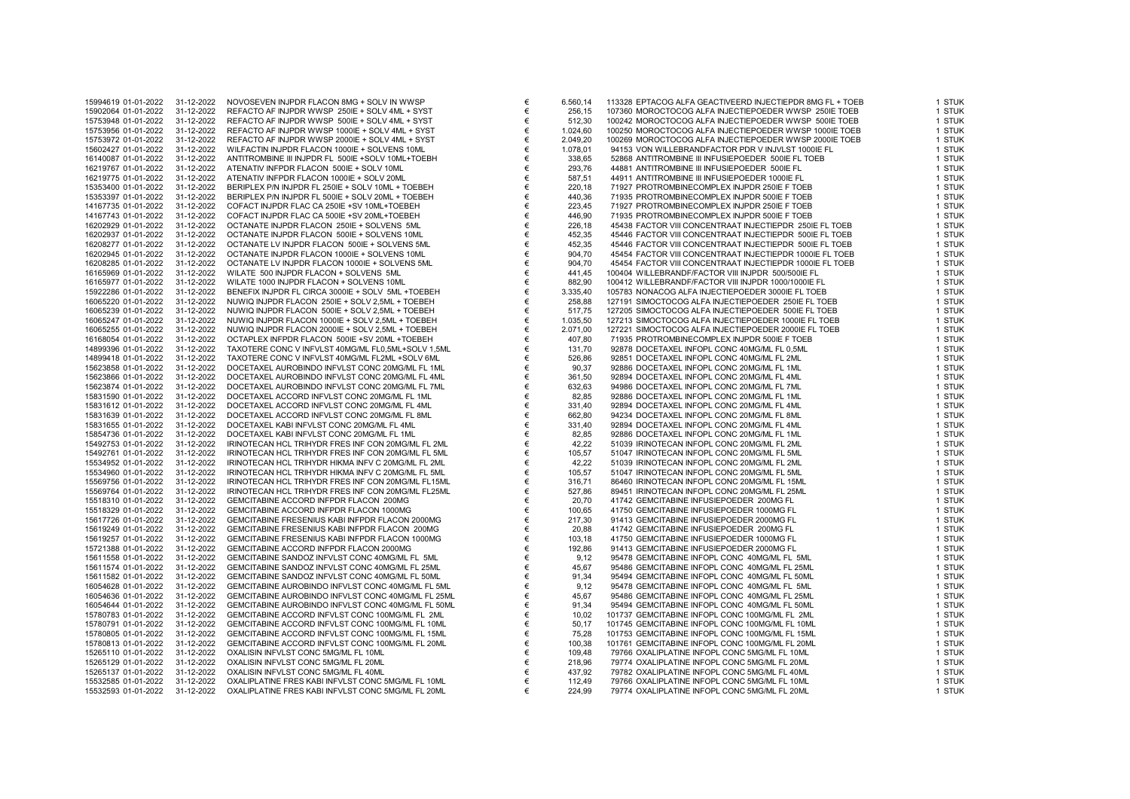| 15994619 01-01-2022 | 31-12-2022               | NOVOSEVEN INJPDR FLACON 8MG + SOLV IN WWSP                                                 | €      | 6.560,14 | 113328 EPTACOG ALFA GEACTIVEERD INJECTIEPDR 8MG FL + TOEB                                      | 1 STUK           |
|---------------------|--------------------------|--------------------------------------------------------------------------------------------|--------|----------|------------------------------------------------------------------------------------------------|------------------|
| 15902064 01-01-2022 | 31-12-2022               | REFACTO AF INJPDR WWSP 250IE + SOLV 4ML + SYST                                             | €      | 256,15   | 107360 MOROCTOCOG ALFA INJECTIEPOEDER WWSP 250IE TOEB                                          | 1 STUK           |
| 15753948 01-01-2022 | 31-12-2022               | REFACTO AF INJPDR WWSP 500IE + SOLV 4ML + SYST                                             | $\in$  | 512,30   | 100242 MOROCTOCOG ALFA INJECTIEPOEDER WWSP 500IE TOEB                                          | 1 STUK           |
| 15753956 01-01-2022 | 31-12-2022               | REFACTO AF INJPDR WWSP 1000IE + SOLV 4ML + SYST                                            | €      | 1.024,60 | 100250 MOROCTOCOG ALFA INJECTIEPOEDER WWSP 1000IE TOEB                                         | 1 STUK           |
| 15753972 01-01-2022 | 31-12-2022               | REFACTO AF INJPDR WWSP 2000IE + SOLV 4ML + SYST                                            | €      | 2.049,20 | 100269 MOROCTOCOG ALFA INJECTIEPOEDER WWSP 2000IE TOEB                                         | 1 STUK           |
| 15602427 01-01-2022 | 31-12-2022               | WILFACTIN INJPDR FLACON 1000IE + SOLVENS 10ML                                              | €      | 1.078,01 | 94153 VON WILLEBRANDFACTOR PDR V INJVLST 1000IE FL                                             | 1 STUK           |
| 16140087 01-01-2022 | 31-12-2022               | ANTITROMBINE III INJPDR FL 500IE +SOLV 10ML+TOEBH                                          | €      | 338,65   | 52868 ANTITROMBINE III INFUSIEPOEDER 500IE FL TOEB                                             | 1 STUK           |
| 16219767 01-01-2022 | 31-12-2022               | ATENATIV INFPDR FLACON 500IE + SOLV 10ML                                                   | €      | 293,76   | 44881 ANTITROMBINE III INFUSIEPOEDER 500IE FL                                                  | 1 STUK           |
| 16219775 01-01-2022 | 31-12-2022               | ATENATIV INFPDR FLACON 1000IE + SOLV 20ML                                                  | €      | 587,51   | 44911 ANTITROMBINE III INFUSIEPOEDER 1000IE FL                                                 | 1 STUK           |
| 15353400 01-01-2022 | 31-12-2022               | BERIPLEX P/N INJPDR FL 250IE + SOLV 10ML + TOEBEH                                          | €      | 220,18   | 71927 PROTROMBINECOMPLEX INJPDR 250IE F TOEB                                                   | 1 STUK           |
| 15353397 01-01-2022 | 31-12-2022               | BERIPLEX P/N INJPDR FL 500IE + SOLV 20ML + TOEBEH                                          | €      | 440,36   | 71935 PROTROMBINECOMPLEX INJPDR 500IE F TOEB                                                   | 1 STUK           |
| 14167735 01-01-2022 | 31-12-2022               | COFACT INJPDR FLAC CA 250IE +SV 10ML+TOEBEH                                                | €      | 223,45   | 71927 PROTROMBINECOMPLEX INJPDR 250IE F TOEB                                                   | 1 STUK           |
| 14167743 01-01-2022 | 31-12-2022               | COFACT INJPDR FLAC CA 500IE +SV 20ML+TOEBEH                                                | €      | 446,90   | 71935 PROTROMBINECOMPLEX INJPDR 500IE F TOEB                                                   | 1 STUK           |
| 16202929 01-01-2022 | 31-12-2022               | OCTANATE INJPDR FLACON 250IE + SOLVENS 5ML                                                 | €      | 226,18   | 45438 FACTOR VIII CONCENTRAAT INJECTIEPDR 250IE FL TOEB                                        | 1 STUK           |
| 16202937 01-01-2022 | 31-12-2022               | OCTANATE INJPDR FLACON 500IE + SOLVENS 10ML                                                | €      | 452,35   | 45446 FACTOR VIII CONCENTRAAT INJECTIEPDR 500IE FL TOEB                                        | 1 STUK           |
| 16208277 01-01-2022 | 31-12-2022               | OCTANATE LV INJPDR FLACON 500IE + SOLVENS 5ML                                              | €      | 452,35   | 45446 FACTOR VIII CONCENTRAAT INJECTIEPDR 500IE FL TOEB                                        | 1 STUK           |
| 16202945 01-01-2022 | 31-12-2022               | OCTANATE INJPDR FLACON 1000IE + SOLVENS 10ML                                               | €      | 904,70   | 45454 FACTOR VIII CONCENTRAAT INJECTIEPDR 1000IE FL TOEB                                       | 1 STUK           |
| 16208285 01-01-2022 | 31-12-2022               | OCTANATE LV INJPDR FLACON 1000IE + SOLVENS 5ML                                             | €      | 904,70   | 45454 FACTOR VIII CONCENTRAAT INJECTIEPDR 1000IE FL TOEB                                       | 1 STUK           |
| 16165969 01-01-2022 | 31-12-2022               | WILATE 500 INJPDR FLACON + SOLVENS 5ML                                                     | €      | 441,45   | 100404 WILLEBRANDF/FACTOR VIII INJPDR 500/500IE FL                                             | 1 STUK           |
| 16165977 01-01-2022 | 31-12-2022               | WILATE 1000 INJPDR FLACON + SOLVENS 10ML                                                   | €      | 882,90   | 100412 WILLEBRANDF/FACTOR VIII INJPDR 1000/1000IE FL                                           | 1 STUK           |
| 15922286 01-01-2022 | 31-12-2022               | BENEFIX INJPDR FL CIRCA 3000IE + SOLV 5ML +TOEBEH                                          | €      | 3.335,40 | 105783 NONACOG ALFA INJECTIEPOEDER 3000IE FL TOEB                                              | 1 STUK           |
| 16065220 01-01-2022 | 31-12-2022               | NUWIQ INJPDR FLACON 250IE + SOLV 2,5ML + TOEBEH                                            | €      | 258,88   | 127191 SIMOCTOCOG ALFA INJECTIEPOEDER 250IE FL TOEB                                            | 1 STUK           |
| 16065239 01-01-2022 | 31-12-2022               | NUWIQ INJPDR FLACON 500IE + SOLV 2,5ML + TOEBEH                                            | €      | 517,75   | 127205 SIMOCTOCOG ALFA INJECTIEPOEDER 500IE FL TOEB                                            | 1 STUK           |
| 16065247 01-01-2022 | 31-12-2022               | NUWIQ INJPDR FLACON 1000IE + SOLV 2,5ML + TOEBEH                                           | €      | 1.035,50 | 127213 SIMOCTOCOG ALFA INJECTIEPOEDER 1000IE FL TOEB                                           | 1 STUK           |
| 16065255 01-01-2022 | 31-12-2022               | NUWIQ INJPDR FLACON 2000IE + SOLV 2,5ML + TOEBEH                                           | €      | 2.071,00 | 127221 SIMOCTOCOG ALFA INJECTIEPOEDER 2000IE FL TOEB                                           | 1 STUK           |
| 16168054 01-01-2022 | 31-12-2022               | OCTAPLEX INFPDR FLACON 500IE +SV 20ML +TOEBEH                                              | €      | 407,80   | 71935 PROTROMBINECOMPLEX INJPDR 500IE F TOEB                                                   | 1 STUK           |
| 14899396 01-01-2022 | 31-12-2022               | TAXOTERE CONC V INFVLST 40MG/ML FL0,5ML+SOLV 1,5ML                                         | €      | 131,70   | 92878 DOCETAXEL INFOPL CONC 40MG/ML FL 0,5ML                                                   | 1 STUK           |
| 14899418 01-01-2022 | 31-12-2022               | TAXOTERE CONC V INFVLST 40MG/ML FL2ML +SOLV 6ML                                            | €      | 526,86   | 92851 DOCETAXEL INFOPL CONC 40MG/ML FL 2ML                                                     | 1 STUK           |
| 15623858 01-01-2022 | 31-12-2022               | DOCETAXEL AUROBINDO INFVLST CONC 20MG/ML FL 1ML                                            | €      | 90,37    | 92886 DOCETAXEL INFOPL CONC 20MG/ML FL 1ML                                                     | 1 STUK           |
| 15623866 01-01-2022 | 31-12-2022               | DOCETAXEL AUROBINDO INFVLST CONC 20MG/ML FL 4ML                                            | €      | 361,50   | 92894 DOCETAXEL INFOPL CONC 20MG/ML FL 4ML                                                     | 1 STUK           |
| 15623874 01-01-2022 | 31-12-2022               | DOCETAXEL AUROBINDO INFVLST CONC 20MG/ML FL 7ML                                            | €      | 632,63   | 94986 DOCETAXEL INFOPL CONC 20MG/ML FL 7ML                                                     | 1 STUK           |
| 15831590 01-01-2022 | 31-12-2022               | DOCETAXEL ACCORD INFVLST CONC 20MG/ML FL 1ML                                               | €      | 82,85    | 92886 DOCETAXEL INFOPL CONC 20MG/ML FL 1ML                                                     | 1 STUK           |
| 15831612 01-01-2022 | 31-12-2022               | DOCETAXEL ACCORD INFVLST CONC 20MG/ML FL 4ML                                               | €      | 331,40   | 92894 DOCETAXEL INFOPL CONC 20MG/ML FL 4ML                                                     | 1 STUK           |
| 15831639 01-01-2022 | 31-12-2022               | DOCETAXEL ACCORD INFVLST CONC 20MG/ML FL 8ML                                               | €      | 662,80   | 94234 DOCETAXEL INFOPL CONC 20MG/ML FL 8ML                                                     | 1 STUK           |
| 15831655 01-01-2022 | 31-12-2022               | DOCETAXEL KABI INFVLST CONC 20MG/ML FL 4ML                                                 | €      | 331,40   | 92894 DOCETAXEL INFOPL CONC 20MG/ML FL 4ML                                                     | 1 STUK           |
| 15854736 01-01-2022 | 31-12-2022               | DOCETAXEL KABI INFVLST CONC 20MG/ML FL 1ML                                                 | €      | 82,85    | 92886 DOCETAXEL INFOPL CONC 20MG/ML FL 1ML                                                     | 1 STUK           |
| 15492753 01-01-2022 | 31-12-2022               | IRINOTECAN HCL TRIHYDR FRES INF CON 20MG/ML FL 2ML                                         | €      | 42,22    | 51039 IRINOTECAN INFOPL CONC 20MG/ML FL 2ML                                                    | 1 STUK           |
| 15492761 01-01-2022 | 31-12-2022               | IRINOTECAN HCL TRIHYDR FRES INF CON 20MG/ML FL 5ML                                         | €      | 105,57   | 51047 IRINOTECAN INFOPL CONC 20MG/ML FL 5ML                                                    | 1 STUK           |
| 15534952 01-01-2022 | 31-12-2022               | IRINOTECAN HCL TRIHYDR HIKMA INFV C 20MG/ML FL 2ML                                         | €      | 42,22    | 51039 IRINOTECAN INFOPL CONC 20MG/ML FL 2ML                                                    | 1 STUK           |
| 15534960 01-01-2022 | 31-12-2022               | IRINOTECAN HCL TRIHYDR HIKMA INFV C 20MG/ML FL 5ML                                         | €      | 105,57   | 51047 IRINOTECAN INFOPL CONC 20MG/ML FL 5ML                                                    | 1 STUK           |
| 15569756 01-01-2022 | 31-12-2022               | IRINOTECAN HCL TRIHYDR FRES INF CON 20MG/ML FL15ML                                         | €      | 316,71   | 86460 IRINOTECAN INFOPL CONC 20MG/ML FL 15ML                                                   | 1 STUK           |
| 15569764 01-01-2022 | 31-12-2022               | IRINOTECAN HCL TRIHYDR FRES INF CON 20MG/ML FL25ML                                         | €      | 527,86   | 89451 IRINOTECAN INFOPL CONC 20MG/ML FL 25ML                                                   | 1 STUK           |
| 15518310 01-01-2022 | 31-12-2022               | GEMCITABINE ACCORD INFPDR FLACON 200MG                                                     | €      | 20,70    | 41742 GEMCITABINE INFUSIEPOEDER 200MG FL                                                       | 1 STUK           |
| 15518329 01-01-2022 | 31-12-2022               | GEMCITABINE ACCORD INFPDR FLACON 1000MG                                                    | €      | 100,65   | 41750 GEMCITABINE INFUSIEPOEDER 1000MG FL                                                      | 1 STUK           |
| 15617726 01-01-2022 | 31-12-2022               | GEMCITABINE FRESENIUS KABI INFPDR FLACON 2000MG                                            | €      | 217,30   | 91413 GEMCITABINE INFUSIEPOEDER 2000MG FL                                                      | 1 STUK           |
| 15619249 01-01-2022 | 31-12-2022               | GEMCITABINE FRESENIUS KABI INFPDR FLACON 200MG                                             | €      | 20,88    | 41742 GEMCITABINE INFUSIEPOEDER 200MG FL                                                       | 1 STUK           |
| 15619257 01-01-2022 | 31-12-2022               | GEMCITABINE FRESENIUS KABI INFPDR FLACON 1000MG                                            | €      | 103,18   | 41750 GEMCITABINE INFUSIEPOEDER 1000MG FL                                                      | 1 STUK           |
| 15721388 01-01-2022 | 31-12-2022               | GEMCITABINE ACCORD INFPDR FLACON 2000MG                                                    | €      | 192,86   | 91413 GEMCITABINE INFUSIEPOEDER 2000MG FL                                                      | 1 STUK           |
| 15611558 01-01-2022 | 31-12-2022               | GEMCITABINE SANDOZ INFVLST CONC 40MG/ML FL 5ML                                             | €      | 9,12     | 95478 GEMCITABINE INFOPL CONC 40MG/ML FL 5ML                                                   | 1 STUK           |
| 15611574 01-01-2022 | 31-12-2022               | GEMCITABINE SANDOZ INFVLST CONC 40MG/ML FL 25ML                                            | €      | 45,67    | 95486 GEMCITABINE INFOPL CONC 40MG/ML FL 25ML                                                  | 1 STUK           |
| 15611582 01-01-2022 | 31-12-2022               | GEMCITABINE SANDOZ INFVLST CONC 40MG/ML FL 50ML                                            | €      | 91,34    | 95494 GEMCITABINE INFOPL CONC 40MG/ML FL 50ML                                                  | 1 STUK           |
| 16054628 01-01-2022 | 31-12-2022               | GEMCITABINE AUROBINDO INFVLST CONC 40MG/ML FL 5ML                                          | €      | 9,12     | 95478 GEMCITABINE INFOPL CONC 40MG/ML FL 5ML                                                   | 1 STUK           |
| 16054636 01-01-2022 | 31-12-2022               | GEMCITABINE AUROBINDO INFVLST CONC 40MG/ML FL 25ML                                         | €      | 45,67    | 95486 GEMCITABINE INFOPL CONC 40MG/ML FL 25ML                                                  | 1 STUK           |
| 16054644 01-01-2022 | 31-12-2022               | GEMCITABINE AUROBINDO INFVLST CONC 40MG/ML FL 50ML                                         | €      | 91,34    | 95494 GEMCITABINE INFOPL CONC 40MG/ML FL 50ML                                                  | 1 STUK           |
| 15780783 01-01-2022 | 31-12-2022               | GEMCITABINE ACCORD INFVLST CONC 100MG/ML FL 2ML                                            | €      | 10,02    | 101737 GEMCITABINE INFOPL CONC 100MG/ML FL 2ML                                                 | 1 STUK           |
| 15780791 01-01-2022 | 31-12-2022               | GEMCITABINE ACCORD INFVLST CONC 100MG/ML FL 10ML                                           | €      | 50,17    | 101745 GEMCITABINE INFOPL CONC 100MG/ML FL 10ML                                                | 1 STUK           |
| 15780805 01-01-2022 | 31-12-2022               | GEMCITABINE ACCORD INFVLST CONC 100MG/ML FL 15ML                                           | €      | 75,28    | 101753 GEMCITABINE INFOPL CONC 100MG/ML FL 15ML                                                | 1 STUK           |
| 15780813 01-01-2022 | 31-12-2022               | GEMCITABINE ACCORD INFVLST CONC 100MG/ML FL 20ML                                           | €      | 100,38   | 101761 GEMCITABINE INFOPL CONC 100MG/ML FL 20ML                                                | 1 STUK           |
| 15265110 01-01-2022 | 31-12-2022               | OXALISIN INFVLST CONC 5MG/ML FL 10ML                                                       | €      | 109,48   | 79766 OXALIPLATINE INFOPL CONC 5MG/ML FL 10ML                                                  | 1 STUK           |
|                     |                          | OXALISIN INFVLST CONC 5MG/ML FL 20ML                                                       | €      |          | 79774 OXALIPLATINE INFOPL CONC 5MG/ML FL 20ML                                                  | 1 STUK           |
| 15265129 01-01-2022 | 31-12-2022               |                                                                                            |        | 218,96   |                                                                                                |                  |
| 15265137 01-01-2022 | 31-12-2022<br>31-12-2022 | OXALISIN INFVLST CONC 5MG/ML FL 40ML<br>OXALIPLATINE FRES KABI INFVLST CONC 5MG/ML FL 10ML | €<br>€ | 437,92   | 79782 OXALIPLATINE INFOPL CONC 5MG/ML FL 40ML<br>79766 OXALIPLATINE INFOPL CONC 5MG/ML FL 10ML | 1 STUK<br>1 STUK |
| 15532585 01-01-2022 |                          |                                                                                            |        | 112,49   |                                                                                                |                  |
| 15532593 01-01-2022 | 31-12-2022               | OXALIPLATINE FRES KABI INFVLST CONC 5MG/ML FL 20ML                                         | €      | 224,99   | 79774 OXALIPLATINE INFOPL CONC 5MG/ML FL 20ML                                                  | 1 STUK           |

| .560,14 | 113328 EPTACOG ALFA GEACTIVEERD INJECTIEPDR 8MG FL + TOEB | 1 STUI |
|---------|-----------------------------------------------------------|--------|
| 256,15  | 107360 MOROCTOCOG ALFA INJECTIEPOEDER WWSP 250IE TOEB     | 1 STUI |
| 512,30  | 100242 MOROCTOCOG ALFA INJECTIEPOEDER WWSP 500IE TOEB     | 1 STUI |
| .024,60 | 100250 MOROCTOCOG ALFA INJECTIEPOEDER WWSP 1000IE TOEB    | 1 STUI |
| .049,20 | 100269 MOROCTOCOG ALFA INJECTIEPOEDER WWSP 2000IE TOEB    | 1 STUI |
| .078,01 | 94153 VON WILLEBRANDFACTOR PDR V INJVLST 1000IE FL        | 1 STUI |
| 338,65  | 52868 ANTITROMBINE III INFUSIEPOEDER 500IE FL TOEB        | 1 STUI |
| 293,76  | 44881 ANTITROMBINE III INFUSIEPOEDER 500IE FL             | 1 STUI |
| 587,51  | 44911 ANTITROMBINE III INFUSIEPOEDER 1000IE FL            | 1 STUI |
| 220,18  | 71927 PROTROMBINECOMPLEX INJPDR 250IE F TOEB              | 1 STUI |
| 440,36  | 71935 PROTROMBINECOMPLEX INJPDR 500IE F TOEB              | 1 STUI |
| 223,45  | 71927 PROTROMBINECOMPLEX INJPDR 250IE F TOEB              | 1 STUI |
| 446,90  | 71935 PROTROMBINECOMPLEX INJPDR 500IE F TOEB              | 1 STUI |
| 226,18  | 45438 FACTOR VIII CONCENTRAAT INJECTIEPDR 250IE FL TOEB   | 1 STUI |
| 452,35  | 45446 FACTOR VIII CONCENTRAAT INJECTIEPDR 500IE FL TOEB   | 1 STUI |
| 452,35  | 45446 FACTOR VIII CONCENTRAAT INJECTIEPDR 500IE FL TOEB   | 1 STUI |
| 904.70  | 45454 FACTOR VIII CONCENTRAAT INJECTIEPDR 1000IE FL TOEB  | 1 STUI |
| 904,70  | 45454 FACTOR VIII CONCENTRAAT INJECTIEPDR 1000IE FL TOEB  | 1 STUI |
| 441,45  | 100404 WILLEBRANDF/FACTOR VIII INJPDR 500/500IE FL        | 1 STUI |
| 882,90  | 100412 WILLEBRANDF/FACTOR VIII INJPDR 1000/1000IE FL      | 1 STUI |
| .335,40 | 105783 NONACOG ALFA INJECTIEPOEDER 3000IE FL TOEB         | 1 STUI |
| 258,88  | 127191 SIMOCTOCOG ALFA INJECTIEPOEDER 250IE FL TOEB       | 1 STUI |
| 517,75  | 127205 SIMOCTOCOG ALFA INJECTIEPOEDER 500IE FL TOEB       | 1 STUI |
| .035,50 | 127213 SIMOCTOCOG ALFA INJECTIEPOEDER 1000IE FL TOEB      | 1 STUI |
| .071,00 | 127221 SIMOCTOCOG ALFA INJECTIEPOEDER 2000IE FL TOEB      | 1 STUI |
| 407.80  | 71935 PROTROMBINECOMPLEX INJPDR 500IE F TOEB              | 1 STUI |
| 131,70  | 92878 DOCETAXEL INFOPL CONC 40MG/ML FL 0,5ML              | 1 STUI |
| 526,86  | 92851 DOCETAXEL INFOPL CONC 40MG/ML FL 2ML                | 1 STUI |
| 90,37   | 92886 DOCETAXEL INFOPL CONC 20MG/ML FL 1ML                | 1 STUI |
| 361,50  | 92894 DOCETAXEL INFOPL CONC 20MG/ML FL 4ML                | 1 STUI |
| 632,63  | 94986 DOCETAXEL INFOPL CONC 20MG/ML FL 7ML                | 1 STUI |
| 82,85   | 92886 DOCETAXEL INFOPL CONC 20MG/ML FL 1ML                | 1 STUI |
| 331,40  | 92894 DOCETAXEL INFOPL CONC 20MG/ML FL 4ML                | 1 STUI |
| 662,80  | 94234 DOCETAXEL INFOPL CONC 20MG/ML FL 8ML                | 1 STUI |
| 331,40  | 92894 DOCETAXEL INFOPL CONC 20MG/ML FL 4ML                | 1 STUI |
| 82,85   | 92886 DOCETAXEL INFOPL CONC 20MG/ML FL 1ML                | 1 STUI |
| 42,22   | 51039 IRINOTECAN INFOPL CONC 20MG/ML FL 2ML               | 1 STUI |
| 105,57  | 51047 IRINOTECAN INFOPL CONC 20MG/ML FL 5ML               | 1 STUI |
| 42,22   | 51039 IRINOTECAN INFOPL CONC 20MG/ML FL 2ML               | 1 STUI |
| 105,57  | 51047 IRINOTECAN INFOPL CONC 20MG/ML FL 5ML               | 1 STUI |
| 316,71  | 86460 IRINOTECAN INFOPL CONC 20MG/ML FL 15ML              | 1 STUI |
| 527,86  | 89451 IRINOTECAN INFOPL CONC 20MG/ML FL 25ML              | 1 STUI |
| 20,70   | 41742 GEMCITABINE INFUSIEPOEDER 200MG FL                  | 1 STUI |
| 100,65  | 41750 GEMCITABINE INFUSIEPOEDER 1000MG FL                 | 1 STUI |
| 217,30  | 91413 GEMCITABINE INFUSIEPOEDER 2000MG FL                 | 1 STUI |
| 20,88   | 41742 GEMCITABINE INFUSIEPOEDER 200MG FL                  | 1 STUI |
| 103,18  | 41750 GEMCITABINE INFUSIEPOEDER 1000MG FL                 | 1 STUI |
| 192,86  | 91413 GEMCITABINE INFUSIEPOEDER 2000MG FL                 | 1 STUI |
| 9,12    | 95478 GEMCITABINE INFOPL CONC 40MG/ML FL 5ML              | 1 STUI |
| 45,67   | 95486 GEMCITABINE INFOPL CONC 40MG/ML FL 25ML             | 1 STUI |
| 91,34   | 95494 GEMCITABINE INFOPL CONC 40MG/ML FL 50ML             | 1 STUI |
| 9,12    | 95478 GEMCITABINE INFOPL CONC 40MG/ML FL 5ML              | 1 STUI |
| 45,67   | 95486 GEMCITABINE INFOPL CONC 40MG/ML FL 25ML             | 1 STUI |
| 91,34   | 95494 GEMCITABINE INFOPL CONC 40MG/ML FL 50ML             | 1 STUI |
| 10,02   | 101737 GEMCITABINE INFOPL CONC 100MG/ML FL 2ML            | 1 STUI |
| 50,17   | 101745 GEMCITABINE INFOPL CONC 100MG/ML FL 10ML           | 1 STUI |
| 75,28   | 101753 GEMCITABINE INFOPL CONC 100MG/ML FL 15ML           | 1 STUI |
| 100,38  | 101761 GEMCITABINE INFOPL CONC 100MG/ML FL 20ML           | 1 STUI |
| 109,48  | 79766 OXALIPLATINE INFOPL CONC 5MG/ML FL 10ML             | 1 STUI |
| 218,96  | 79774 OXALIPLATINE INFOPL CONC 5MG/ML FL 20ML             | 1 STUI |
| 437,92  | 79782 OXALIPLATINE INFOPL CONC 5MG/ML FL 40ML             | 1 STUI |
| 112,49  | 79766 OXALIPLATINE INFOPL CONC 5MG/ML FL 10ML             | 1 STUI |
| 224,99  | 79774 OXALIPLATINE INFOPL CONC 5MG/ML FL 20ML             | 1 STUI |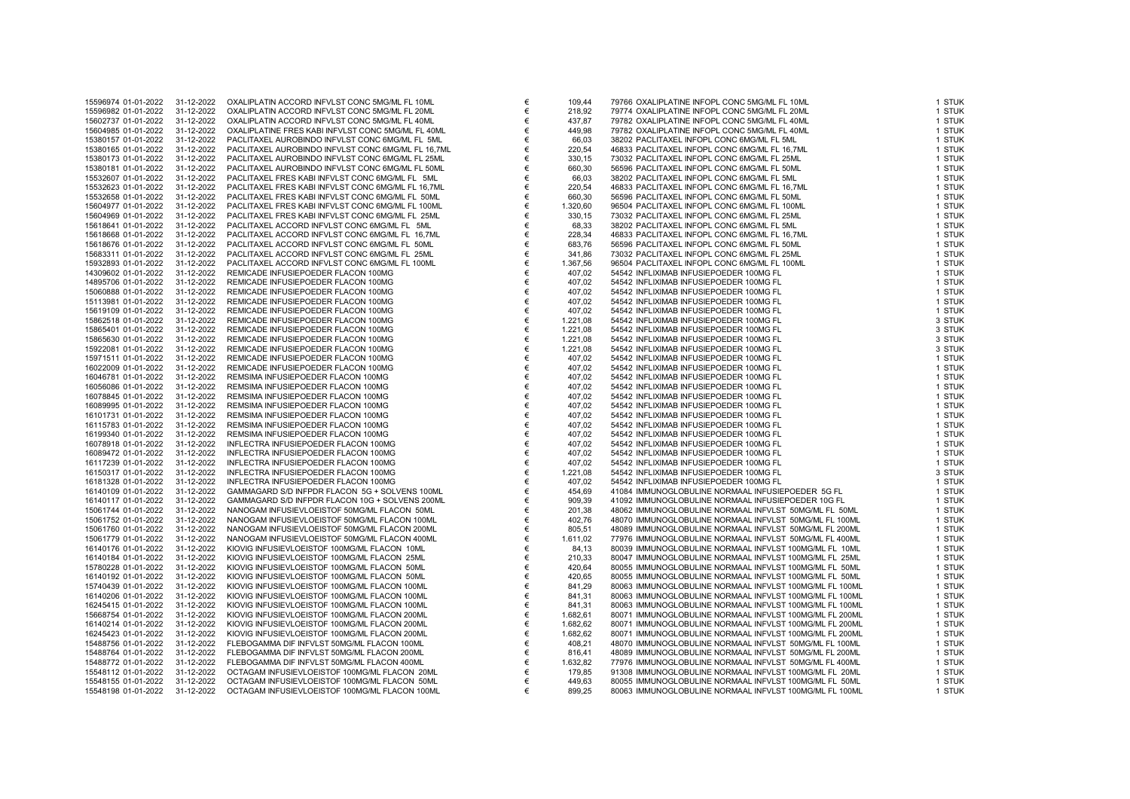| 15596974 01-01-2022 | 31-12-2022 | OXALIPLATIN ACCORD INFVLST CONC 5MG/ML FL 10ML     | €      | 109,44   | 79766 OXALIPLATINE INFOPL CONC 5MG/ML FL 10ML           | 1 STUK           |
|---------------------|------------|----------------------------------------------------|--------|----------|---------------------------------------------------------|------------------|
| 15596982 01-01-2022 | 31-12-2022 | OXALIPLATIN ACCORD INFVLST CONC 5MG/ML FL 20ML     | €      | 218,92   | 79774 OXALIPLATINE INFOPL CONC 5MG/ML FL 20ML           | 1 STUK           |
| 15602737 01-01-2022 | 31-12-2022 | OXALIPLATIN ACCORD INFVLST CONC 5MG/ML FL 40ML     | €      | 437,87   | 79782 OXALIPLATINE INFOPL CONC 5MG/ML FL 40ML           | 1 STUK           |
| 15604985 01-01-2022 | 31-12-2022 | OXALIPLATINE FRES KABI INFVLST CONC 5MG/ML FL 40ML | €      | 449,98   | 79782 OXALIPLATINE INFOPL CONC 5MG/ML FL 40ML           | 1 STUK           |
| 15380157 01-01-2022 | 31-12-2022 | PACLITAXEL AUROBINDO INFVLST CONC 6MG/ML FL 5ML    | €      | 66,03    | 38202 PACLITAXEL INFOPL CONC 6MG/ML FL 5ML              | 1 STUK           |
| 15380165 01-01-2022 | 31-12-2022 | PACLITAXEL AUROBINDO INFVLST CONC 6MG/ML FL 16,7ML | €      | 220,54   | 46833 PACLITAXEL INFOPL CONC 6MG/ML FL 16,7ML           | 1 STUK           |
| 15380173 01-01-2022 | 31-12-2022 | PACLITAXEL AUROBINDO INFVLST CONC 6MG/ML FL 25ML   | €      | 330,15   | 73032 PACLITAXEL INFOPL CONC 6MG/ML FL 25ML             | 1 STUK           |
| 15380181 01-01-2022 | 31-12-2022 | PACLITAXEL AUROBINDO INFVLST CONC 6MG/ML FL 50ML   | €      | 660,30   | 56596 PACLITAXEL INFOPL CONC 6MG/ML FL 50ML             | 1 STUK           |
| 15532607 01-01-2022 | 31-12-2022 | PACLITAXEL FRES KABI INFVLST CONC 6MG/ML FL 5ML    | €      | 66,03    | 38202 PACLITAXEL INFOPL CONC 6MG/ML FL 5ML              | 1 STUK           |
| 15532623 01-01-2022 | 31-12-2022 | PACLITAXEL FRES KABI INFVLST CONC 6MG/ML FL 16,7ML | €      | 220,54   | 46833 PACLITAXEL INFOPL CONC 6MG/ML FL 16,7ML           | 1 STUK           |
| 15532658 01-01-2022 | 31-12-2022 | PACLITAXEL FRES KABI INFVLST CONC 6MG/ML FL 50ML   | €      | 660,30   | 56596 PACLITAXEL INFOPL CONC 6MG/ML FL 50ML             | 1 STUK           |
| 15604977 01-01-2022 | 31-12-2022 | PACLITAXEL FRES KABI INFVLST CONC 6MG/ML FL 100ML  | €      | 1.320,60 | 96504 PACLITAXEL INFOPL CONC 6MG/ML FL 100ML            | 1 STUK           |
| 15604969 01-01-2022 | 31-12-2022 | PACLITAXEL FRES KABI INFVLST CONC 6MG/ML FL 25ML   | €      | 330,15   | 73032 PACLITAXEL INFOPL CONC 6MG/ML FL 25ML             | 1 STUK           |
| 15618641 01-01-2022 | 31-12-2022 | PACLITAXEL ACCORD INFVLST CONC 6MG/ML FL 5ML       | €      | 68,33    | 38202 PACLITAXEL INFOPL CONC 6MG/ML FL 5ML              | 1 STUK           |
| 15618668 01-01-2022 | 31-12-2022 | PACLITAXEL ACCORD INFVLST CONC 6MG/ML FL 16,7ML    | €      | 228,34   | 46833 PACLITAXEL INFOPL CONC 6MG/ML FL 16,7ML           | 1 STUK           |
| 15618676 01-01-2022 | 31-12-2022 | PACLITAXEL ACCORD INFVLST CONC 6MG/ML FL 50ML      | €      | 683,76   | 56596 PACLITAXEL INFOPL CONC 6MG/ML FL 50ML             | 1 STUK           |
| 15683311 01-01-2022 | 31-12-2022 | PACLITAXEL ACCORD INFVLST CONC 6MG/ML FL 25ML      | €      | 341,86   | 73032 PACLITAXEL INFOPL CONC 6MG/ML FL 25ML             | 1 STUK           |
| 15932893 01-01-2022 | 31-12-2022 | PACLITAXEL ACCORD INFVLST CONC 6MG/ML FL 100ML     | €      | 1.367,56 | 96504 PACLITAXEL INFOPL CONC 6MG/ML FL 100ML            | 1 STUK           |
| 14309602 01-01-2022 | 31-12-2022 | REMICADE INFUSIEPOEDER FLACON 100MG                | €      | 407,02   | 54542 INFLIXIMAB INFUSIEPOEDER 100MG FL                 | 1 STUK           |
| 14895706 01-01-2022 | 31-12-2022 | REMICADE INFUSIEPOEDER FLACON 100MG                | €      | 407,02   | 54542 INFLIXIMAB INFUSIEPOEDER 100MG FL                 | 1 STUK           |
| 15060888 01-01-2022 | 31-12-2022 | REMICADE INFUSIEPOEDER FLACON 100MG                | €      | 407,02   | 54542 INFLIXIMAB INFUSIEPOEDER 100MG FL                 | 1 STUK           |
| 15113981 01-01-2022 | 31-12-2022 | REMICADE INFUSIEPOEDER FLACON 100MG                | €      | 407,02   | 54542 INFLIXIMAB INFUSIEPOEDER 100MG FL                 | 1 STUK           |
| 15619109 01-01-2022 | 31-12-2022 | REMICADE INFUSIEPOEDER FLACON 100MG                | €      | 407,02   | 54542 INFLIXIMAB INFUSIEPOEDER 100MG FL                 | 1 STUK           |
| 15862518 01-01-2022 | 31-12-2022 | REMICADE INFUSIEPOEDER FLACON 100MG                | €      | 1.221,08 | 54542 INFLIXIMAB INFUSIEPOEDER 100MG FL                 | 3 STUK           |
| 15865401 01-01-2022 | 31-12-2022 | REMICADE INFUSIEPOEDER FLACON 100MG                | €      | 1.221,08 | 54542 INFLIXIMAB INFUSIEPOEDER 100MG FL                 | 3 STUK           |
| 15865630 01-01-2022 | 31-12-2022 | REMICADE INFUSIEPOEDER FLACON 100MG                | €      | 1.221,08 | 54542 INFLIXIMAB INFUSIEPOEDER 100MG FL                 | 3 STUK           |
| 15922081 01-01-2022 | 31-12-2022 | REMICADE INFUSIEPOEDER FLACON 100MG                | €      | 1.221,08 | 54542 INFLIXIMAB INFUSIEPOEDER 100MG FL                 | 3 STUK           |
| 15971511 01-01-2022 | 31-12-2022 | REMICADE INFUSIEPOEDER FLACON 100MG                | €      | 407,02   | 54542 INFLIXIMAB INFUSIEPOEDER 100MG FL                 | 1 STUK           |
| 16022009 01-01-2022 | 31-12-2022 | REMICADE INFUSIEPOEDER FLACON 100MG                | €      | 407,02   | 54542 INFLIXIMAB INFUSIEPOEDER 100MG FL                 | 1 STUK           |
| 16046781 01-01-2022 | 31-12-2022 | REMSIMA INFUSIEPOEDER FLACON 100MG                 | €      | 407,02   | 54542 INFLIXIMAB INFUSIEPOEDER 100MG FL                 | 1 STUK           |
| 16056086 01-01-2022 | 31-12-2022 | REMSIMA INFUSIEPOEDER FLACON 100MG                 | €      | 407,02   | 54542 INFLIXIMAB INFUSIEPOEDER 100MG FL                 | 1 STUK           |
| 16078845 01-01-2022 | 31-12-2022 | REMSIMA INFUSIEPOEDER FLACON 100MG                 | €      | 407,02   | 54542 INFLIXIMAB INFUSIEPOEDER 100MG FL                 | 1 STUK           |
| 16089995 01-01-2022 | 31-12-2022 | REMSIMA INFUSIEPOEDER FLACON 100MG                 | €      | 407,02   | 54542 INFLIXIMAB INFUSIEPOEDER 100MG FL                 | 1 STUK           |
| 16101731 01-01-2022 | 31-12-2022 | REMSIMA INFUSIEPOEDER FLACON 100MG                 | €      | 407,02   | 54542 INFLIXIMAB INFUSIEPOEDER 100MG FL                 | 1 STUK           |
| 16115783 01-01-2022 | 31-12-2022 | REMSIMA INFUSIEPOEDER FLACON 100MG                 | €      | 407,02   | 54542 INFLIXIMAB INFUSIEPOEDER 100MG FL                 | 1 STUK           |
| 16199340 01-01-2022 | 31-12-2022 | REMSIMA INFUSIEPOEDER FLACON 100MG                 | €      | 407,02   | 54542 INFLIXIMAB INFUSIEPOEDER 100MG FL                 | 1 STUK           |
| 16078918 01-01-2022 | 31-12-2022 | INFLECTRA INFUSIEPOEDER FLACON 100MG               | €      | 407,02   | 54542 INFLIXIMAB INFUSIEPOEDER 100MG FL                 | 1 STUK           |
| 16089472 01-01-2022 | 31-12-2022 | INFLECTRA INFUSIEPOEDER FLACON 100MG               | €      | 407,02   | 54542 INFLIXIMAB INFUSIEPOEDER 100MG FL                 | 1 STUK           |
| 16117239 01-01-2022 | 31-12-2022 | INFLECTRA INFUSIEPOEDER FLACON 100MG               | €      | 407,02   | 54542 INFLIXIMAB INFUSIEPOEDER 100MG FL                 | 1 STUK           |
| 16150317 01-01-2022 | 31-12-2022 | INFLECTRA INFUSIEPOEDER FLACON 100MG               | €      | 1.221,08 | 54542 INFLIXIMAB INFUSIEPOEDER 100MG FL                 | 3 STUK           |
| 16181328 01-01-2022 | 31-12-2022 | INFLECTRA INFUSIEPOEDER FLACON 100MG               | €      | 407,02   | 54542 INFLIXIMAB INFUSIEPOEDER 100MG FL                 | 1 STUK           |
| 16140109 01-01-2022 | 31-12-2022 | GAMMAGARD S/D INFPDR FLACON 5G + SOLVENS 100ML     | €      | 454,69   | 41084 IMMUNOGLOBULINE NORMAAL INFUSIEPOEDER 5G FL       | 1 STUK           |
| 16140117 01-01-2022 | 31-12-2022 | GAMMAGARD S/D INFPDR FLACON 10G + SOLVENS 200ML    | €      | 909,39   | 41092 IMMUNOGLOBULINE NORMAAL INFUSIEPOEDER 10G FL      | 1 STUK           |
| 15061744 01-01-2022 | 31-12-2022 | NANOGAM INFUSIEVLOEISTOF 50MG/ML FLACON 50ML       | €      | 201,38   | 48062 IMMUNOGLOBULINE NORMAAL INFVLST 50MG/ML FL 50ML   | 1 STUK           |
| 15061752 01-01-2022 | 31-12-2022 | NANOGAM INFUSIEVLOEISTOF 50MG/ML FLACON 100ML      | €      | 402,76   | 48070 IMMUNOGLOBULINE NORMAAL INFVLST 50MG/ML FL 100ML  | 1 STUK           |
| 15061760 01-01-2022 | 31-12-2022 | NANOGAM INFUSIEVLOEISTOF 50MG/ML FLACON 200ML      | €      | 805,51   | 48089 IMMUNOGLOBULINE NORMAAL INFVLST 50MG/ML FL 200ML  | 1 STUK           |
| 15061779 01-01-2022 | 31-12-2022 | NANOGAM INFUSIEVLOEISTOF 50MG/ML FLACON 400ML      | €      | 1.611,02 | 77976 IMMUNOGLOBULINE NORMAAL INFVLST 50MG/ML FL 400ML  | 1 STUK           |
| 16140176 01-01-2022 | 31-12-2022 | KIOVIG INFUSIEVLOEISTOF 100MG/ML FLACON 10ML       | €      | 84,13    | 80039 IMMUNOGLOBULINE NORMAAL INFVLST 100MG/ML FL 10ML  | 1 STUK           |
| 16140184 01-01-2022 | 31-12-2022 | KIOVIG INFUSIEVLOEISTOF 100MG/ML FLACON 25ML       | €      | 210,33   | 80047 IMMUNOGLOBULINE NORMAAL INFVLST 100MG/ML FL 25ML  | 1 STUK           |
| 15780228 01-01-2022 | 31-12-2022 | KIOVIG INFUSIEVLOEISTOF 100MG/ML FLACON 50ML       | €      | 420,64   | 80055 IMMUNOGLOBULINE NORMAAL INFVLST 100MG/ML FL 50ML  | 1 STUK           |
| 16140192 01-01-2022 | 31-12-2022 | KIOVIG INFUSIEVLOEISTOF 100MG/ML FLACON 50ML       | €      | 420,65   | 80055 IMMUNOGLOBULINE NORMAAL INFVLST 100MG/ML FL 50ML  | 1 STUK           |
| 15740439 01-01-2022 | 31-12-2022 | KIOVIG INFUSIEVLOEISTOF 100MG/ML FLACON 100ML      | €      | 841,29   | 80063 IMMUNOGLOBULINE NORMAAL INFVLST 100MG/ML FL 100ML | 1 STUK           |
|                     |            |                                                    | €      | 841,31   |                                                         | 1 STUK           |
| 16140206 01-01-2022 | 31-12-2022 | KIOVIG INFUSIEVLOEISTOF 100MG/ML FLACON 100ML      |        |          | 80063 IMMUNOGLOBULINE NORMAAL INFVLST 100MG/ML FL 100ML |                  |
| 16245415 01-01-2022 | 31-12-2022 | KIOVIG INFUSIEVLOEISTOF 100MG/ML FLACON 100ML      | €      | 841,31   | 80063 IMMUNOGLOBULINE NORMAAL INFVLST 100MG/ML FL 100ML | 1 STUK<br>1 STUK |
| 15668754 01-01-2022 | 31-12-2022 | KIOVIG INFUSIEVLOEISTOF 100MG/ML FLACON 200ML      | €      | 1.682,61 | 80071 IMMUNOGLOBULINE NORMAAL INFVLST 100MG/ML FL 200ML |                  |
| 16140214 01-01-2022 | 31-12-2022 | KIOVIG INFUSIEVLOEISTOF 100MG/ML FLACON 200ML      | €<br>€ | 1.682,62 | 80071 IMMUNOGLOBULINE NORMAAL INFVLST 100MG/ML FL 200ML | 1 STUK           |
| 16245423 01-01-2022 | 31-12-2022 | KIOVIG INFUSIEVLOEISTOF 100MG/ML FLACON 200ML      |        | 1.682,62 | 80071 IMMUNOGLOBULINE NORMAAL INFVLST 100MG/ML FL 200ML | 1 STUK           |
| 15488756 01-01-2022 | 31-12-2022 | FLEBOGAMMA DIF INFVLST 50MG/ML FLACON 100ML        | €      | 408,21   | 48070 IMMUNOGLOBULINE NORMAAL INFVLST 50MG/ML FL 100ML  | 1 STUK           |
| 15488764 01-01-2022 | 31-12-2022 | FLEBOGAMMA DIF INFVLST 50MG/ML FLACON 200ML        | €      | 816,41   | 48089 IMMUNOGLOBULINE NORMAAL INFVLST 50MG/ML FL 200ML  | 1 STUK           |
| 15488772 01-01-2022 | 31-12-2022 | FLEBOGAMMA DIF INFVLST 50MG/ML FLACON 400ML        | €      | 1.632,82 | 77976 IMMUNOGLOBULINE NORMAAL INFVLST 50MG/ML FL 400ML  | 1 STUK           |
| 15548112 01-01-2022 | 31-12-2022 | OCTAGAM INFUSIEVLOEISTOF 100MG/ML FLACON 20ML      | €      | 179,85   | 91308 IMMUNOGLOBULINE NORMAAL INFVLST 100MG/ML FL 20ML  | 1 STUK           |
| 15548155 01-01-2022 | 31-12-2022 | OCTAGAM INFUSIEVLOEISTOF 100MG/ML FLACON 50ML      | €      | 449,63   | 80055 IMMUNOGLOBULINE NORMAAL INFVLST 100MG/ML FL 50ML  | 1 STUK           |
| 15548198 01-01-2022 | 31-12-2022 | OCTAGAM INFUSIEVLOEISTOF 100MG/ML FLACON 100ML     | €      | 899,25   | 80063 IMMUNOGLOBULINE NORMAAL INFVLST 100MG/ML FL 100ML | 1 STUK           |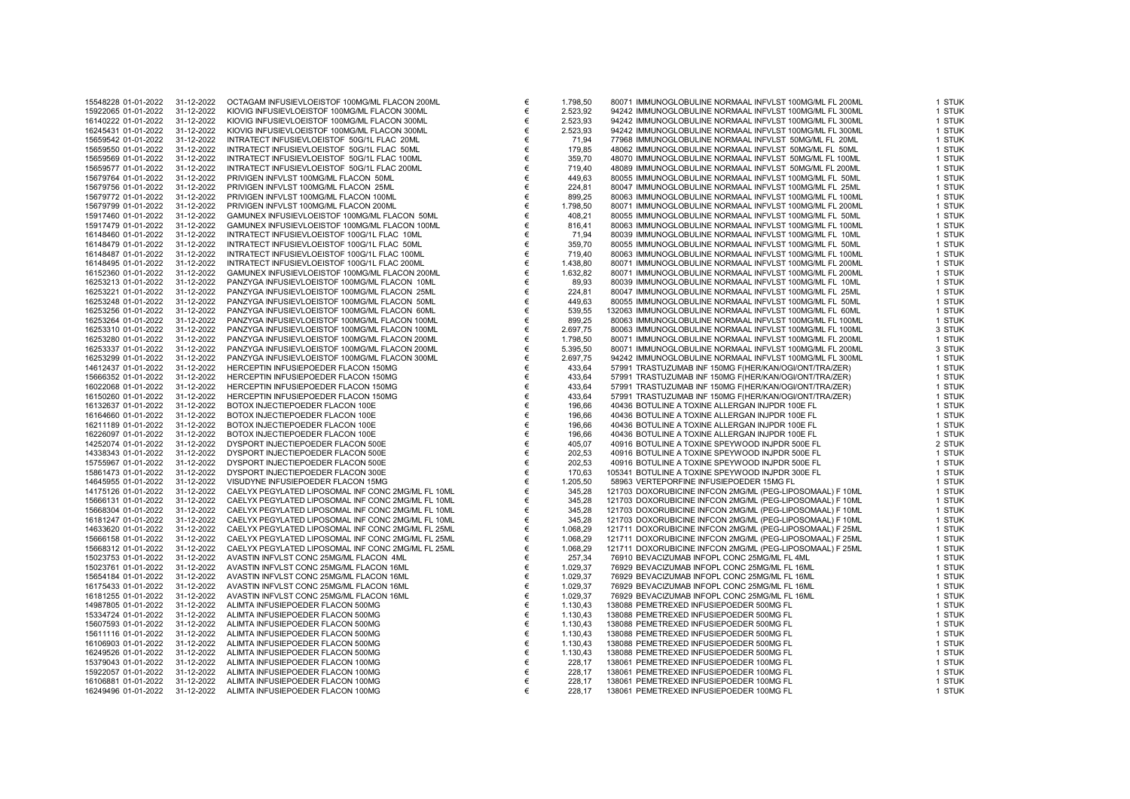| 19979229 91 91 2922<br>15922065 01-01-2022 | U : 14 4044<br>31-12-2022 | 00 17 107 111 11 11 100 12 12 22 13 13 13 14<br>1991119/1116 1 6/19911 499116<br>KIOVIG INFUSIEVLOEISTOF 100MG/ML FLACON 300ML |
|--------------------------------------------|---------------------------|--------------------------------------------------------------------------------------------------------------------------------|
| 16140222 01-01-2022                        | 31-12-2022                | KIOVIG INFUSIEVLOEISTOF 100MG/ML FLACON 300ML                                                                                  |
| 16245431 01-01-2022                        | 31-12-2022                | KIOVIG INFUSIEVLOEISTOF 100MG/ML FLACON 300ML                                                                                  |
| 15659542 01-01-2022                        | 31-12-2022                | INTRATECT INFUSIEVLOEISTOF 50G/1L FLAC 20ML                                                                                    |
| 15659550 01-01-2022                        | 31-12-2022                | INTRATECT INFUSIEVLOEISTOF 50G/1L FLAC 50ML                                                                                    |
| 15659569 01-01-2022                        | 31-12-2022                | INTRATECT INFUSIEVLOEISTOF 50G/1L FLAC 100ML                                                                                   |
| 15659577 01-01-2022                        | 31-12-2022                | INTRATECT INFUSIEVLOEISTOF 50G/1L FLAC 200ML                                                                                   |
| 15679764 01-01-2022                        | 31-12-2022                | PRIVIGEN INFVLST 100MG/ML FLACON 50ML                                                                                          |
| 15679756 01-01-2022                        | 31-12-2022                | PRIVIGEN INFVLST 100MG/ML FLACON 25ML                                                                                          |
| 15679772 01-01-2022                        | 31-12-2022                | PRIVIGEN INFVLST 100MG/ML FLACON 100ML                                                                                         |
| 15679799 01-01-2022                        | 31-12-2022                | PRIVIGEN INFVLST 100MG/ML FLACON 200ML                                                                                         |
| 15917460 01-01-2022                        | 31-12-2022                | GAMUNEX INFUSIEVLOEISTOF 100MG/ML FLACON 50ML                                                                                  |
| 15917479 01-01-2022                        | 31-12-2022                | GAMUNEX INFUSIEVLOEISTOF 100MG/ML FLACON 100ML                                                                                 |
| 16148460 01-01-2022                        | 31-12-2022                | INTRATECT INFUSIEVLOEISTOF 100G/1L FLAC 10ML                                                                                   |
| 16148479 01-01-2022                        | 31-12-2022                | INTRATECT INFUSIEVLOEISTOF 100G/1L FLAC 50ML                                                                                   |
| 16148487 01-01-2022                        | 31-12-2022                | INTRATECT INFUSIEVLOEISTOF 100G/1L FLAC 100ML                                                                                  |
| 16148495 01-01-2022                        | 31-12-2022                | INTRATECT INFUSIEVLOEISTOF 100G/1L FLAC 200ML                                                                                  |
| 16152360 01-01-2022                        | 31-12-2022                | GAMUNEX INFUSIEVLOEISTOF 100MG/ML FLACON 200ML                                                                                 |
| 16253213 01-01-2022                        | 31-12-2022                | PANZYGA INFUSIEVLOEISTOF 100MG/ML FLACON 10ML                                                                                  |
| 16253221 01-01-2022                        | 31-12-2022                | PANZYGA INFUSIEVLOEISTOF 100MG/ML FLACON 25ML                                                                                  |
| 16253248 01-01-2022                        | 31-12-2022                | PANZYGA INFUSIEVLOEISTOF 100MG/ML FLACON 50ML                                                                                  |
| 16253256 01-01-2022                        | 31-12-2022                | PANZYGA INFUSIEVLOEISTOF 100MG/ML FLACON 60ML                                                                                  |
| 16253264 01-01-2022                        | 31-12-2022                | PANZYGA INFUSIEVLOEISTOF 100MG/ML FLACON 100ML                                                                                 |
| 16253310 01-01-2022                        | 31-12-2022                | PANZYGA INFUSIEVLOEISTOF 100MG/ML FLACON 100ML                                                                                 |
| 16253280 01-01-2022                        | 31-12-2022                | PANZYGA INFUSIEVLOEISTOF 100MG/ML FLACON 200ML                                                                                 |
| 16253337 01-01-2022<br>16253299 01-01-2022 | 31-12-2022<br>31-12-2022  | PANZYGA INFUSIEVLOEISTOF 100MG/ML FLACON 200ML<br>PANZYGA INFUSIEVLOEISTOF 100MG/ML FLACON 300ML                               |
| 14612437 01-01-2022                        | 31-12-2022                | HERCEPTIN INFUSIEPOEDER FLACON 150MG                                                                                           |
| 15666352 01-01-2022                        | 31-12-2022                | HERCEPTIN INFUSIEPOEDER FLACON 150MG                                                                                           |
| 16022068 01-01-2022                        | 31-12-2022                | HERCEPTIN INFUSIEPOEDER FLACON 150MG                                                                                           |
| 16150260 01-01-2022                        | 31-12-2022                | HERCEPTIN INFUSIEPOEDER FLACON 150MG                                                                                           |
| 16132637 01-01-2022                        | 31-12-2022                | BOTOX INJECTIEPOEDER FLACON 100E                                                                                               |
| 16164660 01-01-2022                        | 31-12-2022                | BOTOX INJECTIEPOEDER FLACON 100E                                                                                               |
| 16211189 01-01-2022                        | 31-12-2022                | BOTOX INJECTIEPOEDER FLACON 100E                                                                                               |
| 16226097 01-01-2022                        | 31-12-2022                | BOTOX INJECTIEPOEDER FLACON 100E                                                                                               |
| 14252074 01-01-2022                        | 31-12-2022                | DYSPORT INJECTIEPOEDER FLACON 500E                                                                                             |
| 14338343 01-01-2022                        | 31-12-2022                | DYSPORT INJECTIEPOEDER FLACON 500E                                                                                             |
| 15755967 01-01-2022                        | 31-12-2022                | DYSPORT INJECTIEPOEDER FLACON 500E                                                                                             |
| 15861473 01-01-2022                        | 31-12-2022                | DYSPORT INJECTIEPOEDER FLACON 300E                                                                                             |
| 14645955 01-01-2022                        | 31-12-2022                | VISUDYNE INFUSIEPOEDER FLACON 15MG                                                                                             |
| 14175126 01-01-2022                        | 31-12-2022                | CAELYX PEGYLATED LIPOSOMAL INF CONC 2MG/ML FL 10ML                                                                             |
| 15666131 01-01-2022                        | 31-12-2022                | CAELYX PEGYLATED LIPOSOMAL INF CONC 2MG/ML FL 10ML                                                                             |
| 15668304 01-01-2022                        | 31-12-2022                | CAELYX PEGYLATED LIPOSOMAL INF CONC 2MG/ML FL 10ML                                                                             |
| 16181247 01-01-2022                        | 31-12-2022                | CAELYX PEGYLATED LIPOSOMAL INF CONC 2MG/ML FL 10ML                                                                             |
| 14633620 01-01-2022                        | 31-12-2022                | CAELYX PEGYLATED LIPOSOMAL INF CONC 2MG/ML FL 25ML<br>CAELYX PEGYLATED LIPOSOMAL INF CONC 2MG/ML FL 25ML                       |
| 15666158 01-01-2022<br>15668312 01-01-2022 | 31-12-2022<br>31-12-2022  | CAELYX PEGYLATED LIPOSOMAL INF CONC 2MG/ML FL 25ML                                                                             |
| 15023753 01-01-2022                        | 31-12-2022                | AVASTIN INFVLST CONC 25MG/ML FLACON 4ML                                                                                        |
| 15023761 01-01-2022                        | 31-12-2022                | AVASTIN INFVLST CONC 25MG/ML FLACON 16ML                                                                                       |
| 15654184 01-01-2022                        | 31-12-2022                | AVASTIN INFVLST CONC 25MG/ML FLACON 16ML                                                                                       |
| 16175433 01-01-2022                        | 31-12-2022                | AVASTIN INFVLST CONC 25MG/ML FLACON 16ML                                                                                       |
| 16181255 01-01-2022                        | 31-12-2022                | AVASTIN INFVLST CONC 25MG/ML FLACON 16ML                                                                                       |
| 14987805 01-01-2022                        | 31-12-2022                | ALIMTA INFUSIEPOEDER FLACON 500MG                                                                                              |
| 15334724 01-01-2022                        | 31-12-2022                | ALIMTA INFUSIEPOEDER FLACON 500MG                                                                                              |
| 15607593 01-01-2022                        | 31-12-2022                | ALIMTA INFUSIEPOEDER FLACON 500MG                                                                                              |
| 15611116 01-01-2022                        | 31-12-2022                | ALIMTA INFUSIEPOEDER FLACON 500MG                                                                                              |
| 16106903 01-01-2022                        | 31-12-2022                | ALIMTA INFUSIEPOEDER FLACON 500MG                                                                                              |
| 16249526 01-01-2022                        | 31-12-2022                | ALIMTA INFUSIEPOEDER FLACON 500MG                                                                                              |
| 15379043 01-01-2022                        | 31-12-2022                | ALIMTA INFUSIEPOEDER FLACON 100MG                                                                                              |
| 15922057 01-01-2022                        | 31-12-2022                | ALIMTA INFUSIEPOEDER FLACON 100MG                                                                                              |
| 16106881 01-01-2022                        | 31-12-2022                | ALIMTA INFUSIEPOEDER FLACON 100MG                                                                                              |
| 16249496 01-01-2022                        | 31-12-2022                | ALIMTA INFUSIEPOEDER FLACON 100MG                                                                                              |

| 15548228 01-01-2022 | 31-12-2022 | OCTAGAM INFUSIEVLOEISTOF 100MG/ML FLACON 200ML     | € | 1.798,50 | 80071 IMMUNOGLOBULINE NORMAAL INFVLST 100MG/ML FL 200ML   | 1 STUK |
|---------------------|------------|----------------------------------------------------|---|----------|-----------------------------------------------------------|--------|
| 15922065 01-01-2022 | 31-12-2022 | KIOVIG INFUSIEVLOEISTOF 100MG/ML FLACON 300ML      | € | 2.523,92 | 94242 IMMUNOGLOBULINE NORMAAL INFVLST 100MG/ML FL 300ML   | 1 STUK |
| 16140222 01-01-2022 | 31-12-2022 | KIOVIG INFUSIEVLOEISTOF 100MG/ML FLACON 300ML      | € | 2.523,93 | 94242 IMMUNOGLOBULINE NORMAAL INFVLST 100MG/ML FL 300ML   | 1 STUK |
| 16245431 01-01-2022 | 31-12-2022 | KIOVIG INFUSIEVLOEISTOF 100MG/ML FLACON 300ML      | € | 2.523,93 | 94242 IMMUNOGLOBULINE NORMAAL INFVLST 100MG/ML FL 300ML   | 1 STUK |
| 15659542 01-01-2022 | 31-12-2022 | INTRATECT INFUSIEVLOEISTOF 50G/1L FLAC 20ML        | € | 71,94    | 77968 IMMUNOGLOBULINE NORMAAL INFVLST 50MG/ML FL 20ML     | 1 STUK |
| 15659550 01-01-2022 | 31-12-2022 | INTRATECT INFUSIEVLOEISTOF 50G/1L FLAC 50ML        | € | 179,85   | 48062 IMMUNOGLOBULINE NORMAAL INFVLST 50MG/ML FL 50ML     | 1 STUK |
| 15659569 01-01-2022 | 31-12-2022 | INTRATECT INFUSIEVLOEISTOF 50G/1L FLAC 100ML       | € | 359,70   | 48070 IMMUNOGLOBULINE NORMAAL INFVLST 50MG/ML FL 100ML    | 1 STUK |
| 15659577 01-01-2022 | 31-12-2022 | INTRATECT INFUSIEVLOEISTOF 50G/1L FLAC 200ML       | € | 719,40   | 48089 IMMUNOGLOBULINE NORMAAL INFVLST 50MG/ML FL 200ML    | 1 STUK |
| 15679764 01-01-2022 | 31-12-2022 | PRIVIGEN INFVLST 100MG/ML FLACON 50ML              | € | 449,63   | 80055 IMMUNOGLOBULINE NORMAAL INFVLST 100MG/ML FL 50ML    | 1 STUK |
| 15679756 01-01-2022 | 31-12-2022 | PRIVIGEN INFVLST 100MG/ML FLACON 25ML              | € | 224,81   | 80047 IMMUNOGLOBULINE NORMAAL INFVLST 100MG/ML FL 25ML    | 1 STUK |
| 15679772 01-01-2022 | 31-12-2022 | PRIVIGEN INFVLST 100MG/ML FLACON 100ML             | € | 899,25   | 80063 IMMUNOGLOBULINE NORMAAL INFVLST 100MG/ML FL 100ML   | 1 STUK |
| 15679799 01-01-2022 | 31-12-2022 | PRIVIGEN INFVLST 100MG/ML FLACON 200ML             | € | 1.798,50 | 80071 IMMUNOGLOBULINE NORMAAL INFVLST 100MG/ML FL 200ML   | 1 STUK |
| 15917460 01-01-2022 | 31-12-2022 | GAMUNEX INFUSIEVLOEISTOF 100MG/ML FLACON 50ML      | € | 408,21   | 80055 IMMUNOGLOBULINE NORMAAL INFVLST 100MG/ML FL 50ML    | 1 STUK |
| 15917479 01-01-2022 | 31-12-2022 | GAMUNEX INFUSIEVLOEISTOF 100MG/ML FLACON 100ML     | € | 816.41   | 80063 IMMUNOGLOBULINE NORMAAL INFVLST 100MG/ML FL 100ML   | 1 STUK |
| 16148460 01-01-2022 | 31-12-2022 | INTRATECT INFUSIEVLOEISTOF 100G/1L FLAC 10ML       | € |          | 80039 IMMUNOGLOBULINE NORMAAL INFVLST 100MG/ML FL 10ML    | 1 STUK |
|                     |            |                                                    |   | 71,94    |                                                           |        |
| 16148479 01-01-2022 | 31-12-2022 | INTRATECT INFUSIEVLOEISTOF 100G/1L FLAC 50ML       | € | 359,70   | 80055 IMMUNOGLOBULINE NORMAAL INFVLST 100MG/ML FL 50ML    | 1 STUK |
| 16148487 01-01-2022 | 31-12-2022 | INTRATECT INFUSIEVLOEISTOF 100G/1L FLAC 100ML      | € | 719,40   | 80063 IMMUNOGLOBULINE NORMAAL INFVLST 100MG/ML FL 100ML   | 1 STUK |
| 16148495 01-01-2022 | 31-12-2022 | INTRATECT INFUSIEVLOEISTOF 100G/1L FLAC 200ML      | € | 1.438,80 | 80071 IMMUNOGLOBULINE NORMAAL INFVLST 100MG/ML FL 200ML   | 1 STUK |
| 16152360 01-01-2022 | 31-12-2022 | GAMUNEX INFUSIEVLOEISTOF 100MG/ML FLACON 200ML     | € | 1.632,82 | 80071 IMMUNOGLOBULINE NORMAAL INFVLST 100MG/ML FL 200ML   | 1 STUK |
| 16253213 01-01-2022 | 31-12-2022 | PANZYGA INFUSIEVLOEISTOF 100MG/ML FLACON 10ML      | € | 89,93    | 80039 IMMUNOGLOBULINE NORMAAL INFVLST 100MG/ML FL 10ML    | 1 STUK |
| 16253221 01-01-2022 | 31-12-2022 | PANZYGA INFUSIEVLOEISTOF 100MG/ML FLACON 25ML      | € | 224,81   | 80047 IMMUNOGLOBULINE NORMAAL INFVLST 100MG/ML FL 25ML    | 1 STUK |
| 16253248 01-01-2022 | 31-12-2022 | PANZYGA INFUSIEVLOEISTOF 100MG/ML FLACON 50ML      | € | 449,63   | 80055 IMMUNOGLOBULINE NORMAAL INFVLST 100MG/ML FL 50ML    | 1 STUK |
| 16253256 01-01-2022 | 31-12-2022 | PANZYGA INFUSIEVLOEISTOF 100MG/ML FLACON 60ML      | € | 539,55   | 132063 IMMUNOGLOBULINE NORMAAL INFVLST 100MG/ML FL 60ML   | 1 STUK |
| 16253264 01-01-2022 | 31-12-2022 | PANZYGA INFUSIEVLOEISTOF 100MG/ML FLACON 100ML     | € | 899,25   | 80063 IMMUNOGLOBULINE NORMAAL INFVLST 100MG/ML FL 100ML   | 1 STUK |
| 16253310 01-01-2022 | 31-12-2022 | PANZYGA INFUSIEVLOEISTOF 100MG/ML FLACON 100ML     | € | 2.697,75 | 80063 IMMUNOGLOBULINE NORMAAL INFVLST 100MG/ML FL 100ML   | 3 STUK |
| 16253280 01-01-2022 | 31-12-2022 | PANZYGA INFUSIEVLOEISTOF 100MG/ML FLACON 200ML     | € | 1.798,50 | 80071 IMMUNOGLOBULINE NORMAAL INFVLST 100MG/ML FL 200ML   | 1 STUK |
| 16253337 01-01-2022 | 31-12-2022 | PANZYGA INFUSIEVLOEISTOF 100MG/ML FLACON 200ML     | € | 5.395,50 | 80071 IMMUNOGLOBULINE NORMAAL INFVLST 100MG/ML FL 200ML   | 3 STUK |
| 16253299 01-01-2022 | 31-12-2022 | PANZYGA INFUSIEVLOEISTOF 100MG/ML FLACON 300ML     | € | 2.697,75 | 94242 IMMUNOGLOBULINE NORMAAL INFVLST 100MG/ML FL 300ML   | 1 STUK |
| 14612437 01-01-2022 | 31-12-2022 | HERCEPTIN INFUSIEPOEDER FLACON 150MG               | € | 433,64   | 57991 TRASTUZUMAB INF 150MG F(HER/KAN/OGI/ONT/TRA/ZER)    | 1 STUK |
| 15666352 01-01-2022 | 31-12-2022 | HERCEPTIN INFUSIEPOEDER FLACON 150MG               | € | 433,64   | 57991 TRASTUZUMAB INF 150MG F(HER/KAN/OGI/ONT/TRA/ZER)    | 1 STUK |
| 16022068 01-01-2022 | 31-12-2022 | HERCEPTIN INFUSIEPOEDER FLACON 150MG               | € | 433,64   | 57991 TRASTUZUMAB INF 150MG F(HER/KAN/OGI/ONT/TRA/ZER)    | 1 STUK |
| 16150260 01-01-2022 | 31-12-2022 | HERCEPTIN INFUSIEPOEDER FLACON 150MG               | € | 433,64   | 57991 TRASTUZUMAB INF 150MG F(HER/KAN/OGI/ONT/TRA/ZER)    | 1 STUK |
| 16132637 01-01-2022 | 31-12-2022 | BOTOX INJECTIEPOEDER FLACON 100E                   | € | 196,66   | 40436 BOTULINE A TOXINE ALLERGAN INJPDR 100E FL           | 1 STUK |
| 16164660 01-01-2022 | 31-12-2022 | BOTOX INJECTIEPOEDER FLACON 100E                   | € | 196,66   | 40436 BOTULINE A TOXINE ALLERGAN INJPDR 100E FL           | 1 STUK |
| 16211189 01-01-2022 | 31-12-2022 | BOTOX INJECTIEPOEDER FLACON 100E                   | € | 196,66   | 40436 BOTULINE A TOXINE ALLERGAN INJPDR 100E FL           | 1 STUK |
| 16226097 01-01-2022 | 31-12-2022 | BOTOX INJECTIEPOEDER FLACON 100E                   | € | 196,66   | 40436 BOTULINE A TOXINE ALLERGAN INJPDR 100E FL           | 1 STUK |
| 14252074 01-01-2022 | 31-12-2022 | DYSPORT INJECTIEPOEDER FLACON 500E                 | € | 405,07   | 40916 BOTULINE A TOXINE SPEYWOOD INJPDR 500E FL           | 2 STUK |
| 14338343 01-01-2022 | 31-12-2022 | DYSPORT INJECTIEPOEDER FLACON 500E                 | € | 202,53   | 40916 BOTULINE A TOXINE SPEYWOOD INJPDR 500E FL           | 1 STUK |
|                     |            |                                                    | € |          |                                                           | 1 STUK |
| 15755967 01-01-2022 | 31-12-2022 | DYSPORT INJECTIEPOEDER FLACON 500E                 | € | 202,53   | 40916 BOTULINE A TOXINE SPEYWOOD INJPDR 500E FL           |        |
| 15861473 01-01-2022 | 31-12-2022 | DYSPORT INJECTIEPOEDER FLACON 300E                 |   | 170,63   | 105341 BOTULINE A TOXINE SPEYWOOD INJPDR 300E FL          | 1 STUK |
| 14645955 01-01-2022 | 31-12-2022 | VISUDYNE INFUSIEPOEDER FLACON 15MG                 | € | 1.205,50 | 58963 VERTEPORFINE INFUSIEPOEDER 15MG FL                  | 1 STUK |
| 14175126 01-01-2022 | 31-12-2022 | CAELYX PEGYLATED LIPOSOMAL INF CONC 2MG/ML FL 10ML | € | 345,28   | 121703 DOXORUBICINE INFCON 2MG/ML (PEG-LIPOSOMAAL) F 10ML | 1 STUK |
| 15666131 01-01-2022 | 31-12-2022 | CAELYX PEGYLATED LIPOSOMAL INF CONC 2MG/ML FL 10ML | € | 345,28   | 121703 DOXORUBICINE INFCON 2MG/ML (PEG-LIPOSOMAAL) F 10ML | 1 STUK |
| 15668304 01-01-2022 | 31-12-2022 | CAELYX PEGYLATED LIPOSOMAL INF CONC 2MG/ML FL 10ML | € | 345,28   | 121703 DOXORUBICINE INFCON 2MG/ML (PEG-LIPOSOMAAL) F 10ML | 1 STUK |
| 16181247 01-01-2022 | 31-12-2022 | CAELYX PEGYLATED LIPOSOMAL INF CONC 2MG/ML FL 10ML | € | 345,28   | 121703 DOXORUBICINE INFCON 2MG/ML (PEG-LIPOSOMAAL) F 10ML | 1 STUK |
| 14633620 01-01-2022 | 31-12-2022 | CAELYX PEGYLATED LIPOSOMAL INF CONC 2MG/ML FL 25ML | € | 1.068,29 | 121711 DOXORUBICINE INFCON 2MG/ML (PEG-LIPOSOMAAL) F 25ML | 1 STUK |
| 15666158 01-01-2022 | 31-12-2022 | CAELYX PEGYLATED LIPOSOMAL INF CONC 2MG/ML FL 25ML | € | 1.068,29 | 121711 DOXORUBICINE INFCON 2MG/ML (PEG-LIPOSOMAAL) F 25ML | 1 STUK |
| 15668312 01-01-2022 | 31-12-2022 | CAELYX PEGYLATED LIPOSOMAL INF CONC 2MG/ML FL 25ML | € | 1.068,29 | 121711 DOXORUBICINE INFCON 2MG/ML (PEG-LIPOSOMAAL) F 25ML | 1 STUK |
| 15023753 01-01-2022 | 31-12-2022 | AVASTIN INFVLST CONC 25MG/ML FLACON 4ML            | € | 257,34   | 76910 BEVACIZUMAB INFOPL CONC 25MG/ML FL 4ML              | 1 STUK |
| 15023761 01-01-2022 | 31-12-2022 | AVASTIN INFVLST CONC 25MG/ML FLACON 16ML           | € | 1.029,37 | 76929 BEVACIZUMAB INFOPL CONC 25MG/ML FL 16ML             | 1 STUK |
| 15654184 01-01-2022 | 31-12-2022 | AVASTIN INFVLST CONC 25MG/ML FLACON 16ML           | € | 1.029,37 | 76929 BEVACIZUMAB INFOPL CONC 25MG/ML FL 16ML             | 1 STUK |
| 16175433 01-01-2022 | 31-12-2022 | AVASTIN INFVLST CONC 25MG/ML FLACON 16ML           | € | 1.029,37 | 76929 BEVACIZUMAB INFOPL CONC 25MG/ML FL 16ML             | 1 STUK |
| 16181255 01-01-2022 | 31-12-2022 | AVASTIN INFVLST CONC 25MG/ML FLACON 16ML           | € | 1.029,37 | 76929 BEVACIZUMAB INFOPL CONC 25MG/ML FL 16ML             | 1 STUK |
| 14987805 01-01-2022 | 31-12-2022 | ALIMTA INFUSIEPOEDER FLACON 500MG                  | € | 1.130,43 | 138088 PEMETREXED INFUSIEPOEDER 500MG FL                  | 1 STUK |
| 15334724 01-01-2022 | 31-12-2022 | ALIMTA INFUSIEPOEDER FLACON 500MG                  | € | 1.130,43 | 138088 PEMETREXED INFUSIEPOEDER 500MG FL                  | 1 STUK |
| 15607593 01-01-2022 | 31-12-2022 | ALIMTA INFUSIEPOEDER FLACON 500MG                  | € | 1.130,43 | 138088 PEMETREXED INFUSIEPOEDER 500MG FL                  | 1 STUK |
| 15611116 01-01-2022 | 31-12-2022 | ALIMTA INFUSIEPOEDER FLACON 500MG                  | € | 1.130,43 | 138088 PEMETREXED INFUSIEPOEDER 500MG FL                  | 1 STUK |
| 16106903 01-01-2022 | 31-12-2022 | ALIMTA INFUSIEPOEDER FLACON 500MG                  | € | 1.130,43 | 138088 PEMETREXED INFUSIEPOEDER 500MG FL                  | 1 STUK |
| 16249526 01-01-2022 | 31-12-2022 | ALIMTA INFUSIEPOEDER FLACON 500MG                  | € | 1.130,43 | 138088 PEMETREXED INFUSIEPOEDER 500MG FL                  | 1 STUK |
| 15379043 01-01-2022 | 31-12-2022 | ALIMTA INFUSIEPOEDER FLACON 100MG                  | € | 228,17   | 138061 PEMETREXED INFUSIEPOEDER 100MG FL                  | 1 STUK |
| 15922057 01-01-2022 | 31-12-2022 | ALIMTA INFUSIEPOEDER FLACON 100MG                  | € | 228,17   | 138061 PEMETREXED INFUSIEPOEDER 100MG FL                  | 1 STUK |
| 16106881 01-01-2022 | 31-12-2022 | ALIMTA INFUSIEPOEDER FLACON 100MG                  | € | 228,17   | 138061 PEMETREXED INFUSIEPOEDER 100MG FL                  | 1 STUK |
| 16249496 01-01-2022 | 31-12-2022 | ALIMTA INFUSIEPOEDER FLACON 100MG                  | € | 228.17   | 138061 PEMETREXED INFUSIEPOEDER 100MG FL                  | 1 STUK |
|                     |            |                                                    |   |          |                                                           |        |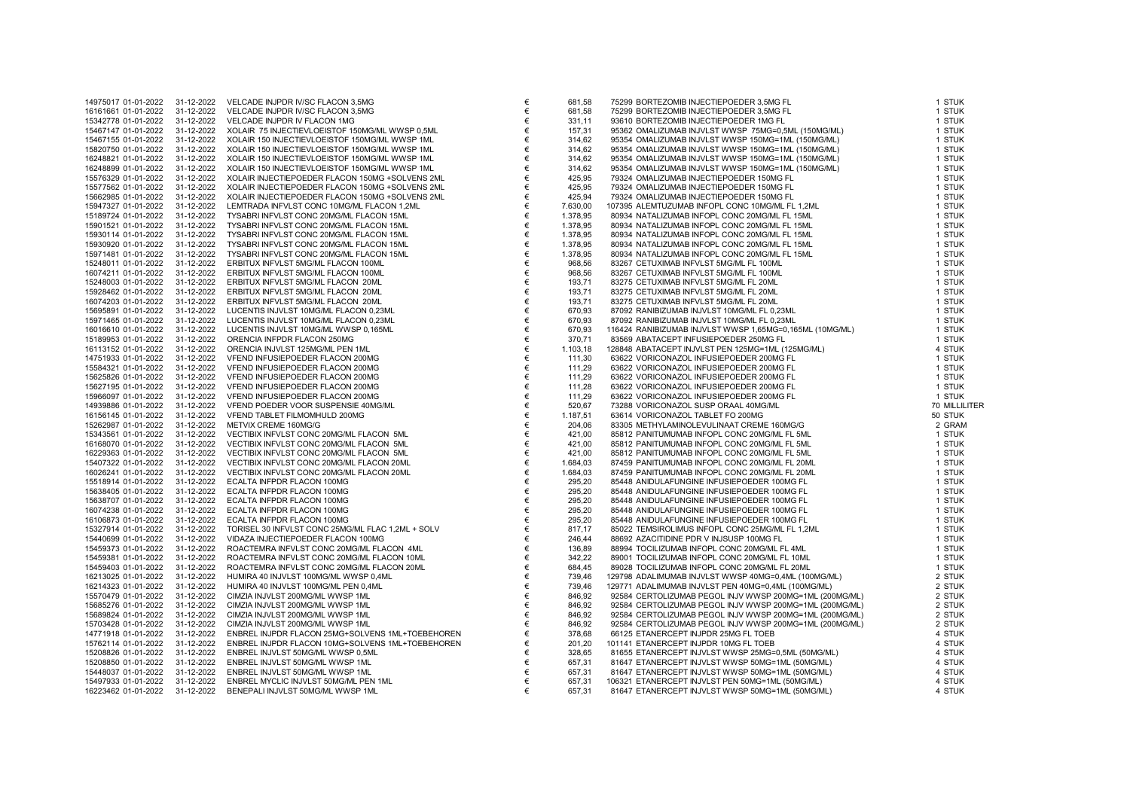| 14975017 01-01-2022 | 31-12-2022 | VELCADE INJPDR IV/SC FLACON 3,5MG                 | € |
|---------------------|------------|---------------------------------------------------|---|
|                     |            |                                                   |   |
| 16161661 01-01-2022 | 31-12-2022 | VELCADE INJPDR IV/SC FLACON 3,5MG                 | € |
| 15342778 01-01-2022 | 31-12-2022 | VELCADE INJPDR IV FLACON 1MG                      | € |
| 15467147 01-01-2022 | 31-12-2022 | XOLAIR 75 INJECTIEVLOEISTOF 150MG/ML WWSP 0,5ML   | € |
|                     |            |                                                   |   |
| 15467155 01-01-2022 | 31-12-2022 | XOLAIR 150 INJECTIEVLOEISTOF 150MG/ML WWSP 1ML    | € |
| 15820750 01-01-2022 | 31-12-2022 | XOLAIR 150 INJECTIEVLOEISTOF 150MG/ML WWSP 1ML    | € |
|                     |            | XOLAIR 150 INJECTIEVLOEISTOF 150MG/ML WWSP 1ML    | € |
| 16248821 01-01-2022 | 31-12-2022 |                                                   |   |
| 16248899 01-01-2022 | 31-12-2022 | XOLAIR 150 INJECTIEVLOEISTOF 150MG/ML WWSP 1ML    | € |
| 15576329 01-01-2022 | 31-12-2022 | XOLAIR INJECTIEPOEDER FLACON 150MG +SOLVENS 2ML   | € |
|                     |            |                                                   |   |
| 15577562 01-01-2022 | 31-12-2022 | XOLAIR INJECTIEPOEDER FLACON 150MG +SOLVENS 2ML   | € |
| 15662985 01-01-2022 | 31-12-2022 | XOLAIR INJECTIEPOEDER FLACON 150MG +SOLVENS 2ML   | € |
| 15947327 01-01-2022 | 31-12-2022 | LEMTRADA INFVLST CONC 10MG/ML FLACON 1,2ML        | € |
|                     |            |                                                   |   |
| 15189724 01-01-2022 | 31-12-2022 | TYSABRI INFVLST CONC 20MG/ML FLACON 15ML          | € |
| 15901521 01-01-2022 | 31-12-2022 | TYSABRI INFVLST CONC 20MG/ML FLACON 15ML          | € |
|                     |            |                                                   | € |
| 15930114 01-01-2022 | 31-12-2022 | TYSABRI INFVLST CONC 20MG/ML FLACON 15ML          |   |
| 15930920 01-01-2022 | 31-12-2022 | TYSABRI INFVLST CONC 20MG/ML FLACON 15ML          | € |
| 15971481 01-01-2022 | 31-12-2022 | TYSABRI INFVLST CONC 20MG/ML FLACON 15ML          | € |
|                     |            |                                                   |   |
| 15248011 01-01-2022 | 31-12-2022 | ERBITUX INFVLST 5MG/ML FLACON 100ML               | € |
| 16074211 01-01-2022 | 31-12-2022 | ERBITUX INFVLST 5MG/ML FLACON 100ML               | € |
|                     | 31-12-2022 |                                                   | € |
| 15248003 01-01-2022 |            | ERBITUX INFVLST 5MG/ML FLACON 20ML                |   |
| 15928462 01-01-2022 | 31-12-2022 | ERBITUX INFVLST 5MG/ML FLACON 20ML                | € |
| 16074203 01-01-2022 | 31-12-2022 | ERBITUX INFVLST 5MG/ML FLACON 20ML                | € |
|                     |            |                                                   |   |
| 15695891 01-01-2022 | 31-12-2022 | LUCENTIS INJVLST 10MG/ML FLACON 0,23ML            | € |
| 15971465 01-01-2022 | 31-12-2022 | LUCENTIS INJVLST 10MG/ML FLACON 0,23ML            | € |
|                     |            |                                                   | € |
| 16016610 01-01-2022 | 31-12-2022 | LUCENTIS INJVLST 10MG/ML WWSP 0,165ML             |   |
| 15189953 01-01-2022 | 31-12-2022 | ORENCIA INFPDR FLACON 250MG                       | € |
| 16113152 01-01-2022 | 31-12-2022 | ORENCIA INJVLST 125MG/ML PEN 1ML                  | € |
|                     |            |                                                   |   |
| 14751933 01-01-2022 | 31-12-2022 | VFEND INFUSIEPOEDER FLACON 200MG                  | € |
| 15584321 01-01-2022 | 31-12-2022 | VFEND INFUSIEPOEDER FLACON 200MG                  | € |
| 15625826 01-01-2022 | 31-12-2022 | VFEND INFUSIEPOEDER FLACON 200MG                  | € |
|                     |            |                                                   |   |
| 15627195 01-01-2022 | 31-12-2022 | VFEND INFUSIEPOEDER FLACON 200MG                  | € |
| 15966097 01-01-2022 | 31-12-2022 | VFEND INFUSIEPOEDER FLACON 200MG                  | € |
|                     |            |                                                   |   |
| 14939886 01-01-2022 | 31-12-2022 | VFEND POEDER VOOR SUSPENSIE 40MG/ML               | € |
| 16156145 01-01-2022 | 31-12-2022 | VFEND TABLET FILMOMHULD 200MG                     | € |
| 15262987 01-01-2022 | 31-12-2022 | METVIX CREME 160MG/G                              | € |
|                     |            |                                                   |   |
| 15343561 01-01-2022 | 31-12-2022 | VECTIBIX INFVLST CONC 20MG/ML FLACON 5ML          | € |
| 16168070 01-01-2022 | 31-12-2022 | VECTIBIX INFVLST CONC 20MG/ML FLACON 5ML          | € |
| 16229363 01-01-2022 | 31-12-2022 | VECTIBIX INFVLST CONC 20MG/ML FLACON 5ML          | € |
|                     |            |                                                   |   |
| 15407322 01-01-2022 | 31-12-2022 | VECTIBIX INFVLST CONC 20MG/ML FLACON 20ML         | € |
| 16026241 01-01-2022 | 31-12-2022 | VECTIBIX INFVLST CONC 20MG/ML FLACON 20ML         | € |
|                     |            |                                                   | € |
| 15518914 01-01-2022 | 31-12-2022 | ECALTA INFPDR FLACON 100MG                        |   |
| 15638405 01-01-2022 | 31-12-2022 | ECALTA INFPDR FLACON 100MG                        | € |
| 15638707 01-01-2022 | 31-12-2022 | ECALTA INFPDR FLACON 100MG                        | € |
|                     |            |                                                   |   |
| 16074238 01-01-2022 | 31-12-2022 | ECALTA INFPDR FLACON 100MG                        | € |
| 16106873 01-01-2022 | 31-12-2022 | ECALTA INFPDR FLACON 100MG                        | € |
| 15327914 01-01-2022 | 31-12-2022 | TORISEL 30 INFVLST CONC 25MG/ML FLAC 1,2ML + SOLV | € |
|                     |            |                                                   |   |
| 15440699 01-01-2022 | 31-12-2022 | VIDAZA INJECTIEPOEDER FLACON 100MG                | € |
| 15459373 01-01-2022 | 31-12-2022 | ROACTEMRA INFVLST CONC 20MG/ML FLACON 4ML         | € |
| 15459381 01-01-2022 | 31-12-2022 | ROACTEMRA INFVLST CONC 20MG/ML FLACON 10ML        | € |
|                     |            |                                                   |   |
| 15459403 01-01-2022 | 31-12-2022 | ROACTEMRA INFVLST CONC 20MG/ML FLACON 20ML        | € |
| 16213025 01-01-2022 | 31-12-2022 | HUMIRA 40 INJVLST 100MG/ML WWSP 0,4ML             | € |
| 16214323 01-01-2022 | 31-12-2022 | HUMIRA 40 INJVLST 100MG/ML PEN 0,4ML              | € |
|                     |            |                                                   |   |
| 15570479 01-01-2022 | 31-12-2022 | CIMZIA INJVLST 200MG/ML WWSP 1ML                  | € |
| 15685276 01-01-2022 | 31-12-2022 | CIMZIA INJVLST 200MG/ML WWSP 1ML                  | € |
|                     |            |                                                   |   |
| 15689824 01-01-2022 | 31-12-2022 | CIMZIA INJVLST 200MG/ML WWSP 1ML                  | € |
| 15703428 01-01-2022 | 31-12-2022 | CIMZIA INJVLST 200MG/ML WWSP 1ML                  | € |
| 14771918 01-01-2022 | 31-12-2022 | ENBREL INJPDR FLACON 25MG+SOLVENS 1ML+TOEBEHOREN  | € |
|                     |            |                                                   |   |
| 15762114 01-01-2022 | 31-12-2022 | ENBREL INJPDR FLACON 10MG+SOLVENS 1ML+TOEBEHOREN  | € |
| 15208826 01-01-2022 | 31-12-2022 | ENBREL INJVLST 50MG/ML WWSP 0,5ML                 | € |
| 15208850 01-01-2022 | 31-12-2022 | ENBREL INJVLST 50MG/ML WWSP 1ML                   | € |
|                     |            |                                                   |   |
| 15448037 01-01-2022 | 31-12-2022 | ENBREL INJVLST 50MG/ML WWSP 1ML                   | € |
| 15497933 01-01-2022 | 31-12-2022 | ENBREL MYCLIC INJVLST 50MG/ML PEN 1ML             | € |
| 16223462 01-01-2022 | 31-12-2022 | BENEPALI INJVLST 50MG/ML WWSP 1ML                 | € |
|                     |            |                                                   |   |
|                     |            |                                                   |   |

| 14975017 01-01-2022                        | 31-12-2022               | VELCADE INJPDR IV/SC FLACON 3,5MG                                        | €      | 681,58   | 75299 BORTEZOMIB INJECTIEPOEDER 3,5MG FL                                                                                                                                                                                                   | 1 STUK           |
|--------------------------------------------|--------------------------|--------------------------------------------------------------------------|--------|----------|--------------------------------------------------------------------------------------------------------------------------------------------------------------------------------------------------------------------------------------------|------------------|
| 16161661 01-01-2022                        | 31-12-2022               | VELCADE INJPDR IV/SC FLACON 3,5MG                                        | €      | 681,58   | 75299 BORTEZOMIB INJECTIEPOEDER 3,5MG FL                                                                                                                                                                                                   | 1 STUK           |
| 15342778 01-01-2022                        | 31-12-2022               | VELCADE INJPDR IV FLACON 1MG                                             | €      | 331,11   | 93610 BORTEZOMIB INJECTIEPOEDER 1M6 FL<br>95362 OMALIZUMAB INJVLST WWSP 75MG=0,5ML (150MG/ML)<br>95354 OMALIZUMAB INJVLST WWSP 150MG=1ML (150MG/ML)<br>95354 OMALIZUMAB INJVLST WWSP 150MG=1ML (150MG/ML)<br>95354 OMALIZUMAB INJVLST WWSP | 1 STUK           |
| 15467147 01-01-2022                        | 31-12-2022               | XOLAIR 75 INJECTIEVLOEISTOF 150MG/ML WWSP 0,5ML                          | €      | 157,31   |                                                                                                                                                                                                                                            | 1 STUK           |
| 15467155 01-01-2022                        | 31-12-2022               | XOLAIR 150 INJECTIEVLOEISTOF 150MG/ML WWSP 1ML                           | €      | 314,62   |                                                                                                                                                                                                                                            | 1 STUK           |
| 15820750 01-01-2022                        | 31-12-2022               | XOLAIR 150 INJECTIEVLOEISTOF 150MG/ML WWSP 1ML                           | €      | 314,62   |                                                                                                                                                                                                                                            | 1 STUK           |
| 16248821 01-01-2022                        | 31-12-2022               | XOLAIR 150 INJECTIEVLOEISTOF 150MG/ML WWSP 1ML                           | €      | 314,62   |                                                                                                                                                                                                                                            | 1 STUK           |
| 16248899 01-01-2022                        | 31-12-2022               | XOLAIR 150 INJECTIEVLOEISTOF 150MG/ML WWSP 1ML                           | €      | 314,62   |                                                                                                                                                                                                                                            | 1 STUK           |
| 15576329 01-01-2022                        | 31-12-2022               | XOLAIR INJECTIEPOEDER FLACON 150MG +SOLVENS 2ML                          | €      | 425,95   |                                                                                                                                                                                                                                            | 1 STUK           |
| 15577562 01-01-2022                        | 31-12-2022               | XOLAIR INJECTIEPOEDER FLACON 150MG +SOLVENS 2ML                          | €      | 425,95   |                                                                                                                                                                                                                                            | 1 STUK           |
| 15662985 01-01-2022                        | 31-12-2022               | XOLAIR INJECTIEPOEDER FLACON 150MG +SOLVENS 2ML                          | €      | 425.94   |                                                                                                                                                                                                                                            | 1 STUK           |
| 15947327 01-01-2022                        | 31-12-2022               | LEMTRADA INFVLST CONC 10MG/ML FLACON 1,2ML                               | €      | 7.630,00 |                                                                                                                                                                                                                                            | 1 STUK           |
| 15189724 01-01-2022                        | 31-12-2022               | TYSABRI INFVLST CONC 20MG/ML FLACON 15ML                                 | €      | 1.378,95 | 80934 NATALIZUMAB INFOPL CONC 20MG/ML FL 15ML                                                                                                                                                                                              | 1 STUK           |
| 15901521 01-01-2022                        | 31-12-2022               | TYSABRI INFVLST CONC 20MG/ML FLACON 15ML                                 | €      | 1.378,95 | 80934 NATALIZUMAB INFOPL CONC 20MG/ML FL 15ML                                                                                                                                                                                              | 1 STUK           |
| 15930114 01-01-2022                        | 31-12-2022               | TYSABRI INFVLST CONC 20MG/ML FLACON 15ML                                 | €      | 1.378,95 | 80934 NATALIZUMAB INFOPL CONC 20MG/ML FL 15ML                                                                                                                                                                                              | 1 STUK           |
| 15930920 01-01-2022                        | 31-12-2022               | TYSABRI INFVLST CONC 20MG/ML FLACON 15ML                                 | €      | 1.378,95 | 80934 NATALIZUMAB INFOPL CONC 20MG/ML FL 15ML                                                                                                                                                                                              | 1 STUK           |
| 15971481 01-01-2022                        | 31-12-2022               | TYSABRI INFVLST CONC 20MG/ML FLACON 15ML                                 | €      | 1.378,95 | 80934 NATALIZUMAB INFOPL CONC 20MG/ML FL 15ML                                                                                                                                                                                              | 1 STUK           |
| 15248011 01-01-2022                        | 31-12-2022               | ERBITUX INFVLST 5MG/ML FLACON 100ML                                      | €      | 968,56   | 83267 CETUXIMAB INFVLST 5MG/ML FL 100ML                                                                                                                                                                                                    | 1 STUK           |
| 16074211 01-01-2022                        | 31-12-2022               | ERBITUX INFVLST 5MG/ML FLACON 100ML                                      | €      | 968,56   | 83267 CETUXIMAB INFVLST 5MG/ML FL 100ML                                                                                                                                                                                                    | 1 STUK           |
| 15248003 01-01-2022                        | 31-12-2022               | ERBITUX INFVLST 5MG/ML FLACON 20ML                                       | €      | 193,71   | 83275 CETUXIMAB INFVLST 5MG/ML FL 20ML                                                                                                                                                                                                     | 1 STUK           |
| 15928462 01-01-2022                        | 31-12-2022               | ERBITUX INFVLST 5MG/ML FLACON 20ML                                       | €      | 193,71   | 83275 CETUXIMAB INFVLST 5MG/ML FL 20ML                                                                                                                                                                                                     | 1 STUK           |
| 16074203 01-01-2022                        | 31-12-2022               | ERBITUX INFVLST 5MG/ML FLACON 20ML                                       | €      | 193,71   | 83275 CETUXIMAB INFVLST 5MG/ML FL 20ML                                                                                                                                                                                                     | 1 STUK           |
| 15695891 01-01-2022                        | 31-12-2022               | LUCENTIS INJVLST 10MG/ML FLACON 0,23ML                                   | €      | 670,93   | 87092 RANIBIZUMAB INJVLST 10MG/ML FL 0,23ML                                                                                                                                                                                                | 1 STUK           |
| 15971465 01-01-2022                        | 31-12-2022               | LUCENTIS INJVLST 10MG/ML FLACON 0,23ML                                   | €      | 670,93   | 87092 RANIBIZUMAB INJVLST 10MG/ML FL 0,23ML                                                                                                                                                                                                | 1 STUK           |
| 16016610 01-01-2022                        | 31-12-2022               | LUCENTIS INJVLST 10MG/ML WWSP 0,165ML                                    | €      | 670,93   | 116424 RANIBIZUMAB INJVLST WWSP 1,65MG=0,165ML (10MG/ML)                                                                                                                                                                                   | 1 STUK           |
| 15189953 01-01-2022                        | 31-12-2022               | ORENCIA INFPDR FLACON 250MG                                              | €      | 370,71   | 83569 ABATACEPT INFUSIEPOEDER 250MG FL                                                                                                                                                                                                     | 1 STUK           |
| 16113152 01-01-2022                        | 31-12-2022               | ORENCIA INJVLST 125MG/ML PEN 1ML                                         | €      | 1.103,18 | 128848 ABATACEPT INJVLST PEN 125MG=1ML (125MG/ML)                                                                                                                                                                                          | 4 STUK           |
| 14751933 01-01-2022                        | 31-12-2022               | VFEND INFUSIEPOEDER FLACON 200MG                                         | €      | 111,30   | 63622 VORICONAZOL INFUSIEPOEDER 200MG FL                                                                                                                                                                                                   | 1 STUK           |
| 15584321 01-01-2022                        | 31-12-2022               | VFEND INFUSIEPOEDER FLACON 200MG                                         | €      | 111,29   | 63622 VORICONAZOL INFUSIEPOEDER 200MG FL                                                                                                                                                                                                   | 1 STUK           |
| 15625826 01-01-2022                        | 31-12-2022               | VFEND INFUSIEPOEDER FLACON 200MG                                         | €      | 111,29   | 63622 VORICONAZOL INFUSIEPOEDER 200MG FL                                                                                                                                                                                                   | 1 STUK           |
| 15627195 01-01-2022                        | 31-12-2022               | VFEND INFUSIEPOEDER FLACON 200MG                                         | €      | 111,28   | 63622 VORICONAZOL INFUSIEPOEDER 200MG FL                                                                                                                                                                                                   | 1 STUK           |
| 15966097 01-01-2022                        | 31-12-2022               | VFEND INFUSIEPOEDER FLACON 200MG                                         | €      | 111,29   | 63622 VORICONAZOL INFUSIEPOEDER 200MG FL                                                                                                                                                                                                   | 1 STUK           |
| 14939886 01-01-2022                        | 31-12-2022               | VFEND POEDER VOOR SUSPENSIE 40MG/ML                                      | €      | 520,67   | 73288 VORICONAZOL SUSP ORAAL 40MG/ML                                                                                                                                                                                                       | 70 MILLILITER    |
| 16156145 01-01-2022                        | 31-12-2022               | VFEND TABLET FILMOMHULD 200MG                                            | €      | 1.187,51 | 63614 VORICONAZOL TABLET FO 200MG                                                                                                                                                                                                          | 50 STUK          |
| 15262987 01-01-2022                        | 31-12-2022               | METVIX CREME 160MG/G                                                     | €      | 204,06   | 83305 METHYLAMINOLEVULINAAT CREME 160MG/G                                                                                                                                                                                                  | 2 GRAM           |
| 15343561 01-01-2022                        | 31-12-2022               | VECTIBIX INFVLST CONC 20MG/ML FLACON 5ML                                 | €      | 421,00   | 85812 PANITUMUMAB INFOPL CONC 20MG/ML FL 5ML                                                                                                                                                                                               | 1 STUK           |
| 16168070 01-01-2022                        | 31-12-2022               | VECTIBIX INFVLST CONC 20MG/ML FLACON 5ML                                 | €      | 421,00   | 85812 PANITUMUMAB INFOPL CONC 20MG/ML FL 5ML                                                                                                                                                                                               | 1 STUK           |
| 16229363 01-01-2022                        | 31-12-2022               | VECTIBIX INFVLST CONC 20MG/ML FLACON 5ML                                 | €      | 421,00   | 85812 PANITUMUMAB INFOPL CONC 20MG/ML FL 5ML                                                                                                                                                                                               | 1 STUK           |
| 15407322 01-01-2022                        | 31-12-2022               | VECTIBIX INFVLST CONC 20MG/ML FLACON 20ML                                | €      | 1.684,03 | 87459 PANITUMUMAB INFOPL CONC 20MG/ML FL 20ML                                                                                                                                                                                              | 1 STUK           |
| 16026241 01-01-2022                        | 31-12-2022               | VECTIBIX INFVLST CONC 20MG/ML FLACON 20ML                                | €      | 1.684,03 | 87459 PANITUMUMAB INFOPL CONC 20MG/ML FL 20ML                                                                                                                                                                                              | 1 STUK           |
| 15518914 01-01-2022                        | 31-12-2022               | ECALTA INFPDR FLACON 100MG                                               | €      | 295,20   | 85448 ANIDULAFUNGINE INFUSIEPOEDER 100MG FL                                                                                                                                                                                                | 1 STUK           |
| 15638405 01-01-2022                        | 31-12-2022               | ECALTA INFPDR FLACON 100MG                                               | €      | 295,20   | 85448 ANIDULAFUNGINE INFUSIEPOEDER 100MG FL                                                                                                                                                                                                | 1 STUK           |
| 15638707 01-01-2022                        | 31-12-2022               | ECALTA INFPDR FLACON 100MG                                               | €      | 295,20   | 85448 ANIDULAFUNGINE INFUSIEPOEDER 100MG FL                                                                                                                                                                                                | 1 STUK           |
| 16074238 01-01-2022                        | 31-12-2022               | ECALTA INFPDR FLACON 100MG                                               | €      | 295,20   | 85448 ANIDULAFUNGINE INFUSIEPOEDER 100MG FL                                                                                                                                                                                                | 1 STUK           |
| 16106873 01-01-2022                        | 31-12-2022               | ECALTA INFPDR FLACON 100MG                                               | €      | 295,20   | 85448 ANIDULAFUNGINE INFUSIEPOEDER 100MG FL                                                                                                                                                                                                | 1 STUK           |
| 15327914 01-01-2022                        | 31-12-2022               | TORISEL 30 INFVLST CONC 25MG/ML FLAC 1,2ML + SOLV                        | €      | 817,17   | 85022 TEMSIROLIMUS INFOPL CONC 25MG/ML FL 1,2ML                                                                                                                                                                                            | 1 STUK           |
| 15440699 01-01-2022                        | 31-12-2022               | VIDAZA INJECTIEPOEDER FLACON 100MG                                       | €      | 246,44   | 88692 AZACITIDINE PDR V INJSUSP 100MG FL                                                                                                                                                                                                   | 1 STUK           |
| 15459373 01-01-2022                        | 31-12-2022               | ROACTEMRA INFVLST CONC 20MG/ML FLACON 4ML                                | €      | 136,89   | 88994 TOCILIZUMAB INFOPL CONC 20MG/ML FL 4ML                                                                                                                                                                                               | 1 STUK           |
| 15459381 01-01-2022                        | 31-12-2022               | ROACTEMRA INFVLST CONC 20MG/ML FLACON 10ML                               | €      | 342,22   | 89001 TOCILIZUMAB INFOPL CONC 20MG/ML FL 10ML                                                                                                                                                                                              | 1 STUK           |
| 15459403 01-01-2022                        | 31-12-2022               | ROACTEMRA INFVLST CONC 20MG/ML FLACON 20ML                               | €      | 684,45   | 89028 TOCILIZUMAB INFOPL CONC 20MG/ML FL 20ML                                                                                                                                                                                              | 1 STUK           |
| 16213025 01-01-2022                        | 31-12-2022               | HUMIRA 40 INJVLST 100MG/ML WWSP 0,4ML                                    | €      | 739,46   | 129798 ADALIMUMAB INJVLST WWSP 40MG=0,4ML (100MG/ML)                                                                                                                                                                                       | 2 STUK           |
| 16214323 01-01-2022                        | 31-12-2022               | HUMIRA 40 INJVLST 100MG/ML PEN 0,4ML                                     | €      | 739,46   | 129771 ADALIMUMAB INJVLST PEN 40MG=0,4ML (100MG/ML)                                                                                                                                                                                        | 2 STUK           |
| 15570479 01-01-2022                        | 31-12-2022               | CIMZIA INJVLST 200MG/ML WWSP 1ML                                         | €      | 846,92   |                                                                                                                                                                                                                                            | 2 STUK           |
| 15685276 01-01-2022                        | 31-12-2022               | CIMZIA INJVLST 200MG/ML WWSP 1ML                                         | €      | 846,92   |                                                                                                                                                                                                                                            | 2 STUK           |
| 15689824 01-01-2022                        | 31-12-2022               | CIMZIA INJVLST 200MG/ML WWSP 1ML                                         | €      | 846,92   |                                                                                                                                                                                                                                            | 2 STUK           |
| 15703428 01-01-2022                        | 31-12-2022               | CIMZIA INJVLST 200MG/ML WWSP 1ML                                         | €      | 846,92   | 1297   NUNLIMUMAB INJVLST PEN 40MG=0,4ML (100MG/ML)<br>92584 CERTOLIZUMAB PEGOL INJV WWSP 200MG=1ML (200MG/ML)<br>92584 CERTOLIZUMAB PEGOL INJV WWSP 200MG=1ML (200MG/ML)<br>92584 CERTOLIZUMAB PEGOL INJV WWSP 200MG=1ML (200MG/ML)<br>92 | 2 STUK           |
| 14771918 01-01-2022                        | 31-12-2022               | ENBREL INJPDR FLACON 25MG+SOLVENS 1ML+TOEBEHOREN                         | €      | 378,68   |                                                                                                                                                                                                                                            | 4 STUK           |
|                                            | 31-12-2022               | ENBREL INJPDR FLACON 10MG+SOLVENS 1ML+TOEBEHOREN                         |        |          |                                                                                                                                                                                                                                            |                  |
| 15762114 01-01-2022                        | 31-12-2022               | ENBREL INJVLST 50MG/ML WWSP 0,5ML                                        | €      | 201,20   |                                                                                                                                                                                                                                            | 4 STUK           |
| 15208826 01-01-2022                        |                          |                                                                          | €<br>€ | 328,65   | 81655 ETANERCEPT INJVLST WWSP 25MG=0,5ML (50MG/ML)                                                                                                                                                                                         | 4 STUK           |
| 15208850 01-01-2022                        | 31-12-2022               | ENBREL INJVLST 50MG/ML WWSP 1ML                                          |        | 657,31   | 81647 ETANERCEPT INJVLST WWSP 50MG=1ML (50MG/ML)                                                                                                                                                                                           | 4 STUK           |
| 15448037 01-01-2022<br>15497933 01-01-2022 | 31-12-2022<br>31-12-2022 | ENBREL INJVLST 50MG/ML WWSP 1ML<br>ENBREL MYCLIC INJVLST 50MG/ML PEN 1ML | €<br>€ | 657,31   | 81647 ETANERCEPT INJVLST WWSP 50MG=1ML (50MG/ML)                                                                                                                                                                                           | 4 STUK<br>4 STUK |
|                                            | 31-12-2022               | BENEPALI INJVLST 50MG/ML WWSP 1ML                                        | €      | 657,31   | 106321 ETANERCEPT INJVLST PEN 50MG=1ML (50MG/ML)                                                                                                                                                                                           | 4 STUK           |
| 16223462 01-01-2022                        |                          |                                                                          |        | 657,31   | 81647 ETANERCEPT INJVLST WWSP 50MG=1ML (50MG/ML)                                                                                                                                                                                           |                  |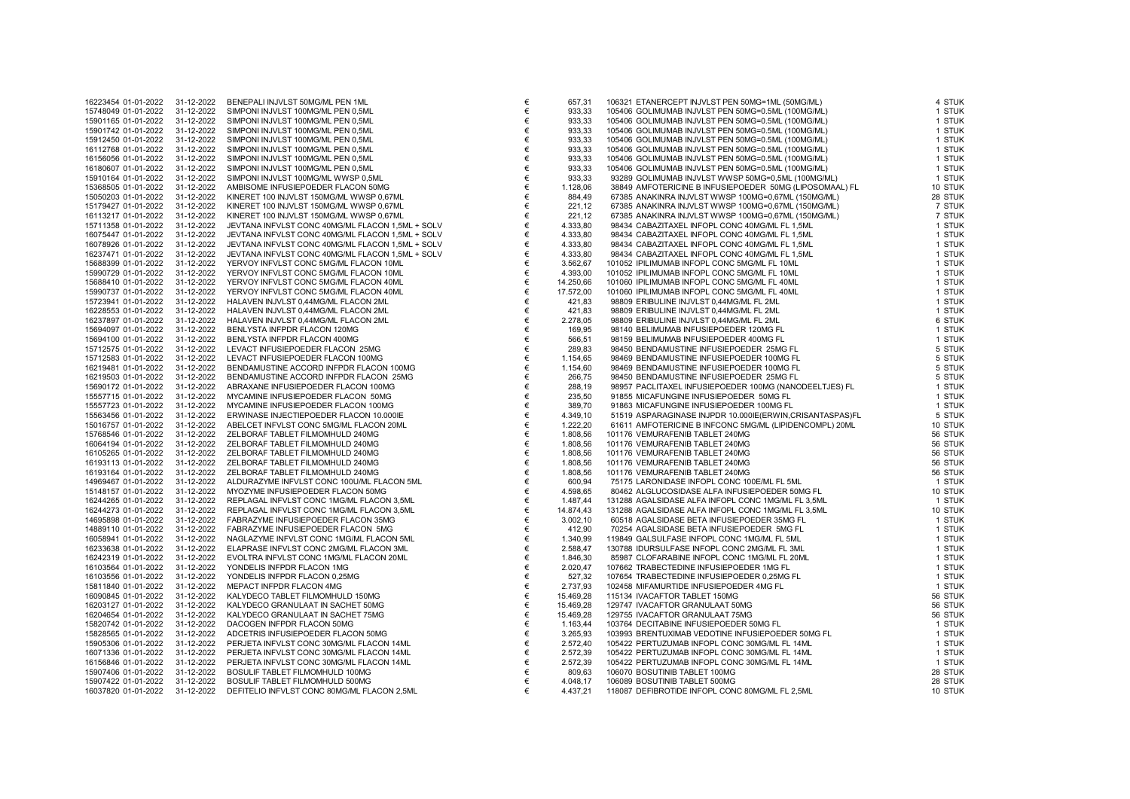| 16223454 01-01-2022 | 31-12-2022 | BENEPALI INJVLST 50MG/ML PEN 1ML                 | €     |
|---------------------|------------|--------------------------------------------------|-------|
| 15748049 01-01-2022 |            | SIMPONI INJVLST 100MG/ML PEN 0,5ML               | €     |
|                     | 31-12-2022 |                                                  |       |
| 15901165 01-01-2022 | 31-12-2022 | SIMPONI INJVLST 100MG/ML PEN 0,5ML               | €     |
| 15901742 01-01-2022 | 31-12-2022 | SIMPONI INJVLST 100MG/ML PEN 0,5ML               | €     |
| 15912450 01-01-2022 | 31-12-2022 | SIMPONI INJVLST 100MG/ML PEN 0,5ML               | €     |
| 16112768 01-01-2022 | 31-12-2022 | SIMPONI INJVLST 100MG/ML PEN 0,5ML               | €     |
|                     |            |                                                  |       |
| 16156056 01-01-2022 | 31-12-2022 | SIMPONI INJVLST 100MG/ML PEN 0,5ML               | €     |
| 16180607 01-01-2022 | 31-12-2022 | SIMPONI INJVLST 100MG/ML PEN 0,5ML               | €     |
| 15910164 01-01-2022 | 31-12-2022 | SIMPONI INJVLST 100MG/ML WWSP 0,5ML              | €     |
| 15368505 01-01-2022 | 31-12-2022 | AMBISOME INFUSIEPOEDER FLACON 50MG               | €     |
|                     |            |                                                  |       |
| 15050203 01-01-2022 | 31-12-2022 | KINERET 100 INJVLST 150MG/ML WWSP 0,67ML         | €     |
| 15179427 01-01-2022 | 31-12-2022 | KINERET 100 INJVLST 150MG/ML WWSP 0,67ML         | €     |
| 16113217 01-01-2022 | 31-12-2022 | KINERET 100 INJVLST 150MG/ML WWSP 0,67ML         | €     |
| 15711358 01-01-2022 | 31-12-2022 | JEVTANA INFVLST CONC 40MG/ML FLACON 1,5ML + SOLV | €     |
| 16075447 01-01-2022 | 31-12-2022 |                                                  | €     |
|                     |            | JEVTANA INFVLST CONC 40MG/ML FLACON 1,5ML + SOLV |       |
| 16078926 01-01-2022 | 31-12-2022 | JEVTANA INFVLST CONC 40MG/ML FLACON 1,5ML + SOLV | €     |
| 16237471 01-01-2022 | 31-12-2022 | JEVTANA INFVLST CONC 40MG/ML FLACON 1,5ML + SOLV | €     |
| 15688399 01-01-2022 | 31-12-2022 | YERVOY INFVLST CONC 5MG/ML FLACON 10ML           | €     |
| 15990729 01-01-2022 | 31-12-2022 | YERVOY INFVLST CONC 5MG/ML FLACON 10ML           | €     |
| 15688410 01-01-2022 | 31-12-2022 | YERVOY INFVLST CONC 5MG/ML FLACON 40ML           | €     |
|                     |            |                                                  |       |
| 15990737 01-01-2022 | 31-12-2022 | YERVOY INFVLST CONC 5MG/ML FLACON 40ML           | €     |
| 15723941 01-01-2022 | 31-12-2022 | HALAVEN INJVLST 0,44MG/ML FLACON 2ML             | €     |
| 16228553 01-01-2022 | 31-12-2022 | HALAVEN INJVLST 0,44MG/ML FLACON 2ML             | €     |
| 16237897 01-01-2022 | 31-12-2022 | HALAVEN INJVLST 0,44MG/ML FLACON 2ML             | €     |
| 15694097 01-01-2022 | 31-12-2022 | BENLYSTA INFPDR FLACON 120MG                     | €     |
|                     |            |                                                  |       |
| 15694100 01-01-2022 | 31-12-2022 | BENLYSTA INFPDR FLACON 400MG                     | €     |
| 15712575 01-01-2022 | 31-12-2022 | LEVACT INFUSIEPOEDER FLACON 25MG                 | €     |
| 15712583 01-01-2022 | 31-12-2022 | LEVACT INFUSIEPOEDER FLACON 100MG                | €     |
| 16219481 01-01-2022 | 31-12-2022 | BENDAMUSTINE ACCORD INFPDR FLACON 100MG          | €     |
| 16219503 01-01-2022 | 31-12-2022 | BENDAMUSTINE ACCORD INFPDR FLACON 25MG           | €     |
| 15690172 01-01-2022 | 31-12-2022 | ABRAXANE INFUSIEPOEDER FLACON 100MG              | €     |
|                     |            |                                                  |       |
| 15557715 01-01-2022 | 31-12-2022 | MYCAMINE INFUSIEPOEDER FLACON 50MG               | $\in$ |
| 15557723 01-01-2022 | 31-12-2022 | MYCAMINE INFUSIEPOEDER FLACON 100MG              | €     |
| 15563456 01-01-2022 | 31-12-2022 | ERWINASE INJECTIEPOEDER FLACON 10.000IE          | €     |
| 15016757 01-01-2022 | 31-12-2022 | ABELCET INFVLST CONC 5MG/ML FLACON 20ML          | €     |
| 15768546 01-01-2022 | 31-12-2022 | ZELBORAF TABLET FILMOMHULD 240MG                 | €     |
| 16064194 01-01-2022 | 31-12-2022 | ZELBORAF TABLET FILMOMHULD 240MG                 | €     |
|                     |            |                                                  |       |
| 16105265 01-01-2022 | 31-12-2022 | ZELBORAF TABLET FILMOMHULD 240MG                 | €     |
| 16193113 01-01-2022 | 31-12-2022 | ZELBORAF TABLET FILMOMHULD 240MG                 | €     |
| 16193164 01-01-2022 | 31-12-2022 | ZELBORAF TABLET FILMOMHULD 240MG                 | €     |
| 14969467 01-01-2022 | 31-12-2022 | ALDURAZYME INFVLST CONC 100U/ML FLACON 5ML       | €     |
| 15148157 01-01-2022 | 31-12-2022 | MYOZYME INFUSIEPOEDER FLACON 50MG                | €     |
|                     |            |                                                  |       |
| 16244265 01-01-2022 | 31-12-2022 | REPLAGAL INFVLST CONC 1MG/ML FLACON 3,5ML        | €     |
| 16244273 01-01-2022 | 31-12-2022 | REPLAGAL INFVLST CONC 1MG/ML FLACON 3,5ML        | €     |
| 14695898 01-01-2022 | 31-12-2022 | FABRAZYME INFUSIEPOEDER FLACON 35MG              | €     |
| 14889110 01-01-2022 | 31-12-2022 | FABRAZYME INFUSIEPOEDER FLACON 5MG               | €     |
| 16058941 01-01-2022 | 31-12-2022 | NAGLAZYME INFVLST CONC 1MG/ML FLACON 5ML         | €     |
|                     |            | ELAPRASE INFVLST CONC 2MG/ML FLACON 3ML          | €     |
| 16233638 01-01-2022 | 31-12-2022 |                                                  |       |
| 16242319 01-01-2022 | 31-12-2022 | EVOLTRA INFVLST CONC 1MG/ML FLACON 20ML          | €     |
| 16103564 01-01-2022 | 31-12-2022 | YONDELIS INFPDR FLACON 1MG                       | €     |
| 16103556 01-01-2022 | 31-12-2022 | YONDELIS INFPDR FLACON 0,25MG                    | €     |
| 15811840 01-01-2022 | 31-12-2022 | MEPACT INFPDR FLACON 4MG                         | €     |
| 16090845 01-01-2022 | 31-12-2022 | KALYDECO TABLET FILMOMHULD 150MG                 | €     |
|                     |            |                                                  |       |
| 16203127 01-01-2022 | 31-12-2022 | KALYDECO GRANULAAT IN SACHET 50MG                | €     |
| 16204654 01-01-2022 | 31-12-2022 | KALYDECO GRANULAAT IN SACHET 75MG                | €     |
| 15820742 01-01-2022 | 31-12-2022 | DACOGEN INFPDR FLACON 50MG                       | €     |
| 15828565 01-01-2022 | 31-12-2022 | ADCETRIS INFUSIEPOEDER FLACON 50MG               | €     |
| 15905306 01-01-2022 | 31-12-2022 | PERJETA INFVLST CONC 30MG/ML FLACON 14ML         | €     |
| 16071336 01-01-2022 | 31-12-2022 | PERJETA INFVLST CONC 30MG/ML FLACON 14ML         | $\in$ |
|                     |            |                                                  |       |
| 16156846 01-01-2022 | 31-12-2022 | PERJETA INFVLST CONC 30MG/ML FLACON 14ML         | €     |
| 15907406 01-01-2022 | 31-12-2022 | BOSULIF TABLET FILMOMHULD 100MG                  | €     |
| 15907422 01-01-2022 | 31-12-2022 | BOSULIF TABLET FILMOMHULD 500MG                  | €     |
| 16037820 01-01-2022 | 31-12-2022 | DEFITELIO INFVLST CONC 80MG/ML FLACON 2,5ML      | €     |
|                     |            |                                                  |       |

| 16223454 01-01-2022                        | 31-12-2022               | BENEPALI INJVLST 50MG/ML PEN 1ML                                 | €      | 657,31             | 106321 ETANERCEPT INJVLST PEN 50MG=1ML (50MG/ML)                                   | 4 STUK           |
|--------------------------------------------|--------------------------|------------------------------------------------------------------|--------|--------------------|------------------------------------------------------------------------------------|------------------|
| 15748049 01-01-2022                        | 31-12-2022               | SIMPONI INJVLST 100MG/ML PEN 0,5ML                               | €      | 933,33             | 105406 GOLIMUMAB INJVLST PEN 50MG=0.5ML (100MG/ML)                                 | 1 STUK           |
| 15901165 01-01-2022                        | 31-12-2022               | SIMPONI INJVLST 100MG/ML PEN 0,5ML                               | €      | 933,33             | 105406 GOLIMUMAB INJVLST PEN 50MG=0.5ML (100MG/ML)                                 | 1 STUK           |
| 15901742 01-01-2022                        | 31-12-2022               | SIMPONI INJVLST 100MG/ML PEN 0,5ML                               | €      | 933,33             | 105406 GOLIMUMAB INJVLST PEN 50MG=0.5ML (100MG/ML)                                 | 1 STUK           |
| 15912450 01-01-2022                        | 31-12-2022               | SIMPONI INJVLST 100MG/ML PEN 0,5ML                               | €      | 933,33             | 105406 GOLIMUMAB INJVLST PEN 50MG=0.5ML (100MG/ML)                                 | 1 STUK           |
| 16112768 01-01-2022                        | 31-12-2022               | SIMPONI INJVLST 100MG/ML PEN 0,5ML                               | €      | 933,33             | 105406 GOLIMUMAB INJVLST PEN 50MG=0.5ML (100MG/ML)                                 | 1 STUK           |
| 16156056 01-01-2022                        | 31-12-2022               | SIMPONI INJVLST 100MG/ML PEN 0,5ML                               | €      | 933,33             | 105406 GOLIMUMAB INJVLST PEN 50MG=0.5ML (100MG/ML)                                 | 1 STUK           |
| 16180607 01-01-2022                        | 31-12-2022               | SIMPONI INJVLST 100MG/ML PEN 0,5ML                               | €      | 933,33             | 105406 GOLIMUMAB INJVLST PEN 50MG=0.5ML (100MG/ML)                                 | 1 STUK           |
| 15910164 01-01-2022                        | 31-12-2022               | SIMPONI INJVLST 100MG/ML WWSP 0,5ML                              | €      | 933,33             | 93289 GOLIMUMAB INJVLST WWSP 50MG=0,5ML (100MG/ML)                                 | 1 STUK           |
| 15368505 01-01-2022                        | 31-12-2022               | AMBISOME INFUSIEPOEDER FLACON 50MG                               | €      | 1.128,06           | 38849 AMFOTERICINE B INFUSIEPOEDER 50MG (LIPOSOMAAL) FL                            | 10 STUK          |
| 15050203 01-01-2022                        | 31-12-2022               | KINERET 100 INJVLST 150MG/ML WWSP 0,67ML                         | €      | 884,49             | 67385 ANAKINRA INJVLST WWSP 100MG=0,67ML (150MG/ML)                                | 28 STUK          |
| 15179427 01-01-2022                        | 31-12-2022               | KINERET 100 INJVLST 150MG/ML WWSP 0,67ML                         | €      | 221,12             | 67385 ANAKINRA INJVLST WWSP 100MG=0,67ML (150MG/ML)                                | 7 STUK           |
| 16113217 01-01-2022                        | 31-12-2022               | KINERET 100 INJVLST 150MG/ML WWSP 0,67ML                         | €      | 221,12             | 67385 ANAKINRA INJVLST WWSP 100MG=0,67ML (150MG/ML)                                | 7 STUK           |
| 15711358 01-01-2022                        | 31-12-2022               | JEVTANA INFVLST CONC 40MG/ML FLACON 1,5ML + SOLV                 | €      | 4.333,80           | 98434 CABAZITAXEL INFOPL CONC 40MG/ML FL 1,5ML                                     | 1 STUK           |
| 16075447 01-01-2022                        | 31-12-2022               | JEVTANA INFVLST CONC 40MG/ML FLACON 1,5ML + SOLV                 | €      | 4.333,80           | 98434 CABAZITAXEL INFOPL CONC 40MG/ML FL 1,5ML                                     | 1 STUK           |
| 16078926 01-01-2022                        | 31-12-2022               | JEVTANA INFVLST CONC 40MG/ML FLACON 1,5ML + SOLV                 | €      | 4.333,80           | 98434 CABAZITAXEL INFOPL CONC 40MG/ML FL 1,5ML                                     | 1 STUK           |
| 16237471 01-01-2022                        | 31-12-2022               | JEVTANA INFVLST CONC 40MG/ML FLACON 1,5ML + SOLV                 | €      | 4.333,80           | 98434 CABAZITAXEL INFOPL CONC 40MG/ML FL 1,5ML                                     | 1 STUK           |
| 15688399 01-01-2022                        | 31-12-2022               | YERVOY INFVLST CONC 5MG/ML FLACON 10ML                           | €      | 3.562,67           | 101052 IPILIMUMAB INFOPL CONC 5MG/ML FL 10ML                                       | 1 STUK           |
| 15990729 01-01-2022                        | 31-12-2022               | YERVOY INFVLST CONC 5MG/ML FLACON 10ML                           | €      | 4.393,00           | 101052 IPILIMUMAB INFOPL CONC 5MG/ML FL 10ML                                       | 1 STUK           |
| 15688410 01-01-2022                        | 31-12-2022               | YERVOY INFVLST CONC 5MG/ML FLACON 40ML                           | €      | 14.250,66          | 101060 IPILIMUMAB INFOPL CONC 5MG/ML FL 40ML                                       | 1 STUK           |
| 15990737 01-01-2022                        | 31-12-2022               | YERVOY INFVLST CONC 5MG/ML FLACON 40ML                           | €      | 17.572,00          | 101060 IPILIMUMAB INFOPL CONC 5MG/ML FL 40ML                                       | 1 STUK           |
| 15723941 01-01-2022                        | 31-12-2022               | HALAVEN INJVLST 0,44MG/ML FLACON 2ML                             | €      | 421,83             | 98809 ERIBULINE INJVLST 0,44MG/ML FL 2ML                                           | 1 STUK           |
| 16228553 01-01-2022                        | 31-12-2022               | HALAVEN INJVLST 0,44MG/ML FLACON 2ML                             | €      | 421,83             | 98809 ERIBULINE INJVLST 0,44MG/ML FL 2ML                                           | 1 STUK           |
| 16237897 01-01-2022                        | 31-12-2022               | HALAVEN INJVLST 0,44MG/ML FLACON 2ML                             | €      | 2.278,05           | 98809 ERIBULINE INJVLST 0,44MG/ML FL 2ML                                           | 6 STUK           |
| 15694097 01-01-2022                        | 31-12-2022               | BENLYSTA INFPDR FLACON 120MG                                     | €<br>€ | 169,95             | 98140 BELIMUMAB INFUSIEPOEDER 120MG FL                                             | 1 STUK           |
| 15694100 01-01-2022                        | 31-12-2022<br>31-12-2022 | BENLYSTA INFPDR FLACON 400MG<br>LEVACT INFUSIEPOEDER FLACON 25MG | €      | 566,51             | 98159 BELIMUMAB INFUSIEPOEDER 400MG FL<br>98450 BENDAMUSTINE INFUSIEPOEDER 25MG FL | 1 STUK<br>5 STUK |
| 15712575 01-01-2022<br>15712583 01-01-2022 | 31-12-2022               | LEVACT INFUSIEPOEDER FLACON 100MG                                | $\in$  | 289,83<br>1.154,65 | 98469 BENDAMUSTINE INFUSIEPOEDER 100MG FL                                          | 5 STUK           |
| 16219481 01-01-2022                        | 31-12-2022               | BENDAMUSTINE ACCORD INFPDR FLACON 100MG                          | €      | 1.154,60           | 98469 BENDAMUSTINE INFUSIEPOEDER 100MG FL                                          | 5 STUK           |
| 16219503 01-01-2022                        | 31-12-2022               | BENDAMUSTINE ACCORD INFPDR FLACON 25MG                           | €      | 266,75             | 98450 BENDAMUSTINE INFUSIEPOEDER 25MG FL                                           | 5 STUK           |
| 15690172 01-01-2022                        | 31-12-2022               | ABRAXANE INFUSIEPOEDER FLACON 100MG                              | €      | 288,19             | 98957 PACLITAXEL INFUSIEPOEDER 100MG (NANODEELTJES) FL                             | 1 STUK           |
| 15557715 01-01-2022                        | 31-12-2022               | MYCAMINE INFUSIEPOEDER FLACON 50MG                               | €      | 235,50             | 91855 MICAFUNGINE INFUSIEPOEDER 50MG FL                                            | 1 STUK           |
| 15557723 01-01-2022                        | 31-12-2022               | MYCAMINE INFUSIEPOEDER FLACON 100MG                              | €      | 389,70             | 91863 MICAFUNGINE INFUSIEPOEDER 100MG FL                                           | 1 STUK           |
| 15563456 01-01-2022                        | 31-12-2022               | ERWINASE INJECTIEPOEDER FLACON 10.000IE                          | €      | 4.349,10           | 51519 ASPARAGINASE INJPDR 10.000IE(ERWIN,CRISANTASPAS)FL                           | 5 STUK           |
| 15016757 01-01-2022                        | 31-12-2022               | ABELCET INFVLST CONC 5MG/ML FLACON 20ML                          | €      | 1.222,20           | 61611 AMFOTERICINE B INFCONC 5MG/ML (LIPIDENCOMPL) 20ML                            | 10 STUK          |
| 15768546 01-01-2022                        | 31-12-2022               | ZELBORAF TABLET FILMOMHULD 240MG                                 | €      | 1.808,56           | 101176 VEMURAFENIB TABLET 240MG                                                    | 56 STUK          |
| 16064194 01-01-2022                        | 31-12-2022               | ZELBORAF TABLET FILMOMHULD 240MG                                 | €      | 1.808,56           | 101176 VEMURAFENIB TABLET 240MG                                                    | 56 STUK          |
| 16105265 01-01-2022                        | 31-12-2022               | ZELBORAF TABLET FILMOMHULD 240MG                                 | €      | 1.808,56           | 101176 VEMURAFENIB TABLET 240MG                                                    | 56 STUK          |
| 16193113 01-01-2022                        | 31-12-2022               | ZELBORAF TABLET FILMOMHULD 240MG                                 | €      | 1.808,56           | 101176 VEMURAFENIB TABLET 240MG                                                    | 56 STUK          |
| 16193164 01-01-2022                        | 31-12-2022               | ZELBORAF TABLET FILMOMHULD 240MG                                 | €      | 1.808,56           | 101176 VEMURAFENIB TABLET 240MG                                                    | 56 STUK          |
| 14969467 01-01-2022                        | 31-12-2022               | ALDURAZYME INFVLST CONC 100U/ML FLACON 5ML                       | €      | 600,94             | 75175 LARONIDASE INFOPL CONC 100E/ML FL 5ML                                        | 1 STUK           |
| 15148157 01-01-2022                        | 31-12-2022               | MYOZYME INFUSIEPOEDER FLACON 50MG                                | €      | 4.598,65           | 80462 ALGLUCOSIDASE ALFA INFUSIEPOEDER 50MG FL                                     | 10 STUK          |
| 16244265 01-01-2022                        | 31-12-2022               | REPLAGAL INFVLST CONC 1MG/ML FLACON 3,5ML                        | €      | 1.487,44           | 131288 AGALSIDASE ALFA INFOPL CONC 1MG/ML FL 3,5ML                                 | 1 STUK           |
| 16244273 01-01-2022                        | 31-12-2022               | REPLAGAL INFVLST CONC 1MG/ML FLACON 3,5ML                        | €      | 14.874,43          | 131288 AGALSIDASE ALFA INFOPL CONC 1MG/ML FL 3,5ML                                 | 10 STUK          |
| 14695898 01-01-2022                        | 31-12-2022               | FABRAZYME INFUSIEPOEDER FLACON 35MG                              | €      | 3.002,10           | 60518 AGALSIDASE BETA INFUSIEPOEDER 35MG FL                                        | 1 STUK           |
| 14889110 01-01-2022                        | 31-12-2022               | FABRAZYME INFUSIEPOEDER FLACON 5MG                               | €      | 412,90             | 70254 AGALSIDASE BETA INFUSIEPOEDER 5MG FL                                         | 1 STUK           |
| 16058941 01-01-2022                        | 31-12-2022               | NAGLAZYME INFVLST CONC 1MG/ML FLACON 5ML                         | €      | 1.340,99           | 119849 GALSULFASE INFOPL CONC 1MG/ML FL 5ML                                        | 1 STUK           |
| 16233638 01-01-2022                        | 31-12-2022               | ELAPRASE INFVLST CONC 2MG/ML FLACON 3ML                          | $\in$  | 2.588,47           | 130788 IDURSULFASE INFOPL CONC 2MG/ML FL 3ML                                       | 1 STUK           |
| 16242319 01-01-2022                        | 31-12-2022               | EVOLTRA INFVLST CONC 1MG/ML FLACON 20ML                          | €      | 1.846,30           | 85987 CLOFARABINE INFOPL CONC 1MG/ML FL 20ML                                       | 1 STUK           |
| 16103564 01-01-2022                        | 31-12-2022               | YONDELIS INFPDR FLACON 1MG                                       | €      | 2.020,47           | 107662 TRABECTEDINE INFUSIEPOEDER 1MG FL                                           | 1 STUK           |
| 16103556 01-01-2022                        | 31-12-2022               | YONDELIS INFPDR FLACON 0,25MG                                    | €      | 527,32             | 107654 TRABECTEDINE INFUSIEPOEDER 0,25MG FL                                        | 1 STUK           |
| 15811840 01-01-2022                        | 31-12-2022               | MEPACT INFPDR FLACON 4MG                                         | €      | 2.737,93           | 102458 MIFAMURTIDE INFUSIEPOEDER 4MG FL                                            | 1 STUK           |
| 16090845 01-01-2022                        | 31-12-2022               | KALYDECO TABLET FILMOMHULD 150MG                                 | €      | 15.469,28          | 115134 IVACAFTOR TABLET 150MG                                                      | 56 STUK          |
| 16203127 01-01-2022                        | 31-12-2022               | KALYDECO GRANULAAT IN SACHET 50MG                                | €      | 15.469,28          | 129747 IVACAFTOR GRANULAAT 50MG                                                    | 56 STUK          |
| 16204654 01-01-2022                        | 31-12-2022               | KALYDECO GRANULAAT IN SACHET 75MG                                | €      | 15.469,28          | 129755 IVACAFTOR GRANULAAT 75MG                                                    | 56 STUK          |
| 15820742 01-01-2022                        | 31-12-2022               | DACOGEN INFPDR FLACON 50MG                                       | €      | 1.163,44           | 103764 DECITABINE INFUSIEPOEDER 50MG FL                                            | 1 STUK           |
| 15828565 01-01-2022                        | 31-12-2022               | ADCETRIS INFUSIEPOEDER FLACON 50MG                               | €      | 3.265,93           | 103993 BRENTUXIMAB VEDOTINE INFUSIEPOEDER 50MG FL                                  | 1 STUK           |
| 15905306 01-01-2022                        | 31-12-2022               | PERJETA INFVLST CONC 30MG/ML FLACON 14ML                         | €      | 2.572,40           | 105422 PERTUZUMAB INFOPL CONC 30MG/ML FL 14ML                                      | 1 STUK           |
| 16071336 01-01-2022                        | 31-12-2022               | PERJETA INFVLST CONC 30MG/ML FLACON 14ML                         | $\in$  | 2.572,39           | 105422 PERTUZUMAB INFOPL CONC 30MG/ML FL 14ML                                      | 1 STUK           |
| 16156846 01-01-2022                        | 31-12-2022               | PERJETA INFVLST CONC 30MG/ML FLACON 14ML                         | €      | 2.572,39           | 105422 PERTUZUMAB INFOPL CONC 30MG/ML FL 14ML                                      | 1 STUK           |
| 15907406 01-01-2022                        | 31-12-2022               | BOSULIF TABLET FILMOMHULD 100MG                                  | €      | 809,63             | 106070 BOSUTINIB TABLET 100MG                                                      | 28 STUK          |
| 15907422 01-01-2022                        | 31-12-2022               | BOSULIF TABLET FILMOMHULD 500MG                                  | €      | 4.048,17           | 106089 BOSUTINIB TABLET 500MG                                                      | 28 STUK          |
| 16037820 01-01-2022                        | 31-12-2022               | DEFITELIO INFVLST CONC 80MG/ML FLACON 2,5ML                      | €      | 4.437,21           | 118087 DEFIBROTIDE INFOPL CONC 80MG/ML FL 2,5ML                                    | 10 STUK          |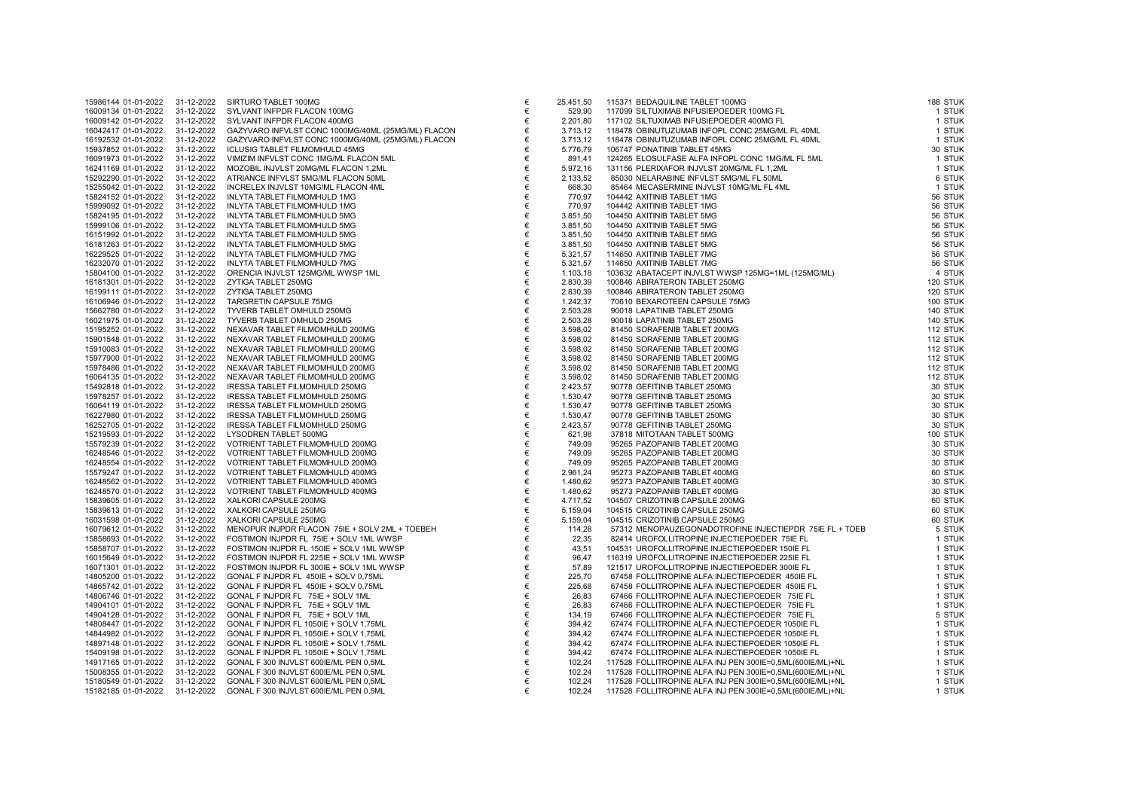| 15986144 01-01-2022                        | 31-12-2022               | SIRTURO TABLET 100MG                                                 |
|--------------------------------------------|--------------------------|----------------------------------------------------------------------|
| 16009134 01-01-2022                        | 31-12-2022               | SYLVANT INFPDR FLACON 100MG                                          |
| 16009142 01-01-2022                        | 31-12-2022               | SYLVANT INFPDR FLACON 400MG                                          |
| 16042417 01-01-2022                        | 31-12-2022               | GAZYVARO INFVLST CONC 1000MG/40ML (25MG/ML) FLACON                   |
| 16192532 01-01-2022                        | 31-12-2022               | GAZYVARO INFVLST CONC 1000MG/40ML (25MG/ML) FLACON                   |
| 15937852 01-01-2022                        | 31-12-2022               | <b>ICLUSIG TABLET FILMOMHULD 45MG</b>                                |
| 16091973 01-01-2022                        | 31-12-2022               | VIMIZIM INFVLST CONC 1MG/ML FLACON 5ML                               |
| 16241169 01-01-2022                        | 31-12-2022               | MOZOBIL INJVLST 20MG/ML FLACON 1,2ML                                 |
| 15292290 01-01-2022                        | 31-12-2022               | ATRIANCE INFVLST 5MG/ML FLACON 50ML                                  |
| 15255042 01-01-2022                        | 31-12-2022               | INCRELEX INJVLST 10MG/ML FLACON 4ML                                  |
| 15824152 01-01-2022                        | 31-12-2022               | INLYTA TABLET FILMOMHULD 1MG                                         |
| 15999092 01-01-2022                        | 31-12-2022               | INLYTA TABLET FILMOMHULD 1MG                                         |
| 15824195 01-01-2022                        | 31-12-2022               | INLYTA TABLET FILMOMHULD 5MG                                         |
| 15999106 01-01-2022                        | 31-12-2022               | INLYTA TABLET FILMOMHULD 5MG                                         |
| 16151992 01-01-2022                        | 31-12-2022               | INLYTA TABLET FILMOMHULD 5MG                                         |
| 16181263 01-01-2022                        | 31-12-2022               | INLYTA TABLET FILMOMHULD 5MG                                         |
| 16229525 01-01-2022                        | 31-12-2022               | INLYTA TABLET FILMOMHULD 7MG                                         |
| 16232070 01-01-2022                        | 31-12-2022               | INLYTA TABLET FILMOMHULD 7MG                                         |
| 15804100 01-01-2022                        | 31-12-2022               | ORENCIA INJVLST 125MG/ML WWSP 1ML                                    |
| 16181301 01-01-2022                        | 31-12-2022               | ZYTIGA TABLET 250MG                                                  |
| 16199111 01-01-2022                        | 31-12-2022               | ZYTIGA TABLET 250MG                                                  |
| 16106946 01-01-2022                        | 31-12-2022               | TARGRETIN CAPSULE 75MG                                               |
| 15662780 01-01-2022                        | 31-12-2022               | TYVERB TABLET OMHULD 250MG                                           |
| 16021975 01-01-2022                        | 31-12-2022               | TYVERB TABLET OMHULD 250MG                                           |
| 15195252 01-01-2022                        | 31-12-2022               | NEXAVAR TABLET FILMOMHULD 200MG                                      |
| 15901548 01-01-2022                        | 31-12-2022               | NEXAVAR TABLET FILMOMHULD 200MG                                      |
| 15910083 01-01-2022                        | 31-12-2022               | NEXAVAR TABLET FILMOMHULD 200MG                                      |
| 15977900 01-01-2022                        | 31-12-2022               | NEXAVAR TABLET FILMOMHULD 200MG                                      |
| 15978486 01-01-2022                        | 31-12-2022               | NEXAVAR TABLET FILMOMHULD 200MG                                      |
| 16064135 01-01-2022                        | 31-12-2022               | NEXAVAR TABLET FILMOMHULD 200MG                                      |
| 15492818 01-01-2022                        | 31-12-2022               | IRESSA TABLET FILMOMHULD 250MG                                       |
| 15978257 01-01-2022                        | 31-12-2022               | IRESSA TABLET FILMOMHULD 250MG                                       |
| 16064119 01-01-2022                        | 31-12-2022               | IRESSA TABLET FILMOMHULD 250MG                                       |
| 16227980 01-01-2022                        | 31-12-2022               | IRESSA TABLET FILMOMHULD 250MG                                       |
| 16252705 01-01-2022                        | 31-12-2022               | IRESSA TABLET FILMOMHULD 250MG                                       |
| 15219593 01-01-2022                        | 31-12-2022               | LYSODREN TABLET 500MG                                                |
| 15579239 01-01-2022<br>16248546 01-01-2022 | 31-12-2022               | VOTRIENT TABLET FILMOMHULD 200MG                                     |
|                                            | 31-12-2022               | VOTRIENT TABLET FILMOMHULD 200MG                                     |
| 16248554 01-01-2022<br>15579247 01-01-2022 | 31-12-2022               | VOTRIENT TABLET FILMOMHULD 200MG                                     |
| 16248562 01-01-2022                        | 31-12-2022<br>31-12-2022 | VOTRIENT TABLET FILMOMHULD 400MG<br>VOTRIENT TABLET FILMOMHULD 400MG |
| 16248570 01-01-2022                        | 31-12-2022               | VOTRIENT TABLET FILMOMHULD 400MG                                     |
| 15839605 01-01-2022                        | 31-12-2022               | XALKORI CAPSULE 200MG                                                |
| 15839613 01-01-2022                        | 31-12-2022               | XALKORI CAPSULE 250MG                                                |
| 16031598 01-01-2022                        | 31-12-2022               | XALKORI CAPSULE 250MG                                                |
| 16079612 01-01-2022                        | 31-12-2022               | MENOPUR INJPDR FLACON 75IE + SOLV 2ML + TOEBEH                       |
| 15858693 01-01-2022                        | 31-12-2022               | FOSTIMON INJPDR FL 75IE + SOLV 1ML WWSP                              |
| 15858707 01-01-2022                        | 31-12-2022               | FOSTIMON INJPDR FL 150IE + SOLV 1ML WWSP                             |
| 16015649 01-01-2022                        | 31-12-2022               | FOSTIMON INJPDR FL 225IE + SOLV 1ML WWSP                             |
| 16071301 01-01-2022                        | 31-12-2022               | FOSTIMON INJPDR FL 300IE + SOLV 1ML WWSP                             |
| 14805200 01-01-2022                        | 31-12-2022               | GONAL F INJPDR FL 450IE + SOLV 0,75ML                                |
| 14865742 01-01-2022                        | 31-12-2022               | GONAL F INJPDR FL 450IE + SOLV 0,75ML                                |
| 14806746 01-01-2022                        | 31-12-2022               | GONAL F INJPDR FL 75IE + SOLV 1ML                                    |
| 14904101 01-01-2022                        | 31-12-2022               | GONAL F INJPDR FL 75IE + SOLV 1ML                                    |
| 14904128 01-01-2022                        | 31-12-2022               | GONAL F INJPDR FL 75IE + SOLV 1ML                                    |
| 14808447 01-01-2022                        | 31-12-2022               | GONAL F INJPDR FL 1050IE + SOLV 1,75ML                               |
| 14844982 01-01-2022                        | 31-12-2022               | GONAL F INJPDR FL 1050IE + SOLV 1,75ML                               |
| 14897148 01-01-2022                        | 31-12-2022               | GONAL F INJPDR FL 1050IE + SOLV 1,75ML                               |
| 15409198 01-01-2022                        | 31-12-2022               | GONAL F INJPDR FL 1050IE + SOLV 1,75ML                               |
| 14917165 01-01-2022                        | 31-12-2022               | GONAL F 300 INJVLST 600IE/ML PEN 0,5ML                               |
| 15008355 01-01-2022                        | 31-12-2022               | GONAL F 300 INJVLST 600IE/ML PEN 0,5ML                               |
| 15180549 01-01-2022                        | 31-12-2022               | GONAL F 300 INJVLST 600IE/ML PEN 0,5ML                               |
| 15182185 01-01-2022                        | 31-12-2022               | GONAL F 300 INJVLST 600IE/ML PEN 0,5ML                               |
|                                            |                          |                                                                      |

| 15986144 01-01-2022 | 31-12-2022 | SIRTURO TABLET 100MG                               | € | 25.451,50 | 115371 BEDAQUILINE TABLET 100MG                           | 188 STUK |
|---------------------|------------|----------------------------------------------------|---|-----------|-----------------------------------------------------------|----------|
| 16009134 01-01-2022 | 31-12-2022 | SYLVANT INFPDR FLACON 100MG                        | € | 529,90    | 117099 SILTUXIMAB INFUSIEPOEDER 100MG FL                  | 1 STUK   |
| 16009142 01-01-2022 | 31-12-2022 | SYLVANT INFPDR FLACON 400MG                        | € | 2.201,80  | 117102 SILTUXIMAB INFUSIEPOEDER 400MG FL                  | 1 STUK   |
| 16042417 01-01-2022 | 31-12-2022 | GAZYVARO INFVLST CONC 1000MG/40ML (25MG/ML) FLACON | € | 3.713,12  | 118478 OBINUTUZUMAB INFOPL CONC 25MG/ML FL 40ML           | 1 STUK   |
| 16192532 01-01-2022 | 31-12-2022 | GAZYVARO INFVLST CONC 1000MG/40ML (25MG/ML) FLACON | € | 3.713,12  | 118478 OBINUTUZUMAB INFOPL CONC 25MG/ML FL 40ML           | 1 STUK   |
| 15937852 01-01-2022 | 31-12-2022 | <b>ICLUSIG TABLET FILMOMHULD 45MG</b>              | € | 5.776,79  | 106747 PONATINIB TABLET 45MG                              | 30 STUK  |
| 16091973 01-01-2022 | 31-12-2022 | VIMIZIM INFVLST CONC 1MG/ML FLACON 5ML             | € | 891,41    | 124265 ELOSULFASE ALFA INFOPL CONC 1MG/ML FL 5ML          | 1 STUK   |
| 16241169 01-01-2022 | 31-12-2022 | MOZOBIL INJVLST 20MG/ML FLACON 1,2ML               | € | 5.972,16  | 131156 PLERIXAFOR INJVLST 20MG/ML FL 1,2ML                | 1 STUK   |
| 15292290 01-01-2022 | 31-12-2022 | ATRIANCE INFVLST 5MG/ML FLACON 50ML                | € | 2.133,52  | 85030 NELARABINE INFVLST 5MG/ML FL 50ML                   | 6 STUK   |
| 15255042 01-01-2022 | 31-12-2022 | INCRELEX INJVLST 10MG/ML FLACON 4ML                | € | 668,30    | 85464 MECASERMINE INJVLST 10MG/ML FL 4ML                  | 1 STUK   |
| 15824152 01-01-2022 | 31-12-2022 | INLYTA TABLET FILMOMHULD 1MG                       | € | 770,97    | 104442 AXITINIB TABLET 1MG                                | 56 STUK  |
| 15999092 01-01-2022 | 31-12-2022 | INLYTA TABLET FILMOMHULD 1MG                       | € | 770,97    | 104442 AXITINIB TABLET 1MG                                | 56 STUK  |
| 15824195 01-01-2022 | 31-12-2022 | INLYTA TABLET FILMOMHULD 5MG                       | € | 3.851,50  | 104450 AXITINIB TABLET 5MG                                | 56 STUK  |
| 15999106 01-01-2022 | 31-12-2022 | INLYTA TABLET FILMOMHULD 5MG                       | € | 3.851,50  | 104450 AXITINIB TABLET 5MG                                | 56 STUK  |
| 16151992 01-01-2022 | 31-12-2022 | INLYTA TABLET FILMOMHULD 5MG                       | € | 3.851,50  | 104450 AXITINIB TABLET 5MG                                | 56 STUK  |
| 16181263 01-01-2022 | 31-12-2022 | INLYTA TABLET FILMOMHULD 5MG                       | € | 3.851,50  | 104450 AXITINIB TABLET 5MG                                | 56 STUK  |
| 16229525 01-01-2022 | 31-12-2022 | INLYTA TABLET FILMOMHULD 7MG                       | € | 5.321,57  | 114650 AXITINIB TABLET 7MG                                | 56 STUK  |
| 16232070 01-01-2022 | 31-12-2022 | INLYTA TABLET FILMOMHULD 7MG                       | € | 5.321,57  | 114650 AXITINIB TABLET 7MG                                | 56 STUK  |
| 15804100 01-01-2022 | 31-12-2022 | ORENCIA INJVLST 125MG/ML WWSP 1ML                  | € | 1.103,18  | 103632 ABATACEPT INJVLST WWSP 125MG=1ML (125MG/ML)        | 4 STUK   |
| 16181301 01-01-2022 | 31-12-2022 | ZYTIGA TABLET 250MG                                | € | 2.830,39  | 100846 ABIRATERON TABLET 250MG                            | 120 STUK |
| 16199111 01-01-2022 | 31-12-2022 | ZYTIGA TABLET 250MG                                | € | 2.830,39  | 100846 ABIRATERON TABLET 250MG                            | 120 STUK |
| 16106946 01-01-2022 | 31-12-2022 | TARGRETIN CAPSULE 75MG                             | € | 1.242,37  | 70610 BEXAROTEEN CAPSULE 75MG                             | 100 STUK |
| 15662780 01-01-2022 | 31-12-2022 | TYVERB TABLET OMHULD 250MG                         | € | 2.503,28  | 90018 LAPATINIB TABLET 250MG                              | 140 STUK |
| 16021975 01-01-2022 | 31-12-2022 | TYVERB TABLET OMHULD 250MG                         | € | 2.503,28  | 90018 LAPATINIB TABLET 250MG                              | 140 STUK |
| 15195252 01-01-2022 | 31-12-2022 | NEXAVAR TABLET FILMOMHULD 200MG                    | € | 3.598,02  | 81450 SORAFENIB TABLET 200MG                              | 112 STUK |
| 15901548 01-01-2022 | 31-12-2022 | NEXAVAR TABLET FILMOMHULD 200MG                    | € | 3.598,02  | 81450 SORAFENIB TABLET 200MG                              | 112 STUK |
| 15910083 01-01-2022 | 31-12-2022 | NEXAVAR TABLET FILMOMHULD 200MG                    | € | 3.598,02  | 81450 SORAFENIB TABLET 200MG                              | 112 STUK |
| 15977900 01-01-2022 | 31-12-2022 | NEXAVAR TABLET FILMOMHULD 200MG                    | € | 3.598,02  | 81450 SORAFENIB TABLET 200MG                              | 112 STUK |
| 15978486 01-01-2022 | 31-12-2022 | NEXAVAR TABLET FILMOMHULD 200MG                    | € | 3.598,02  | 81450 SORAFENIB TABLET 200MG                              | 112 STUK |
| 16064135 01-01-2022 | 31-12-2022 | NEXAVAR TABLET FILMOMHULD 200MG                    | € | 3.598,02  | 81450 SORAFENIB TABLET 200MG                              | 112 STUK |
| 15492818 01-01-2022 | 31-12-2022 | IRESSA TABLET FILMOMHULD 250MG                     | € | 2.423,57  | 90778 GEFITINIB TABLET 250MG                              | 30 STUK  |
| 15978257 01-01-2022 | 31-12-2022 | IRESSA TABLET FILMOMHULD 250MG                     | € | 1.530,47  | 90778 GEFITINIB TABLET 250MG                              | 30 STUK  |
| 16064119 01-01-2022 | 31-12-2022 | IRESSA TABLET FILMOMHULD 250MG                     | € | 1.530,47  | 90778 GEFITINIB TABLET 250MG                              | 30 STUK  |
| 16227980 01-01-2022 | 31-12-2022 | IRESSA TABLET FILMOMHULD 250MG                     | € | 1.530,47  | 90778 GEFITINIB TABLET 250MG                              | 30 STUK  |
| 16252705 01-01-2022 | 31-12-2022 | IRESSA TABLET FILMOMHULD 250MG                     | € | 2.423,57  | 90778 GEFITINIB TABLET 250MG                              | 30 STUK  |
| 15219593 01-01-2022 | 31-12-2022 | LYSODREN TABLET 500MG                              | € | 621,98    | 37818 MITOTAAN TABLET 500MG                               | 100 STUK |
| 15579239 01-01-2022 | 31-12-2022 | VOTRIENT TABLET FILMOMHULD 200MG                   | € | 749,09    | 95265 PAZOPANIB TABLET 200MG                              | 30 STUK  |
| 16248546 01-01-2022 | 31-12-2022 | VOTRIENT TABLET FILMOMHULD 200MG                   | € | 749,09    | 95265 PAZOPANIB TABLET 200MG                              | 30 STUK  |
| 16248554 01-01-2022 | 31-12-2022 | VOTRIENT TABLET FILMOMHULD 200MG                   | € | 749,09    | 95265 PAZOPANIB TABLET 200MG                              | 30 STUK  |
| 15579247 01-01-2022 | 31-12-2022 | VOTRIENT TABLET FILMOMHULD 400MG                   | € | 2.961,24  | 95273 PAZOPANIB TABLET 400MG                              | 60 STUK  |
| 16248562 01-01-2022 | 31-12-2022 | VOTRIENT TABLET FILMOMHULD 400MG                   | € | 1.480,62  | 95273 PAZOPANIB TABLET 400MG                              | 30 STUK  |
| 16248570 01-01-2022 | 31-12-2022 | VOTRIENT TABLET FILMOMHULD 400MG                   | € | 1.480,62  | 95273 PAZOPANIB TABLET 400MG                              | 30 STUK  |
| 15839605 01-01-2022 | 31-12-2022 | XALKORI CAPSULE 200MG                              | € | 4.717,52  | 104507 CRIZOTINIB CAPSULE 200MG                           | 60 STUK  |
| 15839613 01-01-2022 | 31-12-2022 | XALKORI CAPSULE 250MG                              | € | 5.159,04  | 104515 CRIZOTINIB CAPSULE 250MG                           | 60 STUK  |
| 16031598 01-01-2022 | 31-12-2022 | XALKORI CAPSULE 250MG                              | € | 5.159,04  | 104515 CRIZOTINIB CAPSULE 250MG                           | 60 STUK  |
| 16079612 01-01-2022 | 31-12-2022 | MENOPUR INJPDR FLACON 75IE + SOLV 2ML + TOEBEH     | € | 114,28    | 57312 MENOPAUZEGONADOTROFINE INJECTIEPDR 75IE FL + TOEB   | 5 STUK   |
| 15858693 01-01-2022 | 31-12-2022 | FOSTIMON INJPDR FL 75IE + SOLV 1ML WWSP            | € | 22,35     | 82414 UROFOLLITROPINE INJECTIEPOEDER 75IE FL              | 1 STUK   |
| 15858707 01-01-2022 | 31-12-2022 | FOSTIMON INJPDR FL 150IE + SOLV 1ML WWSP           | € |           | 104531 UROFOLLITROPINE INJECTIEPOEDER 150IE FL            | 1 STUK   |
|                     |            |                                                    |   | 43,51     |                                                           |          |
| 16015649 01-01-2022 | 31-12-2022 | FOSTIMON INJPDR FL 225IE + SOLV 1ML WWSP           | € | 96,47     | 116319 UROFOLLITROPINE INJECTIEPOEDER 225IE FL            | 1 STUK   |
| 16071301 01-01-2022 | 31-12-2022 | FOSTIMON INJPDR FL 300IE + SOLV 1ML WWSP           | € | 57,89     | 121517 UROFOLLITROPINE INJECTIEPOEDER 300IE FL            | 1 STUK   |
| 14805200 01-01-2022 | 31-12-2022 | GONAL F INJPDR FL 450IE + SOLV 0,75ML              | € | 225,70    | 67458 FOLLITROPINE ALFA INJECTIEPOEDER 450IE FL           | 1 STUK   |
| 14865742 01-01-2022 | 31-12-2022 | GONAL F INJPDR FL 450IE + SOLV 0,75ML              | € | 225,68    | 67458 FOLLITROPINE ALFA INJECTIEPOEDER 450IE FL           | 1 STUK   |
| 14806746 01-01-2022 | 31-12-2022 | GONAL F INJPDR FL 75IE + SOLV 1ML                  | € | 26,83     | 67466 FOLLITROPINE ALFA INJECTIEPOEDER 75IE FL            | 1 STUK   |
| 14904101 01-01-2022 | 31-12-2022 | GONAL F INJPDR FL 75IE + SOLV 1ML                  | € | 26,83     | 67466 FOLLITROPINE ALFA INJECTIEPOEDER 75IE FL            | 1 STUK   |
| 14904128 01-01-2022 | 31-12-2022 | GONAL F INJPDR FL 75IE + SOLV 1ML                  | € | 134,19    | 67466 FOLLITROPINE ALFA INJECTIEPOEDER 75IE FL            | 5 STUK   |
| 14808447 01-01-2022 | 31-12-2022 | GONAL F INJPDR FL 1050IE + SOLV 1,75ML             | € | 394,42    | 67474 FOLLITROPINE ALFA INJECTIEPOEDER 1050IE FL          | 1 STUK   |
| 14844982 01-01-2022 | 31-12-2022 | GONAL F INJPDR FL 1050IE + SOLV 1,75ML             | € | 394,42    | 67474 FOLLITROPINE ALFA INJECTIEPOEDER 1050IE FL          | 1 STUK   |
| 14897148 01-01-2022 | 31-12-2022 | GONAL F INJPDR FL 1050IE + SOLV 1,75ML             | € | 394,42    | 67474 FOLLITROPINE ALFA INJECTIEPOEDER 1050IE FL          | 1 STUK   |
| 15409198 01-01-2022 | 31-12-2022 | GONAL F INJPDR FL 1050IE + SOLV 1,75ML             | € | 394,42    | 67474 FOLLITROPINE ALFA INJECTIEPOEDER 1050IE FL          | 1 STUK   |
| 14917165 01-01-2022 | 31-12-2022 | GONAL F 300 INJVLST 600IE/ML PEN 0,5ML             | € | 102,24    | 117528 FOLLITROPINE ALFA INJ PEN 300IE=0,5ML(600IE/ML)+NL | 1 STUK   |
| 15008355 01-01-2022 | 31-12-2022 | GONAL F 300 INJVLST 600IE/ML PEN 0,5ML             | € | 102,24    | 117528 FOLLITROPINE ALFA INJ PEN 300IE=0,5ML(600IE/ML)+NL | 1 STUK   |
| 15180549 01-01-2022 | 31-12-2022 | GONAL F 300 INJVLST 600IE/ML PEN 0,5ML             | € | 102,24    | 117528 FOLLITROPINE ALFA INJ PEN 300IE=0,5ML(600IE/ML)+NL | 1 STUK   |
| 15182185 01-01-2022 | 31-12-2022 | GONAL F 300 INJVLST 600IE/ML PEN 0,5ML             | € | 102,24    | 117528 FOLLITROPINE ALFA INJ PEN 300IE=0,5ML(600IE/ML)+NL | 1 STUK   |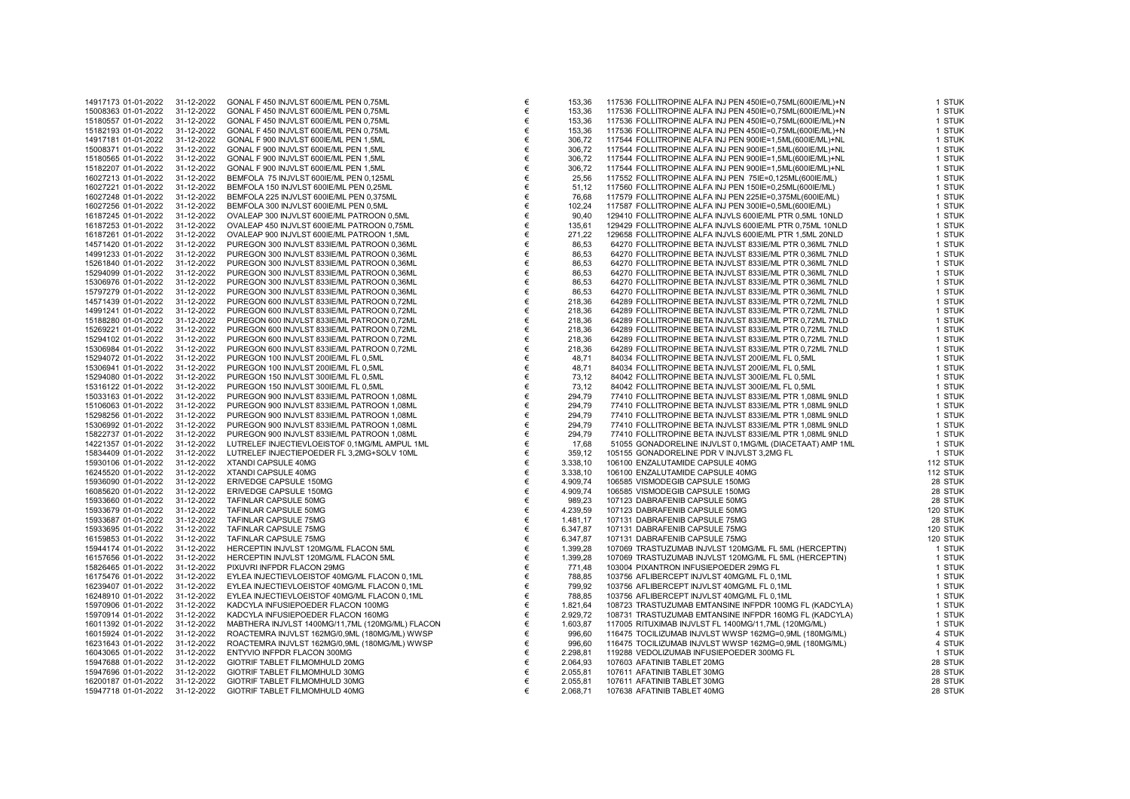| 14917173 01-01-2022                        | 31-12-2022               | GONAL F 450 INJVLST 600IE/ML PEN 0,75ML                          |
|--------------------------------------------|--------------------------|------------------------------------------------------------------|
| 15008363 01-01-2022                        | 31-12-2022               | GONAL F 450 INJVLST 600IE/ML PEN 0,75ML                          |
| 15180557 01-01-2022                        | 31-12-2022               | GONAL F 450 INJVLST 600IE/ML PEN 0,75ML                          |
| 15182193 01-01-2022                        | 31-12-2022               | GONAL F 450 INJVLST 600IE/ML PEN 0,75ML                          |
| 14917181 01-01-2022                        | 31-12-2022               | GONAL F 900 INJVLST 600IE/ML PEN 1,5ML                           |
| 15008371 01-01-2022                        | 31-12-2022               | GONAL F 900 INJVLST 600IE/ML PEN 1,5ML                           |
|                                            |                          |                                                                  |
| 15180565 01-01-2022                        | 31-12-2022               | GONAL F 900 INJVLST 600IE/ML PEN 1,5ML                           |
| 15182207 01-01-2022                        | 31-12-2022               | GONAL F 900 INJVLST 600IE/ML PEN 1,5ML                           |
| 16027213 01-01-2022                        | 31-12-2022               | BEMFOLA 75 INJVLST 600IE/ML PEN 0,125ML                          |
| 16027221 01-01-2022                        | 31-12-2022               | BEMFOLA 150 INJVLST 600IE/ML PEN 0,25ML                          |
| 16027248 01-01-2022                        | 31-12-2022               | BEMFOLA 225 INJVLST 600IE/ML PEN 0,375ML                         |
| 16027256 01-01-2022                        | 31-12-2022               | BEMFOLA 300 INJVLST 600IE/ML PEN 0,5ML                           |
| 16187245 01-01-2022                        | 31-12-2022               | OVALEAP 300 INJVLST 600IE/ML PATROON 0,5ML                       |
| 16187253 01-01-2022                        | 31-12-2022               | OVALEAP 450 INJVLST 600IE/ML PATROON 0,75ML                      |
| 16187261 01-01-2022                        | 31-12-2022               | OVALEAP 900 INJVLST 600IE/ML PATROON 1,5ML                       |
| 14571420 01-01-2022                        | 31-12-2022               | PUREGON 300 INJVLST 833IE/ML PATROON 0,36ML                      |
| 14991233 01-01-2022                        | 31-12-2022               | PUREGON 300 INJVLST 833IE/ML PATROON 0,36ML                      |
|                                            |                          |                                                                  |
| 15261840 01-01-2022                        | 31-12-2022               | PUREGON 300 INJVLST 833IE/ML PATROON 0,36ML                      |
| 15294099 01-01-2022                        | 31-12-2022               | PUREGON 300 INJVLST 833IE/ML PATROON 0,36ML                      |
| 15306976 01-01-2022                        | 31-12-2022               | PUREGON 300 INJVLST 833IE/ML PATROON 0,36ML                      |
| 15797279 01-01-2022                        | 31-12-2022               | PUREGON 300 INJVLST 833IE/ML PATROON 0,36ML                      |
| 14571439 01-01-2022                        | 31-12-2022               | PUREGON 600 INJVLST 833IE/ML PATROON 0,72ML                      |
| 14991241 01-01-2022                        | 31-12-2022               | PUREGON 600 INJVLST 833IE/ML PATROON 0,72ML                      |
| 15188280 01-01-2022                        | 31-12-2022               | PUREGON 600 INJVLST 833IE/ML PATROON 0,72ML                      |
| 15269221 01-01-2022                        | 31-12-2022               | PUREGON 600 INJVLST 833IE/ML PATROON 0,72ML                      |
| 15294102 01-01-2022                        | 31-12-2022               | PUREGON 600 INJVLST 833IE/ML PATROON 0,72ML                      |
| 15306984 01-01-2022                        | 31-12-2022               | PUREGON 600 INJVLST 833IE/ML PATROON 0,72ML                      |
| 15294072 01-01-2022                        | 31-12-2022               | PUREGON 100 INJVLST 200IE/ML FL 0,5ML                            |
| 15306941 01-01-2022                        | 31-12-2022               | PUREGON 100 INJVLST 200IE/ML FL 0,5ML                            |
| 15294080 01-01-2022                        |                          | PUREGON 150 INJVLST 300IE/ML FL 0,5ML                            |
|                                            | 31-12-2022               |                                                                  |
| 15316122 01-01-2022                        | 31-12-2022               | PUREGON 150 INJVLST 300IE/ML FL 0,5ML                            |
| 15033163 01-01-2022                        | 31-12-2022               | PUREGON 900 INJVLST 833IE/ML PATROON 1,08ML                      |
| 15106063 01-01-2022                        | 31-12-2022               | PUREGON 900 INJVLST 833IE/ML PATROON 1,08ML                      |
| 15298256 01-01-2022                        | 31-12-2022               | PUREGON 900 INJVLST 833IE/ML PATROON 1,08ML                      |
| 15306992 01-01-2022                        | 31-12-2022               | PUREGON 900 INJVLST 833IE/ML PATROON 1,08ML                      |
| 15822737 01-01-2022                        | 31-12-2022               | PUREGON 900 INJVLST 833IE/ML PATROON 1,08ML                      |
| 14221357 01-01-2022                        | 31-12-2022               | LUTRELEF INJECTIEVLOEISTOF 0,1MG/ML AMPUL 1ML                    |
| 15834409 01-01-2022                        | 31-12-2022               | LUTRELEF INJECTIEPOEDER FL 3,2MG+SOLV 10ML                       |
| 15930106 01-01-2022                        | 31-12-2022               | <b>XTANDI CAPSULE 40MG</b>                                       |
| 16245520 01-01-2022                        | 31-12-2022               | <b>XTANDI CAPSULE 40MG</b>                                       |
| 15936090 01-01-2022                        | 31-12-2022               | ERIVEDGE CAPSULE 150MG                                           |
| 16085620 01-01-2022                        | 31-12-2022               | ERIVEDGE CAPSULE 150MG                                           |
| 15933660 01-01-2022                        | 31-12-2022               | TAFINLAR CAPSULE 50MG                                            |
| 15933679 01-01-2022                        | 31-12-2022               | TAFINLAR CAPSULE 50MG                                            |
| 15933687 01-01-2022                        | 31-12-2022               | TAFINLAR CAPSULE 75MG                                            |
| 15933695 01-01-2022                        | 31-12-2022               | TAFINLAR CAPSULE 75MG                                            |
| 16159853 01-01-2022                        | 31-12-2022               | TAFINLAR CAPSULE 75MG                                            |
| 15944174 01-01-2022                        | 31-12-2022               | HERCEPTIN INJVLST 120MG/ML FLACON 5ML                            |
| 16157656 01-01-2022                        | 31-12-2022               | HERCEPTIN INJVLST 120MG/ML FLACON 5ML                            |
| 15826465 01-01-2022                        | 31-12-2022               | PIXUVRI INFPDR FLACON 29MG                                       |
| 16175476 01-01-2022                        | 31-12-2022               | EYLEA INJECTIEVLOEISTOF 40MG/ML FLACON 0,1ML                     |
|                                            |                          |                                                                  |
|                                            |                          |                                                                  |
| 16239407 01-01-2022                        | 31-12-2022               | EYLEA INJECTIEVLOEISTOF 40MG/ML FLACON 0,1ML                     |
| 16248910 01-01-2022                        | 31-12-2022               | EYLEA INJECTIEVLOEISTOF 40MG/ML FLACON 0,1ML                     |
| 15970906 01-01-2022                        | 31-12-2022               | KADCYLA INFUSIEPOEDER FLACON 100MG                               |
| 15970914 01-01-2022                        | 31-12-2022               | KADCYLA INFUSIEPOEDER FLACON 160MG                               |
| 16011392 01-01-2022                        | 31-12-2022               | MABTHERA INJVLST 1400MG/11,7ML (120MG/ML) FLACON                 |
| 16015924 01-01-2022                        | 31-12-2022               | ROACTEMRA INJVLST 162MG/0,9ML (180MG/ML) WWSP                    |
| 16231643 01-01-2022                        | 31-12-2022               | ROACTEMRA INJVLST 162MG/0,9ML (180MG/ML) WWSP                    |
| 16043065 01-01-2022                        | 31-12-2022               | ENTYVIO INFPDR FLACON 300MG                                      |
| 15947688 01-01-2022                        | 31-12-2022               | GIOTRIF TABLET FILMOMHULD 20MG                                   |
| 15947696 01-01-2022                        | 31-12-2022               | GIOTRIF TABLET FILMOMHULD 30MG                                   |
| 16200187 01-01-2022<br>15947718 01-01-2022 | 31-12-2022<br>31-12-2022 | GIOTRIF TABLET FILMOMHULD 30MG<br>GIOTRIF TABLET FILMOMHULD 40MG |

| 14917173 01-01-2022 | 31-12-2022 | GONAL F 450 INJVLST 600IE/ML PEN 0,75ML          | €      | 153,36   | 117536 FOLLITROPINE ALFA INJ PEN 450IE=0,75ML(600IE/ML)+N | 1 STUK   |
|---------------------|------------|--------------------------------------------------|--------|----------|-----------------------------------------------------------|----------|
| 15008363 01-01-2022 | 31-12-2022 | GONAL F 450 INJVLST 600IE/ML PEN 0,75ML          | €      | 153,36   | 117536 FOLLITROPINE ALFA INJ PEN 450IE=0,75ML(600IE/ML)+N | 1 STUK   |
| 15180557 01-01-2022 | 31-12-2022 | GONAL F 450 INJVLST 600IE/ML PEN 0,75ML          | €      | 153,36   | 117536 FOLLITROPINE ALFA INJ PEN 450IE=0,75ML(600IE/ML)+N | 1 STUK   |
| 15182193 01-01-2022 | 31-12-2022 | GONAL F 450 INJVLST 600IE/ML PEN 0.75ML          | €      | 153,36   | 117536 FOLLITROPINE ALFA INJ PEN 450IE=0,75ML(600IE/ML)+N | 1 STUK   |
| 14917181 01-01-2022 | 31-12-2022 | GONAL F 900 INJVLST 600IE/ML PEN 1,5ML           | €      | 306,72   | 117544 FOLLITROPINE ALFA INJ PEN 900IE=1,5ML(600IE/ML)+NL | 1 STUK   |
| 15008371 01-01-2022 | 31-12-2022 | GONAL F 900 INJVLST 600IE/ML PEN 1,5ML           | €      | 306,72   | 117544 FOLLITROPINE ALFA INJ PEN 900IE=1,5ML(600IE/ML)+NL | 1 STUK   |
| 15180565 01-01-2022 | 31-12-2022 | GONAL F 900 INJVLST 600IE/ML PEN 1,5ML           | €      | 306,72   | 117544 FOLLITROPINE ALFA INJ PEN 900IE=1,5ML(600IE/ML)+NL | 1 STUK   |
| 15182207 01-01-2022 | 31-12-2022 | GONAL F 900 INJVLST 600IE/ML PEN 1,5ML           | €      | 306,72   | 117544 FOLLITROPINE ALFA INJ PEN 900IE=1,5ML(600IE/ML)+NL | 1 STUK   |
| 16027213 01-01-2022 | 31-12-2022 | BEMFOLA 75 INJVLST 600IE/ML PEN 0,125ML          | €      | 25,56    | 117552 FOLLITROPINE ALFA INJ PEN 75IE=0,125ML(600IE/ML)   | 1 STUK   |
| 16027221 01-01-2022 | 31-12-2022 | BEMFOLA 150 INJVLST 600IE/ML PEN 0,25ML          | $\in$  | 51,12    | 117560 FOLLITROPINE ALFA INJ PEN 150IE=0,25ML(600IE/ML)   | 1 STUK   |
| 16027248 01-01-2022 | 31-12-2022 | BEMFOLA 225 INJVLST 600IE/ML PEN 0,375ML         | €      | 76,68    | 117579 FOLLITROPINE ALFA INJ PEN 225IE=0,375ML(600IE/ML)  | 1 STUK   |
| 16027256 01-01-2022 | 31-12-2022 | BEMFOLA 300 INJVLST 600IE/ML PEN 0,5ML           | €      | 102,24   | 117587 FOLLITROPINE ALFA INJ PEN 300IE=0,5ML(600IE/ML)    | 1 STUK   |
| 16187245 01-01-2022 | 31-12-2022 | OVALEAP 300 INJVLST 600IE/ML PATROON 0,5ML       | €      | 90,40    | 129410 FOLLITROPINE ALFA INJVLS 600IE/ML PTR 0,5ML 10NLD  | 1 STUK   |
| 16187253 01-01-2022 | 31-12-2022 | OVALEAP 450 INJVLST 600IE/ML PATROON 0,75ML      | €      | 135,61   | 129429 FOLLITROPINE ALFA INJVLS 600IE/ML PTR 0,75ML 10NLD | 1 STUK   |
| 16187261 01-01-2022 | 31-12-2022 | OVALEAP 900 INJVLST 600IE/ML PATROON 1,5ML       | €      | 271,22   | 129658 FOLLITROPINE ALFA INJVLS 600IE/ML PTR 1,5ML 20NLD  | 1 STUK   |
| 14571420 01-01-2022 | 31-12-2022 | PUREGON 300 INJVLST 833IE/ML PATROON 0,36ML      | €      | 86,53    | 64270 FOLLITROPINE BETA INJVLST 833IE/ML PTR 0,36ML 7NLD  | 1 STUK   |
| 14991233 01-01-2022 | 31-12-2022 | PUREGON 300 INJVLST 833IE/ML PATROON 0,36ML      | €      | 86,53    | 64270 FOLLITROPINE BETA INJVLST 833IE/ML PTR 0,36ML 7NLD  | 1 STUK   |
| 15261840 01-01-2022 | 31-12-2022 | PUREGON 300 INJVLST 833IE/ML PATROON 0,36ML      | €      | 86,53    | 64270 FOLLITROPINE BETA INJVLST 833IE/ML PTR 0,36ML 7NLD  | 1 STUK   |
|                     |            |                                                  | €      |          |                                                           |          |
| 15294099 01-01-2022 | 31-12-2022 | PUREGON 300 INJVLST 833IE/ML PATROON 0,36ML      |        | 86,53    | 64270 FOLLITROPINE BETA INJVLST 833IE/ML PTR 0,36ML 7NLD  | 1 STUK   |
| 15306976 01-01-2022 | 31-12-2022 | PUREGON 300 INJVLST 833IE/ML PATROON 0,36ML      | €      | 86,53    | 64270 FOLLITROPINE BETA INJVLST 833IE/ML PTR 0,36ML 7NLD  | 1 STUK   |
| 15797279 01-01-2022 | 31-12-2022 | PUREGON 300 INJVLST 833IE/ML PATROON 0,36ML      | €      | 86,53    | 64270 FOLLITROPINE BETA INJVLST 833IE/ML PTR 0,36ML 7NLD  | 1 STUK   |
| 14571439 01-01-2022 | 31-12-2022 | PUREGON 600 INJVLST 833IE/ML PATROON 0,72ML      | €      | 218,36   | 64289 FOLLITROPINE BETA INJVLST 833IE/ML PTR 0,72ML 7NLD  | 1 STUK   |
| 14991241 01-01-2022 | 31-12-2022 | PUREGON 600 INJVLST 833IE/ML PATROON 0,72ML      | €      | 218,36   | 64289 FOLLITROPINE BETA INJVLST 833IE/ML PTR 0,72ML 7NLD  | 1 STUK   |
| 15188280 01-01-2022 | 31-12-2022 | PUREGON 600 INJVLST 833IE/ML PATROON 0,72ML      | €      | 218,36   | 64289 FOLLITROPINE BETA INJVLST 833IE/ML PTR 0,72ML 7NLD  | 1 STUK   |
| 15269221 01-01-2022 | 31-12-2022 | PUREGON 600 INJVLST 833IE/ML PATROON 0,72ML      | €      | 218,36   | 64289 FOLLITROPINE BETA INJVLST 833IE/ML PTR 0,72ML 7NLD  | 1 STUK   |
| 15294102 01-01-2022 | 31-12-2022 | PUREGON 600 INJVLST 833IE/ML PATROON 0,72ML      | €      | 218,36   | 64289 FOLLITROPINE BETA INJVLST 833IE/ML PTR 0,72ML 7NLD  | 1 STUK   |
| 15306984 01-01-2022 | 31-12-2022 | PUREGON 600 INJVLST 833IE/ML PATROON 0,72ML      | €      | 218,36   | 64289 FOLLITROPINE BETA INJVLST 833IE/ML PTR 0,72ML 7NLD  | 1 STUK   |
| 15294072 01-01-2022 | 31-12-2022 | PUREGON 100 INJVLST 200IE/ML FL 0,5ML            | €      | 48,71    | 84034 FOLLITROPINE BETA INJVLST 200IE/ML FL 0,5ML         | 1 STUK   |
| 15306941 01-01-2022 | 31-12-2022 | PUREGON 100 INJVLST 200IE/ML FL 0,5ML            | €      | 48,71    | 84034 FOLLITROPINE BETA INJVLST 2001E/ML FL 0,5ML         | 1 STUK   |
| 15294080 01-01-2022 | 31-12-2022 | PUREGON 150 INJVLST 300IE/ML FL 0,5ML            | €      | 73,12    | 84042 FOLLITROPINE BETA INJVLST 300IE/ML FL 0,5ML         | 1 STUK   |
| 15316122 01-01-2022 | 31-12-2022 | PUREGON 150 INJVLST 300IE/ML FL 0,5ML            | €      | 73,12    | 84042 FOLLITROPINE BETA INJVLST 300IE/ML FL 0,5ML         | 1 STUK   |
| 15033163 01-01-2022 | 31-12-2022 | PUREGON 900 INJVLST 833IE/ML PATROON 1,08ML      | €      | 294,79   | 77410 FOLLITROPINE BETA INJVLST 833IE/ML PTR 1,08ML 9NLD  | 1 STUK   |
| 15106063 01-01-2022 | 31-12-2022 | PUREGON 900 INJVLST 833IE/ML PATROON 1,08ML      | €      | 294,79   | 77410 FOLLITROPINE BETA INJVLST 833IE/ML PTR 1,08ML 9NLD  | 1 STUK   |
| 15298256 01-01-2022 | 31-12-2022 | PUREGON 900 INJVLST 833IE/ML PATROON 1,08ML      | €      | 294,79   | 77410 FOLLITROPINE BETA INJVLST 833IE/ML PTR 1,08ML 9NLD  | 1 STUK   |
| 15306992 01-01-2022 | 31-12-2022 | PUREGON 900 INJVLST 833IE/ML PATROON 1,08ML      | €      | 294,79   | 77410 FOLLITROPINE BETA INJVLST 833IE/ML PTR 1,08ML 9NLD  | 1 STUK   |
| 15822737 01-01-2022 | 31-12-2022 | PUREGON 900 INJVLST 833IE/ML PATROON 1,08ML      | €      | 294,79   | 77410 FOLLITROPINE BETA INJVLST 833IE/ML PTR 1,08ML 9NLD  | 1 STUK   |
| 14221357 01-01-2022 | 31-12-2022 | LUTRELEF INJECTIEVLOEISTOF 0,1MG/ML AMPUL 1ML    | €      | 17,68    | 51055 GONADORELINE INJVLST 0,1MG/ML (DIACETAAT) AMP 1ML   | 1 STUK   |
| 15834409 01-01-2022 | 31-12-2022 | LUTRELEF INJECTIEPOEDER FL 3,2MG+SOLV 10ML       | €      | 359,12   | 105155 GONADORELINE PDR V INJVLST 3,2MG FL                | 1 STUK   |
| 15930106 01-01-2022 | 31-12-2022 | XTANDI CAPSULE 40MG                              | €      | 3.338,10 | 106100 ENZALUTAMIDE CAPSULE 40MG                          | 112 STUK |
| 16245520 01-01-2022 | 31-12-2022 | XTANDI CAPSULE 40MG                              | €      | 3.338,10 | 106100 ENZALUTAMIDE CAPSULE 40MG                          | 112 STUK |
| 15936090 01-01-2022 | 31-12-2022 | ERIVEDGE CAPSULE 150MG                           | €      | 4.909,74 | 106585 VISMODEGIB CAPSULE 150MG                           | 28 STUK  |
| 16085620 01-01-2022 | 31-12-2022 | ERIVEDGE CAPSULE 150MG                           | €      | 4.909,74 | 106585 VISMODEGIB CAPSULE 150MG                           | 28 STUK  |
|                     | 31-12-2022 |                                                  |        | 989,23   | 107123 DABRAFENIB CAPSULE 50MG                            | 28 STUK  |
| 15933660 01-01-2022 |            | TAFINLAR CAPSULE 50MG                            | €<br>€ | 4.239,59 | 107123 DABRAFENIB CAPSULE 50MG                            | 120 STUK |
| 15933679 01-01-2022 | 31-12-2022 | TAFINLAR CAPSULE 50MG                            | €      |          |                                                           |          |
| 15933687 01-01-2022 | 31-12-2022 | TAFINLAR CAPSULE 75MG                            |        | 1.481,17 | 107131 DABRAFENIB CAPSULE 75MG                            | 28 STUK  |
| 15933695 01-01-2022 | 31-12-2022 | TAFINLAR CAPSULE 75MG                            | €      | 6.347,87 | 107131 DABRAFENIB CAPSULE 75MG                            | 120 STUK |
| 16159853 01-01-2022 | 31-12-2022 | TAFINLAR CAPSULE 75MG                            | €      | 6.347,87 | 107131 DABRAFENIB CAPSULE 75MG                            | 120 STUK |
| 15944174 01-01-2022 | 31-12-2022 | HERCEPTIN INJVLST 120MG/ML FLACON 5ML            | €      | 1.399,28 | 107069 TRASTUZUMAB INJVLST 120MG/ML FL 5ML (HERCEPTIN)    | 1 STUK   |
| 16157656 01-01-2022 | 31-12-2022 | HERCEPTIN INJVLST 120MG/ML FLACON 5ML            | €      | 1.399,28 | 107069 TRASTUZUMAB INJVLST 120MG/ML FL 5ML (HERCEPTIN)    | 1 STUK   |
| 15826465 01-01-2022 | 31-12-2022 | PIXUVRI INFPDR FLACON 29MG                       | €      | 771,48   | 103004 PIXANTRON INFUSIEPOEDER 29MG FL                    | 1 STUK   |
| 16175476 01-01-2022 | 31-12-2022 | EYLEA INJECTIEVLOEISTOF 40MG/ML FLACON 0,1ML     | €      | 788,85   | 103756 AFLIBERCEPT INJVLST 40MG/ML FL 0,1ML               | 1 STUK   |
| 16239407 01-01-2022 | 31-12-2022 | EYLEA INJECTIEVLOEISTOF 40MG/ML FLACON 0,1ML     | €      | 799,92   | 103756 AFLIBERCEPT INJVLST 40MG/ML FL 0,1ML               | 1 STUK   |
| 16248910 01-01-2022 | 31-12-2022 | EYLEA INJECTIEVLOEISTOF 40MG/ML FLACON 0,1ML     | €      | 788,85   | 103756 AFLIBERCEPT INJVLST 40MG/ML FL 0,1ML               | 1 STUK   |
| 15970906 01-01-2022 | 31-12-2022 | KADCYLA INFUSIEPOEDER FLACON 100MG               | $\in$  | 1.821,64 | 108723 TRASTUZUMAB EMTANSINE INFPDR 100MG FL (KADCYLA)    | 1 STUK   |
| 15970914 01-01-2022 | 31-12-2022 | KADCYLA INFUSIEPOEDER FLACON 160MG               | €      | 2.929,72 | 108731 TRASTUZUMAB EMTANSINE INFPDR 160MG FL (KADCYLA)    | 1 STUK   |
| 16011392 01-01-2022 | 31-12-2022 | MABTHERA INJVLST 1400MG/11,7ML (120MG/ML) FLACON | €      | 1.603,87 | 117005 RITUXIMAB INJVLST FL 1400MG/11,7ML (120MG/ML)      | 1 STUK   |
| 16015924 01-01-2022 | 31-12-2022 | ROACTEMRA INJVLST 162MG/0,9ML (180MG/ML) WWSP    | €      | 996,60   | 116475 TOCILIZUMAB INJVLST WWSP 162MG=0,9ML (180MG/ML)    | 4 STUK   |
| 16231643 01-01-2022 | 31-12-2022 | ROACTEMRA INJVLST 162MG/0,9ML (180MG/ML) WWSP    | €      | 996,60   | 116475 TOCILIZUMAB INJVLST WWSP 162MG=0,9ML (180MG/ML)    | 4 STUK   |
| 16043065 01-01-2022 | 31-12-2022 | ENTYVIO INFPDR FLACON 300MG                      | €      | 2.298,81 | 119288 VEDOLIZUMAB INFUSIEPOEDER 300MG FL                 | 1 STUK   |
| 15947688 01-01-2022 | 31-12-2022 | GIOTRIF TABLET FILMOMHULD 20MG                   | €      | 2.064,93 | 107603 AFATINIB TABLET 20MG                               | 28 STUK  |
| 15947696 01-01-2022 | 31-12-2022 | GIOTRIF TABLET FILMOMHULD 30MG                   | €      | 2.055,81 | 107611 AFATINIB TABLET 30MG                               | 28 STUK  |
| 16200187 01-01-2022 | 31-12-2022 | GIOTRIF TABLET FILMOMHULD 30MG                   | €      | 2.055,81 | 107611 AFATINIB TABLET 30MG                               | 28 STUK  |
| 15947718 01-01-2022 | 31-12-2022 | GIOTRIF TABLET FILMOMHULD 40MG                   | €      | 2.068,71 | 107638 AFATINIB TABLET 40MG                               | 28 STUK  |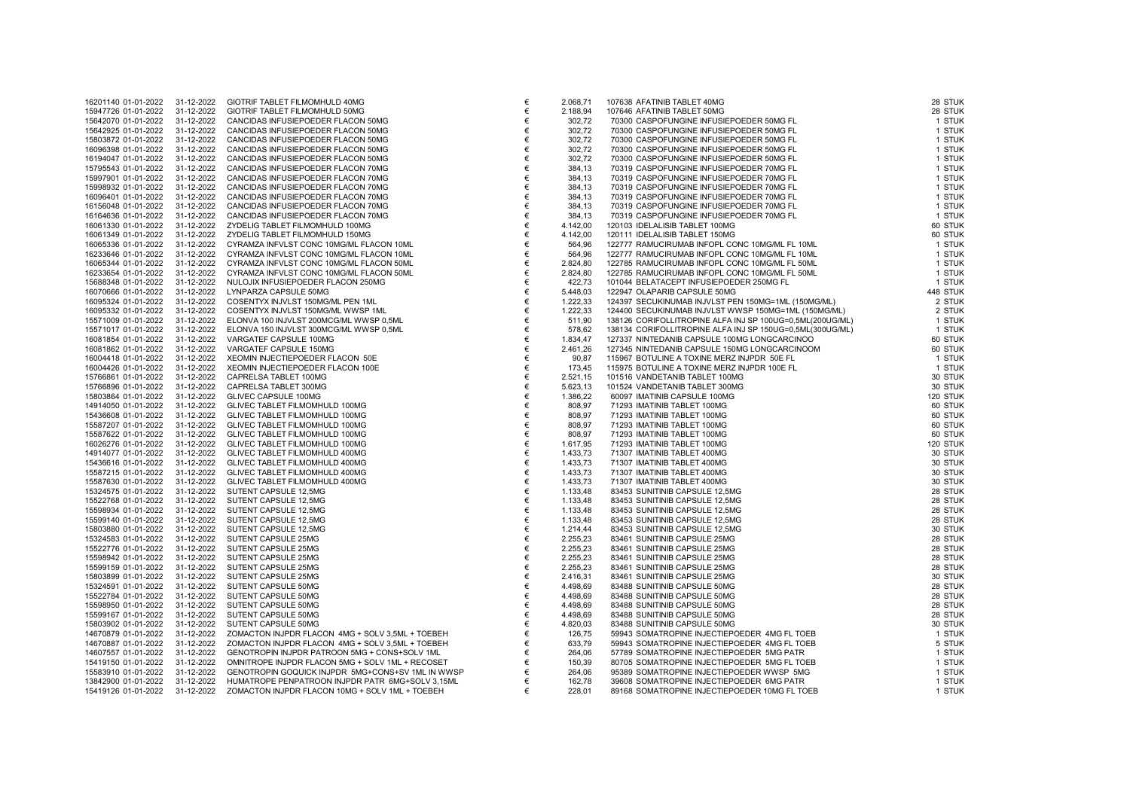| 16201140 01-01-2022 | 31-12-2022 | GIOTRIF TABLET FILMOMHULD 40MG                    | €     | 2.068,71 | 107638 AFATINIB TABLET 40MG                               | 28 STUK  |
|---------------------|------------|---------------------------------------------------|-------|----------|-----------------------------------------------------------|----------|
| 15947726 01-01-2022 | 31-12-2022 | GIOTRIF TABLET FILMOMHULD 50MG                    | $\in$ | 2.188,94 | 107646 AFATINIB TABLET 50MG                               | 28 STUK  |
| 15642070 01-01-2022 | 31-12-2022 | CANCIDAS INFUSIEPOEDER FLACON 50MG                | €     | 302,72   | 70300 CASPOFUNGINE INFUSIEPOEDER 50MG FL                  | 1 STUK   |
| 15642925 01-01-2022 | 31-12-2022 | CANCIDAS INFUSIEPOEDER FLACON 50MG                | €     | 302,72   | 70300 CASPOFUNGINE INFUSIEPOEDER 50MG FL                  | 1 STUK   |
| 15803872 01-01-2022 | 31-12-2022 | CANCIDAS INFUSIEPOEDER FLACON 50MG                | €     | 302,72   | 70300 CASPOFUNGINE INFUSIEPOEDER 50MG FL                  | 1 STUK   |
| 16096398 01-01-2022 | 31-12-2022 | CANCIDAS INFUSIEPOEDER FLACON 50MG                | €     | 302,72   | 70300 CASPOFUNGINE INFUSIEPOEDER 50MG FL                  | 1 STUK   |
| 16194047 01-01-2022 | 31-12-2022 | CANCIDAS INFUSIEPOEDER FLACON 50MG                | €     | 302,72   | 70300 CASPOFUNGINE INFUSIEPOEDER 50MG FL                  | 1 STUK   |
| 15795543 01-01-2022 | 31-12-2022 | CANCIDAS INFUSIEPOEDER FLACON 70MG                | €     | 384,13   | 70319 CASPOFUNGINE INFUSIEPOEDER 70MG FL                  | 1 STUK   |
| 15997901 01-01-2022 | 31-12-2022 | CANCIDAS INFUSIEPOEDER FLACON 70MG                | €     | 384,13   | 70319 CASPOFUNGINE INFUSIEPOEDER 70MG FL                  | 1 STUK   |
| 15998932 01-01-2022 | 31-12-2022 | CANCIDAS INFUSIEPOEDER FLACON 70MG                | €     | 384,13   | 70319 CASPOFUNGINE INFUSIEPOEDER 70MG FL                  | 1 STUK   |
| 16096401 01-01-2022 | 31-12-2022 | CANCIDAS INFUSIEPOEDER FLACON 70MG                | €     | 384,13   | 70319 CASPOFUNGINE INFUSIEPOEDER 70MG FL                  | 1 STUK   |
| 16156048 01-01-2022 | 31-12-2022 | CANCIDAS INFUSIEPOEDER FLACON 70MG                | €     | 384,13   | 70319 CASPOFUNGINE INFUSIEPOEDER 70MG FL                  | 1 STUK   |
| 16164636 01-01-2022 | 31-12-2022 | CANCIDAS INFUSIEPOEDER FLACON 70MG                | €     | 384,13   | 70319 CASPOFUNGINE INFUSIEPOEDER 70MG FL                  | 1 STUK   |
| 16061330 01-01-2022 | 31-12-2022 | ZYDELIG TABLET FILMOMHULD 100MG                   | €     | 4.142,00 | 120103 IDELALISIB TABLET 100MG                            | 60 STUK  |
| 16061349 01-01-2022 | 31-12-2022 | ZYDELIG TABLET FILMOMHULD 150MG                   | €     | 4.142,00 | 120111 IDELALISIB TABLET 150MG                            | 60 STUK  |
| 16065336 01-01-2022 | 31-12-2022 | CYRAMZA INFVLST CONC 10MG/ML FLACON 10ML          | €     | 564,96   | 122777 RAMUCIRUMAB INFOPL CONC 10MG/ML FL 10ML            | 1 STUK   |
| 16233646 01-01-2022 | 31-12-2022 | CYRAMZA INFVLST CONC 10MG/ML FLACON 10ML          | €     | 564,96   | 122777 RAMUCIRUMAB INFOPL CONC 10MG/ML FL 10ML            | 1 STUK   |
| 16065344 01-01-2022 | 31-12-2022 | CYRAMZA INFVLST CONC 10MG/ML FLACON 50ML          | €     | 2.824,80 | 122785 RAMUCIRUMAB INFOPL CONC 10MG/ML FL 50ML            | 1 STUK   |
| 16233654 01-01-2022 | 31-12-2022 | CYRAMZA INFVLST CONC 10MG/ML FLACON 50ML          | €     | 2.824,80 | 122785 RAMUCIRUMAB INFOPL CONC 10MG/ML FL 50ML            | 1 STUK   |
| 15688348 01-01-2022 | 31-12-2022 | NULOJIX INFUSIEPOEDER FLACON 250MG                | €     | 422,73   | 101044 BELATACEPT INFUSIEPOEDER 250MG FL                  | 1 STUK   |
| 16070666 01-01-2022 | 31-12-2022 | LYNPARZA CAPSULE 50MG                             | €     | 5.448,03 | 122947 OLAPARIB CAPSULE 50MG                              | 448 STUK |
| 16095324 01-01-2022 | 31-12-2022 | COSENTYX INJVLST 150MG/ML PEN 1ML                 | €     | 1.222,33 | 124397 SECUKINUMAB INJVLST PEN 150MG=1ML (150MG/ML)       | 2 STUK   |
| 16095332 01-01-2022 | 31-12-2022 | COSENTYX INJVLST 150MG/ML WWSP 1ML                | €     | 1.222,33 | 124400 SECUKINUMAB INJVLST WWSP 150MG=1ML (150MG/ML)      | 2 STUK   |
| 15571009 01-01-2022 | 31-12-2022 | ELONVA 100 INJVLST 200MCG/ML WWSP 0,5ML           | €     | 511,90   | 138126 CORIFOLLITROPINE ALFA INJ SP 100UG=0,5ML(200UG/ML) | 1 STUK   |
| 15571017 01-01-2022 | 31-12-2022 | ELONVA 150 INJVLST 300MCG/ML WWSP 0,5ML           | €     | 578,62   | 138134 CORIFOLLITROPINE ALFA INJ SP 150UG=0,5ML(300UG/ML) | 1 STUK   |
| 16081854 01-01-2022 | 31-12-2022 | VARGATEF CAPSULE 100MG                            | €     | 1.834,47 | 127337 NINTEDANIB CAPSULE 100MG LONGCARCINOO              | 60 STUK  |
| 16081862 01-01-2022 | 31-12-2022 | VARGATEF CAPSULE 150MG                            | €     | 2.461,26 | 127345 NINTEDANIB CAPSULE 150MG LONGCARCINOOM             | 60 STUK  |
| 16004418 01-01-2022 | 31-12-2022 | XEOMIN INJECTIEPOEDER FLACON 50E                  | €     | 90,87    | 115967 BOTULINE A TOXINE MERZ INJPDR 50E FL               | 1 STUK   |
| 16004426 01-01-2022 | 31-12-2022 | XEOMIN INJECTIEPOEDER FLACON 100E                 | €     | 173,45   | 115975 BOTULINE A TOXINE MERZ INJPDR 100E FL              | 1 STUK   |
| 15766861 01-01-2022 | 31-12-2022 | CAPRELSA TABLET 100MG                             | €     | 2.521,15 | 101516 VANDETANIB TABLET 100MG                            | 30 STUK  |
| 15766896 01-01-2022 | 31-12-2022 | CAPRELSA TABLET 300MG                             | €     | 5.623,13 | 101524 VANDETANIB TABLET 300MG                            | 30 STUK  |
| 15803864 01-01-2022 | 31-12-2022 | GLIVEC CAPSULE 100MG                              | €     | 1.386,22 | 60097 IMATINIB CAPSULE 100MG                              | 120 STUK |
| 14914050 01-01-2022 | 31-12-2022 | GLIVEC TABLET FILMOMHULD 100MG                    | €     | 808,97   | 71293 IMATINIB TABLET 100MG                               | 60 STUK  |
| 15436608 01-01-2022 | 31-12-2022 | GLIVEC TABLET FILMOMHULD 100MG                    | €     | 808,97   | 71293 IMATINIB TABLET 100MG                               | 60 STUK  |
| 15587207 01-01-2022 | 31-12-2022 | GLIVEC TABLET FILMOMHULD 100MG                    | €     | 808,97   | 71293 IMATINIB TABLET 100MG                               | 60 STUK  |
| 15587622 01-01-2022 | 31-12-2022 | GLIVEC TABLET FILMOMHULD 100MG                    | €     | 808,97   | 71293 IMATINIB TABLET 100MG                               | 60 STUK  |
| 16026276 01-01-2022 | 31-12-2022 | GLIVEC TABLET FILMOMHULD 100MG                    | €     | 1.617,95 | 71293 IMATINIB TABLET 100MG                               | 120 STUK |
| 14914077 01-01-2022 | 31-12-2022 | GLIVEC TABLET FILMOMHULD 400MG                    | €     | 1.433,73 | 71307 IMATINIB TABLET 400MG                               | 30 STUK  |
| 15436616 01-01-2022 | 31-12-2022 | GLIVEC TABLET FILMOMHULD 400MG                    | $\in$ | 1.433,73 | 71307 IMATINIB TABLET 400MG                               | 30 STUK  |
| 15587215 01-01-2022 | 31-12-2022 | GLIVEC TABLET FILMOMHULD 400MG                    | €     | 1.433,73 | 71307 IMATINIB TABLET 400MG                               | 30 STUK  |
| 15587630 01-01-2022 | 31-12-2022 | GLIVEC TABLET FILMOMHULD 400MG                    | €     | 1.433,73 | 71307 IMATINIB TABLET 400MG                               | 30 STUK  |
| 15324575 01-01-2022 | 31-12-2022 | SUTENT CAPSULE 12,5MG                             | €     | 1.133,48 | 83453 SUNITINIB CAPSULE 12,5MG                            | 28 STUK  |
| 15522768 01-01-2022 | 31-12-2022 | SUTENT CAPSULE 12,5MG                             | €     | 1.133,48 | 83453 SUNITINIB CAPSULE 12,5MG                            | 28 STUK  |
| 15598934 01-01-2022 | 31-12-2022 | SUTENT CAPSULE 12,5MG                             | €     | 1.133,48 | 83453 SUNITINIB CAPSULE 12,5MG                            | 28 STUK  |
| 15599140 01-01-2022 | 31-12-2022 | SUTENT CAPSULE 12,5MG                             | €     | 1.133,48 | 83453 SUNITINIB CAPSULE 12,5MG                            | 28 STUK  |
| 15803880 01-01-2022 | 31-12-2022 | SUTENT CAPSULE 12,5MG                             | €     | 1.214,44 | 83453 SUNITINIB CAPSULE 12,5MG                            | 30 STUK  |
| 15324583 01-01-2022 | 31-12-2022 | SUTENT CAPSULE 25MG                               | €     | 2.255,23 | 83461 SUNITINIB CAPSULE 25MG                              | 28 STUK  |
| 15522776 01-01-2022 | 31-12-2022 | SUTENT CAPSULE 25MG                               | €     | 2.255,23 | 83461 SUNITINIB CAPSULE 25MG                              | 28 STUK  |
| 15598942 01-01-2022 | 31-12-2022 | SUTENT CAPSULE 25MG                               | €     | 2.255,23 | 83461 SUNITINIB CAPSULE 25MG                              | 28 STUK  |
| 15599159 01-01-2022 | 31-12-2022 | SUTENT CAPSULE 25MG                               | €     | 2.255,23 | 83461 SUNITINIB CAPSULE 25MG                              | 28 STUK  |
| 15803899 01-01-2022 | 31-12-2022 | SUTENT CAPSULE 25MG                               | €     | 2.416,31 | 83461 SUNITINIB CAPSULE 25MG                              | 30 STUK  |
| 15324591 01-01-2022 | 31-12-2022 | SUTENT CAPSULE 50MG                               | €     | 4.498,69 | 83488 SUNITINIB CAPSULE 50MG                              | 28 STUK  |
| 15522784 01-01-2022 | 31-12-2022 | SUTENT CAPSULE 50MG                               | €     | 4.498,69 | 83488 SUNITINIB CAPSULE 50MG                              | 28 STUK  |
| 15598950 01-01-2022 | 31-12-2022 | SUTENT CAPSULE 50MG                               | €     | 4.498,69 | 83488 SUNITINIB CAPSULE 50MG                              | 28 STUK  |
| 15599167 01-01-2022 | 31-12-2022 | SUTENT CAPSULE 50MG                               | $\in$ | 4.498,69 | 83488 SUNITINIB CAPSULE 50MG                              | 28 STUK  |
| 15803902 01-01-2022 | 31-12-2022 | SUTENT CAPSULE 50MG                               | €     | 4.820,03 | 83488 SUNITINIB CAPSULE 50MG                              | 30 STUK  |
| 14670879 01-01-2022 | 31-12-2022 | ZOMACTON INJPDR FLACON 4MG + SOLV 3,5ML + TOEBEH  | €     | 126,75   | 59943 SOMATROPINE INJECTIEPOEDER 4MG FL TOEB              | 1 STUK   |
| 14670887 01-01-2022 | 31-12-2022 | ZOMACTON INJPDR FLACON 4MG + SOLV 3,5ML + TOEBEH  | €     | 633,79   | 59943 SOMATROPINE INJECTIEPOEDER 4MG FL TOEB              | 5 STUK   |
| 14607557 01-01-2022 | 31-12-2022 | GENOTROPIN INJPDR PATROON 5MG + CONS+SOLV 1ML     | €     | 264,06   | 57789 SOMATROPINE INJECTIEPOEDER 5MG PATR                 | 1 STUK   |
| 15419150 01-01-2022 | 31-12-2022 | OMNITROPE INJPDR FLACON 5MG + SOLV 1ML + RECOSET  | €     | 150,39   | 80705 SOMATROPINE INJECTIEPOEDER 5MG FL TOEB              | 1 STUK   |
| 15583910 01-01-2022 | 31-12-2022 | GENOTROPIN GOQUICK INJPDR 5MG+CONS+SV 1ML IN WWSP | €     | 264,06   | 95389 SOMATROPINE INJECTIEPOEDER WWSP 5MG                 | 1 STUK   |
| 13842900 01-01-2022 | 31-12-2022 | HUMATROPE PENPATROON INJPDR PATR 6MG+SOLV 3,15ML  | €     | 162,78   | 39608 SOMATROPINE INJECTIEPOEDER 6MG PATR                 | 1 STUK   |
| 15419126 01-01-2022 | 31-12-2022 | ZOMACTON INJPDR FLACON 10MG + SOLV 1ML + TOEBEH   | €     | 228,01   | 89168 SOMATROPINE INJECTIEPOEDER 10MG FL TOEB             | 1 STUK   |
|                     |            |                                                   |       |          |                                                           |          |

| 2.068,71             | 107638 AFATINIB TABLET 40MG                                                                | 28 STUP          |
|----------------------|--------------------------------------------------------------------------------------------|------------------|
| 2.188,94             | 107646 AFATINIB TABLET 50MG                                                                | 28 STUP          |
| 302,72               | 70300 CASPOFUNGINE INFUSIEPOEDER 50MG FL                                                   | 1 STUP           |
| 302,72               | 70300 CASPOFUNGINE INFUSIEPOEDER 50MG FL                                                   | 1 STUP           |
| 302,72               | 70300 CASPOFUNGINE INFUSIEPOEDER 50MG FL                                                   | 1 STUP           |
| 302,72               | 70300 CASPOFUNGINE INFUSIEPOEDER 50MG FL                                                   | 1 STUI           |
| 302,72               | 70300 CASPOFUNGINE INFUSIEPOEDER 50MG FL                                                   | 1 STUP           |
| 384,13               | 70319 CASPOFUNGINE INFUSIEPOEDER 70MG FL                                                   | 1 STUI           |
| 384,13               | 70319 CASPOFUNGINE INFUSIEPOEDER 70MG FL                                                   | 1 STUI           |
| 384,13               | 70319 CASPOFUNGINE INFUSIEPOEDER 70MG FL                                                   | 1 STUP           |
| 384,13               | 70319 CASPOFUNGINE INFUSIEPOEDER 70MG FL                                                   | 1 STUP           |
| 384,13               | 70319 CASPOFUNGINE INFUSIEPOEDER 70MG FL                                                   | 1 STUP           |
| 384,13               | 70319 CASPOFUNGINE INFUSIEPOEDER 70MG FL                                                   | 1 STUP           |
| 4.142,00             | 120103 IDELALISIB TABLET 100MG                                                             | 60 STUP          |
| 4.142,00             | 120111 IDELALISIB TABLET 150MG                                                             | 60 STUP          |
| 564,96               | 122777 RAMUCIRUMAB INFOPL CONC 10MG/ML FL 10ML                                             | 1 STUP           |
| 564,96               | 122777 RAMUCIRUMAB INFOPL CONC 10MG/ML FL 10ML                                             | 1 STUP           |
| 2.824,80             | 122785 RAMUCIRUMAB INFOPL CONC 10MG/ML FL 50ML                                             | 1 STUP           |
| 2.824,80<br>422.73   | 122785 RAMUCIRUMAB INFOPL CONC 10MG/ML FL 50ML<br>101044 BELATACEPT INFUSIEPOEDER 250MG FL | 1 STUP           |
| 5.448,03             |                                                                                            | 1 STUI           |
|                      | 122947 OLAPARIB CAPSULE 50MG<br>124397 SECUKINUMAB INJVLST PEN 150MG=1ML (150MG/ML)        | 448 STUP         |
| 1.222,33<br>1.222,33 | 124400 SECUKINUMAB INJVLST WWSP 150MG=1ML (150MG/ML)                                       | 2 STUP           |
| 511,90               | 138126 CORIFOLLITROPINE ALFA INJ SP 100UG=0,5ML(200UG/ML)                                  | 2 STUP<br>1 STUP |
| 578,62               | 138134 CORIFOLLITROPINE ALFA INJ SP 150UG=0,5ML(300UG/ML)                                  | 1 STUP           |
| 1.834,47             | 127337 NINTEDANIB CAPSULE 100MG LONGCARCINOO                                               | 60 STUP          |
| 2.461,26             | 127345 NINTEDANIB CAPSULE 150MG LONGCARCINOOM                                              | 60 STUP          |
| 90,87                | 115967 BOTULINE A TOXINE MERZ INJPDR 50E FL                                                | 1 STUP           |
| 173,45               | 115975 BOTULINE A TOXINE MERZ INJPDR 100E FL                                               | 1 STUP           |
| 2.521,15             | 101516 VANDETANIB TABLET 100MG                                                             | 30 STUP          |
| 5.623,13             | 101524 VANDETANIB TABLET 300MG                                                             | 30 STUP          |
| 1.386,22             | 60097 IMATINIB CAPSULE 100MG                                                               | 120 STUP         |
| 808,97               | 71293 IMATINIB TABLET 100MG                                                                | 60 STUP          |
| 808,97               | 71293 IMATINIB TABLET 100MG                                                                | 60 STUP          |
| 808,97               | 71293 IMATINIB TABLET 100MG                                                                | 60 STUP          |
| 808,97               | 71293 IMATINIB TABLET 100MG                                                                | 60 STUP          |
| 1.617.95             | 71293 IMATINIB TABLET 100MG                                                                | 120 STUP         |
| 1.433,73             | 71307 IMATINIB TABLET 400MG                                                                | 30 STUP          |
| 1.433,73             | 71307 IMATINIB TABLET 400MG                                                                | 30 STUP          |
| 1.433,73             | 71307 IMATINIB TABLET 400MG                                                                | 30 STUP          |
| 1.433,73             | 71307 IMATINIB TABLET 400MG                                                                | 30 STUP          |
| 1.133,48             | 83453 SUNITINIB CAPSULE 12,5MG                                                             | 28 STUP          |
| 1.133,48             | 83453 SUNITINIB CAPSULE 12,5MG                                                             | 28 STUP          |
| 1.133,48             | 83453 SUNITINIB CAPSULE 12,5MG                                                             | 28 STUP          |
| 1.133,48             | 83453 SUNITINIB CAPSULE 12,5MG                                                             | 28 STUP          |
| 1.214,44             | 83453 SUNITINIB CAPSULE 12,5MG                                                             | 30 STUP          |
| 2.255,23             | 83461 SUNITINIB CAPSULE 25MG                                                               | 28 STUP          |
| 2.255,23             | 83461 SUNITINIB CAPSULE 25MG                                                               | 28 STUP          |
| 2.255,23             | 83461 SUNITINIB CAPSULE 25MG                                                               | 28 STUP          |
| 2.255,23             | 83461 SUNITINIB CAPSULE 25MG                                                               | 28 STUP          |
| 2.416,31             | 83461 SUNITINIB CAPSULE 25MG                                                               | 30 STUP          |
| 4.498,69             | 83488 SUNITINIB CAPSULE 50MG                                                               | 28 STUP          |
| 4.498,69             | 83488 SUNITINIB CAPSULE 50MG                                                               | 28 STUP          |
| 4.498,69             | 83488 SUNITINIB CAPSULE 50MG                                                               | 28 STUP          |
| 4.498,69             | 83488 SUNITINIB CAPSULE 50MG                                                               | 28 STUP          |
| 4.820.03             | 83488 SUNITINIB CAPSULE 50MG                                                               | 30 STUP          |
| 126,75               | 59943 SOMATROPINE INJECTIEPOEDER 4MG FL TOEB                                               | 1 STUP           |
| 633,79<br>264.06     | 59943 SOMATROPINE INJECTIEPOEDER 4MG FL TOEB<br>57789 SOMATROPINE INJECTIEPOEDER 5MG PATR  | 5 STUP           |
| 150.39               |                                                                                            | 1 STUI           |
|                      | 80705 SOMATROPINE INJECTIEPOEDER 5MG FL TOEB<br>95389 SOMATROPINE INJECTIEPOEDER WWSP 5MG  | 1 STUI           |
| 264,06<br>162,78     | 39608 SOMATROPINE INJECTIEPOEDER 6MG PATR                                                  | 1 STUI<br>1 STUP |
| 228,01               | 89168 SOMATROPINE INJECTIEPOEDER 10MG FL TOEB                                              | 1 STUI           |
|                      |                                                                                            |                  |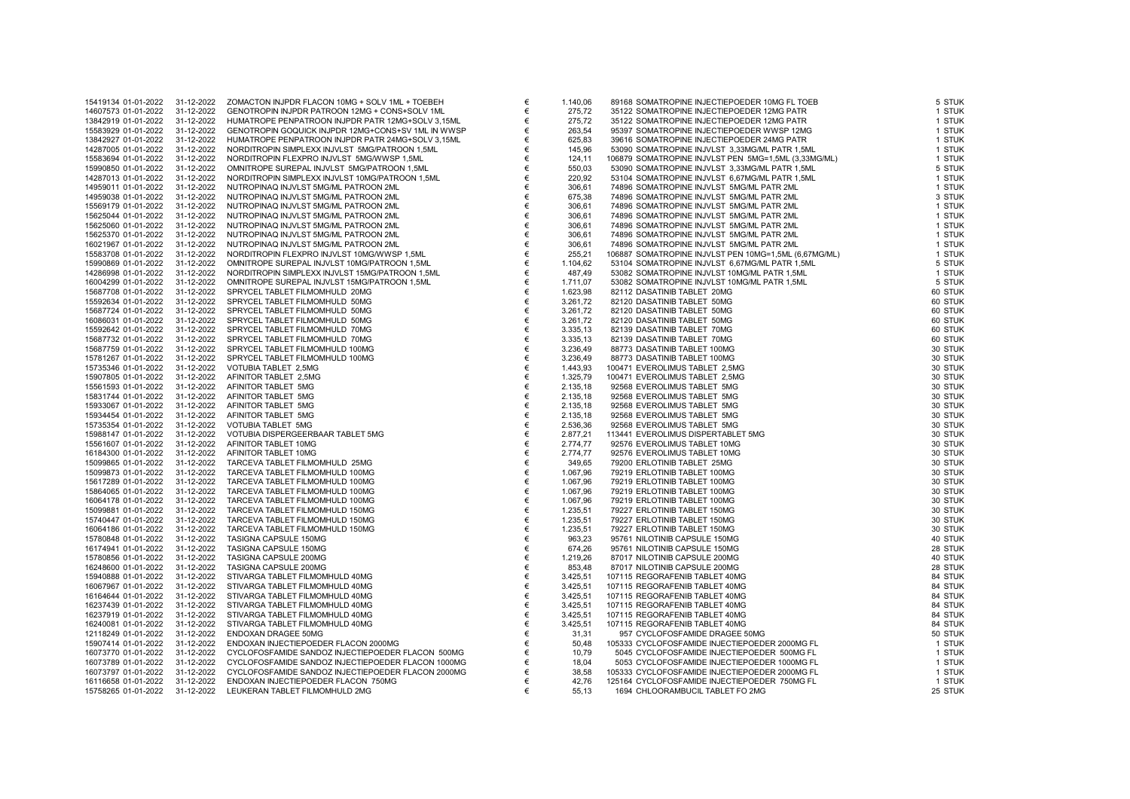| 15419134 01-01-2022                        | 31-12-2022 | ZOMACTON INJPDR FLACON 10MG + SOLV 1ML + TOEBEH           | € | 1.140,06             | 89168 SOMATROPINE INJECTIEPOEDER 10MG FL TOEB         | 5 STUK  |
|--------------------------------------------|------------|-----------------------------------------------------------|---|----------------------|-------------------------------------------------------|---------|
| 14607573 01-01-2022                        | 31-12-2022 | GENOTROPIN INJPDR PATROON 12MG + CONS+SOLV 1ML            | € | 275,72               | 35122 SOMATROPINE INJECTIEPOEDER 12MG PATR            | 1 STUK  |
| 13842919 01-01-2022                        | 31-12-2022 | HUMATROPE PENPATROON INJPDR PATR 12MG+SOLV 3,15ML         | € | 275,72               | 35122 SOMATROPINE INJECTIEPOEDER 12MG PATR            | 1 STUK  |
| 15583929 01-01-2022                        | 31-12-2022 | GENOTROPIN GOQUICK INJPDR 12MG+CONS+SV 1ML IN WWSP        | € | 263,54               | 95397 SOMATROPINE INJECTIEPOEDER WWSP 12MG            | 1 STUK  |
| 13842927 01-01-2022                        | 31-12-2022 | HUMATROPE PENPATROON INJPDR PATR 24MG+SOLV 3.15ML         | € | 625,83               | 39616 SOMATROPINE INJECTIEPOEDER 24MG PATR            | 1 STUK  |
| 14287005 01-01-2022                        | 31-12-2022 | NORDITROPIN SIMPLEXX INJVLST 5MG/PATROON 1,5ML            | € | 145,96               | 53090 SOMATROPINE INJVLST 3,33MG/ML PATR 1,5ML        | 1 STUK  |
| 15583694 01-01-2022                        | 31-12-2022 | NORDITROPIN FLEXPRO INJVLST 5MG/WWSP 1,5ML                | € | 124,11               | 106879 SOMATROPINE INJVLST PEN 5MG=1,5ML (3,33MG/ML)  | 1 STUK  |
| 15990850 01-01-2022                        | 31-12-2022 | OMNITROPE SUREPAL INJVLST 5MG/PATROON 1,5ML               | € | 550,03               | 53090 SOMATROPINE INJVLST 3,33MG/ML PATR 1,5ML        | 5 STUK  |
| 14287013 01-01-2022                        | 31-12-2022 | NORDITROPIN SIMPLEXX INJVLST 10MG/PATROON 1,5ML           | € | 220,92               | 53104 SOMATROPINE INJVLST 6,67MG/ML PATR 1,5ML        | 1 STUK  |
| 14959011 01-01-2022                        | 31-12-2022 | NUTROPINAQ INJVLST 5MG/ML PATROON 2ML                     | € | 306,61               | 74896 SOMATROPINE INJVLST 5MG/ML PATR 2ML             | 1 STUK  |
| 14959038 01-01-2022                        | 31-12-2022 | NUTROPINAQ INJVLST 5MG/ML PATROON 2ML                     | € | 675,38               | 74896 SOMATROPINE INJVLST 5MG/ML PATR 2ML             | 3 STUK  |
| 15569179 01-01-2022                        | 31-12-2022 | NUTROPINAQ INJVLST 5MG/ML PATROON 2ML                     | € | 306,61               | 74896 SOMATROPINE INJVLST 5MG/ML PATR 2ML             | 1 STUK  |
| 15625044 01-01-2022                        | 31-12-2022 | NUTROPINAQ INJVLST 5MG/ML PATROON 2ML                     | € | 306,61               | 74896 SOMATROPINE INJVLST 5MG/ML PATR 2ML             | 1 STUK  |
| 15625060 01-01-2022                        | 31-12-2022 | NUTROPINAQ INJVLST 5MG/ML PATROON 2ML                     | € | 306,61               | 74896 SOMATROPINE INJVLST 5MG/ML PATR 2ML             | 1 STUK  |
| 15625370 01-01-2022                        | 31-12-2022 | NUTROPINAQ INJVLST 5MG/ML PATROON 2ML                     | € | 306,61               | 74896 SOMATROPINE INJVLST 5MG/ML PATR 2ML             | 1 STUK  |
| 16021967 01-01-2022                        | 31-12-2022 | NUTROPINAQ INJVLST 5MG/ML PATROON 2ML                     | € | 306,61               | 74896 SOMATROPINE INJVLST 5MG/ML PATR 2ML             | 1 STUK  |
| 15583708 01-01-2022                        | 31-12-2022 | NORDITROPIN FLEXPRO INJVLST 10MG/WWSP 1,5ML               | € | 255,21               | 106887 SOMATROPINE INJVLST PEN 10MG=1,5ML (6,67MG/ML) | 1 STUK  |
| 15990869 01-01-2022                        | 31-12-2022 | OMNITROPE SUREPAL INJVLST 10MG/PATROON 1,5ML              | € | 1.104,62             | 53104 SOMATROPINE INJVLST 6,67MG/ML PATR 1,5ML        | 5 STUK  |
| 14286998 01-01-2022                        | 31-12-2022 | NORDITROPIN SIMPLEXX INJVLST 15MG/PATROON 1,5ML           | € | 487,49               | 53082 SOMATROPINE INJVLST 10MG/ML PATR 1,5ML          | 1 STUK  |
| 16004299 01-01-2022                        | 31-12-2022 | OMNITROPE SUREPAL INJVLST 15MG/PATROON 1,5ML              | € | 1.711,07             | 53082 SOMATROPINE INJVLST 10MG/ML PATR 1,5ML          | 5 STUK  |
| 15687708 01-01-2022                        | 31-12-2022 | SPRYCEL TABLET FILMOMHULD 20MG                            | € | 1.623,98             | 82112 DASATINIB TABLET 20MG                           | 60 STUK |
| 15592634 01-01-2022                        | 31-12-2022 | SPRYCEL TABLET FILMOMHULD 50MG                            | € | 3.261,72             | 82120 DASATINIB TABLET 50MG                           | 60 STUK |
| 15687724 01-01-2022                        | 31-12-2022 | SPRYCEL TABLET FILMOMHULD 50MG                            | € | 3.261,72             | 82120 DASATINIB TABLET 50MG                           | 60 STUK |
| 16086031 01-01-2022                        | 31-12-2022 | SPRYCEL TABLET FILMOMHULD 50MG                            | € | 3.261,72             | 82120 DASATINIB TABLET 50MG                           | 60 STUK |
| 15592642 01-01-2022                        | 31-12-2022 | SPRYCEL TABLET FILMOMHULD 70MG                            | € | 3.335,13             | 82139 DASATINIB TABLET 70MG                           | 60 STUK |
| 15687732 01-01-2022                        | 31-12-2022 | SPRYCEL TABLET FILMOMHULD 70MG                            | € | 3.335,13             | 82139 DASATINIB TABLET 70MG                           | 60 STUK |
| 15687759 01-01-2022                        | 31-12-2022 | SPRYCEL TABLET FILMOMHULD 100MG                           | € | 3.236,49             | 88773 DASATINIB TABLET 100MG                          | 30 STUK |
| 15781267 01-01-2022                        | 31-12-2022 | SPRYCEL TABLET FILMOMHULD 100MG                           | € | 3.236,49             | 88773 DASATINIB TABLET 100MG                          | 30 STUK |
| 15735346 01-01-2022                        | 31-12-2022 | VOTUBIA TABLET 2,5MG                                      | € | 1.443,93             | 100471 EVEROLIMUS TABLET 2,5MG                        | 30 STUK |
| 15907805 01-01-2022                        | 31-12-2022 | AFINITOR TABLET 2,5MG                                     | € | 1.325,79             | 100471 EVEROLIMUS TABLET 2,5MG                        | 30 STUK |
| 15561593 01-01-2022                        | 31-12-2022 | AFINITOR TABLET 5MG                                       | € | 2.135,18             | 92568 EVEROLIMUS TABLET 5MG                           | 30 STUK |
| 15831744 01-01-2022                        | 31-12-2022 | AFINITOR TABLET 5MG                                       | € | 2.135,18             | 92568 EVEROLIMUS TABLET 5MG                           | 30 STUK |
| 15933067 01-01-2022                        | 31-12-2022 | AFINITOR TABLET 5MG                                       | € | 2.135,18             | 92568 EVEROLIMUS TABLET 5MG                           | 30 STUK |
| 15934454 01-01-2022                        | 31-12-2022 | AFINITOR TABLET 5MG                                       | € | 2.135,18             | 92568 EVEROLIMUS TABLET 5MG                           | 30 STUK |
| 15735354 01-01-2022                        | 31-12-2022 | VOTUBIA TABLET 5MG                                        | € | 2.536,36             | 92568 EVEROLIMUS TABLET 5MG                           | 30 STUK |
|                                            | 31-12-2022 |                                                           | € |                      | 113441 EVEROLIMUS DISPERTABLET 5MG                    | 30 STUK |
| 15988147 01-01-2022<br>15561607 01-01-2022 | 31-12-2022 | VOTUBIA DISPERGEERBAAR TABLET 5MG<br>AFINITOR TABLET 10MG | € | 2.877,21<br>2.774,77 | 92576 EVEROLIMUS TABLET 10MG                          | 30 STUK |
|                                            |            |                                                           | € |                      |                                                       |         |
| 16184300 01-01-2022                        | 31-12-2022 | AFINITOR TABLET 10MG                                      |   | 2.774,77             | 92576 EVEROLIMUS TABLET 10MG                          | 30 STUK |
| 15099865 01-01-2022                        | 31-12-2022 | TARCEVA TABLET FILMOMHULD 25MG                            | € | 349,65               | 79200 ERLOTINIB TABLET 25MG                           | 30 STUK |
| 15099873 01-01-2022                        | 31-12-2022 | TARCEVA TABLET FILMOMHULD 100MG                           | € | 1.067,96             | 79219 ERLOTINIB TABLET 100MG                          | 30 STUK |
| 15617289 01-01-2022                        | 31-12-2022 | TARCEVA TABLET FILMOMHULD 100MG                           | € | 1.067.96             | 79219 ERLOTINIB TABLET 100MG                          | 30 STUK |
| 15864065 01-01-2022                        | 31-12-2022 | TARCEVA TABLET FILMOMHULD 100MG                           | € | 1.067,96             | 79219 ERLOTINIB TABLET 100MG                          | 30 STUK |
| 16064178 01-01-2022                        | 31-12-2022 | TARCEVA TABLET FILMOMHULD 100MG                           | € | 1.067,96             | 79219 ERLOTINIB TABLET 100MG                          | 30 STUK |
| 15099881 01-01-2022                        | 31-12-2022 | TARCEVA TABLET FILMOMHULD 150MG                           | € | 1.235,51             | 79227 ERLOTINIB TABLET 150MG                          | 30 STUK |
| 15740447 01-01-2022                        | 31-12-2022 | TARCEVA TABLET FILMOMHULD 150MG                           | € | 1.235,51             | 79227 ERLOTINIB TABLET 150MG                          | 30 STUK |
| 16064186 01-01-2022                        | 31-12-2022 | TARCEVA TABLET FILMOMHULD 150MG                           | € | 1.235,51             | 79227 ERLOTINIB TABLET 150MG                          | 30 STUK |
| 15780848 01-01-2022                        | 31-12-2022 | TASIGNA CAPSULE 150MG                                     | € | 963,23               | 95761 NILOTINIB CAPSULE 150MG                         | 40 STUK |
| 16174941 01-01-2022                        | 31-12-2022 | TASIGNA CAPSULE 150MG                                     | € | 674,26               | 95761 NILOTINIB CAPSULE 150MG                         | 28 STUK |
| 15780856 01-01-2022                        | 31-12-2022 | TASIGNA CAPSULE 200MG                                     | € | 1.219,26             | 87017 NILOTINIB CAPSULE 200MG                         | 40 STUK |
| 16248600 01-01-2022                        | 31-12-2022 | TASIGNA CAPSULE 200MG                                     | € | 853,48               | 87017 NILOTINIB CAPSULE 200MG                         | 28 STUK |
| 15940888 01-01-2022                        | 31-12-2022 | STIVARGA TABLET FILMOMHULD 40MG                           | € | 3.425,51             | 107115 REGORAFENIB TABLET 40MG                        | 84 STUK |
| 16067967 01-01-2022                        | 31-12-2022 | STIVARGA TABLET FILMOMHULD 40MG                           | € | 3.425,51             | 107115 REGORAFENIB TABLET 40MG                        | 84 STUK |
| 16164644 01-01-2022                        | 31-12-2022 | STIVARGA TABLET FILMOMHULD 40MG                           | € | 3.425,51             | 107115 REGORAFENIB TABLET 40MG                        | 84 STUK |
| 16237439 01-01-2022                        | 31-12-2022 | STIVARGA TABLET FILMOMHULD 40MG                           | € | 3.425,51             | 107115 REGORAFENIB TABLET 40MG                        | 84 STUK |
| 16237919 01-01-2022                        | 31-12-2022 | STIVARGA TABLET FILMOMHULD 40MG                           | € | 3.425,51             | 107115 REGORAFENIB TABLET 40MG                        | 84 STUK |
| 16240081 01-01-2022                        | 31-12-2022 | STIVARGA TABLET FILMOMHULD 40MG                           | € | 3.425,51             | 107115 REGORAFENIB TABLET 40MG                        | 84 STUK |
| 12118249 01-01-2022                        | 31-12-2022 | ENDOXAN DRAGEE 50MG                                       | € | 31,31                | 957 CYCLOFOSFAMIDE DRAGEE 50MG                        | 50 STUK |
| 15907414 01-01-2022                        | 31-12-2022 | ENDOXAN INJECTIEPOEDER FLACON 2000MG                      | € | 50,48                | 105333 CYCLOFOSFAMIDE INJECTIEPOEDER 2000MG FL        | 1 STUK  |
| 16073770 01-01-2022                        | 31-12-2022 | CYCLOFOSFAMIDE SANDOZ INJECTIEPOEDER FLACON 500MG         | € | 10.79                | 5045 CYCLOFOSFAMIDE INJECTIEPOEDER 500MG FL           | 1 STUK  |
| 16073789 01-01-2022                        | 31-12-2022 | CYCLOFOSFAMIDE SANDOZ INJECTIEPOEDER FLACON 1000MG        | € | 18,04                | 5053 CYCLOFOSFAMIDE INJECTIEPOEDER 1000MG FL          | 1 STUK  |
| 16073797 01-01-2022                        | 31-12-2022 | CYCLOFOSFAMIDE SANDOZ INJECTIEPOEDER FLACON 2000MG        | € | 38,58                | 105333 CYCLOFOSFAMIDE INJECTIEPOEDER 2000MG FL        | 1 STUK  |
| 16116658 01-01-2022                        | 31-12-2022 | ENDOXAN INJECTIEPOEDER FLACON 750MG                       | € | 42,76                | 125164 CYCLOFOSFAMIDE INJECTIEPOEDER 750MG FL         | 1 STUK  |
| 15758265 01-01-2022                        | 31-12-2022 | LEUKERAN TABLET FILMOMHULD 2MG                            | € | 55,13                | 1694 CHLOORAMBUCIL TABLET FO 2MG                      | 25 STUK |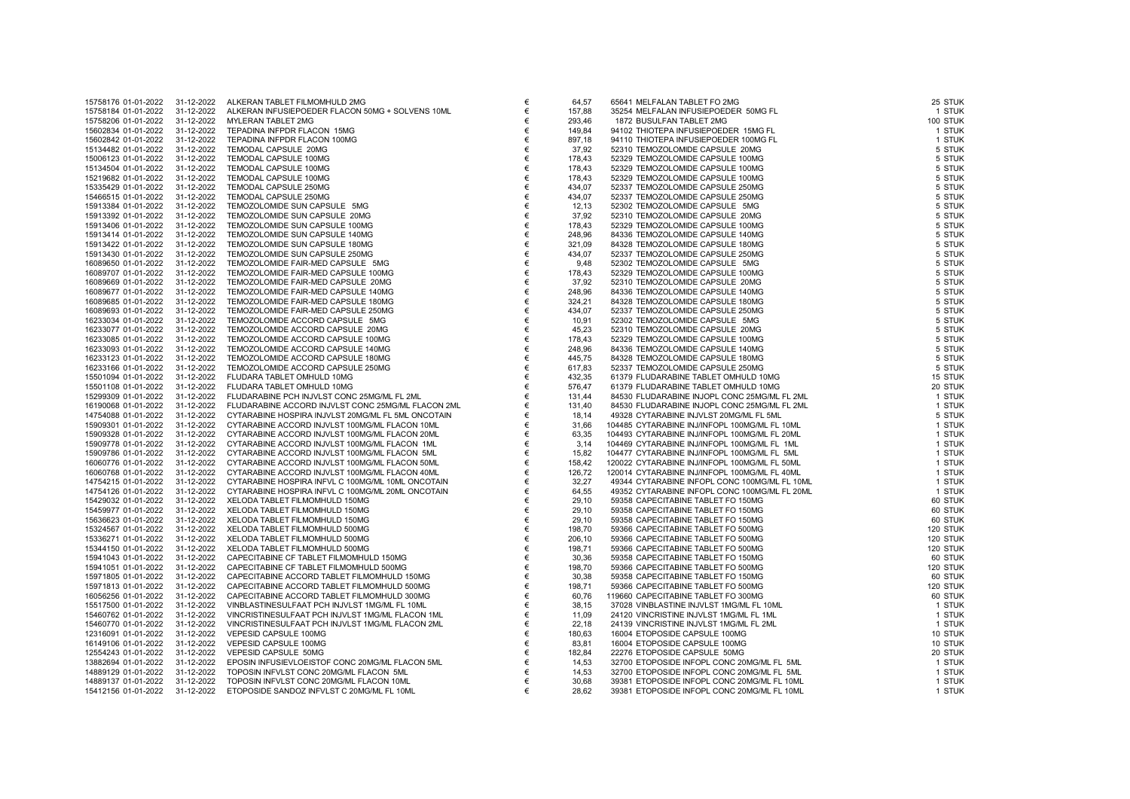| 15758176 01-01-2022 | 31-12-2022 | ALKERAN TABLET FILMOMHULD 2MG                      | € | 64,57  | 65641 MELFALAN TABLET FO 2MG                  | 25 STUK  |
|---------------------|------------|----------------------------------------------------|---|--------|-----------------------------------------------|----------|
|                     |            |                                                    |   |        |                                               |          |
| 15758184 01-01-2022 | 31-12-2022 | ALKERAN INFUSIEPOEDER FLACON 50MG + SOLVENS 10ML   | € | 157,88 | 35254 MELFALAN INFUSIEPOEDER 50MG FL          | 1 STUK   |
| 15758206 01-01-2022 | 31-12-2022 | MYLERAN TABLET 2MG                                 | € | 293,46 | 1872 BUSULFAN TABLET 2MG                      | 100 STUK |
| 15602834 01-01-2022 | 31-12-2022 | TEPADINA INFPDR FLACON 15MG                        | € | 149,84 | 94102 THIOTEPA INFUSIEPOEDER 15MG FL          | 1 STUK   |
| 15602842 01-01-2022 | 31-12-2022 | TEPADINA INFPDR FLACON 100MG                       | € | 897,18 | 94110 THIOTEPA INFUSIEPOEDER 100MG FL         | 1 STUK   |
| 15134482 01-01-2022 | 31-12-2022 | TEMODAL CAPSULE 20MG                               | € | 37,92  | 52310 TEMOZOLOMIDE CAPSULE 20MG               | 5 STUK   |
| 15006123 01-01-2022 |            |                                                    |   |        | 52329 TEMOZOLOMIDE CAPSULE 100MG              | 5 STUK   |
|                     | 31-12-2022 | TEMODAL CAPSULE 100MG                              | € | 178,43 |                                               |          |
| 15134504 01-01-2022 | 31-12-2022 | TEMODAL CAPSULE 100MG                              | € | 178,43 | 52329 TEMOZOLOMIDE CAPSULE 100MG              | 5 STUK   |
| 15219682 01-01-2022 | 31-12-2022 | TEMODAL CAPSULE 100MG                              | € | 178,43 | 52329 TEMOZOLOMIDE CAPSULE 100MG              | 5 STUK   |
| 15335429 01-01-2022 | 31-12-2022 | TEMODAL CAPSULE 250MG                              | € | 434,07 | 52337 TEMOZOLOMIDE CAPSULE 250MG              | 5 STUK   |
| 15466515 01-01-2022 | 31-12-2022 | TEMODAL CAPSULE 250MG                              | € | 434,07 | 52337 TEMOZOLOMIDE CAPSULE 250MG              | 5 STUK   |
| 15913384 01-01-2022 | 31-12-2022 | TEMOZOLOMIDE SUN CAPSULE 5MG                       | € | 12,13  | 52302 TEMOZOLOMIDE CAPSULE 5MG                | 5 STUK   |
| 15913392 01-01-2022 | 31-12-2022 | TEMOZOLOMIDE SUN CAPSULE 20MG                      | € |        | 52310 TEMOZOLOMIDE CAPSULE 20MG               | 5 STUK   |
|                     |            |                                                    |   | 37,92  |                                               |          |
| 15913406 01-01-2022 | 31-12-2022 | TEMOZOLOMIDE SUN CAPSULE 100MG                     | € | 178,43 | 52329 TEMOZOLOMIDE CAPSULE 100MG              | 5 STUK   |
| 15913414 01-01-2022 | 31-12-2022 | TEMOZOLOMIDE SUN CAPSULE 140MG                     | € | 248,96 | 84336 TEMOZOLOMIDE CAPSULE 140MG              | 5 STUK   |
| 15913422 01-01-2022 | 31-12-2022 | TEMOZOLOMIDE SUN CAPSULE 180MG                     | € | 321,09 | 84328 TEMOZOLOMIDE CAPSULE 180MG              | 5 STUK   |
| 15913430 01-01-2022 | 31-12-2022 | TEMOZOLOMIDE SUN CAPSULE 250MG                     | € | 434,07 | 52337 TEMOZOLOMIDE CAPSULE 250MG              | 5 STUK   |
| 16089650 01-01-2022 | 31-12-2022 | TEMOZOLOMIDE FAIR-MED CAPSULE 5MG                  | € | 9,48   | 52302 TEMOZOLOMIDE CAPSULE 5MG                | 5 STUK   |
| 16089707 01-01-2022 | 31-12-2022 | TEMOZOLOMIDE FAIR-MED CAPSULE 100MG                | € | 178,43 | 52329 TEMOZOLOMIDE CAPSULE 100MG              | 5 STUK   |
|                     | 31-12-2022 |                                                    |   |        |                                               |          |
| 16089669 01-01-2022 |            | TEMOZOLOMIDE FAIR-MED CAPSULE 20MG                 | € | 37,92  | 52310 TEMOZOLOMIDE CAPSULE 20MG               | 5 STUK   |
| 16089677 01-01-2022 | 31-12-2022 | TEMOZOLOMIDE FAIR-MED CAPSULE 140MG                | € | 248,96 | 84336 TEMOZOLOMIDE CAPSULE 140MG              | 5 STUK   |
| 16089685 01-01-2022 | 31-12-2022 | TEMOZOLOMIDE FAIR-MED CAPSULE 180MG                | € | 324,21 | 84328 TEMOZOLOMIDE CAPSULE 180MG              | 5 STUK   |
| 16089693 01-01-2022 | 31-12-2022 | TEMOZOLOMIDE FAIR-MED CAPSULE 250MG                | € | 434,07 | 52337 TEMOZOLOMIDE CAPSULE 250MG              | 5 STUK   |
| 16233034 01-01-2022 | 31-12-2022 | TEMOZOLOMIDE ACCORD CAPSULE 5MG                    | € | 10,91  | 52302 TEMOZOLOMIDE CAPSULE 5MG                | 5 STUK   |
| 16233077 01-01-2022 | 31-12-2022 | TEMOZOLOMIDE ACCORD CAPSULE 20MG                   | € | 45,23  | 52310 TEMOZOLOMIDE CAPSULE 20MG               | 5 STUK   |
| 16233085 01-01-2022 | 31-12-2022 | TEMOZOLOMIDE ACCORD CAPSULE 100MG                  | € | 178,43 | 52329 TEMOZOLOMIDE CAPSULE 100MG              | 5 STUK   |
|                     |            |                                                    | € |        |                                               | 5 STUK   |
| 16233093 01-01-2022 | 31-12-2022 | TEMOZOLOMIDE ACCORD CAPSULE 140MG                  |   | 248,96 | 84336 TEMOZOLOMIDE CAPSULE 140MG              |          |
| 16233123 01-01-2022 | 31-12-2022 | TEMOZOLOMIDE ACCORD CAPSULE 180MG                  | € | 445,75 | 84328 TEMOZOLOMIDE CAPSULE 180MG              | 5 STUK   |
| 16233166 01-01-2022 | 31-12-2022 | TEMOZOLOMIDE ACCORD CAPSULE 250MG                  | € | 617,83 | 52337 TEMOZOLOMIDE CAPSULE 250MG              | 5 STUK   |
| 15501094 01-01-2022 | 31-12-2022 | FLUDARA TABLET OMHULD 10MG                         | € | 432,35 | 61379 FLUDARABINE TABLET OMHULD 10MG          | 15 STUK  |
| 15501108 01-01-2022 | 31-12-2022 | FLUDARA TABLET OMHULD 10MG                         | € | 576,47 | 61379 FLUDARABINE TABLET OMHULD 10MG          | 20 STUK  |
| 15299309 01-01-2022 | 31-12-2022 | FLUDARABINE PCH INJVLST CONC 25MG/ML FL 2ML        | € | 131,44 | 84530 FLUDARABINE INJOPL CONC 25MG/ML FL 2ML  | 1 STUK   |
| 16190068 01-01-2022 | 31-12-2022 | FLUDARABINE ACCORD INJVLST CONC 25MG/ML FLACON 2ML | € | 131,40 | 84530 FLUDARABINE INJOPL CONC 25MG/ML FL 2ML  | 1 STUK   |
|                     |            |                                                    |   |        |                                               |          |
| 14754088 01-01-2022 | 31-12-2022 | CYTARABINE HOSPIRA INJVLST 20MG/ML FL 5ML ONCOTAIN | € | 18,14  | 49328 CYTARABINE INJVLST 20MG/ML FL 5ML       | 5 STUK   |
| 15909301 01-01-2022 | 31-12-2022 | CYTARABINE ACCORD INJVLST 100MG/ML FLACON 10ML     | € | 31,66  | 104485 CYTARABINE INJ/INFOPL 100MG/ML FL 10ML | 1 STUK   |
| 15909328 01-01-2022 | 31-12-2022 | CYTARABINE ACCORD INJVLST 100MG/ML FLACON 20ML     | € | 63,35  | 104493 CYTARABINE INJ/INFOPL 100MG/ML FL 20ML | 1 STUK   |
| 15909778 01-01-2022 | 31-12-2022 | CYTARABINE ACCORD INJVLST 100MG/ML FLACON 1ML      | € | 3,14   | 104469 CYTARABINE INJ/INFOPL 100MG/ML FL 1ML  | 1 STUK   |
| 15909786 01-01-2022 | 31-12-2022 | CYTARABINE ACCORD INJVLST 100MG/ML FLACON 5ML      | € | 15,82  | 104477 CYTARABINE INJ/INFOPL 100MG/ML FL 5ML  | 1 STUK   |
| 16060776 01-01-2022 | 31-12-2022 | CYTARABINE ACCORD INJVLST 100MG/ML FLACON 50ML     | € | 158,42 | 120022 CYTARABINE INJ/INFOPL 100MG/ML FL 50ML | 1 STUK   |
| 16060768 01-01-2022 | 31-12-2022 | CYTARABINE ACCORD INJVLST 100MG/ML FLACON 40ML     | € | 126,72 | 120014 CYTARABINE INJ/INFOPL 100MG/ML FL 40ML | 1 STUK   |
|                     | 31-12-2022 |                                                    |   |        |                                               |          |
| 14754215 01-01-2022 |            | CYTARABINE HOSPIRA INFVL C 100MG/ML 10ML ONCOTAIN  | € | 32,27  | 49344 CYTARABINE INFOPL CONC 100MG/ML FL 10ML | 1 STUK   |
| 14754126 01-01-2022 | 31-12-2022 | CYTARABINE HOSPIRA INFVL C 100MG/ML 20ML ONCOTAIN  | € | 64,55  | 49352 CYTARABINE INFOPL CONC 100MG/ML FL 20ML | 1 STUK   |
| 15429032 01-01-2022 | 31-12-2022 | XELODA TABLET FILMOMHULD 150MG                     | € | 29,10  | 59358 CAPECITABINE TABLET FO 150MG            | 60 STUK  |
| 15459977 01-01-2022 | 31-12-2022 | XELODA TABLET FILMOMHULD 150MG                     | € | 29,10  | 59358 CAPECITABINE TABLET FO 150MG            | 60 STUK  |
| 15636623 01-01-2022 | 31-12-2022 | XELODA TABLET FILMOMHULD 150MG                     | € | 29,10  | 59358 CAPECITABINE TABLET FO 150MG            | 60 STUK  |
| 15324567 01-01-2022 | 31-12-2022 | XELODA TABLET FILMOMHULD 500MG                     | € | 198,70 | 59366 CAPECITABINE TABLET FO 500MG            | 120 STUK |
| 15336271 01-01-2022 | 31-12-2022 | XELODA TABLET FILMOMHULD 500MG                     | € | 206,10 | 59366 CAPECITABINE TABLET FO 500MG            | 120 STUK |
|                     |            |                                                    |   |        |                                               |          |
| 15344150 01-01-2022 | 31-12-2022 | XELODA TABLET FILMOMHULD 500MG                     | € | 198,71 | 59366 CAPECITABINE TABLET FO 500MG            | 120 STUK |
| 15941043 01-01-2022 | 31-12-2022 | CAPECITABINE CF TABLET FILMOMHULD 150MG            | € | 30,36  | 59358 CAPECITABINE TABLET FO 150MG            | 60 STUK  |
| 15941051 01-01-2022 | 31-12-2022 | CAPECITABINE CF TABLET FILMOMHULD 500MG            | € | 198,70 | 59366 CAPECITABINE TABLET FO 500MG            | 120 STUK |
| 15971805 01-01-2022 | 31-12-2022 | CAPECITABINE ACCORD TABLET FILMOMHULD 150MG        | € | 30,38  | 59358 CAPECITABINE TABLET FO 150MG            | 60 STUK  |
| 15971813 01-01-2022 | 31-12-2022 | CAPECITABINE ACCORD TABLET FILMOMHULD 500MG        | € | 198,71 | 59366 CAPECITABINE TABLET FO 500MG            | 120 STUK |
| 16056256 01-01-2022 | 31-12-2022 | CAPECITABINE ACCORD TABLET FILMOMHULD 300MG        | € | 60,76  | 119660 CAPECITABINE TABLET FO 300MG           | 60 STUK  |
| 15517500 01-01-2022 | 31-12-2022 | VINBLASTINESULFAAT PCH INJVLST 1MG/ML FL 10ML      | € | 38,15  | 37028 VINBLASTINE INJVLST 1MG/ML FL 10ML      | 1 STUK   |
| 15460762 01-01-2022 | 31-12-2022 | VINCRISTINESULFAAT PCH INJVLST 1MG/ML FLACON 1ML   | € | 11,09  | 24120 VINCRISTINE INJVLST 1MG/ML FL 1ML       | 1 STUK   |
|                     |            |                                                    |   |        |                                               |          |
| 15460770 01-01-2022 | 31-12-2022 | VINCRISTINESULFAAT PCH INJVLST 1MG/ML FLACON 2ML   | € | 22,18  | 24139 VINCRISTINE INJVLST 1MG/ML FL 2ML       | 1 STUK   |
| 12316091 01-01-2022 | 31-12-2022 | VEPESID CAPSULE 100MG                              | € | 180,63 | 16004 ETOPOSIDE CAPSULE 100MG                 | 10 STUK  |
| 16149106 01-01-2022 | 31-12-2022 | VEPESID CAPSULE 100MG                              | € | 83,81  | 16004 ETOPOSIDE CAPSULE 100MG                 | 10 STUK  |
| 12554243 01-01-2022 | 31-12-2022 | VEPESID CAPSULE 50MG                               | € | 182,84 | 22276 ETOPOSIDE CAPSULE 50MG                  | 20 STUK  |
| 13882694 01-01-2022 | 31-12-2022 | EPOSIN INFUSIEVLOEISTOF CONC 20MG/ML FLACON 5ML    | € | 14,53  | 32700 ETOPOSIDE INFOPL CONC 20MG/ML FL 5ML    | 1 STUK   |
| 14889129 01-01-2022 | 31-12-2022 | TOPOSIN INFVLST CONC 20MG/ML FLACON 5ML            | € | 14,53  | 32700 ETOPOSIDE INFOPL CONC 20MG/ML FL 5ML    | 1 STUK   |
| 14889137 01-01-2022 | 31-12-2022 | TOPOSIN INFVLST CONC 20MG/ML FLACON 10ML           | € | 30,68  | 39381 ETOPOSIDE INFOPL CONC 20MG/ML FL 10ML   | 1 STUK   |
| 15412156 01-01-2022 | 31-12-2022 | ETOPOSIDE SANDOZ INFVLST C 20MG/ML FL 10ML         | € | 28,62  | 39381 ETOPOSIDE INFOPL CONC 20MG/ML FL 10ML   | 1 STUK   |
|                     |            |                                                    |   |        |                                               |          |

| 64,57          | 65641 MELFALAN TABLET FO 2MG                                                                 | 25 STL         |
|----------------|----------------------------------------------------------------------------------------------|----------------|
| 157,88         | 35254 MELFALAN INFUSIEPOEDER 50MG FL                                                         | 1 STL          |
| 293.46         | 1872 BUSULFAN TABLET 2MG                                                                     | <b>100 STL</b> |
| 149,84         | 94102 THIOTEPA INFUSIEPOEDER 15MG FL                                                         | 1 STL          |
| 897,18         | 94110 THIOTEPA INFUSIEPOEDER 100MG FL                                                        | 1 STL          |
| 37,92          | 52310 TEMOZOLOMIDE CAPSULE 20MG                                                              | 5 STL          |
| 178,43         | 52329 TEMOZOLOMIDE CAPSULE 100MG                                                             | 5 STL          |
| 178,43         | 52329 TEMOZOLOMIDE CAPSULE 100MG                                                             | 5 STL          |
| 178,43         | 52329 TEMOZOLOMIDE CAPSULE 100MG                                                             | 5 STL          |
| 434,07         | 52337 TEMOZOLOMIDE CAPSULE 250MG                                                             | 5 STL          |
| 434.07         | 52337 TEMOZOLOMIDE CAPSULE 250MG                                                             | 5 STL          |
| 12,13          | 52302 TEMOZOLOMIDE CAPSULE 5MG                                                               | 5 STL          |
| 37,92          | 52310 TEMOZOLOMIDE CAPSULE 20MG                                                              | 5 STL          |
| 178,43         | 52329 TEMOZOLOMIDE CAPSULE 100MG                                                             | 5 STL          |
| 248,96         | 84336 TEMOZOLOMIDE CAPSULE 140MG                                                             | 5 STL          |
| 321,09         | 84328 TEMOZOLOMIDE CAPSULE 180MG                                                             | 5 STL          |
| 434,07         | 52337 TEMOZOLOMIDE CAPSULE 250MG                                                             | 5 STL          |
| 9,48           | 52302 TEMOZOLOMIDE CAPSULE 5MG                                                               | 5 STL          |
| 178.43         | 52329 TEMOZOLOMIDE CAPSULE 100MG                                                             | 5 STL          |
| 37,92          | 52310 TEMOZOLOMIDE CAPSULE 20MG                                                              | 5 STL          |
| 248,96         | 84336 TEMOZOLOMIDE CAPSULE 140MG                                                             | 5 STL          |
| 324,21         | 84328 TEMOZOLOMIDE CAPSULE 180MG                                                             | 5 STL          |
| 434,07         | 52337 TEMOZOLOMIDE CAPSULE 250MG                                                             | 5 STL          |
| 10,91          | 52302 TEMOZOLOMIDE CAPSULE 5MG                                                               | 5 STL          |
| 45,23          | 52310 TEMOZOLOMIDE CAPSULE 20MG                                                              | 5 STL          |
| 178,43         | 52329 TEMOZOLOMIDE CAPSULE 100MG                                                             | 5 STL          |
| 248,96         | 84336 TEMOZOLOMIDE CAPSULE 140MG                                                             | 5 STL          |
| 445,75         | 84328 TEMOZOLOMIDE CAPSULE 180MG                                                             | 5 STL          |
| 617,83         | 52337 TEMOZOLOMIDE CAPSULE 250MG                                                             | 5 STL          |
| 432,35         | 61379 FLUDARABINE TABLET OMHULD 10MG                                                         | <b>15 STL</b>  |
| 576,47         | 61379 FLUDARABINE TABLET OMHULD 10MG                                                         | 20 STL         |
| 131,44         | 84530 FLUDARABINE INJOPL CONC 25MG/ML FL 2ML<br>84530 FLUDARABINE INJOPL CONC 25MG/ML FL 2ML | 1 STL          |
| 131,40         |                                                                                              | 1 STL<br>5 STL |
| 18,14<br>31,66 | 49328 CYTARABINE INJVLST 20MG/ML FL 5ML<br>104485 CYTARABINE INJ/INFOPL 100MG/ML FL 10ML     | 1 STL          |
| 63,35          | 104493 CYTARABINE INJ/INFOPL 100MG/ML FL 20ML                                                | 1 STL          |
| 3,14           | 104469 CYTARABINE INJ/INFOPL 100MG/ML FL 1ML                                                 | 1 STL          |
| 15,82          | 104477 CYTARABINE INJ/INFOPL 100MG/ML FL 5ML                                                 | 1 STL          |
| 158,42         | 120022 CYTARABINE INJ/INFOPL 100MG/ML FL 50ML                                                | 1 STL          |
| 126,72         | 120014 CYTARABINE INJ/INFOPL 100MG/ML FL 40ML                                                | 1 STL          |
| 32,27          | 49344 CYTARABINE INFOPL CONC 100MG/ML FL 10ML                                                | 1 STL          |
| 64,55          | 49352 CYTARABINE INFOPL CONC 100MG/ML FL 20ML                                                | 1 STL          |
| 29,10          | 59358 CAPECITABINE TABLET FO 150MG                                                           | 60 STL         |
| 29,10          | 59358 CAPECITABINE TABLET FO 150MG                                                           | 60 STL         |
| 29,10          | 59358 CAPECITABINE TABLET FO 150MG                                                           | 60 STL         |
| 198,70         | 59366 CAPECITABINE TABLET FO 500MG                                                           | <b>120 STL</b> |
| 206,10         | 59366 CAPECITABINE TABLET FO 500MG                                                           | <b>120 STL</b> |
| 198,71         | 59366 CAPECITABINE TABLET FO 500MG                                                           | 120 STL        |
| 30,36          | 59358 CAPECITABINE TABLET FO 150MG                                                           | 60 STL         |
| 198,70         | 59366 CAPECITABINE TABLET FO 500MG                                                           | 120 STL        |
| 30,38          | 59358 CAPECITABINE TABLET FO 150MG                                                           | 60 STL         |
| 198,71         | 59366 CAPECITABINE TABLET FO 500MG                                                           | 120 STL        |
| 60,76          | 119660 CAPECITABINE TABLET FO 300MG                                                          | 60 STL         |
| 38,15          | 37028 VINBLASTINE INJVLST 1MG/ML FL 10ML                                                     | 1 STL          |
| 11,09          | 24120 VINCRISTINE INJVLST 1MG/ML FL 1ML                                                      | 1 STL          |
| 22,18          | 24139 VINCRISTINE INJVLST 1MG/ML FL 2ML                                                      | 1 STL          |
| 180,63         | 16004 ETOPOSIDE CAPSULE 100MG                                                                | <b>10 STL</b>  |
| 83,81          | 16004 ETOPOSIDE CAPSULE 100MG                                                                | <b>10 STL</b>  |
| 182.84         | 22276 ETOPOSIDE CAPSULE 50MG                                                                 | <b>20 STL</b>  |
| 14,53          | 32700 ETOPOSIDE INFOPL CONC 20MG/ML FL 5ML                                                   | 1 STL          |
| 14,53          | 32700 ETOPOSIDE INFOPL CONC 20MG/ML FL 5ML                                                   | 1 STL          |
| 30,68          | 39381 ETOPOSIDE INFOPL CONC 20MG/ML FL 10ML                                                  | 1 STL          |
| 28,62          | 39381 ETOPOSIDE INFOPL CONC 20MG/ML FL 10ML                                                  | 1 STL          |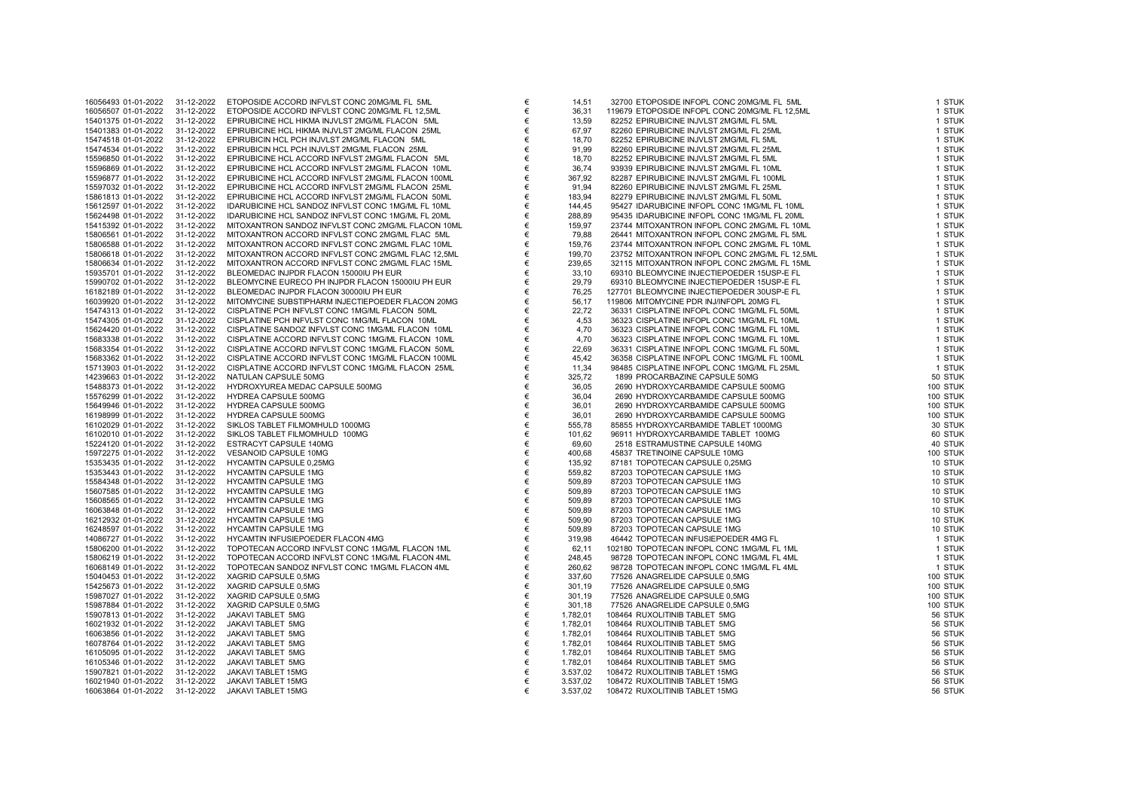| 16056493 01-01-2022 | 31-12-2022 | ETOPOSIDE ACCORD INFVLST CONC 20MG/ML FL 5ML       | € | 14,51    | 32700 ETOPOSIDE INFOPL CONC 20MG/ML FL 5ML     | 1 STUK   |
|---------------------|------------|----------------------------------------------------|---|----------|------------------------------------------------|----------|
| 16056507 01-01-2022 | 31-12-2022 | ETOPOSIDE ACCORD INFVLST CONC 20MG/ML FL 12,5ML    | € | 36,31    | 119679 ETOPOSIDE INFOPL CONC 20MG/ML FL 12,5ML | 1 STUK   |
| 15401375 01-01-2022 | 31-12-2022 | EPIRUBICINE HCL HIKMA INJVLST 2MG/ML FLACON 5ML    | € | 13,59    | 82252 EPIRUBICINE INJVLST 2MG/ML FL 5ML        | 1 STUK   |
| 15401383 01-01-2022 | 31-12-2022 | EPIRUBICINE HCL HIKMA INJVLST 2MG/ML FLACON 25ML   | € | 67,97    | 82260 EPIRUBICINE INJVLST 2MG/ML FL 25ML       | 1 STUK   |
| 15474518 01-01-2022 | 31-12-2022 | EPIRUBICIN HCL PCH INJVLST 2MG/ML FLACON 5ML       | € | 18,70    | 82252 EPIRUBICINE INJVLST 2MG/ML FL 5ML        | 1 STUK   |
| 15474534 01-01-2022 | 31-12-2022 | EPIRUBICIN HCL PCH INJVLST 2MG/ML FLACON 25ML      | € | 91,99    | 82260 EPIRUBICINE INJVLST 2MG/ML FL 25ML       | 1 STUK   |
| 15596850 01-01-2022 | 31-12-2022 | EPIRUBICINE HCL ACCORD INFVLST 2MG/ML FLACON 5ML   | € | 18,70    | 82252 EPIRUBICINE INJVLST 2MG/ML FL 5ML        | 1 STUK   |
| 15596869 01-01-2022 | 31-12-2022 | EPIRUBICINE HCL ACCORD INFVLST 2MG/ML FLACON 10ML  | € | 36,74    | 93939 EPIRUBICINE INJVLST 2MG/ML FL 10ML       | 1 STUK   |
| 15596877 01-01-2022 | 31-12-2022 | EPIRUBICINE HCL ACCORD INFVLST 2MG/ML FLACON 100ML | € | 367,92   | 82287 EPIRUBICINE INJVLST 2MG/ML FL 100ML      | 1 STUK   |
| 15597032 01-01-2022 | 31-12-2022 | EPIRUBICINE HCL ACCORD INFVLST 2MG/ML FLACON 25ML  | € | 91,94    | 82260 EPIRUBICINE INJVLST 2MG/ML FL 25ML       | 1 STUK   |
| 15861813 01-01-2022 | 31-12-2022 | EPIRUBICINE HCL ACCORD INFVLST 2MG/ML FLACON 50ML  | € | 183,94   | 82279 EPIRUBICINE INJVLST 2MG/ML FL 50ML       | 1 STUK   |
| 15612597 01-01-2022 | 31-12-2022 | IDARUBICINE HCL SANDOZ INFVLST CONC 1MG/ML FL 10ML | € | 144,45   | 95427 IDARUBICINE INFOPL CONC 1MG/ML FL 10ML   | 1 STUK   |
| 15624498 01-01-2022 | 31-12-2022 | IDARUBICINE HCL SANDOZ INFVLST CONC 1MG/ML FL 20ML | € | 288,89   | 95435 IDARUBICINE INFOPL CONC 1MG/ML FL 20ML   | 1 STUK   |
| 15415392 01-01-2022 | 31-12-2022 | MITOXANTRON SANDOZ INFVLST CONC 2MG/ML FLACON 10ML | € | 159,97   | 23744 MITOXANTRON INFOPL CONC 2MG/ML FL 10ML   | 1 STUK   |
| 15806561 01-01-2022 | 31-12-2022 | MITOXANTRON ACCORD INFVLST CONC 2MG/ML FLAC 5ML    | € | 79,88    | 26441 MITOXANTRON INFOPL CONC 2MG/ML FL 5ML    | 1 STUK   |
| 15806588 01-01-2022 | 31-12-2022 | MITOXANTRON ACCORD INFVLST CONC 2MG/ML FLAC 10ML   | € | 159,76   | 23744 MITOXANTRON INFOPL CONC 2MG/ML FL 10ML   | 1 STUK   |
| 15806618 01-01-2022 | 31-12-2022 | MITOXANTRON ACCORD INFVLST CONC 2MG/ML FLAC 12,5ML | € | 199,70   | 23752 MITOXANTRON INFOPL CONC 2MG/ML FL 12,5ML | 1 STUK   |
| 15806634 01-01-2022 | 31-12-2022 | MITOXANTRON ACCORD INFVLST CONC 2MG/ML FLAC 15ML   | € | 239,65   | 32115 MITOXANTRON INFOPL CONC 2MG/ML FL 15ML   | 1 STUK   |
| 15935701 01-01-2022 | 31-12-2022 | BLEOMEDAC INJPDR FLACON 15000IU PH EUR             | € | 33,10    | 69310 BLEOMYCINE INJECTIEPOEDER 15USP-E FL     | 1 STUK   |
| 15990702 01-01-2022 | 31-12-2022 | BLEOMYCINE EURECO PH INJPDR FLACON 15000IU PH EUR  | € | 29,79    | 69310 BLEOMYCINE INJECTIEPOEDER 15USP-E FL     | 1 STUK   |
| 16182189 01-01-2022 | 31-12-2022 | BLEOMEDAC INJPDR FLACON 30000IU PH EUR             | € | 76,25    | 127701 BLEOMYCINE INJECTIEPOEDER 30USP-E FL    | 1 STUK   |
| 16039920 01-01-2022 | 31-12-2022 | MITOMYCINE SUBSTIPHARM INJECTIEPOEDER FLACON 20MG  | € | 56,17    | 119806 MITOMYCINE PDR INJ/INFOPL 20MG FL       | 1 STUK   |
| 15474313 01-01-2022 | 31-12-2022 | CISPLATINE PCH INFVLST CONC 1MG/ML FLACON 50ML     | € | 22,72    | 36331 CISPLATINE INFOPL CONC 1MG/ML FL 50ML    | 1 STUK   |
| 15474305 01-01-2022 | 31-12-2022 | CISPLATINE PCH INFVLST CONC 1MG/ML FLACON 10ML     | € | 4,53     | 36323 CISPLATINE INFOPL CONC 1MG/ML FL 10ML    | 1 STUK   |
| 15624420 01-01-2022 | 31-12-2022 | CISPLATINE SANDOZ INFVLST CONC 1MG/ML FLACON 10ML  | € | 4,70     | 36323 CISPLATINE INFOPL CONC 1MG/ML FL 10ML    | 1 STUK   |
| 15683338 01-01-2022 | 31-12-2022 | CISPLATINE ACCORD INFVLST CONC 1MG/ML FLACON 10ML  | € | 4,70     | 36323 CISPLATINE INFOPL CONC 1MG/ML FL 10ML    | 1 STUK   |
| 15683354 01-01-2022 | 31-12-2022 | CISPLATINE ACCORD INFVLST CONC 1MG/ML FLACON 50ML  | € | 22,69    | 36331 CISPLATINE INFOPL CONC 1MG/ML FL 50ML    | 1 STUK   |
| 15683362 01-01-2022 | 31-12-2022 | CISPLATINE ACCORD INFVLST CONC 1MG/ML FLACON 100ML | € | 45,42    | 36358 CISPLATINE INFOPL CONC 1MG/ML FL 100ML   | 1 STUK   |
| 15713903 01-01-2022 | 31-12-2022 | CISPLATINE ACCORD INFVLST CONC 1MG/ML FLACON 25ML  | € | 11,34    | 98485 CISPLATINE INFOPL CONC 1MG/ML FL 25ML    | 1 STUK   |
| 14239663 01-01-2022 | 31-12-2022 | NATULAN CAPSULE 50MG                               | € | 325,72   | 1899 PROCARBAZINE CAPSULE 50MG                 | 50 STUK  |
| 15488373 01-01-2022 | 31-12-2022 | HYDROXYUREA MEDAC CAPSULE 500MG                    | € | 36,05    | 2690 HYDROXYCARBAMIDE CAPSULE 500MG            | 100 STUK |
| 15576299 01-01-2022 | 31-12-2022 | HYDREA CAPSULE 500MG                               | € | 36,04    | 2690 HYDROXYCARBAMIDE CAPSULE 500MG            | 100 STUK |
| 15649946 01-01-2022 | 31-12-2022 | HYDREA CAPSULE 500MG                               | € | 36,01    | 2690 HYDROXYCARBAMIDE CAPSULE 500MG            | 100 STUK |
| 16198999 01-01-2022 | 31-12-2022 | HYDREA CAPSULE 500MG                               | € | 36,01    | 2690 HYDROXYCARBAMIDE CAPSULE 500MG            | 100 STUK |
| 16102029 01-01-2022 | 31-12-2022 | SIKLOS TABLET FILMOMHULD 1000MG                    | € | 555,78   | 85855 HYDROXYCARBAMIDE TABLET 1000MG           | 30 STUK  |
| 16102010 01-01-2022 | 31-12-2022 | SIKLOS TABLET FILMOMHULD 100MG                     | € | 101,62   | 96911 HYDROXYCARBAMIDE TABLET 100MG            | 60 STUK  |
| 15224120 01-01-2022 | 31-12-2022 | ESTRACYT CAPSULE 140MG                             | € | 69,60    | 2518 ESTRAMUSTINE CAPSULE 140MG                | 40 STUK  |
| 15972275 01-01-2022 | 31-12-2022 | VESANOID CAPSULE 10MG                              | € | 400,68   | 45837 TRETINOINE CAPSULE 10MG                  | 100 STUK |
| 15353435 01-01-2022 | 31-12-2022 | HYCAMTIN CAPSULE 0,25MG                            | € | 135,92   | 87181 TOPOTECAN CAPSULE 0,25MG                 | 10 STUK  |
| 15353443 01-01-2022 | 31-12-2022 | <b>HYCAMTIN CAPSULE 1MG</b>                        | € | 559,82   | 87203 TOPOTECAN CAPSULE 1MG                    | 10 STUK  |
| 15584348 01-01-2022 | 31-12-2022 | HYCAMTIN CAPSULE 1MG                               | € | 509,89   | 87203 TOPOTECAN CAPSULE 1MG                    | 10 STUK  |
| 15607585 01-01-2022 | 31-12-2022 | <b>HYCAMTIN CAPSULE 1MG</b>                        | € | 509,89   | 87203 TOPOTECAN CAPSULE 1MG                    | 10 STUK  |
| 15608565 01-01-2022 | 31-12-2022 | <b>HYCAMTIN CAPSULE 1MG</b>                        | € | 509,89   | 87203 TOPOTECAN CAPSULE 1MG                    | 10 STUK  |
| 16063848 01-01-2022 | 31-12-2022 | <b>HYCAMTIN CAPSULE 1MG</b>                        | € | 509,89   | 87203 TOPOTECAN CAPSULE 1MG                    | 10 STUK  |
| 16212932 01-01-2022 | 31-12-2022 | <b>HYCAMTIN CAPSULE 1MG</b>                        | € | 509,90   | 87203 TOPOTECAN CAPSULE 1MG                    | 10 STUK  |
| 16248597 01-01-2022 | 31-12-2022 | <b>HYCAMTIN CAPSULE 1MG</b>                        | € | 509,89   | 87203 TOPOTECAN CAPSULE 1MG                    | 10 STUK  |
| 14086727 01-01-2022 | 31-12-2022 | HYCAMTIN INFUSIEPOEDER FLACON 4MG                  | € | 319,98   | 46442 TOPOTECAN INFUSIEPOEDER 4MG FL           | 1 STUK   |
| 15806200 01-01-2022 | 31-12-2022 | TOPOTECAN ACCORD INFVLST CONC 1MG/ML FLACON 1ML    | € | 62,11    | 102180 TOPOTECAN INFOPL CONC 1MG/ML FL 1ML     | 1 STUK   |
| 15806219 01-01-2022 | 31-12-2022 | TOPOTECAN ACCORD INFVLST CONC 1MG/ML FLACON 4ML    | € | 248,45   | 98728 TOPOTECAN INFOPL CONC 1MG/ML FL 4ML      | 1 STUK   |
| 16068149 01-01-2022 | 31-12-2022 | TOPOTECAN SANDOZ INFVLST CONC 1MG/ML FLACON 4ML    | € | 260,62   | 98728 TOPOTECAN INFOPL CONC 1MG/ML FL 4ML      | 1 STUK   |
| 15040453 01-01-2022 | 31-12-2022 | XAGRID CAPSULE 0,5MG                               | € | 337,60   | 77526 ANAGRELIDE CAPSULE 0,5MG                 | 100 STUK |
| 15425673 01-01-2022 | 31-12-2022 | XAGRID CAPSULE 0,5MG                               | € | 301,19   | 77526 ANAGRELIDE CAPSULE 0,5MG                 | 100 STUK |
| 15987027 01-01-2022 | 31-12-2022 | XAGRID CAPSULE 0,5MG                               | € | 301,19   | 77526 ANAGRELIDE CAPSULE 0,5MG                 | 100 STUK |
| 15987884 01-01-2022 | 31-12-2022 | XAGRID CAPSULE 0,5MG                               | € | 301,18   | 77526 ANAGRELIDE CAPSULE 0,5MG                 | 100 STUK |
| 15907813 01-01-2022 | 31-12-2022 | JAKAVI TABLET 5MG                                  | € | 1.782,01 | 108464 RUXOLITINIB TABLET 5MG                  | 56 STUK  |
| 16021932 01-01-2022 | 31-12-2022 | JAKAVI TABLET 5MG                                  | € | 1.782,01 | 108464 RUXOLITINIB TABLET 5MG                  | 56 STUK  |
| 16063856 01-01-2022 | 31-12-2022 | JAKAVI TABLET 5MG                                  | € | 1.782,01 | 108464 RUXOLITINIB TABLET 5MG                  | 56 STUK  |
| 16078764 01-01-2022 | 31-12-2022 | JAKAVI TABLET 5MG                                  | € | 1.782.01 | 108464 RUXOLITINIB TABLET 5MG                  | 56 STUK  |
| 16105095 01-01-2022 | 31-12-2022 | JAKAVI TABLET 5MG                                  | € | 1.782,01 | 108464 RUXOLITINIB TABLET 5MG                  | 56 STUK  |
| 16105346 01-01-2022 | 31-12-2022 | JAKAVI TABLET 5MG                                  | € | 1.782,01 | 108464 RUXOLITINIB TABLET 5MG                  | 56 STUK  |
| 15907821 01-01-2022 | 31-12-2022 | JAKAVI TABLET 15MG                                 | € | 3.537,02 | 108472 RUXOLITINIB TABLET 15MG                 | 56 STUK  |
| 16021940 01-01-2022 | 31-12-2022 | JAKAVI TABLET 15MG                                 | € | 3.537,02 | 108472 RUXOLITINIB TABLET 15MG                 | 56 STUK  |
| 16063864 01-01-2022 | 31-12-2022 | JAKAVI TABLET 15MG                                 | € | 3.537,02 | 108472 RUXOLITINIB TABLET 15MG                 | 56 STUK  |
|                     |            |                                                    |   |          |                                                |          |

| 14,51            | 32700 ETOPOSIDE INFOPL CONC 20MG/ML FL_5ML                                               | 1 STU                     |
|------------------|------------------------------------------------------------------------------------------|---------------------------|
| 36,31            | 119679 ETOPOSIDE INFOPL CONC 20MG/ML FL 12,5ML                                           | 1 STU                     |
| 13.59            | 82252 EPIRUBICINE INJVLST 2MG/ML FL 5ML                                                  | 1 STU                     |
| 67,97            | 82260 EPIRUBICINE INJVLST 2MG/ML FL 25ML                                                 | 1 STU                     |
| 18,70            | 82252 EPIRUBICINE INJVLST 2MG/ML FL 5ML                                                  | 1 STU                     |
| 91,99            | 82260 EPIRUBICINE INJVLST 2MG/ML FL 25ML                                                 | 1 STU                     |
| 18.70            | 82252 EPIRUBICINE INJVLST 2MG/ML FL 5ML                                                  | 1 STU                     |
| 36,74            | 93939 EPIRUBICINE INJVLST 2MG/ML FL 10ML                                                 | 1 STU                     |
| 367,92           | 82287 EPIRUBICINE INJVLST 2MG/ML FL 100ML                                                | 1 STU                     |
| 91,94            | 82260 EPIRUBICINE INJVLST 2MG/ML FL 25ML                                                 | 1 STU                     |
| 183,94           | 82279 EPIRUBICINE INJVLST 2MG/ML FL 50ML<br>95427 IDARUBICINE INFOPL CONC 1MG/ML FL 10ML | 1 STU<br>1 STU            |
| 144,45<br>288,89 | 95435 IDARUBICINE INFOPL CONC 1MG/ML FL 20ML                                             | 1 STU                     |
| 159,97           | 23744 MITOXANTRON INFOPL CONC 2MG/ML FL 10ML                                             | 1 STU                     |
| 79,88            | 26441 MITOXANTRON INFOPL CONC 2MG/ML FL 5ML                                              | 1 STU                     |
| 159,76           | 23744 MITOXANTRON INFOPL CONC 2MG/ML FL 10ML                                             | 1 STU                     |
| 199,70           | 23752 MITOXANTRON INFOPL CONC 2MG/ML FL 12,5ML                                           | 1 STU                     |
| 239.65           | 32115 MITOXANTRON INFOPL CONC 2MG/ML FL 15ML                                             | 1 STU                     |
| 33,10            | 69310 BLEOMYCINE INJECTIEPOEDER 15USP-E FL                                               | 1 STU                     |
| 29,79            | 69310 BLEOMYCINE INJECTIEPOEDER 15USP-E FL                                               | 1 STU                     |
| 76,25            | 127701 BLEOMYCINE INJECTIEPOEDER 30USP-E FL                                              | 1 STU                     |
| 56,17            | 119806 MITOMYCINE PDR INJ/INFOPL 20MG FL                                                 | 1 STU                     |
| 22,72            | 36331 CISPLATINE INFOPL CONC 1MG/ML FL 50ML                                              | 1 STU                     |
| 4,53             | 36323 CISPLATINE INFOPL CONC 1MG/ML FL 10ML                                              | 1 STU                     |
| 4,70             | 36323 CISPLATINE INFOPL CONC 1MG/ML FL 10ML                                              | 1 STU                     |
| 4,70             | 36323 CISPLATINE INFOPL CONC 1MG/ML FL 10ML                                              | 1 STU                     |
| 22,69            | 36331 CISPLATINE INFOPL CONC 1MG/ML FL 50ML                                              | 1 STU                     |
| 45,42            | 36358 CISPLATINE INFOPL CONC 1MG/ML FL 100ML                                             | 1 STU                     |
| 11,34            | 98485 CISPLATINE INFOPL CONC 1MG/ML FL 25ML                                              | 1 STU                     |
| 325,72           | 1899 PROCARBAZINE CAPSULE 50MG                                                           | 50 STU                    |
| 36,05            | 2690 HYDROXYCARBAMIDE CAPSULE 500MG                                                      | 100 STU                   |
| 36.04<br>36,01   | 2690 HYDROXYCARBAMIDE CAPSULE 500MG<br>2690 HYDROXYCARBAMIDE CAPSULE 500MG               | 100 STU<br><b>100 STU</b> |
| 36.01            | 2690 HYDROXYCARBAMIDE CAPSULE 500MG                                                      | <b>100 STU</b>            |
| 555,78           | 85855 HYDROXYCARBAMIDE TABLET 1000MG                                                     | 30 STU                    |
| 101,62           | 96911 HYDROXYCARBAMIDE TABLET 100MG                                                      | 60 STU                    |
| 69.60            | 2518 ESTRAMUSTINE CAPSULE 140MG                                                          | 40 STU                    |
| 400,68           | 45837 TRETINOINE CAPSULE 10MG                                                            | 100 STU                   |
| 135,92           | 87181 TOPOTECAN CAPSULE 0,25MG                                                           | 10 STU                    |
| 559,82           | 87203 TOPOTECAN CAPSULE 1MG                                                              | 10 STU                    |
| 509,89           | 87203 TOPOTECAN CAPSULE 1MG                                                              | 10 STU                    |
| 509,89           | 87203 TOPOTECAN CAPSULE 1MG                                                              | 10 STU                    |
| 509,89           | 87203 TOPOTECAN CAPSULE 1MG                                                              | 10 STU                    |
| 509,89           | 87203 TOPOTECAN CAPSULE 1MG                                                              | 10 STU                    |
| 509,90           | 87203 TOPOTECAN CAPSULE 1MG                                                              | 10 STU                    |
| 509,89           | 87203 TOPOTECAN CAPSULE 1MG                                                              | 10 STU                    |
| 319,98           | 46442 TOPOTECAN INFUSIEPOEDER 4MG FL                                                     | 1 STU                     |
| 62.11<br>248.45  | 102180 TOPOTECAN INFOPL CONC 1MG/ML FL 1ML<br>98728 TOPOTECAN INFOPL CONC 1MG/ML FL 4ML  | 1 STU<br>1 STU            |
| 260,62           | 98728 TOPOTECAN INFOPL CONC 1MG/ML FL 4ML                                                | 1 STU                     |
| 337,60           | 77526 ANAGRELIDE CAPSULE 0,5MG                                                           | <b>100 STU</b>            |
| 301,19           | 77526 ANAGRELIDE CAPSULE 0,5MG                                                           | <b>100 STU</b>            |
| 301,19           | 77526 ANAGRELIDE CAPSULE 0,5MG                                                           | 100 STU                   |
| 301,18           | 77526 ANAGRELIDE CAPSULE 0,5MG                                                           | <b>100 STU</b>            |
| .782,01          | 108464 RUXOLITINIB TABLET 5MG                                                            | <b>56 STU</b>             |
| .782,01          | 108464 RUXOLITINIB TABLET 5MG                                                            | <b>56 STU</b>             |
| .782,01          | 108464 RUXOLITINIB TABLET 5MG                                                            | 56 STU                    |
| .782,01          | 108464 RUXOLITINIB TABLET 5MG                                                            | 56 STU                    |
| .782,01          | 108464 RUXOLITINIB TABLET 5MG                                                            | <b>56 STU</b>             |
| .782,01          | 108464 RUXOLITINIB TABLET 5MG                                                            | 56 STU                    |
| 537,02           | 108472 RUXOLITINIB TABLET 15MG                                                           | 56 STU                    |
| .537,02          | 108472 RUXOLITINIB TABLET 15MG                                                           | 56 STU                    |
| 537,02           | 108472 RUXOLITINIB TABLET 15MG                                                           | 56 STU                    |
|                  |                                                                                          |                           |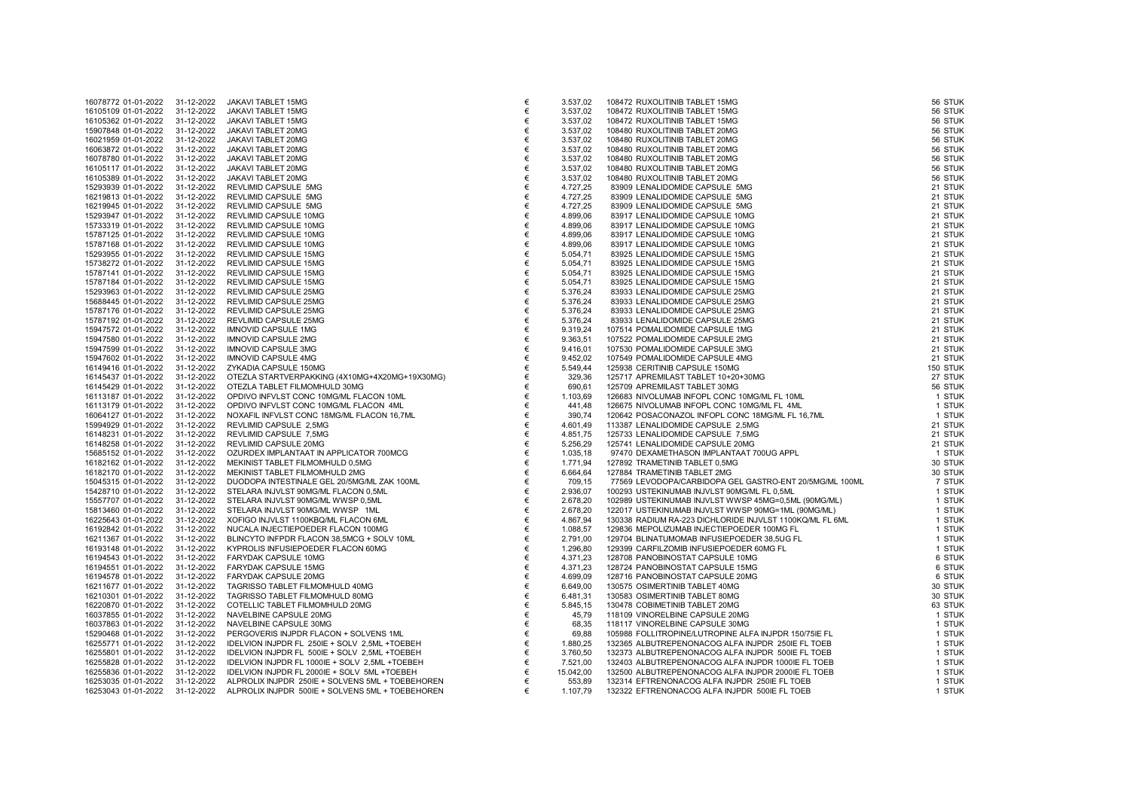| 16078772 01-01-2022 | 31-12-2022 | JAKAVI TABLET 15MG                               | €     | 3.537,02  | 108472 RUXOLITINIB TABLET 15MG                                                                                                                                                                                                                     | 56 STUK  |
|---------------------|------------|--------------------------------------------------|-------|-----------|----------------------------------------------------------------------------------------------------------------------------------------------------------------------------------------------------------------------------------------------------|----------|
| 16105109 01-01-2022 | 31-12-2022 | JAKAVI TABLET 15MG                               | €     | 3.537,02  | 108472 RUXOLITINIB TABLET 15MG                                                                                                                                                                                                                     | 56 STUK  |
| 16105362 01-01-2022 | 31-12-2022 | JAKAVI TABLET 15MG                               | €     | 3.537,02  | 108472 RUXOLITINIB TABLET 15MG                                                                                                                                                                                                                     | 56 STUK  |
| 15907848 01-01-2022 | 31-12-2022 | JAKAVI TABLET 20MG                               | €     | 3.537,02  | 108480 RUXOLITINIB TABLET 20MG                                                                                                                                                                                                                     | 56 STUK  |
| 16021959 01-01-2022 | 31-12-2022 | JAKAVI TABLET 20MG                               | €     | 3.537,02  | 108480 RUXOLITINIB TABLET 20MG                                                                                                                                                                                                                     | 56 STUK  |
| 16063872 01-01-2022 | 31-12-2022 | JAKAVI TABLET 20MG                               | €     | 3.537,02  | 108480 RUXOLITINIB TABLET 20MG                                                                                                                                                                                                                     | 56 STUK  |
| 16078780 01-01-2022 | 31-12-2022 | JAKAVI TABLET 20MG                               | €     | 3.537,02  | 108480 RUXOLITINIB TABLET 20MG                                                                                                                                                                                                                     | 56 STUK  |
| 16105117 01-01-2022 | 31-12-2022 | JAKAVI TABLET 20MG                               | €     | 3.537,02  | 108480 RUXOLITINIB TABLET 20MG                                                                                                                                                                                                                     | 56 STUK  |
| 16105389 01-01-2022 | 31-12-2022 | JAKAVI TABLET 20MG                               | €     | 3.537,02  | 108480 RUXOLITINIB TABLET 20MG                                                                                                                                                                                                                     | 56 STUK  |
| 15293939 01-01-2022 | 31-12-2022 | REVLIMID CAPSULE 5MG                             | €     | 4.727,25  | 83909 LENALIDOMIDE CAPSULE 5MG                                                                                                                                                                                                                     | 21 STUK  |
| 16219813 01-01-2022 | 31-12-2022 | REVLIMID CAPSULE 5MG                             | €     | 4.727,25  |                                                                                                                                                                                                                                                    | 21 STUK  |
| 16219945 01-01-2022 | 31-12-2022 | REVLIMID CAPSULE 5MG                             | €     | 4.727,25  |                                                                                                                                                                                                                                                    | 21 STUK  |
| 15293947 01-01-2022 | 31-12-2022 | REVLIMID CAPSULE 10MG                            | €     | 4.899,06  |                                                                                                                                                                                                                                                    | 21 STUK  |
| 15733319 01-01-2022 | 31-12-2022 | REVLIMID CAPSULE 10MG                            | €     | 4.899,06  |                                                                                                                                                                                                                                                    | 21 STUK  |
| 15787125 01-01-2022 | 31-12-2022 | REVLIMID CAPSULE 10MG                            | €     | 4.899,06  |                                                                                                                                                                                                                                                    | 21 STUK  |
| 15787168 01-01-2022 | 31-12-2022 | REVLIMID CAPSULE 10MG                            | €     | 4.899,06  |                                                                                                                                                                                                                                                    | 21 STUK  |
| 15293955 01-01-2022 | 31-12-2022 | REVLIMID CAPSULE 15MG                            | €     | 5.054,71  |                                                                                                                                                                                                                                                    | 21 STUK  |
| 15738272 01-01-2022 | 31-12-2022 | REVLIMID CAPSULE 15MG                            | €     | 5.054,71  |                                                                                                                                                                                                                                                    | 21 STUK  |
| 15787141 01-01-2022 | 31-12-2022 | REVLIMID CAPSULE 15MG                            | €     | 5.054,71  |                                                                                                                                                                                                                                                    | 21 STUK  |
| 15787184 01-01-2022 | 31-12-2022 | REVLIMID CAPSULE 15MG                            | €     | 5.054,71  |                                                                                                                                                                                                                                                    | 21 STUK  |
| 15293963 01-01-2022 | 31-12-2022 | REVLIMID CAPSULE 25MG                            | €     | 5.376,24  |                                                                                                                                                                                                                                                    | 21 STUK  |
| 15688445 01-01-2022 | 31-12-2022 | REVLIMID CAPSULE 25MG                            | €     | 5.376,24  |                                                                                                                                                                                                                                                    | 21 STUK  |
| 15787176 01-01-2022 | 31-12-2022 | <b>REVLIMID CAPSULE 25MG</b>                     | €     | 5.376,24  |                                                                                                                                                                                                                                                    | 21 STUK  |
| 15787192 01-01-2022 | 31-12-2022 | REVLIMID CAPSULE 25MG                            | €     | 5.376,24  |                                                                                                                                                                                                                                                    | 21 STUK  |
| 15947572 01-01-2022 | 31-12-2022 | <b>IMNOVID CAPSULE 1MG</b>                       | €     | 9.319,24  |                                                                                                                                                                                                                                                    | 21 STUK  |
| 15947580 01-01-2022 | 31-12-2022 | <b>IMNOVID CAPSULE 2MG</b>                       | $\in$ | 9.363,51  |                                                                                                                                                                                                                                                    | 21 STUK  |
| 15947599 01-01-2022 | 31-12-2022 | <b>IMNOVID CAPSULE 3MG</b>                       | €     | 9.416,01  |                                                                                                                                                                                                                                                    | 21 STUK  |
| 15947602 01-01-2022 | 31-12-2022 | <b>IMNOVID CAPSULE 4MG</b>                       | $\in$ | 9.452,02  |                                                                                                                                                                                                                                                    | 21 STUK  |
| 16149416 01-01-2022 | 31-12-2022 | ZYKADIA CAPSULE 150MG                            | €     | 5.549,44  |                                                                                                                                                                                                                                                    | 150 STUK |
| 16145437 01-01-2022 | 31-12-2022 | OTEZLA STARTVERPAKKING (4X10MG+4X20MG+19X30MG)   | €     | 329,36    |                                                                                                                                                                                                                                                    | 27 STUK  |
| 16145429 01-01-2022 | 31-12-2022 | OTEZLA TABLET FILMOMHULD 30MG                    | €     | 690,61    |                                                                                                                                                                                                                                                    | 56 STUK  |
| 16113187 01-01-2022 | 31-12-2022 | OPDIVO INFVLST CONC 10MG/ML FLACON 10ML          | €     | 1.103,69  |                                                                                                                                                                                                                                                    | 1 STUK   |
| 16113179 01-01-2022 | 31-12-2022 | OPDIVO INFVLST CONC 10MG/ML FLACON 4ML           | €     | 441,48    |                                                                                                                                                                                                                                                    | 1 STUK   |
| 16064127 01-01-2022 | 31-12-2022 | NOXAFIL INFVLST CONC 18MG/ML FLACON 16,7ML       | $\in$ | 390,74    |                                                                                                                                                                                                                                                    | 1 STUK   |
| 15994929 01-01-2022 | 31-12-2022 | REVLIMID CAPSULE 2,5MG                           | €     | 4.601,49  |                                                                                                                                                                                                                                                    | 21 STUK  |
| 16148231 01-01-2022 | 31-12-2022 | REVLIMID CAPSULE 7,5MG                           | €     | 4.851,75  |                                                                                                                                                                                                                                                    | 21 STUK  |
| 16148258 01-01-2022 | 31-12-2022 | REVLIMID CAPSULE 20MG                            | $\in$ | 5.256,29  |                                                                                                                                                                                                                                                    | 21 STUK  |
| 15685152 01-01-2022 | 31-12-2022 | OZURDEX IMPLANTAAT IN APPLICATOR 700MCG          | €     | 1.035,18  |                                                                                                                                                                                                                                                    | 1 STUK   |
| 16182162 01-01-2022 | 31-12-2022 | MEKINIST TABLET FILMOMHULD 0,5MG                 | €     | 1.771,94  |                                                                                                                                                                                                                                                    | 30 STUK  |
| 16182170 01-01-2022 | 31-12-2022 | MEKINIST TABLET FILMOMHULD 2MG                   | €     | 6.664,64  |                                                                                                                                                                                                                                                    | 30 STUK  |
| 15045315 01-01-2022 | 31-12-2022 | DUODOPA INTESTINALE GEL 20/5MG/ML ZAK 100ML      | €     | 709,15    |                                                                                                                                                                                                                                                    | 7 STUK   |
| 15428710 01-01-2022 | 31-12-2022 | STELARA INJVLST 90MG/ML FLACON 0,5ML             | $\in$ | 2.936,07  |                                                                                                                                                                                                                                                    | 1 STUK   |
| 15557707 01-01-2022 | 31-12-2022 | STELARA INJVLST 90MG/ML WWSP 0,5ML               | €     | 2.678.20  |                                                                                                                                                                                                                                                    | 1 STUK   |
| 15813460 01-01-2022 | 31-12-2022 | STELARA INJVLST 90MG/ML WWSP 1ML                 | €     | 2.678,20  |                                                                                                                                                                                                                                                    | 1 STUK   |
| 16225643 01-01-2022 | 31-12-2022 | XOFIGO INJVLST 1100KBQ/ML FLACON 6ML             | €     | 4.867,94  |                                                                                                                                                                                                                                                    | 1 STUK   |
| 16192842 01-01-2022 | 31-12-2022 | NUCALA INJECTIEPOEDER FLACON 100MG               | €     | 1.088,57  |                                                                                                                                                                                                                                                    | 1 STUK   |
| 16211367 01-01-2022 | 31-12-2022 | BLINCYTO INFPDR FLACON 38,5MCG + SOLV 10ML       | €     | 2.791,00  |                                                                                                                                                                                                                                                    | 1 STUK   |
| 16193148 01-01-2022 | 31-12-2022 | KYPROLIS INFUSIEPOEDER FLACON 60MG               | €     |           |                                                                                                                                                                                                                                                    | 1 STUK   |
|                     |            |                                                  | €     | 1.296,80  |                                                                                                                                                                                                                                                    |          |
| 16194543 01-01-2022 | 31-12-2022 | FARYDAK CAPSULE 10MG                             | €     | 4.371,23  |                                                                                                                                                                                                                                                    | 6 STUK   |
| 16194551 01-01-2022 | 31-12-2022 | FARYDAK CAPSULE 15MG                             |       | 4.371,23  |                                                                                                                                                                                                                                                    | 6 STUK   |
| 16194578 01-01-2022 | 31-12-2022 | FARYDAK CAPSULE 20MG                             | €     | 4.699,09  |                                                                                                                                                                                                                                                    | 6 STUK   |
| 16211677 01-01-2022 | 31-12-2022 | TAGRISSO TABLET FILMOMHULD 40MG                  | €     | 6.649,00  |                                                                                                                                                                                                                                                    | 30 STUK  |
| 16210301 01-01-2022 | 31-12-2022 | TAGRISSO TABLET FILMOMHULD 80MG                  | $\in$ | 6.481,31  |                                                                                                                                                                                                                                                    | 30 STUK  |
| 16220870 01-01-2022 | 31-12-2022 | COTELLIC TABLET FILMOMHULD 20MG                  | €     | 5.845,15  |                                                                                                                                                                                                                                                    | 63 STUK  |
| 16037855 01-01-2022 | 31-12-2022 | NAVELBINE CAPSULE 20MG                           | €     | 45,79     |                                                                                                                                                                                                                                                    | 1 STUK   |
| 16037863 01-01-2022 | 31-12-2022 | NAVELBINE CAPSULE 30MG                           | €     | 68,35     | 108490 RUXCUTRING TABLET 20061<br>108490 RUXCUTRING TABLET 20061<br>108490 RUXCUTRING TABLET 20061<br>108490 RUXCUTRING TABLET 20061<br>108490 RUXCUTRING CAPSULE 600<br>10890 LENALDOMIDE CAPSULE 600<br>10890 LENALDOMIDE CAPSULE 10061<br>10897 | 1 STUK   |
| 15290468 01-01-2022 | 31-12-2022 | PERGOVERIS INJPDR FLACON + SOLVENS 1ML           | €     | 69,88     |                                                                                                                                                                                                                                                    | 1 STUK   |
| 16255771 01-01-2022 | 31-12-2022 | IDELVION INJPDR FL 250IE + SOLV 2,5ML +TOEBEH    | €     | 1.880,25  |                                                                                                                                                                                                                                                    | 1 STUK   |
| 16255801 01-01-2022 | 31-12-2022 | IDELVION INJPDR FL 500IE + SOLV 2,5ML +TOEBEH    | €     | 3.760,50  |                                                                                                                                                                                                                                                    | 1 STUK   |
| 16255828 01-01-2022 | 31-12-2022 | IDELVION INJPDR FL 1000IE + SOLV 2,5ML +TOEBEH   | €     | 7.521,00  |                                                                                                                                                                                                                                                    | 1 STUK   |
| 16255836 01-01-2022 | 31-12-2022 | IDELVION INJPDR FL 2000IE + SOLV 5ML +TOEBEH     | €     | 15.042,00 |                                                                                                                                                                                                                                                    | 1 STUK   |
| 16253035 01-01-2022 | 31-12-2022 | ALPROLIX INJPDR 250IE + SOLVENS 5ML + TOEBEHOREN | €     | 553,89    | 132314 EFTRENONACOG ALFA INJPDR 250IE FL TOEB                                                                                                                                                                                                      | 1 STUK   |
| 16253043 01-01-2022 | 31-12-2022 | ALPROLIX INJPDR 500IE + SOLVENS 5ML + TOEBEHOREN | €     | 1.107,79  | 132322 EFTRENONACOG ALFA INJPDR 500IE FL TOEB                                                                                                                                                                                                      | 1 STUK   |

| 16078772 01-01-2022            | 31-12-2022 | JAKAVI IABLE I 15MG                              |   | 3.537,UZ  | 108472 RUXULITINIB TABLET 15MG                           | 56.510K  |
|--------------------------------|------------|--------------------------------------------------|---|-----------|----------------------------------------------------------|----------|
| 16105109 01-01-2022            | 31-12-2022 | JAKAVI TABLET 15MG                               | € | 3.537,02  | 108472 RUXOLITINIB TABLET 15MG                           | 56 STUK  |
| 16105362 01-01-2022            | 31-12-2022 | JAKAVI TABLET 15MG                               | € | 3.537,02  | 108472 RUXOLITINIB TABLET 15MG                           | 56 STUK  |
| 15907848 01-01-2022            | 31-12-2022 | JAKAVI TABLET 20MG                               | € | 3.537,02  | 108480 RUXOLITINIB TABLET 20MG                           | 56 STUK  |
| 16021959 01-01-2022            | 31-12-2022 | JAKAVI TABLET 20MG                               | € | 3.537,02  | 108480 RUXOLITINIB TABLET 20MG                           | 56 STUK  |
| 16063872 01-01-2022            | 31-12-2022 | JAKAVI TABLET 20MG                               | € | 3.537,02  | 108480 RUXOLITINIB TABLET 20MG                           | 56 STUK  |
| 16078780 01-01-2022            | 31-12-2022 | JAKAVI TABLET 20MG                               | € | 3.537,02  | 108480 RUXOLITINIB TABLET 20MG                           | 56 STUK  |
| 16105117 01-01-2022            | 31-12-2022 | JAKAVI TABLET 20MG                               | € | 3.537,02  | 108480 RUXOLITINIB TABLET 20MG                           | 56 STUK  |
| 16105389 01-01-2022            | 31-12-2022 | JAKAVI TABLET 20MG                               | € | 3.537,02  | 108480 RUXOLITINIB TABLET 20MG                           | 56 STUK  |
| 15293939 01-01-2022            | 31-12-2022 | REVLIMID CAPSULE 5MG                             | € | 4.727,25  | 83909 LENALIDOMIDE CAPSULE 5MG                           | 21 STUK  |
| 16219813 01-01-2022            | 31-12-2022 | REVLIMID CAPSULE 5MG                             | € | 4.727,25  | 83909 LENALIDOMIDE CAPSULE 5MG                           | 21 STUK  |
| 16219945 01-01-2022            | 31-12-2022 | REVLIMID CAPSULE 5MG                             | € | 4.727,25  | 83909 LENALIDOMIDE CAPSULE 5MG                           | 21 STUK  |
| 15293947 01-01-2022            | 31-12-2022 | REVLIMID CAPSULE 10MG                            | € | 4.899,06  | 83917 LENALIDOMIDE CAPSULE 10MG                          | 21 STUK  |
| 15733319 01-01-2022            | 31-12-2022 | REVLIMID CAPSULE 10MG                            | € | 4.899,06  | 83917 LENALIDOMIDE CAPSULE 10MG                          | 21 STUK  |
| 15787125 01-01-2022            | 31-12-2022 | REVLIMID CAPSULE 10MG                            | € | 4.899,06  | 83917 LENALIDOMIDE CAPSULE 10MG                          | 21 STUK  |
|                                |            |                                                  | € |           |                                                          |          |
| 15787168 01-01-2022            | 31-12-2022 | REVLIMID CAPSULE 10MG                            |   | 4.899,06  | 83917 LENALIDOMIDE CAPSULE 10MG                          | 21 STUK  |
| 15293955 01-01-2022            | 31-12-2022 | REVLIMID CAPSULE 15MG                            | € | 5.054,71  | 83925 LENALIDOMIDE CAPSULE 15MG                          | 21 STUK  |
| 15738272 01-01-2022            | 31-12-2022 | REVLIMID CAPSULE 15MG                            | € | 5.054,71  | 83925 LENALIDOMIDE CAPSULE 15MG                          | 21 STUK  |
| 15787141 01-01-2022            | 31-12-2022 | REVLIMID CAPSULE 15MG                            | € | 5.054,71  | 83925 LENALIDOMIDE CAPSULE 15MG                          | 21 STUK  |
| 15787184 01-01-2022            | 31-12-2022 | REVLIMID CAPSULE 15MG                            | € | 5.054,71  | 83925 LENALIDOMIDE CAPSULE 15MG                          | 21 STUK  |
| 15293963 01-01-2022            | 31-12-2022 | REVLIMID CAPSULE 25MG                            | € | 5.376,24  | 83933 LENALIDOMIDE CAPSULE 25MG                          | 21 STUK  |
| 15688445 01-01-2022            | 31-12-2022 | REVLIMID CAPSULE 25MG                            | € | 5.376,24  | 83933 LENALIDOMIDE CAPSULE 25MG                          | 21 STUK  |
| 15787176 01-01-2022            | 31-12-2022 | REVLIMID CAPSULE 25MG                            | € | 5.376,24  | 83933 LENALIDOMIDE CAPSULE 25MG                          | 21 STUK  |
| 15787192 01-01-2022            | 31-12-2022 | REVLIMID CAPSULE 25MG                            | € | 5.376,24  | 83933 LENALIDOMIDE CAPSULE 25MG                          | 21 STUK  |
| 15947572 01-01-2022            | 31-12-2022 | IMNOVID CAPSULE 1MG                              | € | 9.319,24  | 107514 POMALIDOMIDE CAPSULE 1MG                          | 21 STUK  |
| 15947580 01-01-2022            | 31-12-2022 | <b>IMNOVID CAPSULE 2MG</b>                       | € | 9.363,51  | 107522 POMALIDOMIDE CAPSULE 2MG                          | 21 STUK  |
| 15947599 01-01-2022            | 31-12-2022 | <b>IMNOVID CAPSULE 3MG</b>                       | € | 9.416,01  | 107530 POMALIDOMIDE CAPSULE 3MG                          | 21 STUK  |
| 15947602 01-01-2022            | 31-12-2022 | <b>IMNOVID CAPSULE 4MG</b>                       | € | 9.452,02  | 107549 POMALIDOMIDE CAPSULE 4MG                          | 21 STUK  |
| 16149416 01-01-2022            | 31-12-2022 | ZYKADIA CAPSULE 150MG                            | € | 5.549,44  | 125938 CERITINIB CAPSULE 150MG                           | 150 STUK |
| 16145437 01-01-2022            | 31-12-2022 | OTEZLA STARTVERPAKKING (4X10MG+4X20MG+19X30MG)   | € | 329,36    | 125717 APREMILAST TABLET 10+20+30MG                      | 27 STUK  |
| 16145429 01-01-2022            | 31-12-2022 | OTEZLA TABLET FILMOMHULD 30MG                    | € | 690,61    | 125709 APREMILAST TABLET 30MG                            | 56 STUK  |
| 16113187 01-01-2022            | 31-12-2022 | OPDIVO INFVLST CONC 10MG/ML FLACON 10ML          | € | 1.103,69  | 126683 NIVOLUMAB INFOPL CONC 10MG/ML FL 10ML             | 1 STUK   |
| 16113179 01-01-2022            | 31-12-2022 | OPDIVO INFVLST CONC 10MG/ML FLACON 4ML           | € | 441,48    | 126675 NIVOLUMAB INFOPL CONC 10MG/ML FL 4ML              | 1 STUK   |
| 16064127 01-01-2022            | 31-12-2022 | NOXAFIL INFVLST CONC 18MG/ML FLACON 16,7ML       | € | 390,74    | 120642 POSACONAZOL INFOPL CONC 18MG/ML FL 16,7ML         | 1 STUK   |
| 15994929 01-01-2022            | 31-12-2022 | REVLIMID CAPSULE 2,5MG                           | € | 4.601,49  | 113387 LENALIDOMIDE CAPSULE 2,5MG                        | 21 STUK  |
| 16148231 01-01-2022            | 31-12-2022 | REVLIMID CAPSULE 7,5MG                           | € | 4.851,75  | 125733 LENALIDOMIDE CAPSULE 7,5MG                        | 21 STUK  |
| 16148258 01-01-2022            | 31-12-2022 | REVLIMID CAPSULE 20MG                            | € | 5.256,29  | 125741 LENALIDOMIDE CAPSULE 20MG                         | 21 STUK  |
| 15685152 01-01-2022            | 31-12-2022 | OZURDEX IMPLANTAAT IN APPLICATOR 700MCG          | € | 1.035,18  | 97470 DEXAMETHASON IMPLANTAAT 700UG APPL                 | 1 STUK   |
| 16182162 01-01-2022            | 31-12-2022 | MEKINIST TABLET FILMOMHULD 0,5MG                 | € | 1.771,94  | 127892 TRAMETINIB TABLET 0,5MG                           | 30 STUK  |
| 16182170 01-01-2022            | 31-12-2022 | MEKINIST TABLET FILMOMHULD 2MG                   | € | 6.664,64  | 127884 TRAMETINIB TABLET 2MG                             | 30 STUK  |
| 15045315 01-01-2022            | 31-12-2022 | DUODOPA INTESTINALE GEL 20/5MG/ML ZAK 100ML      | € | 709,15    | 77569 LEVODOPA/CARBIDOPA GEL GASTRO-ENT 20/5MG/ML 100ML  | 7 STUK   |
| 15428710 01-01-2022            | 31-12-2022 | STELARA INJVLST 90MG/ML FLACON 0,5ML             | € | 2.936,07  | 100293 USTEKINUMAB INJVLST 90MG/ML FL 0,5ML              | 1 STUK   |
| 15557707 01-01-2022            | 31-12-2022 | STELARA INJVLST 90MG/ML WWSP 0,5ML               | € | 2.678,20  | 102989 USTEKINUMAB INJVLST WWSP 45MG=0,5ML (90MG/ML)     | 1 STUK   |
| 15813460 01-01-2022            | 31-12-2022 | STELARA INJVLST 90MG/ML WWSP 1ML                 | € | 2.678,20  | 122017 USTEKINUMAB INJVLST WWSP 90MG=1ML (90MG/ML)       | 1 STUK   |
| 16225643 01-01-2022            | 31-12-2022 | XOFIGO INJVLST 1100KBQ/ML FLACON 6ML             | € | 4.867,94  | 130338 RADIUM RA-223 DICHLORIDE INJVLST 1100KQ/ML FL 6ML | 1 STUK   |
| 16192842 01-01-2022            | 31-12-2022 | NUCALA INJECTIEPOEDER FLACON 100MG               | € | 1.088,57  | 129836 MEPOLIZUMAB INJECTIEPOEDER 100MG FL               | 1 STUK   |
|                                | 31-12-2022 | BLINCYTO INFPDR FLACON 38,5MCG + SOLV 10ML       |   |           |                                                          | 1 STUK   |
| 16211367 01-01-2022            |            |                                                  | € | 2.791,00  | 129704 BLINATUMOMAB INFUSIEPOEDER 38,5UG FL              |          |
| 16193148 01-01-2022            | 31-12-2022 | KYPROLIS INFUSIEPOEDER FLACON 60MG               | € | 1.296,80  | 129399 CARFILZOMIB INFUSIEPOEDER 60MG FL                 | 1 STUK   |
| 16194543 01-01-2022            | 31-12-2022 | FARYDAK CAPSULE 10MG                             | € | 4.371,23  | 128708 PANOBINOSTAT CAPSULE 10MG                         | 6 STUK   |
| 16194551 01-01-2022            | 31-12-2022 | FARYDAK CAPSULE 15MG                             | € | 4.371,23  | 128724 PANOBINOSTAT CAPSULE 15MG                         | 6 STUK   |
| 16194578 01-01-2022            | 31-12-2022 | FARYDAK CAPSULE 20MG                             | € | 4.699,09  | 128716 PANOBINOSTAT CAPSULE 20MG                         | 6 STUK   |
| 16211677 01-01-2022            | 31-12-2022 | TAGRISSO TABLET FILMOMHULD 40MG                  | € | 6.649,00  | 130575 OSIMERTINIB TABLET 40MG                           | 30 STUK  |
| 16210301 01-01-2022            | 31-12-2022 | TAGRISSO TABLET FILMOMHULD 80MG                  | € | 6.481,31  | 130583 OSIMERTINIB TABLET 80MG                           | 30 STUK  |
| 16220870 01-01-2022            | 31-12-2022 | COTELLIC TABLET FILMOMHULD 20MG                  | € | 5.845,15  | 130478 COBIMETINIB TABLET 20MG                           | 63 STUK  |
| 16037855 01-01-2022            | 31-12-2022 | NAVELBINE CAPSULE 20MG                           | € | 45,79     | 118109 VINORELBINE CAPSULE 20MG                          | 1 STUK   |
| 16037863 01-01-2022            | 31-12-2022 | NAVELBINE CAPSULE 30MG                           | € | 68,35     | 118117 VINORELBINE CAPSULE 30MG                          | 1 STUK   |
| 15290468 01-01-2022            | 31-12-2022 | PERGOVERIS INJPDR FLACON + SOLVENS 1ML           | € | 69,88     | 105988 FOLLITROPINE/LUTROPINE ALFA INJPDR 150/75IE FL    | 1 STUK   |
| 16255771 01-01-2022            | 31-12-2022 | IDELVION INJPDR FL 250IE + SOLV 2,5ML +TOEBEH    | € | 1.880,25  | 132365 ALBUTREPENONACOG ALFA INJPDR 250IE FL TOEB        | 1 STUK   |
| 16255801 01-01-2022            | 31-12-2022 | IDELVION INJPDR FL 500IE + SOLV 2,5ML +TOEBEH    | € | 3.760,50  | 132373 ALBUTREPENONACOG ALFA INJPDR 500IE FL TOEB        | 1 STUK   |
| 16255828 01-01-2022            | 31-12-2022 | IDELVION INJPDR FL 1000IE + SOLV 2,5ML +TOEBEH   | € | 7.521,00  | 132403 ALBUTREPENONACOG ALFA INJPDR 1000IE FL TOEB       | 1 STUK   |
| 16255836 01-01-2022            | 31-12-2022 | IDELVION INJPDR FL 2000IE + SOLV 5ML +TOEBEH     | € | 15.042.00 | 132500 ALBUTREPENONACOG ALFA INJPDR 2000IE FL TOEB       | 1 STUK   |
| 16253035 01-01-2022            | 31-12-2022 | ALPROLIX INJPDR 250IE + SOLVENS 5ML + TOEBEHOREN | € | 553,89    | 132314 EFTRENONACOG ALFA INJPDR 250IE FL TOEB            | 1 STUK   |
| 16253043 01-01-2022 31-12-2022 |            | ALPROLIX INJPDR 500IE + SOLVENS 5ML + TOEBEHOREN | € | 1.107.79  | 132322 EFTRENONACOG ALFA INJPDR 500IE FL TOEB            | 1 STUK   |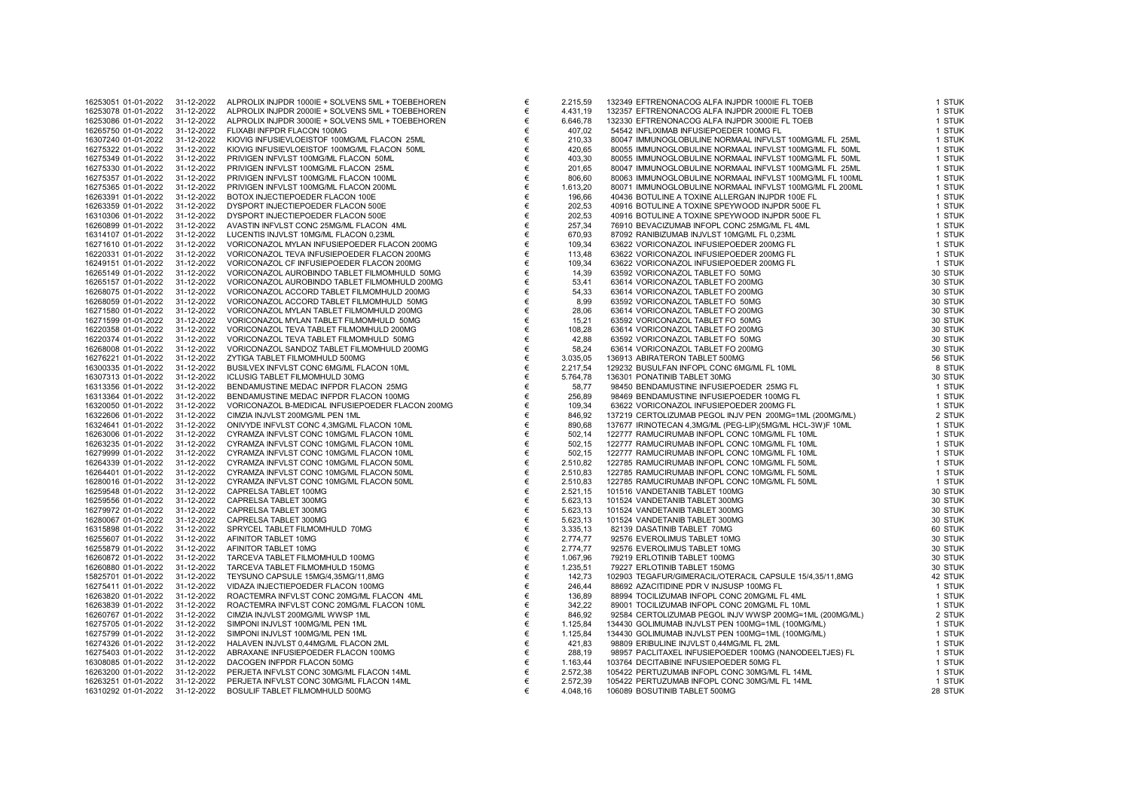| 16253051 01-01-2022                        | 31-12-2022 | ALPROLIX INJPDR 1000IE + SOLVENS 5ML + TOEBEHOREN |
|--------------------------------------------|------------|---------------------------------------------------|
| 16253078 01-01-2022                        | 31-12-2022 | ALPROLIX INJPDR 2000IE + SOLVENS 5ML + TOEBEHOREN |
| 16253086 01-01-2022                        | 31-12-2022 | ALPROLIX INJPDR 3000IE + SOLVENS 5ML + TOEBEHOREN |
| 16265750 01-01-2022                        | 31-12-2022 | FLIXABI INFPDR FLACON 100MG                       |
| 16307240 01-01-2022                        | 31-12-2022 | KIOVIG INFUSIEVLOEISTOF 100MG/ML FLACON 25ML      |
| 16275322 01-01-2022                        | 31-12-2022 | KIOVIG INFUSIEVLOEISTOF 100MG/ML FLACON 50ML      |
| 16275349 01-01-2022                        | 31-12-2022 | PRIVIGEN INFVLST 100MG/ML FLACON 50ML             |
| 16275330 01-01-2022                        | 31-12-2022 | PRIVIGEN INFVLST 100MG/ML FLACON 25ML             |
| 16275357 01-01-2022                        | 31-12-2022 | PRIVIGEN INFVLST 100MG/ML FLACON 100ML            |
| 16275365 01-01-2022                        | 31-12-2022 | PRIVIGEN INFVLST 100MG/ML FLACON 200ML            |
| 16263391 01-01-2022                        | 31-12-2022 | BOTOX INJECTIEPOEDER FLACON 100E                  |
| 16263359 01-01-2022                        | 31-12-2022 | DYSPORT INJECTIEPOEDER FLACON 500E                |
| 16310306 01-01-2022                        | 31-12-2022 | DYSPORT INJECTIEPOEDER FLACON 500E                |
| 16260899 01-01-2022                        | 31-12-2022 | AVASTIN INFVLST CONC 25MG/ML FLACON 4ML           |
| 16314107 01-01-2022                        | 31-12-2022 | LUCENTIS INJVLST 10MG/ML FLACON 0,23ML            |
|                                            |            | VORICONAZOL MYLAN INFUSIEPOEDER FLACON 200MG      |
| 16271610 01-01-2022                        | 31-12-2022 |                                                   |
| 16220331 01-01-2022                        | 31-12-2022 | VORICONAZOL TEVA INFUSIEPOEDER FLACON 200MG       |
| 16249151 01-01-2022                        | 31-12-2022 | VORICONAZOL CF INFUSIEPOEDER FLACON 200MG         |
| 16265149 01-01-2022                        | 31-12-2022 | VORICONAZOL AUROBINDO TABLET FILMOMHULD 50MG      |
| 16265157 01-01-2022                        | 31-12-2022 | VORICONAZOL AUROBINDO TABLET FILMOMHULD 200MG     |
| 16268075 01-01-2022                        | 31-12-2022 | VORICONAZOL ACCORD TABLET FILMOMHULD 200MG        |
| 16268059 01-01-2022                        | 31-12-2022 | VORICONAZOL ACCORD TABLET FILMOMHULD 50MG         |
| 16271580 01-01-2022                        | 31-12-2022 | VORICONAZOL MYLAN TABLET FILMOMHULD 200MG         |
| 16271599 01-01-2022                        | 31-12-2022 | VORICONAZOL MYLAN TABLET FILMOMHULD 50MG          |
| 16220358 01-01-2022                        | 31-12-2022 | VORICONAZOL TEVA TABLET FILMOMHULD 200MG          |
| 16220374 01-01-2022                        | 31-12-2022 | VORICONAZOL TEVA TABLET FILMOMHULD 50MG           |
| 16268008 01-01-2022                        | 31-12-2022 | VORICONAZOL SANDOZ TABLET FILMOMHULD 200MG        |
| 16276221 01-01-2022                        | 31-12-2022 | ZYTIGA TABLET FILMOMHULD 500MG                    |
| 16300335 01-01-2022                        | 31-12-2022 | BUSILVEX INFVLST CONC 6MG/ML FLACON 10ML          |
| 16307313 01-01-2022                        | 31-12-2022 | <b>ICLUSIG TABLET FILMOMHULD 30MG</b>             |
| 16313356 01-01-2022                        | 31-12-2022 | BENDAMUSTINE MEDAC INFPDR FLACON 25MG             |
| 16313364 01-01-2022                        | 31-12-2022 | BENDAMUSTINE MEDAC INFPDR FLACON 100MG            |
| 16320050 01-01-2022                        | 31-12-2022 | VORICONAZOL B-MEDICAL INFUSIEPOEDER FLACON 200MG  |
| 16322606 01-01-2022                        | 31-12-2022 | CIMZIA INJVLST 200MG/ML PEN 1ML                   |
| 16324641 01-01-2022                        | 31-12-2022 | ONIVYDE INFVLST CONC 4,3MG/ML FLACON 10ML         |
| 16263006 01-01-2022                        | 31-12-2022 | CYRAMZA INFVLST CONC 10MG/ML FLACON 10ML          |
| 16263235 01-01-2022                        | 31-12-2022 | CYRAMZA INFVLST CONC 10MG/ML FLACON 10ML          |
| 16279999 01-01-2022                        | 31-12-2022 | CYRAMZA INFVLST CONC 10MG/ML FLACON 10ML          |
| 16264339 01-01-2022                        | 31-12-2022 | CYRAMZA INFVLST CONC 10MG/ML FLACON 50ML          |
| 16264401 01-01-2022                        | 31-12-2022 | CYRAMZA INFVLST CONC 10MG/ML FLACON 50ML          |
| 16280016 01-01-2022                        | 31-12-2022 | CYRAMZA INFVLST CONC 10MG/ML FLACON 50ML          |
| 16259548 01-01-2022                        | 31-12-2022 | CAPRELSA TABLET 100MG                             |
|                                            |            |                                                   |
| 16259556 01-01-2022<br>16279972 01-01-2022 | 31-12-2022 | CAPRELSA TABLET 300MG<br>CAPRELSA TABLET 300MG    |
|                                            | 31-12-2022 | CAPRELSA TABLET 300MG                             |
| 16280067 01-01-2022                        | 31-12-2022 |                                                   |
| 16315898 01-01-2022                        | 31-12-2022 | SPRYCEL TABLET FILMOMHULD 70MG                    |
| 16255607 01-01-2022                        | 31-12-2022 | AFINITOR TABLET 10MG                              |
| 16255879 01-01-2022                        | 31-12-2022 | AFINITOR TABLET 10MG                              |
| 16260872 01-01-2022                        | 31-12-2022 | TARCEVA TABLET FILMOMHULD 100MG                   |
| 16260880 01-01-2022                        | 31-12-2022 | TARCEVA TABLET FILMOMHULD 150MG                   |
| 15825701 01-01-2022                        | 31-12-2022 | TEYSUNO CAPSULE 15MG/4,35MG/11,8MG                |
| 16275411 01-01-2022                        | 31-12-2022 | VIDAZA INJECTIEPOEDER FLACON 100MG                |
| 16263820 01-01-2022                        | 31-12-2022 | ROACTEMRA INFVLST CONC 20MG/ML FLACON 4ML         |
| 16263839 01-01-2022                        | 31-12-2022 | ROACTEMRA INFVLST CONC 20MG/ML FLACON 10ML        |
| 16260767 01-01-2022                        | 31-12-2022 | CIMZIA INJVLST 200MG/ML WWSP 1ML                  |
| 16275705 01-01-2022                        | 31-12-2022 | SIMPONI INJVLST 100MG/ML PEN 1ML                  |
| 16275799 01-01-2022                        | 31-12-2022 | SIMPONI INJVLST 100MG/ML PEN 1ML                  |
| 16274326 01-01-2022                        | 31-12-2022 | HALAVEN INJVLST 0,44MG/ML FLACON 2ML              |
| 16275403 01-01-2022                        | 31-12-2022 | ABRAXANE INFUSIEPOEDER FLACON 100MG               |
| 16308085 01-01-2022                        | 31-12-2022 | DACOGEN INFPDR FLACON 50MG                        |
| 16263200 01-01-2022                        | 31-12-2022 | PERJETA INFVLST CONC 30MG/ML FLACON 14ML          |
| 16263251 01-01-2022                        | 31-12-2022 | PERJETA INFVLST CONC 30MG/ML FLACON 14ML          |
| 16310292 01-01-2022                        | 31-12-2022 | BOSULIF TABLET FILMOMHULD 500MG                   |
|                                            |            |                                                   |

| 16253051 01-01-2022 | 31-12-2022 | ALPROLIX INJPDR 1000IE + SOLVENS 5ML + TOEBEHOREN | € | 2.215,59 | 132349 EFTRENONACOG ALFA INJPDR 1000IE FL TOEB            | 1 STUK  |
|---------------------|------------|---------------------------------------------------|---|----------|-----------------------------------------------------------|---------|
| 16253078 01-01-2022 | 31-12-2022 | ALPROLIX INJPDR 2000IE + SOLVENS 5ML + TOEBEHOREN | € | 4.431,19 | 132357 EFTRENONACOG ALFA INJPDR 2000IE FL TOEB            | 1 STUK  |
| 16253086 01-01-2022 | 31-12-2022 | ALPROLIX INJPDR 3000IE + SOLVENS 5ML + TOEBEHOREN | € | 6.646,78 | 132330 EFTRENONACOG ALFA INJPDR 3000IE FL TOEB            | 1 STUK  |
| 16265750 01-01-2022 | 31-12-2022 | FLIXABI INFPDR FLACON 100MG                       | € | 407,02   | 54542 INFLIXIMAB INFUSIEPOEDER 100MG FL                   | 1 STUK  |
| 16307240 01-01-2022 | 31-12-2022 | KIOVIG INFUSIEVLOEISTOF 100MG/ML FLACON 25ML      | € | 210,33   | 80047 IMMUNOGLOBULINE NORMAAL INFVLST 100MG/ML FL 25ML    | 1 STUK  |
| 16275322 01-01-2022 | 31-12-2022 | KIOVIG INFUSIEVLOEISTOF 100MG/ML FLACON 50ML      | € | 420,65   | 80055 IMMUNOGLOBULINE NORMAAL INFVLST 100MG/ML FL 50ML    | 1 STUK  |
| 16275349 01-01-2022 | 31-12-2022 | PRIVIGEN INFVLST 100MG/ML FLACON 50ML             | € | 403,30   | 80055 IMMUNOGLOBULINE NORMAAL INFVLST 100MG/ML FL 50ML    | 1 STUK  |
| 16275330 01-01-2022 | 31-12-2022 | PRIVIGEN INFVLST 100MG/ML FLACON 25ML             | € | 201,65   | 80047 IMMUNOGLOBULINE NORMAAL INFVLST 100MG/ML FL 25ML    | 1 STUK  |
| 16275357 01-01-2022 | 31-12-2022 | PRIVIGEN INFVLST 100MG/ML FLACON 100ML            | € | 806,60   | 80063 IMMUNOGLOBULINE NORMAAL INFVLST 100MG/ML FL 100ML   | 1 STUK  |
| 16275365 01-01-2022 | 31-12-2022 | PRIVIGEN INFVLST 100MG/ML FLACON 200ML            | € | 1.613,20 | 80071 IMMUNOGLOBULINE NORMAAL INFVLST 100MG/ML FL 200ML   | 1 STUK  |
| 16263391 01-01-2022 | 31-12-2022 | BOTOX INJECTIEPOEDER FLACON 100E                  | € | 196,66   | 40436 BOTULINE A TOXINE ALLERGAN INJPDR 100E FL           | 1 STUK  |
|                     |            |                                                   |   |          |                                                           |         |
| 16263359 01-01-2022 | 31-12-2022 | DYSPORT INJECTIEPOEDER FLACON 500E                | € | 202,53   | 40916 BOTULINE A TOXINE SPEYWOOD INJPDR 500E FL           | 1 STUK  |
| 16310306 01-01-2022 | 31-12-2022 | DYSPORT INJECTIEPOEDER FLACON 500E                | € | 202,53   | 40916 BOTULINE A TOXINE SPEYWOOD INJPDR 500E FL           | 1 STUK  |
| 16260899 01-01-2022 | 31-12-2022 | AVASTIN INFVLST CONC 25MG/ML FLACON 4ML           | € | 257,34   | 76910 BEVACIZUMAB INFOPL CONC 25MG/ML FL 4ML              | 1 STUK  |
| 16314107 01-01-2022 | 31-12-2022 | LUCENTIS INJVLST 10MG/ML FLACON 0,23ML            | € | 670,93   | 87092 RANIBIZUMAB INJVLST 10MG/ML FL 0,23ML               | 1 STUK  |
| 16271610 01-01-2022 | 31-12-2022 | VORICONAZOL MYLAN INFUSIEPOEDER FLACON 200MG      | € | 109,34   | 63622 VORICONAZOL INFUSIEPOEDER 200MG FL                  | 1 STUK  |
| 16220331 01-01-2022 | 31-12-2022 | VORICONAZOL TEVA INFUSIEPOEDER FLACON 200MG       | € | 113,48   | 63622 VORICONAZOL INFUSIEPOEDER 200MG FL                  | 1 STUK  |
| 16249151 01-01-2022 | 31-12-2022 | VORICONAZOL CF INFUSIEPOEDER FLACON 200MG         | € | 109,34   | 63622 VORICONAZOL INFUSIEPOEDER 200MG FL                  | 1 STUK  |
| 16265149 01-01-2022 | 31-12-2022 | VORICONAZOL AUROBINDO TABLET FILMOMHULD 50MG      | € | 14,39    | 63592 VORICONAZOL TABLET FO 50MG                          | 30 STUK |
| 16265157 01-01-2022 | 31-12-2022 | VORICONAZOL AUROBINDO TABLET FILMOMHULD 200MG     | € | 53,41    | 63614 VORICONAZOL TABLET FO 200MG                         | 30 STUK |
| 16268075 01-01-2022 | 31-12-2022 | VORICONAZOL ACCORD TABLET FILMOMHULD 200MG        | € | 54,33    | 63614 VORICONAZOL TABLET FO 200MG                         | 30 STUK |
| 16268059 01-01-2022 | 31-12-2022 | VORICONAZOL ACCORD TABLET FILMOMHULD 50MG         | € | 8,99     | 63592 VORICONAZOL TABLET FO 50MG                          | 30 STUK |
| 16271580 01-01-2022 | 31-12-2022 | VORICONAZOL MYLAN TABLET FILMOMHULD 200MG         | € | 28,06    | 63614 VORICONAZOL TABLET FO 200MG                         | 30 STUK |
| 16271599 01-01-2022 | 31-12-2022 | VORICONAZOL MYLAN TABLET FILMOMHULD 50MG          | € | 15,21    | 63592 VORICONAZOL TABLET FO 50MG                          | 30 STUK |
| 16220358 01-01-2022 | 31-12-2022 | VORICONAZOL TEVA TABLET FILMOMHULD 200MG          | € | 108,28   | 63614 VORICONAZOL TABLET FO 200MG                         | 30 STUK |
| 16220374 01-01-2022 | 31-12-2022 | VORICONAZOL TEVA TABLET FILMOMHULD 50MG           | € | 42,88    | 63592 VORICONAZOL TABLET FO 50MG                          | 30 STUK |
|                     | 31-12-2022 | VORICONAZOL SANDOZ TABLET FILMOMHULD 200MG        | € |          | 63614 VORICONAZOL TABLET FO 200MG                         | 30 STUK |
| 16268008 01-01-2022 |            |                                                   |   | 58,24    |                                                           |         |
| 16276221 01-01-2022 | 31-12-2022 | ZYTIGA TABLET FILMOMHULD 500MG                    | € | 3.035,05 | 136913 ABIRATERON TABLET 500MG                            | 56 STUK |
| 16300335 01-01-2022 | 31-12-2022 | BUSILVEX INFVLST CONC 6MG/ML FLACON 10ML          | € | 2.217,54 | 129232 BUSULFAN INFOPL CONC 6MG/ML FL 10ML                | 8 STUK  |
| 16307313 01-01-2022 | 31-12-2022 | ICLUSIG TABLET FILMOMHULD 30MG                    | € | 5.764,78 | 136301 PONATINIB TABLET 30MG                              | 30 STUK |
| 16313356 01-01-2022 | 31-12-2022 | BENDAMUSTINE MEDAC INFPDR FLACON 25MG             | € | 58,77    | 98450 BENDAMUSTINE INFUSIEPOEDER 25MG FL                  | 1 STUK  |
| 16313364 01-01-2022 | 31-12-2022 | BENDAMUSTINE MEDAC INFPDR FLACON 100MG            | € | 256,89   | 98469 BENDAMUSTINE INFUSIEPOEDER 100MG FL                 | 1 STUK  |
| 16320050 01-01-2022 | 31-12-2022 | VORICONAZOL B-MEDICAL INFUSIEPOEDER FLACON 200MG  | € | 109,34   | 63622 VORICONAZOL INFUSIEPOEDER 200MG FL                  | 1 STUK  |
| 16322606 01-01-2022 | 31-12-2022 | CIMZIA INJVLST 200MG/ML PEN 1ML                   | € | 846,92   | 137219 CERTOLIZUMAB PEGOL INJV PEN 200MG=1ML (200MG/ML)   | 2 STUK  |
| 16324641 01-01-2022 | 31-12-2022 | ONIVYDE INFVLST CONC 4,3MG/ML FLACON 10ML         | € | 890,68   | 137677 IRINOTECAN 4,3MG/ML (PEG-LIP)(5MG/ML HCL-3W)F 10ML | 1 STUK  |
| 16263006 01-01-2022 | 31-12-2022 | CYRAMZA INFVLST CONC 10MG/ML FLACON 10ML          | € | 502,14   | 122777 RAMUCIRUMAB INFOPL CONC 10MG/ML FL 10ML            | 1 STUK  |
| 16263235 01-01-2022 | 31-12-2022 | CYRAMZA INFVLST CONC 10MG/ML FLACON 10ML          | € | 502,15   | 122777 RAMUCIRUMAB INFOPL CONC 10MG/ML FL 10ML            | 1 STUK  |
| 16279999 01-01-2022 | 31-12-2022 | CYRAMZA INFVLST CONC 10MG/ML FLACON 10ML          | € | 502,15   | 122777 RAMUCIRUMAB INFOPL CONC 10MG/ML FL 10ML            | 1 STUK  |
| 16264339 01-01-2022 | 31-12-2022 | CYRAMZA INFVLST CONC 10MG/ML FLACON 50ML          | € | 2.510,82 | 122785 RAMUCIRUMAB INFOPL CONC 10MG/ML FL 50ML            | 1 STUK  |
| 16264401 01-01-2022 | 31-12-2022 | CYRAMZA INFVLST CONC 10MG/ML FLACON 50ML          | € | 2.510,83 | 122785 RAMUCIRUMAB INFOPL CONC 10MG/ML FL 50ML            | 1 STUK  |
| 16280016 01-01-2022 | 31-12-2022 | CYRAMZA INFVLST CONC 10MG/ML FLACON 50ML          | € | 2.510,83 | 122785 RAMUCIRUMAB INFOPL CONC 10MG/ML FL 50ML            | 1 STUK  |
| 16259548 01-01-2022 | 31-12-2022 | CAPRELSA TABLET 100MG                             | € | 2.521,15 | 101516 VANDETANIB TABLET 100MG                            | 30 STUK |
| 16259556 01-01-2022 | 31-12-2022 | CAPRELSA TABLET 300MG                             | € | 5.623,13 | 101524 VANDETANIB TABLET 300MG                            | 30 STUK |
| 16279972 01-01-2022 | 31-12-2022 | CAPRELSA TABLET 300MG                             | € | 5.623,13 | 101524 VANDETANIB TABLET 300MG                            | 30 STUK |
| 16280067 01-01-2022 | 31-12-2022 | CAPRELSA TABLET 300MG                             | € | 5.623,13 | 101524 VANDETANIB TABLET 300MG                            | 30 STUK |
|                     |            |                                                   |   |          |                                                           |         |
| 16315898 01-01-2022 | 31-12-2022 | SPRYCEL TABLET FILMOMHULD 70MG                    | € | 3.335,13 | 82139 DASATINIB TABLET 70MG                               | 60 STUK |
| 16255607 01-01-2022 | 31-12-2022 | AFINITOR TABLET 10MG                              | € | 2.774,77 | 92576 EVEROLIMUS TABLET 10MG                              | 30 STUK |
| 16255879 01-01-2022 | 31-12-2022 | AFINITOR TABLET 10MG                              | € | 2.774,77 | 92576 EVEROLIMUS TABLET 10MG                              | 30 STUK |
| 16260872 01-01-2022 | 31-12-2022 | TARCEVA TABLET FILMOMHULD 100MG                   | € | 1.067,96 | 79219 ERLOTINIB TABLET 100MG                              | 30 STUK |
| 16260880 01-01-2022 | 31-12-2022 | TARCEVA TABLET FILMOMHULD 150MG                   | € | 1.235,51 | 79227 ERLOTINIB TABLET 150MG                              | 30 STUK |
| 15825701 01-01-2022 | 31-12-2022 | TEYSUNO CAPSULE 15MG/4,35MG/11,8MG                | € | 142,73   | 102903 TEGAFUR/GIMERACIL/OTERACIL CAPSULE 15/4,35/11,8MG  | 42 STUK |
| 16275411 01-01-2022 | 31-12-2022 | VIDAZA INJECTIEPOEDER FLACON 100MG                | € | 246,44   | 88692 AZACITIDINE PDR V INJSUSP 100MG FL                  | 1 STUK  |
| 16263820 01-01-2022 | 31-12-2022 | ROACTEMRA INFVLST CONC 20MG/ML FLACON 4ML         | € | 136,89   | 88994 TOCILIZUMAB INFOPL CONC 20MG/ML FL 4ML              | 1 STUK  |
| 16263839 01-01-2022 | 31-12-2022 | ROACTEMRA INFVLST CONC 20MG/ML FLACON 10ML        | € | 342,22   | 89001 TOCILIZUMAB INFOPL CONC 20MG/ML FL 10ML             | 1 STUK  |
| 16260767 01-01-2022 | 31-12-2022 | CIMZIA INJVLST 200MG/ML WWSP 1ML                  | € | 846,92   | 92584 CERTOLIZUMAB PEGOL INJV WWSP 200MG=1ML (200MG/ML)   | 2 STUK  |
| 16275705 01-01-2022 | 31-12-2022 | SIMPONI INJVLST 100MG/ML PEN 1ML                  | € | 1.125,84 | 134430 GOLIMUMAB INJVLST PEN 100MG=1ML (100MG/ML)         | 1 STUK  |
| 16275799 01-01-2022 | 31-12-2022 | SIMPONI INJVLST 100MG/ML PEN 1ML                  | € | 1.125,84 | 134430 GOLIMUMAB INJVLST PEN 100MG=1ML (100MG/ML)         | 1 STUK  |
| 16274326 01-01-2022 | 31-12-2022 | HALAVEN INJVLST 0,44MG/ML FLACON 2ML              | € | 421,83   | 98809 ERIBULINE INJVLST 0,44MG/ML FL 2ML                  | 1 STUK  |
| 16275403 01-01-2022 | 31-12-2022 | ABRAXANE INFUSIEPOEDER FLACON 100MG               | € | 288,19   | 98957 PACLITAXEL INFUSIEPOEDER 100MG (NANODEELTJES) FL    | 1 STUK  |
| 16308085 01-01-2022 | 31-12-2022 | DACOGEN INFPDR FLACON 50MG                        | € | 1.163,44 | 103764 DECITABINE INFUSIEPOEDER 50MG FL                   | 1 STUK  |
| 16263200 01-01-2022 | 31-12-2022 | PERJETA INFVLST CONC 30MG/ML FLACON 14ML          | € | 2.572,38 | 105422 PERTUZUMAB INFOPL CONC 30MG/ML FL 14ML             | 1 STUK  |
| 16263251 01-01-2022 | 31-12-2022 | PERJETA INFVLST CONC 30MG/ML FLACON 14ML          | € | 2.572,39 | 105422 PERTUZUMAB INFOPL CONC 30MG/ML FL 14ML             | 1 STUK  |
|                     |            |                                                   |   |          |                                                           | 28 STUK |
| 16310292 01-01-2022 | 31-12-2022 | BOSULIF TABLET FILMOMHULD 500MG                   | € | 4.048,16 | 106089 BOSUTINIB TABLET 500MG                             |         |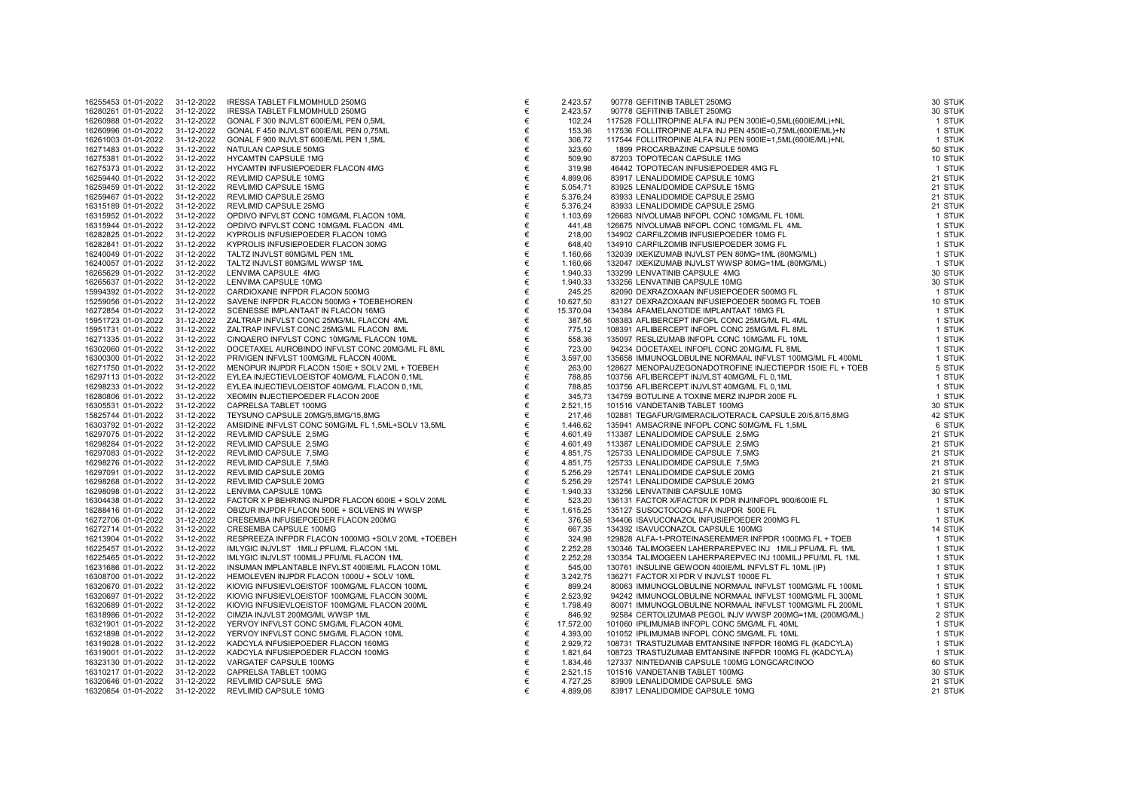| 16255453 01-01-2022 | 31-12-2022 | IRESSA TABLET FILMOMHULD 250MG                     |
|---------------------|------------|----------------------------------------------------|
| 16280261 01-01-2022 | 31-12-2022 | IRESSA TABLET FILMOMHULD 250MG                     |
| 16260988 01-01-2022 | 31-12-2022 | GONAL F 300 INJVLST 600IE/ML PEN 0,5ML             |
| 16260996 01-01-2022 | 31-12-2022 | GONAL F 450 INJVLST 600IE/ML PEN 0,75ML            |
| 16261003 01-01-2022 | 31-12-2022 | GONAL F 900 INJVLST 600IE/ML PEN 1,5ML             |
| 16271483 01-01-2022 | 31-12-2022 | NATULAN CAPSULE 50MG                               |
| 16275381 01-01-2022 | 31-12-2022 | <b>HYCAMTIN CAPSULE 1MG</b>                        |
| 16275373 01-01-2022 | 31-12-2022 | HYCAMTIN INFUSIEPOEDER FLACON 4MG                  |
| 16259440 01-01-2022 | 31-12-2022 | REVLIMID CAPSULE 10MG                              |
| 16259459 01-01-2022 | 31-12-2022 | <b>REVLIMID CAPSULE 15MG</b>                       |
| 16259467 01-01-2022 | 31-12-2022 | REVLIMID CAPSULE 25MG                              |
| 16315189 01-01-2022 | 31-12-2022 | REVLIMID CAPSULE 25MG                              |
| 16315952 01-01-2022 | 31-12-2022 | OPDIVO INFVLST CONC 10MG/ML FLACON 10ML            |
| 16315944 01-01-2022 | 31-12-2022 | OPDIVO INFVLST CONC 10MG/ML FLACON 4ML             |
| 16282825 01-01-2022 | 31-12-2022 | KYPROLIS INFUSIEPOEDER FLACON 10MG                 |
| 16282841 01-01-2022 | 31-12-2022 | KYPROLIS INFUSIEPOEDER FLACON 30MG                 |
| 16240049 01-01-2022 | 31-12-2022 | TALTZ INJVLST 80MG/ML PEN 1ML                      |
| 16240057 01-01-2022 | 31-12-2022 | TALTZ INJVLST 80MG/ML WWSP 1ML                     |
| 16265629 01-01-2022 | 31-12-2022 | LENVIMA CAPSULE 4MG                                |
| 16265637 01-01-2022 | 31-12-2022 | LENVIMA CAPSULE 10MG                               |
| 15994392 01-01-2022 | 31-12-2022 | CARDIOXANE INFPDR FLACON 500MG                     |
|                     |            |                                                    |
| 15259056 01-01-2022 | 31-12-2022 | SAVENE INFPDR FLACON 500MG + TOEBEHOREN            |
| 16272854 01-01-2022 | 31-12-2022 | SCENESSE IMPLANTAAT IN FLACON 16MG                 |
| 15951723 01-01-2022 | 31-12-2022 | ZALTRAP INFVLST CONC 25MG/ML FLACON 4ML            |
| 15951731 01-01-2022 | 31-12-2022 | ZALTRAP INFVLST CONC 25MG/ML FLACON 8ML            |
| 16271335 01-01-2022 | 31-12-2022 | CINQAERO INFVLST CONC 10MG/ML FLACON 10ML          |
| 16302060 01-01-2022 | 31-12-2022 | DOCETAXEL AUROBINDO INFVLST CONC 20MG/ML FL 8ML    |
| 16300300 01-01-2022 | 31-12-2022 | PRIVIGEN INFVLST 100MG/ML FLACON 400ML             |
| 16271750 01-01-2022 | 31-12-2022 | MENOPUR INJPDR FLACON 150IE + SOLV 2ML + TOEBEH    |
| 16297113 01-01-2022 | 31-12-2022 | EYLEA INJECTIEVLOEISTOF 40MG/ML FLACON 0,1ML       |
| 16298233 01-01-2022 | 31-12-2022 | EYLEA INJECTIEVLOEISTOF 40MG/ML FLACON 0,1ML       |
| 16280806 01-01-2022 | 31-12-2022 | XEOMIN INJECTIEPOEDER FLACON 200E                  |
| 16305531 01-01-2022 | 31-12-2022 | CAPRELSA TABLET 100MG                              |
| 15825744 01-01-2022 | 31-12-2022 | TEYSUNO CAPSULE 20MG/5,8MG/15,8MG                  |
| 16303792 01-01-2022 | 31-12-2022 | AMSIDINE INFVLST CONC 50MG/ML FL 1,5ML+SOLV 13,5ML |
| 16297075 01-01-2022 | 31-12-2022 | REVLIMID CAPSULE 2,5MG                             |
| 16298284 01-01-2022 | 31-12-2022 | REVLIMID CAPSULE 2,5MG                             |
| 16297083 01-01-2022 | 31-12-2022 | REVLIMID CAPSULE 7,5MG                             |
| 16298276 01-01-2022 | 31-12-2022 | REVLIMID CAPSULE 7,5MG                             |
| 16297091 01-01-2022 | 31-12-2022 | REVLIMID CAPSULE 20MG                              |
| 16298268 01-01-2022 | 31-12-2022 | REVLIMID CAPSULE 20MG                              |
| 16298098 01-01-2022 | 31-12-2022 | LENVIMA CAPSULE 10MG                               |
| 16304438 01-01-2022 | 31-12-2022 | FACTOR X P BEHRING INJPDR FLACON 600IE + SOLV 20ML |
| 16288416 01-01-2022 | 31-12-2022 | OBIZUR INJPDR FLACON 500E + SOLVENS IN WWSP        |
| 16272706 01-01-2022 | 31-12-2022 | CRESEMBA INFUSIEPOEDER FLACON 200MG                |
| 16272714 01-01-2022 | 31-12-2022 | CRESEMBA CAPSULE 100MG                             |
| 16213904 01-01-2022 | 31-12-2022 | RESPREEZA INFPDR FLACON 1000MG +SOLV 20ML +TOEBEH  |
| 16225457 01-01-2022 | 31-12-2022 | IMLYGIC INJVLST 1MILJ PFU/ML FLACON 1ML            |
| 16225465 01-01-2022 | 31-12-2022 | IMLYGIC INJVLST 100MILJ PFU/ML FLACON 1ML          |
| 16231686 01-01-2022 | 31-12-2022 | INSUMAN IMPLANTABLE INFVLST 400IE/ML FLACON 10ML   |
| 16308700 01-01-2022 | 31-12-2022 | HEMOLEVEN INJPDR FLACON 1000U + SOLV 10ML          |
| 16320670 01-01-2022 | 31-12-2022 | KIOVIG INFUSIEVLOEISTOF 100MG/ML FLACON 100ML      |
| 16320697 01-01-2022 | 31-12-2022 | KIOVIG INFUSIEVLOEISTOF 100MG/ML FLACON 300ML      |
| 16320689 01-01-2022 | 31-12-2022 | KIOVIG INFUSIEVLOEISTOF 100MG/ML FLACON 200ML      |
| 16318986 01-01-2022 | 31-12-2022 | CIMZIA INJVLST 200MG/ML WWSP 1ML                   |
| 16321901 01-01-2022 | 31-12-2022 | YERVOY INFVLST CONC 5MG/ML FLACON 40ML             |
| 16321898 01-01-2022 | 31-12-2022 | YERVOY INFVLST CONC 5MG/ML FLACON 10ML             |
| 16319028 01-01-2022 | 31-12-2022 | KADCYLA INFUSIEPOEDER FLACON 160MG                 |
| 16319001 01-01-2022 | 31-12-2022 | KADCYLA INFUSIEPOEDER FLACON 100MG                 |
| 16323130 01-01-2022 | 31-12-2022 | VARGATEF CAPSULE 100MG                             |
| 16310217 01-01-2022 | 31-12-2022 | CAPRELSA TABLET 100MG                              |
| 16320646 01-01-2022 | 31-12-2022 | REVLIMID CAPSULE 5MG                               |
| 16320654 01-01-2022 | 31-12-2022 | REVLIMID CAPSULE 10MG                              |
|                     |            |                                                    |

| 16255453 01-01-2022            | 31-12-2022 | IRESSA TABLET FILMOMHULD 250MG                     | €     | 2.423,57  | 90778 GEFITINIB TABLET 250MG                                                                | 30 STUK |
|--------------------------------|------------|----------------------------------------------------|-------|-----------|---------------------------------------------------------------------------------------------|---------|
| 16280261 01-01-2022            | 31-12-2022 | IRESSA TABLET FILMOMHULD 250MG                     | €     | 2.423,57  | 90778 GEFITINIB TABLET 250MG                                                                | 30 STUK |
| 16260988 01-01-2022            | 31-12-2022 | GONAL F 300 INJVLST 600IE/ML PEN 0,5ML             | €     | 102,24    | 117528 FOLLITROPINE ALFA INJ PEN 300IE=0,5ML(600IE/ML)+NL                                   | 1 STUK  |
| 16260996 01-01-2022            | 31-12-2022 | GONAL F 450 INJVLST 600IE/ML PEN 0,75ML            | €     | 153,36    | 117536 FOLLITROPINE ALFA INJ PEN 450IE=0,75ML(600IE/ML)+N                                   | 1 STUK  |
| 16261003 01-01-2022            | 31-12-2022 | GONAL F 900 INJVLST 600IE/ML PEN 1,5ML             | €     | 306,72    | 117544 FOLLITROPINE ALFA INJ PEN 900IE=1,5ML(600IE/ML)+NL                                   | 1 STUK  |
| 16271483 01-01-2022            | 31-12-2022 | NATULAN CAPSULE 50MG                               | €     | 323,60    | 1899 PROCARBAZINE CAPSULE 50MG                                                              | 50 STUK |
| 16275381 01-01-2022            | 31-12-2022 | HYCAMTIN CAPSULE 1MG                               | €     | 509,90    | 87203 TOPOTECAN CAPSULE 1MG                                                                 | 10 STUK |
| 16275373 01-01-2022            | 31-12-2022 | HYCAMTIN INFUSIEPOEDER FLACON 4MG                  | €     | 319,98    | 46442 TOPOTECAN INFUSIEPOEDER 4MG FL                                                        | 1 STUK  |
| 16259440 01-01-2022            | 31-12-2022 | REVLIMID CAPSULE 10MG                              | €     | 4.899,06  | 83917 LENALIDOMIDE CAPSULE 10MG                                                             | 21 STUK |
| 16259459 01-01-2022            | 31-12-2022 | REVLIMID CAPSULE 15MG                              | €     | 5.054,71  | 83925 LENALIDOMIDE CAPSULE 15MG                                                             | 21 STUK |
| 16259467 01-01-2022            | 31-12-2022 | REVLIMID CAPSULE 25MG                              | €     | 5.376,24  | 83933 LENALIDOMIDE CAPSULE 25MG                                                             | 21 STUK |
| 16315189 01-01-2022            | 31-12-2022 | REVLIMID CAPSULE 25MG                              | $\in$ | 5.376,24  | 83933 LENALIDOMIDE CAPSULE 25MG                                                             | 21 STUK |
| 16315952 01-01-2022            | 31-12-2022 | OPDIVO INFVLST CONC 10MG/ML FLACON 10ML            | €     | 1.103,69  | 126683 NIVOLUMAB INFOPL CONC 10MG/ML FL 10ML                                                | 1 STUK  |
| 16315944 01-01-2022            | 31-12-2022 | OPDIVO INFVLST CONC 10MG/ML FLACON 4ML             | €     | 441,48    | 126675 NIVOLUMAB INFOPL CONC 10MG/ML FL 4ML                                                 | 1 STUK  |
| 16282825 01-01-2022            | 31-12-2022 | KYPROLIS INFUSIEPOEDER FLACON 10MG                 | €     | 218,00    | 134902 CARFILZOMIB INFUSIEPOEDER 10MG FL                                                    | 1 STUK  |
| 16282841 01-01-2022            | 31-12-2022 | KYPROLIS INFUSIEPOEDER FLACON 30MG                 | €     | 648,40    | 134910 CARFILZOMIB INFUSIEPOEDER 30MG FL                                                    | 1 STUK  |
| 16240049 01-01-2022            | 31-12-2022 | TALTZ INJVLST 80MG/ML PEN 1ML                      | €     | 1.160,66  | 132039 IXEKIZUMAB INJVLST PEN 80MG=1ML (80MG/ML)                                            | 1 STUK  |
| 16240057 01-01-2022            | 31-12-2022 | TALTZ INJVLST 80MG/ML WWSP 1ML                     | €     | 1.160,66  | 132047 IXEKIZUMAB INJVLST WWSP 80MG=1ML (80MG/ML)                                           | 1 STUK  |
| 16265629 01-01-2022            | 31-12-2022 | LENVIMA CAPSULE 4MG                                | €     | 1.940,33  | 133299 LENVATINIB CAPSULE 4MG                                                               | 30 STUK |
| 16265637 01-01-2022            | 31-12-2022 | LENVIMA CAPSULE 10MG                               | €     | 1.940,33  | 133256 LENVATINIB CAPSULE 10MG                                                              | 30 STUK |
| 15994392 01-01-2022            | 31-12-2022 | CARDIOXANE INFPDR FLACON 500MG                     | €     | 245,25    | 82090 DEXRAZOXAAN INFUSIEPOEDER 500MG FL                                                    | 1 STUK  |
| 15259056 01-01-2022            | 31-12-2022 | SAVENE INFPDR FLACON 500MG + TOEBEHOREN            | €     | 10.627,50 | 83127 DEXRAZOXAAN INFUSIEPOEDER 500MG FL TOEB                                               | 10 STUK |
| 16272854 01-01-2022            | 31-12-2022 | SCENESSE IMPLANTAAT IN FLACON 16MG                 | €     | 15.370,04 | 134384 AFAMELANOTIDE IMPLANTAAT 16MG FL                                                     | 1 STUK  |
| 15951723 01-01-2022            | 31-12-2022 | ZALTRAP INFVLST CONC 25MG/ML FLACON 4ML            | €     | 387,56    | 108383 AFLIBERCEPT INFOPL CONC 25MG/ML FL 4ML                                               | 1 STUK  |
| 15951731 01-01-2022            | 31-12-2022 | ZALTRAP INFVLST CONC 25MG/ML FLACON 8ML            | €     | 775,12    | 108391 AFLIBERCEPT INFOPL CONC 25MG/ML FL 8ML                                               | 1 STUK  |
| 16271335 01-01-2022            | 31-12-2022 | CINQAERO INFVLST CONC 10MG/ML FLACON 10ML          | €     | 558,36    | 135097 RESLIZUMAB INFOPL CONC 10MG/ML FL 10ML                                               | 1 STUK  |
| 16302060 01-01-2022            | 31-12-2022 | DOCETAXEL AUROBINDO INFVLST CONC 20MG/ML FL 8ML    | €     | 723,00    | 94234 DOCETAXEL INFOPL CONC 20MG/ML FL 8ML                                                  | 1 STUK  |
| 16300300 01-01-2022            | 31-12-2022 | PRIVIGEN INFVLST 100MG/ML FLACON 400ML             | €     | 3.597,00  | 135658 IMMUNOGLOBULINE NORMAAL INFVLST 100MG/ML FL 400ML                                    | 1 STUK  |
| 16271750 01-01-2022            | 31-12-2022 | MENOPUR INJPDR FLACON 150IE + SOLV 2ML + TOEBEH    | €     | 263,00    | 128627 MENOPAUZEGONADOTROFINE INJECTIEPDR 150IE FL + TOEB                                   | 5 STUK  |
| 16297113 01-01-2022            | 31-12-2022 | EYLEA INJECTIEVLOEISTOF 40MG/ML FLACON 0,1ML       | €     | 788,85    | 103756 AFLIBERCEPT INJVLST 40MG/ML FL 0,1ML                                                 | 1 STUK  |
| 16298233 01-01-2022            | 31-12-2022 | EYLEA INJECTIEVLOEISTOF 40MG/ML FLACON 0,1ML       | €     | 788,85    | 103756 AFLIBERCEPT INJVLST 40MG/ML FL 0,1ML                                                 | 1 STUK  |
| 16280806 01-01-2022            | 31-12-2022 | XEOMIN INJECTIEPOEDER FLACON 200E                  | €     | 345,73    | 134759 BOTULINE A TOXINE MERZ INJPDR 200E FL                                                | 1 STUK  |
| 16305531 01-01-2022            | 31-12-2022 | CAPRELSA TABLET 100MG                              | €     | 2.521,15  | 101516 VANDETANIB TABLET 100MG                                                              | 30 STUK |
| 15825744 01-01-2022            | 31-12-2022 | TEYSUNO CAPSULE 20MG/5,8MG/15,8MG                  | €     | 217,46    | 102881 TEGAFUR/GIMERACIL/OTERACIL CAPSULE 20/5,8/15,8MG                                     | 42 STUK |
| 16303792 01-01-2022            | 31-12-2022 | AMSIDINE INFVLST CONC 50MG/ML FL 1,5ML+SOLV 13,5ML | €     | 1.446,62  | 135941 AMSACRINE INFOPL CONC 50MG/ML FL 1,5ML                                               | 6 STUK  |
| 16297075 01-01-2022            | 31-12-2022 | REVLIMID CAPSULE 2,5MG                             | €     | 4.601,49  | 113387 LENALIDOMIDE CAPSULE 2,5MG                                                           | 21 STUK |
| 16298284 01-01-2022            | 31-12-2022 | REVLIMID CAPSULE 2,5MG                             | €     | 4.601,49  | 113387 LENALIDOMIDE CAPSULE 2,5MG                                                           | 21 STUK |
| 16297083 01-01-2022            | 31-12-2022 | REVLIMID CAPSULE 7,5MG                             | €     | 4.851,75  | 125733 LENALIDOMIDE CAPSULE 7,5MG                                                           | 21 STUK |
| 16298276 01-01-2022            | 31-12-2022 | REVLIMID CAPSULE 7,5MG                             | €     | 4.851,75  | 125733 LENALIDOMIDE CAPSULE 7,5MG                                                           | 21 STUK |
| 16297091 01-01-2022            | 31-12-2022 | REVLIMID CAPSULE 20MG                              | €     | 5.256,29  | 125741 LENALIDOMIDE CAPSULE 20MG                                                            | 21 STUK |
| 16298268 01-01-2022            | 31-12-2022 | REVLIMID CAPSULE 20MG                              | €     | 5.256,29  | 125741 LENALIDOMIDE CAPSULE 20MG                                                            | 21 STUK |
| 16298098 01-01-2022            | 31-12-2022 | LENVIMA CAPSULE 10MG                               | €     | 1.940,33  | 133256 LENVATINIB CAPSULE 10MG                                                              | 30 STUK |
| 16304438 01-01-2022            | 31-12-2022 | FACTOR X P BEHRING INJPDR FLACON 600IE + SOLV 20ML | €     | 523,20    | 136131 FACTOR X/FACTOR IX PDR INJ/INFOPL 900/600IE FL                                       | 1 STUK  |
| 16288416 01-01-2022            | 31-12-2022 | OBIZUR INJPDR FLACON 500E + SOLVENS IN WWSP        | €     | 1.615,25  | 135127 SUSOCTOCOG ALFA INJPDR 500E FL                                                       | 1 STUK  |
| 16272706 01-01-2022            | 31-12-2022 | CRESEMBA INFUSIEPOEDER FLACON 200MG                | €     | 376,58    | 134406 ISAVUCONAZOL INFUSIEPOEDER 200MG FL                                                  | 1 STUK  |
|                                | 31-12-2022 | CRESEMBA CAPSULE 100MG                             | €     |           |                                                                                             | 14 STUK |
| 16272714 01-01-2022            |            |                                                    | €     | 667,35    | 134392 ISAVUCONAZOL CAPSULE 100MG<br>129828 ALFA-1-PROTEINASEREMMER INFPDR 1000MG FL + TOEB | 1 STUK  |
| 16213904 01-01-2022            | 31-12-2022 | RESPREEZA INFPDR FLACON 1000MG +SOLV 20ML +TOEBEH  |       | 324,98    |                                                                                             |         |
| 16225457 01-01-2022            | 31-12-2022 | IMLYGIC INJVLST 1MILJ PFU/ML FLACON 1ML            | €     | 2.252,28  | 130346 TALIMOGEEN LAHERPAREPVEC INJ 1MILJ PFU/ML FL 1ML                                     | 1 STUK  |
| 16225465 01-01-2022            | 31-12-2022 | IMLYGIC INJVLST 100MILJ PFU/ML FLACON 1ML          | €     | 2.252,28  | 130354 TALIMOGEEN LAHERPAREPVEC INJ 100MILJ PFU/ML FL 1ML                                   | 1 STUK  |
| 16231686 01-01-2022            | 31-12-2022 | INSUMAN IMPLANTABLE INFVLST 400IE/ML FLACON 10ML   | €     | 545,00    | 130761 INSULINE GEWOON 400IE/ML INFVLST FL 10ML (IP)                                        | 1 STUK  |
| 16308700 01-01-2022            | 31-12-2022 | HEMOLEVEN INJPDR FLACON 1000U + SOLV 10ML          | €     | 3.242,75  | 136271 FACTOR XI PDR V INJVLST 1000E FL                                                     | 1 STUK  |
| 16320670 01-01-2022            | 31-12-2022 | KIOVIG INFUSIEVLOEISTOF 100MG/ML FLACON 100ML      | €     | 899,24    | 80063 IMMUNOGLOBULINE NORMAAL INFVLST 100MG/ML FL 100ML                                     | 1 STUK  |
| 16320697 01-01-2022            | 31-12-2022 | KIOVIG INFUSIEVLOEISTOF 100MG/ML FLACON 300ML      | €     | 2.523,92  | 94242 IMMUNOGLOBULINE NORMAAL INFVLST 100MG/ML FL 300ML                                     | 1 STUK  |
| 16320689 01-01-2022            | 31-12-2022 | KIOVIG INFUSIEVLOEISTOF 100MG/ML FLACON 200ML      | €     | 1.798,49  | 80071 IMMUNOGLOBULINE NORMAAL INFVLST 100MG/ML FL 200ML                                     | 1 STUK  |
| 16318986 01-01-2022            | 31-12-2022 | CIMZIA INJVLST 200MG/ML WWSP 1ML                   | €     | 846,92    | 92584 CERTOLIZUMAB PEGOL INJV WWSP 200MG=1ML (200MG/ML)                                     | 2 STUK  |
| 16321901 01-01-2022            | 31-12-2022 | YERVOY INFVLST CONC 5MG/ML FLACON 40ML             | €     | 17.572,00 | 101060 IPILIMUMAB INFOPL CONC 5MG/ML FL 40ML                                                | 1 STUK  |
| 16321898 01-01-2022            | 31-12-2022 | YERVOY INFVLST CONC 5MG/ML FLACON 10ML             | €     | 4.393,00  | 101052 IPILIMUMAB INFOPL CONC 5MG/ML FL 10ML                                                | 1 STUK  |
| 16319028 01-01-2022            | 31-12-2022 | KADCYLA INFUSIEPOEDER FLACON 160MG                 | €     | 2.929,72  | 108731 TRASTUZUMAB EMTANSINE INFPDR 160MG FL (KADCYLA)                                      | 1 STUK  |
| 16319001 01-01-2022            | 31-12-2022 | KADCYLA INFUSIEPOEDER FLACON 100MG                 | €     | 1.821,64  | 108723 TRASTUZUMAB EMTANSINE INFPDR 100MG FL (KADCYLA)                                      | 1 STUK  |
| 16323130 01-01-2022            | 31-12-2022 | VARGATEF CAPSULE 100MG                             | €     | 1.834,46  | 127337 NINTEDANIB CAPSULE 100MG LONGCARCINOO                                                | 60 STUK |
| 16310217 01-01-2022            | 31-12-2022 | CAPRELSA TABLET 100MG                              | €     | 2.521,15  | 101516 VANDETANIB TABLET 100MG                                                              | 30 STUK |
| 16320646 01-01-2022            | 31-12-2022 | REVLIMID CAPSULE 5MG                               | €     | 4.727,25  | 83909 LENALIDOMIDE CAPSULE 5MG                                                              | 21 STUK |
| 16320654 01-01-2022 31-12-2022 |            | REVLIMID CAPSULE 10MG                              | €     | 4.899,06  | 83917 LENALIDOMIDE CAPSULE 10MG                                                             | 21 STUK |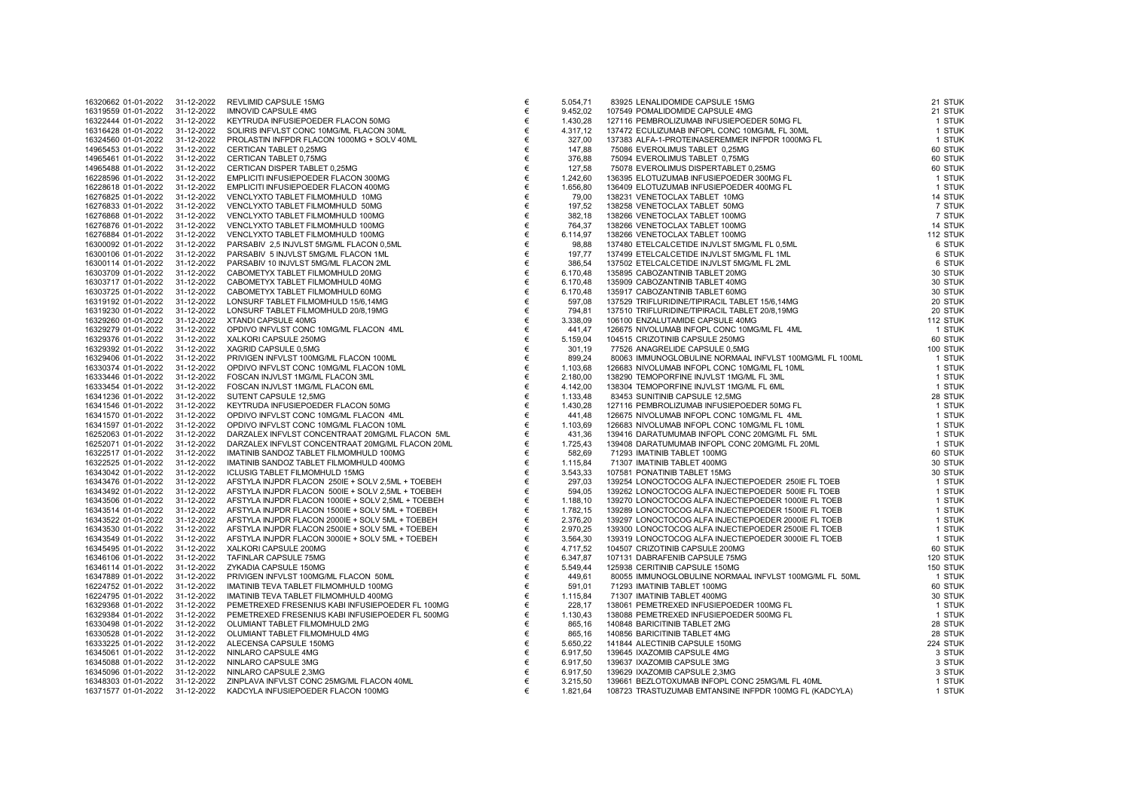| 16320662 01-01-2022 | 31-12-2022 | REVLIMID CAPSULE 15MG                              |
|---------------------|------------|----------------------------------------------------|
| 16319559 01-01-2022 | 31-12-2022 | <b>IMNOVID CAPSULE 4MG</b>                         |
| 16322444 01-01-2022 | 31-12-2022 | KEYTRUDA INFUSIEPOEDER FLACON 50MG                 |
| 16316428 01-01-2022 | 31-12-2022 | SOLIRIS INFVLST CONC 10MG/ML FLACON 30ML           |
| 16324560 01-01-2022 | 31-12-2022 | PROLASTIN INFPDR FLACON 1000MG + SOLV 40ML         |
| 14965453 01-01-2022 | 31-12-2022 | CERTICAN TABLET 0,25MG                             |
| 14965461 01-01-2022 | 31-12-2022 | CERTICAN TABLET 0,75MG                             |
| 14965488 01-01-2022 | 31-12-2022 | CERTICAN DISPER TABLET 0,25MG                      |
| 16228596 01-01-2022 | 31-12-2022 | EMPLICITI INFUSIEPOEDER FLACON 300MG               |
| 16228618 01-01-2022 | 31-12-2022 | EMPLICITI INFUSIEPOEDER FLACON 400MG               |
| 16276825 01-01-2022 | 31-12-2022 | VENCLYXTO TABLET FILMOMHULD 10MG                   |
| 16276833 01-01-2022 | 31-12-2022 | VENCLYXTO TABLET FILMOMHULD 50MG                   |
| 16276868 01-01-2022 | 31-12-2022 | VENCLYXTO TABLET FILMOMHULD 100MG                  |
| 16276876 01-01-2022 | 31-12-2022 | VENCLYXTO TABLET FILMOMHULD 100MG                  |
| 16276884 01-01-2022 | 31-12-2022 | VENCLYXTO TABLET FILMOMHULD 100MG                  |
| 16300092 01-01-2022 | 31-12-2022 | PARSABIV 2,5 INJVLST 5MG/ML FLACON 0,5ML           |
| 16300106 01-01-2022 | 31-12-2022 | PARSABIV 5 INJVLST 5MG/ML FLACON 1ML               |
| 16300114 01-01-2022 | 31-12-2022 | PARSABIV 10 INJVLST 5MG/ML FLACON 2ML              |
|                     |            |                                                    |
| 16303709 01-01-2022 | 31-12-2022 | CABOMETYX TABLET FILMOMHULD 20MG                   |
| 16303717 01-01-2022 | 31-12-2022 | CABOMETYX TABLET FILMOMHULD 40MG                   |
| 16303725 01-01-2022 | 31-12-2022 | CABOMETYX TABLET FILMOMHULD 60MG                   |
| 16319192 01-01-2022 | 31-12-2022 | LONSURF TABLET FILMOMHULD 15/6,14MG                |
| 16319230 01-01-2022 | 31-12-2022 | LONSURF TABLET FILMOMHULD 20/8,19MG                |
| 16329260 01-01-2022 | 31-12-2022 | XTANDI CAPSULE 40MG                                |
| 16329279 01-01-2022 | 31-12-2022 | OPDIVO INFVLST CONC 10MG/ML FLACON 4ML             |
| 16329376 01-01-2022 | 31-12-2022 | XALKORI CAPSULE 250MG                              |
| 16329392 01-01-2022 | 31-12-2022 | XAGRID CAPSULE 0,5MG                               |
| 16329406 01-01-2022 | 31-12-2022 | PRIVIGEN INFVLST 100MG/ML FLACON 100ML             |
| 16330374 01-01-2022 | 31-12-2022 | OPDIVO INFVLST CONC 10MG/ML FLACON 10ML            |
| 16333446 01-01-2022 | 31-12-2022 | FOSCAN INJVLST 1MG/ML FLACON 3ML                   |
| 16333454 01-01-2022 | 31-12-2022 | FOSCAN INJVLST 1MG/ML FLACON 6ML                   |
| 16341236 01-01-2022 | 31-12-2022 | SUTENT CAPSULE 12,5MG                              |
| 16341546 01-01-2022 | 31-12-2022 | KEYTRUDA INFUSIEPOEDER FLACON 50MG                 |
| 16341570 01-01-2022 | 31-12-2022 | OPDIVO INFVLST CONC 10MG/ML FLACON 4ML             |
| 16341597 01-01-2022 | 31-12-2022 | OPDIVO INFVLST CONC 10MG/ML FLACON 10ML            |
| 16252063 01-01-2022 | 31-12-2022 | DARZALEX INFVLST CONCENTRAAT 20MG/ML FLACON 5ML    |
| 16252071 01-01-2022 | 31-12-2022 | DARZALEX INFVLST CONCENTRAAT 20MG/ML FLACON 20ML   |
| 16322517 01-01-2022 | 31-12-2022 | IMATINIB SANDOZ TABLET FILMOMHULD 100MG            |
| 16322525 01-01-2022 | 31-12-2022 | IMATINIB SANDOZ TABLET FILMOMHULD 400MG            |
| 16343042 01-01-2022 | 31-12-2022 | <b>ICLUSIG TABLET FILMOMHULD 15MG</b>              |
| 16343476 01-01-2022 | 31-12-2022 | AFSTYLA INJPDR FLACON 250IE + SOLV 2,5ML + TOEBEH  |
| 16343492 01-01-2022 | 31-12-2022 | AFSTYLA INJPDR FLACON 500IE + SOLV 2,5ML + TOEBEH  |
| 16343506 01-01-2022 | 31-12-2022 | AFSTYLA INJPDR FLACON 1000IE + SOLV 2,5ML + TOEBEH |
| 16343514 01-01-2022 | 31-12-2022 | AFSTYLA INJPDR FLACON 1500IE + SOLV 5ML + TOEBEH   |
| 16343522 01-01-2022 | 31-12-2022 | AFSTYLA INJPDR FLACON 2000IE + SOLV 5ML + TOEBEH   |
| 16343530 01-01-2022 | 31-12-2022 | AFSTYLA INJPDR FLACON 2500IE + SOLV 5ML + TOEBEH   |
| 16343549 01-01-2022 | 31-12-2022 | AFSTYLA INJPDR FLACON 3000IE + SOLV 5ML + TOEBEH   |
| 16345495 01-01-2022 | 31-12-2022 | XALKORI CAPSULE 200MG                              |
| 16346106 01-01-2022 | 31-12-2022 | TAFINLAR CAPSULE 75MG                              |
| 16346114 01-01-2022 | 31-12-2022 | ZYKADIA CAPSULE 150MG                              |
| 16347889 01-01-2022 | 31-12-2022 | PRIVIGEN INFVLST 100MG/ML FLACON 50ML              |
| 16224752 01-01-2022 | 31-12-2022 | IMATINIB TEVA TABLET FILMOMHULD 100MG              |
| 16224795 01-01-2022 | 31-12-2022 | IMATINIB TEVA TABLET FILMOMHULD 400MG              |
| 16329368 01-01-2022 | 31-12-2022 | PEMETREXED FRESENIUS KABI INFUSIEPOEDER FL 100MG   |
| 16329384 01-01-2022 | 31-12-2022 | PEMETREXED FRESENIUS KABI INFUSIEPOEDER FL 500MG   |
| 16330498 01-01-2022 | 31-12-2022 | OLUMIANT TABLET FILMOMHULD 2MG                     |
| 16330528 01-01-2022 | 31-12-2022 | OLUMIANT TABLET FILMOMHULD 4MG                     |
| 16333225 01-01-2022 | 31-12-2022 | ALECENSA CAPSULE 150MG                             |
|                     |            |                                                    |
| 16345061 01-01-2022 | 31-12-2022 | NINLARO CAPSULE 4MG                                |
| 16345088 01-01-2022 | 31-12-2022 | NINLARO CAPSULE 3MG                                |
| 16345096 01-01-2022 | 31-12-2022 | NINLARO CAPSULE 2,3MG                              |
| 16348303 01-01-2022 | 31-12-2022 | ZINPLAVA INFVLST CONC 25MG/ML FLACON 40ML          |
| 16371577 01-01-2022 | 31-12-2022 | KADCYLA INFUSIEPOEDER FLACON 100MG                 |

| 16320662 01-01-2022 | 31-12-2022 | <b>REVLIMID CAPSULE 15MG</b>                       | €     | 5.054,71 | 83925 LENALIDOMIDE CAPSULE 15MG                         | 21 STUK  |
|---------------------|------------|----------------------------------------------------|-------|----------|---------------------------------------------------------|----------|
| 16319559 01-01-2022 | 31-12-2022 | <b>IMNOVID CAPSULE 4MG</b>                         | €     | 9.452,02 | 107549 POMALIDOMIDE CAPSULE 4MG                         | 21 STUK  |
| 16322444 01-01-2022 | 31-12-2022 | KEYTRUDA INFUSIEPOEDER FLACON 50MG                 | €     | 1.430,28 | 127116 PEMBROLIZUMAB INFUSIEPOEDER 50MG FL              | 1 STUK   |
| 16316428 01-01-2022 | 31-12-2022 | SOLIRIS INFVLST CONC 10MG/ML FLACON 30ML           | €     | 4.317,12 | 137472 ECULIZUMAB INFOPL CONC 10MG/ML FL 30ML           | 1 STUK   |
| 16324560 01-01-2022 | 31-12-2022 | PROLASTIN INFPDR FLACON 1000MG + SOLV 40ML         | €     | 327,00   | 137383 ALFA-1-PROTEINASEREMMER INFPDR 1000MG FL         | 1 STUK   |
| 14965453 01-01-2022 | 31-12-2022 | CERTICAN TABLET 0,25MG                             | €     | 147,88   | 75086 EVEROLIMUS TABLET 0,25MG                          | 60 STUK  |
|                     |            |                                                    |       |          |                                                         |          |
| 14965461 01-01-2022 | 31-12-2022 | CERTICAN TABLET 0,75MG                             | €     | 376,88   | 75094 EVEROLIMUS TABLET 0,75MG                          | 60 STUK  |
| 14965488 01-01-2022 | 31-12-2022 | CERTICAN DISPER TABLET 0,25MG                      | €     | 127,58   | 75078 EVEROLIMUS DISPERTABLET 0,25MG                    | 60 STUK  |
| 16228596 01-01-2022 | 31-12-2022 | EMPLICITI INFUSIEPOEDER FLACON 300MG               | €     | 1.242,60 | 136395 ELOTUZUMAB INFUSIEPOEDER 300MG FL                | 1 STUK   |
| 16228618 01-01-2022 | 31-12-2022 | EMPLICITI INFUSIEPOEDER FLACON 400MG               | €     | 1.656,80 | 136409 ELOTUZUMAB INFUSIEPOEDER 400MG FL                | 1 STUK   |
| 16276825 01-01-2022 | 31-12-2022 | VENCLYXTO TABLET FILMOMHULD 10MG                   | €     | 79,00    | 138231 VENETOCLAX TABLET 10MG                           | 14 STUK  |
| 16276833 01-01-2022 | 31-12-2022 | VENCLYXTO TABLET FILMOMHULD 50MG                   | €     | 197,52   | 138258 VENETOCLAX TABLET 50MG                           | 7 STUK   |
| 16276868 01-01-2022 | 31-12-2022 | VENCLYXTO TABLET FILMOMHULD 100MG                  | €     | 382,18   | 138266 VENETOCLAX TABLET 100MG                          | 7 STUK   |
| 16276876 01-01-2022 | 31-12-2022 | VENCLYXTO TABLET FILMOMHULD 100MG                  | €     | 764,37   | 138266 VENETOCLAX TABLET 100MG                          | 14 STUK  |
|                     |            |                                                    |       |          |                                                         |          |
| 16276884 01-01-2022 | 31-12-2022 | VENCLYXTO TABLET FILMOMHULD 100MG                  | €     | 6.114,97 | 138266 VENETOCLAX TABLET 100MG                          | 112 STUK |
| 16300092 01-01-2022 | 31-12-2022 | PARSABIV 2,5 INJVLST 5MG/ML FLACON 0,5ML           | €     | 98,88    | 137480 ETELCALCETIDE INJVLST 5MG/ML FL 0,5ML            | 6 STUK   |
| 16300106 01-01-2022 | 31-12-2022 | PARSABIV 5 INJVLST 5MG/ML FLACON 1ML               | €     | 197,77   | 137499 ETELCALCETIDE INJVLST 5MG/ML FL 1ML              | 6 STUK   |
| 16300114 01-01-2022 | 31-12-2022 | PARSABIV 10 INJVLST 5MG/ML FLACON 2ML              | €     | 386,54   | 137502 ETELCALCETIDE INJVLST 5MG/ML FL 2ML              | 6 STUK   |
| 16303709 01-01-2022 | 31-12-2022 | CABOMETYX TABLET FILMOMHULD 20MG                   | €     | 6.170,48 | 135895 CABOZANTINIB TABLET 20MG                         | 30 STUK  |
| 16303717 01-01-2022 | 31-12-2022 | CABOMETYX TABLET FILMOMHULD 40MG                   | €     | 6.170,48 | 135909 CABOZANTINIB TABLET 40MG                         | 30 STUK  |
| 16303725 01-01-2022 | 31-12-2022 | CABOMETYX TABLET FILMOMHULD 60MG                   | €     | 6.170,48 | 135917 CABOZANTINIB TABLET 60MG                         | 30 STUK  |
| 16319192 01-01-2022 | 31-12-2022 | LONSURF TABLET FILMOMHULD 15/6,14MG                | €     | 597,08   | 137529 TRIFLURIDINE/TIPIRACIL TABLET 15/6,14MG          | 20 STUK  |
|                     |            |                                                    |       |          |                                                         |          |
| 16319230 01-01-2022 | 31-12-2022 | LONSURF TABLET FILMOMHULD 20/8,19MG                | €     | 794,81   | 137510 TRIFLURIDINE/TIPIRACIL TABLET 20/8,19MG          | 20 STUK  |
| 16329260 01-01-2022 | 31-12-2022 | XTANDI CAPSULE 40MG                                | €     | 3.338,09 | 106100 ENZALUTAMIDE CAPSULE 40MG                        | 112 STUK |
| 16329279 01-01-2022 | 31-12-2022 | OPDIVO INFVLST CONC 10MG/ML FLACON 4ML             | €     | 441,47   | 126675 NIVOLUMAB INFOPL CONC 10MG/ML FL 4ML             | 1 STUK   |
| 16329376 01-01-2022 | 31-12-2022 | XALKORI CAPSULE 250MG                              | €     | 5.159,04 | 104515 CRIZOTINIB CAPSULE 250MG                         | 60 STUK  |
| 16329392 01-01-2022 | 31-12-2022 | XAGRID CAPSULE 0,5MG                               | €     | 301,19   | 77526 ANAGRELIDE CAPSULE 0,5MG                          | 100 STUK |
| 16329406 01-01-2022 | 31-12-2022 | PRIVIGEN INFVLST 100MG/ML FLACON 100ML             | €     | 899,24   | 80063 IMMUNOGLOBULINE NORMAAL INFVLST 100MG/ML FL 100ML | 1 STUK   |
| 16330374 01-01-2022 | 31-12-2022 | OPDIVO INFVLST CONC 10MG/ML FLACON 10ML            | €     | 1.103,68 | 126683 NIVOLUMAB INFOPL CONC 10MG/ML FL 10ML            | 1 STUK   |
| 16333446 01-01-2022 | 31-12-2022 | FOSCAN INJVLST 1MG/ML FLACON 3ML                   | €     | 2.180,00 | 138290 TEMOPORFINE INJVLST 1MG/ML FL 3ML                | 1 STUK   |
|                     |            |                                                    |       |          |                                                         |          |
| 16333454 01-01-2022 | 31-12-2022 | FOSCAN INJVLST 1MG/ML FLACON 6ML                   | €     | 4.142,00 | 138304 TEMOPORFINE INJVLST 1MG/ML FL 6ML                | 1 STUK   |
| 16341236 01-01-2022 | 31-12-2022 | SUTENT CAPSULE 12,5MG                              | €     | 1.133,48 | 83453 SUNITINIB CAPSULE 12,5MG                          | 28 STUK  |
| 16341546 01-01-2022 | 31-12-2022 | KEYTRUDA INFUSIEPOEDER FLACON 50MG                 | €     | 1.430,28 | 127116 PEMBROLIZUMAB INFUSIEPOEDER 50MG FL              | 1 STUK   |
| 16341570 01-01-2022 | 31-12-2022 | OPDIVO INFVLST CONC 10MG/ML FLACON 4ML             | €     | 441,48   | 126675 NIVOLUMAB INFOPL CONC 10MG/ML FL 4ML             | 1 STUK   |
| 16341597 01-01-2022 | 31-12-2022 | OPDIVO INFVLST CONC 10MG/ML FLACON 10ML            | €     | 1.103,69 | 126683 NIVOLUMAB INFOPL CONC 10MG/ML FL 10ML            | 1 STUK   |
| 16252063 01-01-2022 | 31-12-2022 | DARZALEX INFVLST CONCENTRAAT 20MG/ML FLACON 5ML    | €     | 431,36   | 139416 DARATUMUMAB INFOPL CONC 20MG/ML FL 5ML           | 1 STUK   |
| 16252071 01-01-2022 | 31-12-2022 | DARZALEX INFVLST CONCENTRAAT 20MG/ML FLACON 20ML   | €     | 1.725,43 | 139408 DARATUMUMAB INFOPL CONC 20MG/ML FL 20ML          | 1 STUK   |
| 16322517 01-01-2022 | 31-12-2022 | IMATINIB SANDOZ TABLET FILMOMHULD 100MG            | €     | 582,69   | 71293 IMATINIB TABLET 100MG                             | 60 STUK  |
| 16322525 01-01-2022 | 31-12-2022 | IMATINIB SANDOZ TABLET FILMOMHULD 400MG            | €     | 1.115,84 | 71307 IMATINIB TABLET 400MG                             | 30 STUK  |
|                     |            |                                                    |       |          |                                                         |          |
| 16343042 01-01-2022 | 31-12-2022 | <b>ICLUSIG TABLET FILMOMHULD 15MG</b>              | €     | 3.543,33 | 107581 PONATINIB TABLET 15MG                            | 30 STUK  |
| 16343476 01-01-2022 | 31-12-2022 | AFSTYLA INJPDR FLACON 250IE + SOLV 2,5ML + TOEBEH  | €     | 297,03   | 139254 LONOCTOCOG ALFA INJECTIEPOEDER 250IE FL TOEB     | 1 STUK   |
| 16343492 01-01-2022 | 31-12-2022 | AFSTYLA INJPDR FLACON 500IE + SOLV 2,5ML + TOEBEH  | €     | 594,05   | 139262 LONOCTOCOG ALFA INJECTIEPOEDER 500IE FL TOEB     | 1 STUK   |
| 16343506 01-01-2022 | 31-12-2022 | AFSTYLA INJPDR FLACON 1000IE + SOLV 2,5ML + TOEBEH | €     | 1.188,10 | 139270 LONOCTOCOG ALFA INJECTIEPOEDER 1000IE FL TOEB    | 1 STUK   |
| 16343514 01-01-2022 | 31-12-2022 | AFSTYLA INJPDR FLACON 1500IE + SOLV 5ML + TOEBEH   | €     | 1.782,15 | 139289 LONOCTOCOG ALFA INJECTIEPOEDER 1500IE FL TOEB    | 1 STUK   |
| 16343522 01-01-2022 | 31-12-2022 | AFSTYLA INJPDR FLACON 2000IE + SOLV 5ML + TOEBEH   | €     | 2.376,20 | 139297 LONOCTOCOG ALFA INJECTIEPOEDER 2000IE FL TOEB    | 1 STUK   |
| 16343530 01-01-2022 | 31-12-2022 | AFSTYLA INJPDR FLACON 2500IE + SOLV 5ML + TOEBEH   | €     | 2.970,25 | 139300 LONOCTOCOG ALFA INJECTIEPOEDER 2500IE FL TOEB    | 1 STUK   |
| 16343549 01-01-2022 | 31-12-2022 | AFSTYLA INJPDR FLACON 3000IE + SOLV 5ML + TOEBEH   | €     | 3.564,30 | 139319 LONOCTOCOG ALFA INJECTIEPOEDER 3000IE FL TOEB    | 1 STUK   |
| 16345495 01-01-2022 | 31-12-2022 | XALKORI CAPSULE 200MG                              | €     | 4.717,52 | 104507 CRIZOTINIB CAPSULE 200MG                         | 60 STUK  |
|                     |            |                                                    |       |          |                                                         |          |
| 16346106 01-01-2022 | 31-12-2022 | TAFINLAR CAPSULE 75MG                              | €     | 6.347,87 | 107131 DABRAFENIB CAPSULE 75MG                          | 120 STUK |
| 16346114 01-01-2022 | 31-12-2022 | ZYKADIA CAPSULE 150MG                              | $\in$ | 5.549,44 | 125938 CERITINIB CAPSULE 150MG                          | 150 STUK |
| 16347889 01-01-2022 | 31-12-2022 | PRIVIGEN INFVLST 100MG/ML FLACON 50ML              | €     | 449,61   | 80055 IMMUNOGLOBULINE NORMAAL INFVLST 100MG/ML FL 50ML  | 1 STUK   |
| 16224752 01-01-2022 | 31-12-2022 | IMATINIB TEVA TABLET FILMOMHULD 100MG              | €     | 591,01   | 71293 IMATINIB TABLET 100MG                             | 60 STUK  |
| 16224795 01-01-2022 | 31-12-2022 | IMATINIB TEVA TABLET FILMOMHULD 400MG              | €     | 1.115,84 | 71307 IMATINIB TABLET 400MG                             | 30 STUK  |
| 16329368 01-01-2022 | 31-12-2022 | PEMETREXED FRESENIUS KABI INFUSIEPOEDER FL 100MG   | €     | 228,17   | 138061 PEMETREXED INFUSIEPOEDER 100MG FL                | 1 STUK   |
| 16329384 01-01-2022 | 31-12-2022 | PEMETREXED FRESENIUS KABI INFUSIEPOEDER FL 500MG   | €     | 1.130,43 | 138088 PEMETREXED INFUSIEPOEDER 500MG FL                | 1 STUK   |
| 16330498 01-01-2022 | 31-12-2022 | OLUMIANT TABLET FILMOMHULD 2MG                     | €     | 865,16   | 140848 BARICITINIB TABLET 2MG                           | 28 STUK  |
|                     |            |                                                    |       |          |                                                         |          |
| 16330528 01-01-2022 | 31-12-2022 | OLUMIANT TABLET FILMOMHULD 4MG                     | €     | 865,16   | 140856 BARICITINIB TABLET 4MG                           | 28 STUK  |
| 16333225 01-01-2022 | 31-12-2022 | ALECENSA CAPSULE 150MG                             | €     | 5.650,22 | 141844 ALECTINIB CAPSULE 150MG                          | 224 STUK |
| 16345061 01-01-2022 | 31-12-2022 | NINLARO CAPSULE 4MG                                | €     | 6.917,50 | 139645 IXAZOMIB CAPSULE 4MG                             | 3 STUK   |
| 16345088 01-01-2022 | 31-12-2022 | NINLARO CAPSULE 3MG                                | €     | 6.917,50 | 139637 IXAZOMIB CAPSULE 3MG                             | 3 STUK   |
| 16345096 01-01-2022 | 31-12-2022 | NINLARO CAPSULE 2,3MG                              | €     | 6.917,50 | 139629 IXAZOMIB CAPSULE 2,3MG                           | 3 STUK   |
| 16348303 01-01-2022 | 31-12-2022 | ZINPLAVA INFVLST CONC 25MG/ML FLACON 40ML          | €     | 3.215,50 | 139661 BEZLOTOXUMAB INFOPL CONC 25MG/ML FL 40ML         | 1 STUK   |
| 16371577 01-01-2022 | 31-12-2022 | KADCYLA INFUSIEPOEDER FLACON 100MG                 | €     | 1.821,64 | 108723 TRASTUZUMAB EMTANSINE INFPDR 100MG FL (KADCYLA)  | 1 STUK   |
|                     |            |                                                    |       |          |                                                         |          |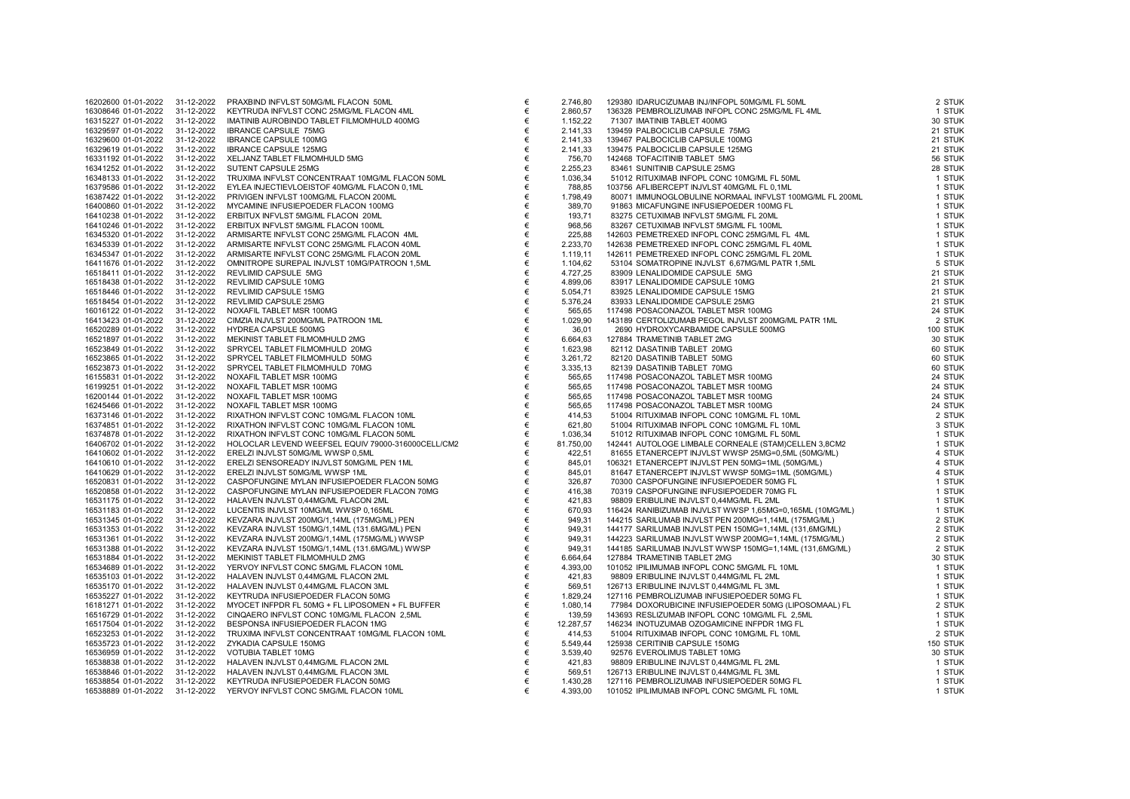| 16202600 01-01-2022 | 31-12-2022 | PRAXBIND INFVLST 50MG/ML FLACON 50ML               |
|---------------------|------------|----------------------------------------------------|
| 16308646 01-01-2022 | 31-12-2022 | KEYTRUDA INFVLST CONC 25MG/ML FLACON 4ML           |
| 16315227 01-01-2022 | 31-12-2022 | IMATINIB AUROBINDO TABLET FILMOMHULD 400MG         |
| 16329597 01-01-2022 | 31-12-2022 | <b>IBRANCE CAPSULE 75MG</b>                        |
| 16329600 01-01-2022 | 31-12-2022 | <b>IBRANCE CAPSULE 100MG</b>                       |
| 16329619 01-01-2022 | 31-12-2022 | <b>IBRANCE CAPSULE 125MG</b>                       |
| 16331192 01-01-2022 | 31-12-2022 | XELJANZ TABLET FILMOMHULD 5MG                      |
| 16341252 01-01-2022 | 31-12-2022 | SUTENT CAPSULE 25MG                                |
| 16348133 01-01-2022 | 31-12-2022 | TRUXIMA INFVLST CONCENTRAAT 10MG/ML FLACON 50ML    |
| 16379586 01-01-2022 | 31-12-2022 | EYLEA INJECTIEVLOEISTOF 40MG/ML FLACON 0,1ML       |
| 16387422 01-01-2022 | 31-12-2022 | PRIVIGEN INFVLST 100MG/ML FLACON 200ML             |
| 16400860 01-01-2022 | 31-12-2022 | MYCAMINE INFUSIEPOEDER FLACON 100MG                |
| 16410238 01-01-2022 | 31-12-2022 | ERBITUX INFVLST 5MG/ML FLACON 20ML                 |
|                     |            |                                                    |
| 16410246 01-01-2022 | 31-12-2022 | ERBITUX INFVLST 5MG/ML FLACON 100ML                |
| 16345320 01-01-2022 | 31-12-2022 | ARMISARTE INFVLST CONC 25MG/ML FLACON 4ML          |
| 16345339 01-01-2022 | 31-12-2022 | ARMISARTE INFVLST CONC 25MG/ML FLACON 40ML         |
| 16345347 01-01-2022 | 31-12-2022 | ARMISARTE INFVLST CONC 25MG/ML FLACON 20ML         |
| 16411676 01-01-2022 | 31-12-2022 | OMNITROPE SUREPAL INJVLST 10MG/PATROON 1,5ML       |
| 16518411 01-01-2022 | 31-12-2022 | REVLIMID CAPSULE 5MG                               |
| 16518438 01-01-2022 | 31-12-2022 | REVLIMID CAPSULE 10MG                              |
| 16518446 01-01-2022 | 31-12-2022 | REVLIMID CAPSULE 15MG                              |
| 16518454 01-01-2022 | 31-12-2022 | REVLIMID CAPSULE 25MG                              |
| 16016122 01-01-2022 | 31-12-2022 | NOXAFIL TABLET MSR 100MG                           |
| 16413423 01-01-2022 | 31-12-2022 | CIMZIA INJVLST 200MG/ML PATROON 1ML                |
| 16520289 01-01-2022 | 31-12-2022 | HYDREA CAPSULE 500MG                               |
| 16521897 01-01-2022 | 31-12-2022 | MEKINIST TABLET FILMOMHULD 2MG                     |
| 16523849 01-01-2022 | 31-12-2022 | SPRYCEL TABLET FILMOMHULD 20MG                     |
| 16523865 01-01-2022 | 31-12-2022 | SPRYCEL TABLET FILMOMHULD 50MG                     |
| 16523873 01-01-2022 | 31-12-2022 | SPRYCEL TABLET FILMOMHULD 70MG                     |
| 16155831 01-01-2022 | 31-12-2022 | NOXAFIL TABLET MSR 100MG                           |
| 16199251 01-01-2022 | 31-12-2022 | NOXAFIL TABLET MSR 100MG                           |
|                     |            |                                                    |
| 16200144 01-01-2022 | 31-12-2022 | NOXAFIL TABLET MSR 100MG                           |
| 16245466 01-01-2022 | 31-12-2022 | NOXAFIL TABLET MSR 100MG                           |
| 16373146 01-01-2022 | 31-12-2022 | RIXATHON INFVLST CONC 10MG/ML FLACON 10ML          |
| 16374851 01-01-2022 | 31-12-2022 | RIXATHON INFVLST CONC 10MG/ML FLACON 10ML          |
| 16374878 01-01-2022 | 31-12-2022 | RIXATHON INFVLST CONC 10MG/ML FLACON 50ML          |
| 16406702 01-01-2022 | 31-12-2022 | HOLOCLAR LEVEND WEEFSEL EQUIV 79000-316000CELL/CM2 |
| 16410602 01-01-2022 | 31-12-2022 | ERELZI INJVLST 50MG/ML WWSP 0,5ML                  |
| 16410610 01-01-2022 | 31-12-2022 | ERELZI SENSOREADY INJVLST 50MG/ML PEN 1ML          |
| 16410629 01-01-2022 | 31-12-2022 | ERELZI INJVLST 50MG/ML WWSP 1ML                    |
| 16520831 01-01-2022 | 31-12-2022 | CASPOFUNGINE MYLAN INFUSIEPOEDER FLACON 50MG       |
| 16520858 01-01-2022 | 31-12-2022 | CASPOFUNGINE MYLAN INFUSIEPOEDER FLACON 70MG       |
| 16531175 01-01-2022 | 31-12-2022 | HALAVEN INJVLST 0,44MG/ML FLACON 2ML               |
| 16531183 01-01-2022 | 31-12-2022 | LUCENTIS INJVLST 10MG/ML WWSP 0,165ML              |
| 16531345 01-01-2022 | 31-12-2022 | KEVZARA INJVLST 200MG/1,14ML (175MG/ML) PEN        |
| 16531353 01-01-2022 | 31-12-2022 | KEVZARA INJVLST 150MG/1,14ML (131.6MG/ML) PEN      |
| 16531361 01-01-2022 | 31-12-2022 | KEVZARA INJVLST 200MG/1,14ML (175MG/ML) WWSP       |
| 16531388 01-01-2022 | 31-12-2022 | KEVZARA INJVLST 150MG/1,14ML (131.6MG/ML) WWSP     |
| 16531884 01-01-2022 | 31-12-2022 | MEKINIST TABLET FILMOMHULD 2MG                     |
| 16534689 01-01-2022 | 31-12-2022 | YERVOY INFVLST CONC 5MG/ML FLACON 10ML             |
| 16535103 01-01-2022 | 31-12-2022 | HALAVEN INJVLST 0,44MG/ML FLACON 2ML               |
|                     |            | HALAVEN INJVLST 0,44MG/ML FLACON 3ML               |
| 16535170 01-01-2022 | 31-12-2022 |                                                    |
| 16535227 01-01-2022 | 31-12-2022 | KEYTRUDA INFUSIEPOEDER FLACON 50MG                 |
| 16181271 01-01-2022 | 31-12-2022 | MYOCET INFPDR FL 50MG + FL LIPOSOMEN + FL BUFFER   |
| 16516729 01-01-2022 | 31-12-2022 | CINQAERO INFVLST CONC 10MG/ML FLACON 2,5ML         |
| 16517504 01-01-2022 | 31-12-2022 | BESPONSA INFUSIEPOEDER FLACON 1MG                  |
| 16523253 01-01-2022 | 31-12-2022 | TRUXIMA INFVLST CONCENTRAAT 10MG/ML FLACON 10ML    |
| 16535723 01-01-2022 | 31-12-2022 | ZYKADIA CAPSULE 150MG                              |
| 16536959 01-01-2022 | 31-12-2022 | VOTUBIA TABLET 10MG                                |
| 16538838 01-01-2022 | 31-12-2022 | HALAVEN INJVLST 0,44MG/ML FLACON 2ML               |
| 16538846 01-01-2022 | 31-12-2022 | HALAVEN INJVLST 0,44MG/ML FLACON 3ML               |
| 16538854 01-01-2022 | 31-12-2022 | KEYTRUDA INFUSIEPOEDER FLACON 50MG                 |
| 16538889 01-01-2022 | 31-12-2022 | YERVOY INFVLST CONC 5MG/ML FLACON 10ML             |
|                     |            |                                                    |

| 16202600 01-01-2022            | 31-12-2022               | PRAXBIND INFVLST 50MG/ML FLACON 50ML                                                                                                                                                                                                                                            | $\in$          | 2.746,80  | 129380 IDARUCIZUMAB INJ/INFOPL 50MG/ML FL 50ML                                                                                                                                                                                                                                      | 2 STUK           |
|--------------------------------|--------------------------|---------------------------------------------------------------------------------------------------------------------------------------------------------------------------------------------------------------------------------------------------------------------------------|----------------|-----------|-------------------------------------------------------------------------------------------------------------------------------------------------------------------------------------------------------------------------------------------------------------------------------------|------------------|
|                                |                          |                                                                                                                                                                                                                                                                                 | $\in$          |           |                                                                                                                                                                                                                                                                                     | 1 STUK           |
| 16308646 01-01-2022            | 31-12-2022               | KEYTRUDA INFVLST CONC 25MG/ML FLACON 4ML                                                                                                                                                                                                                                        |                | 2.860,57  | 136328 PEMBROLIZUMAB INFOPL CONC 25MG/ML FL 4ML                                                                                                                                                                                                                                     |                  |
| 16315227 01-01-2022            | 31-12-2022               | IMATINIB AUROBINDO TABLET FILMOMHULD 400MG                                                                                                                                                                                                                                      | $\in$          | 1.152,22  | 71307 IMATINIB TABLET 400MG                                                                                                                                                                                                                                                         | 30 STUK          |
| 16329597 01-01-2022            | 31-12-2022               | <b>IBRANCE CAPSULE 75MG</b>                                                                                                                                                                                                                                                     | €              | 2.141,33  | 139459 PALBOCICLIB CAPSULE 75MG<br>199459 PALBOCICILIB CAPSULE 75MG<br>139459 PALBOCICILIB CAPSULE 100MG<br>139475 PALBOCICILIB CAPSULE 125MG<br>142468 TOFACITINIB TABLET 5MG<br>142468 TOFACITINIA CAPSULE 25MG<br>51012 RITUXIMAB INFOPL CONC 10MG/ML FL 50ML<br>103756 AFLIBERC | 21 STUK          |
| 16329600 01-01-2022            | 31-12-2022               | <b>IBRANCE CAPSULE 100MG</b>                                                                                                                                                                                                                                                    | $\in$          | 2.141,33  | 139467 PALBOCICLIB CAPSULE 100MG                                                                                                                                                                                                                                                    | 21 STUK          |
| 16329619 01-01-2022            | 31-12-2022               | <b>IBRANCE CAPSULE 125MG</b>                                                                                                                                                                                                                                                    | $\in$          | 2.141,33  | 139475 PALBOCICLIB CAPSULE 125MG                                                                                                                                                                                                                                                    | 21 STUK          |
| 16331192 01-01-2022            | 31-12-2022               | XELJANZ TABLET FILMOMHULD 5MG                                                                                                                                                                                                                                                   | €              | 756,70    | 142468 TOFACITINIB TABLET 5MG                                                                                                                                                                                                                                                       | 56 STUK          |
| 16341252 01-01-2022            | 31-12-2022               | SUTENT CAPSULE 25MG                                                                                                                                                                                                                                                             |                | 2.255,23  |                                                                                                                                                                                                                                                                                     | 28 STUK          |
| 16348133 01-01-2022            | 31-12-2022               | TRUXIMA INFVLST CONCENTRAAT 10MG/ML FLACON 50ML                                                                                                                                                                                                                                 | $\in\atop \in$ | 1.036,34  |                                                                                                                                                                                                                                                                                     | 1 STUK           |
| 16379586 01-01-2022            | 31-12-2022               | EYLEA INJECTIEVLOEISTOF 40MG/ML FLACON 0,1ML                                                                                                                                                                                                                                    | €              | 788,85    | 103756 AFLIBERCEPT INJVLST 40MG/ML FL 0,1ML                                                                                                                                                                                                                                         | 1 STUK           |
| 16387422 01-01-2022            | 31-12-2022               | PRIVIGEN INFVLST 100MG/ML FLACON 200ML                                                                                                                                                                                                                                          | €              | 1.798,49  | 80071 IMMUNOGLOBULINE NORMAAL INFVLST 100MG/ML FL 200ML                                                                                                                                                                                                                             | 1 STUK           |
| 16400860 01-01-2022            | 31-12-2022               | MYCAMINE INFUSIEPOEDER FLACON 100MG                                                                                                                                                                                                                                             | €              | 389,70    |                                                                                                                                                                                                                                                                                     | 1 STUK           |
| 16410238 01-01-2022            | 31-12-2022               | ERBITUX INFVLST 5MG/ML FLACON 20ML                                                                                                                                                                                                                                              | €              | 193,71    |                                                                                                                                                                                                                                                                                     | 1 STUK           |
| 16410246 01-01-2022            | 31-12-2022               | ERBITUX INFVLST 5MG/ML FLACON 100ML                                                                                                                                                                                                                                             | $\in$          | 968,56    |                                                                                                                                                                                                                                                                                     | 1 STUK           |
| 16345320 01-01-2022            | 31-12-2022               | ARMISARTE INFVLST CONC 25MG/ML FLACON 4ML                                                                                                                                                                                                                                       | €              | 225,88    |                                                                                                                                                                                                                                                                                     | 1 STUK           |
| 16345339 01-01-2022            | 31-12-2022               | ARMISARTE INFVLST CONC 25MG/ML FLACON 40ML                                                                                                                                                                                                                                      | €              | 2.233,70  | 91863 MICAFUNGINE INFUSIEFOLDEN TOSHE<br>83267 CETUXIMAB INFVLST SMGML FL 100ML<br>83267 CETUXIMAB INFVLST SMGML FL 100ML<br>142603 PEMETREXED INFOPL CONC 25MG/ML FL 40ML<br>11100 DEMETREXED INFOPL CONC 25MG/ML FL 40ML                                                          | 1 STUK           |
|                                | 31-12-2022               |                                                                                                                                                                                                                                                                                 | $\in$          |           |                                                                                                                                                                                                                                                                                     | 1 STUK           |
| 16345347 01-01-2022            |                          | ARMISARTE INFVLST CONC 25MG/ML FLACON 20ML                                                                                                                                                                                                                                      |                | 1.119,11  | 142611 PEMETREXED INFOPL CONC 25MG/ML FL 20ML                                                                                                                                                                                                                                       | 5 STUK           |
| 16411676 01-01-2022            | 31-12-2022               | OMNITROPE SUREPAL INJVLST 10MG/PATROON 1,5ML                                                                                                                                                                                                                                    | €              | 1.104,62  | 53104 SOMATROPINE INJVLST 6,67MG/ML PATR 1,5ML                                                                                                                                                                                                                                      |                  |
| 16518411 01-01-2022            | 31-12-2022               | ML<br>CON 4ML<br>ULD 400MG<br>MG/ML FLACON 50ML<br>FLACON 0,1ML<br>N 200ML<br>V 100MG<br>20ML<br>AL FLACON 4ML<br>ML FLACON 4ML<br>ML FLACON 4ML<br>ML FLACON 4ML<br>ML FLACON 4ML<br>ML FLACON 4ML<br>ML FLACON 4ML<br>ML FLACON 4ML<br>ML FLACON 20ML<br>REVLIMID CAPSULE 5MG | €              | 4.727,25  | 83909 LENALIDOMIDE CAPSULE 5MG                                                                                                                                                                                                                                                      | 21 STUK          |
| 16518438 01-01-2022            | 31-12-2022               | REVLIMID CAPSULE 10MG                                                                                                                                                                                                                                                           | €              | 4.899,06  |                                                                                                                                                                                                                                                                                     | 21 STUK          |
| 16518446 01-01-2022            | 31-12-2022               | REVLIMID CAPSULE 15MG                                                                                                                                                                                                                                                           | €              | 5.054,71  | 83909 LENALIDOMIDE CAPSULE 5MG<br>83917 LENALIDOMIDE CAPSULE 10MG<br>83925 LENALIDOMIDE CAPSULE 15MG<br>83933 LENALIDOMIDE CAPSULE 25MG<br>117498 POSACONAZOL TABLET MSR 100MG<br>143189 CERTOLIZUMAB PEGOL INJVLST 200MG/ML PATR 1ML<br>0000 LI                                    | 21 STUK          |
| 16518454 01-01-2022            | 31-12-2022               | REVLIMID CAPSULE 25MG                                                                                                                                                                                                                                                           | $\in$          | 5.376,24  |                                                                                                                                                                                                                                                                                     | 21 STUK          |
| 16016122 01-01-2022            | 31-12-2022               | NOXAFIL TABLET MSR 100MG                                                                                                                                                                                                                                                        | €              | 565,65    |                                                                                                                                                                                                                                                                                     | 24 STUK          |
| 16413423 01-01-2022            | 31-12-2022               | CIMZIA INJVLST 200MG/ML PATROON 1ML                                                                                                                                                                                                                                             | €              | 1.029,90  |                                                                                                                                                                                                                                                                                     | 2 STUK           |
| 16520289 01-01-2022            | 31-12-2022               | HYDREA CAPSULE 500MG                                                                                                                                                                                                                                                            | €              | 36,01     |                                                                                                                                                                                                                                                                                     | 100 STUK         |
| 16521897 01-01-2022            | 31-12-2022               | MEKINIST TABLET FILMOMHULD 2MG                                                                                                                                                                                                                                                  | €              | 6.664,63  | 127884 TRAMETINIB TABLET 2MG                                                                                                                                                                                                                                                        | 30 STUK          |
| 16523849 01-01-2022            | 31-12-2022               | SPRYCEL TABLET FILMOMHULD 20MG                                                                                                                                                                                                                                                  | €              | 1.623,98  | 82112 DASATINIB TABLET 20MG                                                                                                                                                                                                                                                         | 60 STUK          |
| 16523865 01-01-2022            | 31-12-2022               | SPRYCEL TABLET FILMOMHULD 50MG                                                                                                                                                                                                                                                  | €              | 3.261,72  | 82120 DASATINIB TABLET 50MG                                                                                                                                                                                                                                                         | 60 STUK          |
| 16523873 01-01-2022            | 31-12-2022               | SPRYCEL TABLET FILMOMHULD 70MG                                                                                                                                                                                                                                                  | €              | 3.335,13  | 82139 DASATINIB TABLET 70MG                                                                                                                                                                                                                                                         | 60 STUK          |
| 16155831 01-01-2022            | 31-12-2022               | NOXAFIL TABLET MSR 100MG                                                                                                                                                                                                                                                        | €              | 565,65    | 117498 POSACONAZOL TABLET MSR 100MG                                                                                                                                                                                                                                                 | 24 STUK          |
| 16199251 01-01-2022            | 31-12-2022               | NOXAFIL TABLET MSR 100MG                                                                                                                                                                                                                                                        | €              | 565,65    | 117498 POSACONAZOL TABLET MSR 100MG                                                                                                                                                                                                                                                 | 24 STUK          |
| 16200144 01-01-2022            | 31-12-2022               | NOXAFIL TABLET MSR 100MG                                                                                                                                                                                                                                                        | €              | 565,65    | 117498 POSACONAZOL TABLET MSR 100MG                                                                                                                                                                                                                                                 | 24 STUK          |
| 16245466 01-01-2022            | 31-12-2022               | NOXAFIL TABLET MSR 100MG                                                                                                                                                                                                                                                        | $\in$          | 565,65    | 117498 POSACONAZOL TABLET MSR 100MG                                                                                                                                                                                                                                                 | 24 STUK          |
| 16373146 01-01-2022            | 31-12-2022               | RIXATHON INFVLST CONC 10MG/ML FLACON 10ML                                                                                                                                                                                                                                       | €              | 414,53    | 51004 RITUXIMAB INFOPL CONC 10MG/ML FL 10ML                                                                                                                                                                                                                                         | 2 STUK           |
| 16374851 01-01-2022            | 31-12-2022               | RIXATHON INFVLST CONC 10MG/ML FLACON 10ML                                                                                                                                                                                                                                       | €              | 621,80    | 51004 RITUXIMAB INFOPL CONC 10MG/ML FL 10ML                                                                                                                                                                                                                                         | 3 STUK           |
| 16374878 01-01-2022            | 31-12-2022               | RIXATHON INFVLST CONC 10MG/ML FLACON 50ML                                                                                                                                                                                                                                       | $\in$          | 1.036,34  | 51012 RITUXIMAB INFOPL CONC 10MG/ML FL 50ML                                                                                                                                                                                                                                         | 1 STUK           |
| 16406702 01-01-2022            | 31-12-2022               | HOLOCLAR LEVEND WEEFSEL EQUIV 79000-316000CELL/CM2                                                                                                                                                                                                                              | €              | 81.750,00 | 142441 AUTOLOGE LIMBALE CORNEALE (STAM)CELLEN 3,8CM2                                                                                                                                                                                                                                | 1 STUK           |
| 16410602 01-01-2022            | 31-12-2022               | ERELZI INJVLST 50MG/ML WWSP 0,5ML                                                                                                                                                                                                                                               | €              | 422,51    | 81655 ETANERCEPT INJVLST WWSP 25MG=0,5ML (50MG/ML)                                                                                                                                                                                                                                  | 4 STUK           |
|                                |                          |                                                                                                                                                                                                                                                                                 |                |           |                                                                                                                                                                                                                                                                                     |                  |
| 16410610 01-01-2022            | 31-12-2022               | ERELZI SENSOREADY INJVLST 50MG/ML PEN 1ML                                                                                                                                                                                                                                       | €              | 845,01    | 106321 ETANERCEPT INJVLST PEN 50MG=1ML (50MG/ML)                                                                                                                                                                                                                                    | 4 STUK           |
| 16410629 01-01-2022            | 31-12-2022               | ERELZI INJVLST 50MG/ML WWSP 1ML                                                                                                                                                                                                                                                 | €              | 845,01    | 81647 ETANERCEPT INJVLST WWSP 50MG=1ML (50MG/ML)                                                                                                                                                                                                                                    | 4 STUK           |
| 16520831 01-01-2022            | 31-12-2022               | CASPOFUNGINE MYLAN INFUSIEPOEDER FLACON 50MG                                                                                                                                                                                                                                    | $\in$          | 326,87    | 70300 CASPOFUNGINE INFUSIEPOEDER 50MG FL                                                                                                                                                                                                                                            | 1 STUK           |
| 16520858 01-01-2022            | 31-12-2022               | CASPOFUNGINE MYLAN INFUSIEPOEDER FLACON 70MG                                                                                                                                                                                                                                    | €              | 416,38    | 70319 CASPOFUNGINE INFUSIEPOEDER 70MG FL                                                                                                                                                                                                                                            | 1 STUK           |
| 16531175 01-01-2022            | 31-12-2022               | HALAVEN INJVLST 0,44MG/ML FLACON 2ML                                                                                                                                                                                                                                            | €              | 421,83    | 98809 ERIBULINE INJVLST 0,44MG/ML FL 2ML                                                                                                                                                                                                                                            | 1 STUK           |
| 16531183 01-01-2022            | 31-12-2022               | LUCENTIS INJVLST 10MG/ML WWSP 0,165ML                                                                                                                                                                                                                                           | €              | 670,93    | 116424 RANIBIZUMAB INJVLST WWSP 1,65MG=0,165ML (10MG/ML)                                                                                                                                                                                                                            | 1 STUK           |
| 16531345 01-01-2022            | 31-12-2022               | KEVZARA INJVLST 200MG/1,14ML (175MG/ML) PEN                                                                                                                                                                                                                                     | €              | 949,31    | 144215 SARILUMAB INJVLST PEN 200MG=1,14ML (175MG/ML)                                                                                                                                                                                                                                | 2 STUK           |
| 16531353 01-01-2022            | 31-12-2022               | KEVZARA INJVLST 150MG/1,14ML (131.6MG/ML) PEN                                                                                                                                                                                                                                   | €              | 949,31    | 144177 SARILUMAB INJVLST PEN 150MG=1,14ML (131,6MG/ML)                                                                                                                                                                                                                              | 2 STUK           |
| 16531361 01-01-2022            | 31-12-2022               | KEVZARA INJVLST 200MG/1,14ML (175MG/ML) WWSP                                                                                                                                                                                                                                    | €              | 949,31    | 144223 SARILUMAB INJVLST WWSP 200MG=1,14ML (175MG/ML)                                                                                                                                                                                                                               | 2 STUK           |
| 16531388 01-01-2022            | 31-12-2022               | KEVZARA INJVLST 150MG/1,14ML (131.6MG/ML) WWSP                                                                                                                                                                                                                                  | €              | 949.31    | 144185 SARILUMAB INJVLST WWSP 150MG=1,14ML (131,6MG/ML)                                                                                                                                                                                                                             | 2 STUK           |
| 16531884 01-01-2022            | 31-12-2022               | MEKINIST TABLET FILMOMHULD 2MG                                                                                                                                                                                                                                                  | €              | 6.664.64  | 127884 TRAMETINIB TABLET 2MG                                                                                                                                                                                                                                                        | 30 STUK          |
| 16534689 01-01-2022            | 31-12-2022               | YERVOY INFVLST CONC 5MG/ML FLACON 10ML                                                                                                                                                                                                                                          | €              | 4.393,00  |                                                                                                                                                                                                                                                                                     | 1 STUK           |
| 16535103 01-01-2022            | 31-12-2022               | HALAVEN INJVLST 0,44MG/ML FLACON 2ML                                                                                                                                                                                                                                            | €              | 421,83    |                                                                                                                                                                                                                                                                                     | 1 STUK           |
| 16535170 01-01-2022            | 31-12-2022               | HALAVEN INJVLST 0,44MG/ML FLACON 3ML                                                                                                                                                                                                                                            | $\in$          | 569,51    |                                                                                                                                                                                                                                                                                     | 1 STUK           |
| 16535227 01-01-2022            | 31-12-2022               | KEYTRUDA INFUSIEPOEDER FLACON 50MG                                                                                                                                                                                                                                              | €              | 1.829,24  |                                                                                                                                                                                                                                                                                     | 1 STUK           |
| 16181271 01-01-2022            | 31-12-2022               | MYOCET INFPDR FL 50MG + FL LIPOSOMEN + FL BUFFER                                                                                                                                                                                                                                | €              | 1.080,14  | 77984 DOXORUBICINE INFUSIEPOEDER 50MG (LIPOSOMAAL) FL                                                                                                                                                                                                                               | 2 STUK           |
| 16516729 01-01-2022            | 31-12-2022               | CINQAERO INFVLST CONC 10MG/ML FLACON 2,5ML                                                                                                                                                                                                                                      | €              | 139,59    | COMPLISE IN THE READ CONDUCT ON A MOVING THE 10ML<br>127116 PEMBROLIZUMAB IN FUSIEPOEDER SOMG FL<br>17984 DOXORUBICINE INFUSIEPOEDER SOMG FL<br>143693 RESLIZUMAB INFUSIEPOEDER SOMG <sup>27</sup>                                                                                  | 1 STUK           |
| 16517504 01-01-2022            | 31-12-2022               | BESPONSA INFUSIEPOEDER FLACON 1MG                                                                                                                                                                                                                                               | €              | 12.287,57 | 146234 INOTUZUMAB OZOGAMICINE INFPDR 1MG FL                                                                                                                                                                                                                                         | 1 STUK           |
| 16523253 01-01-2022            | 31-12-2022               | TRUXIMA INFVLST CONCENTRAAT 10MG/ML FLACON 10ML                                                                                                                                                                                                                                 | €              | 414,53    | 51004 RITUXIMAB INFOPL CONC 10MG/ML FL 10ML                                                                                                                                                                                                                                         | 2 STUK           |
| 16535723 01-01-2022            | 31-12-2022               | ZYKADIA CAPSULE 150MG                                                                                                                                                                                                                                                           | €              | 5.549,44  | 125938 CERITINIB CAPSULE 150MG                                                                                                                                                                                                                                                      | 150 STUK         |
| 16536959 01-01-2022            | 31-12-2022               | VOTUBIA TABLET 10MG                                                                                                                                                                                                                                                             | €              | 3.539,40  | 92576 EVEROLIMUS TABLET 10MG                                                                                                                                                                                                                                                        | 30 STUK          |
|                                |                          |                                                                                                                                                                                                                                                                                 | €              |           |                                                                                                                                                                                                                                                                                     |                  |
| 16538838 01-01-2022            | 31-12-2022               | HALAVEN INJVLST 0,44MG/ML FLACON 2ML                                                                                                                                                                                                                                            |                | 421,83    | 98809 ERIBULINE INJVLST 0,44MG/ML FL 2ML                                                                                                                                                                                                                                            | 1 STUK<br>1 STUK |
| 16538846 01-01-2022            | 31-12-2022<br>31-12-2022 | HALAVEN INJVLST 0,44MG/ML FLACON 3ML                                                                                                                                                                                                                                            | €<br>€         | 569,51    | 126713 ERIBULINE INJVLST 0,44MG/ML FL 3ML<br>127116 PEMBROLIZUMAB INFUSIEPOEDER 50MG FL                                                                                                                                                                                             |                  |
| 16538854 01-01-2022            |                          | KEYTRUDA INFUSIEPOEDER FLACON 50MG                                                                                                                                                                                                                                              | €              | 1.430,28  |                                                                                                                                                                                                                                                                                     | 1 STUK           |
| 16538889 01-01-2022 31-12-2022 |                          | YERVOY INFVLST CONC 5MG/ML FLACON 10ML                                                                                                                                                                                                                                          |                | 4.393,00  | 101052 IPILIMUMAB INFOPL CONC 5MG/ML FL 10ML                                                                                                                                                                                                                                        | 1 STUK           |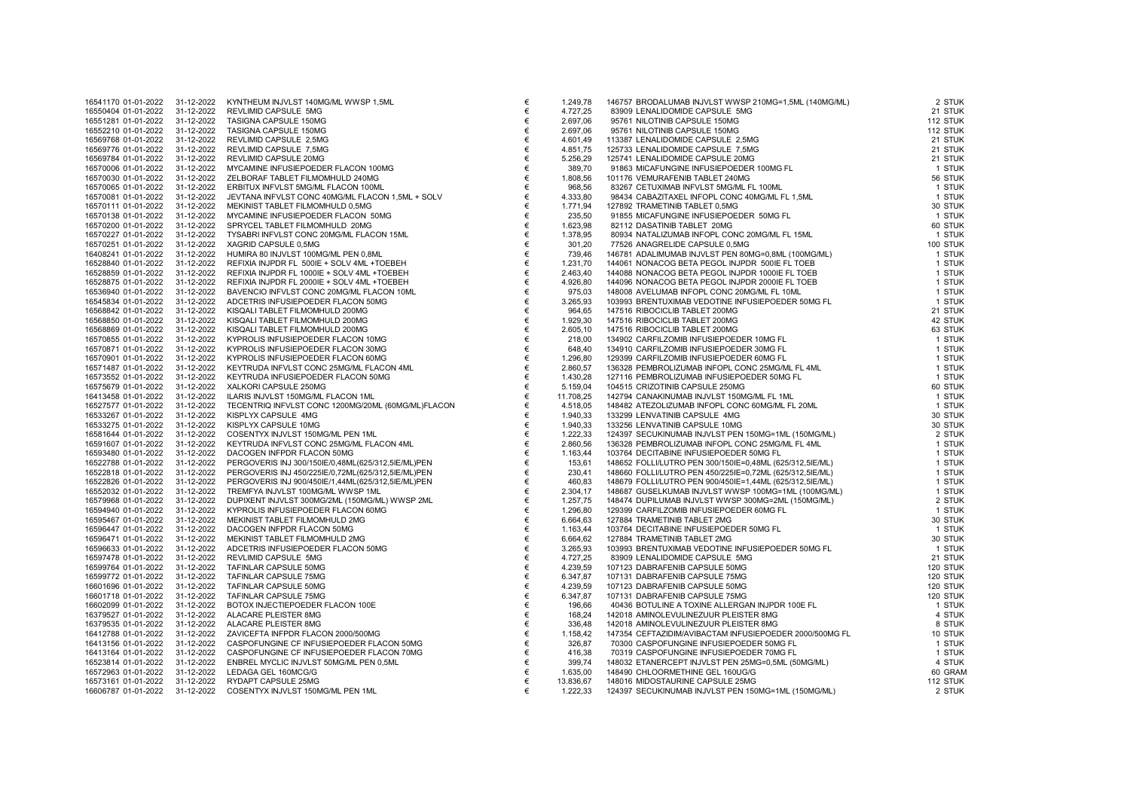| 16541170 01-01-2022 | 31-12-2022 | KYNTHEUM INJVLST 140MG/ML WWSP 1,5ML               | € |
|---------------------|------------|----------------------------------------------------|---|
| 16550404 01-01-2022 | 31-12-2022 | REVLIMID CAPSULE 5MG                               | € |
|                     |            |                                                    |   |
| 16551281 01-01-2022 | 31-12-2022 | TASIGNA CAPSULE 150MG                              | € |
| 16552210 01-01-2022 | 31-12-2022 | <b>TASIGNA CAPSULE 150MG</b>                       | € |
| 16569768 01-01-2022 | 31-12-2022 | REVLIMID CAPSULE 2,5MG                             | € |
| 16569776 01-01-2022 | 31-12-2022 | REVLIMID CAPSULE 7,5MG                             | € |
| 16569784 01-01-2022 | 31-12-2022 | REVLIMID CAPSULE 20MG                              | € |
|                     |            |                                                    |   |
| 16570006 01-01-2022 | 31-12-2022 | MYCAMINE INFUSIEPOEDER FLACON 100MG                | € |
| 16570030 01-01-2022 | 31-12-2022 | ZELBORAF TABLET FILMOMHULD 240MG                   | € |
| 16570065 01-01-2022 | 31-12-2022 | ERBITUX INFVLST 5MG/ML FLACON 100ML                | € |
| 16570081 01-01-2022 | 31-12-2022 | JEVTANA INFVLST CONC 40MG/ML FLACON 1,5ML + SOLV   | € |
| 16570111 01-01-2022 | 31-12-2022 | MEKINIST TABLET FILMOMHULD 0,5MG                   | € |
|                     |            |                                                    |   |
| 16570138 01-01-2022 | 31-12-2022 | MYCAMINE INFUSIEPOEDER FLACON 50MG                 | € |
| 16570200 01-01-2022 | 31-12-2022 | SPRYCEL TABLET FILMOMHULD 20MG                     | € |
| 16570227 01-01-2022 | 31-12-2022 | TYSABRI INFVLST CONC 20MG/ML FLACON 15ML           | € |
| 16570251 01-01-2022 | 31-12-2022 | XAGRID CAPSULE 0,5MG                               | € |
|                     |            |                                                    | € |
| 16408241 01-01-2022 | 31-12-2022 | HUMIRA 80 INJVLST 100MG/ML PEN 0,8ML               |   |
| 16528840 01-01-2022 | 31-12-2022 | REFIXIA INJPDR FL 500IE + SOLV 4ML +TOEBEH         | € |
| 16528859 01-01-2022 | 31-12-2022 | REFIXIA INJPDR FL 1000IE + SOLV 4ML +TOEBEH        | € |
| 16528875 01-01-2022 | 31-12-2022 | REFIXIA INJPDR FL 2000IE + SOLV 4ML +TOEBEH        | € |
| 16536940 01-01-2022 | 31-12-2022 | BAVENCIO INFVLST CONC 20MG/ML FLACON 10ML          | € |
|                     | 31-12-2022 | ADCETRIS INFUSIEPOEDER FLACON 50MG                 | € |
| 16545834 01-01-2022 |            |                                                    |   |
| 16568842 01-01-2022 | 31-12-2022 | KISQALI TABLET FILMOMHULD 200MG                    | € |
| 16568850 01-01-2022 | 31-12-2022 | KISQALI TABLET FILMOMHULD 200MG                    | € |
| 16568869 01-01-2022 | 31-12-2022 | KISQALI TABLET FILMOMHULD 200MG                    | € |
| 16570855 01-01-2022 | 31-12-2022 | KYPROLIS INFUSIEPOEDER FLACON 10MG                 | € |
| 16570871 01-01-2022 | 31-12-2022 | KYPROLIS INFUSIEPOEDER FLACON 30MG                 | € |
|                     |            |                                                    |   |
| 16570901 01-01-2022 | 31-12-2022 | KYPROLIS INFUSIEPOEDER FLACON 60MG                 | € |
| 16571487 01-01-2022 | 31-12-2022 | KEYTRUDA INFVLST CONC 25MG/ML FLACON 4ML           | € |
| 16573552 01-01-2022 | 31-12-2022 | KEYTRUDA INFUSIEPOEDER FLACON 50MG                 | € |
| 16575679 01-01-2022 | 31-12-2022 | XALKORI CAPSULE 250MG                              | € |
| 16413458 01-01-2022 | 31-12-2022 | ILARIS INJVLST 150MG/ML FLACON 1ML                 | € |
|                     |            |                                                    |   |
| 16527577 01-01-2022 | 31-12-2022 | TECENTRIQ INFVLST CONC 1200MG/20ML (60MG/ML)FLACON | € |
| 16533267 01-01-2022 | 31-12-2022 | KISPLYX CAPSULE 4MG                                | € |
| 16533275 01-01-2022 | 31-12-2022 | KISPLYX CAPSULE 10MG                               | € |
| 16581644 01-01-2022 | 31-12-2022 | COSENTYX INJVLST 150MG/ML PEN 1ML                  | € |
| 16591607 01-01-2022 | 31-12-2022 | KEYTRUDA INFVLST CONC 25MG/ML FLACON 4ML           | € |
| 16593480 01-01-2022 | 31-12-2022 | DACOGEN INFPDR FLACON 50MG                         | € |
|                     |            |                                                    |   |
| 16522788 01-01-2022 | 31-12-2022 | PERGOVERIS INJ 300/150IE/0,48ML(625/312,5IE/ML)PEN | € |
| 16522818 01-01-2022 | 31-12-2022 | PERGOVERIS INJ 450/225IE/0,72ML(625/312,5IE/ML)PEN | € |
| 16522826 01-01-2022 | 31-12-2022 | PERGOVERIS INJ 900/450IE/1,44ML(625/312,5IE/ML)PEN | € |
| 16552032 01-01-2022 | 31-12-2022 | TREMFYA INJVLST 100MG/ML WWSP 1ML                  | € |
| 16579968 01-01-2022 | 31-12-2022 | DUPIXENT INJVLST 300MG/2ML (150MG/ML) WWSP 2ML     | € |
|                     |            |                                                    |   |
| 16594940 01-01-2022 | 31-12-2022 | KYPROLIS INFUSIEPOEDER FLACON 60MG                 | € |
| 16595467 01-01-2022 | 31-12-2022 | MEKINIST TABLET FILMOMHULD 2MG                     | € |
| 16596447 01-01-2022 | 31-12-2022 | DACOGEN INFPDR FLACON 50MG                         | € |
| 16596471 01-01-2022 | 31-12-2022 | MEKINIST TABLET FILMOMHULD 2MG                     | € |
| 16596633 01-01-2022 | 31-12-2022 | ADCETRIS INFUSIEPOEDER FLACON 50MG                 | € |
|                     |            |                                                    | € |
| 16597478 01-01-2022 | 31-12-2022 | REVLIMID CAPSULE 5MG                               |   |
| 16599764 01-01-2022 | 31-12-2022 | TAFINLAR CAPSULE 50MG                              | € |
| 16599772 01-01-2022 | 31-12-2022 | TAFINLAR CAPSULE 75MG                              | € |
| 16601696 01-01-2022 | 31-12-2022 | TAFINLAR CAPSULE 50MG                              | € |
| 16601718 01-01-2022 | 31-12-2022 | TAFINLAR CAPSULE 75MG                              | € |
| 16602099 01-01-2022 | 31-12-2022 | BOTOX INJECTIEPOEDER FLACON 100E                   | € |
|                     |            |                                                    |   |
| 16379527 01-01-2022 | 31-12-2022 | ALACARE PLEISTER 8MG                               | € |
| 16379535 01-01-2022 | 31-12-2022 | ALACARE PLEISTER 8MG                               | € |
| 16412788 01-01-2022 | 31-12-2022 | ZAVICEFTA INFPDR FLACON 2000/500MG                 | € |
| 16413156 01-01-2022 | 31-12-2022 | CASPOFUNGINE CF INFUSIEPOEDER FLACON 50MG          | € |
|                     | 31-12-2022 |                                                    | € |
| 16413164 01-01-2022 |            | CASPOFUNGINE CF INFUSIEPOEDER FLACON 70MG          |   |
| 16523814 01-01-2022 | 31-12-2022 | ENBREL MYCLIC INJVLST 50MG/ML PEN 0,5ML            | € |
| 16572963 01-01-2022 | 31-12-2022 | LEDAGA GEL 160MCG/G                                | € |
| 16573161 01-01-2022 | 31-12-2022 | RYDAPT CAPSULE 25MG                                | € |
| 16606787 01-01-2022 | 31-12-2022 | COSENTYX INJVLST 150MG/ML PEN 1ML                  | € |
|                     |            |                                                    |   |

| 16541170 01-01-2022 | 31-12-2022 | KYNTHEUM INJVLST 140MG/ML WWSP 1,5ML               | €     | 1.249,78  | 146757 BRODALUMAB INJVLST WWSP 210MG=1,5ML (140MG/ML)                                               | 2 STUK   |
|---------------------|------------|----------------------------------------------------|-------|-----------|-----------------------------------------------------------------------------------------------------|----------|
| 16550404 01-01-2022 | 31-12-2022 | REVLIMID CAPSULE 5MG                               | €     | 4.727,25  | 83909 LENALIDOMIDE CAPSULE 5MG                                                                      | 21 STUK  |
| 16551281 01-01-2022 | 31-12-2022 | TASIGNA CAPSULE 150MG                              | €     | 2.697,06  | 95761 NILOTINIB CAPSULE 150MG                                                                       | 112 STUK |
| 16552210 01-01-2022 | 31-12-2022 | TASIGNA CAPSULE 150MG                              | €     | 2.697,06  | 95761 NILOTINIB CAPSULE 150MG                                                                       | 112 STUK |
| 16569768 01-01-2022 | 31-12-2022 | REVLIMID CAPSULE 2,5MG                             | €     | 4.601,49  | 113387 LENALIDOMIDE CAPSULE 2,5MG                                                                   | 21 STUK  |
| 16569776 01-01-2022 | 31-12-2022 | REVLIMID CAPSULE 7,5MG                             | $\in$ | 4.851,75  | 125733 LENALIDOMIDE CAPSULE 7,5MG                                                                   | 21 STUK  |
| 16569784 01-01-2022 | 31-12-2022 | REVLIMID CAPSULE 20MG                              | $\in$ | 5.256,29  | 125741 LENALIDOMIDE CAPSULE 20MG                                                                    | 21 STUK  |
| 16570006 01-01-2022 | 31-12-2022 | MYCAMINE INFUSIEPOEDER FLACON 100MG                | €     | 389,70    | 91863 MICAFUNGINE INFUSIEPOEDER 100MG FL                                                            | 1 STUK   |
| 16570030 01-01-2022 | 31-12-2022 | ZELBORAF TABLET FILMOMHULD 240MG                   | €     | 1.808,56  | 101176 VEMURAFENIB TABLET 240MG                                                                     | 56 STUK  |
| 16570065 01-01-2022 | 31-12-2022 | ERBITUX INFVLST 5MG/ML FLACON 100ML                | €     | 968,56    | 83267 CETUXIMAB INFVLST 5MG/ML FL 100ML                                                             | 1 STUK   |
| 16570081 01-01-2022 | 31-12-2022 | JEVTANA INFVLST CONC 40MG/ML FLACON 1,5ML + SOLV   | €     | 4.333,80  | 98434 CABAZITAXEL INFOPL CONC 40MG/ML FL 1,5ML                                                      | 1 STUK   |
| 16570111 01-01-2022 | 31-12-2022 | MEKINIST TABLET FILMOMHULD 0,5MG                   | €     | 1.771,94  | 127892 TRAMETINIB TABLET 0,5MG                                                                      | 30 STUK  |
| 16570138 01-01-2022 | 31-12-2022 | MYCAMINE INFUSIEPOEDER FLACON 50MG                 | €     | 235,50    | 91855 MICAFUNGINE INFUSIEPOEDER 50MG FL                                                             | 1 STUK   |
| 16570200 01-01-2022 | 31-12-2022 | SPRYCEL TABLET FILMOMHULD 20MG                     | €     | 1.623,98  | 82112 DASATINIB TABLET 20MG                                                                         | 60 STUK  |
| 16570227 01-01-2022 | 31-12-2022 | TYSABRI INFVLST CONC 20MG/ML FLACON 15ML           | €     | 1.378,95  | 80934 NATALIZUMAB INFOPL CONC 20MG/ML FL 15ML                                                       | 1 STUK   |
|                     | 31-12-2022 |                                                    | €     |           |                                                                                                     | 100 STUK |
| 16570251 01-01-2022 |            | XAGRID CAPSULE 0,5MG                               |       | 301,20    | 77526 ANAGRELIDE CAPSULE 0,5MG                                                                      |          |
| 16408241 01-01-2022 | 31-12-2022 | HUMIRA 80 INJVLST 100MG/ML PEN 0,8ML               | €     | 739,46    | 146781 ADALIMUMAB INJVLST PEN 80MG=0,8ML (100MG/ML)                                                 | 1 STUK   |
| 16528840 01-01-2022 | 31-12-2022 | REFIXIA INJPDR FL 500IE + SOLV 4ML +TOEBEH         | €     | 1.231,70  | 144061 NONACOG BETA PEGOL INJPDR 500IE FL TOEB                                                      | 1 STUK   |
| 16528859 01-01-2022 | 31-12-2022 | REFIXIA INJPDR FL 1000IE + SOLV 4ML +TOEBEH        | €     | 2.463,40  | 144088 NONACOG BETA PEGOL INJPDR 1000IE FL TOEB                                                     | 1 STUK   |
| 16528875 01-01-2022 | 31-12-2022 | REFIXIA INJPDR FL 2000IE + SOLV 4ML +TOEBEH        | €     | 4.926,80  | 144096 NONACOG BETA PEGOL INJPDR 2000IE FL TOEB                                                     | 1 STUK   |
| 16536940 01-01-2022 | 31-12-2022 | BAVENCIO INFVLST CONC 20MG/ML FLACON 10ML          | €     | 975,03    | 148008 AVELUMAB INFOPL CONC 20MG/ML FL 10ML                                                         | 1 STUK   |
| 16545834 01-01-2022 | 31-12-2022 | ADCETRIS INFUSIEPOEDER FLACON 50MG                 | €     | 3.265,93  | 103993 BRENTUXIMAB VEDOTINE INFUSIEPOEDER 50MG FL                                                   | 1 STUK   |
| 16568842 01-01-2022 | 31-12-2022 | KISQALI TABLET FILMOMHULD 200MG                    | €     | 964,65    | 147516 RIBOCICLIB TABLET 200MG                                                                      | 21 STUK  |
| 16568850 01-01-2022 | 31-12-2022 | KISQALI TABLET FILMOMHULD 200MG                    | €     | 1.929,30  | 147516 RIBOCICLIB TABLET 200MG                                                                      | 42 STUK  |
| 16568869 01-01-2022 | 31-12-2022 | KISQALI TABLET FILMOMHULD 200MG                    | €     | 2.605,10  | 147516 RIBOCICLIB TABLET 200MG                                                                      | 63 STUK  |
| 16570855 01-01-2022 | 31-12-2022 | KYPROLIS INFUSIEPOEDER FLACON 10MG                 | €     | 218,00    | 134902 CARFILZOMIB INFUSIEPOEDER 10MG FL                                                            | 1 STUK   |
| 16570871 01-01-2022 | 31-12-2022 | KYPROLIS INFUSIEPOEDER FLACON 30MG                 | €     | 648,40    | 134910 CARFILZOMIB INFUSIEPOEDER 30MG FL                                                            | 1 STUK   |
| 16570901 01-01-2022 | 31-12-2022 | KYPROLIS INFUSIEPOEDER FLACON 60MG                 | €     | 1.296,80  | 129399 CARFILZOMIB INFUSIEPOEDER 60MG FL                                                            | 1 STUK   |
| 16571487 01-01-2022 | 31-12-2022 | KEYTRUDA INFVLST CONC 25MG/ML FLACON 4ML           | €     | 2.860,57  | 136328 PEMBROLIZUMAB INFOPL CONC 25MG/ML FL 4ML                                                     | 1 STUK   |
| 16573552 01-01-2022 | 31-12-2022 | KEYTRUDA INFUSIEPOEDER FLACON 50MG                 | €     | 1.430,28  | 127116 PEMBROLIZUMAB INFUSIEPOEDER 50MG FL                                                          | 1 STUK   |
| 16575679 01-01-2022 | 31-12-2022 | XALKORI CAPSULE 250MG                              | €     | 5.159,04  | 104515 CRIZOTINIB CAPSULE 250MG                                                                     | 60 STUK  |
| 16413458 01-01-2022 | 31-12-2022 | ILARIS INJVLST 150MG/ML FLACON 1ML                 | €     | 11.708,25 | 142794 CANAKINUMAB INJVLST 150MG/ML FL 1ML                                                          | 1 STUK   |
| 16527577 01-01-2022 | 31-12-2022 | TECENTRIQ INFVLST CONC 1200MG/20ML (60MG/ML)FLACON | €     | 4.518,05  | 148482 ATEZOLIZUMAB INFOPL CONC 60MG/ML FL 20ML                                                     | 1 STUK   |
| 16533267 01-01-2022 | 31-12-2022 | KISPLYX CAPSULE 4MG                                | €     | 1.940,33  | 133299 LENVATINIB CAPSULE 4MG                                                                       | 30 STUK  |
| 16533275 01-01-2022 | 31-12-2022 | KISPLYX CAPSULE 10MG                               | €     | 1.940,33  | 133256 LENVATINIB CAPSULE 10MG                                                                      | 30 STUK  |
| 16581644 01-01-2022 | 31-12-2022 | COSENTYX INJVLST 150MG/ML PEN 1ML                  | $\in$ | 1.222,33  | 124397 SECUKINUMAB INJVLST PEN 150MG=1ML (150MG/ML)                                                 | 2 STUK   |
| 16591607 01-01-2022 | 31-12-2022 | KEYTRUDA INFVLST CONC 25MG/ML FLACON 4ML           | €     | 2.860,56  | 136328 PEMBROLIZUMAB INFOPL CONC 25MG/ML FL 4ML                                                     | 1 STUK   |
| 16593480 01-01-2022 | 31-12-2022 | DACOGEN INFPDR FLACON 50MG                         | €     | 1.163,44  | 103764 DECITABINE INFUSIEPOEDER 50MG FL                                                             | 1 STUK   |
| 16522788 01-01-2022 | 31-12-2022 | PERGOVERIS INJ 300/150IE/0,48ML(625/312,5IE/ML)PEN | €     | 153,61    | 148652 FOLLI/LUTRO PEN 300/150IE=0,48ML (625/312,5IE/ML)                                            | 1 STUK   |
| 16522818 01-01-2022 | 31-12-2022 | PERGOVERIS INJ 450/225IE/0,72ML(625/312,5IE/ML)PEN | €     | 230,41    | 148660 FOLLI/LUTRO PEN 450/225IE=0,72ML (625/312,5IE/ML)                                            | 1 STUK   |
| 16522826 01-01-2022 | 31-12-2022 | PERGOVERIS INJ 900/450IE/1,44ML(625/312,5IE/ML)PEN | €     | 460,83    | 148679 FOLLI/LUTRO PEN 900/4501E=1,44ML (625/312,51E/ML)                                            | 1 STUK   |
| 16552032 01-01-2022 | 31-12-2022 | TREMFYA INJVLST 100MG/ML WWSP 1ML                  | €     | 2.304,17  | 148687 GUSELKUMAB INJVLST WWSP 100MG=1ML (100MG/ML)                                                 | 1 STUK   |
| 16579968 01-01-2022 | 31-12-2022 | DUPIXENT INJVLST 300MG/2ML (150MG/ML) WWSP 2ML     | €     | 1.257,75  | 148474 DUPILUMAB INJVLST WWSP 300MG=2ML (150MG/ML)                                                  | 2 STUK   |
| 16594940 01-01-2022 | 31-12-2022 | KYPROLIS INFUSIEPOEDER FLACON 60MG                 | €     | 1.296,80  | 129399 CARFILZOMIB INFUSIEPOEDER 60MG FL                                                            | 1 STUK   |
| 16595467 01-01-2022 | 31-12-2022 | MEKINIST TABLET FILMOMHULD 2MG                     | €     | 6.664,63  | 127884 TRAMETINIB TABLET 2MG                                                                        | 30 STUK  |
| 16596447 01-01-2022 | 31-12-2022 | DACOGEN INFPDR FLACON 50MG                         | €     | 1.163,44  | 103764 DECITABINE INFUSIEPOEDER 50MG FL                                                             | 1 STUK   |
| 16596471 01-01-2022 | 31-12-2022 | MEKINIST TABLET FILMOMHULD 2MG                     | €     | 6.664,62  | 127884 TRAMETINIB TABLET 2MG                                                                        | 30 STUK  |
| 16596633 01-01-2022 | 31-12-2022 | ADCETRIS INFUSIEPOEDER FLACON 50MG                 | €     | 3.265,93  | 103993 BRENTUXIMAB VEDOTINE INFUSIEPOEDER 50MG FL                                                   | 1 STUK   |
|                     | 31-12-2022 |                                                    | €     |           | 83909 LENALIDOMIDE CAPSULE 5MG                                                                      | 21 STUK  |
| 16597478 01-01-2022 |            | REVLIMID CAPSULE 5MG                               |       | 4.727,25  |                                                                                                     |          |
| 16599764 01-01-2022 | 31-12-2022 | TAFINLAR CAPSULE 50MG                              | €     | 4.239,59  | 107123 DABRAFENIB CAPSULE 50MG                                                                      | 120 STUK |
| 16599772 01-01-2022 | 31-12-2022 | TAFINLAR CAPSULE 75MG                              | €     | 6.347,87  | 107131 DABRAFENIB CAPSULE 75MG                                                                      | 120 STUK |
| 16601696 01-01-2022 | 31-12-2022 | TAFINLAR CAPSULE 50MG                              | €     | 4.239,59  | 107123 DABRAFENIB CAPSULE 50MG                                                                      | 120 STUK |
| 16601718 01-01-2022 | 31-12-2022 | TAFINLAR CAPSULE 75MG                              | $\in$ | 6.347,87  | 107131 DABRAFENIB CAPSULE 75MG                                                                      | 120 STUK |
| 16602099 01-01-2022 | 31-12-2022 | BOTOX INJECTIEPOEDER FLACON 100E                   | €     | 196,66    | 40436 BOTULINE A TOXINE ALLERGAN INJPDR 100E FL                                                     | 1 STUK   |
| 16379527 01-01-2022 | 31-12-2022 | ALACARE PLEISTER 8MG                               | €     | 168,24    | 142018 AMINOLEVULINEZUUR PLEISTER 8MG                                                               | 4 STUK   |
| 16379535 01-01-2022 | 31-12-2022 | ALACARE PLEISTER 8MG                               | $\in$ | 336,48    | 142018 AMINOLEVULINEZUUR PLEISTER 8MG                                                               | 8 STUK   |
| 16412788 01-01-2022 | 31-12-2022 | ZAVICEFTA INFPDR FLACON 2000/500MG                 | €     | 1.158,42  | 147354 CEFTAZIDIM/AVIBACTAM INFUSIEPOEDER 2000/500MG FL<br>70300 CASPOFUNGINE INFUSIEPOEDER 50MG FL | 10 STUK  |
| 16413156 01-01-2022 | 31-12-2022 | CASPOFUNGINE CF INFUSIEPOEDER FLACON 50MG          | €     | 326,87    | 70300 CASPOFUNGINE INFUSIEPOEDER 50MG FL                                                            | 1 STUK   |
| 16413164 01-01-2022 | 31-12-2022 | CASPOFUNGINE CF INFUSIEPOEDER FLACON 70MG          | €     | 416,38    | 70319 CASPOFUNGINE INFUSIEPOEDER 70MG FL                                                            | 1 STUK   |
| 16523814 01-01-2022 | 31-12-2022 | ENBREL MYCLIC INJVLST 50MG/ML PEN 0,5ML            | €     | 399,74    | 148032 ETANERCEPT INJVLST PEN 25MG=0,5ML (50MG/ML)                                                  | 4 STUK   |
| 16572963 01-01-2022 | 31-12-2022 | LEDAGA GEL 160MCG/G                                | €     | 1.635,00  | 148490 CHLOORMETHINE GEL 160UG/G                                                                    | 60 GRAN  |
| 16573161 01-01-2022 | 31-12-2022 | RYDAPT CAPSULE 25MG                                | €     | 13.836,67 | 148016 MIDOSTAURINE CAPSULE 25MG                                                                    | 112 STUK |
| 16606787 01-01-2022 | 31-12-2022 | COSENTYX INJVLST 150MG/ML PEN 1ML                  | €     | 1.222,33  | 124397 SECUKINUMAB INJVLST PEN 150MG=1ML (150MG/ML)                                                 | 2 STUK   |
|                     |            |                                                    |       |           |                                                                                                     |          |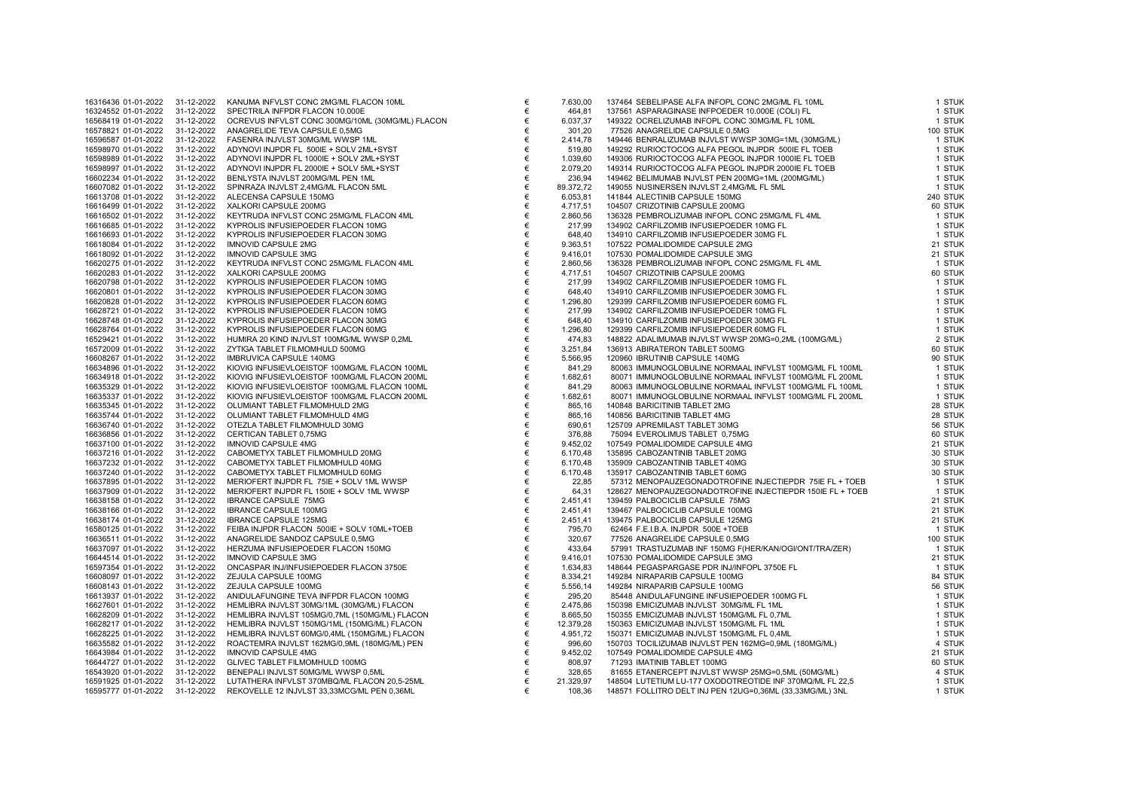| 16316436 01-01-2022 | 31-12-2022 | KANUMA INFVLST CONC 2MG/ML FLACON 10ML           | € | 7.6     |
|---------------------|------------|--------------------------------------------------|---|---------|
| 16324552 01-01-2022 | 31-12-2022 | SPECTRILA INFPDR FLACON 10.000E                  | € |         |
| 16568419 01-01-2022 | 31-12-2022 | OCREVUS INFVLST CONC 300MG/10ML (30MG/ML) FLACON | € | 6.0     |
| 16578821 01-01-2022 | 31-12-2022 | ANAGRELIDE TEVA CAPSULE 0,5MG                    | € |         |
| 16596587 01-01-2022 | 31-12-2022 | FASENRA INJVLST 30MG/ML WWSP 1ML                 | € | 2.4     |
| 16598970 01-01-2022 | 31-12-2022 | ADYNOVI INJPDR FL 500IE + SOLV 2ML+SYST          | € |         |
| 16598989 01-01-2022 | 31-12-2022 | ADYNOVI INJPDR FL 1000IE + SOLV 2ML+SYST         | € | 1.0     |
| 16598997 01-01-2022 | 31-12-2022 | ADYNOVI INJPDR FL 2000IE + SOLV 5ML+SYST         | € | 2.0     |
| 16602234 01-01-2022 | 31-12-2022 | BENLYSTA INJVLST 200MG/ML PEN 1ML                | € |         |
| 16607082 01-01-2022 | 31-12-2022 | SPINRAZA INJVLST 2,4MG/ML FLACON 5ML             | € | 89.3    |
| 16613708 01-01-2022 | 31-12-2022 | ALECENSA CAPSULE 150MG                           | € | 6.0     |
| 16616499 01-01-2022 | 31-12-2022 | XALKORI CAPSULE 200MG                            | € | 4.7     |
| 16616502 01-01-2022 | 31-12-2022 | KEYTRUDA INFVLST CONC 25MG/ML FLACON 4ML         | € | 2.8     |
| 16616685 01-01-2022 | 31-12-2022 | KYPROLIS INFUSIEPOEDER FLACON 10MG               | € |         |
| 16616693 01-01-2022 | 31-12-2022 | KYPROLIS INFUSIEPOEDER FLACON 30MG               | € | f       |
| 16618084 01-01-2022 | 31-12-2022 | IMNOVID CAPSULE 2MG                              | € | 9.3     |
| 16618092 01-01-2022 | 31-12-2022 | <b>IMNOVID CAPSULE 3MG</b>                       | € | 9.4     |
| 16620275 01-01-2022 | 31-12-2022 | KEYTRUDA INFVLST CONC 25MG/ML FLACON 4ML         | € | $2.\xi$ |
| 16620283 01-01-2022 | 31-12-2022 | XALKORI CAPSULE 200MG                            | € | 4.7     |
| 16620798 01-01-2022 | 31-12-2022 | KYPROLIS INFUSIEPOEDER FLACON 10MG               | € |         |
| 16620801 01-01-2022 | 31-12-2022 | KYPROLIS INFUSIEPOEDER FLACON 30MG               | € |         |
| 16620828 01-01-2022 | 31-12-2022 | KYPROLIS INFUSIEPOEDER FLACON 60MG               | € | 1.2     |
| 16628721 01-01-2022 | 31-12-2022 | KYPROLIS INFUSIEPOEDER FLACON 10MG               | € |         |
| 16628748 01-01-2022 | 31-12-2022 | KYPROLIS INFUSIEPOEDER FLACON 30MG               | € |         |
| 16628764 01-01-2022 | 31-12-2022 | KYPROLIS INFUSIEPOEDER FLACON 60MG               | € | 1.2     |
| 16529421 01-01-2022 | 31-12-2022 | HUMIRA 20 KIND INJVLST 100MG/ML WWSP 0,2ML       | € |         |
| 16572009 01-01-2022 | 31-12-2022 | ZYTIGA TABLET FILMOMHULD 500MG                   | € | 3.2     |
| 16608267 01-01-2022 | 31-12-2022 | IMBRUVICA CAPSULE 140MG                          | € | 5.5     |
| 16634896 01-01-2022 | 31-12-2022 | KIOVIG INFUSIEVLOEISTOF 100MG/ML FLACON 100ML    | € |         |
| 16634918 01-01-2022 | 31-12-2022 | KIOVIG INFUSIEVLOEISTOF 100MG/ML FLACON 200ML    | € | 1.6     |
| 16635329 01-01-2022 | 31-12-2022 | KIOVIG INFUSIEVLOEISTOF 100MG/ML FLACON 100ML    | € |         |
| 16635337 01-01-2022 | 31-12-2022 | KIOVIG INFUSIEVLOEISTOF 100MG/ML FLACON 200ML    | € | 1.6     |
| 16635345 01-01-2022 | 31-12-2022 | OLUMIANT TABLET FILMOMHULD 2MG                   | € |         |
| 16635744 01-01-2022 | 31-12-2022 | OLUMIANT TABLET FILMOMHULD 4MG                   | € | ξ       |
| 16636740 01-01-2022 | 31-12-2022 | OTEZLA TABLET FILMOMHULD 30MG                    | € | б       |
| 16636856 01-01-2022 | 31-12-2022 | CERTICAN TABLET 0,75MG                           | € |         |
| 16637100 01-01-2022 | 31-12-2022 | <b>IMNOVID CAPSULE 4MG</b>                       | € | 9.4     |
| 16637216 01-01-2022 | 31-12-2022 | CABOMETYX TABLET FILMOMHULD 20MG                 | € | 6.7     |
| 16637232 01-01-2022 | 31-12-2022 | CABOMETYX TABLET FILMOMHULD 40MG                 | € | 6.7     |
| 16637240 01-01-2022 | 31-12-2022 | CABOMETYX TABLET FILMOMHULD 60MG                 | € | 6.7     |
| 16637895 01-01-2022 | 31-12-2022 | MERIOFERT INJPDR FL 75IE + SOLV 1ML WWSP         | € |         |
| 16637909 01-01-2022 | 31-12-2022 | MERIOFERT INJPDR FL 150IE + SOLV 1ML WWSP        | € |         |
| 16638158 01-01-2022 | 31-12-2022 | <b>IBRANCE CAPSULE 75MG</b>                      | € | 2.4     |
| 16638166 01-01-2022 | 31-12-2022 | <b>IBRANCE CAPSULE 100MG</b>                     | € | 2.4     |
| 16638174 01-01-2022 | 31-12-2022 | <b>IBRANCE CAPSULE 125MG</b>                     | € | 2.4     |
| 16580125 01-01-2022 | 31-12-2022 | FEIBA INJPDR FLACON 500IE + SOLV 10ML+TOEB       | € |         |
| 16636511 01-01-2022 | 31-12-2022 | ANAGRELIDE SANDOZ CAPSULE 0,5MG                  | € |         |
| 16637097 01-01-2022 | 31-12-2022 | HERZUMA INFUSIEPOEDER FLACON 150MG               | € |         |
| 16644514 01-01-2022 | 31-12-2022 | <b>IMNOVID CAPSULE 3MG</b>                       | € | 9.4     |
| 16597354 01-01-2022 | 31-12-2022 | ONCASPAR INJ/INFUSIEPOEDER FLACON 3750E          | € | 1.6     |
| 16608097 01-01-2022 | 31-12-2022 | ZEJULA CAPSULE 100MG                             | € | 8.3     |
| 16608143 01-01-2022 | 31-12-2022 | ZEJULA CAPSULE 100MG                             | € | 5.5     |
| 16613937 01-01-2022 | 31-12-2022 | ANIDULAFUNGINE TEVA INFPDR FLACON 100MG          | € |         |
| 16627601 01-01-2022 | 31-12-2022 | HEMLIBRA INJVLST 30MG/1ML (30MG/ML) FLACON       | € | 2.4     |
| 16628209 01-01-2022 | 31-12-2022 | HEMLIBRA INJVLST 105MG/0,7ML (150MG/ML) FLACON   | € | 8.6     |
| 16628217 01-01-2022 | 31-12-2022 | HEMLIBRA INJVLST 150MG/1ML (150MG/ML) FLACON     | € | 12.3    |
| 16628225 01-01-2022 | 31-12-2022 | HEMLIBRA INJVLST 60MG/0,4ML (150MG/ML) FLACON    | € | 4.9     |
| 16635582 01-01-2022 | 31-12-2022 | ROACTEMRA INJVLST 162MG/0,9ML (180MG/ML) PEN     | € |         |
| 16643984 01-01-2022 | 31-12-2022 | <b>IMNOVID CAPSULE 4MG</b>                       | € | 9.4     |
| 16644727 01-01-2022 | 31-12-2022 | GLIVEC TABLET FILMOMHULD 100MG                   | € |         |
| 16543920 01-01-2022 | 31-12-2022 | BENEPALI INJVLST 50MG/ML WWSP 0,5ML              | € |         |
| 16591925 01-01-2022 | 31-12-2022 | LUTATHERA INFVLST 370MBQ/ML FLACON 20,5-25ML     | € | 21.3    |
| 16595777 01-01-2022 | 31-12-2022 | REKOVELLE 12 INJVLST 33,33MCG/ML PEN 0,36ML      | € |         |

| 16316436 01-01-2022                        | 31-12-2022 | KANUMA INFVLST CONC 2MG/ML FLACON 10ML           | €      | 7.630,00  | 137464 SEBELIPASE ALFA INFOPL CONC 2MG/ML FL 10ML         | 1 STUK   |
|--------------------------------------------|------------|--------------------------------------------------|--------|-----------|-----------------------------------------------------------|----------|
| 16324552 01-01-2022                        | 31-12-2022 | SPECTRILA INFPDR FLACON 10.000E                  | €      | 464,81    | 137561 ASPARAGINASE INFPOEDER 10.000E (COLI) FL           | 1 STUK   |
| 16568419 01-01-2022                        | 31-12-2022 | OCREVUS INFVLST CONC 300MG/10ML (30MG/ML) FLACON | €      | 6.037,37  | 149322 OCRELIZUMAB INFOPL CONC 30MG/ML FL 10ML            | 1 STUK   |
| 16578821 01-01-2022                        | 31-12-2022 | ANAGRELIDE TEVA CAPSULE 0,5MG                    | €      | 301,20    | 77526 ANAGRELIDE CAPSULE 0,5MG                            | 100 STUK |
| 16596587 01-01-2022                        | 31-12-2022 | FASENRA INJVLST 30MG/ML WWSP 1ML                 | €      | 2.414,78  | 149446 BENRALIZUMAB INJVLST WWSP 30MG=1ML (30MG/ML)       | 1 STUK   |
| 16598970 01-01-2022                        | 31-12-2022 | ADYNOVI INJPDR FL 500IE + SOLV 2ML+SYST          | €      | 519,80    | 149292 RURIOCTOCOG ALFA PEGOL INJPDR 500IE FL TOEB        | 1 STUK   |
| 16598989 01-01-2022                        | 31-12-2022 | ADYNOVI INJPDR FL 1000IE + SOLV 2ML+SYST         | €      | 1.039,60  | 149306 RURIOCTOCOG ALFA PEGOL INJPDR 1000IE FL TOEB       | 1 STUK   |
| 16598997 01-01-2022                        | 31-12-2022 | ADYNOVI INJPDR FL 2000IE + SOLV 5ML+SYST         | €      | 2.079,20  | 149314 RURIOCTOCOG ALFA PEGOL INJPDR 2000IE FL TOEB       | 1 STUK   |
| 16602234 01-01-2022                        | 31-12-2022 | BENLYSTA INJVLST 200MG/ML PEN 1ML                | €      | 236,94    | 149462 BELIMUMAB INJVLST PEN 200MG=1ML (200MG/ML)         | 1 STUK   |
| 16607082 01-01-2022                        | 31-12-2022 | SPINRAZA INJVLST 2,4MG/ML FLACON 5ML             | $\in$  | 89.372,72 | 149055 NUSINERSEN INJVLST 2,4MG/ML FL 5ML                 | 1 STUK   |
| 16613708 01-01-2022                        | 31-12-2022 | ALECENSA CAPSULE 150MG                           | €      | 6.053,81  | 141844 ALECTINIB CAPSULE 150MG                            | 240 STUK |
| 16616499 01-01-2022                        | 31-12-2022 | XALKORI CAPSULE 200MG                            | €      | 4.717,51  | 104507 CRIZOTINIB CAPSULE 200MG                           | 60 STUK  |
| 16616502 01-01-2022                        | 31-12-2022 | KEYTRUDA INFVLST CONC 25MG/ML FLACON 4ML         | €      | 2.860,56  | 136328 PEMBROLIZUMAB INFOPL CONC 25MG/ML FL 4ML           | 1 STUK   |
| 16616685 01-01-2022                        | 31-12-2022 | KYPROLIS INFUSIEPOEDER FLACON 10MG               | €      | 217,99    | 134902 CARFILZOMIB INFUSIEPOEDER 10MG FL                  | 1 STUK   |
| 16616693 01-01-2022                        | 31-12-2022 | KYPROLIS INFUSIEPOEDER FLACON 30MG               | $\in$  | 648,40    | 134910 CARFILZOMIB INFUSIEPOEDER 30MG FL                  | 1 STUK   |
| 16618084 01-01-2022                        | 31-12-2022 | <b>IMNOVID CAPSULE 2MG</b>                       | $\in$  | 9.363,51  | 107522 POMALIDOMIDE CAPSULE 2MG                           | 21 STUK  |
| 16618092 01-01-2022                        | 31-12-2022 | <b>IMNOVID CAPSULE 3MG</b>                       | €      | 9.416,01  | 107530 POMALIDOMIDE CAPSULE 3MG                           | 21 STUK  |
| 16620275 01-01-2022                        | 31-12-2022 | KEYTRUDA INFVLST CONC 25MG/ML FLACON 4ML         | €      | 2.860,56  | 136328 PEMBROLIZUMAB INFOPL CONC 25MG/ML FL 4ML           | 1 STUK   |
| 16620283 01-01-2022                        | 31-12-2022 | XALKORI CAPSULE 200MG                            | €      | 4.717,51  | 104507 CRIZOTINIB CAPSULE 200MG                           | 60 STUK  |
| 16620798 01-01-2022                        | 31-12-2022 | KYPROLIS INFUSIEPOEDER FLACON 10MG               | €      | 217,99    | 134902 CARFILZOMIB INFUSIEPOEDER 10MG FL                  | 1 STUK   |
| 16620801 01-01-2022                        | 31-12-2022 | KYPROLIS INFUSIEPOEDER FLACON 30MG               | €      | 648,40    | 134910 CARFILZOMIB INFUSIEPOEDER 30MG FL                  | 1 STUK   |
| 16620828 01-01-2022                        | 31-12-2022 | KYPROLIS INFUSIEPOEDER FLACON 60MG               | $\in$  | 1.296,80  | 129399 CARFILZOMIB INFUSIEPOEDER 60MG FL                  | 1 STUK   |
| 16628721 01-01-2022                        | 31-12-2022 | KYPROLIS INFUSIEPOEDER FLACON 10MG               | €      | 217,99    | 134902 CARFILZOMIB INFUSIEPOEDER 10MG FL                  | 1 STUK   |
| 16628748 01-01-2022                        | 31-12-2022 | KYPROLIS INFUSIEPOEDER FLACON 30MG               | €      | 648,40    | 134910 CARFILZOMIB INFUSIEPOEDER 30MG FL                  | 1 STUK   |
| 16628764 01-01-2022                        | 31-12-2022 | KYPROLIS INFUSIEPOEDER FLACON 60MG               | €      | 1.296,80  | 129399 CARFILZOMIB INFUSIEPOEDER 60MG FL                  | 1 STUK   |
| 16529421 01-01-2022                        | 31-12-2022 | HUMIRA 20 KIND INJVLST 100MG/ML WWSP 0,2ML       | €      | 474,83    | 148822 ADALIMUMAB INJVLST WWSP 20MG=0,2ML (100MG/ML)      | 2 STUK   |
| 16572009 01-01-2022                        | 31-12-2022 | ZYTIGA TABLET FILMOMHULD 500MG                   | €      | 3.251,84  | 136913 ABIRATERON TABLET 500MG                            | 60 STUK  |
| 16608267 01-01-2022                        | 31-12-2022 | IMBRUVICA CAPSULE 140MG                          | €      | 5.566,95  | 120960 IBRUTINIB CAPSULE 140MG                            | 90 STUK  |
| 16634896 01-01-2022                        | 31-12-2022 | KIOVIG INFUSIEVLOEISTOF 100MG/ML FLACON 100ML    | €      | 841,29    | 80063 IMMUNOGLOBULINE NORMAAL INFVLST 100MG/ML FL 100ML   | 1 STUK   |
| 16634918 01-01-2022                        | 31-12-2022 | KIOVIG INFUSIEVLOEISTOF 100MG/ML FLACON 200ML    | €      | 1.682,61  | 80071 IMMUNOGLOBULINE NORMAAL INFVLST 100MG/ML FL 200ML   | 1 STUK   |
| 16635329 01-01-2022                        | 31-12-2022 | KIOVIG INFUSIEVLOEISTOF 100MG/ML FLACON 100ML    | €      | 841,29    | 80063 IMMUNOGLOBULINE NORMAAL INFVLST 100MG/ML FL 100ML   | 1 STUK   |
| 16635337 01-01-2022                        | 31-12-2022 | KIOVIG INFUSIEVLOEISTOF 100MG/ML FLACON 200ML    | €      | 1.682,61  | 80071 IMMUNOGLOBULINE NORMAAL INFVLST 100MG/ML FL 200ML   | 1 STUK   |
| 16635345 01-01-2022                        | 31-12-2022 | OLUMIANT TABLET FILMOMHULD 2MG                   | €      | 865,16    | 140848 BARICITINIB TABLET 2MG                             | 28 STUK  |
| 16635744 01-01-2022                        | 31-12-2022 | OLUMIANT TABLET FILMOMHULD 4MG                   | €      | 865,16    | 140856 BARICITINIB TABLET 4MG                             | 28 STUK  |
| 16636740 01-01-2022                        | 31-12-2022 | OTEZLA TABLET FILMOMHULD 30MG                    | €      | 690,61    | 125709 APREMILAST TABLET 30MG                             | 56 STUK  |
| 16636856 01-01-2022                        | 31-12-2022 | CERTICAN TABLET 0,75MG                           | €      | 376,88    | 75094 EVEROLIMUS TABLET 0,75MG                            | 60 STUK  |
| 16637100 01-01-2022                        | 31-12-2022 | <b>IMNOVID CAPSULE 4MG</b>                       | €      | 9.452,02  | 107549 POMALIDOMIDE CAPSULE 4MG                           | 21 STUK  |
| 16637216 01-01-2022                        | 31-12-2022 | CABOMETYX TABLET FILMOMHULD 20MG                 | €      | 6.170,48  | 135895 CABOZANTINIB TABLET 20MG                           | 30 STUK  |
| 16637232 01-01-2022                        | 31-12-2022 | CABOMETYX TABLET FILMOMHULD 40MG                 | €      | 6.170,48  | 135909 CABOZANTINIB TABLET 40MG                           | 30 STUK  |
| 16637240 01-01-2022                        | 31-12-2022 | CABOMETYX TABLET FILMOMHULD 60MG                 | €      | 6.170,48  | 135917 CABOZANTINIB TABLET 60MG                           | 30 STUK  |
| 16637895 01-01-2022                        | 31-12-2022 | MERIOFERT INJPDR FL 75IE + SOLV 1ML WWSP         | €      | 22,85     | 57312 MENOPAUZEGONADOTROFINE INJECTIEPDR 75IE FL + TOEB   | 1 STUK   |
| 16637909 01-01-2022                        | 31-12-2022 | MERIOFERT INJPDR FL 150IE + SOLV 1ML WWSP        | €      | 64,31     | 128627 MENOPAUZEGONADOTROFINE INJECTIEPDR 150IE FL + TOEB | 1 STUK   |
| 16638158 01-01-2022                        | 31-12-2022 | <b>IBRANCE CAPSULE 75MG</b>                      | €      | 2.451,41  | 139459 PALBOCICLIB CAPSULE 75MG                           | 21 STUK  |
| 16638166 01-01-2022                        | 31-12-2022 | <b>IBRANCE CAPSULE 100MG</b>                     | €      | 2.451,41  | 139467 PALBOCICLIB CAPSULE 100MG                          | 21 STUK  |
| 16638174 01-01-2022                        | 31-12-2022 | <b>IBRANCE CAPSULE 125MG</b>                     | €      | 2.451,41  | 139475 PALBOCICLIB CAPSULE 125MG                          | 21 STUK  |
| 16580125 01-01-2022                        | 31-12-2022 | FEIBA INJPDR FLACON 500IE + SOLV 10ML+TOEB       | €      | 795,70    | 62464 F.E.I.B.A. INJPDR 500E +TOEB                        | 1 STUK   |
| 16636511 01-01-2022                        | 31-12-2022 | ANAGRELIDE SANDOZ CAPSULE 0,5MG                  | $\in$  | 320,67    | 77526 ANAGRELIDE CAPSULE 0,5MG                            | 100 STUK |
| 16637097 01-01-2022                        | 31-12-2022 | HERZUMA INFUSIEPOEDER FLACON 150MG               | €      | 433,64    | 57991 TRASTUZUMAB INF 150MG F(HER/KAN/OGI/ONT/TRA/ZER)    | 1 STUK   |
| 16644514 01-01-2022                        | 31-12-2022 | <b>IMNOVID CAPSULE 3MG</b>                       | €      | 9.416,01  | 107530 POMALIDOMIDE CAPSULE 3MG                           | 21 STUK  |
| 16597354 01-01-2022                        | 31-12-2022 | ONCASPAR INJ/INFUSIEPOEDER FLACON 3750E          | €      | 1.634,83  | 148644 PEGASPARGASE PDR INJ/INFOPL 3750E FL               | 1 STUK   |
| 16608097 01-01-2022                        | 31-12-2022 | ZEJULA CAPSULE 100MG                             | €      | 8.334,21  | 149284 NIRAPARIB CAPSULE 100MG                            | 84 STUK  |
| 16608143 01-01-2022                        | 31-12-2022 | ZEJULA CAPSULE 100MG                             | $\in$  | 5.556,14  | 149284 NIRAPARIB CAPSULE 100MG                            | 56 STUK  |
| 16613937 01-01-2022                        | 31-12-2022 | ANIDULAFUNGINE TEVA INFPDR FLACON 100MG          | €      | 295,20    | 85448 ANIDULAFUNGINE INFUSIEPOEDER 100MG FL               | 1 STUK   |
| 16627601 01-01-2022                        | 31-12-2022 | HEMLIBRA INJVLST 30MG/1ML (30MG/ML) FLACON       | $\in$  | 2.475,86  | 150398 EMICIZUMAB INJVLST 30MG/ML FL 1ML                  | 1 STUK   |
| 16628209 01-01-2022                        | 31-12-2022 | HEMLIBRA INJVLST 105MG/0,7ML (150MG/ML) FLACON   | $\in$  | 8.665,50  | 150355 EMICIZUMAB INJVLST 150MG/ML FL 0,7ML               | 1 STUK   |
| 16628217 01-01-2022                        | 31-12-2022 | HEMLIBRA INJVLST 150MG/1ML (150MG/ML) FLACON     | €      | 12.379,28 | 150363 EMICIZUMAB INJVLST 150MG/ML FL 1ML                 | 1 STUK   |
| 16628225 01-01-2022                        | 31-12-2022 | HEMLIBRA INJVLST 60MG/0,4ML (150MG/ML) FLACON    | €      | 4.951,72  | 150371 EMICIZUMAB INJVLST 150MG/ML FL 0,4ML               | 1 STUK   |
| 16635582 01-01-2022                        | 31-12-2022 | ROACTEMRA INJVLST 162MG/0,9ML (180MG/ML) PEN     | €      | 996,60    | 150703 TOCILIZUMAB INJVLST PEN 162MG=0,9ML (180MG/ML)     | 4 STUK   |
| 16643984 01-01-2022                        | 31-12-2022 | IMNOVID CAPSULE 4MG                              | €      | 9.452,02  | 107549 POMALIDOMIDE CAPSULE 4MG                           | 21 STUK  |
|                                            | 31-12-2022 | GLIVEC TABLET FILMOMHULD 100MG                   | €      |           | 71293 IMATINIB TABLET 100MG                               | 60 STUK  |
| 16644727 01-01-2022<br>16543920 01-01-2022 |            |                                                  |        | 808,97    |                                                           |          |
|                                            | 31-12-2022 | BENEPALI INJVLST 50MG/ML WWSP 0,5ML              | €<br>€ | 328,65    | 81655 ETANERCEPT INJVLST WWSP 25MG=0,5ML (50MG/ML)        | 4 STUK   |
| 16591925 01-01-2022                        | 31-12-2022 | LUTATHERA INFVLST 370MBQ/ML FLACON 20,5-25ML     |        | 21.329,97 | 148504 LUTETIUM LU-177 OXODOTREOTIDE INF 370MQ/ML FL 22,5 | 1 STUK   |
| 16595777 01-01-2022 31-12-2022             |            | REKOVELLE 12 INJVLST 33,33MCG/ML PEN 0,36ML      | €      | 108,36    | 148571 FOLLITRO DELT INJ PEN 12UG=0,36ML (33,33MG/ML) 3NL | 1 STUK   |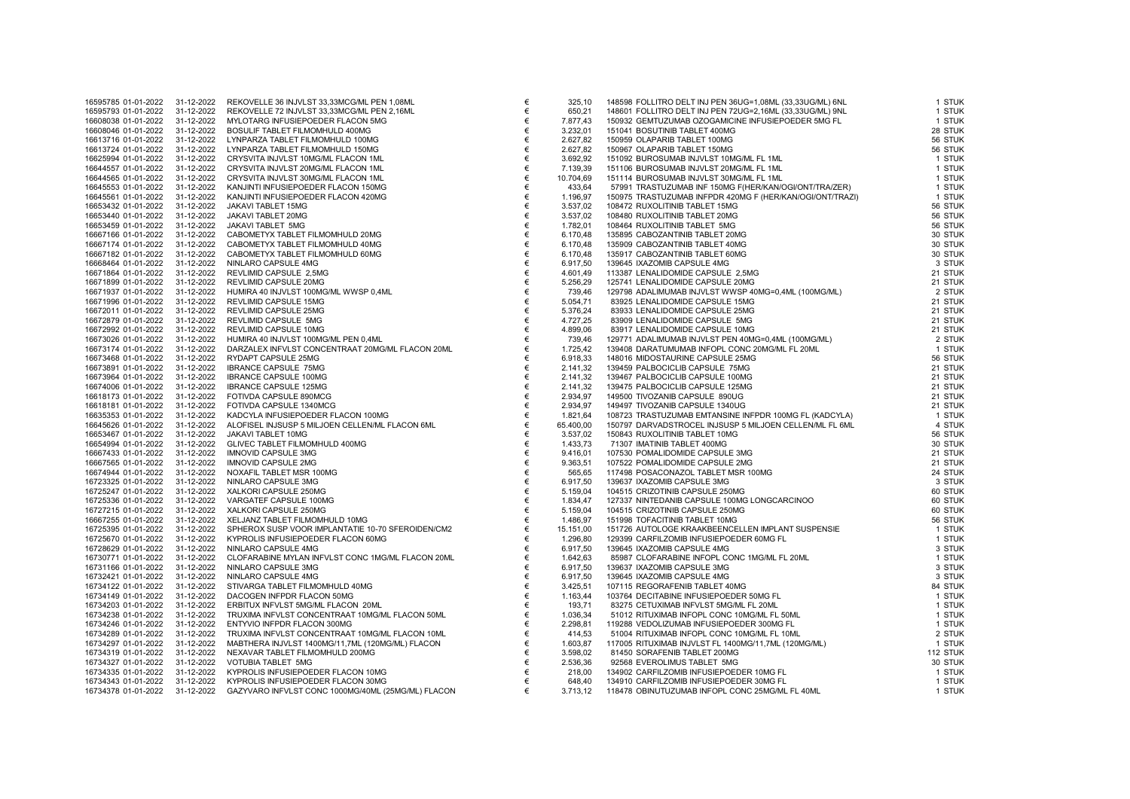| 16595785 01-01-2022            | 31-12-2022 | REKOVELLE 36 INJVLST 33,33MCG/ML PEN 1,08ML                                                                                                                                                                                                        | €     | 325,10    | 148598 FOLLITRO DELT INJ PEN 36UG=1,08ML (33,33UG/ML) 6NL                                                                                                                                                                                                                                   | 1 STUK   |
|--------------------------------|------------|----------------------------------------------------------------------------------------------------------------------------------------------------------------------------------------------------------------------------------------------------|-------|-----------|---------------------------------------------------------------------------------------------------------------------------------------------------------------------------------------------------------------------------------------------------------------------------------------------|----------|
| 16595793 01-01-2022            | 31-12-2022 | REKOVELLE 72 INJVLST 33,33MCG/ML PEN 2,16ML                                                                                                                                                                                                        | €     | 650,21    | 148601 FOLLITRO DELT INJ PEN 72UG=2,16ML (33,33UG/ML) 9NL<br>48601 FOLLITING LAND OZOGAMINUM LAND MARINDANISM CONTRACT SUPPORT AND SUPPORT THAT A SUPPORT ON THE SUPPORT ON THE SUPPORT ON THE SUPPORT ON THE SUPPORT ON THE SUPPORT ON THE SUPPORT ON THE SUPPORT ON THE SUPPORT ON THE SU | 1 STUK   |
| 16608038 01-01-2022            | 31-12-2022 | MYLOTARG INFUSIEPOEDER FLACON 5MG                                                                                                                                                                                                                  | €     | 7.877,43  |                                                                                                                                                                                                                                                                                             | 1 STUK   |
| 16608046 01-01-2022            | 31-12-2022 | BOSULIF TABLET FILMOMHULD 400MG                                                                                                                                                                                                                    | €     | 3.232,01  |                                                                                                                                                                                                                                                                                             | 28 STUK  |
| 16613716 01-01-2022            | 31-12-2022 | LYNPARZA TABLET FILMOMHULD 100MG                                                                                                                                                                                                                   | €     | 2.627,82  |                                                                                                                                                                                                                                                                                             | 56 STUK  |
| 16613724 01-01-2022            | 31-12-2022 | LYNPARZA TABLET FILMOMHULD 150MG                                                                                                                                                                                                                   | €     | 2.627,82  |                                                                                                                                                                                                                                                                                             | 56 STUK  |
| 16625994 01-01-2022            | 31-12-2022 | CRYSVITA INJVLST 10MG/ML FLACON 1ML                                                                                                                                                                                                                | €     | 3.692,92  |                                                                                                                                                                                                                                                                                             | 1 STUK   |
| 16644557 01-01-2022            | 31-12-2022 | CRYSVITA INJVLST 20MG/ML FLACON 1ML                                                                                                                                                                                                                | €     | 7.139,39  |                                                                                                                                                                                                                                                                                             | 1 STUK   |
| 16644565 01-01-2022            | 31-12-2022 | CRYSVITA INJVLST 30MG/ML FLACON 1ML                                                                                                                                                                                                                | €     | 10.704,69 |                                                                                                                                                                                                                                                                                             | 1 STUK   |
| 16645553 01-01-2022            | 31-12-2022 | KANJINTI INFUSIEPOEDER FLACON 150MG                                                                                                                                                                                                                | €     | 433,64    |                                                                                                                                                                                                                                                                                             | 1 STUK   |
| 16645561 01-01-2022            | 31-12-2022 | KANJINTI INFUSIEPOEDER FLACON 420MG                                                                                                                                                                                                                | €     | 1.196,97  |                                                                                                                                                                                                                                                                                             | 1 STUK   |
| 16653432 01-01-2022            | 31-12-2022 | JAKAVI TABLET 15MG                                                                                                                                                                                                                                 | €     | 3.537,02  | 108472 RUXOLITINIB TABLET 15MG                                                                                                                                                                                                                                                              | 56 STUK  |
| 16653440 01-01-2022            | 31-12-2022 | JAKAVI TABLET 20MG                                                                                                                                                                                                                                 | €     | 3.537,02  | 108480 RUXOLITINIB TABLET 20MG                                                                                                                                                                                                                                                              | 56 STUK  |
| 16653459 01-01-2022            | 31-12-2022 | JAKAVI TABLET 5MG                                                                                                                                                                                                                                  | €     | 1.782,01  | 108464 RUXOLITINIB TABLET 5MG                                                                                                                                                                                                                                                               | 56 STUK  |
| 16667166 01-01-2022            | 31-12-2022 | CABOMETYX TABLET FILMOMHULD 20MG                                                                                                                                                                                                                   | $\in$ | 6.170,48  | 135895 CABOZANTINIB TABLET 20MG                                                                                                                                                                                                                                                             | 30 STUK  |
| 16667174 01-01-2022            | 31-12-2022 | CABOMETYX TABLET FILMOMHULD 40MG                                                                                                                                                                                                                   | $\in$ | 6.170,48  | 135909 CABOZANTINIB TABLET 40MG                                                                                                                                                                                                                                                             | 30 STUK  |
| 16667182 01-01-2022            | 31-12-2022 | CABOMETYX TABLET FILMOMHULD 60MG                                                                                                                                                                                                                   | €     | 6.170,48  | 135917 CABOZANTINIB TABLET 60MG                                                                                                                                                                                                                                                             | 30 STUK  |
| 16668464 01-01-2022            | 31-12-2022 | NINLARO CAPSULE 4MG                                                                                                                                                                                                                                | $\in$ | 6.917,50  | 139645 IXAZOMIB CAPSULE 4MG                                                                                                                                                                                                                                                                 | 3 STUK   |
| 16671864 01-01-2022            | 31-12-2022 | REVLIMID CAPSULE 2,5MG                                                                                                                                                                                                                             | $\in$ | 4.601,49  | 113387 LENALIDOMIDE CAPSULE 2,5MG                                                                                                                                                                                                                                                           | 21 STUK  |
| 16671899 01-01-2022            | 31-12-2022 | REVLIMID CAPSULE 20MG                                                                                                                                                                                                                              | €     | 5.256,29  | 125741 LENALIDOMIDE CAPSULE 20MG                                                                                                                                                                                                                                                            | 21 STUK  |
| 16671937 01-01-2022            | 31-12-2022 | HUMIRA 40 INJVLST 100MG/ML WWSP 0,4ML                                                                                                                                                                                                              | $\in$ | 739,46    | 129798 ADALIMUMAB INJVLST WWSP 40MG=0,4ML (100MG/ML)                                                                                                                                                                                                                                        | 2 STUK   |
| 16671996 01-01-2022            | 31-12-2022 | REVLIMID CAPSULE 15MG                                                                                                                                                                                                                              | $\in$ | 5.054,71  | 83925 LENALIDOMIDE CAPSULE 15MG                                                                                                                                                                                                                                                             | 21 STUK  |
| 16672011 01-01-2022            | 31-12-2022 | REVLIMID CAPSULE 25MG                                                                                                                                                                                                                              | $\in$ | 5.376,24  | 83933 LENALIDOMIDE CAPSULE 25MG                                                                                                                                                                                                                                                             | 21 STUK  |
| 16672879 01-01-2022            | 31-12-2022 | REVLIMID CAPSULE 5MG                                                                                                                                                                                                                               | $\in$ | 4.727,25  | 83909 LENALIDOMIDE CAPSULE 5MG                                                                                                                                                                                                                                                              | 21 STUK  |
| 16672992 01-01-2022            | 31-12-2022 | REVLIMID CAPSULE 10MG                                                                                                                                                                                                                              | $\in$ | 4.899,06  | 83917 LENALIDOMIDE CAPSULE 10MG                                                                                                                                                                                                                                                             | 21 STUK  |
| 16673026 01-01-2022            | 31-12-2022 | HUMIRA 40 INJVLST 100MG/ML PEN 0,4ML                                                                                                                                                                                                               | $\in$ | 739,46    | 129771 ADALIMUMAB INJVLST PEN 40MG=0,4ML (100MG/ML)                                                                                                                                                                                                                                         | 2 STUK   |
| 16673174 01-01-2022            | 31-12-2022 | DARZALEX INFVLST CONCENTRAAT 20MG/ML FLACON 20ML                                                                                                                                                                                                   | $\in$ | 1.725,42  | 139408 DARATUMUMAB INFOPL CONC 20MG/ML FL 20ML                                                                                                                                                                                                                                              | 1 STUK   |
| 16673468 01-01-2022            | 31-12-2022 | RYDAPT CAPSULE 25MG                                                                                                                                                                                                                                | €     | 6.918,33  | 148016 MIDOSTAURINE CAPSULE 25MG                                                                                                                                                                                                                                                            | 56 STUK  |
| 16673891 01-01-2022            | 31-12-2022 | IBRANCE CAPSULE 75MG                                                                                                                                                                                                                               | €     | 2.141,32  | 139459 PALBOCICLIB CAPSULE 75MG                                                                                                                                                                                                                                                             | 21 STUK  |
| 16673964 01-01-2022            | 31-12-2022 | IBRANCE CAPSULE 75MG<br>IBRANCE CAPSULE 100MG<br>FOTIVDA CAPSULE 125MG<br>FOTIVDA CAPSULE 1340MCG<br>KADCYLA INFUSIEPOEDER FLACON 100MG<br>KADCYLA INFUSIEPOEDER FLACON 100MG<br>JALOFISEL INJSUSP 5 MILJOEN CELLEN/ML FLACON 6ML<br>JAKAVI TABLET | $\in$ | 2.141,32  | 139467 PALBOCICLIB CAPSULE 100MG                                                                                                                                                                                                                                                            | 21 STUK  |
| 16674006 01-01-2022            | 31-12-2022 |                                                                                                                                                                                                                                                    | €     | 2.141,32  | 139475 PALBOCICLIB CAPSULE 125MG                                                                                                                                                                                                                                                            | 21 STUK  |
| 16618173 01-01-2022            | 31-12-2022 |                                                                                                                                                                                                                                                    | €     | 2.934,97  | 149500 TIVOZANIB CAPSULE 890UG                                                                                                                                                                                                                                                              | 21 STUK  |
| 16618181 01-01-2022            | 31-12-2022 |                                                                                                                                                                                                                                                    | €     | 2.934,97  | 149497 TIVOZANIB CAPSULE 1340UG                                                                                                                                                                                                                                                             | 21 STUK  |
| 16635353 01-01-2022            | 31-12-2022 |                                                                                                                                                                                                                                                    | $\in$ | 1.821,64  | 108723 TRASTUZUMAB EMTANSINE INFPDR 100MG FL (KADCYLA)                                                                                                                                                                                                                                      | 1 STUK   |
| 16645626 01-01-2022            | 31-12-2022 |                                                                                                                                                                                                                                                    | €     | 65.400,00 | 150797 DARVADSTROCEL INJSUSP 5 MILJOEN CELLEN/ML FL 6ML                                                                                                                                                                                                                                     | 4 STUK   |
| 16653467 01-01-2022            | 31-12-2022 |                                                                                                                                                                                                                                                    | €     | 3.537,02  | 150843 RUXOLITINIB TABLET 10MG                                                                                                                                                                                                                                                              | 56 STUK  |
| 16654994 01-01-2022            | 31-12-2022 | GLIVEC TABLET FILMOMHULD 400MG                                                                                                                                                                                                                     | $\in$ | 1.433,73  | 71307 IMATINIB TABLET 400MG                                                                                                                                                                                                                                                                 | 30 STUK  |
| 16667433 01-01-2022            | 31-12-2022 | <b>IMNOVID CAPSULE 3MG</b>                                                                                                                                                                                                                         | €     | 9.416,01  | 107530 POMALIDOMIDE CAPSULE 3MG                                                                                                                                                                                                                                                             | 21 STUK  |
| 16667565 01-01-2022            | 31-12-2022 | <b>IMNOVID CAPSULE 2MG</b>                                                                                                                                                                                                                         | €     | 9.363,51  | 107522 POMALIDOMIDE CAPSULE 2MG                                                                                                                                                                                                                                                             | 21 STUK  |
| 16674944 01-01-2022            | 31-12-2022 | NOXAFIL TABLET MSR 100MG                                                                                                                                                                                                                           | $\in$ | 565,65    | 117498 POSACONAZOL TABLET MSR 100MG                                                                                                                                                                                                                                                         | 24 STUK  |
| 16723325 01-01-2022            | 31-12-2022 | NINLARO CAPSULE 3MG                                                                                                                                                                                                                                | $\in$ | 6.917,50  |                                                                                                                                                                                                                                                                                             | 3 STUK   |
| 16725247 01-01-2022            | 31-12-2022 | XALKORI CAPSULE 250MG                                                                                                                                                                                                                              | $\in$ | 5.159,04  |                                                                                                                                                                                                                                                                                             | 60 STUK  |
| 16725336 01-01-2022            | 31-12-2022 | VARGATEF CAPSULE 100MG                                                                                                                                                                                                                             | $\in$ | 1.834,47  |                                                                                                                                                                                                                                                                                             | 60 STUK  |
| 16727215 01-01-2022            | 31-12-2022 | XALKORI CAPSULE 250MG                                                                                                                                                                                                                              | $\in$ | 5.159,04  |                                                                                                                                                                                                                                                                                             | 60 STUK  |
| 16667255 01-01-2022            | 31-12-2022 | $\sqrt{6}$<br>E 14.70 CEC = 1<br>XELJANZ TABLET FILMOMHULD 10MG                                                                                                                                                                                    | €     | 1.486,97  | 199991 MALOINIB CAPSULE 3MG<br>104515 CRIZOTINIB CAPSULE 250MG<br>127337 NINTEDANIB CAPSULE 100MG LONGCARCINOO<br>104515 CRIZOTINIB CAPSULE 250MG<br>151998 TOFACITINIB TABLET 10MG                                                                                                         | 56 STUK  |
| 16725395 01-01-2022            | 31-12-2022 | SPHEROX SUSP VOOR IMPLANTATIE 10-70 SFEROIDEN/CM2<br>KYPROLIS INFUSIEPOEDER FLACON 60MG                                                                                                                                                            | €     | 15.151,00 | 151726 AUTOLOGE KRAAKBEENCELLEN IMPLANT SUSPENSIE<br>129399 CARFILZOMIB INFUSIEPOEDER 60MG FL                                                                                                                                                                                               | 1 STUK   |
| 16725670 01-01-2022            | 31-12-2022 | KYPROLIS INFUSIEPOEDER FLACON 60MG                                                                                                                                                                                                                 | €     | 1.296,80  |                                                                                                                                                                                                                                                                                             | 1 STUK   |
| 16728629 01-01-2022            | 31-12-2022 | NINLARO CAPSULE 4MG                                                                                                                                                                                                                                | €     | 6.917,50  |                                                                                                                                                                                                                                                                                             | 3 STUK   |
| 16730771 01-01-2022            | 31-12-2022 | CLOFARABINE MYLAN INFVLST CONC 1MG/ML FLACON 20ML                                                                                                                                                                                                  | $\in$ | 1.642,63  | 85987 CLOFARABINE INFOPL CONC 1MG/ML FL 20ML<br>139637 IXAZOMIB CAPSULE 3MG<br>19004F IXAZOMIB CAPSULE 3MG                                                                                                                                                                                  | 1 STUK   |
| 16731166 01-01-2022            | 31-12-2022 | NINLARO CAPSULE 3MG                                                                                                                                                                                                                                | €     | 6.917,50  |                                                                                                                                                                                                                                                                                             | 3 STUK   |
| 16732421 01-01-2022            | 31-12-2022 | NINLARO CAPSULE 4MG                                                                                                                                                                                                                                | $\in$ | 6.917,50  |                                                                                                                                                                                                                                                                                             | 3 STUK   |
| 16734122 01-01-2022            | 31-12-2022 | STIVARGA TABLET FILMOMHULD 40MG                                                                                                                                                                                                                    | $\in$ | 3.425,51  |                                                                                                                                                                                                                                                                                             | 84 STUK  |
| 16734149 01-01-2022            | 31-12-2022 | DACOGEN INFPDR FLACON 50MG                                                                                                                                                                                                                         | €     | 1.163,44  |                                                                                                                                                                                                                                                                                             | 1 STUK   |
| 16734203 01-01-2022            | 31-12-2022 | ERBITUX INFVLST 5MG/ML FLACON 20ML                                                                                                                                                                                                                 | €     | 193,71    |                                                                                                                                                                                                                                                                                             | 1 STUK   |
| 16734238 01-01-2022            | 31-12-2022 | TRUXIMA INFVLST CONCENTRAAT 10MG/ML FLACON 50ML                                                                                                                                                                                                    | $\in$ | 1.036,34  |                                                                                                                                                                                                                                                                                             | 1 STUK   |
| 16734246 01-01-2022            | 31-12-2022 | ENTYVIO INFPDR FLACON 300MG                                                                                                                                                                                                                        | €     | 2.298,81  | 3 UNIVERSIDE CAPSULE THE CONCINUE IN A STATEMENT OF CONCRETE SAMPLE SAMPLE AND STATEMENT OF SAMPLE AND STATEMENT CONCINUES And SAMPLE THE SAMPLE SAMPLE SAMPLE SAMPLE THE SAMPLE SAMPLE SAMPLE SAMPLE SAMPLE SAMPLE SAMPLE SAM                                                              | 1 STUK   |
| 16734289 01-01-2022            | 31-12-2022 | TRUXIMA INFVLST CONCENTRAAT 10MG/ML FLACON 10ML                                                                                                                                                                                                    | $\in$ | 414,53    |                                                                                                                                                                                                                                                                                             | 2 STUK   |
| 16734297 01-01-2022            | 31-12-2022 | MABTHERA INJVLST 1400MG/11,7ML (120MG/ML) FLACON                                                                                                                                                                                                   | €     | 1.603,87  |                                                                                                                                                                                                                                                                                             | 1 STUK   |
| 16734319 01-01-2022            | 31-12-2022 | NEXAVAR TABLET FILMOMHULD 200MG                                                                                                                                                                                                                    | $\in$ | 3.598,02  |                                                                                                                                                                                                                                                                                             | 112 STUK |
| 16734327 01-01-2022            | 31-12-2022 | VOTUBIA TABLET 5MG                                                                                                                                                                                                                                 | $\in$ | 2.536,36  |                                                                                                                                                                                                                                                                                             | 30 STUK  |
| 16734335 01-01-2022            | 31-12-2022 | KYPROLIS INFUSIEPOEDER FLACON 10MG                                                                                                                                                                                                                 | €     | 218,00    |                                                                                                                                                                                                                                                                                             | 1 STUK   |
| 16734343 01-01-2022            | 31-12-2022 | KYPROLIS INFUSIEPOEDER FLACON 30MG                                                                                                                                                                                                                 | €     | 648,40    |                                                                                                                                                                                                                                                                                             | 1 STUK   |
| 16734378 01-01-2022 31-12-2022 |            | GAZYVARO INFVLST CONC 1000MG/40ML (25MG/ML) FLACON                                                                                                                                                                                                 | €     | 3.713,12  |                                                                                                                                                                                                                                                                                             | 1 STUK   |
|                                |            |                                                                                                                                                                                                                                                    |       |           |                                                                                                                                                                                                                                                                                             |          |

| 325,10                | 148598 FOLLITRO DELT INJ PEN 36UG=1,08ML (33,33UG/ML) 6NL                                 | 1 STUI            |
|-----------------------|-------------------------------------------------------------------------------------------|-------------------|
| 650,21                | 148601 FOLLITRO DELT INJ PEN 72UG=2,16ML (33,33UG/ML) 9NL                                 | 1 STUI            |
| 7.877,43              | 150932 GEMTUZUMAB OZOGAMICINE INFUSIEPOEDER 5MG FL                                        | 1 STUI            |
| 3.232.01              | 151041 BOSUTINIB TABLET 400MG                                                             | 28 STUI           |
| 2.627.82              | 150959 OLAPARIB TABLET 100MG                                                              | 56 STUI           |
| 2.627,82              | 150967 OLAPARIB TABLET 150MG                                                              | 56 STUI           |
| 3.692,92              | 151092 BUROSUMAB INJVLST 10MG/ML FL 1ML                                                   | 1 STUI            |
| 7.139,39              | 151106 BUROSUMAB INJVLST 20MG/ML FL 1ML                                                   | 1 STUI            |
| 10.704,69             | 151114 BUROSUMAB INJVLST 30MG/ML FL 1ML                                                   | 1 STUI            |
| 433,64                | 57991 TRASTUZUMAB INF 150MG F(HER/KAN/OGI/ONT/TRA/ZER)                                    | 1 STUI            |
| 1.196,97              | 150975 TRASTUZUMAB INFPDR 420MG F (HER/KAN/OGI/ONT/TRAZI)                                 | 1 STUI            |
| 3.537,02              | 108472 RUXOLITINIB TABLET 15MG                                                            | 56 STUI           |
| 3.537,02              | 108480 RUXOLITINIB TABLET 20MG                                                            | 56 STUI           |
| 1.782,01              | 108464 RUXOLITINIB TABLET 5MG                                                             | 56 STUI           |
| 6.170,48              | 135895 CABOZANTINIB TABLET 20MG                                                           | 30 STUI           |
| 6.170,48              | 135909 CABOZANTINIB TABLET 40MG                                                           | 30 STUI           |
| 6.170,48              | 135917 CABOZANTINIB TABLET 60MG                                                           | 30 STUI           |
| 6.917,50              | 139645 IXAZOMIB CAPSULE 4MG                                                               | 3 STUI            |
| 4.601,49              | 113387 LENALIDOMIDE CAPSULE 2,5MG                                                         | 21 STUI           |
| 5.256,29              | 125741 LENALIDOMIDE CAPSULE 20MG                                                          | 21 STUI           |
| 739,46                | 129798 ADALIMUMAB INJVLST WWSP 40MG=0,4ML (100MG/ML)                                      | 2 STUI            |
| 5.054,71              | 83925 LENALIDOMIDE CAPSULE 15MG                                                           | 21 STUI           |
| 5.376,24              | 83933 LENALIDOMIDE CAPSULE 25MG                                                           | 21 STUI           |
| 4.727,25              | 83909 LENALIDOMIDE CAPSULE 5MG                                                            | 21 STUI           |
| 4.899,06              | 83917 LENALIDOMIDE CAPSULE 10MG                                                           | 21 STUI           |
| 739,46                | 129771 ADALIMUMAB INJVLST PEN 40MG=0,4ML (100MG/ML)                                       | 2 STUI            |
| 1.725,42              | 139408 DARATUMUMAB INFOPL CONC 20MG/ML FL 20ML                                            | 1 STUI            |
| 6.918,33              | 148016 MIDOSTAURINE CAPSULE 25MG                                                          | 56 STUI           |
| 2.141,32              | 139459 PALBOCICLIB CAPSULE 75MG                                                           | 21 STUI           |
| 2.141,32              | 139467 PALBOCICLIB CAPSULE 100MG                                                          | 21 STUI           |
| 2.141,32              | 139475 PALBOCICLIB CAPSULE 125MG                                                          | 21 STUI           |
| 2.934.97              | 149500 TIVOZANIB CAPSULE 890UG                                                            | 21 STUI           |
| 2.934,97              | 149497 TIVOZANIB CAPSULE 1340UG                                                           | 21 STUI           |
| 1.821.64              | 108723 TRASTUZUMAB EMTANSINE INFPDR 100MG FL (KADCYLA)                                    | 1 STU             |
| 65.400,00<br>3.537,02 | 150797 DARVADSTROCEL INJSUSP 5 MILJOEN CELLEN/ML FL 6ML<br>150843 RUXOLITINIB TABLET 10MG | 4 STUI<br>56 STUI |
| 1.433,73              | 71307 IMATINIB TABLET 400MG                                                               | 30 STUI           |
| 9.416,01              | 107530 POMALIDOMIDE CAPSULE 3MG                                                           | 21 STUI           |
| 9.363,51              | 107522 POMALIDOMIDE CAPSULE 2MG                                                           | 21 STUI           |
| 565,65                | 117498 POSACONAZOL TABLET MSR 100MG                                                       | 24 STUI           |
| 6.917,50              | 139637 IXAZOMIB CAPSULE 3MG                                                               | 3 STUI            |
| 5.159,04              | 104515 CRIZOTINIB CAPSULE 250MG                                                           | 60 STUI           |
| 1.834,47              | 127337 NINTEDANIB CAPSULE 100MG LONGCARCINOO                                              | 60 STUI           |
| 5.159,04              | 104515 CRIZOTINIB CAPSULE 250MG                                                           | 60 STUI           |
| 1.486,97              | 151998 TOFACITINIB TABLET 10MG                                                            | 56 STUI           |
| 15.151,00             | 151726 AUTOLOGE KRAAKBEENCELLEN IMPLANT SUSPENSIE                                         | 1 STUI            |
| 1.296,80              | 129399 CARFILZOMIB INFUSIEPOEDER 60MG FL                                                  | 1 STUI            |
| 6.917,50              | 139645 IXAZOMIB CAPSULE 4MG                                                               | 3 STUI            |
| 1.642,63              | 85987 CLOFARABINE INFOPL CONC 1MG/ML FL 20ML                                              | 1 STUI            |
| 6.917,50              | 139637 IXAZOMIB CAPSULE 3MG                                                               | 3 STUI            |
| 6.917,50              | 139645 IXAZOMIB CAPSULE 4MG                                                               | 3 STUI            |
| 3.425,51              | 107115 REGORAFENIB TABLET 40MG                                                            | 84 STUI           |
| 1.163,44              | 103764 DECITABINE INFUSIEPOEDER 50MG FL                                                   | 1 STUI            |
| 193,71                | 83275 CETUXIMAB INFVLST 5MG/ML FL 20ML                                                    | 1 STUI            |
| 1.036,34              | 51012 RITUXIMAB INFOPL CONC 10MG/ML FL 50ML                                               | 1 STUI            |
| 2.298,81              | 119288 VEDOLIZUMAB INFUSIEPOEDER 300MG FL                                                 | 1 STUI            |
| 414,53                | 51004 RITUXIMAB INFOPL CONC 10MG/ML FL 10ML                                               | 2 STUI            |
| 1.603,87              | 117005 RITUXIMAB INJVLST FL 1400MG/11,7ML (120MG/ML)                                      | 1 STUI            |
| 3.598,02              | 81450 SORAFENIB TABLET 200MG                                                              | <b>112 STUI</b>   |
| 2.536,36              | 92568 EVEROLIMUS TABLET 5MG                                                               | 30 STUI           |
| 218,00                | 134902 CARFILZOMIB INFUSIEPOEDER 10MG FL                                                  | 1 STUI            |
| 648,40                | 134910 CARFILZOMIB INFUSIEPOEDER 30MG FL                                                  | 1 STUI            |
| 3.713,12              | 118478 OBINUTUZUMAB INFOPL CONC 25MG/ML FL 40ML                                           | 1 STUI            |
|                       |                                                                                           |                   |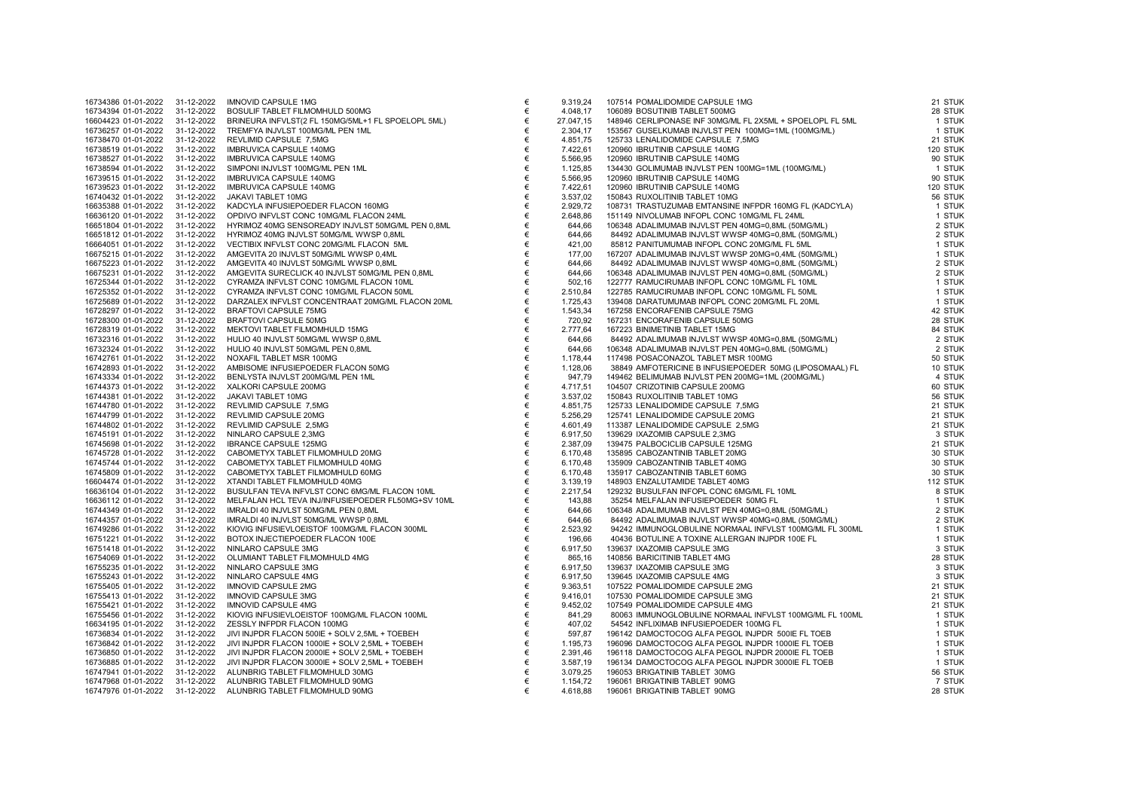|                                            | 16734386 01-01-2022 | 31-12-2022               | <b>IMNUVID CAPSULE TMG</b>                                         |
|--------------------------------------------|---------------------|--------------------------|--------------------------------------------------------------------|
| 16734394 01-01-2022                        |                     | 31-12-2022               | BOSULIF TABLET FILMOMHULD 500MG                                    |
| 16604423 01-01-2022                        |                     | 31-12-2022               | BRINEURA INFVLST(2 FL 150MG/5ML+1 FL SPOELOPL 5ML)                 |
| 16736257 01-01-2022                        |                     | 31-12-2022               | TREMFYA INJVLST 100MG/ML PEN 1ML                                   |
| 16738470 01-01-2022                        |                     | 31-12-2022               | REVLIMID CAPSULE 7,5MG                                             |
| 16738519 01-01-2022                        |                     | 31-12-2022               | IMBRUVICA CAPSULE 140MG                                            |
| 16738527 01-01-2022                        |                     | 31-12-2022               | IMBRUVICA CAPSULE 140MG                                            |
| 16738594 01-01-2022                        |                     | 31-12-2022               | SIMPONI INJVLST 100MG/ML PEN 1ML                                   |
| 16739515 01-01-2022                        |                     | 31-12-2022               | IMBRUVICA CAPSULE 140MG                                            |
| 16739523 01-01-2022                        |                     | 31-12-2022               | IMBRUVICA CAPSULE 140MG                                            |
| 16740432 01-01-2022                        |                     | 31-12-2022               | JAKAVI TABLET 10MG                                                 |
| 16635388 01-01-2022                        |                     | 31-12-2022               | KADCYLA INFUSIEPOEDER FLACON 160MG                                 |
| 16636120 01-01-2022                        |                     | 31-12-2022               | OPDIVO INFVLST CONC 10MG/ML FLACON 24ML                            |
| 16651804 01-01-2022                        |                     | 31-12-2022               | HYRIMOZ 40MG SENSOREADY INJVLST 50MG/ML PEN 0,8ML                  |
| 16651812 01-01-2022                        |                     | 31-12-2022               |                                                                    |
|                                            |                     |                          | HYRIMOZ 40MG INJVLST 50MG/ML WWSP 0,8ML                            |
| 16664051 01-01-2022                        |                     | 31-12-2022               | VECTIBIX INFVLST CONC 20MG/ML FLACON 5ML                           |
| 16675215 01-01-2022                        |                     | 31-12-2022               | AMGEVITA 20 INJVLST 50MG/ML WWSP 0,4ML                             |
| 16675223 01-01-2022                        |                     | 31-12-2022               | AMGEVITA 40 INJVLST 50MG/ML WWSP 0,8ML                             |
| 16675231 01-01-2022                        |                     | 31-12-2022               | AMGEVITA SURECLICK 40 INJVLST 50MG/ML PEN 0,8ML                    |
| 16725344 01-01-2022                        |                     | 31-12-2022               | CYRAMZA INFVLST CONC 10MG/ML FLACON 10ML                           |
| 16725352 01-01-2022                        |                     | 31-12-2022               | CYRAMZA INFVLST CONC 10MG/ML FLACON 50ML                           |
| 16725689 01-01-2022                        |                     | 31-12-2022               | DARZALEX INFVLST CONCENTRAAT 20MG/ML FLACON 20ML                   |
| 16728297 01-01-2022                        |                     | 31-12-2022               | <b>BRAFTOVI CAPSULE 75MG</b>                                       |
| 16728300 01-01-2022                        |                     | 31-12-2022               | BRAFTOVI CAPSULE 50MG                                              |
| 16728319 01-01-2022                        |                     | 31-12-2022               | MEKTOVI TABLET FILMOMHULD 15MG                                     |
| 16732316 01-01-2022                        |                     | 31-12-2022               | HULIO 40 INJVLST 50MG/ML WWSP 0,8ML                                |
| 16732324 01-01-2022                        |                     | 31-12-2022               | HULIO 40 INJVLST 50MG/ML PEN 0,8ML                                 |
| 16742761 01-01-2022                        |                     | 31-12-2022               | NOXAFIL TABLET MSR 100MG                                           |
| 16742893 01-01-2022                        |                     | 31-12-2022               | AMBISOME INFUSIEPOEDER FLACON 50MG                                 |
| 16743334 01-01-2022                        |                     | 31-12-2022               | BENLYSTA INJVLST 200MG/ML PEN 1ML                                  |
| 16744373 01-01-2022                        |                     | 31-12-2022               | XALKORI CAPSULE 200MG                                              |
| 16744381 01-01-2022                        |                     | 31-12-2022               | JAKAVI TABLET 10MG                                                 |
| 16744780 01-01-2022                        |                     | 31-12-2022               | REVLIMID CAPSULE 7,5MG                                             |
|                                            |                     |                          |                                                                    |
|                                            |                     |                          |                                                                    |
| 16744799 01-01-2022                        |                     | 31-12-2022               | REVLIMID CAPSULE 20MG                                              |
| 16744802 01-01-2022                        |                     | 31-12-2022               | REVLIMID CAPSULE 2,5MG                                             |
| 16745191 01-01-2022                        |                     | 31-12-2022               | NINLARO CAPSULE 2,3MG                                              |
| 16745698 01-01-2022                        |                     | 31-12-2022               | <b>IBRANCE CAPSULE 125MG</b>                                       |
| 16745728 01-01-2022                        |                     | 31-12-2022               | CABOMETYX TABLET FILMOMHULD 20MG                                   |
| 16745744 01-01-2022                        |                     | 31-12-2022               | CABOMETYX TABLET FILMOMHULD 40MG                                   |
| 16745809 01-01-2022                        |                     | 31-12-2022               | CABOMETYX TABLET FILMOMHULD 60MG                                   |
| 16604474 01-01-2022                        |                     | 31-12-2022               | XTANDI TABLET FILMOMHULD 40MG                                      |
| 16636104 01-01-2022                        |                     | 31-12-2022               | BUSULFAN TEVA INFVLST CONC 6MG/ML FLACON 10ML                      |
| 16636112 01-01-2022                        |                     | 31-12-2022               | MELFALAN HCL TEVA INJ/INFUSIEPOEDER FL50MG+SV 10ML                 |
| 16744349 01-01-2022                        |                     | 31-12-2022               | IMRALDI 40 INJVLST 50MG/ML PEN 0,8ML                               |
| 16744357 01-01-2022                        |                     | 31-12-2022               | IMRALDI 40 INJVLST 50MG/ML WWSP 0,8ML                              |
| 16749286 01-01-2022                        |                     | 31-12-2022               | KIOVIG INFUSIEVLOEISTOF 100MG/ML FLACON 300ML                      |
| 16751221 01-01-2022                        |                     | 31-12-2022               | BOTOX INJECTIEPOEDER FLACON 100E                                   |
| 16751418 01-01-2022                        |                     | 31-12-2022               | NINLARO CAPSULE 3MG                                                |
| 16754069 01-01-2022                        |                     | 31-12-2022               | OLUMIANT TABLET FILMOMHULD 4MG                                     |
| 16755235 01-01-2022                        |                     | 31-12-2022               | NINLARO CAPSULE 3MG                                                |
| 16755243 01-01-2022                        |                     | 31-12-2022               | NINLARO CAPSULE 4MG                                                |
| 16755405 01-01-2022                        |                     | 31-12-2022               | <b>IMNOVID CAPSULE 2MG</b>                                         |
| 16755413 01-01-2022                        |                     | 31-12-2022               | IMNOVID CAPSULE 3MG                                                |
| 16755421 01-01-2022                        |                     | 31-12-2022               | <b>IMNOVID CAPSULE 4MG</b>                                         |
| 16755456 01-01-2022                        |                     | 31-12-2022               | KIOVIG INFUSIEVLOEISTOF 100MG/ML FLACON 100ML                      |
| 16634195 01-01-2022                        |                     | 31-12-2022               | ZESSLY INFPDR FLACON 100MG                                         |
|                                            |                     |                          |                                                                    |
| 16736834 01-01-2022                        |                     | 31-12-2022               | JIVI INJPDR FLACON 500IE + SOLV 2,5ML + TOEBEH                     |
| 16736842 01-01-2022                        |                     | 31-12-2022               | JIVI INJPDR FLACON 1000IE + SOLV 2,5ML + TOEBEH                    |
| 16736850 01-01-2022                        |                     | 31-12-2022               | JIVI INJPDR FLACON 2000IE + SOLV 2,5ML + TOEBEH                    |
| 16736885 01-01-2022                        |                     | 31-12-2022               | JIVI INJPDR FLACON 3000IE + SOLV 2,5ML + TOEBEH                    |
| 16747941 01-01-2022                        |                     | 31-12-2022               | ALUNBRIG TABLET FILMOMHULD 30MG                                    |
| 16747968 01-01-2022<br>16747976 01-01-2022 |                     | 31-12-2022<br>31-12-2022 | ALUNBRIG TABLET FILMOMHULD 90MG<br>ALUNBRIG TABLET FILMOMHULD 90MG |

| 16734386 01-01-2022                        | 31-12-2022 | <b>IMNOVID CAPSULE 1MG</b>                               | €      | 9.319,24             | 107514 POMALIDOMIDE CAPSULE 1MG                                    | 21 STUK           |
|--------------------------------------------|------------|----------------------------------------------------------|--------|----------------------|--------------------------------------------------------------------|-------------------|
| 16734394 01-01-2022                        | 31-12-2022 | BOSULIF TABLET FILMOMHULD 500MG                          | €      | 4.048,17             | 106089 BOSUTINIB TABLET 500MG                                      | 28 STUK           |
| 16604423 01-01-2022                        | 31-12-2022 | BRINEURA INFVLST(2 FL 150MG/5ML+1 FL SPOELOPL 5ML)       | €      | 27.047,15            | 148946 CERLIPONASE INF 30MG/ML FL 2X5ML + SPOELOPL FL 5ML          | 1 STUK            |
| 16736257 01-01-2022                        | 31-12-2022 | TREMFYA INJVLST 100MG/ML PEN 1ML                         | €      | 2.304,17             | 153567 GUSELKUMAB INJVLST PEN 100MG=1ML (100MG/ML)                 | 1 STUK            |
| 16738470 01-01-2022                        | 31-12-2022 | REVLIMID CAPSULE 7,5MG                                   | €      | 4.851,75             | 125733 LENALIDOMIDE CAPSULE 7,5MG                                  | 21 STUK           |
| 16738519 01-01-2022                        | 31-12-2022 | IMBRUVICA CAPSULE 140MG                                  | €      | 7.422,61             | 120960 IBRUTINIB CAPSULE 140MG                                     | 120 STUK          |
| 16738527 01-01-2022                        | 31-12-2022 | IMBRUVICA CAPSULE 140MG                                  | €      | 5.566,95             | 120960 IBRUTINIB CAPSULE 140MG                                     | 90 STUK           |
| 16738594 01-01-2022                        | 31-12-2022 | SIMPONI INJVLST 100MG/ML PEN 1ML                         | €      | 1.125,85             | 134430 GOLIMUMAB INJVLST PEN 100MG=1ML (100MG/ML)                  | 1 STUK            |
| 16739515 01-01-2022                        | 31-12-2022 | IMBRUVICA CAPSULE 140MG                                  | €      | 5.566,95             | 120960 IBRUTINIB CAPSULE 140MG                                     | 90 STUK           |
| 16739523 01-01-2022                        | 31-12-2022 | IMBRUVICA CAPSULE 140MG                                  | €      | 7.422,61             | 120960 IBRUTINIB CAPSULE 140MG                                     | 120 STUK          |
| 16740432 01-01-2022                        | 31-12-2022 | JAKAVI TABLET 10MG                                       | €      | 3.537,02             | 150843 RUXOLITINIB TABLET 10MG                                     | 56 STUK           |
| 16635388 01-01-2022                        | 31-12-2022 | KADCYLA INFUSIEPOEDER FLACON 160MG                       | €      | 2.929,72             | 108731 TRASTUZUMAB EMTANSINE INFPDR 160MG FL (KADCYLA)             | 1 STUK            |
| 16636120 01-01-2022                        | 31-12-2022 | OPDIVO INFVLST CONC 10MG/ML FLACON 24ML                  | €      | 2.648,86             | 151149 NIVOLUMAB INFOPL CONC 10MG/ML FL 24ML                       | 1 STUK            |
| 16651804 01-01-2022                        | 31-12-2022 | HYRIMOZ 40MG SENSOREADY INJVLST 50MG/ML PEN 0,8ML        | €      | 644,66               | 106348 ADALIMUMAB INJVLST PEN 40MG=0,8ML (50MG/ML)                 | 2 STUK            |
| 16651812 01-01-2022                        | 31-12-2022 | HYRIMOZ 40MG INJVLST 50MG/ML WWSP 0,8ML                  | €      | 644,66               | 84492 ADALIMUMAB INJVLST WWSP 40MG=0,8ML (50MG/ML)                 | 2 STUK            |
| 16664051 01-01-2022                        | 31-12-2022 | VECTIBIX INFVLST CONC 20MG/ML FLACON 5ML                 | €      | 421,00               | 85812 PANITUMUMAB INFOPL CONC 20MG/ML FL 5ML                       | 1 STUK            |
| 16675215 01-01-2022                        | 31-12-2022 | AMGEVITA 20 INJVLST 50MG/ML WWSP 0,4ML                   | €      | 177,00               | 167207 ADALIMUMAB INJVLST WWSP 20MG=0,4ML (50MG/ML)                | 1 STUK            |
| 16675223 01-01-2022                        | 31-12-2022 | AMGEVITA 40 INJVLST 50MG/ML WWSP 0,8ML                   | €      | 644,66               | 84492 ADALIMUMAB INJVLST WWSP 40MG=0,8ML (50MG/ML)                 | 2 STUK            |
| 16675231 01-01-2022                        | 31-12-2022 | AMGEVITA SURECLICK 40 INJVLST 50MG/ML PEN 0,8ML          | €      | 644,66               | 106348 ADALIMUMAB INJVLST PEN 40MG=0,8ML (50MG/ML)                 | 2 STUK            |
| 16725344 01-01-2022                        | 31-12-2022 | CYRAMZA INFVLST CONC 10MG/ML FLACON 10ML                 | €      | 502,16               | 122777 RAMUCIRUMAB INFOPL CONC 10MG/ML FL 10ML                     | 1 STUK            |
| 16725352 01-01-2022                        | 31-12-2022 | CYRAMZA INFVLST CONC 10MG/ML FLACON 50ML                 | €      | 2.510,84             | 122785 RAMUCIRUMAB INFOPL CONC 10MG/ML FL 50ML                     | 1 STUK            |
| 16725689 01-01-2022                        | 31-12-2022 | DARZALEX INFVLST CONCENTRAAT 20MG/ML FLACON 20ML         | €      | 1.725,43             | 139408 DARATUMUMAB INFOPL CONC 20MG/ML FL 20ML                     | 1 STUK            |
| 16728297 01-01-2022                        | 31-12-2022 | <b>BRAFTOVI CAPSULE 75MG</b>                             | €      | 1.543,34             | 167258 ENCORAFENIB CAPSULE 75MG                                    | 42 STUK           |
| 16728300 01-01-2022                        | 31-12-2022 | BRAFTOVI CAPSULE 50MG                                    | €      | 720,92               | 167231 ENCORAFENIB CAPSULE 50MG                                    | 28 STUK           |
| 16728319 01-01-2022                        | 31-12-2022 | MEKTOVI TABLET FILMOMHULD 15MG                           | €      | 2.777,64             | 167223 BINIMETINIB TABLET 15MG                                     | 84 STUK           |
| 16732316 01-01-2022                        | 31-12-2022 | HULIO 40 INJVLST 50MG/ML WWSP 0,8ML                      | €      | 644,66               | 84492 ADALIMUMAB INJVLST WWSP 40MG=0,8ML (50MG/ML)                 | 2 STUK            |
| 16732324 01-01-2022                        | 31-12-2022 | HULIO 40 INJVLST 50MG/ML PEN 0,8ML                       | €      | 644,66               | 106348 ADALIMUMAB INJVLST PEN 40MG=0,8ML (50MG/ML)                 | 2 STUK            |
| 16742761 01-01-2022                        | 31-12-2022 | NOXAFIL TABLET MSR 100MG                                 | €      | 1.178,44             | 117498 POSACONAZOL TABLET MSR 100MG                                | 50 STUK           |
| 16742893 01-01-2022                        | 31-12-2022 | AMBISOME INFUSIEPOEDER FLACON 50MG                       | €      | 1.128,06             | 38849 AMFOTERICINE B INFUSIEPOEDER 50MG (LIPOSOMAAL) FL            | 10 STUK           |
| 16743334 01-01-2022                        | 31-12-2022 | BENLYSTA INJVLST 200MG/ML PEN 1ML                        | €      | 947,79               | 149462 BELIMUMAB INJVLST PEN 200MG=1ML (200MG/ML)                  | 4 STUK            |
| 16744373 01-01-2022                        | 31-12-2022 | XALKORI CAPSULE 200MG                                    | €      | 4.717,51             | 104507 CRIZOTINIB CAPSULE 200MG                                    | 60 STUK           |
| 16744381 01-01-2022                        | 31-12-2022 | JAKAVI TABLET 10MG                                       | €      | 3.537,02             | 150843 RUXOLITINIB TABLET 10MG                                     | 56 STUK           |
| 16744780 01-01-2022                        | 31-12-2022 | REVLIMID CAPSULE 7,5MG                                   | €      | 4.851,75             | 125733 LENALIDOMIDE CAPSULE 7,5MG                                  | 21 STUK           |
| 16744799 01-01-2022                        | 31-12-2022 | REVLIMID CAPSULE 20MG                                    | €      | 5.256,29             | 125741 LENALIDOMIDE CAPSULE 20MG                                   | 21 STUK           |
| 16744802 01-01-2022                        | 31-12-2022 | REVLIMID CAPSULE 2,5MG                                   | €      | 4.601,49             | 113387 LENALIDOMIDE CAPSULE 2,5MG                                  | 21 STUK           |
| 16745191 01-01-2022                        | 31-12-2022 | NINLARO CAPSULE 2,3MG                                    | €      | 6.917,50             | 139629 IXAZOMIB CAPSULE 2,3MG                                      | 3 STUK            |
| 16745698 01-01-2022                        | 31-12-2022 | <b>IBRANCE CAPSULE 125MG</b>                             | €      | 2.387,09             | 139475 PALBOCICLIB CAPSULE 125MG                                   | 21 STUK           |
| 16745728 01-01-2022                        | 31-12-2022 | CABOMETYX TABLET FILMOMHULD 20MG                         | €      | 6.170,48             | 135895 CABOZANTINIB TABLET 20MG                                    | 30 STUK           |
| 16745744 01-01-2022                        | 31-12-2022 | CABOMETYX TABLET FILMOMHULD 40MG                         | €      | 6.170,48             | 135909 CABOZANTINIB TABLET 40MG                                    | 30 STUK           |
| 16745809 01-01-2022                        | 31-12-2022 | CABOMETYX TABLET FILMOMHULD 60MG                         | €      | 6.170,48             | 135917 CABOZANTINIB TABLET 60MG                                    | 30 STUK           |
| 16604474 01-01-2022                        | 31-12-2022 | XTANDI TABLET FILMOMHULD 40MG                            | €      | 3.139,19             | 148903 ENZALUTAMIDE TABLET 40MG                                    | 112 STUK          |
| 16636104 01-01-2022                        | 31-12-2022 | BUSULFAN TEVA INFVLST CONC 6MG/ML FLACON 10ML            | €      | 2.217,54             | 129232 BUSULFAN INFOPL CONC 6MG/ML FL 10ML                         | 8 STUK            |
| 16636112 01-01-2022                        | 31-12-2022 | MELFALAN HCL TEVA INJ/INFUSIEPOEDER FL50MG+SV 10ML       | €      | 143,88               | 35254 MELFALAN INFUSIEPOEDER 50MG FL                               | 1 STUK            |
| 16744349 01-01-2022                        | 31-12-2022 | IMRALDI 40 INJVLST 50MG/ML PEN 0,8ML                     | €      | 644,66               | 106348 ADALIMUMAB INJVLST PEN 40MG=0,8ML (50MG/ML)                 | 2 STUK            |
| 16744357 01-01-2022                        | 31-12-2022 | IMRALDI 40 INJVLST 50MG/ML WWSP 0,8ML                    | €      | 644,66               | 84492 ADALIMUMAB INJVLST WWSP 40MG=0,8ML (50MG/ML)                 | 2 STUK            |
| 16749286 01-01-2022                        | 31-12-2022 | KIOVIG INFUSIEVLOEISTOF 100MG/ML FLACON 300ML            | €      | 2.523,92             | 94242 IMMUNOGLOBULINE NORMAAL INFVLST 100MG/ML FL 300ML            | 1 STUK            |
| 16751221 01-01-2022                        | 31-12-2022 | BOTOX INJECTIEPOEDER FLACON 100E                         | €      | 196,66               | 40436 BOTULINE A TOXINE ALLERGAN INJPDR 100E FL                    | 1 STUK            |
| 16751418 01-01-2022                        | 31-12-2022 | NINLARO CAPSULE 3MG                                      | €      | 6.917,50             | 139637 IXAZOMIB CAPSULE 3MG                                        | 3 STUK            |
| 16754069 01-01-2022                        | 31-12-2022 | OLUMIANT TABLET FILMOMHULD 4MG                           | €      | 865,16               | 140856 BARICITINIB TABLET 4MG                                      | 28 STUK           |
| 16755235 01-01-2022                        | 31-12-2022 | NINLARO CAPSULE 3MG                                      | €      | 6.917,50             | 139637 IXAZOMIB CAPSULE 3MG                                        | 3 STUK            |
| 16755243 01-01-2022                        | 31-12-2022 | NINLARO CAPSULE 4MG                                      | €      | 6.917,50             | 139645 IXAZOMIB CAPSULE 4MG                                        |                   |
|                                            | 31-12-2022 |                                                          | €      |                      |                                                                    | 3 STUK<br>21 STUK |
| 16755405 01-01-2022<br>16755413 01-01-2022 | 31-12-2022 | <b>IMNOVID CAPSULE 2MG</b><br><b>IMNOVID CAPSULE 3MG</b> | €      | 9.363,51<br>9.416,01 | 107522 POMALIDOMIDE CAPSULE 2MG<br>107530 POMALIDOMIDE CAPSULE 3MG | 21 STUK           |
|                                            |            |                                                          | $\in$  |                      |                                                                    |                   |
| 16755421 01-01-2022                        | 31-12-2022 | <b>IMNOVID CAPSULE 4MG</b>                               |        | 9.452,02             | 107549 POMALIDOMIDE CAPSULE 4MG                                    | 21 STUK           |
| 16755456 01-01-2022                        | 31-12-2022 | KIOVIG INFUSIEVLOEISTOF 100MG/ML FLACON 100ML            | €<br>€ | 841,29               | 80063 IMMUNOGLOBULINE NORMAAL INFVLST 100MG/ML FL 100ML            | 1 STUK            |
| 16634195 01-01-2022                        | 31-12-2022 | ZESSLY INFPDR FLACON 100MG                               |        | 407,02               | 54542 INFLIXIMAB INFUSIEPOEDER 100MG FL                            | 1 STUK            |
| 16736834 01-01-2022                        | 31-12-2022 | JIVI INJPDR FLACON 500IE + SOLV 2,5ML + TOEBEH           | €      | 597,87               | 196142 DAMOCTOCOG ALFA PEGOL INJPDR 500IE FL TOEB                  | 1 STUK            |
| 16736842 01-01-2022                        | 31-12-2022 | JIVI INJPDR FLACON 1000IE + SOLV 2,5ML + TOEBEH          | €      | 1.195,73             | 196096 DAMOCTOCOG ALFA PEGOL INJPDR 1000IE FL TOEB                 | 1 STUK            |
| 16736850 01-01-2022                        | 31-12-2022 | JIVI INJPDR FLACON 2000IE + SOLV 2,5ML + TOEBEH          | €      | 2.391,46             | 196118 DAMOCTOCOG ALFA PEGOL INJPDR 2000IE FL TOEB                 | 1 STUK            |
| 16736885 01-01-2022                        | 31-12-2022 | JIVI INJPDR FLACON 3000IE + SOLV 2,5ML + TOEBEH          | €      | 3.587,19             | 196134 DAMOCTOCOG ALFA PEGOL INJPDR 3000IE FL TOEB                 | 1 STUK            |
| 16747941 01-01-2022                        | 31-12-2022 | ALUNBRIG TABLET FILMOMHULD 30MG                          | €      | 3.079,25             | 196053 BRIGATINIB TABLET 30MG                                      | 56 STUK           |
| 16747968 01-01-2022                        | 31-12-2022 | ALUNBRIG TABLET FILMOMHULD 90MG                          | €      | 1.154,72             | 196061 BRIGATINIB TABLET 90MG                                      | 7 STUK            |
| 16747976 01-01-2022                        | 31-12-2022 | ALUNBRIG TABLET FILMOMHULD 90MG                          | €      | 4.618,88             | 196061 BRIGATINIB TABLET 90MG                                      | 28 STUK           |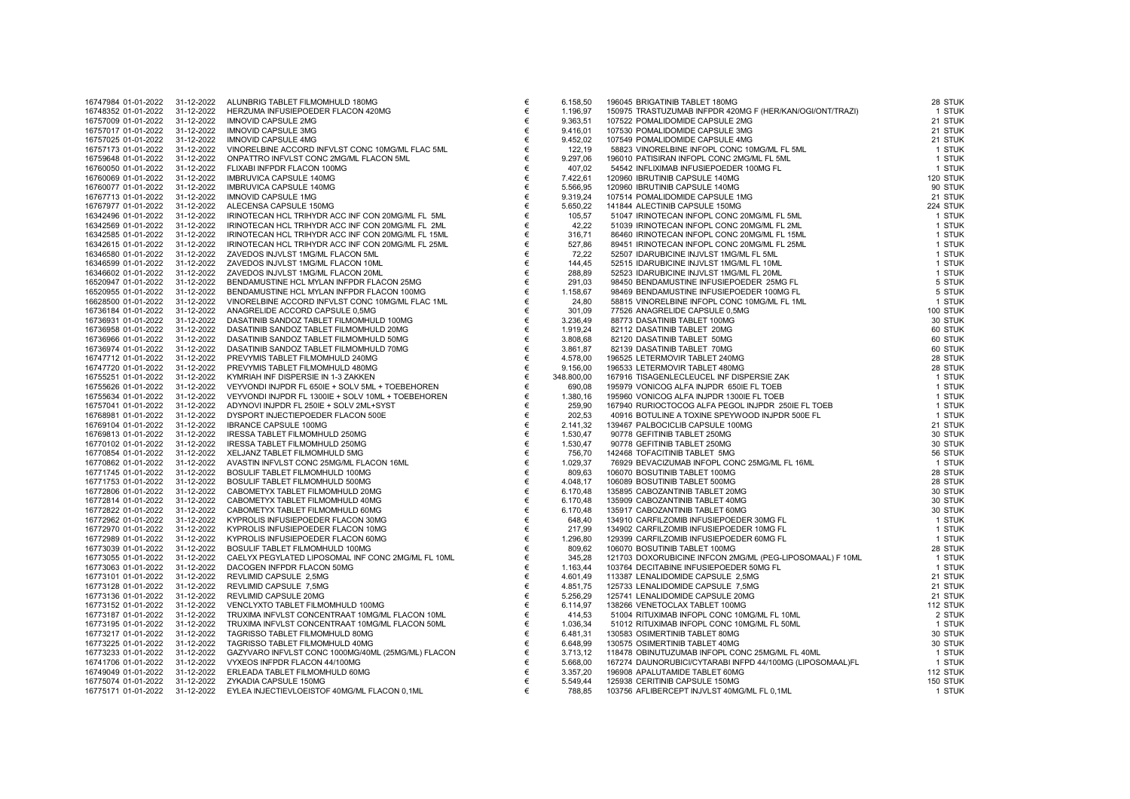| 16747984 01-01-2022 | 31-12-2022 | ALUNBRIG TABLET FILMOMHULD 180MG                   |
|---------------------|------------|----------------------------------------------------|
| 16748352 01-01-2022 | 31-12-2022 | HERZUMA INFUSIEPOEDER FLACON 420MG                 |
| 16757009 01-01-2022 | 31-12-2022 | <b>IMNOVID CAPSULE 2MG</b>                         |
| 16757017 01-01-2022 | 31-12-2022 | <b>IMNOVID CAPSULE 3MG</b>                         |
| 16757025 01-01-2022 | 31-12-2022 | <b>IMNOVID CAPSULE 4MG</b>                         |
| 16757173 01-01-2022 | 31-12-2022 | VINORELBINE ACCORD INFVLST CONC 10MG/ML FLAC 5ML   |
| 16759648 01-01-2022 | 31-12-2022 | ONPATTRO INFVLST CONC 2MG/ML FLACON 5ML            |
| 16760050 01-01-2022 | 31-12-2022 | FLIXABI INFPDR FLACON 100MG                        |
| 16760069 01-01-2022 | 31-12-2022 | IMBRUVICA CAPSULE 140MG                            |
| 16760077 01-01-2022 | 31-12-2022 | IMBRUVICA CAPSULE 140MG                            |
| 16767713 01-01-2022 | 31-12-2022 | <b>IMNOVID CAPSULE 1MG</b>                         |
| 16767977 01-01-2022 | 31-12-2022 | ALECENSA CAPSULE 150MG                             |
| 16342496 01-01-2022 | 31-12-2022 | IRINOTECAN HCL TRIHYDR ACC INF CON 20MG/ML FL 5ML  |
|                     |            |                                                    |
| 16342569 01-01-2022 | 31-12-2022 | IRINOTECAN HCL TRIHYDR ACC INF CON 20MG/ML FL 2ML  |
| 16342585 01-01-2022 | 31-12-2022 | IRINOTECAN HCL TRIHYDR ACC INF CON 20MG/ML FL 15ML |
| 16342615 01-01-2022 | 31-12-2022 | IRINOTECAN HCL TRIHYDR ACC INF CON 20MG/ML FL 25ML |
| 16346580 01-01-2022 | 31-12-2022 | ZAVEDOS INJVLST 1MG/ML FLACON 5ML                  |
| 16346599 01-01-2022 | 31-12-2022 | ZAVEDOS INJVLST 1MG/ML FLACON 10ML                 |
| 16346602 01-01-2022 | 31-12-2022 | ZAVEDOS INJVLST 1MG/ML FLACON 20ML                 |
| 16520947 01-01-2022 | 31-12-2022 | BENDAMUSTINE HCL MYLAN INFPDR FLACON 25MG          |
| 16520955 01-01-2022 | 31-12-2022 | BENDAMUSTINE HCL MYLAN INFPDR FLACON 100MG         |
| 16628500 01-01-2022 | 31-12-2022 | VINORELBINE ACCORD INFVLST CONC 10MG/ML FLAC 1ML   |
| 16736184 01-01-2022 | 31-12-2022 | ANAGRELIDE ACCORD CAPSULE 0,5MG                    |
| 16736931 01-01-2022 | 31-12-2022 | DASATINIB SANDOZ TABLET FILMOMHULD 100MG           |
| 16736958 01-01-2022 | 31-12-2022 | DASATINIB SANDOZ TABLET FILMOMHULD 20MG            |
| 16736966 01-01-2022 | 31-12-2022 | DASATINIB SANDOZ TABLET FILMOMHULD 50MG            |
| 16736974 01-01-2022 | 31-12-2022 | DASATINIB SANDOZ TABLET FILMOMHULD 70MG            |
| 16747712 01-01-2022 | 31-12-2022 | PREVYMIS TABLET FILMOMHULD 240MG                   |
| 16747720 01-01-2022 | 31-12-2022 | PREVYMIS TABLET FILMOMHULD 480MG                   |
| 16755251 01-01-2022 | 31-12-2022 | KYMRIAH INF DISPERSIE IN 1-3 ZAKKEN                |
| 16755626 01-01-2022 | 31-12-2022 | VEYVONDI INJPDR FL 650IE + SOLV 5ML + TOEBEHOREN   |
|                     |            | VEYVONDI INJPDR FL 1300IE + SOLV 10ML + TOEBEHOREN |
| 16755634 01-01-2022 | 31-12-2022 |                                                    |
| 16757041 01-01-2022 | 31-12-2022 | ADYNOVI INJPDR FL 250IE + SOLV 2ML+SYST            |
| 16768981 01-01-2022 | 31-12-2022 | DYSPORT INJECTIEPOEDER FLACON 500E                 |
| 16769104 01-01-2022 | 31-12-2022 | <b>IBRANCE CAPSULE 100MG</b>                       |
| 16769813 01-01-2022 | 31-12-2022 | IRESSA TABLET FILMOMHULD 250MG                     |
| 16770102 01-01-2022 | 31-12-2022 | IRESSA TABLET FILMOMHULD 250MG                     |
| 16770854 01-01-2022 | 31-12-2022 | XELJANZ TABLET FILMOMHULD 5MG                      |
| 16770862 01-01-2022 | 31-12-2022 | AVASTIN INFVLST CONC 25MG/ML FLACON 16ML           |
| 16771745 01-01-2022 | 31-12-2022 | BOSULIF TABLET FILMOMHULD 100MG                    |
| 16771753 01-01-2022 | 31-12-2022 | BOSULIF TABLET FILMOMHULD 500MG                    |
| 16772806 01-01-2022 | 31-12-2022 | CABOMETYX TABLET FILMOMHULD 20MG                   |
| 16772814 01-01-2022 | 31-12-2022 | CABOMETYX TABLET FILMOMHULD 40MG                   |
| 16772822 01-01-2022 | 31-12-2022 | CABOMETYX TABLET FILMOMHULD 60MG                   |
| 16772962 01-01-2022 | 31-12-2022 | KYPROLIS INFUSIEPOEDER FLACON 30MG                 |
| 16772970 01-01-2022 | 31-12-2022 | KYPROLIS INFUSIEPOEDER FLACON 10MG                 |
| 16772989 01-01-2022 | 31-12-2022 | KYPROLIS INFUSIEPOEDER FLACON 60MG                 |
| 16773039 01-01-2022 | 31-12-2022 | BOSULIF TABLET FILMOMHULD 100MG                    |
| 16773055 01-01-2022 | 31-12-2022 | CAELYX PEGYLATED LIPOSOMAL INF CONC 2MG/ML FL 10ML |
| 16773063 01-01-2022 | 31-12-2022 | DACOGEN INFPDR FLACON 50MG                         |
| 16773101 01-01-2022 | 31-12-2022 | REVLIMID CAPSULE 2,5MG                             |
| 16773128 01-01-2022 | 31-12-2022 | REVLIMID CAPSULE 7,5MG                             |
| 16773136 01-01-2022 |            | REVLIMID CAPSULE 20MG                              |
|                     | 31-12-2022 |                                                    |
| 16773152 01-01-2022 | 31-12-2022 | VENCLYXTO TABLET FILMOMHULD 100MG                  |
| 16773187 01-01-2022 | 31-12-2022 | TRUXIMA INFVLST CONCENTRAAT 10MG/ML FLACON 10ML    |
| 16773195 01-01-2022 | 31-12-2022 | TRUXIMA INFVLST CONCENTRAAT 10MG/ML FLACON 50ML    |
| 16773217 01-01-2022 | 31-12-2022 | TAGRISSO TABLET FILMOMHULD 80MG                    |
| 16773225 01-01-2022 | 31-12-2022 | TAGRISSO TABLET FILMOMHULD 40MG                    |
| 16773233 01-01-2022 | 31-12-2022 | GAZYVARO INFVLST CONC 1000MG/40ML (25MG/ML) FLACON |
| 16741706 01-01-2022 | 31-12-2022 | VYXEOS INFPDR FLACON 44/100MG                      |
| 16749049 01-01-2022 | 31-12-2022 | ERLEADA TABLET FILMOMHULD 60MG                     |
| 16775074 01-01-2022 | 31-12-2022 | ZYKADIA CAPSULE 150MG                              |
| 16775171 01-01-2022 | 31-12-2022 | EYLEA INJECTIEVLOEISTOF 40MG/ML FLACON 0,1ML       |
|                     |            |                                                    |

| 16747984 01-01-2022            | 31-12-2022 | ALUNBRIG TABLET FILMOMHULD 180MG<br>HERZUMA INFUSIEPOEDER FLACON 420MG<br>IMMOVID CAPSULE 2MG<br>IMMOVID CAPSULE 2MG<br>IMMOVID CAPSULE 4MG<br>IMMOVID CAPSULE 4MG<br>IMMOVID CAPSULE 1MG<br>ONPATTRO INFVLST CONC 100MG/ML FLACON 5ML<br>CINABI INFPD | €     | 6.158,50   | 196045 BRIGATINIB TABLET 180MG                                                                                                                                                                                                                                                      | 28 STUK  |
|--------------------------------|------------|--------------------------------------------------------------------------------------------------------------------------------------------------------------------------------------------------------------------------------------------------------|-------|------------|-------------------------------------------------------------------------------------------------------------------------------------------------------------------------------------------------------------------------------------------------------------------------------------|----------|
| 16748352 01-01-2022            | 31-12-2022 |                                                                                                                                                                                                                                                        | €     | 1.196,97   | 150975 TRASTUZUMAB INFPDR 420MG F (HER/KAN/OGI/ONT/TRAZI)                                                                                                                                                                                                                           | 1 STUK   |
| 16757009 01-01-2022            | 31-12-2022 |                                                                                                                                                                                                                                                        | €     | 9.363,51   | 107522 POMALIDOMIDE CAPSULE 2MG<br>197522 POMALIDOMIDE CAPSULE 2MG<br>197522 POMALIDOMIDE CAPSULE 3MG<br>197522 POMALIDOMIDE CAPSULE 4MG<br>58823 VINORELBINE INFOPL CONC 10MG/ML FL 5ML<br>196010 PATISIRAN INFOPL CONC 2MG/ML FL 5ML<br>19600 IBRUTINIB CAPSULE 140MG<br>197660 I | 21 STUK  |
| 16757017 01-01-2022            | 31-12-2022 |                                                                                                                                                                                                                                                        | €     | 9.416.01   |                                                                                                                                                                                                                                                                                     | 21 STUK  |
| 16757025 01-01-2022            | 31-12-2022 |                                                                                                                                                                                                                                                        | €     | 9.452,02   |                                                                                                                                                                                                                                                                                     | 21 STUK  |
| 16757173 01-01-2022            | 31-12-2022 |                                                                                                                                                                                                                                                        | €     | 122,19     |                                                                                                                                                                                                                                                                                     | 1 STUK   |
| 16759648 01-01-2022            | 31-12-2022 |                                                                                                                                                                                                                                                        | $\in$ | 9.297,06   |                                                                                                                                                                                                                                                                                     | 1 STUK   |
| 16760050 01-01-2022            | 31-12-2022 |                                                                                                                                                                                                                                                        | €     | 407,02     |                                                                                                                                                                                                                                                                                     | 1 STUK   |
| 16760069 01-01-2022            | 31-12-2022 |                                                                                                                                                                                                                                                        | €     | 7.422,61   |                                                                                                                                                                                                                                                                                     | 120 STUK |
| 16760077 01-01-2022            | 31-12-2022 |                                                                                                                                                                                                                                                        | $\in$ | 5.566,95   |                                                                                                                                                                                                                                                                                     | 90 STUK  |
| 16767713 01-01-2022            | 31-12-2022 |                                                                                                                                                                                                                                                        | €     | 9.319,24   |                                                                                                                                                                                                                                                                                     | 21 STUK  |
| 16767977 01-01-2022            | 31-12-2022 |                                                                                                                                                                                                                                                        | €     | 5.650,22   |                                                                                                                                                                                                                                                                                     | 224 STUK |
| 16342496 01-01-2022            | 31-12-2022 |                                                                                                                                                                                                                                                        | €     | 105,57     |                                                                                                                                                                                                                                                                                     | 1 STUK   |
| 16342569 01-01-2022            | 31-12-2022 |                                                                                                                                                                                                                                                        | €     | 42,22      |                                                                                                                                                                                                                                                                                     | 1 STUK   |
| 16342585 01-01-2022            | 31-12-2022 |                                                                                                                                                                                                                                                        | $\in$ | 316,71     |                                                                                                                                                                                                                                                                                     | 1 STUK   |
| 16342615 01-01-2022            | 31-12-2022 |                                                                                                                                                                                                                                                        | €     | 527,86     |                                                                                                                                                                                                                                                                                     | 1 STUK   |
| 16346580 01-01-2022            | 31-12-2022 | ZAVEDOS INJVLST 1MG/ML FLACON 5ML                                                                                                                                                                                                                      | €     | 72,22      | 52507 IDARUBICINE INJVLST 1MG/ML FL 5ML                                                                                                                                                                                                                                             | 1 STUK   |
| 16346599 01-01-2022            | 31-12-2022 | ZAVEDOS INJVLST 1MG/ML FLACON 10ML                                                                                                                                                                                                                     | €     | 144,45     | 52515 IDARUBICINE INJVLST 1MG/ML FL 10ML                                                                                                                                                                                                                                            | 1 STUK   |
| 16346602 01-01-2022            | 31-12-2022 | ZAVEDOS INJVLST 1MG/ML FLACON 20ML                                                                                                                                                                                                                     | €     | 288,89     | 52523 IDARUBICINE INJVLST 1MG/ML FL 20ML                                                                                                                                                                                                                                            | 1 STUK   |
| 16520947 01-01-2022            | 31-12-2022 | BENDAMUSTINE HCL MYLAN INFPDR FLACON 25MG                                                                                                                                                                                                              | €     | 291,03     | 98450 BENDAMUSTINE INFUSIEPOEDER 25MG FL                                                                                                                                                                                                                                            | 5 STUK   |
| 16520955 01-01-2022            | 31-12-2022 | BENDAMUSTINE HCL MYLAN INFPDR FLACON 100MG                                                                                                                                                                                                             | €     | 1.158,67   | 98469 BENDAMUSTINE INFUSIEPOEDER 100MG FL                                                                                                                                                                                                                                           | 5 STUK   |
| 16628500 01-01-2022            | 31-12-2022 | VINORELBINE ACCORD INFVLST CONC 10MG/ML FLAC 1ML                                                                                                                                                                                                       | €     | 24,80      | 58815 VINORELBINE INFOPL CONC 10MG/ML FL 1ML                                                                                                                                                                                                                                        | 1 STUK   |
| 16736184 01-01-2022            | 31-12-2022 | ANAGRELIDE ACCORD CAPSULE 0,5MG                                                                                                                                                                                                                        | €     | 301,09     | 77526 ANAGRELIDE CAPSULE 0,5MG                                                                                                                                                                                                                                                      | 100 STUK |
| 16736931 01-01-2022            | 31-12-2022 | DASATINIB SANDOZ TABLET FILMOMHULD 100MG                                                                                                                                                                                                               | €     | 3.236,49   | 88773 DASATINIB TABLET 100MG                                                                                                                                                                                                                                                        | 30 STUK  |
| 16736958 01-01-2022            | 31-12-2022 | DASATINIB SANDOZ TABLET FILMOMHULD 20MG                                                                                                                                                                                                                | €     | 1.919,24   | 82112 DASATINIB TABLET 20MG                                                                                                                                                                                                                                                         | 60 STUK  |
| 16736966 01-01-2022            | 31-12-2022 | DASATINIB SANDOZ TABLET FILMOMHULD 50MG                                                                                                                                                                                                                | €     | 3.808,68   | 82120 DASATINIB TABLET 50MG                                                                                                                                                                                                                                                         | 60 STUK  |
| 16736974 01-01-2022            | 31-12-2022 | DASATINIB SANDOZ TABLET FILMOMHULD 70MG                                                                                                                                                                                                                | €     | 3.861,87   | 82139 DASATINIB TABLET 70MG                                                                                                                                                                                                                                                         | 60 STUK  |
| 16747712 01-01-2022            | 31-12-2022 | PREVYMIS TABLET FILMOMHULD 240MG                                                                                                                                                                                                                       | €     | 4.578,00   | 196525 LETERMOVIR TABLET 240MG                                                                                                                                                                                                                                                      | 28 STUK  |
| 16747720 01-01-2022            | 31-12-2022 | PREVYMIS TABLET FILMOMHULD 480MG                                                                                                                                                                                                                       | €     | 9.156,00   | 196533 LETERMOVIR TABLET 480MG                                                                                                                                                                                                                                                      | 28 STUK  |
| 16755251 01-01-2022            | 31-12-2022 | KYMRIAH INF DISPERSIE IN 1-3 ZAKKEN                                                                                                                                                                                                                    | €     | 348.800,00 |                                                                                                                                                                                                                                                                                     | 1 STUK   |
| 16755626 01-01-2022            | 31-12-2022 | VEYVONDI INJPDR FL 650IE + SOLV 5ML + TOEBEHOREN                                                                                                                                                                                                       | €     | 690,08     | 196533 LETERMOVIR TABLET 480MG<br>167916 TISAGENLECLEUCEL INF DISPERSIE ZAK<br>195979 VONICOG ALFA INJPDR 650IE FL TOEB<br>195960 VONICOG ALFA INJPDR 1300IE FL TOEB                                                                                                                | 1 STUK   |
| 16755634 01-01-2022            | 31-12-2022 | VEYVONDI INJPDR FL 1300IE + SOLV 10ML + TOEBEHOREN                                                                                                                                                                                                     | €     | 1.380,16   | 195960 VONICOG ALFA INJPDR 1300IE FL TOEB                                                                                                                                                                                                                                           | 1 STUK   |
| 16757041 01-01-2022            | 31-12-2022 | ADYNOVI INJPDR FL 250IE + SOLV 2ML+SYST                                                                                                                                                                                                                | €     | 259,90     | 167940 RURIOCTOCOG ALFA PEGOL INJPDR 250IE FL TOEB                                                                                                                                                                                                                                  | 1 STUK   |
| 16768981 01-01-2022            | 31-12-2022 | DYSPORT INJECTIEPOEDER FLACON 500E                                                                                                                                                                                                                     | $\in$ | 202,53     | 40916 BOTULINE A TOXINE SPEYWOOD INJPDR 500E FL                                                                                                                                                                                                                                     | 1 STUK   |
| 16769104 01-01-2022            | 31-12-2022 | <b>IBRANCE CAPSULE 100MG</b>                                                                                                                                                                                                                           | €     | 2.141,32   | 139467 PALBOCICLIB CAPSULE 100MG                                                                                                                                                                                                                                                    | 21 STUK  |
| 16769813 01-01-2022            | 31-12-2022 | IRESSA TABLET FILMOMHULD 250MG                                                                                                                                                                                                                         | €     | 1.530,47   | 90778 GEFITINIB TABLET 250MG                                                                                                                                                                                                                                                        | 30 STUK  |
| 16770102 01-01-2022            | 31-12-2022 | IRESSA TABLET FILMOMHULD 250MG                                                                                                                                                                                                                         | $\in$ | 1.530,47   | 90778 GEFITINIB TABLET 250MG                                                                                                                                                                                                                                                        | 30 STUK  |
| 16770854 01-01-2022            | 31-12-2022 | XELJANZ TABLET FILMOMHULD 5MG                                                                                                                                                                                                                          | €     | 756,70     | 142468 TOFACITINIB TABLET 5MG                                                                                                                                                                                                                                                       | 56 STUK  |
| 16770862 01-01-2022            | 31-12-2022 | AVASTIN INFVLST CONC 25MG/ML FLACON 16ML                                                                                                                                                                                                               | €     | 1.029,37   | 76929 BEVACIZUMAB INFOPL CONC 25MG/ML FL 16ML                                                                                                                                                                                                                                       | 1 STUK   |
| 16771745 01-01-2022            | 31-12-2022 | BOSULIF TABLET FILMOMHULD 100MG                                                                                                                                                                                                                        | €     | 809,63     | 106070 BOSUTINIB TABLET 100MG                                                                                                                                                                                                                                                       | 28 STUK  |
| 16771753 01-01-2022            | 31-12-2022 | BOSULIF TABLET FILMOMHULD 500MG                                                                                                                                                                                                                        | €     | 4.048,17   | 106089 BOSUTINIB TABLET 500MG                                                                                                                                                                                                                                                       | 28 STUK  |
| 16772806 01-01-2022            | 31-12-2022 | CABOMETYX TABLET FILMOMHULD 20MG                                                                                                                                                                                                                       | $\in$ | 6.170,48   | 135895 CABOZANTINIB TABLET 20MG                                                                                                                                                                                                                                                     | 30 STUK  |
| 16772814 01-01-2022            | 31-12-2022 | CABOMETYX TABLET FILMOMHULD 40MG                                                                                                                                                                                                                       | €     | 6.170,48   | 135909 CABOZANTINIB TABLET 40MG                                                                                                                                                                                                                                                     | 30 STUK  |
| 16772822 01-01-2022            | 31-12-2022 | CABOMETYX TABLET FILMOMHULD 60MG                                                                                                                                                                                                                       | €     | 6.170,48   | 135917 CABOZANTINIB TABLET 60MG                                                                                                                                                                                                                                                     | 30 STUK  |
| 16772962 01-01-2022            | 31-12-2022 | KYPROLIS INFUSIEPOEDER FLACON 30MG                                                                                                                                                                                                                     | €     | 648,40     | 134910 CARFILZOMIB INFUSIEPOEDER 30MG FL                                                                                                                                                                                                                                            | 1 STUK   |
| 16772970 01-01-2022            | 31-12-2022 | KYPROLIS INFUSIEPOEDER FLACON 10MG                                                                                                                                                                                                                     | €     | 217,99     | 134902 CARFILZOMIB INFUSIEPOEDER 10MG FL                                                                                                                                                                                                                                            | 1 STUK   |
| 16772989 01-01-2022            | 31-12-2022 | KYPROLIS INFUSIEPOEDER FLACON 60MG                                                                                                                                                                                                                     | €     | 1.296,80   | 129399 CARFILZOMIB INFUSIEPOEDER 60MG FL                                                                                                                                                                                                                                            | 1 STUK   |
| 16773039 01-01-2022            | 31-12-2022 | BOSULIF TABLET FILMOMHULD 100MG                                                                                                                                                                                                                        | €     | 809,62     | 106070 BOSUTINIB TABLET 100MG                                                                                                                                                                                                                                                       | 28 STUK  |
| 16773055 01-01-2022            | 31-12-2022 | CAELYX PEGYLATED LIPOSOMAL INF CONC 2MG/ML FL 10ML                                                                                                                                                                                                     | €     | 345.28     | 121703 DOXORUBICINE INFCON 2MG/ML (PEG-LIPOSOMAAL) F 10ML                                                                                                                                                                                                                           | 1 STUK   |
| 16773063 01-01-2022            | 31-12-2022 | DACOGEN INFPDR FLACON 50MG                                                                                                                                                                                                                             | €     | 1.163,44   | 103764 DECITABINE INFUSIEPOEDER 50MG FL                                                                                                                                                                                                                                             | 1 STUK   |
| 16773101 01-01-2022            | 31-12-2022 | REVLIMID CAPSULE 2,5MG                                                                                                                                                                                                                                 | €     | 4.601,49   |                                                                                                                                                                                                                                                                                     | 21 STUK  |
| 16773128 01-01-2022            | 31-12-2022 | REVLIMID CAPSULE 7,5MG                                                                                                                                                                                                                                 | €     | 4.851,75   |                                                                                                                                                                                                                                                                                     | 21 STUK  |
| 16773136 01-01-2022            | 31-12-2022 | REVLIMID CAPSULE 20MG                                                                                                                                                                                                                                  | €     | 5.256,29   |                                                                                                                                                                                                                                                                                     | 21 STUK  |
| 16773152 01-01-2022            | 31-12-2022 | VENCLYXTO TABLET FILMOMHULD 100MG                                                                                                                                                                                                                      | €     | 6.114,97   |                                                                                                                                                                                                                                                                                     | 112 STUK |
| 16773187 01-01-2022            | 31-12-2022 | TRUXIMA INFVLST CONCENTRAAT 10MG/ML FLACON 10ML                                                                                                                                                                                                        | €     | 414,53     |                                                                                                                                                                                                                                                                                     | 2 STUK   |
| 16773195 01-01-2022            | 31-12-2022 | TRUXIMA INFVLST CONCENTRAAT 10MG/ML FLACON 50ML                                                                                                                                                                                                        | $\in$ | 1.036,34   | 113387 LENALIDOMIDE CAPSULE 2,5MG<br>125733 LENALIDOMIDE CAPSULE 7,5MG<br>125741 LENALIDOMIDE CAPSULE 7,5MG<br>138266 VENETOCLAX TABLET 100MG<br>51004 RITUXIMAB INFOPL CONC 10MG/ML FL 10ML<br>51012 RITUXIMAB INFOPL CONC 10MG/ML FL 50ML<br>1                                    | 1 STUK   |
| 16773217 01-01-2022            | 31-12-2022 | TAGRISSO TABLET FILMOMHULD 80MG                                                                                                                                                                                                                        | €     | 6.481,31   |                                                                                                                                                                                                                                                                                     | 30 STUK  |
| 16773225 01-01-2022            | 31-12-2022 | TAGRISSO TABLET FILMOMHULD 40MG                                                                                                                                                                                                                        | €     | 6.648,99   |                                                                                                                                                                                                                                                                                     | 30 STUK  |
| 16773233 01-01-2022            | 31-12-2022 | GAZYVARO INFVLST CONC 1000MG/40ML (25MG/ML) FLACON                                                                                                                                                                                                     | €     | 3.713,12   |                                                                                                                                                                                                                                                                                     | 1 STUK   |
| 16741706 01-01-2022            | 31-12-2022 | VYXEOS INFPDR FLACON 44/100MG                                                                                                                                                                                                                          | €     | 5.668,00   | 167274 DAUNORUBICI/CYTARABI INFPD 44/100MG (LIPOSOMAAL)FL                                                                                                                                                                                                                           | 1 STUK   |
| 16749049 01-01-2022            | 31-12-2022 | ERLEADA TABLET FILMOMHULD 60MG                                                                                                                                                                                                                         | €     | 3.357,20   | 196908 APALUTAMIDE TABLET 60MG                                                                                                                                                                                                                                                      | 112 STUK |
| 16775074 01-01-2022            | 31-12-2022 | ZYKADIA CAPSULE 150MG                                                                                                                                                                                                                                  | €     | 5.549,44   | 125938 CERITINIB CAPSULE 150MG                                                                                                                                                                                                                                                      | 150 STUK |
| 16775171 01-01-2022 31-12-2022 |            | EYLEA INJECTIEVLOEISTOF 40MG/ML FLACON 0,1ML                                                                                                                                                                                                           | €     | 788,85     | 103756 AFLIBERCEPT INJVLST 40MG/ML FL 0,1ML                                                                                                                                                                                                                                         | 1 STUK   |
|                                |            |                                                                                                                                                                                                                                                        |       |            |                                                                                                                                                                                                                                                                                     |          |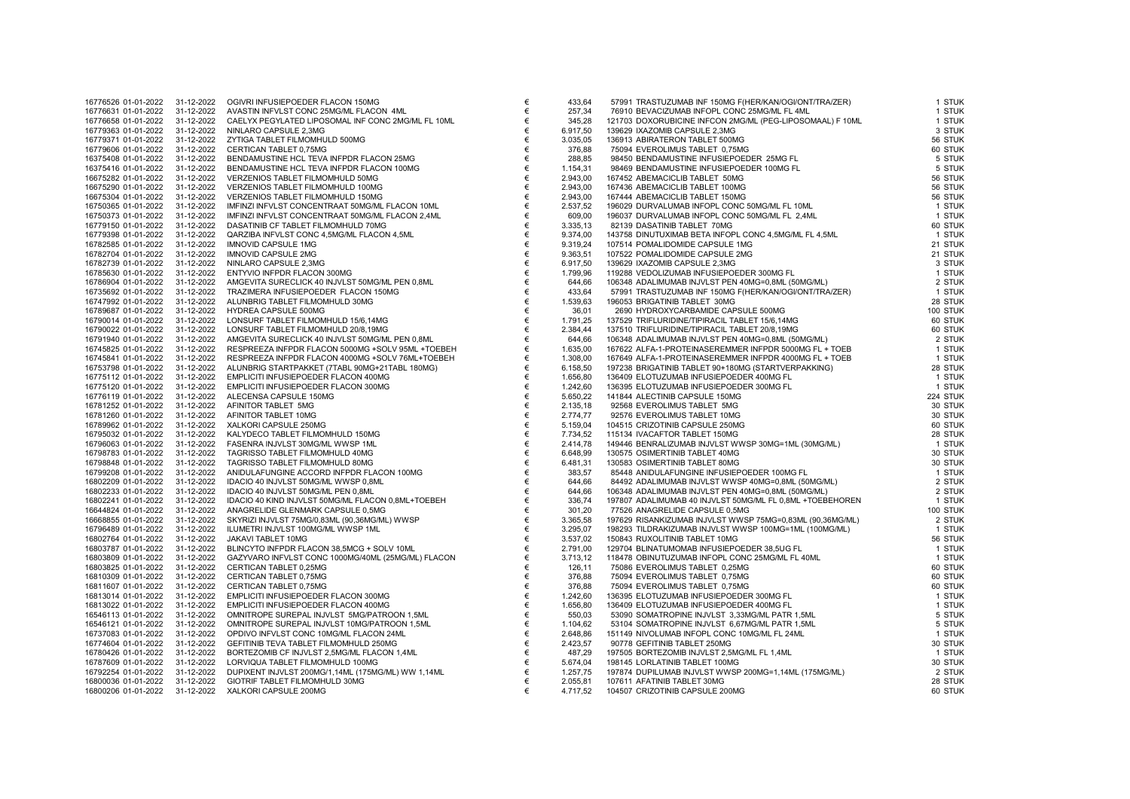| 16776526 01-01-2022 | 31-12-2022 | OGIVRI INFUSIEPOEDER FLACON 150MG                  |
|---------------------|------------|----------------------------------------------------|
| 16776631 01-01-2022 | 31-12-2022 | AVASTIN INFVLST CONC 25MG/ML FLACON 4ML            |
| 16776658 01-01-2022 | 31-12-2022 | CAELYX PEGYLATED LIPOSOMAL INF CONC 2MG/ML FL 10ML |
| 16779363 01-01-2022 | 31-12-2022 | NINLARO CAPSULE 2,3MG                              |
| 16779371 01-01-2022 | 31-12-2022 | ZYTIGA TABLET FILMOMHULD 500MG                     |
| 16779606 01-01-2022 | 31-12-2022 | CERTICAN TABLET 0,75MG                             |
| 16375408 01-01-2022 | 31-12-2022 | BENDAMUSTINE HCL TEVA INFPDR FLACON 25MG           |
| 16375416 01-01-2022 | 31-12-2022 | BENDAMUSTINE HCL TEVA INFPDR FLACON 100MG          |
| 16675282 01-01-2022 | 31-12-2022 | VERZENIOS TABLET FILMOMHULD 50MG                   |
| 16675290 01-01-2022 | 31-12-2022 | VERZENIOS TABLET FILMOMHULD 100MG                  |
| 16675304 01-01-2022 | 31-12-2022 | VERZENIOS TABLET FILMOMHULD 150MG                  |
| 16750365 01-01-2022 | 31-12-2022 | IMFINZI INFVLST CONCENTRAAT 50MG/ML FLACON 10ML    |
| 16750373 01-01-2022 | 31-12-2022 | IMFINZI INFVLST CONCENTRAAT 50MG/ML FLACON 2,4ML   |
|                     |            |                                                    |
| 16779150 01-01-2022 | 31-12-2022 | DASATINIB CF TABLET FILMOMHULD 70MG                |
| 16779398 01-01-2022 | 31-12-2022 | QARZIBA INFVLST CONC 4,5MG/ML FLACON 4,5ML         |
| 16782585 01-01-2022 | 31-12-2022 | IMNOVID CAPSULE 1MG                                |
| 16782704 01-01-2022 | 31-12-2022 | <b>IMNOVID CAPSULE 2MG</b>                         |
| 16782739 01-01-2022 | 31-12-2022 | NINLARO CAPSULE 2,3MG                              |
| 16785630 01-01-2022 | 31-12-2022 | ENTYVIO INFPDR FLACON 300MG                        |
| 16786904 01-01-2022 | 31-12-2022 | AMGEVITA SURECLICK 40 INJVLST 50MG/ML PEN 0,8ML    |
| 16735692 01-01-2022 | 31-12-2022 | TRAZIMERA INFUSIEPOEDER FLACON 150MG               |
| 16747992 01-01-2022 | 31-12-2022 | ALUNBRIG TABLET FILMOMHULD 30MG                    |
| 16789687 01-01-2022 | 31-12-2022 | HYDREA CAPSULE 500MG                               |
| 16790014 01-01-2022 | 31-12-2022 | LONSURF TABLET FILMOMHULD 15/6,14MG                |
| 16790022 01-01-2022 | 31-12-2022 | LONSURF TABLET FILMOMHULD 20/8,19MG                |
| 16791940 01-01-2022 | 31-12-2022 | AMGEVITA SURECLICK 40 INJVLST 50MG/ML PEN 0,8ML    |
| 16745825 01-01-2022 | 31-12-2022 | RESPREEZA INFPDR FLACON 5000MG +SOLV 95ML +TOEBEH  |
| 16745841 01-01-2022 | 31-12-2022 | RESPREEZA INFPDR FLACON 4000MG +SOLV 76ML+TOEBEH   |
| 16753798 01-01-2022 | 31-12-2022 | ALUNBRIG STARTPAKKET (7TABL 90MG+21TABL 180MG)     |
| 16775112 01-01-2022 | 31-12-2022 | EMPLICITI INFUSIEPOEDER FLACON 400MG               |
| 16775120 01-01-2022 | 31-12-2022 | EMPLICITI INFUSIEPOEDER FLACON 300MG               |
| 16776119 01-01-2022 | 31-12-2022 | ALECENSA CAPSULE 150MG                             |
| 16781252 01-01-2022 | 31-12-2022 | AFINITOR TABLET 5MG                                |
| 16781260 01-01-2022 | 31-12-2022 | AFINITOR TABLET 10MG                               |
| 16789962 01-01-2022 | 31-12-2022 | XALKORI CAPSULE 250MG                              |
| 16795032 01-01-2022 | 31-12-2022 | KALYDECO TABLET FILMOMHULD 150MG                   |
| 16796063 01-01-2022 | 31-12-2022 | FASENRA INJVLST 30MG/ML WWSP 1ML                   |
| 16798783 01-01-2022 | 31-12-2022 | TAGRISSO TABLET FILMOMHULD 40MG                    |
| 16798848 01-01-2022 | 31-12-2022 | TAGRISSO TABLET FILMOMHULD 80MG                    |
| 16799208 01-01-2022 | 31-12-2022 | ANIDULAFUNGINE ACCORD INFPDR FLACON 100MG          |
| 16802209 01-01-2022 | 31-12-2022 | IDACIO 40 INJVLST 50MG/ML WWSP 0,8ML               |
|                     |            |                                                    |
| 16802233 01-01-2022 | 31-12-2022 | IDACIO 40 INJVLST 50MG/ML PEN 0,8ML                |
| 16802241 01-01-2022 | 31-12-2022 | IDACIO 40 KIND INJVLST 50MG/ML FLACON 0,8ML+TOEBEH |
| 16644824 01-01-2022 | 31-12-2022 | ANAGRELIDE GLENMARK CAPSULE 0,5MG                  |
| 16668855 01-01-2022 | 31-12-2022 | SKYRIZI INJVLST 75MG/0,83ML (90,36MG/ML) WWSP      |
| 16796489 01-01-2022 | 31-12-2022 | ILUMETRI INJVLST 100MG/ML WWSP 1ML                 |
| 16802764 01-01-2022 | 31-12-2022 | JAKAVI TABLET 10MG                                 |
| 16803787 01-01-2022 | 31-12-2022 | BLINCYTO INFPDR FLACON 38,5MCG + SOLV 10ML         |
| 16803809 01-01-2022 | 31-12-2022 | GAZYVARO INFVLST CONC 1000MG/40ML (25MG/ML) FLACON |
| 16803825 01-01-2022 | 31-12-2022 | CERTICAN TABLET 0,25MG                             |
| 16810309 01-01-2022 | 31-12-2022 | CERTICAN TABLET 0,75MG                             |
| 16811607 01-01-2022 | 31-12-2022 | CERTICAN TABLET 0,75MG                             |
| 16813014 01-01-2022 | 31-12-2022 | EMPLICITI INFUSIEPOEDER FLACON 300MG               |
| 16813022 01-01-2022 | 31-12-2022 | EMPLICITI INFUSIEPOEDER FLACON 400MG               |
| 16546113 01-01-2022 | 31-12-2022 | OMNITROPE SUREPAL INJVLST 5MG/PATROON 1,5ML        |
| 16546121 01-01-2022 | 31-12-2022 | OMNITROPE SUREPAL INJVLST 10MG/PATROON 1,5ML       |
| 16737083 01-01-2022 | 31-12-2022 | OPDIVO INFVLST CONC 10MG/ML FLACON 24ML            |
| 16774604 01-01-2022 | 31-12-2022 | GEFITINIB TEVA TABLET FILMOMHULD 250MG             |
| 16780426 01-01-2022 | 31-12-2022 | BORTEZOMIB CF INJVLST 2,5MG/ML FLACON 1,4ML        |
| 16787609 01-01-2022 | 31-12-2022 | LORVIQUA TABLET FILMOMHULD 100MG                   |
| 16792254 01-01-2022 | 31-12-2022 | DUPIXENT INJVLST 200MG/1,14ML (175MG/ML) WW 1,14ML |
| 16800036 01-01-2022 | 31-12-2022 | GIOTRIF TABLET FILMOMHULD 30MG                     |
| 16800206 01-01-2022 | 31-12-2022 | XALKORI CAPSULE 200MG                              |
|                     |            |                                                    |

| 16776526 01-01-2022            | 31-12-2022 | OGIVRI INFUSIEPOEDER FLACON 150MG                  | €     | 433,64   | 57991 TRASTUZUMAB INF 150MG F(HER/KAN/OGI/ONT/TRA/ZER)                                                                                                                                     | 1 STUK   |
|--------------------------------|------------|----------------------------------------------------|-------|----------|--------------------------------------------------------------------------------------------------------------------------------------------------------------------------------------------|----------|
| 16776631 01-01-2022            | 31-12-2022 | AVASTIN INFVLST CONC 25MG/ML FLACON 4ML            | €     | 257,34   | 76910 BEVACIZUMAB INFOPL CONC 25MG/ML FL 4ML                                                                                                                                               | 1 STUK   |
| 16776658 01-01-2022            | 31-12-2022 | CAELYX PEGYLATED LIPOSOMAL INF CONC 2MG/ML FL 10ML | €     | 345,28   | 121703 DOXORUBICINE INFCON 2MG/ML (PEG-LIPOSOMAAL) F 10ML                                                                                                                                  | 1 STUK   |
| 16779363 01-01-2022            | 31-12-2022 | NINLARO CAPSULE 2,3MG                              | €     | 6.917,50 | 139629 IXAZOMIB CAPSULE 2,3MG                                                                                                                                                              | 3 STUK   |
| 16779371 01-01-2022            | 31-12-2022 | ZYTIGA TABLET FILMOMHULD 500MG                     | €     | 3.035,05 | 136913 ABIRATERON TABLET 500MG<br>199913 ABIRATERON TABLET 500MG<br>75094 EVEROLIMUS TABLET 0,75MG<br>98450 BENDAMUSTINE INFUSIEPOEDER 25MG FL<br>- FELD ALLIOTINE INFLISIEPOEDER 100MG FL | 56 STUK  |
|                                | 31-12-2022 |                                                    | €     |          |                                                                                                                                                                                            | 60 STUK  |
| 16779606 01-01-2022            |            | CERTICAN TABLET 0,75MG                             |       | 376,88   |                                                                                                                                                                                            |          |
| 16375408 01-01-2022            | 31-12-2022 | BENDAMUSTINE HCL TEVA INFPDR FLACON 25MG           | €     | 288,85   |                                                                                                                                                                                            | 5 STUK   |
| 16375416 01-01-2022            | 31-12-2022 | BENDAMUSTINE HCL TEVA INFPDR FLACON 100MG          | €     | 1.154,31 |                                                                                                                                                                                            | 5 STUK   |
| 16675282 01-01-2022            | 31-12-2022 | VERZENIOS TABLET FILMOMHULD 50MG                   | $\in$ | 2.943,00 | 167452 ABEMACICLIB TABLET 50MG                                                                                                                                                             | 56 STUK  |
| 16675290 01-01-2022            | 31-12-2022 | VERZENIOS TABLET FILMOMHULD 100MG                  | €     | 2.943,00 | 167436 ABEMACICLIB TABLET 100MG                                                                                                                                                            | 56 STUK  |
| 16675304 01-01-2022            | 31-12-2022 | VERZENIOS TABLET FILMOMHULD 150MG                  | €     | 2.943,00 | 167444 ABEMACICLIB TABLET 150MG                                                                                                                                                            | 56 STUK  |
| 16750365 01-01-2022            | 31-12-2022 | IMFINZI INFVLST CONCENTRAAT 50MG/ML FLACON 10ML    | €     | 2.537,52 | 196029 DURVALUMAB INFOPL CONC 50MG/ML FL 10ML                                                                                                                                              | 1 STUK   |
|                                |            |                                                    |       |          |                                                                                                                                                                                            |          |
| 16750373 01-01-2022            | 31-12-2022 | IMFINZI INFVLST CONCENTRAAT 50MG/ML FLACON 2,4ML   | €     | 609,00   | 196037 DURVALUMAB INFOPL CONC 50MG/ML FL 2,4ML                                                                                                                                             | 1 STUK   |
| 16779150 01-01-2022            | 31-12-2022 | DASATINIB CF TABLET FILMOMHULD 70MG                | €     | 3.335,13 | 82139 DASATINIB TABLET 70MG                                                                                                                                                                | 60 STUK  |
| 16779398 01-01-2022            | 31-12-2022 | QARZIBA INFVLST CONC 4,5MG/ML FLACON 4,5ML         | €     | 9.374,00 | 143758 DINUTUXIMAB BETA INFOPL CONC 4,5MG/ML FL 4,5ML                                                                                                                                      | 1 STUK   |
| 16782585 01-01-2022            | 31-12-2022 | <b>IMNOVID CAPSULE 1MG</b>                         | €     | 9.319,24 | 107514 POMALIDOMIDE CAPSULE 1MG                                                                                                                                                            | 21 STUK  |
| 16782704 01-01-2022            | 31-12-2022 | <b>IMNOVID CAPSULE 2MG</b>                         | $\in$ | 9.363,51 | 107522 POMALIDOMIDE CAPSULE 2MG                                                                                                                                                            | 21 STUK  |
| 16782739 01-01-2022            | 31-12-2022 | NINLARO CAPSULE 2,3MG                              | €     | 6.917,50 | 139629 IXAZOMIB CAPSULE 2,3MG                                                                                                                                                              | 3 STUK   |
|                                |            |                                                    |       |          |                                                                                                                                                                                            |          |
| 16785630 01-01-2022            | 31-12-2022 | ENTYVIO INFPDR FLACON 300MG                        | €     | 1.799,96 | 119288 VEDOLIZUMAB INFUSIEPOEDER 300MG FL                                                                                                                                                  | 1 STUK   |
| 16786904 01-01-2022            | 31-12-2022 | AMGEVITA SURECLICK 40 INJVLST 50MG/ML PEN 0,8ML    | €     | 644,66   | 106348 ADALIMUMAB INJVLST PEN 40MG=0,8ML (50MG/ML)                                                                                                                                         | 2 STUK   |
| 16735692 01-01-2022            | 31-12-2022 | TRAZIMERA INFUSIEPOEDER FLACON 150MG               | €     | 433,64   | 57991 TRASTUZUMAB INF 150MG F(HER/KAN/OGI/ONT/TRA/ZER)                                                                                                                                     | 1 STUK   |
| 16747992 01-01-2022            | 31-12-2022 | ALUNBRIG TABLET FILMOMHULD 30MG                    | €     | 1.539,63 | 196053 BRIGATINIB TABLET 30MG                                                                                                                                                              | 28 STUK  |
| 16789687 01-01-2022            | 31-12-2022 | HYDREA CAPSULE 500MG                               | €     | 36,01    | 2690 HYDROXYCARBAMIDE CAPSULE 500MG                                                                                                                                                        | 100 STUK |
| 16790014 01-01-2022            | 31-12-2022 | LONSURF TABLET FILMOMHULD 15/6,14MG                | €     | 1.791,25 | 137529 TRIFLURIDINE/TIPIRACIL TABLET 15/6,14MG                                                                                                                                             | 60 STUK  |
| 16790022 01-01-2022            | 31-12-2022 | LONSURF TABLET FILMOMHULD 20/8,19MG                | €     | 2.384,44 | 137510 TRIFLURIDINE/TIPIRACIL TABLET 20/8,19MG                                                                                                                                             | 60 STUK  |
|                                |            |                                                    |       |          |                                                                                                                                                                                            |          |
| 16791940 01-01-2022            | 31-12-2022 | AMGEVITA SURECLICK 40 INJVLST 50MG/ML PEN 0,8ML    | €     | 644,66   | 106348 ADALIMUMAB INJVLST PEN 40MG=0,8ML (50MG/ML)                                                                                                                                         | 2 STUK   |
| 16745825 01-01-2022            | 31-12-2022 | RESPREEZA INFPDR FLACON 5000MG +SOLV 95ML +TOEBEH  | €     | 1.635,00 | 167622 ALFA-1-PROTEINASEREMMER INFPDR 5000MG FL + TOEB                                                                                                                                     | 1 STUK   |
| 16745841 01-01-2022            | 31-12-2022 | RESPREEZA INFPDR FLACON 4000MG +SOLV 76ML+TOEBEH   | €     | 1.308,00 | 167649 ALFA-1-PROTEINASEREMMER INFPDR 4000MG FL + TOEB                                                                                                                                     | 1 STUK   |
| 16753798 01-01-2022            | 31-12-2022 | ALUNBRIG STARTPAKKET (7TABL 90MG+21TABL 180MG)     | €     | 6.158,50 | 197238 BRIGATINIB TABLET 90+180MG (STARTVERPAKKING)                                                                                                                                        | 28 STUK  |
| 16775112 01-01-2022            | 31-12-2022 | EMPLICITI INFUSIEPOEDER FLACON 400MG               | €     | 1.656,80 | 136409 ELOTUZUMAB INFUSIEPOEDER 400MG FL                                                                                                                                                   | 1 STUK   |
| 16775120 01-01-2022            | 31-12-2022 | EMPLICITI INFUSIEPOEDER FLACON 300MG               | $\in$ | 1.242,60 | 136395 ELOTUZUMAB INFUSIEPOEDER 300MG FL                                                                                                                                                   | 1 STUK   |
| 16776119 01-01-2022            | 31-12-2022 | ALECENSA CAPSULE 150MG                             | €     | 5.650,22 | 141844 ALECTINIB CAPSULE 150MG                                                                                                                                                             | 224 STUK |
|                                |            | AFINITOR TABLET 5MG                                | €     |          |                                                                                                                                                                                            |          |
| 16781252 01-01-2022            | 31-12-2022 |                                                    |       | 2.135,18 | 92568 EVEROLIMUS TABLET 5MG                                                                                                                                                                | 30 STUK  |
| 16781260 01-01-2022            | 31-12-2022 | AFINITOR TABLET 10MG                               | €     | 2.774,77 | 92576 EVEROLIMUS TABLET 10MG                                                                                                                                                               | 30 STUK  |
| 16789962 01-01-2022            | 31-12-2022 | XALKORI CAPSULE 250MG                              | €     | 5.159,04 | 104515 CRIZOTINIB CAPSULE 250MG                                                                                                                                                            | 60 STUK  |
| 16795032 01-01-2022            | 31-12-2022 | KALYDECO TABLET FILMOMHULD 150MG                   | €     | 7.734,52 | 115134 IVACAFTOR TABLET 150MG                                                                                                                                                              | 28 STUK  |
| 16796063 01-01-2022            | 31-12-2022 | FASENRA INJVLST 30MG/ML WWSP 1ML                   | €     | 2.414,78 | 149446 BENRALIZUMAB INJVLST WWSP 30MG=1ML (30MG/ML)                                                                                                                                        | 1 STUK   |
| 16798783 01-01-2022            | 31-12-2022 | TAGRISSO TABLET FILMOMHULD 40MG                    | €     | 6.648,99 | 130575 OSIMERTINIB TABLET 40MG                                                                                                                                                             | 30 STUK  |
| 16798848 01-01-2022            | 31-12-2022 | TAGRISSO TABLET FILMOMHULD 80MG                    | €     | 6.481,31 | 130583 OSIMERTINIB TABLET 80MG                                                                                                                                                             | 30 STUK  |
| 16799208 01-01-2022            | 31-12-2022 | ANIDULAFUNGINE ACCORD INFPDR FLACON 100MG          | €     | 383,57   | 85448 ANIDULAFUNGINE INFUSIEPOEDER 100MG FL                                                                                                                                                | 1 STUK   |
| 16802209 01-01-2022            | 31-12-2022 |                                                    | €     | 644,66   |                                                                                                                                                                                            | 2 STUK   |
|                                |            | IDACIO 40 INJVLST 50MG/ML WWSP 0,8ML               |       |          | 84492 ADALIMUMAB INJVLST WWSP 40MG=0,8ML (50MG/ML)                                                                                                                                         |          |
| 16802233 01-01-2022            | 31-12-2022 | IDACIO 40 INJVLST 50MG/ML PEN 0,8ML                | $\in$ | 644,66   | 106348 ADALIMUMAB INJVLST PEN 40MG=0,8ML (50MG/ML)                                                                                                                                         | 2 STUK   |
| 16802241 01-01-2022            | 31-12-2022 | IDACIO 40 KIND INJVLST 50MG/ML FLACON 0,8ML+TOEBEH | €     | 336,74   | 197807 ADALIMUMAB 40 INJVLST 50MG/ML FL 0,8ML +TOEBEHOREN                                                                                                                                  | 1 STUK   |
| 16644824 01-01-2022            | 31-12-2022 | ANAGRELIDE GLENMARK CAPSULE 0,5MG                  | €     | 301,20   | 77526 ANAGRELIDE CAPSULE 0,5MG                                                                                                                                                             | 100 STUK |
| 16668855 01-01-2022            | 31-12-2022 | SKYRIZI INJVLST 75MG/0,83ML (90,36MG/ML) WWSP      | $\in$ | 3.365,58 | 197629 RISANKIZUMAB INJVLST WWSP 75MG=0,83ML (90,36MG/ML)                                                                                                                                  | 2 STUK   |
| 16796489 01-01-2022            | 31-12-2022 | ILUMETRI INJVLST 100MG/ML WWSP 1ML                 | €     | 3.295,07 | 198293 TILDRAKIZUMAB INJVLST WWSP 100MG=1ML (100MG/ML)                                                                                                                                     | 1 STUK   |
| 16802764 01-01-2022            | 31-12-2022 | JAKAVI TABLET 10MG                                 | €     | 3.537,02 | 150843 RUXOLITINIB TABLET 10MG                                                                                                                                                             | 56 STUK  |
| 16803787 01-01-2022            | 31-12-2022 | BLINCYTO INFPDR FLACON 38,5MCG + SOLV 10ML         | $\in$ | 2.791,00 | 129704 BLINATUMOMAB INFUSIEPOEDER 38,5UG FL                                                                                                                                                | 1 STUK   |
|                                |            |                                                    |       |          |                                                                                                                                                                                            |          |
| 16803809 01-01-2022            | 31-12-2022 | GAZYVARO INFVLST CONC 1000MG/40ML (25MG/ML) FLACON | €     | 3.713,12 | 118478 OBINUTUZUMAB INFOPL CONC 25MG/ML FL 40ML                                                                                                                                            | 1 STUK   |
| 16803825 01-01-2022            | 31-12-2022 | CERTICAN TABLET 0,25MG                             | €     | 126,11   | 75086 EVEROLIMUS TABLET 0,25MG                                                                                                                                                             | 60 STUK  |
| 16810309 01-01-2022            | 31-12-2022 | CERTICAN TABLET 0,75MG                             | €     | 376,88   | 75094 EVEROLIMUS TABLET 0,75MG                                                                                                                                                             | 60 STUK  |
| 16811607 01-01-2022            | 31-12-2022 | CERTICAN TABLET 0,75MG                             | €     | 376,88   | 75094 EVEROLIMUS TABLET 0,75MG                                                                                                                                                             | 60 STUK  |
| 16813014 01-01-2022            | 31-12-2022 | EMPLICITI INFUSIEPOEDER FLACON 300MG               | $\in$ | 1.242,60 | 136395 ELOTUZUMAB INFUSIEPOEDER 300MG FL                                                                                                                                                   | 1 STUK   |
| 16813022 01-01-2022            | 31-12-2022 | EMPLICITI INFUSIEPOEDER FLACON 400MG               | €     | 1.656,80 | 136409 ELOTUZUMAB INFUSIEPOEDER 400MG FL                                                                                                                                                   | 1 STUK   |
| 16546113 01-01-2022            | 31-12-2022 | OMNITROPE SUREPAL INJVLST 5MG/PATROON 1,5ML        | €     | 550,03   | 53090 SOMATROPINE INJVLST 3,33MG/ML PATR 1,5ML                                                                                                                                             | 5 STUK   |
|                                |            |                                                    |       |          |                                                                                                                                                                                            |          |
| 16546121 01-01-2022            | 31-12-2022 | OMNITROPE SUREPAL INJVLST 10MG/PATROON 1,5ML       | $\in$ | 1.104,62 | 53104 SOMATROPINE INJVLST 6,67MG/ML PATR 1,5ML                                                                                                                                             | 5 STUK   |
| 16737083 01-01-2022            | 31-12-2022 | OPDIVO INFVLST CONC 10MG/ML FLACON 24ML            | €     | 2.648,86 | 151149 NIVOLUMAB INFOPL CONC 10MG/ML FL 24ML                                                                                                                                               | 1 STUK   |
| 16774604 01-01-2022            | 31-12-2022 | GEFITINIB TEVA TABLET FILMOMHULD 250MG             | $\in$ | 2.423,57 | 90778 GEFITINIB TABLET 250MG                                                                                                                                                               | 30 STUK  |
| 16780426 01-01-2022            | 31-12-2022 | BORTEZOMIB CF INJVLST 2,5MG/ML FLACON 1,4ML        | $\in$ | 487,29   | 197505 BORTEZOMIB INJVLST 2,5MG/ML FL 1,4ML                                                                                                                                                | 1 STUK   |
| 16787609 01-01-2022            | 31-12-2022 | LORVIQUA TABLET FILMOMHULD 100MG                   | €     | 5.674,04 | 198145 LORLATINIB TABLET 100MG                                                                                                                                                             | 30 STUK  |
| 16792254 01-01-2022            | 31-12-2022 | DUPIXENT INJVLST 200MG/1,14ML (175MG/ML) WW 1,14ML | €     | 1.257,75 | 197874 DUPILUMAB INJVLST WWSP 200MG=1,14ML (175MG/ML)                                                                                                                                      | 2 STUK   |
| 16800036 01-01-2022            | 31-12-2022 | GIOTRIF TABLET FILMOMHULD 30MG                     | €     | 2.055,81 | 107611 AFATINIB TABLET 30MG                                                                                                                                                                | 28 STUK  |
| 16800206 01-01-2022 31-12-2022 |            | XALKORI CAPSULE 200MG                              | €     | 4.717,52 | 104507 CRIZOTINIB CAPSULE 200MG                                                                                                                                                            | 60 STUK  |
|                                |            |                                                    |       |          |                                                                                                                                                                                            |          |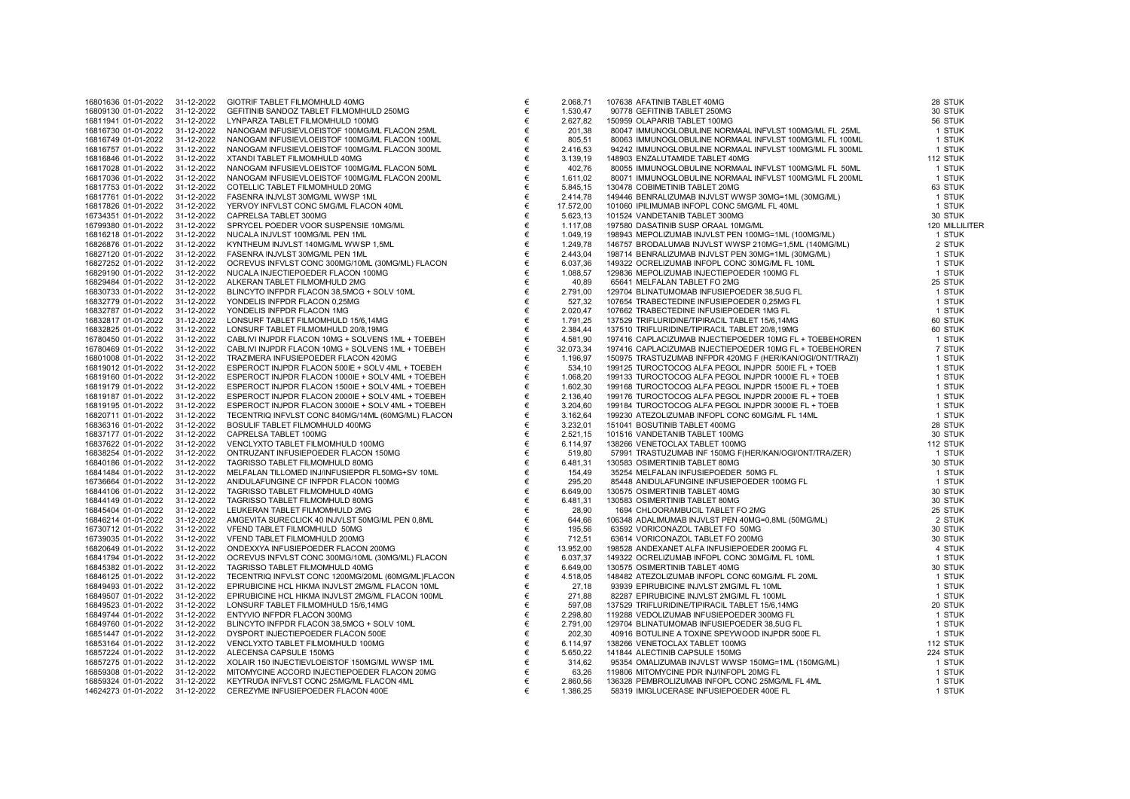| 16801636 01-01-2022 | 31-12-2022 | GIOTRIF TABLET FILMOMHULD 40MG                     | € |
|---------------------|------------|----------------------------------------------------|---|
| 16809130 01-01-2022 | 31-12-2022 | GEFITINIB SANDOZ TABLET FILMOMHULD 250MG           | € |
|                     | 31-12-2022 |                                                    | € |
| 16811941 01-01-2022 |            | LYNPARZA TABLET FILMOMHULD 100MG                   |   |
| 16816730 01-01-2022 | 31-12-2022 | NANOGAM INFUSIEVLOEISTOF 100MG/ML FLACON 25ML      | € |
| 16816749 01-01-2022 | 31-12-2022 | NANOGAM INFUSIEVLOEISTOF 100MG/ML FLACON 100ML     | € |
| 16816757 01-01-2022 | 31-12-2022 | NANOGAM INFUSIEVLOEISTOF 100MG/ML FLACON 300ML     | € |
| 16816846 01-01-2022 | 31-12-2022 | XTANDI TABLET FILMOMHULD 40MG                      | € |
|                     |            |                                                    |   |
| 16817028 01-01-2022 | 31-12-2022 | NANOGAM INFUSIEVLOEISTOF 100MG/ML FLACON 50ML      | € |
| 16817036 01-01-2022 | 31-12-2022 | NANOGAM INFUSIEVLOEISTOF 100MG/ML FLACON 200ML     | € |
| 16817753 01-01-2022 | 31-12-2022 | COTELLIC TABLET FILMOMHULD 20MG                    | € |
| 16817761 01-01-2022 | 31-12-2022 | FASENRA INJVLST 30MG/ML WWSP 1ML                   | € |
|                     |            |                                                    |   |
| 16817826 01-01-2022 | 31-12-2022 | YERVOY INFVLST CONC 5MG/ML FLACON 40ML             | € |
| 16734351 01-01-2022 | 31-12-2022 | CAPRELSA TABLET 300MG                              | € |
| 16799380 01-01-2022 | 31-12-2022 | SPRYCEL POEDER VOOR SUSPENSIE 10MG/ML              | € |
| 16816218 01-01-2022 | 31-12-2022 | NUCALA INJVLST 100MG/ML PEN 1ML                    | € |
|                     |            |                                                    |   |
| 16826876 01-01-2022 | 31-12-2022 | KYNTHEUM INJVLST 140MG/ML WWSP 1,5ML               | € |
| 16827120 01-01-2022 | 31-12-2022 | FASENRA INJVLST 30MG/ML PEN 1ML                    | € |
| 16827252 01-01-2022 | 31-12-2022 | OCREVUS INFVLST CONC 300MG/10ML (30MG/ML) FLACON   | € |
| 16829190 01-01-2022 | 31-12-2022 | NUCALA INJECTIEPOEDER FLACON 100MG                 | € |
|                     |            |                                                    |   |
| 16829484 01-01-2022 | 31-12-2022 | ALKERAN TABLET FILMOMHULD 2MG                      | € |
| 16830733 01-01-2022 | 31-12-2022 | BLINCYTO INFPDR FLACON 38,5MCG + SOLV 10ML         | € |
| 16832779 01-01-2022 | 31-12-2022 | YONDELIS INFPDR FLACON 0,25MG                      | € |
| 16832787 01-01-2022 | 31-12-2022 | YONDELIS INFPDR FLACON 1MG                         | € |
| 16832817 01-01-2022 | 31-12-2022 | LONSURF TABLET FILMOMHULD 15/6,14MG                | € |
| 16832825 01-01-2022 | 31-12-2022 | LONSURF TABLET FILMOMHULD 20/8,19MG                | € |
|                     |            |                                                    |   |
| 16780450 01-01-2022 | 31-12-2022 | CABLIVI INJPDR FLACON 10MG + SOLVENS 1ML + TOEBEH  | € |
| 16780469 01-01-2022 | 31-12-2022 | CABLIVI INJPDR FLACON 10MG + SOLVENS 1ML + TOEBEH  | € |
| 16801008 01-01-2022 | 31-12-2022 | TRAZIMERA INFUSIEPOEDER FLACON 420MG               | € |
| 16819012 01-01-2022 | 31-12-2022 | ESPEROCT INJPDR FLACON 500IE + SOLV 4ML + TOEBEH   | € |
| 16819160 01-01-2022 | 31-12-2022 | ESPEROCT INJPDR FLACON 1000IE + SOLV 4ML + TOEBEH  | € |
|                     |            |                                                    |   |
| 16819179 01-01-2022 | 31-12-2022 | ESPEROCT INJPDR FLACON 1500IE + SOLV 4ML + TOEBEH  | € |
| 16819187 01-01-2022 | 31-12-2022 | ESPEROCT INJPDR FLACON 2000IE + SOLV 4ML + TOEBEH  | € |
| 16819195 01-01-2022 | 31-12-2022 | ESPEROCT INJPDR FLACON 3000IE + SOLV 4ML + TOEBEH  | € |
| 16820711 01-01-2022 | 31-12-2022 | TECENTRIQ INFVLST CONC 840MG/14ML (60MG/ML) FLACON | € |
| 16836316 01-01-2022 | 31-12-2022 | BOSULIF TABLET FILMOMHULD 400MG                    | € |
|                     |            |                                                    |   |
| 16837177 01-01-2022 | 31-12-2022 | CAPRELSA TABLET 100MG                              | € |
| 16837622 01-01-2022 | 31-12-2022 | VENCLYXTO TABLET FILMOMHULD 100MG                  | € |
| 16838254 01-01-2022 | 31-12-2022 | ONTRUZANT INFUSIEPOEDER FLACON 150MG               | € |
| 16840186 01-01-2022 | 31-12-2022 | TAGRISSO TABLET FILMOMHULD 80MG                    | € |
| 16841484 01-01-2022 | 31-12-2022 | MELFALAN TILLOMED INJ/INFUSIEPDR FL50MG+SV 10ML    | € |
|                     |            |                                                    |   |
| 16736664 01-01-2022 | 31-12-2022 | ANIDULAFUNGINE CF INFPDR FLACON 100MG              | € |
| 16844106 01-01-2022 | 31-12-2022 | TAGRISSO TABLET FILMOMHULD 40MG                    | € |
| 16844149 01-01-2022 | 31-12-2022 | TAGRISSO TABLET FILMOMHULD 80MG                    | € |
| 16845404 01-01-2022 | 31-12-2022 | LEUKERAN TABLET FILMOMHULD 2MG                     | € |
| 16846214 01-01-2022 | 31-12-2022 | AMGEVITA SURECLICK 40 INJVLST 50MG/ML PEN 0,8ML    | € |
|                     |            | VFEND TABLET FILMOMHULD 50MG                       | € |
| 16730712 01-01-2022 | 31-12-2022 |                                                    |   |
| 16739035 01-01-2022 | 31-12-2022 | VFEND TABLET FILMOMHULD 200MG                      | € |
| 16820649 01-01-2022 | 31-12-2022 | ONDEXXYA INFUSIEPOEDER FLACON 200MG                | € |
| 16841794 01-01-2022 | 31-12-2022 | OCREVUS INFVLST CONC 300MG/10ML (30MG/ML) FLACON   | € |
| 16845382 01-01-2022 | 31-12-2022 | TAGRISSO TABLET FILMOMHULD 40MG                    | € |
| 16846125 01-01-2022 | 31-12-2022 | TECENTRIQ INFVLST CONC 1200MG/20ML (60MG/ML)FLACON | € |
|                     |            |                                                    |   |
| 16849493 01-01-2022 | 31-12-2022 | EPIRUBICINE HCL HIKMA INJVLST 2MG/ML FLACON 10ML   | € |
| 16849507 01-01-2022 | 31-12-2022 | EPIRUBICINE HCL HIKMA INJVLST 2MG/ML FLACON 100ML  | € |
| 16849523 01-01-2022 | 31-12-2022 | LONSURF TABLET FILMOMHULD 15/6,14MG                | € |
| 16849744 01-01-2022 | 31-12-2022 | ENTYVIO INFPDR FLACON 300MG                        | € |
| 16849760 01-01-2022 | 31-12-2022 | BLINCYTO INFPDR FLACON 38,5MCG + SOLV 10ML         | € |
|                     |            |                                                    |   |
| 16851447 01-01-2022 | 31-12-2022 | DYSPORT INJECTIEPOEDER FLACON 500E                 | € |
| 16853164 01-01-2022 | 31-12-2022 | VENCLYXTO TABLET FILMOMHULD 100MG                  | € |
| 16857224 01-01-2022 | 31-12-2022 | ALECENSA CAPSULE 150MG                             | € |
| 16857275 01-01-2022 | 31-12-2022 | XOLAIR 150 INJECTIEVLOEISTOF 150MG/ML WWSP 1ML     | € |
| 16859308 01-01-2022 | 31-12-2022 | MITOMYCINE ACCORD INJECTIEPOEDER FLACON 20MG       | € |
| 16859324 01-01-2022 | 31-12-2022 | KEYTRUDA INFVLST CONC 25MG/ML FLACON 4ML           | € |
|                     |            |                                                    | € |
| 14624273 01-01-2022 | 31-12-2022 | CEREZYME INFUSIEPOEDER FLACON 400E                 |   |
|                     |            |                                                    |   |

| 16801636 01-01-2022                        | 31-12-2022               | GIOTRIF TABLET FILMOMHULD 40MG                           | €      | 2.068,71             | 107638 AFATINIB TABLET 40MG                                                                                                                                                                                                              | 28 STUK            |
|--------------------------------------------|--------------------------|----------------------------------------------------------|--------|----------------------|------------------------------------------------------------------------------------------------------------------------------------------------------------------------------------------------------------------------------------------|--------------------|
| 16809130 01-01-2022                        | 31-12-2022               | GEFITINIB SANDOZ TABLET FILMOMHULD 250MG                 | €      | 1.530,47             | 90778 GEFITINIB TABLET 250MG                                                                                                                                                                                                             | 30 STUK            |
| 16811941 01-01-2022                        | 31-12-2022               | LYNPARZA TABLET FILMOMHULD 100MG                         | €      | 2.627,82             | 150959 OLAPARIB TABLET 100MG                                                                                                                                                                                                             | 56 STUK            |
| 16816730 01-01-2022                        | 31-12-2022               | NANOGAM INFUSIEVLOEISTOF 100MG/ML FLACON 25ML            | €      | 201,38               | 1000000 MANUNOGLOBULINE NORMAAL INFVLST 100MG/ML FL 25ML<br>80047 IMMUNOGLOBULINE NORMAAL INFVLST 100MG/ML FL 100ML<br>94242 IMMUNOGLOBULINE NORMAAL INFVLST 100MG/ML FL 300ML                                                           | 1 STUK             |
| 16816749 01-01-2022                        | 31-12-2022               | NANOGAM INFUSIEVLOEISTOF 100MG/ML FLACON 100ML           | €      | 805,51               |                                                                                                                                                                                                                                          | 1 STUK             |
| 16816757 01-01-2022                        | 31-12-2022               | NANOGAM INFUSIEVLOEISTOF 100MG/ML FLACON 300ML           | €      | 2.416,53             | AND THE SOME CONTRACT CONTRACT CONTRACT CONTRACT CONTRACT CONTRACT CONTRACT CONTRACT CONTRACT CONTRACT CONTRACT CONTRACT CONTRACT CONTRACT CONTRACT CONTRACT CONTRACT CONTRACT CONTRACT CONTRACT CONTRACT CONTRACT CONTRACT              | 1 STUK             |
| 16816846 01-01-2022                        | 31-12-2022               | XTANDI TABLET FILMOMHULD 40MG                            | €      | 3.139,19             |                                                                                                                                                                                                                                          | 112 STUK           |
| 16817028 01-01-2022                        | 31-12-2022               | NANOGAM INFUSIEVLOEISTOF 100MG/ML FLACON 50ML            | €      | 402,76               |                                                                                                                                                                                                                                          | 1 STUK             |
| 16817036 01-01-2022                        | 31-12-2022               | NANOGAM INFUSIEVLOEISTOF 100MG/ML FLACON 200ML           | €      | 1.611,02             |                                                                                                                                                                                                                                          | 1 STUK             |
| 16817753 01-01-2022                        | 31-12-2022               | COTELLIC TABLET FILMOMHULD 20MG                          | €      | 5.845,15             |                                                                                                                                                                                                                                          | 63 STUK            |
| 16817761 01-01-2022                        | 31-12-2022               | FASENRA INJVLST 30MG/ML WWSP 1ML                         | €      | 2.414,78             |                                                                                                                                                                                                                                          | 1 STUK             |
| 16817826 01-01-2022                        | 31-12-2022               | YERVOY INFVLST CONC 5MG/ML FLACON 40ML                   | €      | 17.572,00            |                                                                                                                                                                                                                                          | 1 STUK             |
| 16734351 01-01-2022                        | 31-12-2022               | CAPRELSA TABLET 300MG                                    | €      | 5.623,13             |                                                                                                                                                                                                                                          | 30 STUK            |
| 16799380 01-01-2022                        | 31-12-2022               | SPRYCEL POEDER VOOR SUSPENSIE 10MG/ML                    | €      | 1.117,08             |                                                                                                                                                                                                                                          | 120 MILLILITER     |
| 16816218 01-01-2022                        | 31-12-2022               | NUCALA INJVLST 100MG/ML PEN 1ML                          | €      | 1.049,19             |                                                                                                                                                                                                                                          | 1 STUK             |
| 16826876 01-01-2022                        | 31-12-2022               | KYNTHEUM INJVLST 140MG/ML WWSP 1,5ML                     | €      | 1.249,78             |                                                                                                                                                                                                                                          | 2 STUK             |
| 16827120 01-01-2022                        | 31-12-2022               | FASENRA INJVLST 30MG/ML PEN 1ML                          | €      | 2.443,04             | 8943 Min. Vol. 1000<br>16757 BRODALUMAB INJVLST WWSP ZDUMG-1ML (30MG/ML)<br>16757 BRODALUMAB INJVLST PEN 30MG-1ML (30MG/ML)<br>49322 OCRELIZUMAB INFOPL CONC 30MG/ML FL 10ML<br>29836 MEPOLIZUMAB INFOTEPOEDER 100MG/FL FL 10ML<br>16564 | 1 STUK             |
| 16827252 01-01-2022                        | 31-12-2022               | OCREVUS INFVLST CONC 300MG/10ML (30MG/ML) FLACON         | €      | 6.037,36             |                                                                                                                                                                                                                                          | 1 STUK             |
| 16829190 01-01-2022                        | 31-12-2022               | NUCALA INJECTIEPOEDER FLACON 100MG                       | €      | 1.088,57             |                                                                                                                                                                                                                                          | 1 STUK             |
| 16829484 01-01-2022                        | 31-12-2022               | ALKERAN TABLET FILMOMHULD 2MG                            | €      | 40,89                |                                                                                                                                                                                                                                          | 25 STUK            |
| 16830733 01-01-2022                        | 31-12-2022               | BLINCYTO INFPDR FLACON 38,5MCG + SOLV 10ML               | €      | 2.791,00             |                                                                                                                                                                                                                                          | 1 STUK             |
| 16832779 01-01-2022                        | 31-12-2022               | YONDELIS INFPDR FLACON 0,25MG                            | €      | 527.32               |                                                                                                                                                                                                                                          | 1 STUK             |
| 16832787 01-01-2022                        | 31-12-2022               | YONDELIS INFPDR FLACON 1MG                               | €      | 2.020,47             |                                                                                                                                                                                                                                          | 1 STUK             |
| 16832817 01-01-2022                        | 31-12-2022               | LONSURF TABLET FILMOMHULD 15/6,14MG                      | €      | 1.791,25             |                                                                                                                                                                                                                                          | 60 STUK            |
| 16832825 01-01-2022                        | 31-12-2022               | LONSURF TABLET FILMOMHULD 20/8,19MG                      | €      | 2.384,44             |                                                                                                                                                                                                                                          | 60 STUK            |
| 16780450 01-01-2022                        | 31-12-2022               | CABLIVI INJPDR FLACON 10MG + SOLVENS 1ML + TOEBEH        | €      | 4.581.90             |                                                                                                                                                                                                                                          | 1 STUK             |
| 16780469 01-01-2022                        | 31-12-2022               | CABLIVI INJPDR FLACON 10MG + SOLVENS 1ML + TOEBEH        | €      | 32.073,34            |                                                                                                                                                                                                                                          | 7 STUK             |
| 16801008 01-01-2022                        | 31-12-2022               | TRAZIMERA INFUSIEPOEDER FLACON 420MG                     | €      | 1.196,97             |                                                                                                                                                                                                                                          | 1 STUK             |
| 16819012 01-01-2022                        | 31-12-2022               | ESPEROCT INJPDR FLACON 500IE + SOLV 4ML + TOEBEH         | €      | 534,10               | 199125 TUROCTOCOG ALFA PEGOL INJPDR 500IE FL + TOEB                                                                                                                                                                                      | 1 STUK             |
| 16819160 01-01-2022                        | 31-12-2022               | ESPEROCT INJPDR FLACON 1000IE + SOLV 4ML + TOEBEH        | €      | 1.068,20             | 199133 TUROCTOCOG ALFA PEGOL INJPDR 1000IE FL + TOEB                                                                                                                                                                                     | 1 STUK             |
| 16819179 01-01-2022                        | 31-12-2022               | ESPEROCT INJPDR FLACON 1500IE + SOLV 4ML + TOEBEH        | €      | 1.602,30             | 199168 TUROCTOCOG ALFA PEGOL INJPDR 1500IE FL + TOEB                                                                                                                                                                                     | 1 STUK             |
| 16819187 01-01-2022                        | 31-12-2022               | ESPEROCT INJPDR FLACON 2000IE + SOLV 4ML + TOEBEH        | €      | 2.136,40             | 199176 TUROCTOCOG ALFA PEGOL INJPDR 2000IE FL + TOEB                                                                                                                                                                                     | 1 STUK             |
| 16819195 01-01-2022                        | 31-12-2022               | ESPEROCT INJPDR FLACON 3000IE + SOLV 4ML + TOEBEH        | €<br>€ | 3.204,60             | 199184 TUROCTOCOG ALFA PEGOL INJPDR 3000IE FL + TOEB                                                                                                                                                                                     | 1 STUK             |
| 16820711 01-01-2022                        | 31-12-2022<br>31-12-2022 | TECENTRIQ INFVLST CONC 840MG/14ML (60MG/ML) FLACON       |        | 3.162,64             | 199230 ATEZOLIZUMAB INFOPL CONC 60MG/ML FL 14ML                                                                                                                                                                                          | 1 STUK             |
| 16836316 01-01-2022<br>16837177 01-01-2022 | 31-12-2022               | BOSULIF TABLET FILMOMHULD 400MG<br>CAPRELSA TABLET 100MG | €<br>€ | 3.232,01<br>2.521,15 | 151041 BOSUTINIB TABLET 400MG<br>101516 VANDETANIB TABLET 100MG                                                                                                                                                                          | 28 STUK<br>30 STUK |
| 16837622 01-01-2022                        | 31-12-2022               | VENCLYXTO TABLET FILMOMHULD 100MG                        | €      | 6.114,97             | 138266 VENETOCLAX TABLET 100MG                                                                                                                                                                                                           | 112 STUK           |
| 16838254 01-01-2022                        | 31-12-2022               | ONTRUZANT INFUSIEPOEDER FLACON 150MG                     | €      | 519,80               | 57991 TRASTUZUMAB INF 150MG F(HER/KAN/OGI/ONT/TRA/ZER)                                                                                                                                                                                   | 1 STUK             |
| 16840186 01-01-2022                        | 31-12-2022               | TAGRISSO TABLET FILMOMHULD 80MG                          | €      | 6.481,31             | 130583 OSIMERTINIB TABLET 80MG                                                                                                                                                                                                           | 30 STUK            |
| 16841484 01-01-2022                        | 31-12-2022               | MELFALAN TILLOMED INJ/INFUSIEPDR FL50MG+SV 10ML          | €      | 154,49               | 35254 MELFALAN INFUSIEPOEDER 50MG FL                                                                                                                                                                                                     | 1 STUK             |
| 16736664 01-01-2022                        | 31-12-2022               | ANIDULAFUNGINE CF INFPDR FLACON 100MG                    | €      | 295,20               | 85448 ANIDULAFUNGINE INFUSIEPOEDER 100MG FL                                                                                                                                                                                              | 1 STUK             |
| 16844106 01-01-2022                        | 31-12-2022               | TAGRISSO TABLET FILMOMHULD 40MG                          | €      | 6.649,00             | 130575 OSIMERTINIB TABLET 40MG                                                                                                                                                                                                           | 30 STUK            |
| 16844149 01-01-2022                        | 31-12-2022               | TAGRISSO TABLET FILMOMHULD 80MG                          | €      | 6.481,31             | 130583 OSIMERTINIB TABLET 80MG                                                                                                                                                                                                           | 30 STUK            |
| 16845404 01-01-2022                        | 31-12-2022               | LEUKERAN TABLET FILMOMHULD 2MG                           | €      | 28,90                | 1694 CHLOORAMBUCIL TABLET FO 2MG                                                                                                                                                                                                         | 25 STUK            |
| 16846214 01-01-2022                        | 31-12-2022               | AMGEVITA SURECLICK 40 INJVLST 50MG/ML PEN 0,8ML          | €      | 644,66               | 106348 ADALIMUMAB INJVLST PEN 40MG=0,8ML (50MG/ML)                                                                                                                                                                                       | 2 STUK             |
| 16730712 01-01-2022                        | 31-12-2022               | VFEND TABLET FILMOMHULD 50MG                             | €      | 195,56               | 63592 VORICONAZOL TABLET FO 50MG                                                                                                                                                                                                         | 30 STUK            |
| 16739035 01-01-2022                        | 31-12-2022               | VFEND TABLET FILMOMHULD 200MG                            | €      | 712,51               | 63614 VORICONAZOL TABLET FO 200MG                                                                                                                                                                                                        | 30 STUK            |
| 16820649 01-01-2022                        | 31-12-2022               | ONDEXXYA INFUSIEPOEDER FLACON 200MG                      | €      | 13.952.00            | 198528 ANDEXANET ALFA INFUSIEPOEDER 200MG FL                                                                                                                                                                                             | 4 STUK             |
| 16841794 01-01-2022                        | 31-12-2022               | OCREVUS INFVLST CONC 300MG/10ML (30MG/ML) FLACON         | €      | 6.037,37             | 149322 OCRELIZUMAB INFOPL CONC 30MG/ML FL 10ML                                                                                                                                                                                           | 1 STUK             |
| 16845382 01-01-2022                        | 31-12-2022               | TAGRISSO TABLET FILMOMHULD 40MG                          | €      | 6.649,00             | 130575 OSIMERTINIB TABLET 40MG                                                                                                                                                                                                           | 30 STUK            |
| 16846125 01-01-2022                        | 31-12-2022               | TECENTRIQ INFVLST CONC 1200MG/20ML (60MG/ML)FLACON       | €      | 4.518,05             | 148482 ATEZOLIZUMAB INFOPL CONC 60MG/ML FL 20ML                                                                                                                                                                                          | 1 STUK             |
| 16849493 01-01-2022                        | 31-12-2022               | EPIRUBICINE HCL HIKMA INJVLST 2MG/ML FLACON 10ML         | €      | 27,18                | 93939 EPIRUBICINE INJVLST 2MG/ML FL 10ML                                                                                                                                                                                                 | 1 STUK             |
| 16849507 01-01-2022                        | 31-12-2022               | EPIRUBICINE HCL HIKMA INJVLST 2MG/ML FLACON 100ML        | €      | 271,88               | 82287 EPIRUBICINE INJVLST 2MG/ML FL 100ML                                                                                                                                                                                                | 1 STUK             |
| 16849523 01-01-2022                        | 31-12-2022               | LONSURF TABLET FILMOMHULD 15/6,14MG                      | €      | 597,08               | 137529 TRIFLURIDINE/TIPIRACIL TABLET 15/6,14MG                                                                                                                                                                                           | 20 STUK            |
| 16849744 01-01-2022                        | 31-12-2022               | ENTYVIO INFPDR FLACON 300MG                              | €      | 2.298,80             | 119288 VEDOLIZUMAB INFUSIEPOEDER 300MG FL                                                                                                                                                                                                | 1 STUK             |
| 16849760 01-01-2022                        | 31-12-2022               | BLINCYTO INFPDR FLACON 38,5MCG + SOLV 10ML               | €      | 2.791,00             | 129704 BLINATUMOMAB INFUSIEPOEDER 38,5UG FL                                                                                                                                                                                              | 1 STUK             |
| 16851447 01-01-2022                        | 31-12-2022               | DYSPORT INJECTIEPOEDER FLACON 500E                       | €      | 202,30               | 40916 BOTULINE A TOXINE SPEYWOOD INJPDR 500E FL                                                                                                                                                                                          | 1 STUK             |
| 16853164 01-01-2022                        | 31-12-2022               | VENCLYXTO TABLET FILMOMHULD 100MG                        | €      | 6.114,97             | 138266 VENETOCLAX TABLET 100MG                                                                                                                                                                                                           | 112 STUK           |
| 16857224 01-01-2022                        | 31-12-2022               | ALECENSA CAPSULE 150MG                                   | €      | 5.650,22             | 141844 ALECTINIB CAPSULE 150MG                                                                                                                                                                                                           | 224 STUK           |
| 16857275 01-01-2022                        | 31-12-2022               | XOLAIR 150 INJECTIEVLOEISTOF 150MG/ML WWSP 1ML           | €      | 314,62               | 95354 OMALIZUMAB INJVLST WWSP 150MG=1ML (150MG/ML)                                                                                                                                                                                       | 1 STUK             |
| 16859308 01-01-2022                        | 31-12-2022               | MITOMYCINE ACCORD INJECTIEPOEDER FLACON 20MG             | €      | 63,26                | 119806 MITOMYCINE PDR INJ/INFOPL 20MG FL                                                                                                                                                                                                 | 1 STUK             |
| 16859324 01-01-2022                        | 31-12-2022               | KEYTRUDA INFVLST CONC 25MG/ML FLACON 4ML                 | €      | 2.860,56             | 136328 PEMBROLIZUMAB INFOPL CONC 25MG/ML FL 4ML                                                                                                                                                                                          | 1 STUK             |
| 14624273 01-01-2022                        | 31-12-2022               | CEREZYME INFUSIEPOEDER FLACON 400E                       | €      | 1.386,25             | 58319 IMIGLUCERASE INFUSIEPOEDER 400E FL                                                                                                                                                                                                 | 1 STUK             |
|                                            |                          |                                                          |        |                      |                                                                                                                                                                                                                                          |                    |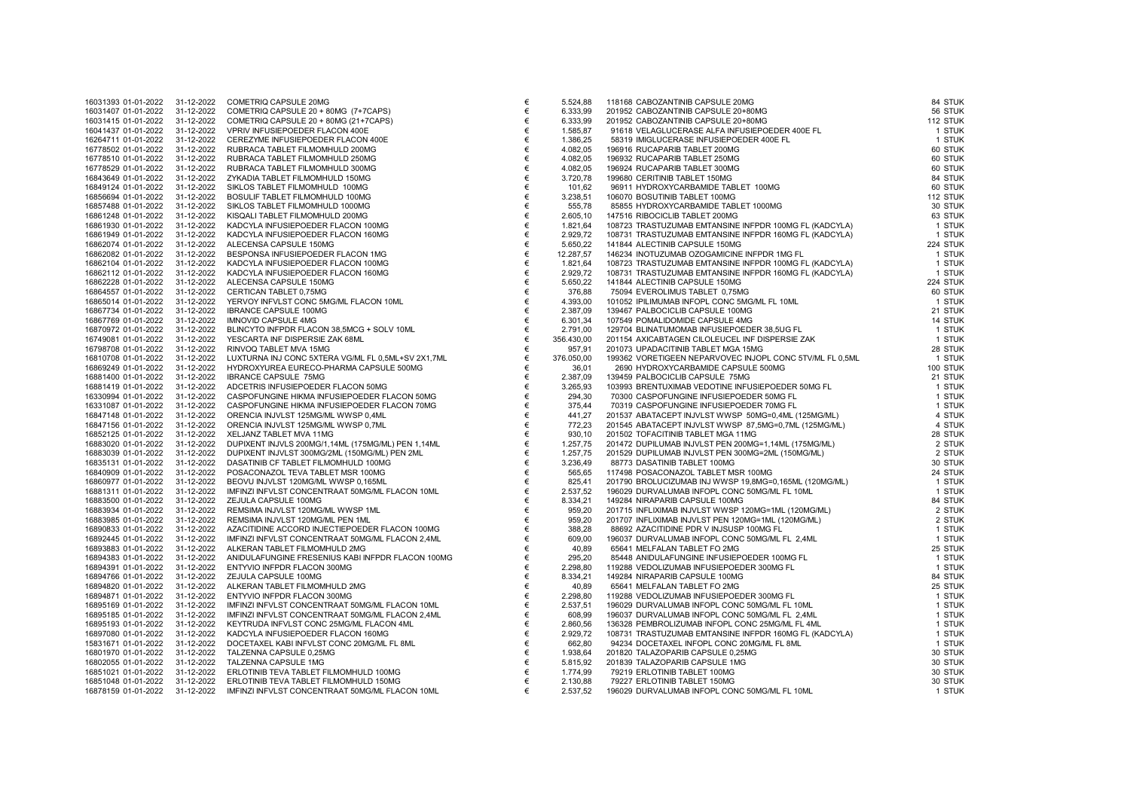| 16031393 01-01-2022                        | 31-12-2022               | COMETRIQ CAPSULE 20MG                                                                 |
|--------------------------------------------|--------------------------|---------------------------------------------------------------------------------------|
| 16031407 01-01-2022                        | 31-12-2022               | COMETRIQ CAPSULE 20 + 80MG (7+7CAPS)                                                  |
| 16031415 01-01-2022                        | 31-12-2022               | COMETRIQ CAPSULE 20 + 80MG (21+7CAPS)                                                 |
| 16041437 01-01-2022                        | 31-12-2022               | VPRIV INFUSIEPOEDER FLACON 400E                                                       |
| 16264711 01-01-2022                        | 31-12-2022               | CEREZYME INFUSIEPOEDER FLACON 400E                                                    |
| 16778502 01-01-2022                        | 31-12-2022               | RUBRACA TABLET FILMOMHULD 200MG                                                       |
| 16778510 01-01-2022                        | 31-12-2022               | RUBRACA TABLET FILMOMHULD 250MG                                                       |
| 16778529 01-01-2022                        | 31-12-2022               | RUBRACA TABLET FILMOMHULD 300MG                                                       |
| 16843649 01-01-2022                        | 31-12-2022               | ZYKADIA TABLET FILMOMHULD 150MG                                                       |
| 16849124 01-01-2022                        | 31-12-2022               | SIKLOS TABLET FILMOMHULD 100MG                                                        |
| 16856694 01-01-2022                        | 31-12-2022               | BOSULIF TABLET FILMOMHULD 100MG                                                       |
| 16857488 01-01-2022                        | 31-12-2022               | SIKLOS TABLET FILMOMHULD 1000MG                                                       |
| 16861248 01-01-2022                        | 31-12-2022               | KISQALI TABLET FILMOMHULD 200MG                                                       |
| 16861930 01-01-2022                        | 31-12-2022               | KADCYLA INFUSIEPOEDER FLACON 100MG                                                    |
| 16861949 01-01-2022                        | 31-12-2022               | KADCYLA INFUSIEPOEDER FLACON 160MG                                                    |
| 16862074 01-01-2022                        | 31-12-2022               | ALECENSA CAPSULE 150MG                                                                |
| 16862082 01-01-2022                        | 31-12-2022               | BESPONSA INFUSIEPOEDER FLACON 1MG                                                     |
| 16862104 01-01-2022                        | 31-12-2022               | KADCYLA INFUSIEPOEDER FLACON 100MG                                                    |
| 16862112 01-01-2022                        | 31-12-2022               | KADCYLA INFUSIEPOEDER FLACON 160MG                                                    |
| 16862228 01-01-2022                        | 31-12-2022               | ALECENSA CAPSULE 150MG                                                                |
| 16864557 01-01-2022                        | 31-12-2022               | CERTICAN TABLET 0,75MG                                                                |
| 16865014 01-01-2022                        | 31-12-2022               | YERVOY INFVLST CONC 5MG/ML FLACON 10ML                                                |
| 16867734 01-01-2022                        | 31-12-2022               | <b>IBRANCE CAPSULE 100MG</b>                                                          |
| 16867769 01-01-2022                        | 31-12-2022               | <b>IMNOVID CAPSULE 4MG</b>                                                            |
| 16870972 01-01-2022                        | 31-12-2022               | BLINCYTO INFPDR FLACON 38,5MCG + SOLV 10ML                                            |
| 16749081 01-01-2022                        | 31-12-2022               | YESCARTA INF DISPERSIE ZAK 68ML                                                       |
| 16798708 01-01-2022                        | 31-12-2022               | RINVOQ TABLET MVA 15MG                                                                |
| 16810708 01-01-2022                        | 31-12-2022               | LUXTURNA INJ CONC 5XTERA VG/ML FL 0,5ML+SV 2X1,7ML                                    |
| 16869249 01-01-2022                        | 31-12-2022               | HYDROXYUREA EURECO-PHARMA CAPSULE 500MG                                               |
| 16881400 01-01-2022                        | 31-12-2022               | <b>IBRANCE CAPSULE 75MG</b>                                                           |
| 16881419 01-01-2022                        | 31-12-2022               | ADCETRIS INFUSIEPOEDER FLACON 50MG                                                    |
| 16330994 01-01-2022                        | 31-12-2022               | CASPOFUNGINE HIKMA INFUSIEPOEDER FLACON 50MG                                          |
| 16331087 01-01-2022                        | 31-12-2022               | CASPOFUNGINE HIKMA INFUSIEPOEDER FLACON 70MG                                          |
| 16847148 01-01-2022                        | 31-12-2022               | ORENCIA INJVLST 125MG/ML WWSP 0,4ML                                                   |
| 16847156 01-01-2022                        | 31-12-2022               | ORENCIA INJVLST 125MG/ML WWSP 0,7ML                                                   |
| 16852125 01-01-2022                        | 31-12-2022               | XELJANZ TABLET MVA 11MG                                                               |
| 16883020 01-01-2022                        | 31-12-2022               | DUPIXENT INJVLS 200MG/1,14ML (175MG/ML) PEN 1,14ML                                    |
| 16883039 01-01-2022<br>16835131 01-01-2022 | 31-12-2022<br>31-12-2022 | DUPIXENT INJVLST 300MG/2ML (150MG/ML) PEN 2ML<br>DASATINIB CF TABLET FILMOMHULD 100MG |
| 16840909 01-01-2022                        | 31-12-2022               | POSACONAZOL TEVA TABLET MSR 100MG                                                     |
| 16860977 01-01-2022                        | 31-12-2022               | BEOVU INJVLST 120MG/ML WWSP 0,165ML                                                   |
| 16881311 01-01-2022                        | 31-12-2022               | IMFINZI INFVLST CONCENTRAAT 50MG/ML FLACON 10ML                                       |
| 16883500 01-01-2022                        | 31-12-2022               | ZEJULA CAPSULE 100MG                                                                  |
| 16883934 01-01-2022                        | 31-12-2022               | REMSIMA INJVLST 120MG/ML WWSP 1ML                                                     |
| 16883985 01-01-2022                        | 31-12-2022               | REMSIMA INJVLST 120MG/ML PEN 1ML                                                      |
| 16890833 01-01-2022                        | 31-12-2022               | AZACITIDINE ACCORD INJECTIEPOEDER FLACON 100MG                                        |
| 16892445 01-01-2022                        | 31-12-2022               | IMFINZI INFVLST CONCENTRAAT 50MG/ML FLACON 2,4ML                                      |
| 16893883 01-01-2022                        | 31-12-2022               | ALKERAN TABLET FILMOMHULD 2MG                                                         |
| 16894383 01-01-2022                        | 31-12-2022               | ANIDULAFUNGINE FRESENIUS KABI INFPDR FLACON 100MG                                     |
| 16894391 01-01-2022                        | 31-12-2022               | ENTYVIO INFPDR FLACON 300MG                                                           |
| 16894766 01-01-2022                        | 31-12-2022               | ZEJULA CAPSULE 100MG                                                                  |
| 16894820 01-01-2022                        | 31-12-2022               | ALKERAN TABLET FILMOMHULD 2MG                                                         |
| 16894871 01-01-2022                        | 31-12-2022               | ENTYVIO INFPDR FLACON 300MG                                                           |
| 16895169 01-01-2022                        | 31-12-2022               | IMFINZI INFVLST CONCENTRAAT 50MG/ML FLACON 10ML                                       |
| 16895185 01-01-2022                        | 31-12-2022               | IMFINZI INFVLST CONCENTRAAT 50MG/ML FLACON 2,4ML                                      |
| 16895193 01-01-2022                        | 31-12-2022               | KEYTRUDA INFVLST CONC 25MG/ML FLACON 4ML                                              |
| 16897080 01-01-2022                        | 31-12-2022               | KADCYLA INFUSIEPOEDER FLACON 160MG                                                    |
| 15831671 01-01-2022                        | 31-12-2022               | DOCETAXEL KABI INFVLST CONC 20MG/ML FL 8ML                                            |
| 16801970 01-01-2022                        | 31-12-2022               | TALZENNA CAPSULE 0,25MG                                                               |
| 16802055 01-01-2022                        | 31-12-2022               | TALZENNA CAPSULE 1MG                                                                  |
| 16851021 01-01-2022                        | 31-12-2022               | ERLOTINIB TEVA TABLET FILMOMHULD 100MG                                                |
| 16851048 01-01-2022                        | 31-12-2022               | ERLOTINIB TEVA TABLET FILMOMHULD 150MG                                                |
| 16878159 01-01-2022                        | 31-12-2022               | IMFINZI INFVLST CONCENTRAAT 50MG/ML FLACON 10ML                                       |
|                                            |                          |                                                                                       |

| 16031393 01-01-2022                        | 31-12-2022               | COMETRIQ CAPSULE 20MG                                     | €      | 5.524,88           | 118168 CABOZANTINIB CAPSULE 20MG                                                                                                                                                                  | 84 STUK            |
|--------------------------------------------|--------------------------|-----------------------------------------------------------|--------|--------------------|---------------------------------------------------------------------------------------------------------------------------------------------------------------------------------------------------|--------------------|
| 16031407 01-01-2022                        | 31-12-2022               | COMETRIQ CAPSULE 20 + 80MG (7+7CAPS)                      | €      | 6.333,99           | 201952 CABOZANTINIB CAPSULE 20+80MG                                                                                                                                                               | 56 STUK            |
| 16031415 01-01-2022                        | 31-12-2022               | COMETRIQ CAPSULE 20 + 80MG (21+7CAPS)                     | €      | 6.333,99           | 201952 CABOZANTINIB CAPSULE 20+80MG                                                                                                                                                               | 112 STUK           |
| 16041437 01-01-2022                        | 31-12-2022               | VPRIV INFUSIEPOEDER FLACON 400E                           | €      | 1.585,87           | 91618 VELAGLUCERASE ALFA INFUSIEPOEDER 400E FL                                                                                                                                                    | 1 STUK             |
| 16264711 01-01-2022                        | 31-12-2022               | CEREZYME INFUSIEPOEDER FLACON 400E                        | €      | 1.386,25           | 58319 IMIGLUCERASE INFUSIEPOEDER 400E FL                                                                                                                                                          | 1 STUK             |
| 16778502 01-01-2022                        | 31-12-2022               | RUBRACA TABLET FILMOMHULD 200MG                           | €      | 4.082,05           | 196916 RUCAPARIB TABLET 200MG                                                                                                                                                                     | 60 STUK            |
| 16778510 01-01-2022                        | 31-12-2022               | RUBRACA TABLET FILMOMHULD 250MG                           | €      | 4.082,05           | 196932 RUCAPARIB TABLET 250MG                                                                                                                                                                     | 60 STUK            |
| 16778529 01-01-2022                        | 31-12-2022               | RUBRACA TABLET FILMOMHULD 300MG                           | €      | 4.082,05           | 196924 RUCAPARIB TABLET 300MG                                                                                                                                                                     | 60 STUK            |
| 16843649 01-01-2022                        | 31-12-2022               | ZYKADIA TABLET FILMOMHULD 150MG                           | €      | 3.720,78           | 199680 CERITINIB TABLET 150MG                                                                                                                                                                     | 84 STUK            |
| 16849124 01-01-2022                        | 31-12-2022               | SIKLOS TABLET FILMOMHULD 100MG                            | €      | 101,62             | 96911 HYDROXYCARBAMIDE TABLET 100MG                                                                                                                                                               | 60 STUK            |
| 16856694 01-01-2022                        | 31-12-2022               | BOSULIF TABLET FILMOMHULD 100MG                           | €      | 3.238,51           | 106070 BOSUTINIB TABLET 100MG                                                                                                                                                                     | 112 STUK           |
| 16857488 01-01-2022                        | 31-12-2022               | SIKLOS TABLET FILMOMHULD 1000MG                           | €      | 555,78             | 85855 HYDROXYCARBAMIDE TABLET 1000MG                                                                                                                                                              | 30 STUK            |
| 16861248 01-01-2022                        | 31-12-2022               | KISQALI TABLET FILMOMHULD 200MG                           | €      | 2.605,10           | 147516 RIBOCICLIB TABLET 200MG                                                                                                                                                                    | 63 STUK            |
| 16861930 01-01-2022                        | 31-12-2022               | KADCYLA INFUSIEPOEDER FLACON 100MG                        | €      | 1.821,64           | 108723 TRASTUZUMAB EMTANSINE INFPDR 100MG FL (KADCYLA)                                                                                                                                            | 1 STUK             |
| 16861949 01-01-2022                        | 31-12-2022               | KADCYLA INFUSIEPOEDER FLACON 160MG                        | €      | 2.929,72           | 108731 TRASTUZUMAB EMTANSINE INFPDR 160MG FL (KADCYLA)                                                                                                                                            | 1 STUK             |
| 16862074 01-01-2022                        | 31-12-2022               | ALECENSA CAPSULE 150MG                                    | €      | 5.650,22           | 141844 ALECTINIB CAPSULE 150MG                                                                                                                                                                    | 224 STUK           |
| 16862082 01-01-2022                        | 31-12-2022               | BESPONSA INFUSIEPOEDER FLACON 1MG                         | €      | 12.287,57          | 146234 INOTUZUMAB OZOGAMICINE INFPDR 1MG FL                                                                                                                                                       | 1 STUK             |
| 16862104 01-01-2022                        | 31-12-2022               | KADCYLA INFUSIEPOEDER FLACON 100MG                        | €      | 1.821,64           | 108723 TRASTUZUMAB EMTANSINE INFPDR 100MG FL (KADCYLA)                                                                                                                                            | 1 STUK             |
| 16862112 01-01-2022                        | 31-12-2022               | KADCYLA INFUSIEPOEDER FLACON 160MG                        | €      | 2.929,72           | 108731 TRASTUZUMAB EMTANSINE INFPDR 160MG FL (KADCYLA)                                                                                                                                            | 1 STUK             |
| 16862228 01-01-2022                        | 31-12-2022               | ALECENSA CAPSULE 150MG                                    | €      | 5.650,22           | 141844 ALECTINIB CAPSULE 150MG                                                                                                                                                                    | 224 STUK           |
| 16864557 01-01-2022                        | 31-12-2022               | CERTICAN TABLET 0,75MG                                    | €      | 376,88             | 75094 EVEROLIMUS TABLET 0,75MG                                                                                                                                                                    | 60 STUK            |
| 16865014 01-01-2022                        | 31-12-2022               | YERVOY INFVLST CONC 5MG/ML FLACON 10ML                    | €      | 4.393,00           | 101052 IPILIMUMAB INFOPL CONC 5MG/ML FL 10ML                                                                                                                                                      | 1 STUK             |
| 16867734 01-01-2022                        | 31-12-2022               | <b>IBRANCE CAPSULE 100MG</b>                              | €      | 2.387,09           |                                                                                                                                                                                                   | 21 STUK            |
| 16867769 01-01-2022                        | 31-12-2022               | <b>IMNOVID CAPSULE 4MG</b>                                | €      | 6.301,34           |                                                                                                                                                                                                   | 14 STUK            |
| 16870972 01-01-2022                        | 31-12-2022               | BLINCYTO INFPDR FLACON 38,5MCG + SOLV 10ML                | €      | 2.791,00           |                                                                                                                                                                                                   | 1 STUK             |
| 16749081 01-01-2022                        | 31-12-2022               | YESCARTA INF DISPERSIE ZAK 68ML                           | €      | 356.430,00         | 139467 PALBOCICLIB CAPSULL TOOTTO<br>107549 POMALIDOMIDE CAPSULE 4MG<br>129704 BLINATUMOMAB INFUSIEPOEDER 38,5UG FL<br>129704 BLINATUMOMAB INFUSIEL INF DISPERSIE ZAK                             | 1 STUK             |
| 16798708 01-01-2022                        | 31-12-2022               | RINVOQ TABLET MVA 15MG                                    | €      | 957,91             | 201073 UPADACITINIB TABLET MGA 15MG                                                                                                                                                               | 28 STUK            |
| 16810708 01-01-2022                        | 31-12-2022               | LUXTURNA INJ CONC 5XTERA VG/ML FL 0,5ML+SV 2X1,7ML        | $\in$  | 376.050,00         | 199362 VORETIGEEN NEPARVOVEC INJOPL CONC 5TV/ML FL 0,5ML                                                                                                                                          | 1 STUK             |
| 16869249 01-01-2022                        | 31-12-2022               | HYDROXYUREA EURECO-PHARMA CAPSULE 500MG                   | €      | 36,01              | 2690 HYDROXYCARBAMIDE CAPSULE 500MG                                                                                                                                                               | 100 STUK           |
| 16881400 01-01-2022                        | 31-12-2022               | <b>IBRANCE CAPSULE 75MG</b>                               | €      | 2.387,09           | 139459 PALBOCICLIB CAPSULE 75MG                                                                                                                                                                   | 21 STUK            |
| 16881419 01-01-2022                        | 31-12-2022               | ADCETRIS INFUSIEPOEDER FLACON 50MG                        | €      | 3.265,93           | 103993 BRENTUXIMAB VEDOTINE INFUSIEPOEDER 50MG FL                                                                                                                                                 | 1 STUK             |
| 16330994 01-01-2022                        | 31-12-2022               | CASPOFUNGINE HIKMA INFUSIEPOEDER FLACON 50MG              | €      | 294,30             | 70300 CASPOFUNGINE INFUSIEPOEDER 50MG FL                                                                                                                                                          | 1 STUK             |
| 16331087 01-01-2022                        | 31-12-2022               | CASPOFUNGINE HIKMA INFUSIEPOEDER FLACON 70MG              | €      | 375,44             | 70319 CASPOFUNGINE INFUSIEPOEDER 70MG FL                                                                                                                                                          | 1 STUK             |
| 16847148 01-01-2022                        | 31-12-2022               | ORENCIA INJVLST 125MG/ML WWSP 0,4ML                       | €      | 441,27             | 201537 ABATACEPT INJVLST WWSP 50MG=0,4ML (125MG/ML)                                                                                                                                               | 4 STUK             |
| 16847156 01-01-2022                        | 31-12-2022               | ORENCIA INJVLST 125MG/ML WWSP 0,7ML                       | €      | 772,23             | 201545 ABATACEPT INJVLST WWSP 87,5MG=0,7ML (125MG/ML)                                                                                                                                             | 4 STUK             |
| 16852125 01-01-2022                        | 31-12-2022               | XELJANZ TABLET MVA 11MG                                   | €      | 930,10             | 201502 TOFACITINIB TABLET MGA 11MG                                                                                                                                                                | 28 STUK            |
| 16883020 01-01-2022                        | 31-12-2022<br>31-12-2022 | DUPIXENT INJVLS 200MG/1,14ML (175MG/ML) PEN 1,14ML        | €<br>€ | 1.257,75           | 201472 DUPILUMAB INJVLST PEN 200MG=1,14ML (175MG/ML)                                                                                                                                              | 2 STUK             |
| 16883039 01-01-2022                        |                          | DUPIXENT INJVLST 300MG/2ML (150MG/ML) PEN 2ML             |        | 1.257,75           | 201529 DUPILUMAB INJVLST PEN 300MG=2ML (150MG/ML)                                                                                                                                                 | 2 STUK             |
| 16835131 01-01-2022                        | 31-12-2022               | DASATINIB CF TABLET FILMOMHULD 100MG                      | €      | 3.236,49           | 88773 DASATINIB TABLET 100MG                                                                                                                                                                      | 30 STUK<br>24 STUK |
| 16840909 01-01-2022                        | 31-12-2022<br>31-12-2022 | POSACONAZOL TEVA TABLET MSR 100MG                         | €<br>€ | 565,65<br>825,41   |                                                                                                                                                                                                   |                    |
| 16860977 01-01-2022                        |                          | BEOVU INJVLST 120MG/ML WWSP 0,165ML                       |        |                    |                                                                                                                                                                                                   | 1 STUK             |
| 16881311 01-01-2022                        | 31-12-2022               | IMFINZI INFVLST CONCENTRAAT 50MG/ML FLACON 10ML           | €      | 2.537,52           |                                                                                                                                                                                                   | 1 STUK             |
| 16883500 01-01-2022                        | 31-12-2022<br>31-12-2022 | ZEJULA CAPSULE 100MG<br>REMSIMA INJVLST 120MG/ML WWSP 1ML | €<br>€ | 8.334,21<br>959,20 | 201790 BROLUCIZUMAB INJ WWSP 19,8MG=0,165ML (120MG/ML)<br>196029 DURVALUMAB INJ WWSP 19,8MG=0,165ML (120MG/ML)<br>198029 DURVALUMAB INFOPL CONC 50MG/ML FL 10ML<br>201715 INFLYALLE CAPSULE 100MG | 84 STUK<br>2 STUK  |
| 16883934 01-01-2022<br>16883985 01-01-2022 | 31-12-2022               | REMSIMA INJVLST 120MG/ML PEN 1ML                          | €      | 959,20             | 201715 INFLIXIMAB INJVLST WWSP 120MG=1ML (120MG/ML)<br>201707 INFLIXIMAB INJVLST PEN 120MG=1ML (120MG/ML)                                                                                         | 2 STUK             |
| 16890833 01-01-2022                        | 31-12-2022               | AZACITIDINE ACCORD INJECTIEPOEDER FLACON 100MG            | €      | 388,28             | 88692 AZACITIDINE PDR V INJSUSP 100MG FL                                                                                                                                                          | 1 STUK             |
| 16892445 01-01-2022                        | 31-12-2022               | IMFINZI INFVLST CONCENTRAAT 50MG/ML FLACON 2,4ML          | €      | 609,00             | 196037 DURVALUMAB INFOPL CONC 50MG/ML FL 2,4ML                                                                                                                                                    | 1 STUK             |
| 16893883 01-01-2022                        | 31-12-2022               | ALKERAN TABLET FILMOMHULD 2MG                             | €      | 40,89              | 65641 MELFALAN TABLET FO 2MG                                                                                                                                                                      | 25 STUK            |
| 16894383 01-01-2022                        | 31-12-2022               | ANIDULAFUNGINE FRESENIUS KABI INFPDR FLACON 100MG         | €      | 295,20             | 85448 ANIDULAFUNGINE INFUSIEPOEDER 100MG FL                                                                                                                                                       | 1 STUK             |
| 16894391 01-01-2022                        | 31-12-2022               | ENTYVIO INFPDR FLACON 300MG                               | €      | 2.298,80           | 119288 VEDOLIZUMAB INFUSIEPOEDER 300MG FL                                                                                                                                                         | 1 STUK             |
| 16894766 01-01-2022                        | 31-12-2022               | ZEJULA CAPSULE 100MG                                      | €      | 8.334,21           | 149284 NIRAPARIB CAPSULE 100MG                                                                                                                                                                    | 84 STUK            |
| 16894820 01-01-2022                        | 31-12-2022               | ALKERAN TABLET FILMOMHULD 2MG                             | €      | 40,89              | 65641 MELFALAN TABLET FO 2MG                                                                                                                                                                      | 25 STUK            |
| 16894871 01-01-2022                        | 31-12-2022               | ENTYVIO INFPDR FLACON 300MG                               | €      | 2.298,80           | 119288 VEDOLIZUMAB INFUSIEPOEDER 300MG FL                                                                                                                                                         | 1 STUK             |
| 16895169 01-01-2022                        | 31-12-2022               | IMFINZI INFVLST CONCENTRAAT 50MG/ML FLACON 10ML           | €      | 2.537,51           | 196029 DURVALUMAB INFOPL CONC 50MG/ML FL 10ML                                                                                                                                                     | 1 STUK             |
| 16895185 01-01-2022                        | 31-12-2022               | IMFINZI INFVLST CONCENTRAAT 50MG/ML FLACON 2,4ML          | €      | 608,99             | 196037 DURVALUMAB INFOPL CONC 50MG/ML FL 2,4ML                                                                                                                                                    | 1 STUK             |
| 16895193 01-01-2022                        | 31-12-2022               | KEYTRUDA INFVLST CONC 25MG/ML FLACON 4ML                  | €      | 2.860,56           | 136328 PEMBROLIZUMAB INFOPL CONC 25MG/ML FL 4ML                                                                                                                                                   | 1 STUK             |
| 16897080 01-01-2022                        | 31-12-2022               | KADCYLA INFUSIEPOEDER FLACON 160MG                        | €      | 2.929,72           | 108731 TRASTUZUMAB EMTANSINE INFPDR 160MG FL (KADCYLA)                                                                                                                                            | 1 STUK             |
| 15831671 01-01-2022                        | 31-12-2022               | DOCETAXEL KABI INFVLST CONC 20MG/ML FL 8ML                | €      | 662,80             | 94234 DOCETAXEL INFOPL CONC 20MG/ML FL 8ML                                                                                                                                                        | 1 STUK             |
| 16801970 01-01-2022                        | 31-12-2022               | TALZENNA CAPSULE 0,25MG                                   | €      | 1.938,64           | 201820 TALAZOPARIB CAPSULE 0,25MG                                                                                                                                                                 | 30 STUK            |
| 16802055 01-01-2022                        | 31-12-2022               | TALZENNA CAPSULE 1MG                                      | €      | 5.815,92           | 201839 TALAZOPARIB CAPSULE 1MG                                                                                                                                                                    | 30 STUK            |
| 16851021 01-01-2022                        | 31-12-2022               | ERLOTINIB TEVA TABLET FILMOMHULD 100MG                    | €      | 1.774,99           | 79219 ERLOTINIB TABLET 100MG                                                                                                                                                                      | 30 STUK            |
| 16851048 01-01-2022                        | 31-12-2022               | ERLOTINIB TEVA TABLET FILMOMHULD 150MG                    | €      | 2.130,88           | 79227 ERLOTINIB TABLET 150MG                                                                                                                                                                      | 30 STUK            |
| 16878159 01-01-2022 31-12-2022             |                          | IMFINZI INFVLST CONCENTRAAT 50MG/ML FLACON 10ML           | €      | 2.537,52           | 196029 DURVALUMAB INFOPL CONC 50MG/ML FL 10ML                                                                                                                                                     | 1 STUK             |
|                                            |                          |                                                           |        |                    |                                                                                                                                                                                                   |                    |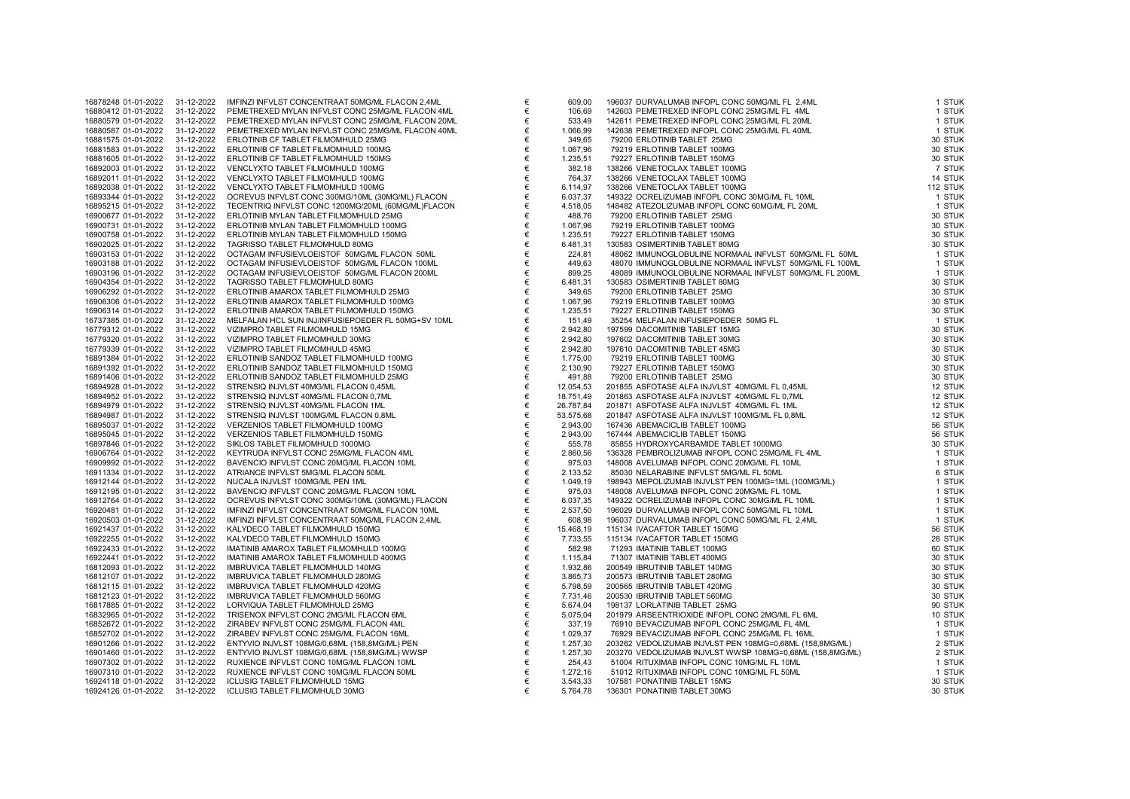| 1001024001012022    | JI-12-2022 | <b>INTERNATION CONCENTIVATE JUNIONIL ELACON 2,4ML</b> |
|---------------------|------------|-------------------------------------------------------|
| 16880412 01-01-2022 | 31-12-2022 | PEMETREXED MYLAN INFVLST CONC 25MG/ML FLACON 4ML      |
| 16880579 01-01-2022 | 31-12-2022 | PEMETREXED MYLAN INFVLST CONC 25MG/ML FLACON 20ML     |
| 16880587 01-01-2022 | 31-12-2022 | PEMETREXED MYLAN INFVLST CONC 25MG/ML FLACON 40ML     |
| 16881575 01-01-2022 | 31-12-2022 | ERLOTINIB CF TABLET FILMOMHULD 25MG                   |
| 16881583 01-01-2022 | 31-12-2022 | ERLOTINIB CF TABLET FILMOMHULD 100MG                  |
| 16881605 01-01-2022 | 31-12-2022 | ERLOTINIB CF TABLET FILMOMHULD 150MG                  |
| 16892003 01-01-2022 | 31-12-2022 | VENCLYXTO TABLET FILMOMHULD 100MG                     |
|                     |            |                                                       |
| 16892011 01-01-2022 | 31-12-2022 | VENCLYXTO TABLET FILMOMHULD 100MG                     |
| 16892038 01-01-2022 | 31-12-2022 | VENCLYXTO TABLET FILMOMHULD 100MG                     |
| 16893344 01-01-2022 | 31-12-2022 | OCREVUS INFVLST CONC 300MG/10ML (30MG/ML) FLACON      |
| 16895215 01-01-2022 | 31-12-2022 | TECENTRIQ INFVLST CONC 1200MG/20ML (60MG/ML)FLACON    |
| 16900677 01-01-2022 | 31-12-2022 | ERLOTINIB MYLAN TABLET FILMOMHULD 25MG                |
| 16900731 01-01-2022 | 31-12-2022 | ERLOTINIB MYLAN TABLET FILMOMHULD 100MG               |
| 16900758 01-01-2022 | 31-12-2022 | ERLOTINIB MYLAN TABLET FILMOMHULD 150MG               |
| 16902025 01-01-2022 | 31-12-2022 | TAGRISSO TABLET FILMOMHULD 80MG                       |
| 16903153 01-01-2022 | 31-12-2022 | OCTAGAM INFUSIEVLOEISTOF 50MG/ML FLACON 50ML          |
| 16903188 01-01-2022 | 31-12-2022 | OCTAGAM INFUSIEVLOEISTOF 50MG/ML FLACON 100ML         |
| 16903196 01-01-2022 | 31-12-2022 | OCTAGAM INFUSIEVLOEISTOF 50MG/ML FLACON 200ML         |
|                     |            |                                                       |
| 16904354 01-01-2022 | 31-12-2022 | TAGRISSO TABLET FILMOMHULD 80MG                       |
| 16906292 01-01-2022 | 31-12-2022 | ERLOTINIB AMAROX TABLET FILMOMHULD 25MG               |
| 16906306 01-01-2022 | 31-12-2022 | ERLOTINIB AMAROX TABLET FILMOMHULD 100MG              |
| 16906314 01-01-2022 | 31-12-2022 | ERLOTINIB AMAROX TABLET FILMOMHULD 150MG              |
| 16737385 01-01-2022 | 31-12-2022 | MELFALAN HCL SUN INJ/INFUSIEPOEDER FL 50MG+SV 10ML    |
| 16779312 01-01-2022 | 31-12-2022 | VIZIMPRO TABLET FILMOMHULD 15MG                       |
| 16779320 01-01-2022 | 31-12-2022 | VIZIMPRO TABLET FILMOMHULD 30MG                       |
| 16779339 01-01-2022 | 31-12-2022 | VIZIMPRO TABLET FILMOMHULD 45MG                       |
| 16891384 01-01-2022 | 31-12-2022 | ERLOTINIB SANDOZ TABLET FILMOMHULD 100MG              |
| 16891392 01-01-2022 | 31-12-2022 | ERLOTINIB SANDOZ TABLET FILMOMHULD 150MG              |
| 16891406 01-01-2022 | 31-12-2022 | ERLOTINIB SANDOZ TABLET FILMOMHULD 25MG               |
| 16894928 01-01-2022 | 31-12-2022 | STRENSIQ INJVLST 40MG/ML FLACON 0,45ML                |
| 16894952 01-01-2022 | 31-12-2022 | STRENSIQ INJVLST 40MG/ML FLACON 0,7ML                 |
| 16894979 01-01-2022 | 31-12-2022 | STRENSIQ INJVLST 40MG/ML FLACON 1ML                   |
| 16894987 01-01-2022 | 31-12-2022 | STRENSIQ INJVLST 100MG/ML FLACON 0,8ML                |
| 16895037 01-01-2022 | 31-12-2022 | VERZENIOS TABLET FILMOMHULD 100MG                     |
| 16895045 01-01-2022 | 31-12-2022 | VERZENIOS TABLET FILMOMHULD 150MG                     |
| 16897846 01-01-2022 | 31-12-2022 | SIKLOS TABLET FILMOMHULD 1000MG                       |
| 16906764 01-01-2022 | 31-12-2022 | KEYTRUDA INFVLST CONC 25MG/ML FLACON 4ML              |
| 16909992 01-01-2022 | 31-12-2022 | BAVENCIO INFVLST CONC 20MG/ML FLACON 10ML             |
| 16911334 01-01-2022 | 31-12-2022 | ATRIANCE INFVLST 5MG/ML FLACON 50ML                   |
| 16912144 01-01-2022 | 31-12-2022 | NUCALA INJVLST 100MG/ML PEN 1ML                       |
| 16912195 01-01-2022 | 31-12-2022 | BAVENCIO INFVLST CONC 20MG/ML FLACON 10ML             |
| 16912764 01-01-2022 | 31-12-2022 | OCREVUS INFVLST CONC 300MG/10ML (30MG/ML) FLACON      |
| 16920481 01-01-2022 | 31-12-2022 | IMFINZI INFVLST CONCENTRAAT 50MG/ML FLACON 10ML       |
|                     |            |                                                       |
| 16920503 01-01-2022 | 31-12-2022 | IMFINZI INFVLST CONCENTRAAT 50MG/ML FLACON 2,4ML      |
| 16921437 01-01-2022 | 31-12-2022 | KALYDECO TABLET FILMOMHULD 150MG                      |
| 16922255 01-01-2022 | 31-12-2022 | KALYDECO TABLET FILMOMHULD 150MG                      |
| 16922433 01-01-2022 | 31-12-2022 | IMATINIB AMAROX TABLET FILMOMHULD 100MG               |
| 16922441 01-01-2022 | 31-12-2022 | IMATINIB AMAROX TABLET FILMOMHULD 400MG               |
| 16812093 01-01-2022 | 31-12-2022 | IMBRUVICA TABLET FILMOMHULD 140MG                     |
| 16812107 01-01-2022 | 31-12-2022 | IMBRUVICA TABLET FILMOMHULD 280MG                     |
| 16812115 01-01-2022 | 31-12-2022 | IMBRUVICA TABLET FILMOMHULD 420MG                     |
| 16812123 01-01-2022 | 31-12-2022 | IMBRUVICA TABLET FILMOMHULD 560MG                     |
| 16817885 01-01-2022 | 31-12-2022 | LORVIQUA TABLET FILMOMHULD 25MG                       |
| 16832965 01-01-2022 | 31-12-2022 | TRISENOX INFVLST CONC 2MG/ML FLACON 6ML               |
| 16852672 01-01-2022 | 31-12-2022 | ZIRABEV INFVLST CONC 25MG/ML FLACON 4ML               |
| 16852702 01-01-2022 | 31-12-2022 | ZIRABEV INFVLST CONC 25MG/ML FLACON 16ML              |
| 16901266 01-01-2022 | 31-12-2022 | ENTYVIO INJVLST 108MG/0,68ML (158,8MG/ML) PEN         |
| 16901460 01-01-2022 | 31-12-2022 | ENTYVIO INJVLST 108MG/0,68ML (158,8MG/ML) WWSP        |
| 16907302 01-01-2022 | 31-12-2022 | RUXIENCE INFVLST CONC 10MG/ML FLACON 10ML             |
| 16907310 01-01-2022 | 31-12-2022 | RUXIENCE INFVLST CONC 10MG/ML FLACON 50ML             |
| 16924118 01-01-2022 | 31-12-2022 | ICLUSIG TABLET FILMOMHULD 15MG                        |
| 16924126 01-01-2022 | 31-12-2022 | ICLUSIG TABLET FILMOMHULD 30MG                        |
|                     |            |                                                       |

| 16878248 01-01-2022 | 31-12-2022 | IMFINZI INFVLST CONCENTRAAT 50MG/ML FLACON 2,4ML   | €     |           | 196037 DURVALUMAB INFOPL CONC 50MG/ML FL 2,4ML            | 1 STUK   |
|---------------------|------------|----------------------------------------------------|-------|-----------|-----------------------------------------------------------|----------|
|                     |            |                                                    |       | 609,00    |                                                           |          |
| 16880412 01-01-2022 | 31-12-2022 | PEMETREXED MYLAN INFVLST CONC 25MG/ML FLACON 4ML   | €     | 106,69    | 142603 PEMETREXED INFOPL CONC 25MG/ML FL 4ML              | 1 STUK   |
| 16880579 01-01-2022 | 31-12-2022 | PEMETREXED MYLAN INFVLST CONC 25MG/ML FLACON 20ML  | €     | 533,49    | 142611 PEMETREXED INFOPL CONC 25MG/ML FL 20ML             | 1 STUK   |
| 16880587 01-01-2022 | 31-12-2022 | PEMETREXED MYLAN INFVLST CONC 25MG/ML FLACON 40ML  | €     | 1.066,99  | 142638 PEMETREXED INFOPL CONC 25MG/ML FL 40ML             | 1 STUK   |
| 16881575 01-01-2022 | 31-12-2022 | ERLOTINIB CF TABLET FILMOMHULD 25MG                | €     | 349,65    | 79200 ERLOTINIB TABLET 25MG                               | 30 STUK  |
|                     | 31-12-2022 |                                                    |       |           |                                                           |          |
| 16881583 01-01-2022 |            | ERLOTINIB CF TABLET FILMOMHULD 100MG               | €     | 1.067,96  | 79219 ERLOTINIB TABLET 100MG                              | 30 STUK  |
| 16881605 01-01-2022 | 31-12-2022 | ERLOTINIB CF TABLET FILMOMHULD 150MG               | €     | 1.235,51  | 79227 ERLOTINIB TABLET 150MG                              | 30 STUK  |
| 16892003 01-01-2022 | 31-12-2022 | VENCLYXTO TABLET FILMOMHULD 100MG                  | €     | 382,18    | 138266 VENETOCLAX TABLET 100MG                            | 7 STUK   |
| 16892011 01-01-2022 | 31-12-2022 | VENCLYXTO TABLET FILMOMHULD 100MG                  | €     | 764,37    | 138266 VENETOCLAX TABLET 100MG                            | 14 STUK  |
| 16892038 01-01-2022 | 31-12-2022 | VENCLYXTO TABLET FILMOMHULD 100MG                  | €     | 6.114,97  | 138266 VENETOCLAX TABLET 100MG                            | 112 STUK |
| 16893344 01-01-2022 | 31-12-2022 | OCREVUS INFVLST CONC 300MG/10ML (30MG/ML) FLACON   | €     | 6.037,37  | 149322 OCRELIZUMAB INFOPL CONC 30MG/ML FL 10ML            | 1 STUK   |
|                     |            |                                                    |       |           |                                                           |          |
| 16895215 01-01-2022 | 31-12-2022 | TECENTRIQ INFVLST CONC 1200MG/20ML (60MG/ML)FLACON | €     | 4.518,05  | 148482 ATEZOLIZUMAB INFOPL CONC 60MG/ML FL 20ML           | 1 STUK   |
| 16900677 01-01-2022 | 31-12-2022 | ERLOTINIB MYLAN TABLET FILMOMHULD 25MG             | €     | 488,76    | 79200 ERLOTINIB TABLET 25MG                               | 30 STUK  |
| 16900731 01-01-2022 | 31-12-2022 | ERLOTINIB MYLAN TABLET FILMOMHULD 100MG            | €     | 1.067,96  | 79219 ERLOTINIB TABLET 100MG                              | 30 STUK  |
| 16900758 01-01-2022 | 31-12-2022 | ERLOTINIB MYLAN TABLET FILMOMHULD 150MG            | €     | 1.235,51  | 79227 ERLOTINIB TABLET 150MG                              | 30 STUK  |
| 16902025 01-01-2022 | 31-12-2022 | TAGRISSO TABLET FILMOMHULD 80MG                    | €     | 6.481,31  | 130583 OSIMERTINIB TABLET 80MG                            | 30 STUK  |
|                     |            |                                                    |       |           |                                                           |          |
| 16903153 01-01-2022 | 31-12-2022 | OCTAGAM INFUSIEVLOEISTOF 50MG/ML FLACON 50ML       | €     | 224,81    | 48062 IMMUNOGLOBULINE NORMAAL INFVLST 50MG/ML FL 50ML     | 1 STUK   |
| 16903188 01-01-2022 | 31-12-2022 | OCTAGAM INFUSIEVLOEISTOF 50MG/ML FLACON 100ML      | €     | 449,63    | 48070 IMMUNOGLOBULINE NORMAAL INFVLST 50MG/ML FL 100ML    | 1 STUK   |
| 16903196 01-01-2022 | 31-12-2022 | OCTAGAM INFUSIEVLOEISTOF 50MG/ML FLACON 200ML      | €     | 899,25    | 48089 IMMUNOGLOBULINE NORMAAL INFVLST 50MG/ML FL 200ML    | 1 STUK   |
| 16904354 01-01-2022 | 31-12-2022 | TAGRISSO TABLET FILMOMHULD 80MG                    | €     | 6.481,31  | 130583 OSIMERTINIB TABLET 80MG                            | 30 STUK  |
| 16906292 01-01-2022 | 31-12-2022 | ERLOTINIB AMAROX TABLET FILMOMHULD 25MG            | €     | 349,65    | 79200 ERLOTINIB TABLET 25MG                               | 30 STUK  |
| 16906306 01-01-2022 | 31-12-2022 | ERLOTINIB AMAROX TABLET FILMOMHULD 100MG           | €     | 1.067,96  | 79219 ERLOTINIB TABLET 100MG                              | 30 STUK  |
|                     |            |                                                    |       |           |                                                           |          |
| 16906314 01-01-2022 | 31-12-2022 | ERLOTINIB AMAROX TABLET FILMOMHULD 150MG           | €     | 1.235,51  | 79227 ERLOTINIB TABLET 150MG                              | 30 STUK  |
| 16737385 01-01-2022 | 31-12-2022 | MELFALAN HCL SUN INJ/INFUSIEPOEDER FL 50MG+SV 10ML | €     | 151,49    | 35254 MELFALAN INFUSIEPOEDER 50MG FL                      | 1 STUK   |
| 16779312 01-01-2022 | 31-12-2022 | VIZIMPRO TABLET FILMOMHULD 15MG                    | €     | 2.942,80  | 197599 DACOMITINIB TABLET 15MG                            | 30 STUK  |
| 16779320 01-01-2022 | 31-12-2022 | VIZIMPRO TABLET FILMOMHULD 30MG                    | €     | 2.942,80  | 197602 DACOMITINIB TABLET 30MG                            | 30 STUK  |
| 16779339 01-01-2022 | 31-12-2022 | VIZIMPRO TABLET FILMOMHULD 45MG                    | €     | 2.942,80  | 197610 DACOMITINIB TABLET 45MG                            | 30 STUK  |
|                     |            |                                                    |       |           |                                                           |          |
| 16891384 01-01-2022 | 31-12-2022 | ERLOTINIB SANDOZ TABLET FILMOMHULD 100MG           | €     | 1.775,00  | 79219 ERLOTINIB TABLET 100MG                              | 30 STUK  |
| 16891392 01-01-2022 | 31-12-2022 | ERLOTINIB SANDOZ TABLET FILMOMHULD 150MG           | €     | 2.130,90  | 79227 ERLOTINIB TABLET 150MG                              | 30 STUK  |
| 16891406 01-01-2022 | 31-12-2022 | ERLOTINIB SANDOZ TABLET FILMOMHULD 25MG            | $\in$ | 491,88    | 79200 ERLOTINIB TABLET 25MG                               | 30 STUK  |
| 16894928 01-01-2022 | 31-12-2022 | STRENSIQ INJVLST 40MG/ML FLACON 0,45ML             | €     | 12.054,53 | 201855 ASFOTASE ALFA INJVLST 40MG/ML FL 0,45ML            | 12 STUK  |
| 16894952 01-01-2022 | 31-12-2022 | STRENSIQ INJVLST 40MG/ML FLACON 0,7ML              | €     | 18.751,49 | 201863 ASFOTASE ALFA INJVLST 40MG/ML FL 0,7ML             | 12 STUK  |
| 16894979 01-01-2022 | 31-12-2022 | STRENSIQ INJVLST 40MG/ML FLACON 1ML                | €     | 26.787,84 | 201871 ASFOTASE ALFA INJVLST 40MG/ML FL 1ML               | 12 STUK  |
|                     |            |                                                    |       |           |                                                           |          |
| 16894987 01-01-2022 | 31-12-2022 | STRENSIQ INJVLST 100MG/ML FLACON 0,8ML             | €     | 53.575,68 | 201847 ASFOTASE ALFA INJVLST 100MG/ML FL 0,8ML            | 12 STUK  |
| 16895037 01-01-2022 | 31-12-2022 | VERZENIOS TABLET FILMOMHULD 100MG                  | €     | 2.943,00  | 167436 ABEMACICLIB TABLET 100MG                           | 56 STUK  |
| 16895045 01-01-2022 | 31-12-2022 | VERZENIOS TABLET FILMOMHULD 150MG                  | €     | 2.943,00  | 167444 ABEMACICLIB TABLET 150MG                           | 56 STUK  |
| 16897846 01-01-2022 | 31-12-2022 | SIKLOS TABLET FILMOMHULD 1000MG                    | €     | 555,78    | 85855 HYDROXYCARBAMIDE TABLET 1000MG                      | 30 STUK  |
| 16906764 01-01-2022 | 31-12-2022 | KEYTRUDA INFVLST CONC 25MG/ML FLACON 4ML           | €     | 2.860,56  | 136328 PEMBROLIZUMAB INFOPL CONC 25MG/ML FL 4ML           | 1 STUK   |
| 16909992 01-01-2022 | 31-12-2022 | BAVENCIO INFVLST CONC 20MG/ML FLACON 10ML          | €     | 975,03    | 148008 AVELUMAB INFOPL CONC 20MG/ML FL 10ML               | 1 STUK   |
|                     |            |                                                    |       |           |                                                           |          |
| 16911334 01-01-2022 | 31-12-2022 | ATRIANCE INFVLST 5MG/ML FLACON 50ML                | €     | 2.133,52  | 85030 NELARABINE INFVLST 5MG/ML FL 50ML                   | 6 STUK   |
| 16912144 01-01-2022 | 31-12-2022 | NUCALA INJVLST 100MG/ML PEN 1ML                    | €     | 1.049,19  | 198943 MEPOLIZUMAB INJVLST PEN 100MG=1ML (100MG/ML)       | 1 STUK   |
| 16912195 01-01-2022 | 31-12-2022 | BAVENCIO INFVLST CONC 20MG/ML FLACON 10ML          | €     | 975,03    | 148008 AVELUMAB INFOPL CONC 20MG/ML FL 10ML               | 1 STUK   |
| 16912764 01-01-2022 | 31-12-2022 | OCREVUS INFVLST CONC 300MG/10ML (30MG/ML) FLACON   | €     | 6.037,35  | 149322 OCRELIZUMAB INFOPL CONC 30MG/ML FL 10ML            | 1 STUK   |
| 16920481 01-01-2022 | 31-12-2022 | IMFINZI INFVLST CONCENTRAAT 50MG/ML FLACON 10ML    | €     | 2.537,50  | 196029 DURVALUMAB INFOPL CONC 50MG/ML FL 10ML             | 1 STUK   |
| 16920503 01-01-2022 | 31-12-2022 | IMFINZI INFVLST CONCENTRAAT 50MG/ML FLACON 2,4ML   | €     | 608,98    | 196037 DURVALUMAB INFOPL CONC 50MG/ML FL 2,4ML            | 1 STUK   |
|                     |            |                                                    |       |           |                                                           |          |
| 16921437 01-01-2022 | 31-12-2022 | KALYDECO TABLET FILMOMHULD 150MG                   | €     | 15.468,19 | 115134 IVACAFTOR TABLET 150MG                             | 56 STUK  |
| 16922255 01-01-2022 | 31-12-2022 | KALYDECO TABLET FILMOMHULD 150MG                   | €     | 7.733,55  | 115134 IVACAFTOR TABLET 150MG                             | 28 STUK  |
| 16922433 01-01-2022 | 31-12-2022 | IMATINIB AMAROX TABLET FILMOMHULD 100MG            | €     | 582,98    | 71293 IMATINIB TABLET 100MG                               | 60 STUK  |
| 16922441 01-01-2022 | 31-12-2022 | IMATINIB AMAROX TABLET FILMOMHULD 400MG            | €     | 1.115,84  | 71307 IMATINIB TABLET 400MG                               | 30 STUK  |
| 16812093 01-01-2022 | 31-12-2022 | IMBRUVICA TABLET FILMOMHULD 140MG                  | €     | 1.932,86  | 200549 IBRUTINIB TABLET 140MG                             | 30 STUK  |
|                     |            |                                                    |       |           |                                                           |          |
| 16812107 01-01-2022 | 31-12-2022 | IMBRUVICA TABLET FILMOMHULD 280MG                  | €     | 3.865,73  | 200573 IBRUTINIB TABLET 280MG                             | 30 STUK  |
| 16812115 01-01-2022 | 31-12-2022 | IMBRUVICA TABLET FILMOMHULD 420MG                  | $\in$ | 5.798,59  | 200565 IBRUTINIB TABLET 420MG                             | 30 STUK  |
| 16812123 01-01-2022 | 31-12-2022 | IMBRUVICA TABLET FILMOMHULD 560MG                  | €     | 7.731,46  | 200530 IBRUTINIB TABLET 560MG                             | 30 STUK  |
| 16817885 01-01-2022 | 31-12-2022 | LORVIQUA TABLET FILMOMHULD 25MG                    | €     | 5.674,04  | 198137 LORLATINIB TABLET 25MG                             | 90 STUK  |
| 16832965 01-01-2022 | 31-12-2022 | TRISENOX INFVLST CONC 2MG/ML FLACON 6ML            | $\in$ | 5.075,04  | 201979 ARSEENTRIOXIDE INFOPL CONC 2MG/ML FL 6ML           | 10 STUK  |
| 16852672 01-01-2022 | 31-12-2022 | ZIRABEV INFVLST CONC 25MG/ML FLACON 4ML            | €     | 337,19    | 76910 BEVACIZUMAB INFOPL CONC 25MG/ML FL 4ML              | 1 STUK   |
|                     |            |                                                    |       |           |                                                           |          |
| 16852702 01-01-2022 | 31-12-2022 | ZIRABEV INFVLST CONC 25MG/ML FLACON 16ML           | €     | 1.029,37  | 76929 BEVACIZUMAB INFOPL CONC 25MG/ML FL 16ML             | 1 STUK   |
| 16901266 01-01-2022 | 31-12-2022 | ENTYVIO INJVLST 108MG/0,68ML (158,8MG/ML) PEN      | $\in$ | 1.257,30  | 203262 VEDOLIZUMAB INJVLST PEN 108MG=0,68ML (158,8MG/ML)  | 2 STUK   |
| 16901460 01-01-2022 | 31-12-2022 | ENTYVIO INJVLST 108MG/0,68ML (158,8MG/ML) WWSP     | €     | 1.257,30  | 203270 VEDOLIZUMAB INJVLST WWSP 108MG=0,68ML (158,8MG/ML) | 2 STUK   |
| 16907302 01-01-2022 | 31-12-2022 | RUXIENCE INFVLST CONC 10MG/ML FLACON 10ML          | €     | 254,43    | 51004 RITUXIMAB INFOPL CONC 10MG/ML FL 10ML               | 1 STUK   |
| 16907310 01-01-2022 | 31-12-2022 | RUXIENCE INFVLST CONC 10MG/ML FLACON 50ML          | €     | 1.272,16  | 51012 RITUXIMAB INFOPL CONC 10MG/ML FL 50ML               | 1 STUK   |
| 16924118 01-01-2022 | 31-12-2022 | ICLUSIG TABLET FILMOMHULD 15MG                     | €     | 3.543,33  | 107581 PONATINIB TABLET 15MG                              | 30 STUK  |
|                     |            | <b>ICLUSIG TABLET FILMOMHULD 30MG</b>              | €     |           | 136301 PONATINIB TABLET 30MG                              | 30 STUK  |
| 16924126 01-01-2022 | 31-12-2022 |                                                    |       | 5.764,78  |                                                           |          |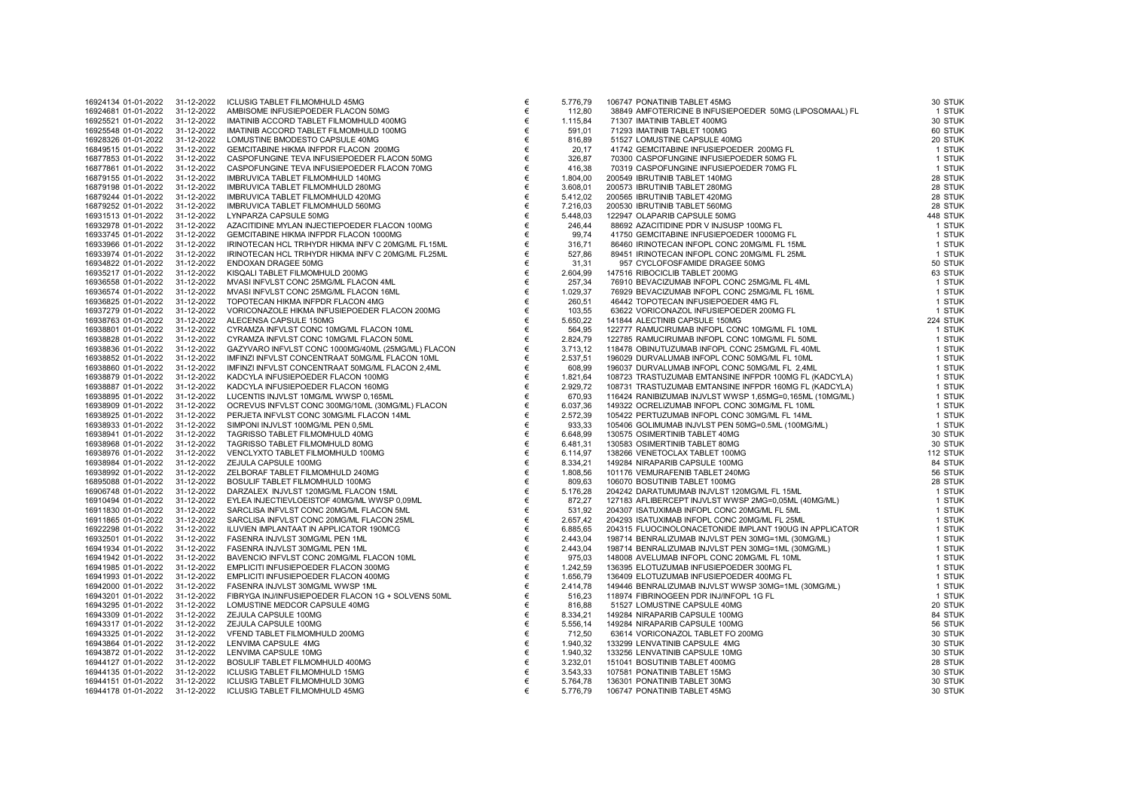| 16924134 01-01-2022 | 31-12-2022 | ICLUSIG TABLET FILMOMHULD 45MG                     |
|---------------------|------------|----------------------------------------------------|
| 16924681 01-01-2022 | 31-12-2022 | AMBISOME INFUSIEPOEDER FLACON 50MG                 |
| 16925521 01-01-2022 | 31-12-2022 | IMATINIB ACCORD TABLET FILMOMHULD 400MG            |
| 16925548 01-01-2022 | 31-12-2022 | IMATINIB ACCORD TABLET FILMOMHULD 100MG            |
| 16928326 01-01-2022 | 31-12-2022 | LOMUSTINE BMODESTO CAPSULE 40MG                    |
| 16849515 01-01-2022 | 31-12-2022 | GEMCITABINE HIKMA INFPDR FLACON 200MG              |
| 16877853 01-01-2022 | 31-12-2022 | CASPOFUNGINE TEVA INFUSIEPOEDER FLACON 50MG        |
| 16877861 01-01-2022 | 31-12-2022 | CASPOFUNGINE TEVA INFUSIEPOEDER FLACON 70MG        |
| 16879155 01-01-2022 | 31-12-2022 | IMBRUVICA TABLET FILMOMHULD 140MG                  |
| 16879198 01-01-2022 | 31-12-2022 | IMBRUVICA TABLET FILMOMHULD 280MG                  |
| 16879244 01-01-2022 | 31-12-2022 | IMBRUVICA TABLET FILMOMHULD 420MG                  |
| 16879252 01-01-2022 | 31-12-2022 | IMBRUVICA TABLET FILMOMHULD 560MG                  |
| 16931513 01-01-2022 | 31-12-2022 | LYNPARZA CAPSULE 50MG                              |
| 16932978 01-01-2022 | 31-12-2022 | AZACITIDINE MYLAN INJECTIEPOEDER FLACON 100MG      |
| 16933745 01-01-2022 | 31-12-2022 | GEMCITABINE HIKMA INFPDR FLACON 1000MG             |
| 16933966 01-01-2022 | 31-12-2022 | IRINOTECAN HCL TRIHYDR HIKMA INFV C 20MG/ML FL15ML |
| 16933974 01-01-2022 | 31-12-2022 | IRINOTECAN HCL TRIHYDR HIKMA INFV C 20MG/ML FL25ML |
| 16934822 01-01-2022 | 31-12-2022 | ENDOXAN DRAGEE 50MG                                |
| 16935217 01-01-2022 | 31-12-2022 | KISQALI TABLET FILMOMHULD 200MG                    |
| 16936558 01-01-2022 | 31-12-2022 | MVASI INFVLST CONC 25MG/ML FLACON 4ML              |
| 16936574 01-01-2022 | 31-12-2022 | MVASI INFVLST CONC 25MG/ML FLACON 16ML             |
| 16936825 01-01-2022 | 31-12-2022 | TOPOTECAN HIKMA INFPDR FLACON 4MG                  |
|                     |            |                                                    |
| 16937279 01-01-2022 | 31-12-2022 | VORICONAZOLE HIKMA INFUSIEPOEDER FLACON 200MG      |
| 16938763 01-01-2022 | 31-12-2022 | ALECENSA CAPSULE 150MG                             |
| 16938801 01-01-2022 | 31-12-2022 | CYRAMZA INFVLST CONC 10MG/ML FLACON 10ML           |
| 16938828 01-01-2022 | 31-12-2022 | CYRAMZA INFVLST CONC 10MG/ML FLACON 50ML           |
| 16938836 01-01-2022 | 31-12-2022 | GAZYVARO INFVLST CONC 1000MG/40ML (25MG/ML) FLACON |
| 16938852 01-01-2022 | 31-12-2022 | IMFINZI INFVLST CONCENTRAAT 50MG/ML FLACON 10ML    |
| 16938860 01-01-2022 | 31-12-2022 | IMFINZI INFVLST CONCENTRAAT 50MG/ML FLACON 2,4ML   |
| 16938879 01-01-2022 | 31-12-2022 | KADCYLA INFUSIEPOEDER FLACON 100MG                 |
| 16938887 01-01-2022 | 31-12-2022 | KADCYLA INFUSIEPOEDER FLACON 160MG                 |
| 16938895 01-01-2022 | 31-12-2022 | LUCENTIS INJVLST 10MG/ML WWSP 0,165ML              |
| 16938909 01-01-2022 | 31-12-2022 | OCREVUS INFVLST CONC 300MG/10ML (30MG/ML) FLACON   |
| 16938925 01-01-2022 | 31-12-2022 | PERJETA INFVLST CONC 30MG/ML FLACON 14ML           |
| 16938933 01-01-2022 | 31-12-2022 | SIMPONI INJVLST 100MG/ML PEN 0,5ML                 |
| 16938941 01-01-2022 | 31-12-2022 | TAGRISSO TABLET FILMOMHULD 40MG                    |
| 16938968 01-01-2022 | 31-12-2022 | TAGRISSO TABLET FILMOMHULD 80MG                    |
| 16938976 01-01-2022 | 31-12-2022 | VENCLYXTO TABLET FILMOMHULD 100MG                  |
| 16938984 01-01-2022 | 31-12-2022 | ZEJULA CAPSULE 100MG                               |
| 16938992 01-01-2022 | 31-12-2022 | ZELBORAF TABLET FILMOMHULD 240MG                   |
| 16895088 01-01-2022 | 31-12-2022 | BOSULIF TABLET FILMOMHULD 100MG                    |
| 16906748 01-01-2022 | 31-12-2022 | DARZALEX INJVLST 120MG/ML FLACON 15ML              |
| 16910494 01-01-2022 | 31-12-2022 | EYLEA INJECTIEVLOEISTOF 40MG/ML WWSP 0,09ML        |
| 16911830 01-01-2022 | 31-12-2022 | SARCLISA INFVLST CONC 20MG/ML FLACON 5ML           |
| 16911865 01-01-2022 | 31-12-2022 | SARCLISA INFVLST CONC 20MG/ML FLACON 25ML          |
| 16922298 01-01-2022 | 31-12-2022 | ILUVIEN IMPLANTAAT IN APPLICATOR 190MCG            |
| 16932501 01-01-2022 | 31-12-2022 | FASENRA INJVLST 30MG/ML PEN 1ML                    |
| 16941934 01-01-2022 | 31-12-2022 | FASENRA INJVLST 30MG/ML PEN 1ML                    |
| 16941942 01-01-2022 | 31-12-2022 | BAVENCIO INFVLST CONC 20MG/ML FLACON 10ML          |
| 16941985 01-01-2022 | 31-12-2022 | EMPLICITI INFUSIEPOEDER FLACON 300MG               |
| 16941993 01-01-2022 | 31-12-2022 | EMPLICITI INFUSIEPOEDER FLACON 400MG               |
| 16942000 01-01-2022 | 31-12-2022 | FASENRA INJVLST 30MG/ML WWSP 1ML                   |
| 16943201 01-01-2022 | 31-12-2022 | FIBRYGA INJ/INFUSIEPOEDER FLACON 1G + SOLVENS 50ML |
| 16943295 01-01-2022 | 31-12-2022 | LOMUSTINE MEDCOR CAPSULE 40MG                      |
| 16943309 01-01-2022 | 31-12-2022 | ZEJULA CAPSULE 100MG                               |
| 16943317 01-01-2022 | 31-12-2022 | ZEJULA CAPSULE 100MG                               |
| 16943325 01-01-2022 | 31-12-2022 | VFEND TABLET FILMOMHULD 200MG                      |
| 16943864 01-01-2022 | 31-12-2022 | LENVIMA CAPSULE 4MG                                |
| 16943872 01-01-2022 | 31-12-2022 | LENVIMA CAPSULE 10MG                               |
| 16944127 01-01-2022 | 31-12-2022 | BOSULIF TABLET FILMOMHULD 400MG                    |
| 16944135 01-01-2022 | 31-12-2022 | ICLUSIG TABLET FILMOMHULD 15MG                     |
| 16944151 01-01-2022 | 31-12-2022 | <b>ICLUSIG TABLET FILMOMHULD 30MG</b>              |
| 16944178 01-01-2022 | 31-12-2022 | ICLUSIG TABLET FILMOMHULD 45MG                     |
|                     |            |                                                    |

| 16924134 01-01-2022 | 31-12-2022 | <b>ICLUSIG TABLET FILMOMHULD 45MG</b>              | €     | 5.776,79 | 106747 PONATINIB TABLET 45MG                             | 30 STUK  |
|---------------------|------------|----------------------------------------------------|-------|----------|----------------------------------------------------------|----------|
| 16924681 01-01-2022 | 31-12-2022 | AMBISOME INFUSIEPOEDER FLACON 50MG                 | €     | 112,80   | 38849 AMFOTERICINE B INFUSIEPOEDER 50MG (LIPOSOMAAL) FL  | 1 STUK   |
| 16925521 01-01-2022 | 31-12-2022 | IMATINIB ACCORD TABLET FILMOMHULD 400MG            | $\in$ | 1.115,84 | 71307 IMATINIB TABLET 400MG                              | 30 STUK  |
| 16925548 01-01-2022 | 31-12-2022 | IMATINIB ACCORD TABLET FILMOMHULD 100MG            | €     | 591,01   | 71293 IMATINIB TABLET 100MG                              | 60 STUK  |
| 16928326 01-01-2022 | 31-12-2022 | LOMUSTINE BMODESTO CAPSULE 40MG                    | €     | 816,89   | 51527 LOMUSTINE CAPSULE 40MG                             | 20 STUK  |
| 16849515 01-01-2022 | 31-12-2022 | GEMCITABINE HIKMA INFPDR FLACON 200MG              | €     | 20,17    | 41742 GEMCITABINE INFUSIEPOEDER 200MG FL                 | 1 STUK   |
| 16877853 01-01-2022 | 31-12-2022 | CASPOFUNGINE TEVA INFUSIEPOEDER FLACON 50MG        | €     | 326,87   | 70300 CASPOFUNGINE INFUSIEPOEDER 50MG FL                 | 1 STUK   |
| 16877861 01-01-2022 | 31-12-2022 | CASPOFUNGINE TEVA INFUSIEPOEDER FLACON 70MG        | €     | 416,38   | 70319 CASPOFUNGINE INFUSIEPOEDER 70MG FL                 | 1 STUK   |
| 16879155 01-01-2022 | 31-12-2022 | IMBRUVICA TABLET FILMOMHULD 140MG                  | €     | 1.804,00 | 200549 IBRUTINIB TABLET 140MG                            | 28 STUK  |
| 16879198 01-01-2022 | 31-12-2022 | IMBRUVICA TABLET FILMOMHULD 280MG                  | €     | 3.608,01 | 200573 IBRUTINIB TABLET 280MG                            | 28 STUK  |
| 16879244 01-01-2022 | 31-12-2022 | IMBRUVICA TABLET FILMOMHULD 420MG                  | €     | 5.412,02 | 200565 IBRUTINIB TABLET 420MG                            | 28 STUK  |
| 16879252 01-01-2022 | 31-12-2022 | IMBRUVICA TABLET FILMOMHULD 560MG                  | €     | 7.216,03 | 200530 IBRUTINIB TABLET 560MG                            | 28 STUK  |
| 16931513 01-01-2022 | 31-12-2022 | LYNPARZA CAPSULE 50MG                              | €     | 5.448,03 | 122947 OLAPARIB CAPSULE 50MG                             | 448 STUK |
| 16932978 01-01-2022 | 31-12-2022 | AZACITIDINE MYLAN INJECTIEPOEDER FLACON 100MG      | €     | 246,44   | 88692 AZACITIDINE PDR V INJSUSP 100MG FL                 | 1 STUK   |
| 16933745 01-01-2022 | 31-12-2022 | GEMCITABINE HIKMA INFPDR FLACON 1000MG             | €     | 99,74    | 41750 GEMCITABINE INFUSIEPOEDER 1000MG FL                | 1 STUK   |
| 16933966 01-01-2022 | 31-12-2022 | IRINOTECAN HCL TRIHYDR HIKMA INFV C 20MG/ML FL15ML | €     | 316,71   | 86460 IRINOTECAN INFOPL CONC 20MG/ML FL 15ML             | 1 STUK   |
| 16933974 01-01-2022 | 31-12-2022 | IRINOTECAN HCL TRIHYDR HIKMA INFV C 20MG/ML FL25ML | €     | 527,86   | 89451 IRINOTECAN INFOPL CONC 20MG/ML FL 25ML             | 1 STUK   |
| 16934822 01-01-2022 | 31-12-2022 | ENDOXAN DRAGEE 50MG                                | €     | 31,31    | 957 CYCLOFOSFAMIDE DRAGEE 50MG                           | 50 STUK  |
| 16935217 01-01-2022 | 31-12-2022 | KISQALI TABLET FILMOMHULD 200MG                    | €     | 2.604,99 | 147516 RIBOCICLIB TABLET 200MG                           | 63 STUK  |
| 16936558 01-01-2022 | 31-12-2022 | MVASI INFVLST CONC 25MG/ML FLACON 4ML              | €     | 257,34   | 76910 BEVACIZUMAB INFOPL CONC 25MG/ML FL 4ML             | 1 STUK   |
| 16936574 01-01-2022 | 31-12-2022 | MVASI INFVLST CONC 25MG/ML FLACON 16ML             | €     | 1.029,37 | 76929 BEVACIZUMAB INFOPL CONC 25MG/ML FL 16ML            | 1 STUK   |
| 16936825 01-01-2022 | 31-12-2022 | TOPOTECAN HIKMA INFPDR FLACON 4MG                  | €     | 260,51   | 46442 TOPOTECAN INFUSIEPOEDER 4MG FL                     | 1 STUK   |
| 16937279 01-01-2022 | 31-12-2022 | VORICONAZOLE HIKMA INFUSIEPOEDER FLACON 200MG      | €     | 103,55   | 63622 VORICONAZOL INFUSIEPOEDER 200MG FL                 | 1 STUK   |
| 16938763 01-01-2022 | 31-12-2022 | ALECENSA CAPSULE 150MG                             | €     | 5.650,22 | 141844 ALECTINIB CAPSULE 150MG                           | 224 STUK |
| 16938801 01-01-2022 | 31-12-2022 | CYRAMZA INFVLST CONC 10MG/ML FLACON 10ML           | €     | 564,95   | 122777 RAMUCIRUMAB INFOPL CONC 10MG/ML FL 10ML           | 1 STUK   |
| 16938828 01-01-2022 | 31-12-2022 | CYRAMZA INFVLST CONC 10MG/ML FLACON 50ML           | €     | 2.824,79 | 122785 RAMUCIRUMAB INFOPL CONC 10MG/ML FL 50ML           | 1 STUK   |
| 16938836 01-01-2022 | 31-12-2022 | GAZYVARO INFVLST CONC 1000MG/40ML (25MG/ML) FLACON | €     | 3.713,12 | 118478 OBINUTUZUMAB INFOPL CONC 25MG/ML FL 40ML          | 1 STUK   |
| 16938852 01-01-2022 | 31-12-2022 | IMFINZI INFVLST CONCENTRAAT 50MG/ML FLACON 10ML    | €     | 2.537,51 | 196029 DURVALUMAB INFOPL CONC 50MG/ML FL 10ML            | 1 STUK   |
| 16938860 01-01-2022 | 31-12-2022 | IMFINZI INFVLST CONCENTRAAT 50MG/ML FLACON 2,4ML   | €     | 608,99   | 196037 DURVALUMAB INFOPL CONC 50MG/ML FL 2,4ML           | 1 STUK   |
| 16938879 01-01-2022 | 31-12-2022 | KADCYLA INFUSIEPOEDER FLACON 100MG                 | $\in$ | 1.821,64 | 108723 TRASTUZUMAB EMTANSINE INFPDR 100MG FL (KADCYLA)   | 1 STUK   |
| 16938887 01-01-2022 | 31-12-2022 | KADCYLA INFUSIEPOEDER FLACON 160MG                 | €     | 2.929,72 | 108731 TRASTUZUMAB EMTANSINE INFPDR 160MG FL (KADCYLA)   | 1 STUK   |
| 16938895 01-01-2022 | 31-12-2022 | LUCENTIS INJVLST 10MG/ML WWSP 0,165ML              | €     | 670,93   | 116424 RANIBIZUMAB INJVLST WWSP 1,65MG=0,165ML (10MG/ML) | 1 STUK   |
| 16938909 01-01-2022 | 31-12-2022 | OCREVUS INFVLST CONC 300MG/10ML (30MG/ML) FLACON   | €     | 6.037,36 | 149322 OCRELIZUMAB INFOPL CONC 30MG/ML FL 10ML           | 1 STUK   |
| 16938925 01-01-2022 | 31-12-2022 | PERJETA INFVLST CONC 30MG/ML FLACON 14ML           | €     | 2.572,39 | 105422 PERTUZUMAB INFOPL CONC 30MG/ML FL 14ML            | 1 STUK   |
| 16938933 01-01-2022 | 31-12-2022 | SIMPONI INJVLST 100MG/ML PEN 0,5ML                 | €     | 933,33   | 105406 GOLIMUMAB INJVLST PEN 50MG=0.5ML (100MG/ML)       | 1 STUK   |
| 16938941 01-01-2022 | 31-12-2022 | TAGRISSO TABLET FILMOMHULD 40MG                    | €     | 6.648,99 | 130575 OSIMERTINIB TABLET 40MG                           | 30 STUK  |
| 16938968 01-01-2022 | 31-12-2022 | TAGRISSO TABLET FILMOMHULD 80MG                    | €     | 6.481,31 | 130583 OSIMERTINIB TABLET 80MG                           | 30 STUK  |
| 16938976 01-01-2022 | 31-12-2022 | VENCLYXTO TABLET FILMOMHULD 100MG                  | €     | 6.114,97 | 138266 VENETOCLAX TABLET 100MG                           | 112 STUK |
| 16938984 01-01-2022 | 31-12-2022 | ZEJULA CAPSULE 100MG                               | €     | 8.334,21 | 149284 NIRAPARIB CAPSULE 100MG                           | 84 STUK  |
| 16938992 01-01-2022 | 31-12-2022 | ZELBORAF TABLET FILMOMHULD 240MG                   | €     | 1.808,56 | 101176 VEMURAFENIB TABLET 240MG                          | 56 STUK  |
| 16895088 01-01-2022 | 31-12-2022 | BOSULIF TABLET FILMOMHULD 100MG                    | €     | 809,63   | 106070 BOSUTINIB TABLET 100MG                            | 28 STUK  |
| 16906748 01-01-2022 | 31-12-2022 | DARZALEX INJVLST 120MG/ML FLACON 15ML              | €     | 5.176,28 | 204242 DARATUMUMAB INJVLST 120MG/ML FL 15ML              | 1 STUK   |
| 16910494 01-01-2022 | 31-12-2022 | EYLEA INJECTIEVLOEISTOF 40MG/ML WWSP 0,09ML        | €     | 872,27   | 127183 AFLIBERCEPT INJVLST WWSP 2MG=0,05ML (40MG/ML)     | 1 STUK   |
| 16911830 01-01-2022 | 31-12-2022 | SARCLISA INFVLST CONC 20MG/ML FLACON 5ML           | €     | 531,92   | 204307 ISATUXIMAB INFOPL CONC 20MG/ML FL 5ML             | 1 STUK   |
| 16911865 01-01-2022 | 31-12-2022 | SARCLISA INFVLST CONC 20MG/ML FLACON 25ML          | €     | 2.657,42 | 204293 ISATUXIMAB INFOPL CONC 20MG/ML FL 25ML            | 1 STUK   |
| 16922298 01-01-2022 | 31-12-2022 | ILUVIEN IMPLANTAAT IN APPLICATOR 190MCG            | $\in$ | 6.885,65 | 204315 FLUOCINOLONACETONIDE IMPLANT 190UG IN APPLICATOR  | 1 STUK   |
| 16932501 01-01-2022 | 31-12-2022 | FASENRA INJVLST 30MG/ML PEN 1ML                    | €     | 2.443,04 | 198714 BENRALIZUMAB INJVLST PEN 30MG=1ML (30MG/ML)       | 1 STUK   |
| 16941934 01-01-2022 | 31-12-2022 | FASENRA INJVLST 30MG/ML PEN 1ML                    | €     | 2.443,04 | 198714 BENRALIZUMAB INJVLST PEN 30MG=1ML (30MG/ML)       | 1 STUK   |
| 16941942 01-01-2022 | 31-12-2022 | BAVENCIO INFVLST CONC 20MG/ML FLACON 10ML          | €     | 975,03   | 148008 AVELUMAB INFOPL CONC 20MG/ML FL 10ML              | 1 STUK   |
| 16941985 01-01-2022 | 31-12-2022 | EMPLICITI INFUSIEPOEDER FLACON 300MG               | €     | 1.242,59 | 136395 ELOTUZUMAB INFUSIEPOEDER 300MG FL                 | 1 STUK   |
| 16941993 01-01-2022 | 31-12-2022 | EMPLICITI INFUSIEPOEDER FLACON 400MG               | €     | 1.656,79 | 136409 ELOTUZUMAB INFUSIEPOEDER 400MG FL                 | 1 STUK   |
| 16942000 01-01-2022 | 31-12-2022 | FASENRA INJVLST 30MG/ML WWSP 1ML                   | €     | 2.414,78 | 149446 BENRALIZUMAB INJVLST WWSP 30MG=1ML (30MG/ML)      | 1 STUK   |
| 16943201 01-01-2022 | 31-12-2022 | FIBRYGA INJ/INFUSIEPOEDER FLACON 1G + SOLVENS 50ML | €     | 516,23   | 118974 FIBRINOGEEN PDR INJ/INFOPL 1G FL                  | 1 STUK   |
| 16943295 01-01-2022 | 31-12-2022 | LOMUSTINE MEDCOR CAPSULE 40MG                      | €     | 816,88   | 51527 LOMUSTINE CAPSULE 40MG                             | 20 STUK  |
| 16943309 01-01-2022 | 31-12-2022 | ZEJULA CAPSULE 100MG                               | €     | 8.334,21 | 149284 NIRAPARIB CAPSULE 100MG                           | 84 STUK  |
| 16943317 01-01-2022 | 31-12-2022 | ZEJULA CAPSULE 100MG                               | €     | 5.556,14 | 149284 NIRAPARIB CAPSULE 100MG                           | 56 STUK  |
| 16943325 01-01-2022 | 31-12-2022 | VFEND TABLET FILMOMHULD 200MG                      | €     | 712,50   | 63614 VORICONAZOL TABLET FO 200MG                        | 30 STUK  |
| 16943864 01-01-2022 | 31-12-2022 | LENVIMA CAPSULE 4MG                                | €     | 1.940,32 | 133299 LENVATINIB CAPSULE 4MG                            | 30 STUK  |
| 16943872 01-01-2022 | 31-12-2022 | LENVIMA CAPSULE 10MG                               | €     | 1.940,32 | 133256 LENVATINIB CAPSULE 10MG                           | 30 STUK  |
| 16944127 01-01-2022 | 31-12-2022 | BOSULIF TABLET FILMOMHULD 400MG                    | €     | 3.232,01 | 151041 BOSUTINIB TABLET 400MG                            | 28 STUK  |
| 16944135 01-01-2022 | 31-12-2022 | ICLUSIG TABLET FILMOMHULD 15MG                     | €     | 3.543,33 | 107581 PONATINIB TABLET 15MG                             | 30 STUK  |
| 16944151 01-01-2022 | 31-12-2022 | ICLUSIG TABLET FILMOMHULD 30MG                     | €     | 5.764,78 | 136301 PONATINIB TABLET 30MG                             | 30 STUK  |
| 16944178 01-01-2022 | 31-12-2022 | <b>ICLUSIG TABLET FILMOMHULD 45MG</b>              | €     | 5.776,79 | 106747 PONATINIB TABLET 45MG                             | 30 STUK  |
|                     |            |                                                    |       |          |                                                          |          |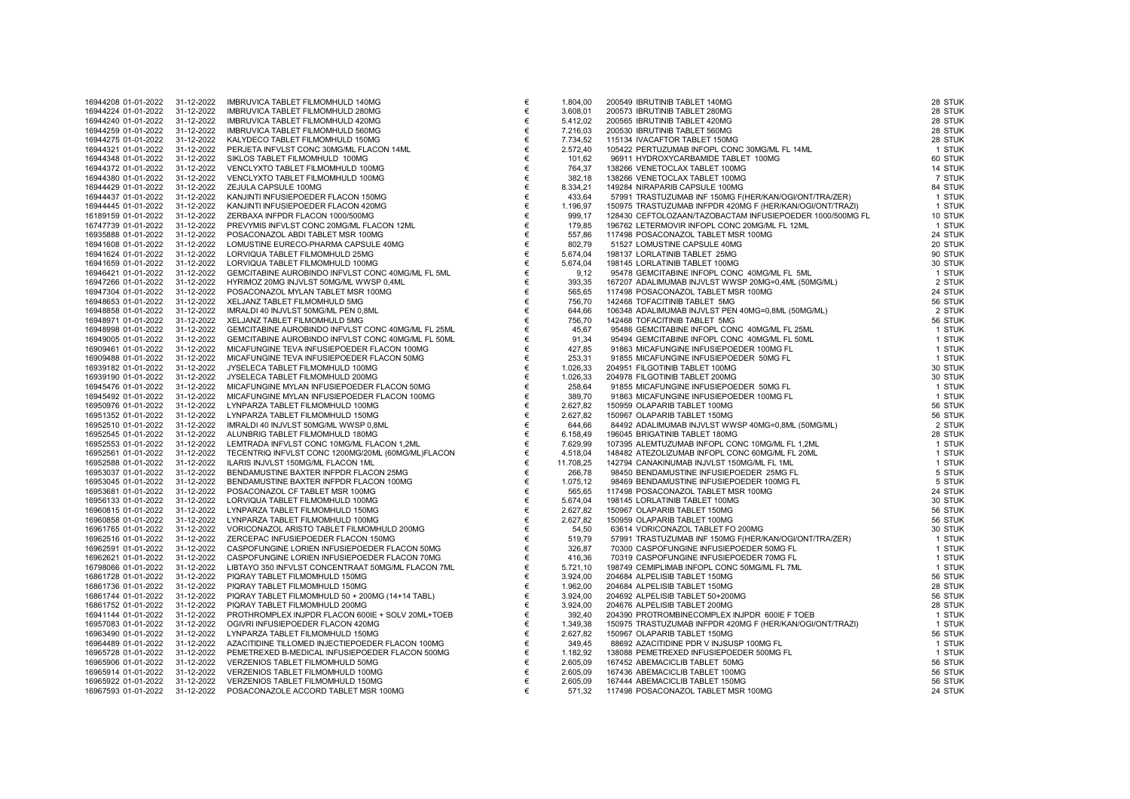| 16944208 01-01-2022 |                     | 31-12-2022 | IMBRUVICA TABLET FILMOMHULD 140MG                  |
|---------------------|---------------------|------------|----------------------------------------------------|
| 16944224 01-01-2022 |                     | 31-12-2022 | IMBRUVICA TABLET FILMOMHULD 280MG                  |
| 16944240 01-01-2022 |                     | 31-12-2022 | IMBRUVICA TABLET FILMOMHULD 420MG                  |
| 16944259 01-01-2022 |                     | 31-12-2022 | IMBRUVICA TABLET FILMOMHULD 560MG                  |
| 16944275 01-01-2022 |                     | 31-12-2022 | KALYDECO TABLET FILMOMHULD 150MG                   |
| 16944321 01-01-2022 |                     | 31-12-2022 | PERJETA INFVLST CONC 30MG/ML FLACON 14ML           |
| 16944348 01-01-2022 |                     | 31-12-2022 | SIKLOS TABLET FILMOMHULD 100MG                     |
| 16944372 01-01-2022 |                     | 31-12-2022 | VENCLYXTO TABLET FILMOMHULD 100MG                  |
| 16944380 01-01-2022 |                     | 31-12-2022 | VENCLYXTO TABLET FILMOMHULD 100MG                  |
| 16944429 01-01-2022 |                     | 31-12-2022 | ZEJULA CAPSULE 100MG                               |
| 16944437 01-01-2022 |                     | 31-12-2022 | KANJINTI INFUSIEPOEDER FLACON 150MG                |
| 16944445 01-01-2022 |                     | 31-12-2022 | KANJINTI INFUSIEPOEDER FLACON 420MG                |
| 16189159 01-01-2022 |                     | 31-12-2022 | ZERBAXA INFPDR FLACON 1000/500MG                   |
| 16747739 01-01-2022 |                     | 31-12-2022 | PREVYMIS INFVLST CONC 20MG/ML FLACON 12ML          |
|                     | 16935888 01-01-2022 | 31-12-2022 | POSACONAZOL ABDI TABLET MSR 100MG                  |
| 16941608 01-01-2022 |                     | 31-12-2022 | LOMUSTINE EURECO-PHARMA CAPSULE 40MG               |
| 16941624 01-01-2022 |                     | 31-12-2022 | LORVIQUA TABLET FILMOMHULD 25MG                    |
| 16941659 01-01-2022 |                     | 31-12-2022 | LORVIQUA TABLET FILMOMHULD 100MG                   |
| 16946421 01-01-2022 |                     | 31-12-2022 | GEMCITABINE AUROBINDO INFVLST CONC 40MG/ML FL 5ML  |
| 16947266 01-01-2022 |                     | 31-12-2022 | HYRIMOZ 20MG INJVLST 50MG/ML WWSP 0,4ML            |
| 16947304 01-01-2022 |                     | 31-12-2022 | POSACONAZOL MYLAN TABLET MSR 100MG                 |
| 16948653 01-01-2022 |                     | 31-12-2022 | XELJANZ TABLET FILMOMHULD 5MG                      |
| 16948858 01-01-2022 |                     | 31-12-2022 | IMRALDI 40 INJVLST 50MG/ML PEN 0,8ML               |
| 16948971 01-01-2022 |                     | 31-12-2022 | XELJANZ TABLET FILMOMHULD 5MG                      |
| 16948998 01-01-2022 |                     | 31-12-2022 | GEMCITABINE AUROBINDO INFVLST CONC 40MG/ML FL 25ML |
| 16949005 01-01-2022 |                     | 31-12-2022 | GEMCITABINE AUROBINDO INFVLST CONC 40MG/ML FL 50ML |
| 16909461 01-01-2022 |                     | 31-12-2022 | MICAFUNGINE TEVA INFUSIEPOEDER FLACON 100MG        |
| 16909488 01-01-2022 |                     | 31-12-2022 | MICAFUNGINE TEVA INFUSIEPOEDER FLACON 50MG         |
| 16939182 01-01-2022 |                     | 31-12-2022 | JYSELECA TABLET FILMOMHULD 100MG                   |
| 16939190 01-01-2022 |                     | 31-12-2022 | JYSELECA TABLET FILMOMHULD 200MG                   |
| 16945476 01-01-2022 |                     | 31-12-2022 | MICAFUNGINE MYLAN INFUSIEPOEDER FLACON 50MG        |
| 16945492 01-01-2022 |                     | 31-12-2022 | MICAFUNGINE MYLAN INFUSIEPOEDER FLACON 100MG       |
| 16950976 01-01-2022 |                     | 31-12-2022 | LYNPARZA TABLET FILMOMHULD 100MG                   |
| 16951352 01-01-2022 |                     | 31-12-2022 | LYNPARZA TABLET FILMOMHULD 150MG                   |
| 16952510 01-01-2022 |                     | 31-12-2022 | IMRALDI 40 INJVLST 50MG/ML WWSP 0,8ML              |
| 16952545 01-01-2022 |                     | 31-12-2022 | ALUNBRIG TABLET FILMOMHULD 180MG                   |
| 16952553 01-01-2022 |                     | 31-12-2022 | LEMTRADA INFVLST CONC 10MG/ML FLACON 1,2ML         |
| 16952561 01-01-2022 |                     | 31-12-2022 | TECENTRIQ INFVLST CONC 1200MG/20ML (60MG/ML)FLACON |
| 16952588 01-01-2022 |                     | 31-12-2022 | ILARIS INJVLST 150MG/ML FLACON 1ML                 |
| 16953037 01-01-2022 |                     | 31-12-2022 | BENDAMUSTINE BAXTER INFPDR FLACON 25MG             |
|                     | 16953045 01-01-2022 | 31-12-2022 | BENDAMUSTINE BAXTER INFPDR FLACON 100MG            |
| 16953681 01-01-2022 |                     | 31-12-2022 | POSACONAZOL CF TABLET MSR 100MG                    |
| 16956133 01-01-2022 |                     | 31-12-2022 | LORVIQUA TABLET FILMOMHULD 100MG                   |
| 16960815 01-01-2022 |                     | 31-12-2022 | LYNPARZA TABLET FILMOMHULD 150MG                   |
| 16960858 01-01-2022 |                     | 31-12-2022 | LYNPARZA TABLET FILMOMHULD 100MG                   |
| 16961765 01-01-2022 |                     | 31-12-2022 | VORICONAZOL ARISTO TABLET FILMOMHULD 200MG         |
| 16962516 01-01-2022 |                     | 31-12-2022 | ZERCEPAC INFUSIEPOEDER FLACON 150MG                |
| 16962591 01-01-2022 |                     | 31-12-2022 | CASPOFUNGINE LORIEN INFUSIEPOEDER FLACON 50MG      |
| 16962621 01-01-2022 |                     | 31-12-2022 | CASPOFUNGINE LORIEN INFUSIEPOEDER FLACON 70MG      |
| 16798066 01-01-2022 |                     | 31-12-2022 | LIBTAYO 350 INFVLST CONCENTRAAT 50MG/ML FLACON 7ML |
| 16861728 01-01-2022 |                     | 31-12-2022 | PIQRAY TABLET FILMOMHULD 150MG                     |
| 16861736 01-01-2022 |                     | 31-12-2022 | PIQRAY TABLET FILMOMHULD 150MG                     |
| 16861744 01-01-2022 |                     | 31-12-2022 | PIQRAY TABLET FILMOMHULD 50 + 200MG (14+14 TABL)   |
| 16861752 01-01-2022 |                     | 31-12-2022 | PIQRAY TABLET FILMOMHULD 200MG                     |
| 16941144 01-01-2022 |                     | 31-12-2022 | PROTHROMPLEX INJPDR FLACON 600IE + SOLV 20ML+TOEB  |
| 16957083 01-01-2022 |                     | 31-12-2022 | OGIVRI INFUSIEPOEDER FLACON 420MG                  |
| 16963490 01-01-2022 |                     | 31-12-2022 | LYNPARZA TABLET FILMOMHULD 150MG                   |
| 16964489 01-01-2022 |                     | 31-12-2022 | AZACITIDINE TILLOMED INJECTIEPOEDER FLACON 100MG   |
| 16965728 01-01-2022 |                     | 31-12-2022 | PEMETREXED B-MEDICAL INFUSIEPOEDER FLACON 500MG    |
| 16965906 01-01-2022 |                     | 31-12-2022 | VERZENIOS TABLET FILMOMHULD 50MG                   |
| 16965914 01-01-2022 |                     | 31-12-2022 | VERZENIOS TABLET FILMOMHULD 100MG                  |
| 16965922 01-01-2022 |                     | 31-12-2022 | VERZENIOS TABLET FILMOMHULD 150MG                  |
| 16967593 01-01-2022 |                     | 31-12-2022 | POSACONAZOLE ACCORD TABLET MSR 100MG               |

| 16944224 01-01-2022                        | 31-12-2022<br>31-12-2022 | IMBRUVICA TABLET FILMOMHULD 280MG                                                           | €          | 3.608,01         | 200573 IBRUTINIB TABLET 280MG                                                                                                                                                                                                                | 28 STUK          |
|--------------------------------------------|--------------------------|---------------------------------------------------------------------------------------------|------------|------------------|----------------------------------------------------------------------------------------------------------------------------------------------------------------------------------------------------------------------------------------------|------------------|
|                                            |                          |                                                                                             |            |                  |                                                                                                                                                                                                                                              |                  |
| 16944240 01-01-2022                        |                          | IMBRUVICA TABLET FILMOMHULD 420MG                                                           | €          | 5.412,02         | 200565 IBRUTINIB TABLET 420MG                                                                                                                                                                                                                | 28 STUK          |
| 16944259 01-01-2022                        | 31-12-2022               | IMBRUVICA TABLET FILMOMHULD 560MG                                                           | $\in$      | 7.216,03         | 200530 IBRUTINIB TABLET 560MG                                                                                                                                                                                                                | 28 STUK          |
| 16944275 01-01-2022                        | 31-12-2022               | KALYDECO TABLET FILMOMHULD 150MG                                                            | €          | 7.734,52         | 115134 IVACAFTOR TABLET 150MG                                                                                                                                                                                                                | 28 STUK          |
| 16944321 01-01-2022                        | 31-12-2022               | PERJETA INFVLST CONC 30MG/ML FLACON 14ML                                                    | €          | 2.572,40         | 105422 PERTUZUMAB INFOPL CONC 30MG/ML FL 14ML                                                                                                                                                                                                | 1 STUK           |
| 16944348 01-01-2022                        | 31-12-2022               | SIKLOS TABLET FILMOMHULD 100MG                                                              | €          | 101,62           | 96911 HYDROXYCARBAMIDE TABLET 100MG                                                                                                                                                                                                          | 60 STUK          |
| 16944372 01-01-2022                        | 31-12-2022               | VENCLYXTO TABLET FILMOMHULD 100MG                                                           | $\in$      | 764,37           | 138266 VENETOCLAX TABLET 100MG                                                                                                                                                                                                               | 14 STUK          |
| 16944380 01-01-2022                        | 31-12-2022               | VENCLYXTO TABLET FILMOMHULD 100MG                                                           | €          | 382,18           | 138266 VENETOCLAX TABLET 100MG                                                                                                                                                                                                               | 7 STUK           |
| 16944429 01-01-2022                        | 31-12-2022               | ZEJULA CAPSULE 100MG                                                                        | $\in$      | 8.334,21         | 149284 NIRAPARIB CAPSULE 100MG                                                                                                                                                                                                               | 84 STUK          |
| 16944437 01-01-2022                        | 31-12-2022               | KANJINTI INFUSIEPOEDER FLACON 150MG                                                         | $\in$      | 433,64           | 57991 TRASTUZUMAB INF 150MG F(HER/KAN/OGI/ONT/TRA/ZER)                                                                                                                                                                                       | 1 STUK           |
| 16944445 01-01-2022                        | 31-12-2022               | KANJINTI INFUSIEPOEDER FLACON 420MG                                                         | $\in$      | 1.196,97         | 150975 TRASTUZUMAB INFPDR 420MG F (HER/KAN/OGI/ONT/TRAZI)                                                                                                                                                                                    | 1 STUK           |
| 16189159 01-01-2022                        | 31-12-2022               | ZERBAXA INFPDR FLACON 1000/500MG                                                            | €          | 999,17           | 128430 CEFTOLOZAAN/TAZOBACTAM INFUSIEPOEDER 1000/500MG FL                                                                                                                                                                                    | 10 STUK          |
| 16747739 01-01-2022                        | 31-12-2022               | PREVYMIS INFVLST CONC 20MG/ML FLACON 12ML                                                   | €          | 179,85           | 196762 LETERMOVIR INFOPL CONC 20MG/ML FL 12ML                                                                                                                                                                                                | 1 STUK           |
| 16935888 01-01-2022                        | 31-12-2022               | POSACONAZOL ABDI TABLET MSR 100MG                                                           | $\in$      | 557,86           | 117498 POSACONAZOL TABLET MSR 100MG                                                                                                                                                                                                          | 24 STUK          |
| 16941608 01-01-2022                        | 31-12-2022               | LOMUSTINE EURECO-PHARMA CAPSULE 40MG                                                        | €          | 802,79           | 51527 LOMUSTINE CAPSULE 40MG                                                                                                                                                                                                                 | 20 STUK          |
| 16941624 01-01-2022                        | 31-12-2022               | LORVIQUA TABLET FILMOMHULD 25MG                                                             | €          | 5.674,04         | 198137 LORLATINIB TABLET 25MG                                                                                                                                                                                                                | 90 STUK          |
| 16941659 01-01-2022                        | 31-12-2022               | LORVIQUA TABLET FILMOMHULD 100MG                                                            | $\epsilon$ | 5.674,04         | 198145 LORLATINIB TABLET 100MG                                                                                                                                                                                                               | 30 STUK          |
| 16946421 01-01-2022                        | 31-12-2022               | GEMCITABINE AUROBINDO INFVLST CONC 40MG/ML FL 5ML                                           | €          | 9,12             | 95478 GEMCITABINE INFOPL CONC 40MG/ML FL 5ML                                                                                                                                                                                                 | 1 STUK           |
| 16947266 01-01-2022                        | 31-12-2022               | HYRIMOZ 20MG INJVLST 50MG/ML WWSP 0,4ML                                                     | €          | 393,35           | 167207 ADALIMUMAB INJVLST WWSP 20MG=0,4ML (50MG/ML)                                                                                                                                                                                          | 2 STUK           |
| 16947304 01-01-2022                        | 31-12-2022               | POSACONAZOL MYLAN TABLET MSR 100MG                                                          | €          | 565,65           | 117498 POSACONAZOL TABLET MSR 100MG                                                                                                                                                                                                          | 24 STUK          |
| 16948653 01-01-2022                        | 31-12-2022               | XELJANZ TABLET FILMOMHULD 5MG                                                               | €          | 756,70           | 142468 TOFACITINIB TABLET 5MG                                                                                                                                                                                                                | 56 STUK          |
| 16948858 01-01-2022                        | 31-12-2022               | IMRALDI 40 INJVLST 50MG/ML PEN 0,8ML                                                        | €          | 644,66           | 106348 ADALIMUMAB INJVLST PEN 40MG=0,8ML (50MG/ML)                                                                                                                                                                                           | 2 STUK           |
| 16948971 01-01-2022                        | 31-12-2022               | XELJANZ TABLET FILMOMHULD 5MG                                                               | €          | 756,70           | 142468 TOFACITINIB TABLET 5MG                                                                                                                                                                                                                | 56 STUK          |
| 16948998 01-01-2022                        | 31-12-2022               | GEMCITABINE AUROBINDO INFVLST CONC 40MG/ML FL 25ML                                          | €          | 45,67            | 95486 GEMCITABINE INFOPL CONC 40MG/ML FL 25ML                                                                                                                                                                                                | 1 STUK           |
| 16949005 01-01-2022                        | 31-12-2022               | GEMCITABINE AUROBINDO INFVLST CONC 40MG/ML FL 50ML                                          | $\in$      | 91,34            | 95494 GEMCITABINE INFOPL CONC 40MG/ML FL 50ML                                                                                                                                                                                                | 1 STUK           |
| 16909461 01-01-2022                        | 31-12-2022               | MICAFUNGINE TEVA INFUSIEPOEDER FLACON 100MG                                                 | €          | 427,85           | 91863 MICAFUNGINE INFUSIEPOEDER 100MG FL                                                                                                                                                                                                     | 1 STUK           |
| 16909488 01-01-2022                        | 31-12-2022               | MICAFUNGINE TEVA INFUSIEPOEDER FLACON 50MG                                                  | €          | 253,31           | 91855 MICAFUNGINE INFUSIEPOEDER 50MG FL                                                                                                                                                                                                      | 1 STUK           |
| 16939182 01-01-2022                        | 31-12-2022               | JYSELECA TABLET FILMOMHULD 100MG                                                            | $\in$      | 1.026,33         | 204951 FILGOTINIB TABLET 100MG                                                                                                                                                                                                               | 30 STUK          |
| 16939190 01-01-2022                        | 31-12-2022               | JYSELECA TABLET FILMOMHULD 200MG                                                            | €          | 1.026,33         | 204978 FILGOTINIB TABLET 200MG                                                                                                                                                                                                               | 30 STUK          |
| 16945476 01-01-2022<br>16945492 01-01-2022 | 31-12-2022<br>31-12-2022 | MICAFUNGINE MYLAN INFUSIEPOEDER FLACON 50MG<br>MICAFUNGINE MYLAN INFUSIEPOEDER FLACON 100MG | €<br>€     | 258,64<br>389,70 | 91855 MICAFUNGINE INFUSIEPOEDER 50MG FL<br>91863 MICAFUNGINE INFUSIEPOEDER 100MG FL                                                                                                                                                          | 1 STUK<br>1 STUK |
| 16950976 01-01-2022                        | 31-12-2022               | LYNPARZA TABLET FILMOMHULD 100MG                                                            | $\in$      | 2.627,82         | 150959 OLAPARIB TABLET 100MG                                                                                                                                                                                                                 | 56 STUK          |
| 16951352 01-01-2022                        | 31-12-2022               | LYNPARZA TABLET FILMOMHULD 150MG                                                            | €          | 2.627,82         | 150967 OLAPARIB TABLET 150MG                                                                                                                                                                                                                 | 56 STUK          |
| 16952510 01-01-2022                        | 31-12-2022               | IMRALDI 40 INJVLST 50MG/ML WWSP 0,8ML                                                       | €          | 644,66           |                                                                                                                                                                                                                                              | 2 STUK           |
| 16952545 01-01-2022                        | 31-12-2022               | ALUNBRIG TABLET FILMOMHULD 180MG                                                            | €          | 6.158,49         | 19990 DEALEMENT HABLET TOUMUS<br>196045 ADALIMUMAB INJULST WWSP 40MG=0,8ML (50MG/ML)<br>196045 BRIGATINIB TABLET 180MG<br>107395 ALEMTUZUMAB INFOPL CONC 10MG/ML FL 1,2ML<br>148482 ATEZOLIZUMAB INJVLST 150MG/MI FI 1MI<br>142794 CANAKINUM | 28 STUK          |
| 16952553 01-01-2022                        | 31-12-2022               | LEMTRADA INFVLST CONC 10MG/ML FLACON 1,2ML                                                  | €          | 7.629,99         |                                                                                                                                                                                                                                              | 1 STUK           |
| 16952561 01-01-2022                        | 31-12-2022               | TECENTRIQ INFVLST CONC 1200MG/20ML (60MG/ML)FLACON                                          | €          | 4.518,04         |                                                                                                                                                                                                                                              | 1 STUK           |
| 16952588 01-01-2022                        | 31-12-2022               | ILARIS INJVLST 150MG/ML FLACON 1ML                                                          | €          | 11.708,25        | 142794 CANAKINUMAB INJVLST 150MG/ML FL 1ML                                                                                                                                                                                                   | 1 STUK           |
| 16953037 01-01-2022                        | 31-12-2022               | BENDAMUSTINE BAXTER INFPDR FLACON 25MG                                                      | €          | 266,78           | 98450 BENDAMUSTINE INFUSIEPOEDER 25MG FL                                                                                                                                                                                                     | 5 STUK           |
| 16953045 01-01-2022                        | 31-12-2022               | BENDAMUSTINE BAXTER INFPDR FLACON 100MG                                                     | €          | 1.075,12         | 98469 BENDAMUSTINE INFUSIEPOEDER 100MG FL                                                                                                                                                                                                    | 5 STUK           |
| 16953681 01-01-2022                        | 31-12-2022               | POSACONAZOL CF TABLET MSR 100MG                                                             | €          | 565,65           | 117498 POSACONAZOL TABLET MSR 100MG                                                                                                                                                                                                          | 24 STUK          |
| 16956133 01-01-2022                        | 31-12-2022               | LORVIQUA TABLET FILMOMHULD 100MG                                                            | €          | 5.674,04         | 198145 LORLATINIB TABLET 100MG                                                                                                                                                                                                               | 30 STUK          |
| 16960815 01-01-2022                        | 31-12-2022               | LYNPARZA TABLET FILMOMHULD 150MG                                                            | €          | 2.627,82         | 150967 OLAPARIB TABLET 150MG                                                                                                                                                                                                                 | 56 STUK          |
| 16960858 01-01-2022                        | 31-12-2022               | LYNPARZA TABLET FILMOMHULD 100MG                                                            | €          | 2.627,82         | 150959 OLAPARIB TABLET 100MG                                                                                                                                                                                                                 | 56 STUK          |
| 16961765 01-01-2022                        | 31-12-2022               | VORICONAZOL ARISTO TABLET FILMOMHULD 200MG                                                  | €          | 54,50            | 63614 VORICONAZOL TABLET FO 200MG                                                                                                                                                                                                            | 30 STUK          |
| 16962516 01-01-2022                        | 31-12-2022               | ZERCEPAC INFUSIEPOEDER FLACON 150MG                                                         | €          | 519,79           | 57991 TRASTUZUMAB INF 150MG F(HER/KAN/OGI/ONT/TRA/ZER)                                                                                                                                                                                       | 1 STUK           |
| 16962591 01-01-2022                        | 31-12-2022               | CASPOFUNGINE LORIEN INFUSIEPOEDER FLACON 50MG                                               | $\in$      | 326,87           | 70300 CASPOFUNGINE INFUSIEPOEDER 50MG FL                                                                                                                                                                                                     | 1 STUK           |
| 16962621 01-01-2022                        | 31-12-2022               | CASPOFUNGINE LORIEN INFUSIEPOEDER FLACON 70MG                                               | €          | 416,36           | 70319 CASPOFUNGINE INFUSIEPOEDER 70MG FL                                                                                                                                                                                                     | 1 STUK           |
| 16798066 01-01-2022                        | 31-12-2022               | LIBTAYO 350 INFVLST CONCENTRAAT 50MG/ML FLACON 7ML                                          | €          | 5.721,10         | 198749 CEMIPLIMAB INFOPL CONC 50MG/ML FL 7ML                                                                                                                                                                                                 | 1 STUK           |
| 16861728 01-01-2022                        | 31-12-2022               | PIQRAY TABLET FILMOMHULD 150MG                                                              | €          | 3.924,00         | 204684 ALPELISIB TABLET 150MG                                                                                                                                                                                                                | 56 STUK          |
| 16861736 01-01-2022                        | 31-12-2022               | PIQRAY TABLET FILMOMHULD 150MG                                                              | €          | 1.962,00         | 204684 ALPELISIB TABLET 150MG                                                                                                                                                                                                                | 28 STUK          |
| 16861744 01-01-2022                        | 31-12-2022               | PIQRAY TABLET FILMOMHULD 50 + 200MG (14+14 TABL)                                            | €          | 3.924,00         | 204692 ALPELISIB TABLET 50+200MG                                                                                                                                                                                                             | 56 STUK          |
| 16861752 01-01-2022                        | 31-12-2022               | PIQRAY TABLET FILMOMHULD 200MG                                                              | $\in$      | 3.924,00         | 204676 ALPELISIB TABLET 200MG                                                                                                                                                                                                                | 28 STUK          |
| 16941144 01-01-2022                        | 31-12-2022               | PROTHROMPLEX INJPDR FLACON 600IE + SOLV 20ML+TOEB                                           | €          | 392,40           | 204390 PROTROMBINECOMPLEX INJPDR 600IE F TOEB                                                                                                                                                                                                | 1 STUK           |
| 16957083 01-01-2022                        | 31-12-2022               | OGIVRI INFUSIEPOEDER FLACON 420MG                                                           | €          | 1.349,38         | 150975 TRASTUZUMAB INFPDR 420MG F (HER/KAN/OGI/ONT/TRAZI)                                                                                                                                                                                    | 1 STUK           |
| 16963490 01-01-2022                        | 31-12-2022               | LYNPARZA TABLET FILMOMHULD 150MG                                                            | €          | 2.627,82         | 150967 OLAPARIB TABLET 150MG                                                                                                                                                                                                                 | 56 STUK          |
| 16964489 01-01-2022                        | 31-12-2022               | AZACITIDINE TILLOMED INJECTIEPOEDER FLACON 100MG                                            | €          | 349,45           | 88692 AZACITIDINE PDR V INJSUSP 100MG FL                                                                                                                                                                                                     | 1 STUK           |
| 16965728 01-01-2022                        | 31-12-2022               | PEMETREXED B-MEDICAL INFUSIEPOEDER FLACON 500MG                                             | €          | 1.182,92         | 138088 PEMETREXED INFUSIEPOEDER 500MG FL                                                                                                                                                                                                     | 1 STUK           |
| 16965906 01-01-2022                        | 31-12-2022               | VERZENIOS TABLET FILMOMHULD 50MG                                                            | €          | 2.605,09         | 167452 ABEMACICLIB TABLET 50MG                                                                                                                                                                                                               | 56 STUK          |
| 16965914 01-01-2022                        | 31-12-2022               | VERZENIOS TABLET FILMOMHULD 100MG                                                           | €          | 2.605,09         | 167436 ABEMACICLIB TABLET 100MG                                                                                                                                                                                                              | 56 STUK          |
| 16965922 01-01-2022                        | 31-12-2022               | VERZENIOS TABLET FILMOMHULD 150MG                                                           | €          | 2.605,09         | 167444 ABEMACICLIB TABLET 150MG                                                                                                                                                                                                              | 56 STUK          |
| 16967593 01-01-2022 31-12-2022             |                          | POSACONAZOLE ACCORD TABLET MSR 100MG                                                        | €          | 571,32           | 117498 POSACONAZOL TABLET MSR 100MG                                                                                                                                                                                                          | 24 STUK          |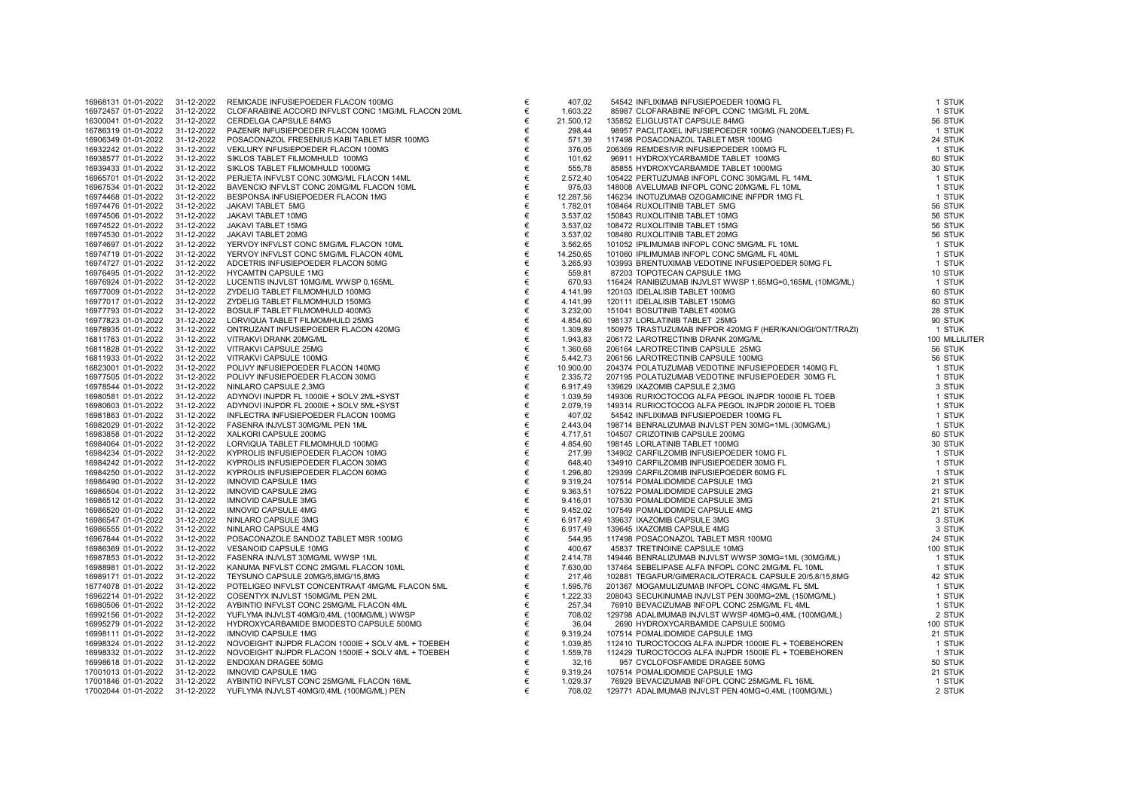| 16968131 01-01-2022 | 31-12-2022 | REMICADE INFUSIEPOEDER FLACON 100MG                |
|---------------------|------------|----------------------------------------------------|
| 16972457 01-01-2022 | 31-12-2022 | CLOFARABINE ACCORD INFVLST CONC 1MG/ML FLACON 20M  |
| 16300041 01-01-2022 | 31-12-2022 | CERDELGA CAPSULE 84MG                              |
| 16786319 01-01-2022 | 31-12-2022 | PAZENIR INFUSIEPOEDER FLACON 100MG                 |
| 16906349 01-01-2022 | 31-12-2022 | POSACONAZOL FRESENIUS KABI TABLET MSR 100MG        |
| 16932242 01-01-2022 | 31-12-2022 | VEKLURY INFUSIEPOEDER FLACON 100MG                 |
| 16938577 01-01-2022 | 31-12-2022 | SIKLOS TABLET FILMOMHULD 100MG                     |
| 16939433 01-01-2022 | 31-12-2022 | SIKLOS TABLET FILMOMHULD 1000MG                    |
| 16965701 01-01-2022 | 31-12-2022 | PERJETA INFVLST CONC 30MG/ML FLACON 14ML           |
| 16967534 01-01-2022 | 31-12-2022 | BAVENCIO INFVLST CONC 20MG/ML FLACON 10ML          |
| 16974468 01-01-2022 | 31-12-2022 | BESPONSA INFUSIEPOEDER FLACON 1MG                  |
| 16974476 01-01-2022 | 31-12-2022 | JAKAVI TABLET 5MG                                  |
| 16974506 01-01-2022 | 31-12-2022 | JAKAVI TABLET 10MG                                 |
| 16974522 01-01-2022 | 31-12-2022 | JAKAVI TABLET 15MG                                 |
| 16974530 01-01-2022 | 31-12-2022 | JAKAVI TABLET 20MG                                 |
| 16974697 01-01-2022 | 31-12-2022 | YERVOY INFVLST CONC 5MG/ML FLACON 10ML             |
| 16974719 01-01-2022 | 31-12-2022 | YERVOY INFVLST CONC 5MG/ML FLACON 40ML             |
| 16974727 01-01-2022 | 31-12-2022 | ADCETRIS INFUSIEPOEDER FLACON 50MG                 |
| 16976495 01-01-2022 | 31-12-2022 | HYCAMTIN CAPSULE 1MG                               |
| 16976924 01-01-2022 | 31-12-2022 | LUCENTIS INJVLST 10MG/ML WWSP 0,165ML              |
| 16977009 01-01-2022 | 31-12-2022 | ZYDELIG TABLET FILMOMHULD 100MG                    |
| 16977017 01-01-2022 | 31-12-2022 | ZYDELIG TABLET FILMOMHULD 150MG                    |
| 16977793 01-01-2022 | 31-12-2022 | BOSULIF TABLET FILMOMHULD 400MG                    |
| 16977823 01-01-2022 | 31-12-2022 | LORVIQUA TABLET FILMOMHULD 25MG                    |
| 16978935 01-01-2022 | 31-12-2022 | ONTRUZANT INFUSIEPOEDER FLACON 420MG               |
| 16811763 01-01-2022 | 31-12-2022 | VITRAKVI DRANK 20MG/ML                             |
| 16811828 01-01-2022 | 31-12-2022 | VITRAKVI CAPSULE 25MG                              |
| 16811933 01-01-2022 | 31-12-2022 | VITRAKVI CAPSULE 100MG                             |
| 16823001 01-01-2022 | 31-12-2022 | POLIVY INFUSIEPOEDER FLACON 140MG                  |
| 16977505 01-01-2022 | 31-12-2022 | POLIVY INFUSIEPOEDER FLACON 30MG                   |
| 16978544 01-01-2022 | 31-12-2022 | NINLARO CAPSULE 2,3MG                              |
| 16980581 01-01-2022 | 31-12-2022 | ADYNOVI INJPDR FL 1000IE + SOLV 2ML+SYST           |
| 16980603 01-01-2022 | 31-12-2022 | ADYNOVI INJPDR FL 2000IE + SOLV 5ML+SYST           |
| 16981863 01-01-2022 | 31-12-2022 | INFLECTRA INFUSIEPOEDER FLACON 100MG               |
| 16982029 01-01-2022 | 31-12-2022 | FASENRA INJVLST 30MG/ML PEN 1ML                    |
| 16983858 01-01-2022 | 31-12-2022 | XALKORI CAPSULE 200MG                              |
| 16984064 01-01-2022 | 31-12-2022 | LORVIQUA TABLET FILMOMHULD 100MG                   |
| 16984234 01-01-2022 | 31-12-2022 | KYPROLIS INFUSIEPOEDER FLACON 10MG                 |
| 16984242 01-01-2022 | 31-12-2022 | KYPROLIS INFUSIEPOEDER FLACON 30MG                 |
| 16984250 01-01-2022 | 31-12-2022 | KYPROLIS INFUSIEPOEDER FLACON 60MG                 |
| 16986490 01-01-2022 | 31-12-2022 | <b>IMNOVID CAPSULE 1MG</b>                         |
| 16986504 01-01-2022 | 31-12-2022 | <b>IMNOVID CAPSULE 2MG</b>                         |
| 16986512 01-01-2022 | 31-12-2022 | <b>IMNOVID CAPSULE 3MG</b>                         |
| 16986520 01-01-2022 | 31-12-2022 | <b>IMNOVID CAPSULE 4MG</b>                         |
| 16986547 01-01-2022 | 31-12-2022 | NINLARO CAPSULE 3MG                                |
| 16986555 01-01-2022 | 31-12-2022 | NINLARO CAPSULE 4MG                                |
| 16967844 01-01-2022 | 31-12-2022 | POSACONAZOLE SANDOZ TABLET MSR 100MG               |
| 16986369 01-01-2022 | 31-12-2022 | VESANOID CAPSULE 10MG                              |
| 16987853 01-01-2022 | 31-12-2022 | FASENRA INJVLST 30MG/ML WWSP 1ML                   |
| 16988981 01-01-2022 | 31-12-2022 | KANUMA INFVLST CONC 2MG/ML FLACON 10ML             |
| 16989171 01-01-2022 | 31-12-2022 | TEYSUNO CAPSULE 20MG/5,8MG/15,8MG                  |
| 16774078 01-01-2022 | 31-12-2022 | POTELIGEO INFVLST CONCENTRAAT 4MG/ML FLACON 5ML    |
| 16962214 01-01-2022 | 31-12-2022 | COSENTYX INJVLST 150MG/ML PEN 2ML                  |
| 16980506 01-01-2022 | 31-12-2022 | AYBINTIO INFVLST CONC 25MG/ML FLACON 4ML           |
| 16992156 01-01-2022 | 31-12-2022 | YUFLYMA INJVLST 40MG/0,4ML (100MG/ML) WWSP         |
| 16995279 01-01-2022 | 31-12-2022 | HYDROXYCARBAMIDE BMODESTO CAPSULE 500MG            |
| 16998111 01-01-2022 | 31-12-2022 | <b>IMNOVID CAPSULE 1MG</b>                         |
| 16998324 01-01-2022 | 31-12-2022 | NOVOEIGHT INJPDR FLACON 1000IE + SOLV 4ML + TOEBEH |
| 16998332 01-01-2022 | 31-12-2022 | NOVOEIGHT INJPDR FLACON 1500IE + SOLV 4ML + TOEBEH |
| 16998618 01-01-2022 | 31-12-2022 | ENDOXAN DRAGEE 50MG                                |
| 17001013 01-01-2022 | 31-12-2022 | <b>IMNOVID CAPSULE 1MG</b>                         |
| 17001846 01-01-2022 | 31-12-2022 | AYBINTIO INFVLST CONC 25MG/ML FLACON 16ML          |
| 17002044 01-01-2022 | 31-12-2022 | YUFLYMA INJVLST 40MG/0,4ML (100MG/ML) PEN          |
|                     |            |                                                    |

| 16968131 01-01-2022 | 31-12-2022 | REMICADE INFUSIEPOEDER FLACON 100MG                                                                      | € | 407.02    | 54542 INFLIXIMAB INFUSIEPOEDER 100MG FL                                                                                                                                                                                                                                          | 1 STUK           |
|---------------------|------------|----------------------------------------------------------------------------------------------------------|---|-----------|----------------------------------------------------------------------------------------------------------------------------------------------------------------------------------------------------------------------------------------------------------------------------------|------------------|
| 16972457 01-01-2022 | 31-12-2022 | CLOFARABINE ACCORD INFVLST CONC 1MG/ML FLACON 20ML                                                       | € | 1.603.22  | 54542 INFLIXIMAB INFUSIEPOEDER 100MG FL<br>85887 CLOFARABINE INFOPL CONC 1MG/ML FL 20ML<br>135852 ELIGLUSTAT CAPSULE 84MG<br>98957 PACLITAXEL INFUSIEPOEDER 100MG (NANODEELTJES) FL<br>171498 POSACONAZOL TABLET MSR 100MG<br>206369 REMDESIV                                    | 1 STUK           |
| 16300041 01-01-2022 | 31-12-2022 | CERDELGA CAPSULE 84MG                                                                                    | € | 21.500,12 |                                                                                                                                                                                                                                                                                  | 56 STUK          |
| 16786319 01-01-2022 | 31-12-2022 | PAZENIR INFUSIEPOEDER FLACON 100MG                                                                       | € | 298,44    |                                                                                                                                                                                                                                                                                  | 1 STUK           |
| 16906349 01-01-2022 | 31-12-2022 | POSACONAZOL FRESENIUS KABI TABLET MSR 100MG                                                              | € | 571,39    |                                                                                                                                                                                                                                                                                  | 24 STUK          |
| 16932242 01-01-2022 | 31-12-2022 | VEKLURY INFUSIEPOEDER FLACON 100MG                                                                       | € | 376,05    |                                                                                                                                                                                                                                                                                  | 1 STUK           |
| 16938577 01-01-2022 | 31-12-2022 | SIKLOS TABLET FILMOMHULD 100MG                                                                           | € | 101,62    |                                                                                                                                                                                                                                                                                  | 60 STUK          |
| 16939433 01-01-2022 | 31-12-2022 | SIKLOS TABLET FILMOMHULD 1000MG                                                                          | € | 555,78    |                                                                                                                                                                                                                                                                                  | 30 STUK          |
| 16965701 01-01-2022 | 31-12-2022 | PERJETA INFVLST CONC 30MG/ML FLACON 14ML                                                                 | € | 2.572,40  |                                                                                                                                                                                                                                                                                  | 1 STUK           |
| 16967534 01-01-2022 | 31-12-2022 | BAVENCIO INFVLST CONC 20MG/ML FLACON 10ML                                                                | € | 975,03    |                                                                                                                                                                                                                                                                                  | 1 STUK           |
| 16974468 01-01-2022 | 31-12-2022 | BESPONSA INFUSIEPOEDER FLACON 1MG                                                                        | € | 12.287,56 |                                                                                                                                                                                                                                                                                  | 1 STUK           |
| 16974476 01-01-2022 | 31-12-2022 | JAKAVI TABLET 5MG                                                                                        | € | 1.782,01  |                                                                                                                                                                                                                                                                                  | 56 STUK          |
| 16974506 01-01-2022 | 31-12-2022 | JAKAVI TABLET 10MG                                                                                       | € | 3.537,02  |                                                                                                                                                                                                                                                                                  | 56 STUK          |
| 16974522 01-01-2022 | 31-12-2022 | JAKAVI TABLET 15MG                                                                                       | € | 3.537,02  |                                                                                                                                                                                                                                                                                  | 56 STUK          |
| 16974530 01-01-2022 | 31-12-2022 | JAKAVI TABLET 20MG                                                                                       | € | 3.537,02  |                                                                                                                                                                                                                                                                                  | 56 STUK          |
| 16974697 01-01-2022 | 31-12-2022 | YERVOY INFVLST CONC 5MG/ML FLACON 10ML                                                                   | € | 3.562,65  |                                                                                                                                                                                                                                                                                  | 1 STUK           |
| 16974719 01-01-2022 | 31-12-2022 | YERVOY INFVLST CONC 5MG/ML FLACON 40ML                                                                   | € | 14.250,65 |                                                                                                                                                                                                                                                                                  | 1 STUK           |
| 16974727 01-01-2022 | 31-12-2022 | ADCETRIS INFUSIEPOEDER FLACON 50MG                                                                       | € | 3.265,93  |                                                                                                                                                                                                                                                                                  | 1 STUK           |
|                     | 31-12-2022 |                                                                                                          | € |           |                                                                                                                                                                                                                                                                                  |                  |
| 16976495 01-01-2022 |            | HYCAMTIN CAPSULE 1MG                                                                                     |   | 559,81    |                                                                                                                                                                                                                                                                                  | 10 STUK          |
| 16976924 01-01-2022 | 31-12-2022 | LUCENTIS INJVLST 10MG/ML WWSP 0,165ML                                                                    | € | 670,93    |                                                                                                                                                                                                                                                                                  | 1 STUK           |
| 16977009 01-01-2022 | 31-12-2022 | ZYDELIG TABLET FILMOMHULD 100MG                                                                          | € | 4.141,99  |                                                                                                                                                                                                                                                                                  | 60 STUK          |
| 16977017 01-01-2022 | 31-12-2022 | ZYDELIG TABLET FILMOMHULD 150MG                                                                          | € | 4.141,99  |                                                                                                                                                                                                                                                                                  | 60 STUK          |
| 16977793 01-01-2022 | 31-12-2022 | BOSULIF TABLET FILMOMHULD 400MG                                                                          | € | 3.232,00  |                                                                                                                                                                                                                                                                                  | 28 STUK          |
| 16977823 01-01-2022 | 31-12-2022 | LORVIQUA TABLET FILMOMHULD 25MG                                                                          | € | 4.854,60  |                                                                                                                                                                                                                                                                                  | 90 STUK          |
| 16978935 01-01-2022 | 31-12-2022 | ONTRUZANT INFUSIEPOEDER FLACON 420MG                                                                     | € | 1.309,89  | 146234 INOTUZUMAB OZOGAMICINE INFPDR 1MG FL<br>108464 RUXOLITINIB TABLET 15MG<br>108472 RUXOLITINIB TABLET 15MG<br>108472 RUXOLITINIB TABLET 15MG<br>108480 RUXOLITINIB TABLET 20MG<br>101052 IPILIMUMAB INFOPL CONC 5MG/ML FL 10ML<br>101060 IP                                 | 1 STUK           |
| 16811763 01-01-2022 | 31-12-2022 | VITRAKVI DRANK 20MG/ML                                                                                   | € | 1.943,83  |                                                                                                                                                                                                                                                                                  | 100 MILLILITER   |
| 16811828 01-01-2022 | 31-12-2022 | VITRAKVI CAPSULE 25MG                                                                                    | € | 1.360,68  |                                                                                                                                                                                                                                                                                  | 56 STUK          |
| 16811933 01-01-2022 | 31-12-2022 | VITRAKVI CAPSULE 100MG                                                                                   | € | 5.442,73  |                                                                                                                                                                                                                                                                                  | 56 STUK          |
| 16823001 01-01-2022 | 31-12-2022 | POLIVY INFUSIEPOEDER FLACON 140MG                                                                        | € | 10.900,00 |                                                                                                                                                                                                                                                                                  | 1 STUK           |
| 16977505 01-01-2022 | 31-12-2022 | POLIVY INFUSIEPOEDER FLACON 30MG                                                                         | € | 2.335,72  |                                                                                                                                                                                                                                                                                  | 1 STUK           |
| 16978544 01-01-2022 | 31-12-2022 | NINLARO CAPSULE 2,3MG                                                                                    | € | 6.917,49  |                                                                                                                                                                                                                                                                                  | 3 STUK           |
| 16980581 01-01-2022 | 31-12-2022 | ADYNOVI INJPDR FL 1000IE + SOLV 2ML+SYST                                                                 | € | 1.039,59  |                                                                                                                                                                                                                                                                                  | 1 STUK           |
| 16980603 01-01-2022 | 31-12-2022 | ADYNOVI INJPDR FL 2000IE + SOLV 5ML+SYST                                                                 | € | 2.079,19  |                                                                                                                                                                                                                                                                                  | 1 STUK           |
| 16981863 01-01-2022 | 31-12-2022 | INFLECTRA INFUSIEPOEDER FLACON 100MG                                                                     | € | 407,02    |                                                                                                                                                                                                                                                                                  | 1 STUK           |
| 16982029 01-01-2022 | 31-12-2022 | FASENRA INJVLST 30MG/ML PEN 1ML                                                                          | € | 2.443,04  |                                                                                                                                                                                                                                                                                  | 1 STUK           |
| 16983858 01-01-2022 | 31-12-2022 | XALKORI CAPSULE 200MG                                                                                    | € | 4.717,51  |                                                                                                                                                                                                                                                                                  | 60 STUK          |
| 16984064 01-01-2022 | 31-12-2022 | LORVIQUA TABLET FILMOMHULD 100MG                                                                         | € | 4.854,60  |                                                                                                                                                                                                                                                                                  | 30 STUK          |
| 16984234 01-01-2022 | 31-12-2022 | KYPROLIS INFUSIEPOEDER FLACON 10MG                                                                       | € | 217,99    |                                                                                                                                                                                                                                                                                  | 1 STUK           |
| 16984242 01-01-2022 | 31-12-2022 | KYPROLIS INFUSIEPOEDER FLACON 30MG                                                                       | € | 648,40    |                                                                                                                                                                                                                                                                                  | 1 STUK           |
| 16984250 01-01-2022 | 31-12-2022 | KYPROLIS INFUSIEPOEDER FLACON 60MG                                                                       | € | 1.296,80  |                                                                                                                                                                                                                                                                                  | 1 STUK           |
| 16986490 01-01-2022 | 31-12-2022 | <b>IMNOVID CAPSULE 1MG</b>                                                                               | € | 9.319,24  |                                                                                                                                                                                                                                                                                  | 21 STUK          |
| 16986504 01-01-2022 | 31-12-2022 | <b>IMNOVID CAPSULE 2MG</b>                                                                               | € | 9.363,51  |                                                                                                                                                                                                                                                                                  | 21 STUK          |
| 16986512 01-01-2022 | 31-12-2022 | <b>IMNOVID CAPSULE 3MG</b>                                                                               | € | 9.416.01  |                                                                                                                                                                                                                                                                                  | 21 STUK          |
| 16986520 01-01-2022 | 31-12-2022 | <b>IMNOVID CAPSULE 4MG</b>                                                                               | € | 9.452,02  |                                                                                                                                                                                                                                                                                  | 21 STUK          |
| 16986547 01-01-2022 | 31-12-2022 | NINLARO CAPSULE 3MG                                                                                      | € | 6.917,49  |                                                                                                                                                                                                                                                                                  | 3 STUK           |
| 16986555 01-01-2022 | 31-12-2022 | NINLARO CAPSULE 4MG                                                                                      | € | 6.917,49  |                                                                                                                                                                                                                                                                                  | 3 STUK           |
| 16967844 01-01-2022 | 31-12-2022 | POSACONAZOLE SANDOZ TABLET MSR 100MG                                                                     | € | 544,95    |                                                                                                                                                                                                                                                                                  | 24 STUK          |
| 16986369 01-01-2022 | 31-12-2022 | VESANOID CAPSULE 10MG                                                                                    | € | 400,67    |                                                                                                                                                                                                                                                                                  | 100 STUK         |
| 16987853 01-01-2022 | 31-12-2022 | FASENRA INJVLST 30MG/ML WWSP 1ML                                                                         | € | 2.414,78  |                                                                                                                                                                                                                                                                                  | 1 STUK           |
| 16988981 01-01-2022 | 31-12-2022 | KANUMA INFVLST CONC 2MG/ML FLACON 10ML                                                                   | € | 7.630,00  |                                                                                                                                                                                                                                                                                  | 1 STUK           |
| 16989171 01-01-2022 | 31-12-2022 | TEYSUNO CAPSULE 20MG/5,8MG/15,8MG                                                                        | € | 217,46    |                                                                                                                                                                                                                                                                                  | 42 STUK          |
| 16774078 01-01-2022 | 31-12-2022 | POTELIGEO INFVLST CONCENTRAAT 4MG/ML FLACON 5ML                                                          | € | 1.595,76  |                                                                                                                                                                                                                                                                                  | 1 STUK           |
| 16962214 01-01-2022 | 31-12-2022 | COSENTYX INJVLST 150MG/ML PEN 2ML                                                                        | € | 1.222,33  |                                                                                                                                                                                                                                                                                  | 1 STUK           |
| 16980506 01-01-2022 | 31-12-2022 | AYBINTIO INFVLST CONC 25MG/ML FLACON 4ML                                                                 | € | 257,34    |                                                                                                                                                                                                                                                                                  | 1 STUK           |
| 16992156 01-01-2022 | 31-12-2022 | YUFLYMA INJVLST 40MG/0,4ML (100MG/ML) WWSP                                                               | € | 708,02    |                                                                                                                                                                                                                                                                                  | 2 STUK           |
| 16995279 01-01-2022 | 31-12-2022 | HYDROXYCARBAMIDE BMODESTO CAPSULE 500MG                                                                  | € | 36,04     |                                                                                                                                                                                                                                                                                  | 100 STUK         |
| 16998111 01-01-2022 | 31-12-2022 | <b>IMNOVID CAPSULE 1MG</b>                                                                               | € | 9.319,24  |                                                                                                                                                                                                                                                                                  | 21 STUK          |
|                     | 31-12-2022 |                                                                                                          | € | 1.039,85  |                                                                                                                                                                                                                                                                                  |                  |
| 16998324 01-01-2022 | 31-12-2022 | NOVOEIGHT INJPDR FLACON 1000IE + SOLV 4ML + TOEBEH<br>NOVOEIGHT INJPDR FLACON 1500IE + SOLV 4ML + TOEBEH | € | 1.559,78  |                                                                                                                                                                                                                                                                                  | 1 STUK<br>1 STUK |
| 16998332 01-01-2022 |            |                                                                                                          |   |           |                                                                                                                                                                                                                                                                                  |                  |
| 16998618 01-01-2022 | 31-12-2022 | ENDOXAN DRAGEE 50MG                                                                                      |   | 32,16     |                                                                                                                                                                                                                                                                                  | 50 STUK          |
| 17001013 01-01-2022 | 31-12-2022 | <b>IMNOVID CAPSULE 1MG</b>                                                                               | € | 9.319,24  | 2001/2 LAROIRECTINIB DRAPULE 100MG<br>200164 LAROIRECTINIB DRAPSULE 25MG<br>200164 LAROIRECTINIB CAPSULE 100MG<br>200157 LAROIRECTINIB CAPSULE 100MG<br>200437 POLATUZUMAB VEDOTINE INFUSIEPOEDER 30MG FL<br>2017195 POLATUZUMAB VEDOTINE INF<br>107514 POMALIDOMIDE CAPSULE 1MG | 21 STUK          |
| 17001846 01-01-2022 | 31-12-2022 | AYBINTIO INFVLST CONC 25MG/ML FLACON 16ML                                                                | € | 1.029,37  | 76929 BEVACIZUMAB INFOPL CONC 25MG/ML FL 16ML                                                                                                                                                                                                                                    | 1 STUK           |
| 17002044 01-01-2022 | 31-12-2022 | YUFLYMA INJVLST 40MG/0,4ML (100MG/ML) PEN                                                                | € | 708,02    | 129771 ADALIMUMAB INJVLST PEN 40MG=0,4ML (100MG/ML)                                                                                                                                                                                                                              | 2 STUK           |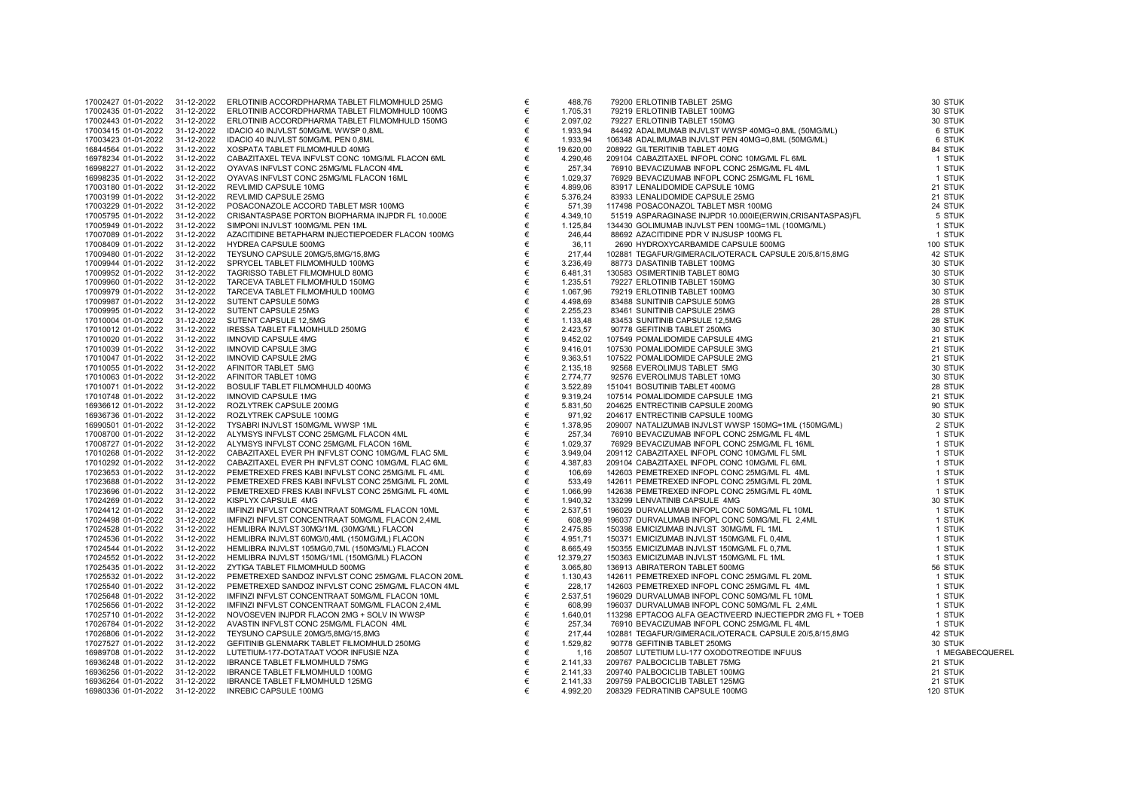| 17002427 01-01-2022 | 31-12-2022 | ERLOTINIB ACCORDPHARMA TABLET FILMOMHULD 25MG      |
|---------------------|------------|----------------------------------------------------|
| 17002435 01-01-2022 | 31-12-2022 | ERLOTINIB ACCORDPHARMA TABLET FILMOMHULD 100MG     |
| 17002443 01-01-2022 | 31-12-2022 | ERLOTINIB ACCORDPHARMA TABLET FILMOMHULD 150MG     |
| 17003415 01-01-2022 | 31-12-2022 | IDACIO 40 INJVLST 50MG/ML WWSP 0,8ML               |
| 17003423 01-01-2022 | 31-12-2022 | IDACIO 40 INJVLST 50MG/ML PEN 0,8ML                |
| 16844564 01-01-2022 | 31-12-2022 | XOSPATA TABLET FILMOMHULD 40MG                     |
| 16978234 01-01-2022 | 31-12-2022 | CABAZITAXEL TEVA INFVLST CONC 10MG/ML FLACON 6ML   |
| 16998227 01-01-2022 | 31-12-2022 | OYAVAS INFVLST CONC 25MG/ML FLACON 4ML             |
| 16998235 01-01-2022 | 31-12-2022 | OYAVAS INFVLST CONC 25MG/ML FLACON 16ML            |
| 17003180 01-01-2022 | 31-12-2022 | REVLIMID CAPSULE 10MG                              |
| 17003199 01-01-2022 | 31-12-2022 | REVLIMID CAPSULE 25MG                              |
| 17003229 01-01-2022 | 31-12-2022 | POSACONAZOLE ACCORD TABLET MSR 100MG               |
| 17005795 01-01-2022 | 31-12-2022 | CRISANTASPASE PORTON BIOPHARMA INJPDR FL 10.000E   |
| 17005949 01-01-2022 | 31-12-2022 | SIMPONI INJVLST 100MG/ML PEN 1ML                   |
| 17007089 01-01-2022 | 31-12-2022 | AZACITIDINE BETAPHARM INJECTIEPOEDER FLACON 100MG  |
| 17008409 01-01-2022 | 31-12-2022 | HYDREA CAPSULE 500MG                               |
| 17009480 01-01-2022 | 31-12-2022 | TEYSUNO CAPSULE 20MG/5,8MG/15,8MG                  |
| 17009944 01-01-2022 | 31-12-2022 | SPRYCEL TABLET FILMOMHULD 100MG                    |
| 17009952 01-01-2022 | 31-12-2022 | TAGRISSO TABLET FILMOMHULD 80MG                    |
| 17009960 01-01-2022 | 31-12-2022 | TARCEVA TABLET FILMOMHULD 150MG                    |
| 17009979 01-01-2022 | 31-12-2022 |                                                    |
|                     |            | TARCEVA TABLET FILMOMHULD 100MG                    |
| 17009987 01-01-2022 | 31-12-2022 | SUTENT CAPSULE 50MG                                |
| 17009995 01-01-2022 | 31-12-2022 | SUTENT CAPSULE 25MG                                |
| 17010004 01-01-2022 | 31-12-2022 | SUTENT CAPSULE 12,5MG                              |
| 17010012 01-01-2022 | 31-12-2022 | IRESSA TABLET FILMOMHULD 250MG                     |
| 17010020 01-01-2022 | 31-12-2022 | <b>IMNOVID CAPSULE 4MG</b>                         |
| 17010039 01-01-2022 | 31-12-2022 | <b>IMNOVID CAPSULE 3MG</b>                         |
| 17010047 01-01-2022 | 31-12-2022 | <b>IMNOVID CAPSULE 2MG</b>                         |
| 17010055 01-01-2022 | 31-12-2022 | AFINITOR TABLET 5MG                                |
| 17010063 01-01-2022 | 31-12-2022 | AFINITOR TABLET 10MG                               |
| 17010071 01-01-2022 | 31-12-2022 | BOSULIF TABLET FILMOMHULD 400MG                    |
| 17010748 01-01-2022 | 31-12-2022 | <b>IMNOVID CAPSULE 1MG</b>                         |
| 16936612 01-01-2022 | 31-12-2022 | ROZLYTREK CAPSULE 200MG                            |
| 16936736 01-01-2022 | 31-12-2022 | ROZLYTREK CAPSULE 100MG                            |
| 16990501 01-01-2022 | 31-12-2022 | TYSABRI INJVLST 150MG/ML WWSP 1ML                  |
| 17008700 01-01-2022 | 31-12-2022 | ALYMSYS INFVLST CONC 25MG/ML FLACON 4ML            |
| 17008727 01-01-2022 | 31-12-2022 | ALYMSYS INFVLST CONC 25MG/ML FLACON 16ML           |
| 17010268 01-01-2022 | 31-12-2022 | CABAZITAXEL EVER PH INFVLST CONC 10MG/ML FLAC 5ML  |
| 17010292 01-01-2022 | 31-12-2022 | CABAZITAXEL EVER PH INFVLST CONC 10MG/ML FLAC 6ML  |
| 17023653 01-01-2022 | 31-12-2022 | PEMETREXED FRES KABI INFVLST CONC 25MG/ML FL 4ML   |
| 17023688 01-01-2022 | 31-12-2022 | PEMETREXED FRES KABI INFVLST CONC 25MG/ML FL 20ML  |
| 17023696 01-01-2022 | 31-12-2022 | PEMETREXED FRES KABI INFVLST CONC 25MG/ML FL 40ML  |
| 17024269 01-01-2022 | 31-12-2022 | KISPLYX CAPSULE 4MG                                |
| 17024412 01-01-2022 | 31-12-2022 | IMFINZI INFVLST CONCENTRAAT 50MG/ML FLACON 10ML    |
| 17024498 01-01-2022 | 31-12-2022 | IMFINZI INFVLST CONCENTRAAT 50MG/ML FLACON 2,4ML   |
| 17024528 01-01-2022 | 31-12-2022 | HEMLIBRA INJVLST 30MG/1ML (30MG/ML) FLACON         |
| 17024536 01-01-2022 | 31-12-2022 | HEMLIBRA INJVLST 60MG/0,4ML (150MG/ML) FLACON      |
| 17024544 01-01-2022 | 31-12-2022 | HEMLIBRA INJVLST 105MG/0,7ML (150MG/ML) FLACON     |
| 17024552 01-01-2022 | 31-12-2022 | HEMLIBRA INJVLST 150MG/1ML (150MG/ML) FLACON       |
| 17025435 01-01-2022 | 31-12-2022 | ZYTIGA TABLET FILMOMHULD 500MG                     |
| 17025532 01-01-2022 | 31-12-2022 | PEMETREXED SANDOZ INFVLST CONC 25MG/ML FLACON 20ML |
| 17025540 01-01-2022 | 31-12-2022 | PEMETREXED SANDOZ INFVLST CONC 25MG/ML FLACON 4ML  |
| 17025648 01-01-2022 | 31-12-2022 | IMFINZI INFVLST CONCENTRAAT 50MG/ML FLACON 10ML    |
| 17025656 01-01-2022 | 31-12-2022 | IMFINZI INFVLST CONCENTRAAT 50MG/ML FLACON 2,4ML   |
| 17025710 01-01-2022 | 31-12-2022 | NOVOSEVEN INJPDR FLACON 2MG + SOLV IN WWSP         |
| 17026784 01-01-2022 | 31-12-2022 | AVASTIN INFVLST CONC 25MG/ML FLACON 4ML            |
| 17026806 01-01-2022 | 31-12-2022 | TEYSUNO CAPSULE 20MG/5,8MG/15,8MG                  |
| 17027527 01-01-2022 | 31-12-2022 | GEFITINIB GLENMARK TABLET FILMOMHULD 250MG         |
| 16989708 01-01-2022 | 31-12-2022 | LUTETIUM-177-DOTATAAT VOOR INFUSIE NZA             |
| 16936248 01-01-2022 | 31-12-2022 | <b>IBRANCE TABLET FILMOMHULD 75MG</b>              |
| 16936256 01-01-2022 | 31-12-2022 | <b>IBRANCE TABLET FILMOMHULD 100MG</b>             |
| 16936264 01-01-2022 | 31-12-2022 | IBRANCE TABLET FILMOMHULD 125MG                    |
| 16980336 01-01-2022 | 31-12-2022 | <b>INREBIC CAPSULE 100MG</b>                       |
|                     |            |                                                    |

| 17002427 01-01-2022 | 31-12-2022 | ERLOTINIB ACCORDPHARMA TABLET FILMOMHULD 25MG                                                                                                                                                                                                                                                                | €     | 488,76    | 79200 ERLOTINIB TABLET 25MG<br>79200 ERLOTINIB TABLET 25MG<br>79219 ERLOTINIB TABLET 100MG<br>7927 ERLOTINIB TABLET 100MG<br>7927 ERLOTINIB TABLET 100MG<br>44492 ADALIMUMAB INJVLST PEN 40MG=0,8ML (50MG/ML)<br>106348 ADALIMUMAB INJVLST PEN 40MG=0,8ML (50MG/ML)<br>208922 G | 30 STUK         |
|---------------------|------------|--------------------------------------------------------------------------------------------------------------------------------------------------------------------------------------------------------------------------------------------------------------------------------------------------------------|-------|-----------|---------------------------------------------------------------------------------------------------------------------------------------------------------------------------------------------------------------------------------------------------------------------------------|-----------------|
| 17002435 01-01-2022 | 31-12-2022 | ERLOTINIB ACCORDPHARMA TABLET FILMOMHULD 100MG                                                                                                                                                                                                                                                               | €     | 1.705,31  |                                                                                                                                                                                                                                                                                 | 30 STUK         |
| 17002443 01-01-2022 | 31-12-2022 | ERLOTINIB ACCORDPHARMA TABLET FILMOMHULD 150MG                                                                                                                                                                                                                                                               | €     | 2.097,02  |                                                                                                                                                                                                                                                                                 | 30 STUK         |
| 17003415 01-01-2022 | 31-12-2022 | IDACIO 40 INJVLST 50MG/ML WWSP 0,8ML                                                                                                                                                                                                                                                                         | €     | 1.933,94  |                                                                                                                                                                                                                                                                                 | 6 STUK          |
| 17003423 01-01-2022 | 31-12-2022 | IDACIO 40 INJVLST 50MG/ML PEN 0,8ML                                                                                                                                                                                                                                                                          | €     | 1.933,94  |                                                                                                                                                                                                                                                                                 | 6 STUK          |
| 16844564 01-01-2022 | 31-12-2022 | XOSPATA TABLET FILMOMHULD 40MG                                                                                                                                                                                                                                                                               | €     | 19.620,00 |                                                                                                                                                                                                                                                                                 | 84 STUK         |
| 16978234 01-01-2022 | 31-12-2022 | CABAZITAXEL TEVA INFVLST CONC 10MG/ML FLACON 6ML                                                                                                                                                                                                                                                             | €     | 4.290,46  |                                                                                                                                                                                                                                                                                 | 1 STUK          |
| 16998227 01-01-2022 | 31-12-2022 | OYAVAS INFVLST CONC 25MG/ML FLACON 4ML                                                                                                                                                                                                                                                                       | €     | 257,34    |                                                                                                                                                                                                                                                                                 | 1 STUK          |
| 16998235 01-01-2022 | 31-12-2022 | OYAVAS INFVLST CONC 25MG/ML FLACON 16ML                                                                                                                                                                                                                                                                      | €     | 1.029,37  |                                                                                                                                                                                                                                                                                 | 1 STUK          |
| 17003180 01-01-2022 | 31-12-2022 | REVLIMID CAPSULE 10MG                                                                                                                                                                                                                                                                                        | €     | 4.899,06  |                                                                                                                                                                                                                                                                                 | 21 STUK         |
| 17003199 01-01-2022 | 31-12-2022 | REVLIMID CAPSULE 25MG                                                                                                                                                                                                                                                                                        | €     | 5.376,24  |                                                                                                                                                                                                                                                                                 | 21 STUK         |
| 17003229 01-01-2022 | 31-12-2022 | POSACONAZOLE ACCORD TABLET MSR 100MG                                                                                                                                                                                                                                                                         | €     | 571,39    |                                                                                                                                                                                                                                                                                 | 24 STUK         |
| 17005795 01-01-2022 | 31-12-2022 | CRISANTASPASE PORTON BIOPHARMA INJPDR FL 10.000E                                                                                                                                                                                                                                                             | €     | 4.349,10  |                                                                                                                                                                                                                                                                                 | 5 STUK          |
| 17005949 01-01-2022 | 31-12-2022 | SIMPONI INJVLST 100MG/ML PEN 1ML                                                                                                                                                                                                                                                                             | €     | 1.125,84  |                                                                                                                                                                                                                                                                                 | 1 STUK          |
| 17007089 01-01-2022 | 31-12-2022 | AZACITIDINE BETAPHARM INJECTIEPOEDER FLACON 100MG                                                                                                                                                                                                                                                            | €     | 246,44    |                                                                                                                                                                                                                                                                                 | 1 STUK          |
| 17008409 01-01-2022 | 31-12-2022 | HYDREA CAPSULE 500MG                                                                                                                                                                                                                                                                                         | €     | 36,11     |                                                                                                                                                                                                                                                                                 | 100 STUK        |
| 17009480 01-01-2022 | 31-12-2022 | TEYSUNO CAPSULE 20MG/5,8MG/15,8MG                                                                                                                                                                                                                                                                            | €     | 217,44    |                                                                                                                                                                                                                                                                                 | 42 STUK         |
| 17009944 01-01-2022 | 31-12-2022 | SPRYCEL TABLET FILMOMHULD 100MG                                                                                                                                                                                                                                                                              | €     | 3.236,49  |                                                                                                                                                                                                                                                                                 | 30 STUK         |
| 17009952 01-01-2022 | 31-12-2022 | TAGRISSO TABLET FILMOMHULD 80MG                                                                                                                                                                                                                                                                              | €     | 6.481,31  |                                                                                                                                                                                                                                                                                 | 30 STUK         |
| 17009960 01-01-2022 | 31-12-2022 | TARCEVA TABLET FILMOMHULD 150MG                                                                                                                                                                                                                                                                              | €     | 1.235,51  |                                                                                                                                                                                                                                                                                 | 30 STUK         |
| 17009979 01-01-2022 | 31-12-2022 | TARCEVA TABLET FILMOMHULD 100MG                                                                                                                                                                                                                                                                              | €     | 1.067,96  |                                                                                                                                                                                                                                                                                 | 30 STUK         |
| 17009987 01-01-2022 | 31-12-2022 | SUTENT CAPSULE 50MG                                                                                                                                                                                                                                                                                          | €     | 4.498,69  |                                                                                                                                                                                                                                                                                 | 28 STUK         |
| 17009995 01-01-2022 | 31-12-2022 | SUTENT CAPSULE 25MG                                                                                                                                                                                                                                                                                          | €     | 2.255,23  |                                                                                                                                                                                                                                                                                 | 28 STUK         |
| 17010004 01-01-2022 | 31-12-2022 | SUTENT CAPSULE 12,5MG                                                                                                                                                                                                                                                                                        | €     | 1.133,48  |                                                                                                                                                                                                                                                                                 | 28 STUK         |
| 17010012 01-01-2022 | 31-12-2022 | IRESSA TABLET FILMOMHULD 250MG                                                                                                                                                                                                                                                                               | €     | 2.423,57  |                                                                                                                                                                                                                                                                                 | 30 STUK         |
| 17010020 01-01-2022 | 31-12-2022 | <b>IMNOVID CAPSULE 4MG</b>                                                                                                                                                                                                                                                                                   | €     | 9.452,02  |                                                                                                                                                                                                                                                                                 | 21 STUK         |
| 17010039 01-01-2022 | 31-12-2022 | <b>IMNOVID CAPSULE 3MG</b>                                                                                                                                                                                                                                                                                   | €     | 9.416,01  |                                                                                                                                                                                                                                                                                 | 21 STUK         |
| 17010047 01-01-2022 | 31-12-2022 | <b>IMNOVID CAPSULE 2MG</b>                                                                                                                                                                                                                                                                                   | €     | 9.363,51  |                                                                                                                                                                                                                                                                                 | 21 STUK         |
| 17010055 01-01-2022 | 31-12-2022 | AFINITOR TABLET 5MG                                                                                                                                                                                                                                                                                          | €     | 2.135,18  |                                                                                                                                                                                                                                                                                 | 30 STUK         |
| 17010063 01-01-2022 | 31-12-2022 | AFINITOR TABLET 10MG                                                                                                                                                                                                                                                                                         | €     | 2.774,77  |                                                                                                                                                                                                                                                                                 | 30 STUK         |
| 17010071 01-01-2022 | 31-12-2022 | BOSULIF TABLET FILMOMHULD 400MG                                                                                                                                                                                                                                                                              | €     | 3.522,89  |                                                                                                                                                                                                                                                                                 | 28 STUK         |
| 17010748 01-01-2022 | 31-12-2022 | JECTIEPOEDER FLACON 100MG<br>BMG/15,8MG<br>JLD 100MG<br>JLD 160MG<br>JLD 100MG<br>JLD 100MG<br>D<br>D 250MG<br>D<br>D 250MG<br>C<br>MWSP 1ML<br>MG/ML FLACON 16ML<br>JLST CONC 10MG/ML FLAC 5ML<br>L'ST CONC 10MG/ML FLAC 6ML<br>FVLST CONC 10MG/ML FLAC 6ML<br>FVLST CONC 25M<br><b>IMNOVID CAPSULE 1MG</b> | $\in$ | 9.319,24  |                                                                                                                                                                                                                                                                                 | 21 STUK         |
| 16936612 01-01-2022 | 31-12-2022 | ROZLYTREK CAPSULE 200MG                                                                                                                                                                                                                                                                                      | €     | 5.831,50  |                                                                                                                                                                                                                                                                                 | 90 STUK         |
| 16936736 01-01-2022 | 31-12-2022 | ROZLYTREK CAPSULE 100MG                                                                                                                                                                                                                                                                                      | €     | 971,92    |                                                                                                                                                                                                                                                                                 | 30 STUK         |
| 16990501 01-01-2022 | 31-12-2022 | TYSABRI INJVLST 150MG/ML WWSP 1ML                                                                                                                                                                                                                                                                            | €     | 1.378,95  |                                                                                                                                                                                                                                                                                 | 2 STUK          |
| 17008700 01-01-2022 | 31-12-2022 | ALYMSYS INFVLST CONC 25MG/ML FLACON 4ML                                                                                                                                                                                                                                                                      | €     | 257,34    |                                                                                                                                                                                                                                                                                 | 1 STUK          |
| 17008727 01-01-2022 | 31-12-2022 | ALYMSYS INFVLST CONC 25MG/ML FLACON 16ML                                                                                                                                                                                                                                                                     | €     | 1.029,37  |                                                                                                                                                                                                                                                                                 | 1 STUK          |
| 17010268 01-01-2022 | 31-12-2022 | CABAZITAXEL EVER PH INFVLST CONC 10MG/ML FLAC 5ML                                                                                                                                                                                                                                                            | €     | 3.949,04  |                                                                                                                                                                                                                                                                                 | 1 STUK          |
| 17010292 01-01-2022 | 31-12-2022 | CABAZITAXEL EVER PH INFVLST CONC 10MG/ML FLAC 6ML                                                                                                                                                                                                                                                            | €     | 4.387,83  |                                                                                                                                                                                                                                                                                 | 1 STUK          |
| 17023653 01-01-2022 | 31-12-2022 | PEMETREXED FRES KABI INFVLST CONC 25MG/ML FL 4ML                                                                                                                                                                                                                                                             | €     | 106,69    |                                                                                                                                                                                                                                                                                 | 1 STUK          |
| 17023688 01-01-2022 | 31-12-2022 | PEMETREXED FRES KABI INFVLST CONC 25MG/ML FL 20ML                                                                                                                                                                                                                                                            | €     | 533,49    |                                                                                                                                                                                                                                                                                 | 1 STUK          |
| 17023696 01-01-2022 | 31-12-2022 | PEMETREXED FRES KABI INFVLST CONC 25MG/ML FL 40ML                                                                                                                                                                                                                                                            | €     | 1.066,99  |                                                                                                                                                                                                                                                                                 | 1 STUK          |
| 17024269 01-01-2022 | 31-12-2022 | KISPLYX CAPSULE 4MG                                                                                                                                                                                                                                                                                          | €     | 1.940,32  |                                                                                                                                                                                                                                                                                 | 30 STUK         |
| 17024412 01-01-2022 | 31-12-2022 | IMFINZI INFVLST CONCENTRAAT 50MG/ML FLACON 10ML                                                                                                                                                                                                                                                              | €     | 2.537,51  |                                                                                                                                                                                                                                                                                 | 1 STUK          |
| 17024498 01-01-2022 | 31-12-2022 | IMFINZI INFVLST CONCENTRAAT 50MG/ML FLACON 2,4ML                                                                                                                                                                                                                                                             | €     | 608,99    |                                                                                                                                                                                                                                                                                 | 1 STUK          |
| 17024528 01-01-2022 | 31-12-2022 | HEMLIBRA INJVLST 30MG/1ML (30MG/ML) FLACON                                                                                                                                                                                                                                                                   | €     | 2.475,85  |                                                                                                                                                                                                                                                                                 | 1 STUK          |
| 17024536 01-01-2022 | 31-12-2022 | HEMLIBRA INJVLST 60MG/0,4ML (150MG/ML) FLACON                                                                                                                                                                                                                                                                | €     | 4.951,71  |                                                                                                                                                                                                                                                                                 | 1 STUK          |
| 17024544 01-01-2022 | 31-12-2022 | HEMLIBRA INJVLST 105MG/0,7ML (150MG/ML) FLACON                                                                                                                                                                                                                                                               | $\in$ | 8.665,49  |                                                                                                                                                                                                                                                                                 | 1 STUK          |
| 17024552 01-01-2022 | 31-12-2022 | HEMLIBRA INJVLST 150MG/1ML (150MG/ML) FLACON                                                                                                                                                                                                                                                                 | €     | 12.379,27 |                                                                                                                                                                                                                                                                                 | 1 STUK          |
| 17025435 01-01-2022 | 31-12-2022 | ZYTIGA TABLET FILMOMHULD 500MG                                                                                                                                                                                                                                                                               | €     | 3.065,80  |                                                                                                                                                                                                                                                                                 | 56 STUK         |
| 17025532 01-01-2022 | 31-12-2022 | PEMETREXED SANDOZ INFVLST CONC 25MG/ML FLACON 20ML                                                                                                                                                                                                                                                           | €     | 1.130,43  |                                                                                                                                                                                                                                                                                 | 1 STUK          |
| 17025540 01-01-2022 | 31-12-2022 | PEMETREXED SANDOZ INFVLST CONC 25MG/ML FLACON 4ML                                                                                                                                                                                                                                                            | €     | 228.17    |                                                                                                                                                                                                                                                                                 | 1 STUK          |
| 17025648 01-01-2022 | 31-12-2022 | IMFINZI INFVLST CONCENTRAAT 50MG/ML FLACON 10ML                                                                                                                                                                                                                                                              | €     | 2.537,51  |                                                                                                                                                                                                                                                                                 | 1 STUK          |
| 17025656 01-01-2022 | 31-12-2022 | IMFINZI INFVLST CONCENTRAAT 50MG/ML FLACON 2,4ML                                                                                                                                                                                                                                                             | €     | 608,99    |                                                                                                                                                                                                                                                                                 | 1 STUK          |
| 17025710 01-01-2022 | 31-12-2022 | NOVOSEVEN INJPDR FLACON 2MG + SOLV IN WWSP                                                                                                                                                                                                                                                                   | €     | 1.640,01  |                                                                                                                                                                                                                                                                                 | 1 STUK          |
| 17026784 01-01-2022 | 31-12-2022 | AVASTIN INFVLST CONC 25MG/ML FLACON 4ML                                                                                                                                                                                                                                                                      | €     | 257,34    | 7/44 102891 TEGAT-IPROPIMERAGICULTERACION CHEMICAL CANNOL 12001<br>1440 188775 DASATURIBIT RABLET 100MG<br>15.51 178225 CBM ERIT DIRECT 100MG<br>15.51 178227 ERLOTINIBIT RABLET 150MG<br>1698 18348 SUNITINIBI CARSULE 50MG<br>1698 183                                        | 1 STUK          |
| 17026806 01-01-2022 | 31-12-2022 | TEYSUNO CAPSULE 20MG/5,8MG/15,8MG                                                                                                                                                                                                                                                                            | €     | 217,44    |                                                                                                                                                                                                                                                                                 | 42 STUK         |
| 17027527 01-01-2022 | 31-12-2022 | GEFITINIB GLENMARK TABLET FILMOMHULD 250MG                                                                                                                                                                                                                                                                   | €     | 1.529,82  |                                                                                                                                                                                                                                                                                 | 30 STUK         |
| 16989708 01-01-2022 | 31-12-2022 | LUTETIUM-177-DOTATAAT VOOR INFUSIE NZA                                                                                                                                                                                                                                                                       | €     | 1,16      |                                                                                                                                                                                                                                                                                 | 1 MEGABECQUEREL |
| 16936248 01-01-2022 | 31-12-2022 | <b>IBRANCE TABLET FILMOMHULD 75MG</b>                                                                                                                                                                                                                                                                        | €     | 2.141,33  |                                                                                                                                                                                                                                                                                 | 21 STUK         |
| 16936256 01-01-2022 | 31-12-2022 | IBRANCE TABLET FILMOMHULD 100MG                                                                                                                                                                                                                                                                              | €     | 2.141,33  |                                                                                                                                                                                                                                                                                 | 21 STUK         |
| 16936264 01-01-2022 | 31-12-2022 | <b>IBRANCE TABLET FILMOMHULD 125MG</b>                                                                                                                                                                                                                                                                       | €     | 2.141,33  |                                                                                                                                                                                                                                                                                 | 21 STUK         |
| 16980336 01-01-2022 | 31-12-2022 | <b>INREBIC CAPSULE 100MG</b>                                                                                                                                                                                                                                                                                 | €     | 4.992,20  |                                                                                                                                                                                                                                                                                 | 120 STUK        |
|                     |            |                                                                                                                                                                                                                                                                                                              |       |           |                                                                                                                                                                                                                                                                                 |                 |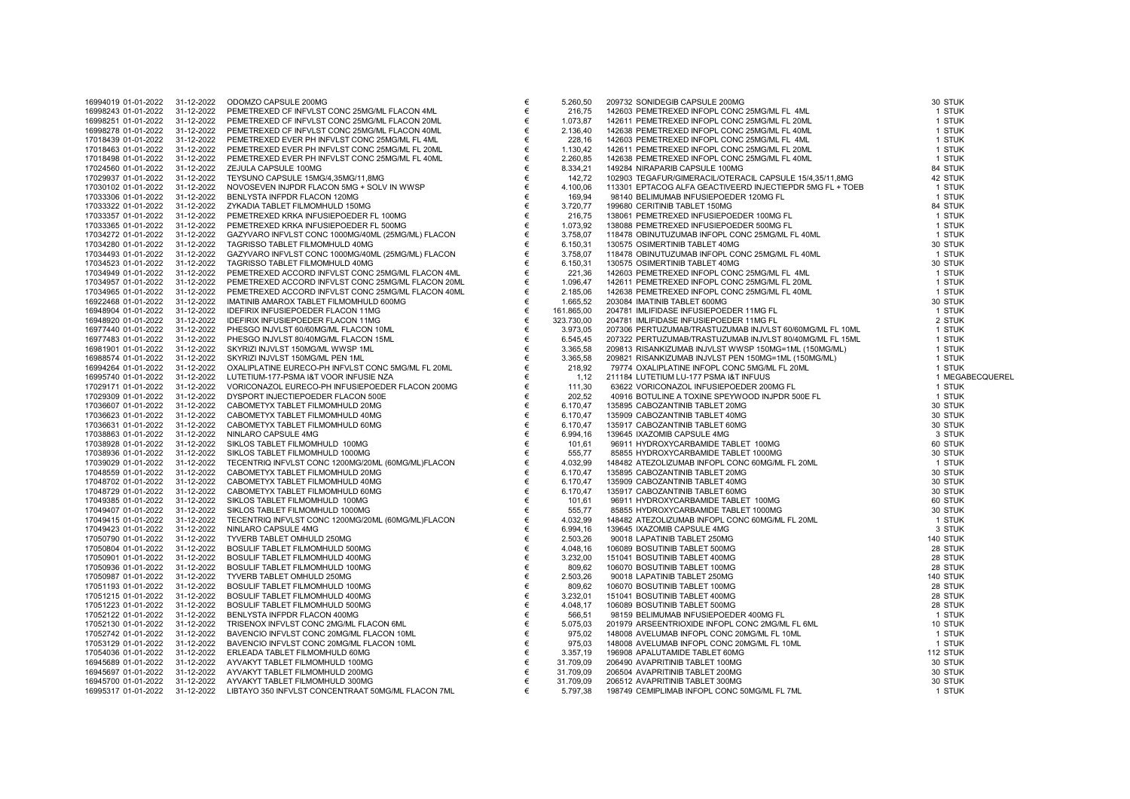| 16994019 01-01-2022 | 31-12-2022 | ODOMZO CAPSULE 200MG                               | €     | 5.260,50   | 209732 SONIDEGIB CAPSULE 200MG                            | 30 STUK  |
|---------------------|------------|----------------------------------------------------|-------|------------|-----------------------------------------------------------|----------|
| 16998243 01-01-2022 | 31-12-2022 | PEMETREXED CF INFVLST CONC 25MG/ML FLACON 4ML      | €     | 216,75     | 142603 PEMETREXED INFOPL CONC 25MG/ML FL 4ML              | 1 STUK   |
| 16998251 01-01-2022 | 31-12-2022 | PEMETREXED CF INFVLST CONC 25MG/ML FLACON 20ML     | €     | 1.073,87   | 142611 PEMETREXED INFOPL CONC 25MG/ML FL 20ML             | 1 STUK   |
| 16998278 01-01-2022 | 31-12-2022 | PEMETREXED CF INFVLST CONC 25MG/ML FLACON 40ML     | €     | 2.136,40   | 142638 PEMETREXED INFOPL CONC 25MG/ML FL 40ML             | 1 STUK   |
| 17018439 01-01-2022 | 31-12-2022 | PEMETREXED EVER PH INFVLST CONC 25MG/ML FL 4ML     | €     | 228,16     | 142603 PEMETREXED INFOPL CONC 25MG/ML FL 4ML              | 1 STUK   |
| 17018463 01-01-2022 | 31-12-2022 | PEMETREXED EVER PH INFVLST CONC 25MG/ML FL 20ML    | €     | 1.130,42   | 142611 PEMETREXED INFOPL CONC 25MG/ML FL 20ML             | 1 STUK   |
| 17018498 01-01-2022 | 31-12-2022 | PEMETREXED EVER PH INFVLST CONC 25MG/ML FL 40ML    | $\in$ | 2.260,85   | 142638 PEMETREXED INFOPL CONC 25MG/ML FL 40ML             | 1 STUK   |
| 17024560 01-01-2022 | 31-12-2022 | ZEJULA CAPSULE 100MG                               | €     | 8.334,21   | 149284 NIRAPARIB CAPSULE 100MG                            | 84 STUK  |
| 17029937 01-01-2022 | 31-12-2022 | TEYSUNO CAPSULE 15MG/4,35MG/11,8MG                 | €     | 142,72     | 102903 TEGAFUR/GIMERACIL/OTERACIL CAPSULE 15/4,35/11,8MG  | 42 STUK  |
| 17030102 01-01-2022 | 31-12-2022 | NOVOSEVEN INJPDR FLACON 5MG + SOLV IN WWSP         | €     | 4.100,06   | 113301 EPTACOG ALFA GEACTIVEERD INJECTIEPDR 5MG FL + TOEB | 1 STUK   |
| 17033306 01-01-2022 | 31-12-2022 | BENLYSTA INFPDR FLACON 120MG                       | €     | 169,94     | 98140 BELIMUMAB INFUSIEPOEDER 120MG FL                    | 1 STUK   |
| 17033322 01-01-2022 | 31-12-2022 | ZYKADIA TABLET FILMOMHULD 150MG                    | €     | 3.720,77   | 199680 CERITINIB TABLET 150MG                             | 84 STUK  |
| 17033357 01-01-2022 | 31-12-2022 | PEMETREXED KRKA INFUSIEPOEDER FL 100MG             | €     | 216,75     | 138061 PEMETREXED INFUSIEPOEDER 100MG FL                  | 1 STUK   |
| 17033365 01-01-2022 | 31-12-2022 | PEMETREXED KRKA INFUSIEPOEDER FL 500MG             | €     | 1.073,92   | 138088 PEMETREXED INFUSIEPOEDER 500MG FL                  | 1 STUK   |
| 17034272 01-01-2022 | 31-12-2022 | GAZYVARO INFVLST CONC 1000MG/40ML (25MG/ML) FLACON | €     | 3.758,07   | 118478 OBINUTUZUMAB INFOPL CONC 25MG/ML FL 40ML           | 1 STUK   |
| 17034280 01-01-2022 | 31-12-2022 | TAGRISSO TABLET FILMOMHULD 40MG                    | €     | 6.150,31   | 130575 OSIMERTINIB TABLET 40MG                            | 30 STUK  |
| 17034493 01-01-2022 | 31-12-2022 | GAZYVARO INFVLST CONC 1000MG/40ML (25MG/ML) FLACON | €     | 3.758,07   | 118478 OBINUTUZUMAB INFOPL CONC 25MG/ML FL 40ML           | 1 STUK   |
| 17034523 01-01-2022 | 31-12-2022 | TAGRISSO TABLET FILMOMHULD 40MG                    | €     | 6.150,31   | 130575 OSIMERTINIB TABLET 40MG                            | 30 STUK  |
| 17034949 01-01-2022 | 31-12-2022 | PEMETREXED ACCORD INFVLST CONC 25MG/ML FLACON 4ML  | €     | 221,36     | 142603 PEMETREXED INFOPL CONC 25MG/ML FL 4ML              | 1 STUK   |
| 17034957 01-01-2022 | 31-12-2022 | PEMETREXED ACCORD INFVLST CONC 25MG/ML FLACON 20ML | €     | 1.096,47   | 142611 PEMETREXED INFOPL CONC 25MG/ML FL 20ML             | 1 STUK   |
| 17034965 01-01-2022 | 31-12-2022 | PEMETREXED ACCORD INFVLST CONC 25MG/ML FLACON 40ML | €     | 2.185,06   | 142638 PEMETREXED INFOPL CONC 25MG/ML FL 40ML             | 1 STUK   |
| 16922468 01-01-2022 | 31-12-2022 | IMATINIB AMAROX TABLET FILMOMHULD 600MG            | €     | 1.665,52   | 203084 IMATINIB TABLET 600MG                              | 30 STUK  |
| 16948904 01-01-2022 | 31-12-2022 | IDEFIRIX INFUSIEPOEDER FLACON 11MG                 | €     | 161.865,00 | 204781 IMLIFIDASE INFUSIEPOEDER 11MG FL                   | 1 STUK   |
| 16948920 01-01-2022 | 31-12-2022 | IDEFIRIX INFUSIEPOEDER FLACON 11MG                 | €     | 323.730,00 | 204781 IMLIFIDASE INFUSIEPOEDER 11MG FL                   | 2 STUK   |
| 16977440 01-01-2022 | 31-12-2022 | PHESGO INJVLST 60/60MG/ML FLACON 10ML              | €     | 3.973,05   | 207306 PERTUZUMAB/TRASTUZUMAB INJVLST 60/60MG/ML FL 10ML  | 1 STUK   |
| 16977483 01-01-2022 | 31-12-2022 | PHESGO INJVLST 80/40MG/ML FLACON 15ML              | €     | 6.545,45   | 207322 PERTUZUMAB/TRASTUZUMAB INJVLST 80/40MG/ML FL 15ML  | 1 STUK   |
| 16981901 01-01-2022 | 31-12-2022 | SKYRIZI INJVLST 150MG/ML WWSP 1ML                  | €     | 3.365,58   | 209813 RISANKIZUMAB INJVLST WWSP 150MG=1ML (150MG/ML)     | 1 STUK   |
| 16988574 01-01-2022 | 31-12-2022 | SKYRIZI INJVLST 150MG/ML PEN 1ML                   | €     | 3.365,58   | 209821 RISANKIZUMAB INJVLST PEN 150MG=1ML (150MG/ML)      | 1 STUK   |
| 16994264 01-01-2022 | 31-12-2022 | OXALIPLATINE EURECO-PH INFVLST CONC 5MG/ML FL 20ML | €     | 218,92     | 79774 OXALIPLATINE INFOPL CONC 5MG/ML FL 20ML             | 1 STUK   |
| 16995740 01-01-2022 | 31-12-2022 | LUTETIUM-177-PSMA I&T VOOR INFUSIE NZA             | €     | 1,12       | 211184 LUTETIUM LU-177 PSMA I&T INFUUS                    | 1 MEGA   |
| 17029171 01-01-2022 | 31-12-2022 | VORICONAZOL EURECO-PH INFUSIEPOEDER FLACON 200MG   | €     | 111,30     | 63622 VORICONAZOL INFUSIEPOEDER 200MG FL                  | 1 STUK   |
| 17029309 01-01-2022 | 31-12-2022 | DYSPORT INJECTIEPOEDER FLACON 500E                 | €     | 202,52     | 40916 BOTULINE A TOXINE SPEYWOOD INJPDR 500E FL           | 1 STUK   |
| 17036607 01-01-2022 | 31-12-2022 | CABOMETYX TABLET FILMOMHULD 20MG                   | €     | 6.170,47   | 135895 CABOZANTINIB TABLET 20MG                           | 30 STUK  |
| 17036623 01-01-2022 | 31-12-2022 | CABOMETYX TABLET FILMOMHULD 40MG                   | €     | 6.170,47   | 135909 CABOZANTINIB TABLET 40MG                           | 30 STUK  |
| 17036631 01-01-2022 | 31-12-2022 | CABOMETYX TABLET FILMOMHULD 60MG                   | €     | 6.170,47   | 135917 CABOZANTINIB TABLET 60MG                           | 30 STUK  |
| 17038863 01-01-2022 | 31-12-2022 | NINLARO CAPSULE 4MG                                | €     | 6.994,16   | 139645 IXAZOMIB CAPSULE 4MG                               | 3 STUK   |
| 17038928 01-01-2022 | 31-12-2022 | SIKLOS TABLET FILMOMHULD 100MG                     | €     | 101,61     | 96911 HYDROXYCARBAMIDE TABLET 100MG                       | 60 STUK  |
| 17038936 01-01-2022 | 31-12-2022 | SIKLOS TABLET FILMOMHULD 1000MG                    | €     | 555,77     | 85855 HYDROXYCARBAMIDE TABLET 1000MG                      | 30 STUK  |
| 17039029 01-01-2022 | 31-12-2022 | TECENTRIQ INFVLST CONC 1200MG/20ML (60MG/ML)FLACON | €     | 4.032,99   | 148482 ATEZOLIZUMAB INFOPL CONC 60MG/ML FL 20ML           | 1 STUK   |
| 17048559 01-01-2022 | 31-12-2022 | CABOMETYX TABLET FILMOMHULD 20MG                   | €     | 6.170,47   | 135895 CABOZANTINIB TABLET 20MG                           | 30 STUK  |
| 17048702 01-01-2022 | 31-12-2022 | CABOMETYX TABLET FILMOMHULD 40MG                   | €     | 6.170,47   | 135909 CABOZANTINIB TABLET 40MG                           | 30 STUK  |
| 17048729 01-01-2022 | 31-12-2022 | CABOMETYX TABLET FILMOMHULD 60MG                   | €     | 6.170,47   | 135917 CABOZANTINIB TABLET 60MG                           | 30 STUK  |
| 17049385 01-01-2022 | 31-12-2022 | SIKLOS TABLET FILMOMHULD 100MG                     | €     | 101,61     | 96911 HYDROXYCARBAMIDE TABLET 100MG                       | 60 STUK  |
| 17049407 01-01-2022 | 31-12-2022 | SIKLOS TABLET FILMOMHULD 1000MG                    | €     | 555,77     | 85855 HYDROXYCARBAMIDE TABLET 1000MG                      | 30 STUK  |
| 17049415 01-01-2022 | 31-12-2022 | TECENTRIQ INFVLST CONC 1200MG/20ML (60MG/ML)FLACON | €     | 4.032,99   | 148482 ATEZOLIZUMAB INFOPL CONC 60MG/ML FL 20ML           | 1 STUK   |
| 17049423 01-01-2022 | 31-12-2022 | NINLARO CAPSULE 4MG                                | €     | 6.994,16   | 139645 IXAZOMIB CAPSULE 4MG                               | 3 STUK   |
| 17050790 01-01-2022 | 31-12-2022 | TYVERB TABLET OMHULD 250MG                         | €     | 2.503,26   | 90018 LAPATINIB TABLET 250MG                              | 140 STUK |
| 17050804 01-01-2022 | 31-12-2022 | BOSULIF TABLET FILMOMHULD 500MG                    | €     | 4.048,16   | 106089 BOSUTINIB TABLET 500MG                             | 28 STUK  |
| 17050901 01-01-2022 | 31-12-2022 | BOSULIF TABLET FILMOMHULD 400MG                    | €     | 3.232,00   | 151041 BOSUTINIB TABLET 400MG                             | 28 STUK  |
| 17050936 01-01-2022 | 31-12-2022 | BOSULIF TABLET FILMOMHULD 100MG                    | €     | 809,62     | 106070 BOSUTINIB TABLET 100MG                             | 28 STUK  |
| 17050987 01-01-2022 | 31-12-2022 | TYVERB TABLET OMHULD 250MG                         | €     | 2.503,26   | 90018 LAPATINIB TABLET 250MG                              | 140 STUK |
| 17051193 01-01-2022 | 31-12-2022 | BOSULIF TABLET FILMOMHULD 100MG                    | €     | 809,62     | 106070 BOSUTINIB TABLET 100MG                             | 28 STUK  |
| 17051215 01-01-2022 | 31-12-2022 | BOSULIF TABLET FILMOMHULD 400MG                    | $\in$ | 3.232,01   | 151041 BOSUTINIB TABLET 400MG                             | 28 STUK  |
| 17051223 01-01-2022 | 31-12-2022 | BOSULIF TABLET FILMOMHULD 500MG                    | €     | 4.048,17   | 106089 BOSUTINIB TABLET 500MG                             | 28 STUK  |
| 17052122 01-01-2022 | 31-12-2022 | BENLYSTA INFPDR FLACON 400MG                       | €     | 566,51     | 98159 BELIMUMAB INFUSIEPOEDER 400MG FL                    | 1 STUK   |
| 17052130 01-01-2022 | 31-12-2022 | TRISENOX INFVLST CONC 2MG/ML FLACON 6ML            | €     | 5.075,03   | 201979 ARSEENTRIOXIDE INFOPL CONC 2MG/ML FL 6ML           | 10 STUK  |
| 17052742 01-01-2022 | 31-12-2022 | BAVENCIO INFVLST CONC 20MG/ML FLACON 10ML          | €     | 975,02     | 148008 AVELUMAB INFOPL CONC 20MG/ML FL 10ML               | 1 STUK   |
| 17053129 01-01-2022 | 31-12-2022 | BAVENCIO INFVLST CONC 20MG/ML FLACON 10ML          | €     | 975,03     | 148008 AVELUMAB INFOPL CONC 20MG/ML FL 10ML               | 1 STUK   |
| 17054036 01-01-2022 | 31-12-2022 | ERLEADA TABLET FILMOMHULD 60MG                     | $\in$ | 3.357,19   | 196908 APALUTAMIDE TABLET 60MG                            | 112 STUK |
| 16945689 01-01-2022 | 31-12-2022 | AYVAKYT TABLET FILMOMHULD 100MG                    | €     | 31.709,09  | 206490 AVAPRITINIB TABLET 100MG                           | 30 STUK  |
| 16945697 01-01-2022 | 31-12-2022 | AYVAKYT TABLET FILMOMHULD 200MG                    | €     | 31.709,09  | 206504 AVAPRITINIB TABLET 200MG                           | 30 STUK  |
| 16945700 01-01-2022 | 31-12-2022 | AYVAKYT TABLET FILMOMHULD 300MG                    | €     | 31.709,09  | 206512 AVAPRITINIB TABLET 300MG                           | 30 STUK  |
| 16995317 01-01-2022 | 31-12-2022 | LIBTAYO 350 INFVLST CONCENTRAAT 50MG/ML FLACON 7ML | €     | 5.797,38   | 198749 CEMIPLIMAB INFOPL CONC 50MG/ML FL 7ML              | 1 STUK   |
|                     |            |                                                    |       |            |                                                           |          |

| 16994019 01-01-2022 | 31-12-2022 | ODOMZO CAPSULE 200MG                                                                                                                              | €      | 5.260,50   | 209732 SONIDEGIB CAPSULE 200MG                                                                                                                                                                                                                     | 30 STUK         |
|---------------------|------------|---------------------------------------------------------------------------------------------------------------------------------------------------|--------|------------|----------------------------------------------------------------------------------------------------------------------------------------------------------------------------------------------------------------------------------------------------|-----------------|
| 16998243 01-01-2022 | 31-12-2022 | PEMETREXED CF INFVLST CONC 25MG/ML FLACON 4ML                                                                                                     | €      | 216,75     | 209732 SONIDEGIB CAPSULE 200MG<br>142603 PEMETREXED INFOPL CONC 25MGML FL 4ML<br>142613 PEMETREXED INFOPL CONC 25MGML FL 4ML<br>142613 PEMETREXED INFOPL CONC 25MGML FL 40ML<br>142633 PEMETREXED INFOPL CONC 25MGML FL 4ML<br>142633 PE           | 1 STUK          |
| 16998251 01-01-2022 | 31-12-2022 | PEMETREXED CF INFVLST CONC 25MG/ML FLACON 20ML                                                                                                    | €      | 1.073,87   |                                                                                                                                                                                                                                                    | 1 STUK          |
| 16998278 01-01-2022 | 31-12-2022 | PEMETREXED CF INFVLST CONC 25MG/ML FLACON 40ML                                                                                                    | €      | 2.136,40   |                                                                                                                                                                                                                                                    | 1 STUK          |
| 17018439 01-01-2022 | 31-12-2022 | PEMETREXED EVER PH INFVLST CONC 25MG/ML FL 4ML                                                                                                    | €      | 228,16     |                                                                                                                                                                                                                                                    | 1 STUK          |
| 17018463 01-01-2022 | 31-12-2022 | PEMETREXED EVER PH INFVLST CONC 25MG/ML FL 20ML                                                                                                   | €      | 1.130,42   |                                                                                                                                                                                                                                                    | 1 STUK          |
| 17018498 01-01-2022 | 31-12-2022 | PEMETREXED EVER PH INFVLST CONC 25MG/ML FL 40ML                                                                                                   | €      | 2.260,85   |                                                                                                                                                                                                                                                    | 1 STUK          |
| 17024560 01-01-2022 | 31-12-2022 | ZEJULA CAPSULE 100MG                                                                                                                              | €      | 8.334,21   |                                                                                                                                                                                                                                                    | 84 STUK         |
| 17029937 01-01-2022 | 31-12-2022 | TEYSUNO CAPSULE 15MG/4,35MG/11,8MG                                                                                                                | €      | 142,72     |                                                                                                                                                                                                                                                    | 42 STUK         |
| 17030102 01-01-2022 | 31-12-2022 | NOVOSEVEN INJPDR FLACON 5MG + SOLV IN WWSP                                                                                                        | €      | 4.100,06   |                                                                                                                                                                                                                                                    | 1 STUK          |
| 17033306 01-01-2022 | 31-12-2022 | BENLYSTA INFPDR FLACON 120MG                                                                                                                      | €      | 169,94     |                                                                                                                                                                                                                                                    | 1 STUK          |
| 17033322 01-01-2022 | 31-12-2022 | ZYKADIA TABLET FILMOMHULD 150MG                                                                                                                   | €      | 3.720,77   |                                                                                                                                                                                                                                                    | 84 STUK         |
| 17033357 01-01-2022 | 31-12-2022 | PEMETREXED KRKA INFUSIEPOEDER FL 100MG                                                                                                            | €      | 216,75     |                                                                                                                                                                                                                                                    | 1 STUK          |
| 17033365 01-01-2022 | 31-12-2022 | PEMETREXED KRKA INFUSIEPOEDER FL 500MG                                                                                                            | €      | 1.073,92   |                                                                                                                                                                                                                                                    | 1 STUK          |
| 17034272 01-01-2022 | 31-12-2022 | GAZYVARO INFVLST CONC 1000MG/40ML (25MG/ML) FLACON                                                                                                | €      | 3.758,07   |                                                                                                                                                                                                                                                    | 1 STUK          |
| 17034280 01-01-2022 | 31-12-2022 | TAGRISSO TABLET FILMOMHULD 40MG                                                                                                                   | €      | 6.150,31   |                                                                                                                                                                                                                                                    | 30 STUK         |
| 17034493 01-01-2022 | 31-12-2022 | GAZYVARO INFVLST CONC 1000MG/40ML (25MG/ML) FLACON                                                                                                | €      | 3.758,07   |                                                                                                                                                                                                                                                    | 1 STUK          |
| 17034523 01-01-2022 | 31-12-2022 | TAGRISSO TABLET FILMOMHULD 40MG                                                                                                                   | €      | 6.150,31   |                                                                                                                                                                                                                                                    | 30 STUK         |
| 17034949 01-01-2022 | 31-12-2022 | PEMETREXED ACCORD INFVLST CONC 25MG/ML FLACON 4ML                                                                                                 | €      | 221,36     |                                                                                                                                                                                                                                                    | 1 STUK          |
| 17034957 01-01-2022 | 31-12-2022 | PEMETREXED ACCORD INFVLST CONC 25MG/ML FLACON 20ML                                                                                                | €      | 1.096,47   |                                                                                                                                                                                                                                                    | 1 STUK          |
| 17034965 01-01-2022 | 31-12-2022 | PEMETREXED ACCORD INFVLST CONC 25MG/ML FLACON 40ML                                                                                                | €      | 2.185,06   |                                                                                                                                                                                                                                                    | 1 STUK          |
| 16922468 01-01-2022 | 31-12-2022 | IMATINIB AMAROX TABLET FILMOMHULD 600MG                                                                                                           | €      | 1.665,52   |                                                                                                                                                                                                                                                    | 30 STUK         |
| 16948904 01-01-2022 | 31-12-2022 | IDEFIRIX INFUSIEPOEDER FLACON 11MG                                                                                                                | €      | 161.865,00 |                                                                                                                                                                                                                                                    | 1 STUK          |
| 16948920 01-01-2022 | 31-12-2022 | IDEFIRIX INFUSIEPOEDER FLACON 11MG                                                                                                                | €      | 323.730,00 |                                                                                                                                                                                                                                                    | 2 STUK          |
| 16977440 01-01-2022 | 31-12-2022 | PHESGO INJVLST 60/60MG/ML FLACON 10ML                                                                                                             | €      | 3.973,05   |                                                                                                                                                                                                                                                    | 1 STUK          |
| 16977483 01-01-2022 | 31-12-2022 | PHESGO INJVLST 80/40MG/ML FLACON 15ML                                                                                                             | €      | 6.545,45   |                                                                                                                                                                                                                                                    | 1 STUK          |
| 16981901 01-01-2022 | 31-12-2022 | SKYRIZI INJVLST 150MG/ML WWSP 1ML                                                                                                                 | €      | 3.365,58   |                                                                                                                                                                                                                                                    | 1 STUK          |
| 16988574 01-01-2022 | 31-12-2022 | SKYRIZI INJVLST 150MG/ML PEN 1ML                                                                                                                  | €      | 3.365,58   |                                                                                                                                                                                                                                                    | 1 STUK          |
| 16994264 01-01-2022 | 31-12-2022 | OXALIPLATINE EURECO-PH INFVLST CONC 5MG/ML FL 20ML                                                                                                | €      | 218,92     |                                                                                                                                                                                                                                                    | 1 STUK          |
| 16995740 01-01-2022 | 31-12-2022 | LUTETIUM-177-PSMA I&T VOOR INFUSIE NZA                                                                                                            | €      | 1,12       |                                                                                                                                                                                                                                                    | 1 MEGABECQUEREL |
| 17029171 01-01-2022 | 31-12-2022 | VORICONAZOL EURECO-PH INFUSIEPOEDER FLACON 200MG                                                                                                  | €      | 111,30     |                                                                                                                                                                                                                                                    | 1 STUK          |
| 17029309 01-01-2022 | 31-12-2022 | DYSPORT INJECTIEPOEDER FLACON 500E                                                                                                                | €      | 202,52     |                                                                                                                                                                                                                                                    | 1 STUK          |
| 17036607 01-01-2022 | 31-12-2022 | CABOMETYX TABLET FILMOMHULD 20MG                                                                                                                  | €      | 6.170,47   |                                                                                                                                                                                                                                                    | 30 STUK         |
| 17036623 01-01-2022 | 31-12-2022 | CABOMETYX TABLET FILMOMHULD 40MG                                                                                                                  | €      | 6.170,47   |                                                                                                                                                                                                                                                    | 30 STUK         |
| 17036631 01-01-2022 | 31-12-2022 | CABOMETYX TABLET FILMOMHULD 60MG                                                                                                                  | €      | 6.170,47   |                                                                                                                                                                                                                                                    | 30 STUK         |
| 17038863 01-01-2022 | 31-12-2022 | NINLARO CAPSULE 4MG                                                                                                                               | €      | 6.994,16   |                                                                                                                                                                                                                                                    | 3 STUK          |
| 17038928 01-01-2022 | 31-12-2022 | SIKLOS TABLET FILMOMHULD 100MG                                                                                                                    | €      | 101,61     |                                                                                                                                                                                                                                                    | 60 STUK         |
| 17038936 01-01-2022 | 31-12-2022 | SIKLOS TABLET FILMOMHULD 1000MG                                                                                                                   | €      | 555,77     |                                                                                                                                                                                                                                                    | 30 STUK         |
| 17039029 01-01-2022 | 31-12-2022 | TECENTRIQ INFVLST CONC 1200MG/20ML (60MG/ML)FLACON                                                                                                | €      | 4.032,99   |                                                                                                                                                                                                                                                    | 1 STUK          |
| 17048559 01-01-2022 | 31-12-2022 | CABOMETYX TABLET FILMOMHULD 20MG                                                                                                                  | €      | 6.170,47   | 135895 CABOZANTINIB TABLET 20MG                                                                                                                                                                                                                    | 30 STUK         |
| 17048702 01-01-2022 | 31-12-2022 | CABOMETYX TABLET FILMOMHULD 40MG                                                                                                                  | €      | 6.170,47   | 135909 CABOZANTINIB TABLET 40MG                                                                                                                                                                                                                    | 30 STUK         |
| 17048729 01-01-2022 | 31-12-2022 | CABOMETYX TABLET FILMOMHULD 60MG                                                                                                                  | €      | 6.170,47   | 135917 CABOZANTINIB TABLET 60MG                                                                                                                                                                                                                    | 30 STUK         |
| 17049385 01-01-2022 | 31-12-2022 | SIKLOS TABLET FILMOMHULD 100MG                                                                                                                    | €      | 101,61     | 96911 HYDROXYCARBAMIDE TABLET 100MG                                                                                                                                                                                                                | 60 STUK         |
| 17049407 01-01-2022 | 31-12-2022 | SIKLOS TABLET FILMOMHULD 1000MG                                                                                                                   | €      | 555,77     |                                                                                                                                                                                                                                                    | 30 STUK         |
| 17049415 01-01-2022 | 31-12-2022 | TECENTRIQ INFVLST CONC 1200MG/20ML (60MG/ML)FLACON                                                                                                | €      | 4.032,99   |                                                                                                                                                                                                                                                    | 1 STUK          |
| 17049423 01-01-2022 | 31-12-2022 | NINLARO CAPSULE 4MG                                                                                                                               | €      | 6.994,16   |                                                                                                                                                                                                                                                    | 3 STUK          |
| 17050790 01-01-2022 | 31-12-2022 | TYVERB TABLET OMHULD 250MG                                                                                                                        | €      | 2.503,26   |                                                                                                                                                                                                                                                    | 140 STUK        |
| 17050804 01-01-2022 | 31-12-2022 | BOSULIF TABLET FILMOMHULD 500MG                                                                                                                   | €      | 4.048,16   |                                                                                                                                                                                                                                                    | 28 STUK         |
|                     | 31-12-2022 | BOSULIF TABLET FILMOMHULD 400MG                                                                                                                   | €      |            |                                                                                                                                                                                                                                                    | 28 STUK         |
| 17050901 01-01-2022 |            |                                                                                                                                                   | €      | 3.232,00   |                                                                                                                                                                                                                                                    |                 |
| 17050936 01-01-2022 | 31-12-2022 | BOSULIF TABLET FILMOMHULD 100MG                                                                                                                   |        | 809,62     |                                                                                                                                                                                                                                                    | 28 STUK         |
| 17050987 01-01-2022 | 31-12-2022 | TYVERB TABLET OMHULD 250MG                                                                                                                        | €      | 2.503,26   |                                                                                                                                                                                                                                                    | 140 STUK        |
| 17051193 01-01-2022 | 31-12-2022 | BOSULIF TABLET FILMOMHULD 100MG                                                                                                                   | €<br>€ | 809,62     |                                                                                                                                                                                                                                                    | 28 STUK         |
| 17051215 01-01-2022 | 31-12-2022 | BOSULIF TABLET FILMOMHULD 400MG                                                                                                                   | €      | 3.232,01   |                                                                                                                                                                                                                                                    | 28 STUK         |
| 17051223 01-01-2022 | 31-12-2022 | BOSULIF TABLET FILMOMHULD 500MG                                                                                                                   |        | 4.048,17   |                                                                                                                                                                                                                                                    | 28 STUK         |
| 17052122 01-01-2022 | 31-12-2022 | 5MG/ML FL 20ML<br>\<br>R FLACON 200MG<br>30MG/ML)FLACON<br>(60MG/ML)FLACON<br>N 6ML<br>N 6ML<br>N 10ML<br>ON 10ML<br>BENLYSTA INFPDR FLACON 400MG | €      | 566,51     | ARBAMIDE TABLE I<br>CARBAMIDE TABLE I<br>CARBAMIDE TABLE I<br>TINI TABLET 250MG<br>SUTINIB TABLET 250MG<br>SUTINIB TABLET 250MG<br>SUTINIB TABLET 100MG<br>APATINIB TABLET 100MG<br>APATINIB TABLET 250MG<br>/ 140 STI<br>/ BOSUTINIB TABLET 250MG | 1 STUK          |
| 17052130 01-01-2022 | 31-12-2022 | TRISENOX INFVLST CONC 2MG/ML FLACON 6ML                                                                                                           | €      | 5.075,03   |                                                                                                                                                                                                                                                    | 10 STUK         |
| 17052742 01-01-2022 | 31-12-2022 | BAVENCIO INFVLST CONC 20MG/ML FLACON 10ML                                                                                                         | €      | 975,02     |                                                                                                                                                                                                                                                    | 1 STUK          |
| 17053129 01-01-2022 | 31-12-2022 | BAVENCIO INFVLST CONC 20MG/ML FLACON 10ML                                                                                                         | €      | 975,03     |                                                                                                                                                                                                                                                    | 1 STUK          |
| 17054036 01-01-2022 | 31-12-2022 | ERLEADA TABLET FILMOMHULD 60MG                                                                                                                    | $\in$  | 3.357,19   |                                                                                                                                                                                                                                                    | 112 STUK        |
| 16945689 01-01-2022 | 31-12-2022 | AYVAKYT TABLET FILMOMHULD 100MG                                                                                                                   | €      | 31.709,09  |                                                                                                                                                                                                                                                    | 30 STUK         |
| 16945697 01-01-2022 | 31-12-2022 | AYVAKYT TABLET FILMOMHULD 200MG                                                                                                                   | €      | 31.709,09  |                                                                                                                                                                                                                                                    | 30 STUK         |
| 16945700 01-01-2022 | 31-12-2022 | AYVAKYT TABLET FILMOMHULD 300MG                                                                                                                   | €      | 31.709,09  |                                                                                                                                                                                                                                                    | 30 STUK         |
| 16995317 01-01-2022 | 31-12-2022 | LIBTAYO 350 INFVLST CONCENTRAAT 50MG/ML FLACON 7ML                                                                                                | €      | 5.797,38   |                                                                                                                                                                                                                                                    | 1 STUK          |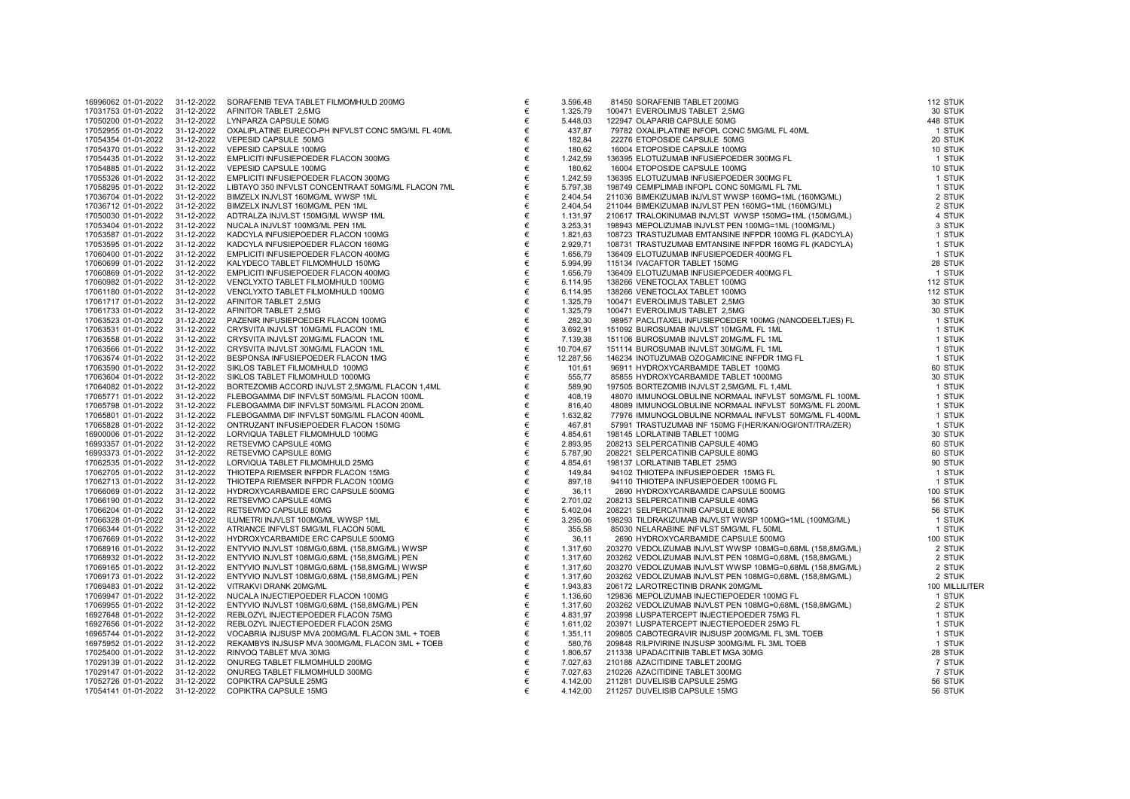| 16996062 01-01-2022 | 31-12-2022 | SORAFENIB TEVA TABLET FILMOMHULD 200MG             |
|---------------------|------------|----------------------------------------------------|
| 17031753 01-01-2022 | 31-12-2022 | AFINITOR TABLET 2,5MG                              |
| 17050200 01-01-2022 | 31-12-2022 | LYNPARZA CAPSULE 50MG                              |
| 17052955 01-01-2022 | 31-12-2022 | OXALIPLATINE EURECO-PH INFVLST CONC 5MG/ML FL 40ML |
| 17054354 01-01-2022 | 31-12-2022 | VEPESID CAPSULE 50MG                               |
| 17054370 01-01-2022 | 31-12-2022 | VEPESID CAPSULE 100MG                              |
| 17054435 01-01-2022 | 31-12-2022 | EMPLICITI INFUSIEPOEDER FLACON 300MG               |
| 17054885 01-01-2022 | 31-12-2022 | VEPESID CAPSULE 100MG                              |
| 17055326 01-01-2022 | 31-12-2022 | EMPLICITI INFUSIEPOEDER FLACON 300MG               |
| 17058295 01-01-2022 | 31-12-2022 | LIBTAYO 350 INFVLST CONCENTRAAT 50MG/ML FLACON 7ML |
| 17036704 01-01-2022 | 31-12-2022 | BIMZELX INJVLST 160MG/ML WWSP 1ML                  |
| 17036712 01-01-2022 | 31-12-2022 | BIMZELX INJVLST 160MG/ML PEN 1ML                   |
| 17050030 01-01-2022 | 31-12-2022 | ADTRALZA INJVLST 150MG/ML WWSP 1ML                 |
|                     |            |                                                    |
| 17053404 01-01-2022 | 31-12-2022 | NUCALA INJVLST 100MG/ML PEN 1ML                    |
| 17053587 01-01-2022 | 31-12-2022 | KADCYLA INFUSIEPOEDER FLACON 100MG                 |
| 17053595 01-01-2022 | 31-12-2022 | KADCYLA INFUSIEPOEDER FLACON 160MG                 |
| 17060400 01-01-2022 | 31-12-2022 | EMPLICITI INFUSIEPOEDER FLACON 400MG               |
| 17060699 01-01-2022 | 31-12-2022 | KALYDECO TABLET FILMOMHULD 150MG                   |
| 17060869 01-01-2022 | 31-12-2022 | EMPLICITI INFUSIEPOEDER FLACON 400MG               |
| 17060982 01-01-2022 | 31-12-2022 | VENCLYXTO TABLET FILMOMHULD 100MG                  |
| 17061180 01-01-2022 | 31-12-2022 | VENCLYXTO TABLET FILMOMHULD 100MG                  |
| 17061717 01-01-2022 | 31-12-2022 | AFINITOR TABLET 2,5MG                              |
| 17061733 01-01-2022 | 31-12-2022 | AFINITOR TABLET 2,5MG                              |
| 17063523 01-01-2022 | 31-12-2022 | PAZENIR INFUSIEPOEDER FLACON 100MG                 |
| 17063531 01-01-2022 | 31-12-2022 | CRYSVITA INJVLST 10MG/ML FLACON 1ML                |
| 17063558 01-01-2022 | 31-12-2022 | CRYSVITA INJVLST 20MG/ML FLACON 1ML                |
| 17063566 01-01-2022 | 31-12-2022 | CRYSVITA INJVLST 30MG/ML FLACON 1ML                |
| 17063574 01-01-2022 | 31-12-2022 | BESPONSA INFUSIEPOEDER FLACON 1MG                  |
| 17063590 01-01-2022 | 31-12-2022 | SIKLOS TABLET FILMOMHULD 100MG                     |
| 17063604 01-01-2022 | 31-12-2022 | SIKLOS TABLET FILMOMHULD 1000MG                    |
| 17064082 01-01-2022 | 31-12-2022 | BORTEZOMIB ACCORD INJVLST 2,5MG/ML FLACON 1,4ML    |
| 17065771 01-01-2022 | 31-12-2022 | FLEBOGAMMA DIF INFVLST 50MG/ML FLACON 100ML        |
| 17065798 01-01-2022 | 31-12-2022 | FLEBOGAMMA DIF INFVLST 50MG/ML FLACON 200ML        |
| 17065801 01-01-2022 | 31-12-2022 | FLEBOGAMMA DIF INFVLST 50MG/ML FLACON 400ML        |
| 17065828 01-01-2022 | 31-12-2022 | ONTRUZANT INFUSIEPOEDER FLACON 150MG               |
| 16900006 01-01-2022 | 31-12-2022 | LORVIQUA TABLET FILMOMHULD 100MG                   |
| 16993357 01-01-2022 | 31-12-2022 | RETSEVMO CAPSULE 40MG                              |
|                     |            |                                                    |
| 16993373 01-01-2022 | 31-12-2022 | RETSEVMO CAPSULE 80MG                              |
| 17062535 01-01-2022 | 31-12-2022 | LORVIQUA TABLET FILMOMHULD 25MG                    |
| 17062705 01-01-2022 | 31-12-2022 | THIOTEPA RIEMSER INFPDR FLACON 15MG                |
| 17062713 01-01-2022 | 31-12-2022 | THIOTEPA RIEMSER INFPDR FLACON 100MG               |
| 17066069 01-01-2022 | 31-12-2022 | HYDROXYCARBAMIDE ERC CAPSULE 500MG                 |
| 17066190 01-01-2022 | 31-12-2022 | RETSEVMO CAPSULE 40MG                              |
| 17066204 01-01-2022 | 31-12-2022 | RETSEVMO CAPSULE 80MG                              |
| 17066328 01-01-2022 | 31-12-2022 | ILUMETRI INJVLST 100MG/ML WWSP 1ML                 |
| 17066344 01-01-2022 | 31-12-2022 | ATRIANCE INFVLST 5MG/ML FLACON 50ML                |
| 17067669 01-01-2022 | 31-12-2022 | HYDROXYCARBAMIDE ERC CAPSULE 500MG                 |
| 17068916 01-01-2022 | 31-12-2022 | ENTYVIO INJVLST 108MG/0,68ML (158,8MG/ML) WWSP     |
| 17068932 01-01-2022 | 31-12-2022 | ENTYVIO INJVLST 108MG/0,68ML (158,8MG/ML) PEN      |
| 17069165 01-01-2022 | 31-12-2022 | ENTYVIO INJVLST 108MG/0,68ML (158,8MG/ML) WWSP     |
| 17069173 01-01-2022 | 31-12-2022 | ENTYVIO INJVLST 108MG/0,68ML (158,8MG/ML) PEN      |
| 17069483 01-01-2022 | 31-12-2022 | VITRAKVI DRANK 20MG/ML                             |
| 17069947 01-01-2022 | 31-12-2022 | NUCALA INJECTIEPOEDER FLACON 100MG                 |
| 17069955 01-01-2022 | 31-12-2022 | ENTYVIO INJVLST 108MG/0,68ML (158,8MG/ML) PEN      |
| 16927648 01-01-2022 | 31-12-2022 | REBLOZYL INJECTIEPOEDER FLACON 75MG                |
| 16927656 01-01-2022 | 31-12-2022 | REBLOZYL INJECTIEPOEDER FLACON 25MG                |
| 16965744 01-01-2022 | 31-12-2022 | VOCABRIA INJSUSP MVA 200MG/ML FLACON 3ML + TOEB    |
| 16975952 01-01-2022 | 31-12-2022 | REKAMBYS INJSUSP MVA 300MG/ML FLACON 3ML + TOEB    |
|                     |            |                                                    |
| 17025400 01-01-2022 | 31-12-2022 | RINVOQ TABLET MVA 30MG                             |
| 17029139 01-01-2022 | 31-12-2022 | ONUREG TABLET FILMOMHULD 200MG                     |
| 17029147 01-01-2022 | 31-12-2022 | ONUREG TABLET FILMOMHULD 300MG                     |
| 17052726 01-01-2022 | 31-12-2022 | COPIKTRA CAPSULE 25MG                              |
| 17054141 01-01-2022 | 31-12-2022 | COPIKTRA CAPSULE 15MG                              |

| 16996062 01-01-2022 | 31-12-2022 | SORAFENIB TEVA TABLET FILMOMHULD 200MG             | €     | 3.596.48  | 81450 SORAFENIB TABLET 200MG                                                                                                                                                                                                                        | 112 STUK |
|---------------------|------------|----------------------------------------------------|-------|-----------|-----------------------------------------------------------------------------------------------------------------------------------------------------------------------------------------------------------------------------------------------------|----------|
| 17031753 01-01-2022 | 31-12-2022 | AFINITOR TABLET 2.5MG                              | $\in$ | 1.325,79  |                                                                                                                                                                                                                                                     | 30 STUK  |
| 17050200 01-01-2022 | 31-12-2022 | LYNPARZA CAPSULE 50MG                              | €     | 5.448,03  | 81450 SORAFENIB TABLET 200MG<br>100471 EVEROLIMUS TABLET 2,5MG<br>122947 OLAPARIB CAPSULE 50MG<br>79782 OXALIPLATINE INFOPL CONC 5MGML FL 40ML<br>22276 ETOPOSIDE CAPSULE 50MG<br>16004 ETOPOSIDE CAPSULE 50MG<br>16004 ETOPOSIDE CAPSULE 100MG<br> | 448 STUK |
| 17052955 01-01-2022 | 31-12-2022 | OXALIPLATINE EURECO-PH INFVLST CONC 5MG/ML FL 40ML | €     | 437,87    |                                                                                                                                                                                                                                                     | 1 STUK   |
| 17054354 01-01-2022 | 31-12-2022 | VEPESID CAPSULE 50MG                               | €     | 182,84    |                                                                                                                                                                                                                                                     | 20 STUK  |
| 17054370 01-01-2022 | 31-12-2022 | VEPESID CAPSULE 100MG                              | €     | 180,62    |                                                                                                                                                                                                                                                     | 10 STUK  |
| 17054435 01-01-2022 | 31-12-2022 | EMPLICITI INFUSIEPOEDER FLACON 300MG               | $\in$ | 1.242,59  |                                                                                                                                                                                                                                                     | 1 STUK   |
| 17054885 01-01-2022 | 31-12-2022 | VEPESID CAPSULE 100MG                              | €     | 180,62    |                                                                                                                                                                                                                                                     | 10 STUK  |
| 17055326 01-01-2022 | 31-12-2022 | EMPLICITI INFUSIEPOEDER FLACON 300MG               | €     | 1.242,59  |                                                                                                                                                                                                                                                     | 1 STUK   |
| 17058295 01-01-2022 | 31-12-2022 | LIBTAYO 350 INFVLST CONCENTRAAT 50MG/ML FLACON 7ML | €     | 5.797,38  |                                                                                                                                                                                                                                                     | 1 STUK   |
| 17036704 01-01-2022 | 31-12-2022 | BIMZELX INJVLST 160MG/ML WWSP 1ML                  | €     | 2.404,54  |                                                                                                                                                                                                                                                     | 2 STUK   |
| 17036712 01-01-2022 | 31-12-2022 | BIMZELX INJVLST 160MG/ML PEN 1ML                   | €     | 2.404,54  |                                                                                                                                                                                                                                                     | 2 STUK   |
| 17050030 01-01-2022 | 31-12-2022 | ADTRALZA INJVLST 150MG/ML WWSP 1ML                 | €     | 1.131,97  |                                                                                                                                                                                                                                                     | 4 STUK   |
| 17053404 01-01-2022 | 31-12-2022 | NUCALA INJVLST 100MG/ML PEN 1ML                    | €     | 3.253,31  |                                                                                                                                                                                                                                                     | 3 STUK   |
| 17053587 01-01-2022 | 31-12-2022 | KADCYLA INFUSIEPOEDER FLACON 100MG                 | €     | 1.821,63  |                                                                                                                                                                                                                                                     | 1 STUK   |
| 17053595 01-01-2022 | 31-12-2022 | KADCYLA INFUSIEPOEDER FLACON 160MG                 | €     | 2.929,71  |                                                                                                                                                                                                                                                     | 1 STUK   |
| 17060400 01-01-2022 | 31-12-2022 | EMPLICITI INFUSIEPOEDER FLACON 400MG               | €     | 1.656,79  |                                                                                                                                                                                                                                                     | 1 STUK   |
| 17060699 01-01-2022 | 31-12-2022 | KALYDECO TABLET FILMOMHULD 150MG                   | €     | 5.994,99  |                                                                                                                                                                                                                                                     | 28 STUK  |
| 17060869 01-01-2022 | 31-12-2022 | EMPLICITI INFUSIEPOEDER FLACON 400MG               | €     | 1.656,79  |                                                                                                                                                                                                                                                     | 1 STUK   |
| 17060982 01-01-2022 | 31-12-2022 | VENCLYXTO TABLET FILMOMHULD 100MG                  | €     | 6.114,95  |                                                                                                                                                                                                                                                     | 112 STUK |
| 17061180 01-01-2022 | 31-12-2022 | VENCLYXTO TABLET FILMOMHULD 100MG                  | €     | 6.114,95  |                                                                                                                                                                                                                                                     | 112 STUK |
| 17061717 01-01-2022 | 31-12-2022 | AFINITOR TABLET 2,5MG                              | €     | 1.325,79  |                                                                                                                                                                                                                                                     | 30 STUK  |
| 17061733 01-01-2022 | 31-12-2022 | AFINITOR TABLET 2,5MG                              | €     | 1.325,79  | 100471 EVEROLIMUS TABLET 2,5MG<br>98957 PACLITAXEL INFUSIEPOEDER 100MG (NANODEELTJES) FL<br>151092 BUROSUMAB INJVLST 10MG/ML FL 1ML<br>151106 BUROSUMAB INJVLST 20MG/ML FL 1ML<br>151114 BUROSUMAB INJVLST 20MG/ML FL 1ML<br>161114 BUROSUMAB       | 30 STUK  |
| 17063523 01-01-2022 | 31-12-2022 | PAZENIR INFUSIEPOEDER FLACON 100MG                 | €     | 282,30    |                                                                                                                                                                                                                                                     | 1 STUK   |
| 17063531 01-01-2022 | 31-12-2022 | CRYSVITA INJVLST 10MG/ML FLACON 1ML                | €     | 3.692,91  |                                                                                                                                                                                                                                                     | 1 STUK   |
| 17063558 01-01-2022 | 31-12-2022 | CRYSVITA INJVLST 20MG/ML FLACON 1ML                | $\in$ | 7.139,38  |                                                                                                                                                                                                                                                     | 1 STUK   |
| 17063566 01-01-2022 | 31-12-2022 | CRYSVITA INJVLST 30MG/ML FLACON 1ML                | $\in$ | 10.704,67 |                                                                                                                                                                                                                                                     | 1 STUK   |
| 17063574 01-01-2022 | 31-12-2022 | BESPONSA INFUSIEPOEDER FLACON 1MG                  | €     | 12.287,56 |                                                                                                                                                                                                                                                     | 1 STUK   |
| 17063590 01-01-2022 | 31-12-2022 | SIKLOS TABLET FILMOMHULD 100MG                     | €     | 101,61    |                                                                                                                                                                                                                                                     | 60 STUK  |
| 17063604 01-01-2022 | 31-12-2022 | SIKLOS TABLET FILMOMHULD 1000MG                    | €     | 555,77    |                                                                                                                                                                                                                                                     | 30 STUK  |
|                     |            |                                                    | €     |           |                                                                                                                                                                                                                                                     |          |
| 17064082 01-01-2022 | 31-12-2022 | BORTEZOMIB ACCORD INJVLST 2,5MG/ML FLACON 1,4ML    |       |           |                                                                                                                                                                                                                                                     |          |
| 17065771 01-01-2022 | 31-12-2022 | FLEBOGAMMA DIF INFVLST 50MG/ML FLACON 100ML        | €     |           |                                                                                                                                                                                                                                                     |          |
| 17065798 01-01-2022 | 31-12-2022 | FLEBOGAMMA DIF INFVLST 50MG/ML FLACON 200ML        | €     |           |                                                                                                                                                                                                                                                     |          |
| 17065801 01-01-2022 | 31-12-2022 | FLEBOGAMMA DIF INFVLST 50MG/ML FLACON 400ML        | €     |           |                                                                                                                                                                                                                                                     |          |
| 17065828 01-01-2022 | 31-12-2022 | ONTRUZANT INFUSIEPOEDER FLACON 150MG               | €     |           |                                                                                                                                                                                                                                                     |          |
| 16900006 01-01-2022 | 31-12-2022 | LORVIQUA TABLET FILMOMHULD 100MG                   | €     |           |                                                                                                                                                                                                                                                     |          |
| 16993357 01-01-2022 | 31-12-2022 | RETSEVMO CAPSULE 40MG                              | €     |           |                                                                                                                                                                                                                                                     |          |
| 16993373 01-01-2022 | 31-12-2022 | RETSEVMO CAPSULE 80MG                              | €     |           |                                                                                                                                                                                                                                                     |          |
| 17062535 01-01-2022 | 31-12-2022 | LORVIQUA TABLET FILMOMHULD 25MG                    | €     |           |                                                                                                                                                                                                                                                     |          |
| 17062705 01-01-2022 | 31-12-2022 | THIOTEPA RIEMSER INFPDR FLACON 15MG                | €     |           |                                                                                                                                                                                                                                                     |          |
| 17062713 01-01-2022 | 31-12-2022 | THIOTEPA RIEMSER INFPDR FLACON 100MG               | €     |           |                                                                                                                                                                                                                                                     |          |
| 17066069 01-01-2022 | 31-12-2022 | HYDROXYCARBAMIDE ERC CAPSULE 500MG                 | €     |           |                                                                                                                                                                                                                                                     |          |
| 17066190 01-01-2022 | 31-12-2022 | RETSEVMO CAPSULE 40MG                              | €     |           |                                                                                                                                                                                                                                                     |          |
| 17066204 01-01-2022 | 31-12-2022 | RETSEVMO CAPSULE 80MG                              | €     |           |                                                                                                                                                                                                                                                     |          |
| 17066328 01-01-2022 | 31-12-2022 | ILUMETRI INJVLST 100MG/ML WWSP 1ML                 | €     |           |                                                                                                                                                                                                                                                     |          |
| 17066344 01-01-2022 | 31-12-2022 | ATRIANCE INFVLST 5MG/ML FLACON 50ML                | €     |           |                                                                                                                                                                                                                                                     |          |
| 17067669 01-01-2022 | 31-12-2022 | HYDROXYCARBAMIDE ERC CAPSULE 500MG                 | €     |           |                                                                                                                                                                                                                                                     |          |
| 17068916 01-01-2022 | 31-12-2022 | ENTYVIO INJVLST 108MG/0,68ML (158,8MG/ML) WWSP     | €     |           |                                                                                                                                                                                                                                                     |          |
| 17068932 01-01-2022 | 31-12-2022 | ENTYVIO INJVLST 108MG/0,68ML (158,8MG/ML) PEN      | €     |           |                                                                                                                                                                                                                                                     |          |
| 17069165 01-01-2022 | 31-12-2022 | ENTYVIO INJVLST 108MG/0,68ML (158,8MG/ML) WWSP     | €     |           |                                                                                                                                                                                                                                                     |          |
| 17069173 01-01-2022 | 31-12-2022 | ENTYVIO INJVLST 108MG/0,68ML (158,8MG/ML) PEN      | €     |           |                                                                                                                                                                                                                                                     |          |
| 17069483 01-01-2022 | 31-12-2022 | VITRAKVI DRANK 20MG/ML                             | €     |           |                                                                                                                                                                                                                                                     |          |
| 17069947 01-01-2022 | 31-12-2022 | NUCALA INJECTIEPOEDER FLACON 100MG                 | €     |           |                                                                                                                                                                                                                                                     |          |
| 17069955 01-01-2022 | 31-12-2022 | ENTYVIO INJVLST 108MG/0,68ML (158,8MG/ML) PEN      | €     |           |                                                                                                                                                                                                                                                     |          |
| 16927648 01-01-2022 | 31-12-2022 | REBLOZYL INJECTIEPOEDER FLACON 75MG                | €     |           |                                                                                                                                                                                                                                                     |          |
| 16927656 01-01-2022 | 31-12-2022 | REBLOZYL INJECTIEPOEDER FLACON 25MG                | €     |           |                                                                                                                                                                                                                                                     |          |
| 16965744 01-01-2022 | 31-12-2022 | VOCABRIA INJSUSP MVA 200MG/ML FLACON 3ML + TOEB    | €     |           |                                                                                                                                                                                                                                                     |          |
| 16975952 01-01-2022 | 31-12-2022 | REKAMBYS INJSUSP MVA 300MG/ML FLACON 3ML + TOEB    | €     |           |                                                                                                                                                                                                                                                     |          |
| 17025400 01-01-2022 | 31-12-2022 | RINVOQ TABLET MVA 30MG                             | €     |           |                                                                                                                                                                                                                                                     |          |
| 17029139 01-01-2022 | 31-12-2022 | ONUREG TABLET FILMOMHULD 200MG                     | €     |           |                                                                                                                                                                                                                                                     |          |
| 17029147 01-01-2022 | 31-12-2022 | ONUREG TABLET FILMOMHULD 300MG                     | €     |           |                                                                                                                                                                                                                                                     |          |
| 17052726 01-01-2022 | 31-12-2022 | COPIKTRA CAPSULE 25MG                              | €     |           |                                                                                                                                                                                                                                                     |          |
| 17054141 01-01-2022 | 31-12-2022 | COPIKTRA CAPSULE 15MG                              | €     |           |                                                                                                                                                                                                                                                     |          |